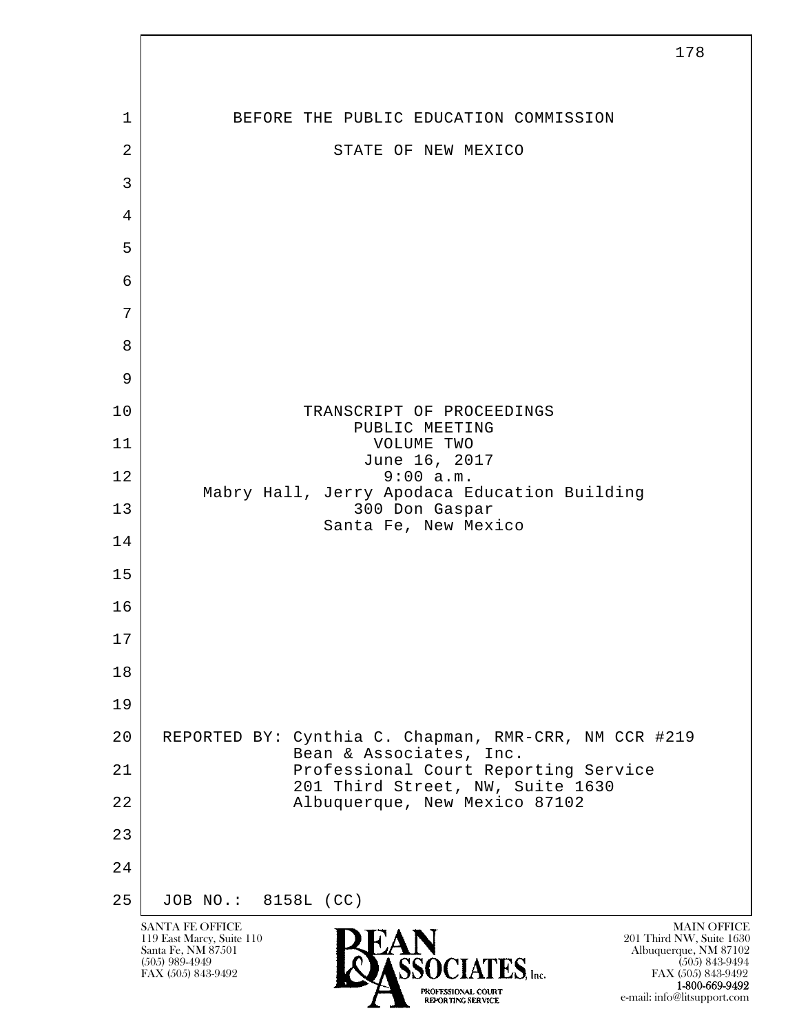l  $\overline{\phantom{a}}$ SANTA FE OFFICE MAIN OFFICE MAIN OFFICE MAIN OFFICE MAIN OFFICE 119 East Marcy, Suite 110<br>Santa Fe, NM 87501 Santa Fe, NM 87501 Albuquerque, NM 87102  $\sum_{\text{FAX (505) 843-9492}}$   $\sum_{\text{FAX (505) 843-9492}}$   $\sum_{\text{FAX (505) 843-9492}}$ FAX (505) 843-9492 FAX (505) 843-9492 1-800-669-9492 178 1 BEFORE THE PUBLIC EDUCATION COMMISSION 2 STATE OF NEW MEXICO 3 4 5 6 7 8 9 10 TRANSCRIPT OF PROCEEDINGS PUBLIC MEETING 11 VOLUME TWO June 16, 2017 12 9:00 a.m. Mabry Hall, Jerry Apodaca Education Building 13 300 Don Gaspar Santa Fe, New Mexico 14 15 16 17 18 19 20 REPORTED BY: Cynthia C. Chapman, RMR-CRR, NM CCR #219 Bean & Associates, Inc.<br>21 Professional Court Repo Professional Court Reporting Service 201 Third Street, NW, Suite 1630<br>22 Albuquerque, New Mexico 87102 Albuquerque, New Mexico 87102 23 24 25 JOB NO.: 8158L (CC)

e-mail: info@litsupport.com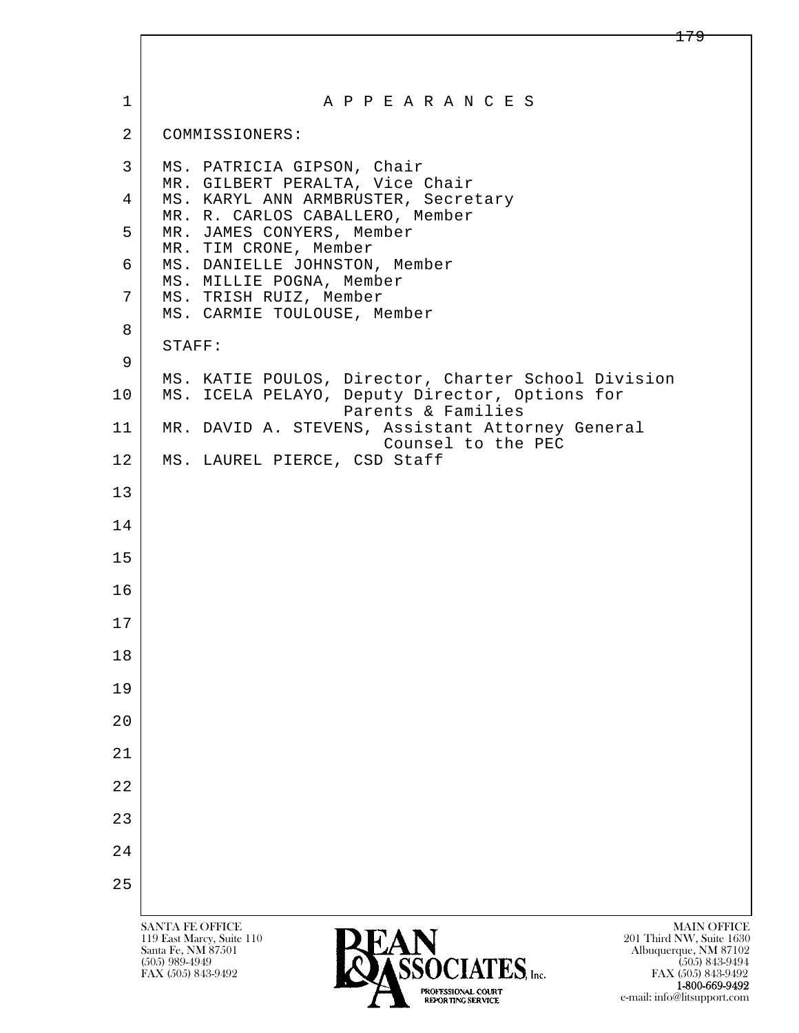| 1              | A P P E A R A N C E S                                                                                                                                                                   |
|----------------|-----------------------------------------------------------------------------------------------------------------------------------------------------------------------------------------|
| $\overline{2}$ | COMMISSIONERS:                                                                                                                                                                          |
| 3              | MS. PATRICIA GIPSON, Chair                                                                                                                                                              |
| 4              | MR. GILBERT PERALTA, Vice Chair<br>MS. KARYL ANN ARMBRUSTER, Secretary<br>MR. R. CARLOS CABALLERO, Member                                                                               |
| 5              | MR. JAMES CONYERS, Member                                                                                                                                                               |
| 6              | MR. TIM CRONE, Member<br>MS. DANIELLE JOHNSTON, Member                                                                                                                                  |
| 7              | MS. MILLIE POGNA, Member<br>MS. TRISH RUIZ, Member<br>MS. CARMIE TOULOUSE, Member                                                                                                       |
| 8              |                                                                                                                                                                                         |
| 9              | STAFF:                                                                                                                                                                                  |
| 10             | MS. KATIE POULOS, Director, Charter School Division<br>MS. ICELA PELAYO, Deputy Director, Options for<br>Parents & Families                                                             |
| 11             | MR. DAVID A. STEVENS, Assistant Attorney General<br>Counsel to the PEC                                                                                                                  |
| 12             | MS. LAUREL PIERCE, CSD Staff                                                                                                                                                            |
| 13             |                                                                                                                                                                                         |
| 14             |                                                                                                                                                                                         |
| 15             |                                                                                                                                                                                         |
| 16             |                                                                                                                                                                                         |
| 17             |                                                                                                                                                                                         |
| 18             |                                                                                                                                                                                         |
| 19             |                                                                                                                                                                                         |
| 20             |                                                                                                                                                                                         |
| 21             |                                                                                                                                                                                         |
| 22             |                                                                                                                                                                                         |
| 23             |                                                                                                                                                                                         |
| 24             |                                                                                                                                                                                         |
| 25             |                                                                                                                                                                                         |
|                | <b>SANTA FE OFFICE</b><br><b>MAIN OFFICE</b>                                                                                                                                            |
|                | 119 East Marcy, Suite 110<br>201 Third NW, Suite 1630<br>Santa Fe, NM 87501<br>Albuquerque, NM 87102<br>лта<br>Мартина (1974)<br>Мартина (1975)<br>$(505)$ 989-4949<br>$(505)$ 843-9494 |

FAX (505) 843-9492 **FAX SSOCIATES**, Inc.

**1-800-669-9492**<br> **EXALTERIONAL CN BT** e-mail: info@litsupport.com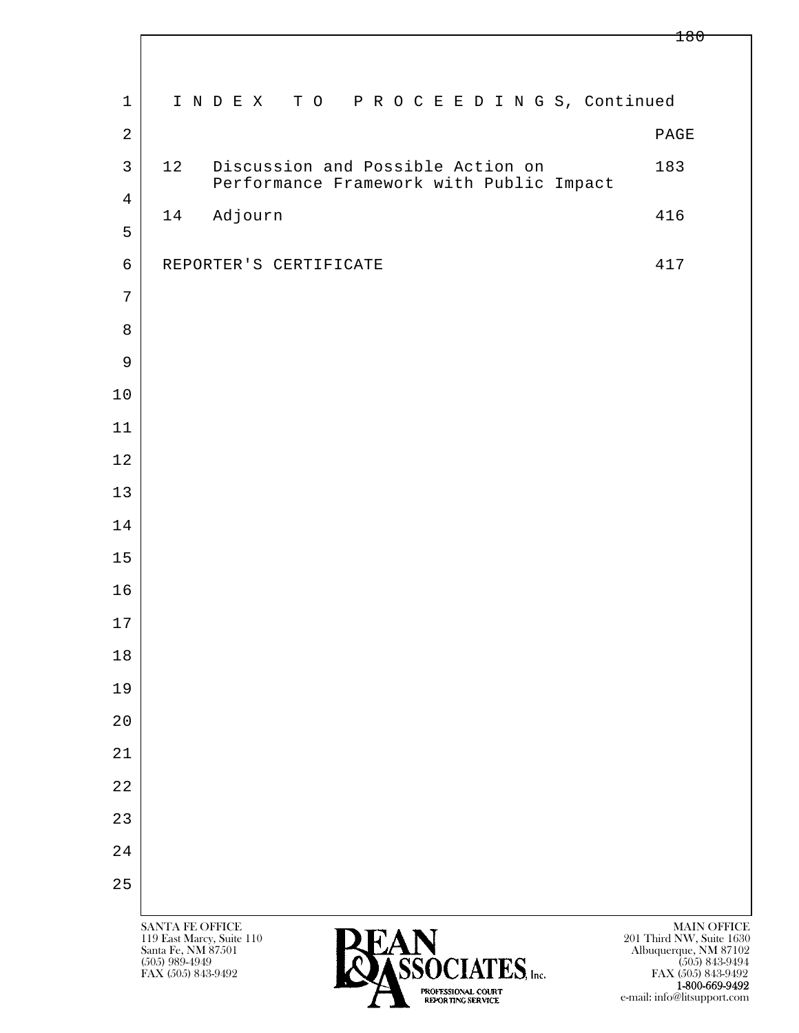180

| $\mathbf 1$                    | INDEX TO PROCEEDINGS, Continued                                                     |                                                                  |
|--------------------------------|-------------------------------------------------------------------------------------|------------------------------------------------------------------|
| $\overline{2}$                 |                                                                                     | PAGE                                                             |
| $\mathsf{3}$<br>$\overline{4}$ | 12<br>Discussion and Possible Action on<br>Performance Framework with Public Impact | 183                                                              |
| 5                              | Adjourn<br>14                                                                       | 416                                                              |
| $\epsilon$                     | REPORTER'S CERTIFICATE                                                              | 417                                                              |
| $\overline{7}$                 |                                                                                     |                                                                  |
| 8                              |                                                                                     |                                                                  |
| 9                              |                                                                                     |                                                                  |
| $10$                           |                                                                                     |                                                                  |
|                                |                                                                                     |                                                                  |
| 11                             |                                                                                     |                                                                  |
| 12                             |                                                                                     |                                                                  |
| 13                             |                                                                                     |                                                                  |
| 14                             |                                                                                     |                                                                  |
| 15                             |                                                                                     |                                                                  |
| 16                             |                                                                                     |                                                                  |
| $17$                           |                                                                                     |                                                                  |
| 18                             |                                                                                     |                                                                  |
| 19                             |                                                                                     |                                                                  |
| 20                             |                                                                                     |                                                                  |
| $2\,1$                         |                                                                                     |                                                                  |
| 22                             |                                                                                     |                                                                  |
| 23                             |                                                                                     |                                                                  |
| 24                             |                                                                                     |                                                                  |
| 25                             |                                                                                     |                                                                  |
|                                | SANTA FE OFFICE<br><b>PEAN</b><br>119 East Marcy, Suite 110<br>Santa Fe, NM 87501   | MAIN OFFICE<br>201 Third NW, Suite 1630<br>Albuquerque, NM 87102 |

 $\overline{\phantom{a}}$ 

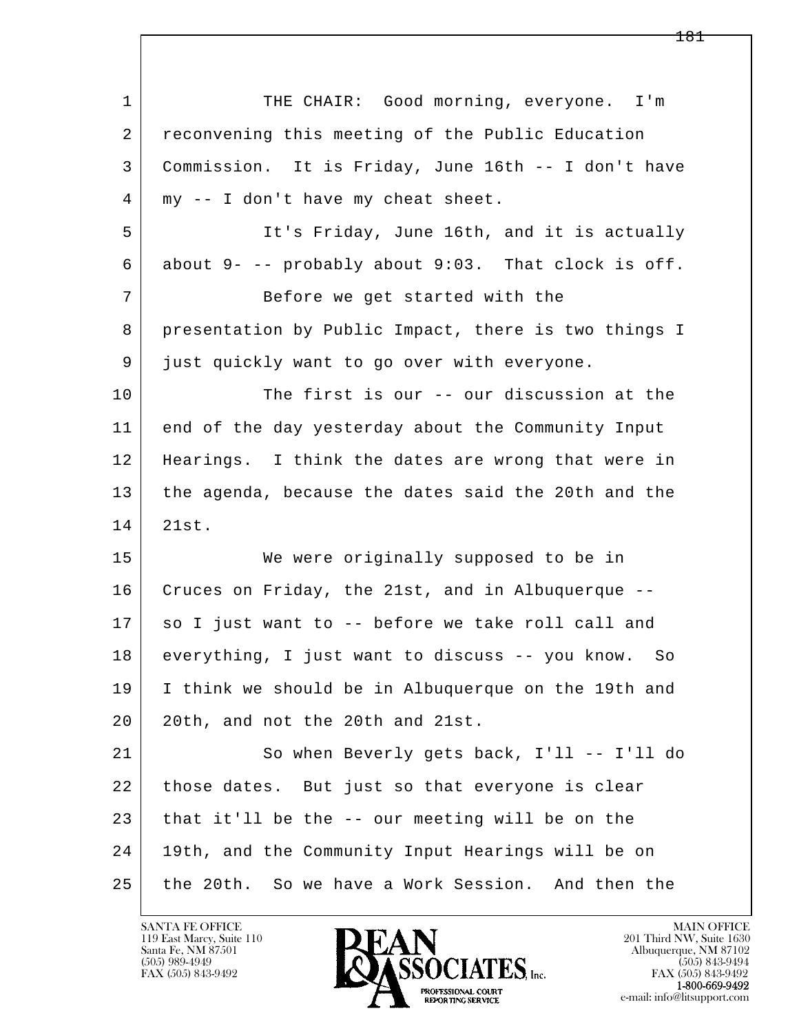| $\mathbf{1}$ | THE CHAIR: Good morning, everyone. I'm                   |
|--------------|----------------------------------------------------------|
| 2            | reconvening this meeting of the Public Education         |
| 3            | Commission. It is Friday, June 16th -- I don't have      |
| 4            | my -- I don't have my cheat sheet.                       |
| 5            | It's Friday, June 16th, and it is actually               |
| 6            | about $9-$ -- probably about $9:03$ . That clock is off. |
| 7            | Before we get started with the                           |
| 8            | presentation by Public Impact, there is two things I     |
| 9            | just quickly want to go over with everyone.              |
| 10           | The first is our -- our discussion at the                |
| 11           | end of the day yesterday about the Community Input       |
| 12           | Hearings. I think the dates are wrong that were in       |
| 13           | the agenda, because the dates said the 20th and the      |
| 14           | 21st.                                                    |
| 15           | We were originally supposed to be in                     |
| 16           | Cruces on Friday, the 21st, and in Albuquerque --        |
| 17           | so I just want to -- before we take roll call and        |
| 18           | everything, I just want to discuss -- you know.<br>So    |
| 19           | I think we should be in Albuquerque on the 19th and      |
| 20           | 20th, and not the 20th and 21st.                         |
| 21           | So when Beverly gets back, I'll -- I'll do               |
| 22           | those dates. But just so that everyone is clear          |
| 23           | that it'll be the -- our meeting will be on the          |
| 24           | 19th, and the Community Input Hearings will be on        |
| 25           | the 20th. So we have a Work Session. And then the        |

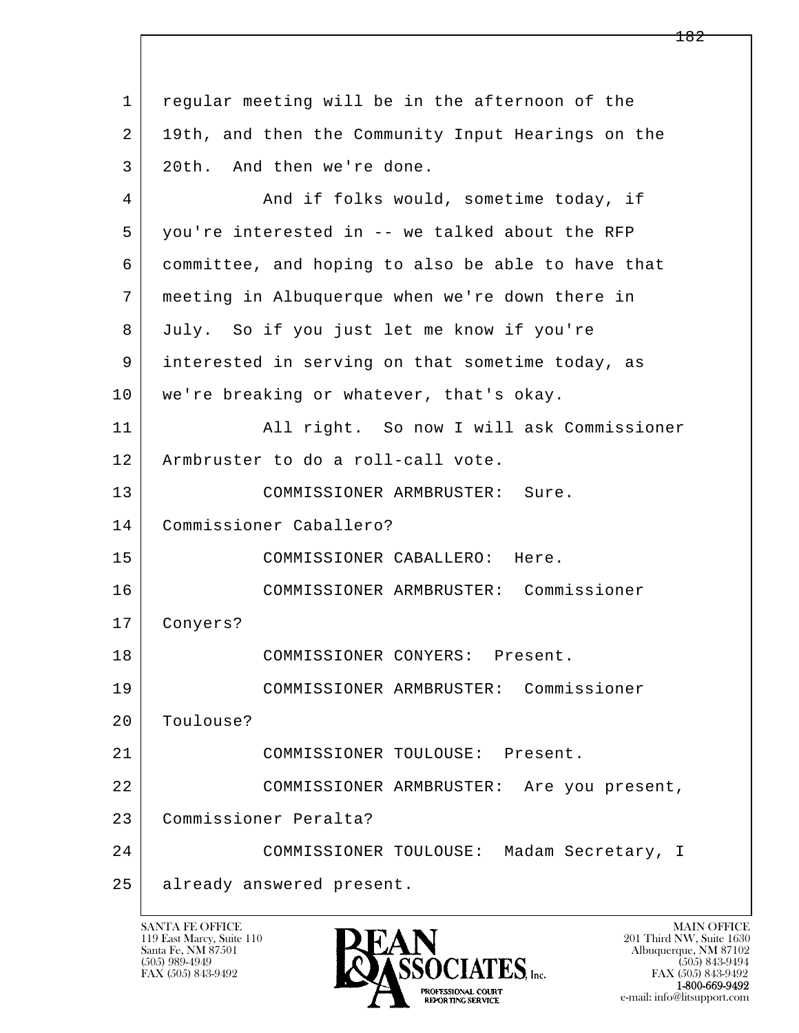l  $\overline{\phantom{a}}$  1 regular meeting will be in the afternoon of the 2 | 19th, and then the Community Input Hearings on the 3 20th. And then we're done. 4 And if folks would, sometime today, if 5 you're interested in -- we talked about the RFP 6 committee, and hoping to also be able to have that 7 meeting in Albuquerque when we're down there in 8 July. So if you just let me know if you're 9 interested in serving on that sometime today, as 10 | we're breaking or whatever, that's okay. 11 All right. So now I will ask Commissioner 12 Armbruster to do a roll-call vote. 13 COMMISSIONER ARMBRUSTER: Sure. 14 Commissioner Caballero? 15 COMMISSIONER CABALLERO: Here. 16 COMMISSIONER ARMBRUSTER: Commissioner 17 Conyers? 18 COMMISSIONER CONYERS: Present. 19 COMMISSIONER ARMBRUSTER: Commissioner 20 Toulouse? 21 COMMISSIONER TOULOUSE: Present. 22 COMMISSIONER ARMBRUSTER: Are you present, 23 Commissioner Peralta? 24 COMMISSIONER TOULOUSE: Madam Secretary, I 25 already answered present.

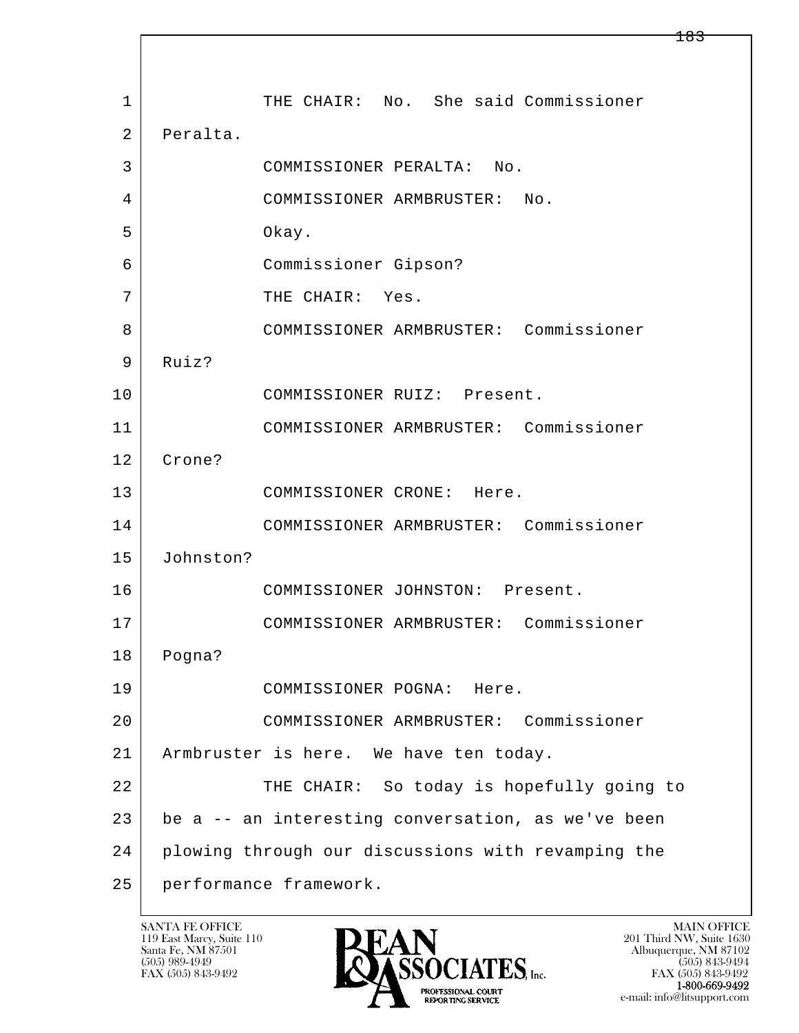l  $\overline{\phantom{a}}$ 1 THE CHAIR: No. She said Commissioner 2 Peralta. 3 COMMISSIONER PERALTA: No. 4 COMMISSIONER ARMBRUSTER: No. 5 Okay. 6 Commissioner Gipson? 7 THE CHAIR: Yes. 8 COMMISSIONER ARMBRUSTER: Commissioner 9 Ruiz? 10 COMMISSIONER RUIZ: Present. 11 COMMISSIONER ARMBRUSTER: Commissioner 12 Crone? 13 COMMISSIONER CRONE: Here. 14 COMMISSIONER ARMBRUSTER: Commissioner 15 Johnston? 16 COMMISSIONER JOHNSTON: Present. 17 COMMISSIONER ARMBRUSTER: Commissioner 18 Pogna? 19 COMMISSIONER POGNA: Here. 20 COMMISSIONER ARMBRUSTER: Commissioner 21 Armbruster is here. We have ten today. 22 THE CHAIR: So today is hopefully going to 23 be a -- an interesting conversation, as we've been 24 plowing through our discussions with revamping the 25 performance framework.

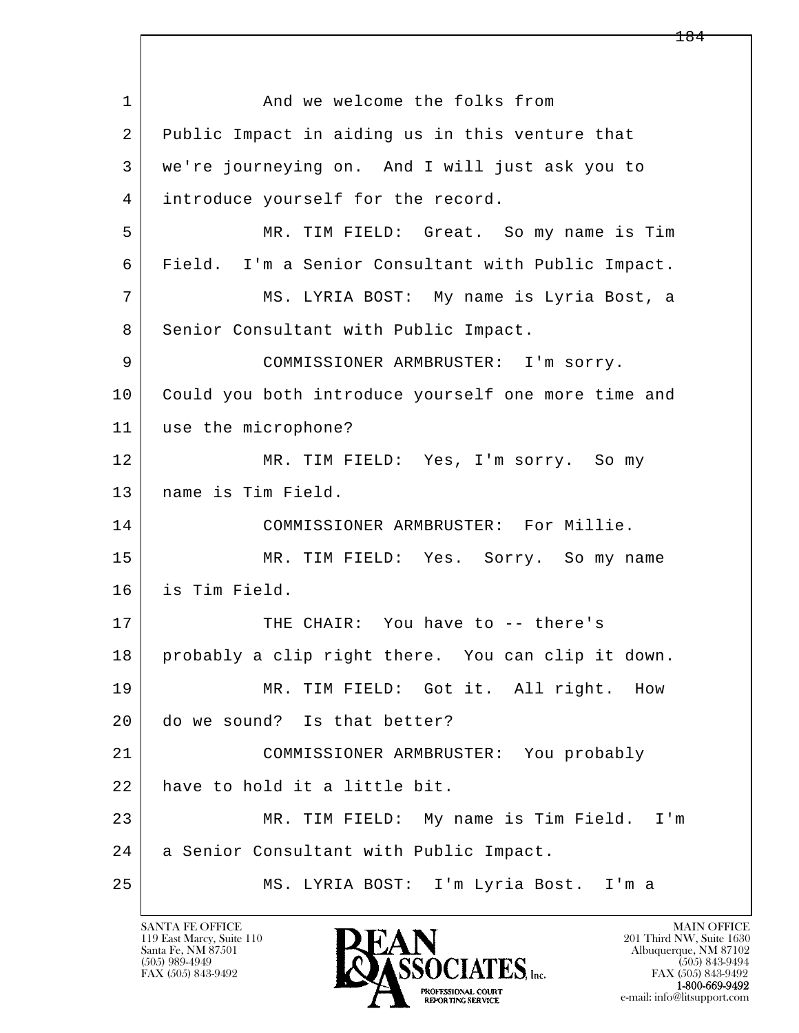l  $\overline{\phantom{a}}$ 1 and we welcome the folks from 2 Public Impact in aiding us in this venture that 3 we're journeying on. And I will just ask you to 4 introduce yourself for the record. 5 MR. TIM FIELD: Great. So my name is Tim 6 Field. I'm a Senior Consultant with Public Impact. 7 MS. LYRIA BOST: My name is Lyria Bost, a 8 | Senior Consultant with Public Impact. 9 COMMISSIONER ARMBRUSTER: I'm sorry. 10 Could you both introduce yourself one more time and 11 use the microphone? 12 MR. TIM FIELD: Yes, I'm sorry. So my 13 name is Tim Field. 14 COMMISSIONER ARMBRUSTER: For Millie. 15 MR. TIM FIELD: Yes. Sorry. So my name 16 is Tim Field. 17 THE CHAIR: You have to -- there's 18 probably a clip right there. You can clip it down. 19 MR. TIM FIELD: Got it. All right. How 20 do we sound? Is that better? 21 COMMISSIONER ARMBRUSTER: You probably 22 have to hold it a little bit. 23 MR. TIM FIELD: My name is Tim Field. I'm 24 | a Senior Consultant with Public Impact. 25 MS. LYRIA BOST: I'm Lyria Bost. I'm a

119 East Marcy, Suite 110<br>Santa Fe, NM 87501

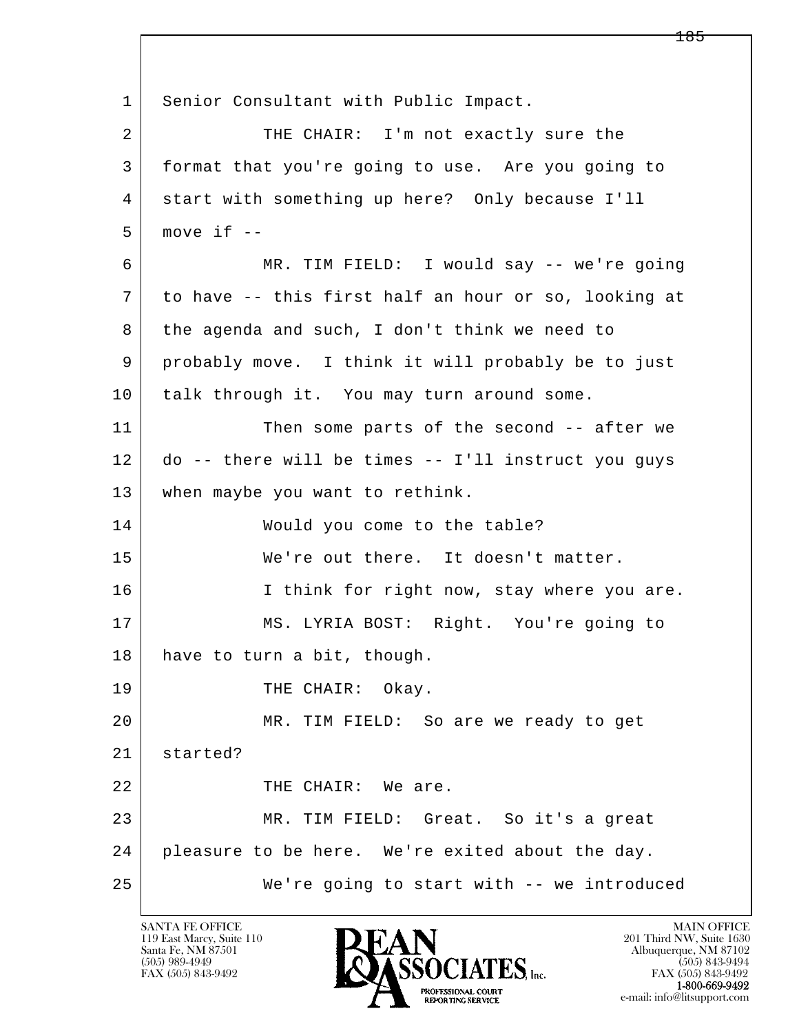l  $\overline{\phantom{a}}$ 1 Senior Consultant with Public Impact. 2 THE CHAIR: I'm not exactly sure the 3 format that you're going to use. Are you going to 4 start with something up here? Only because I'll  $5$  move if  $-$  6 MR. TIM FIELD: I would say -- we're going 7 to have -- this first half an hour or so, looking at 8 the agenda and such, I don't think we need to 9 probably move. I think it will probably be to just 10 talk through it. You may turn around some. 11 Then some parts of the second -- after we 12 do -- there will be times -- I'll instruct you guys 13 | when maybe you want to rethink. 14 Would you come to the table? 15 We're out there. It doesn't matter. 16 I think for right now, stay where you are. 17 MS. LYRIA BOST: Right. You're going to 18 have to turn a bit, though. 19 THE CHAIR: Okay. 20 MR. TIM FIELD: So are we ready to get 21 started? 22 THE CHAIR: We are. 23 MR. TIM FIELD: Great. So it's a great 24 pleasure to be here. We're exited about the day. 25 We're going to start with -- we introduced

119 East Marcy, Suite 110<br>Santa Fe, NM 87501



FAX (505) 843-9492 FAX (505) 843-9492 e-mail: info@litsupport.com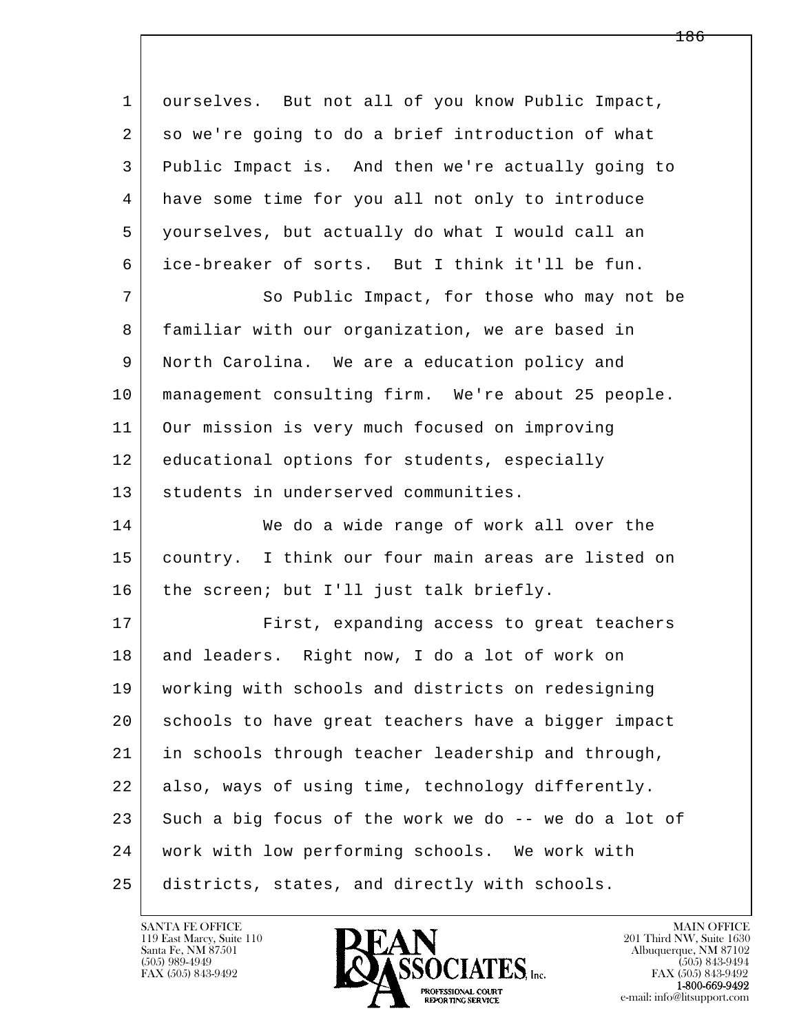l  $\overline{\phantom{a}}$  1 ourselves. But not all of you know Public Impact, 2 so we're going to do a brief introduction of what 3 Public Impact is. And then we're actually going to 4 have some time for you all not only to introduce 5 yourselves, but actually do what I would call an 6 ice-breaker of sorts. But I think it'll be fun. 7 So Public Impact, for those who may not be 8 | familiar with our organization, we are based in 9 North Carolina. We are a education policy and 10 management consulting firm. We're about 25 people. 11 Our mission is very much focused on improving 12 educational options for students, especially 13 students in underserved communities. 14 We do a wide range of work all over the 15 country. I think our four main areas are listed on 16 | the screen; but I'll just talk briefly. 17 First, expanding access to great teachers 18 and leaders. Right now, I do a lot of work on 19 working with schools and districts on redesigning 20 schools to have great teachers have a bigger impact 21 in schools through teacher leadership and through, 22 also, ways of using time, technology differently.  $23$  Such a big focus of the work we do  $-$  we do a lot of 24 work with low performing schools. We work with 25 districts, states, and directly with schools.

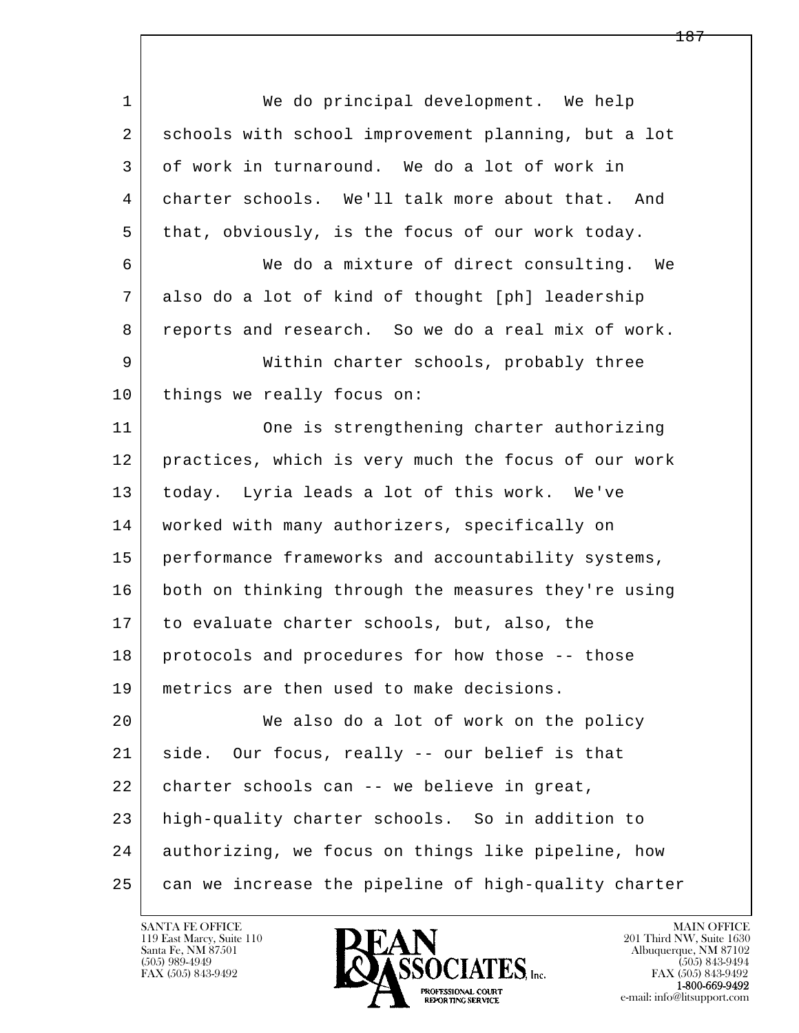l  $\overline{\phantom{a}}$  1 We do principal development. We help 2 schools with school improvement planning, but a lot 3 of work in turnaround. We do a lot of work in 4 charter schools. We'll talk more about that. And 5 that, obviously, is the focus of our work today. 6 We do a mixture of direct consulting. We 7 also do a lot of kind of thought [ph] leadership 8 reports and research. So we do a real mix of work. 9 Within charter schools, probably three 10 | things we really focus on: 11 One is strengthening charter authorizing 12 practices, which is very much the focus of our work 13 today. Lyria leads a lot of this work. We've 14 | worked with many authorizers, specifically on 15 performance frameworks and accountability systems, 16 both on thinking through the measures they're using 17 to evaluate charter schools, but, also, the 18 protocols and procedures for how those -- those 19 metrics are then used to make decisions. 20 We also do a lot of work on the policy 21 side. Our focus, really -- our belief is that 22 charter schools can -- we believe in great, 23 high-quality charter schools. So in addition to 24 authorizing, we focus on things like pipeline, how 25 can we increase the pipeline of high-quality charter

119 East Marcy, Suite 110<br>Santa Fe, NM 87501

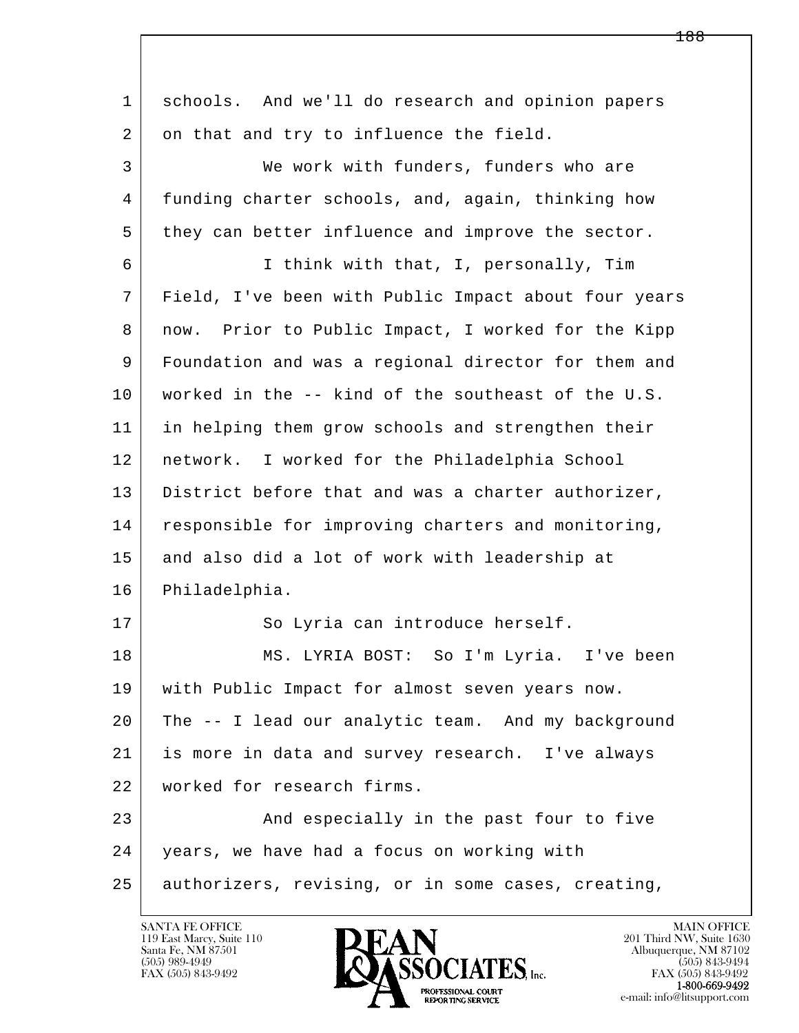| $\mathbf{1}$ | schools. And we'll do research and opinion papers    |
|--------------|------------------------------------------------------|
| 2            | on that and try to influence the field.              |
| 3            | We work with funders, funders who are                |
| 4            | funding charter schools, and, again, thinking how    |
| 5            | they can better influence and improve the sector.    |
| 6            | I think with that, I, personally, Tim                |
| 7            | Field, I've been with Public Impact about four years |
| 8            | now. Prior to Public Impact, I worked for the Kipp   |
| 9            | Foundation and was a regional director for them and  |
| 10           | worked in the -- kind of the southeast of the U.S.   |
| 11           | in helping them grow schools and strengthen their    |
| 12           | network. I worked for the Philadelphia School        |
| 13           | District before that and was a charter authorizer,   |
| 14           | responsible for improving charters and monitoring,   |
| 15           | and also did a lot of work with leadership at        |
| 16           | Philadelphia.                                        |
| 17           | So Lyria can introduce herself.                      |
| 18           | MS. LYRIA BOST: So I'm Lyria. I've been              |
| 19           | with Public Impact for almost seven years now.       |
| 20           | The -- I lead our analytic team. And my background   |
| 21           | is more in data and survey research. I've always     |
| 22           | worked for research firms.                           |
| 23           | And especially in the past four to five              |
| 24           | years, we have had a focus on working with           |
| 25           | authorizers, revising, or in some cases, creating,   |

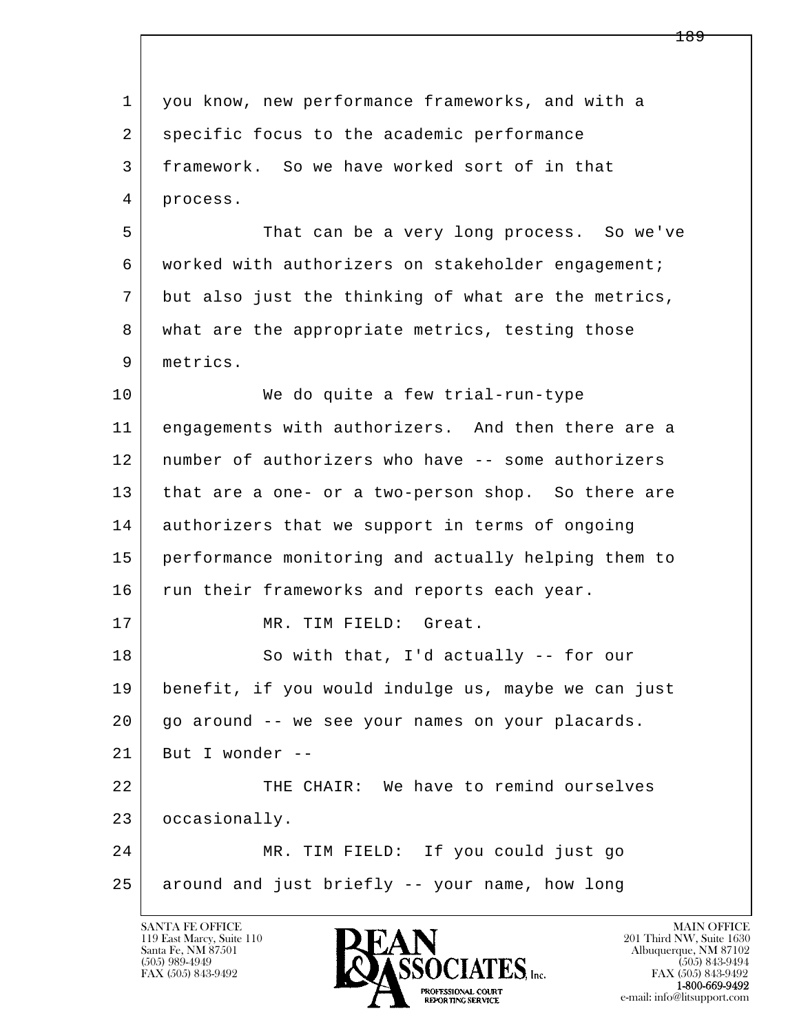l  $\overline{\phantom{a}}$  1 you know, new performance frameworks, and with a 2 specific focus to the academic performance 3 framework. So we have worked sort of in that 4 process. 5 That can be a very long process. So we've 6 worked with authorizers on stakeholder engagement; 7 but also just the thinking of what are the metrics, 8 what are the appropriate metrics, testing those 9 metrics. 10 We do quite a few trial-run-type 11 engagements with authorizers. And then there are a 12 number of authorizers who have -- some authorizers 13 | that are a one- or a two-person shop. So there are 14 authorizers that we support in terms of ongoing 15 performance monitoring and actually helping them to 16 run their frameworks and reports each year. 17 MR. TIM FIELD: Great. 18 So with that, I'd actually -- for our 19 benefit, if you would indulge us, maybe we can just 20 go around -- we see your names on your placards.  $21$  But I wonder --22 THE CHAIR: We have to remind ourselves 23 occasionally. 24 MR. TIM FIELD: If you could just go 25 around and just briefly -- your name, how long

119 East Marcy, Suite 110<br>Santa Fe, NM 87501



FAX (505) 843-9492<br>1-800-669-9492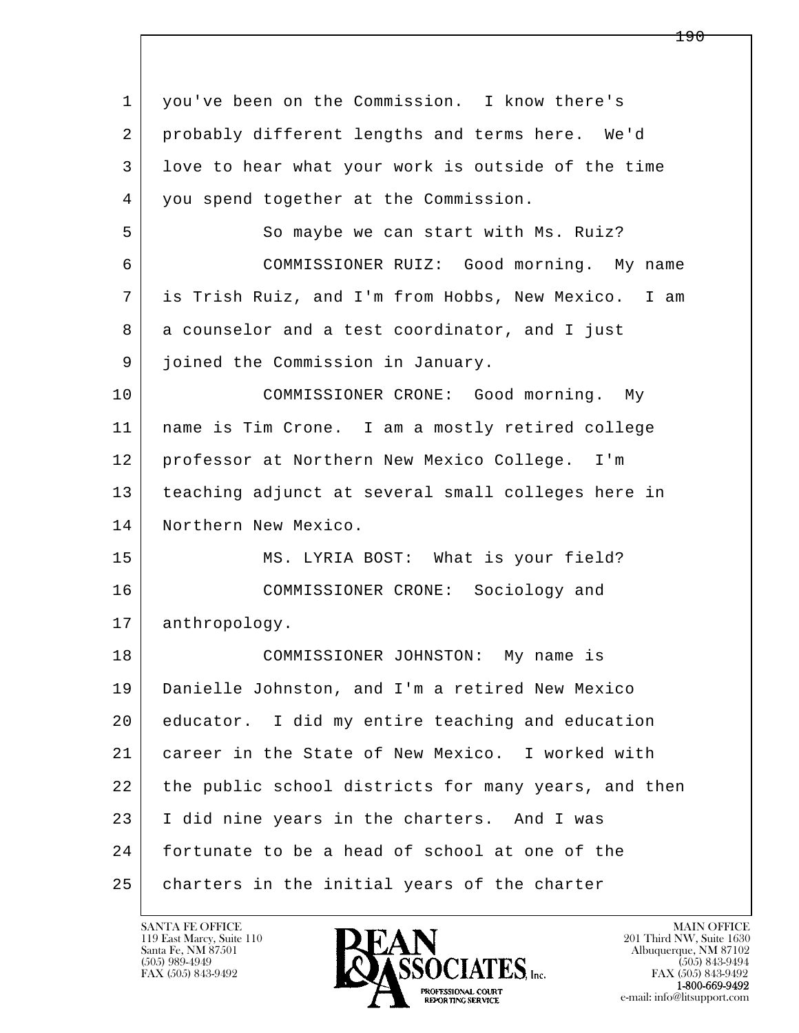l  $\overline{\phantom{a}}$ 1 you've been on the Commission. I know there's 2 probably different lengths and terms here. We'd 3 love to hear what your work is outside of the time 4 you spend together at the Commission. 5 So maybe we can start with Ms. Ruiz? 6 COMMISSIONER RUIZ: Good morning. My name 7 is Trish Ruiz, and I'm from Hobbs, New Mexico. I am 8 a counselor and a test coordinator, and I just 9 joined the Commission in January. 10 COMMISSIONER CRONE: Good morning. My 11 name is Tim Crone. I am a mostly retired college 12 professor at Northern New Mexico College. I'm 13 teaching adjunct at several small colleges here in 14 Northern New Mexico. 15 | MS. LYRIA BOST: What is your field? 16 COMMISSIONER CRONE: Sociology and 17 | anthropology. 18 COMMISSIONER JOHNSTON: My name is 19 Danielle Johnston, and I'm a retired New Mexico 20 educator. I did my entire teaching and education 21 career in the State of New Mexico. I worked with 22 the public school districts for many years, and then 23 I did nine years in the charters. And I was 24 fortunate to be a head of school at one of the 25 charters in the initial years of the charter

119 East Marcy, Suite 110<br>Santa Fe, NM 87501



FAX (505) 843-9492<br>1-800-669-9492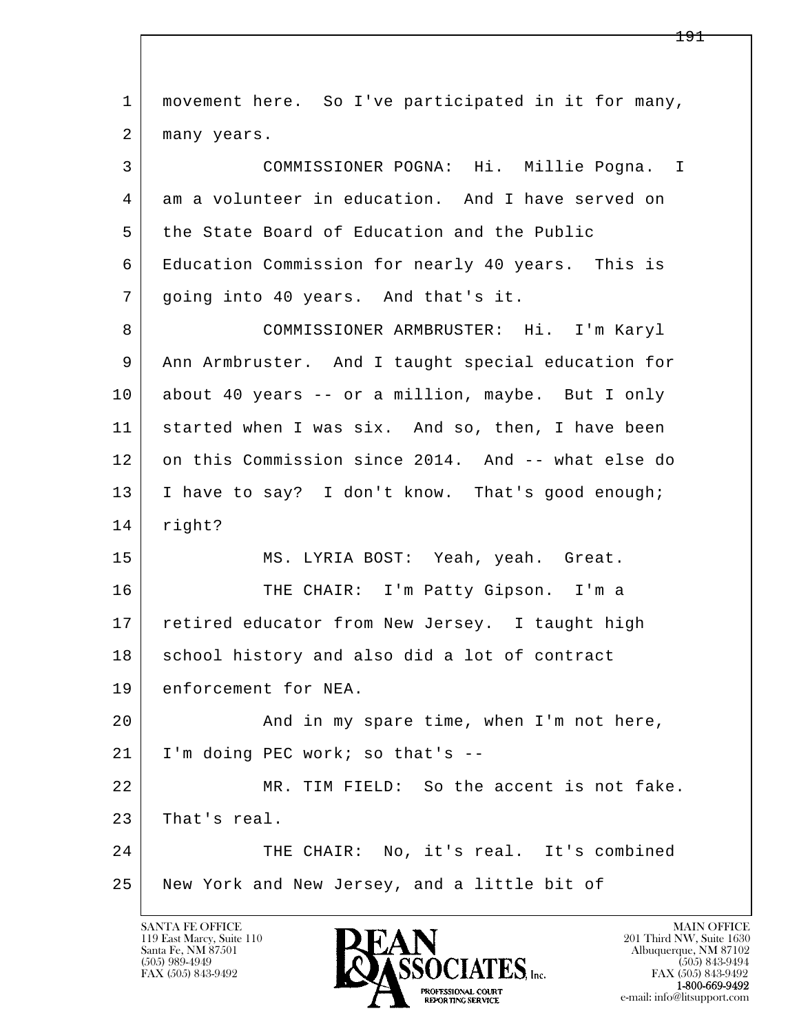| $\mathbf{1}$ | movement here. So I've participated in it for many, |
|--------------|-----------------------------------------------------|
| 2            | many years.                                         |
| 3            | COMMISSIONER POGNA: Hi. Millie Pogna. I             |
| 4            | am a volunteer in education. And I have served on   |
| 5            | the State Board of Education and the Public         |
| 6            | Education Commission for nearly 40 years. This is   |
| 7            | going into 40 years. And that's it.                 |
| 8            | COMMISSIONER ARMBRUSTER: Hi. I'm Karyl              |
| 9            | Ann Armbruster. And I taught special education for  |
| 10           | about 40 years -- or a million, maybe. But I only   |
| 11           | started when I was six. And so, then, I have been   |
| 12           | on this Commission since 2014. And -- what else do  |
| 13           | I have to say? I don't know. That's good enough;    |
| 14           | right?                                              |
| 15           | MS. LYRIA BOST: Yeah, yeah. Great.                  |
| 16           | THE CHAIR: I'm Patty Gipson. I'm a                  |
| 17           | retired educator from New Jersey. I taught high     |
| 18           | school history and also did a lot of contract       |
| 19           | enforcement for NEA.                                |
| 20           | And in my spare time, when I'm not here,            |
| 21           | I'm doing PEC work; so that's --                    |
| 22           | MR. TIM FIELD: So the accent is not fake.           |
| 23           | That's real.                                        |
| 24           | THE CHAIR: No, it's real. It's combined             |
| 25           | New York and New Jersey, and a little bit of        |
|              |                                                     |

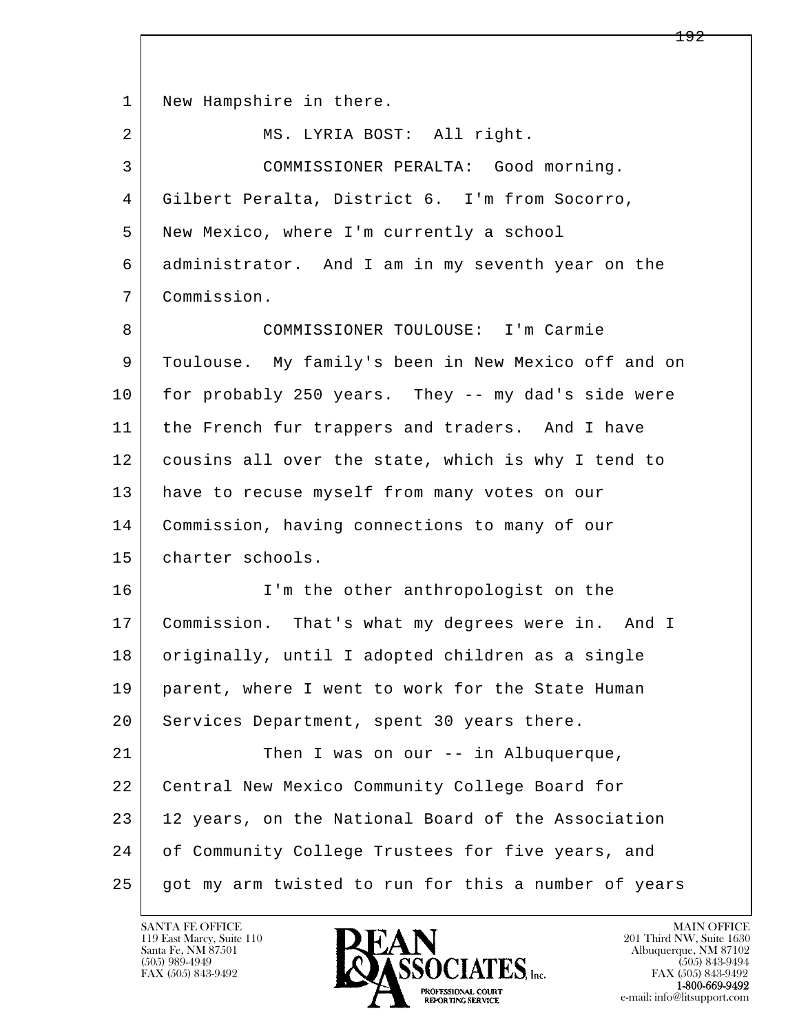l  $\overline{\phantom{a}}$ 1 | New Hampshire in there. 2 | MS. LYRIA BOST: All right. 3 COMMISSIONER PERALTA: Good morning. 4 Gilbert Peralta, District 6. I'm from Socorro, 5 New Mexico, where I'm currently a school 6 administrator. And I am in my seventh year on the 7 Commission. 8 COMMISSIONER TOULOUSE: I'm Carmie 9 Toulouse. My family's been in New Mexico off and on 10 for probably 250 years. They -- my dad's side were 11 the French fur trappers and traders. And I have 12 cousins all over the state, which is why I tend to 13 have to recuse myself from many votes on our 14 Commission, having connections to many of our 15 charter schools. 16 I'm the other anthropologist on the 17 Commission. That's what my degrees were in. And I 18 originally, until I adopted children as a single 19 parent, where I went to work for the State Human 20 Services Department, spent 30 years there. 21 Then I was on our -- in Albuquerque, 22 Central New Mexico Community College Board for 23 | 12 years, on the National Board of the Association 24 of Community College Trustees for five years, and 25 got my arm twisted to run for this a number of years

119 East Marcy, Suite 110<br>Santa Fe, NM 87501



FAX (505) 843-9492<br>**1-800-669-9492**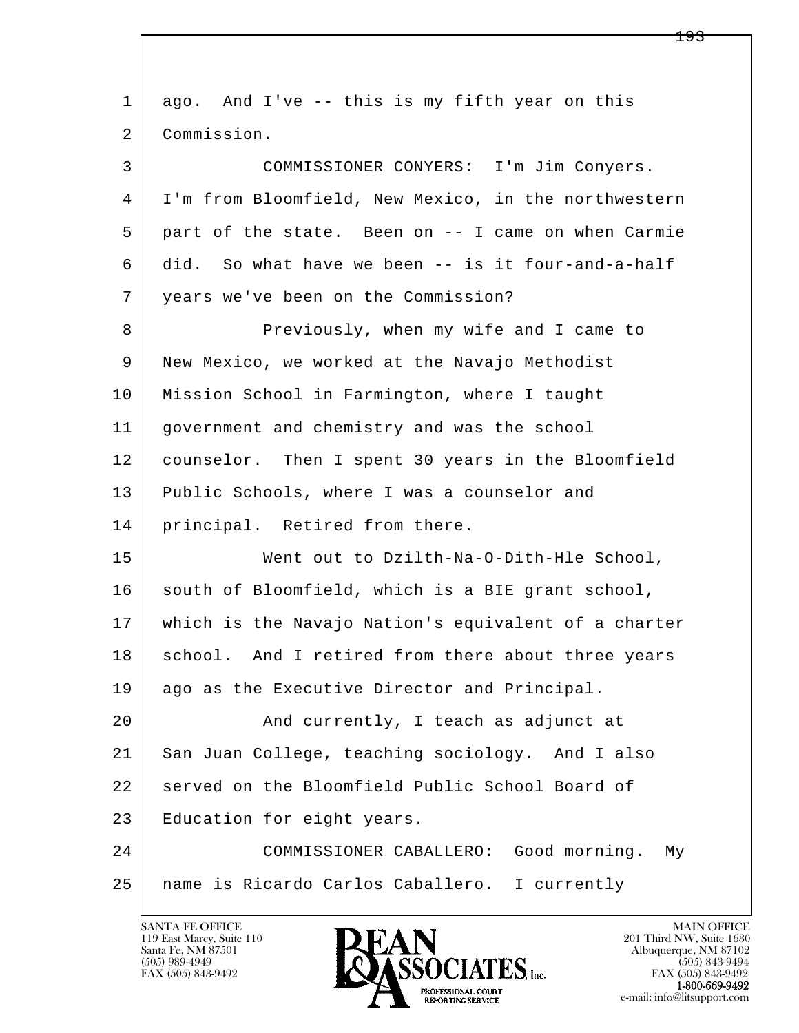| $\mathbf{1}$ | ago. And I've -- this is my fifth year on this       |
|--------------|------------------------------------------------------|
| 2            | Commission.                                          |
| 3            | COMMISSIONER CONYERS: I'm Jim Conyers.               |
| 4            | I'm from Bloomfield, New Mexico, in the northwestern |
| 5            | part of the state. Been on -- I came on when Carmie  |
| 6            | did. So what have we been -- is it four-and-a-half   |
| 7            | years we've been on the Commission?                  |
| 8            | Previously, when my wife and I came to               |
| 9            | New Mexico, we worked at the Navajo Methodist        |
| 10           | Mission School in Farmington, where I taught         |
| 11           | government and chemistry and was the school          |
| 12           | counselor. Then I spent 30 years in the Bloomfield   |
| 13           | Public Schools, where I was a counselor and          |
| 14           | principal. Retired from there.                       |
| 15           | Went out to Dzilth-Na-O-Dith-Hle School,             |
| 16           | south of Bloomfield, which is a BIE grant school,    |
| 17           | which is the Navajo Nation's equivalent of a charter |
| 18           | school. And I retired from there about three years   |
| 19           | ago as the Executive Director and Principal.         |
| 20           | And currently, I teach as adjunct at                 |
| 21           | San Juan College, teaching sociology. And I also     |
| 22           | served on the Bloomfield Public School Board of      |
| 23           | Education for eight years.                           |
| 24           | COMMISSIONER CABALLERO: Good morning.<br>Мy          |
| 25           | name is Ricardo Carlos Caballero. I currently        |
|              |                                                      |

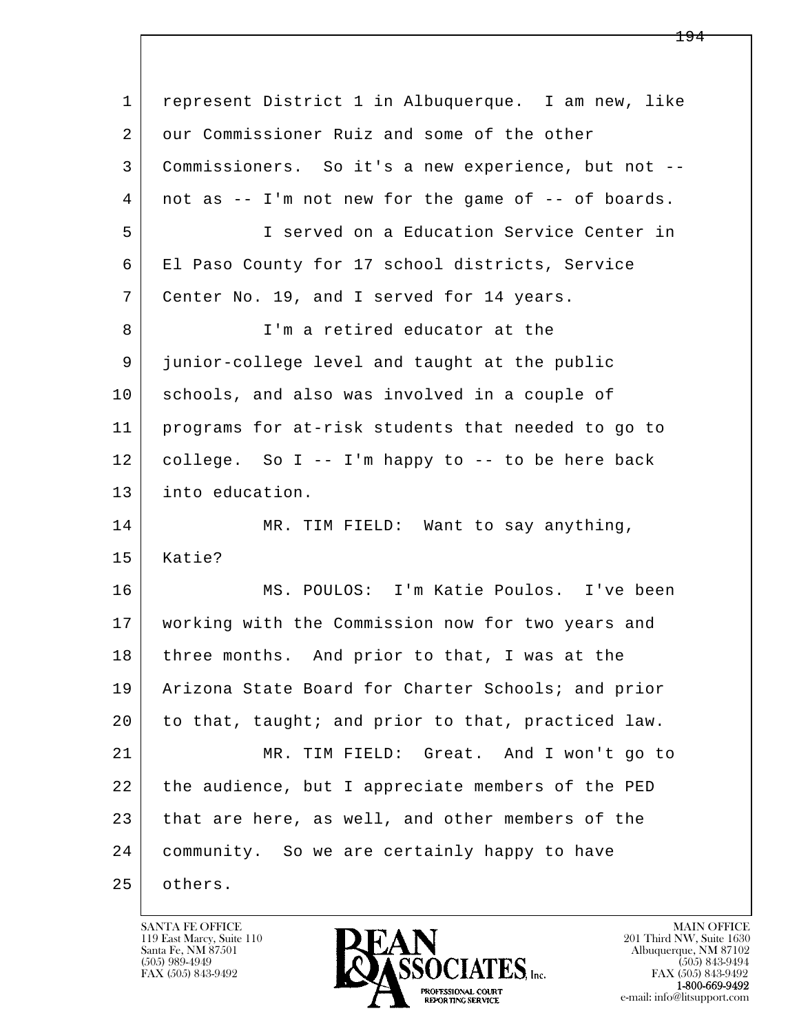l  $\overline{\phantom{a}}$  1 represent District 1 in Albuquerque. I am new, like 2 our Commissioner Ruiz and some of the other 3 Commissioners. So it's a new experience, but not -- 4 not as -- I'm not new for the game of -- of boards. 5 I served on a Education Service Center in 6 El Paso County for 17 school districts, Service 7 Center No. 19, and I served for 14 years. 8 I'm a retired educator at the 9 junior-college level and taught at the public 10 schools, and also was involved in a couple of 11 programs for at-risk students that needed to go to  $12$  college. So I -- I'm happy to -- to be here back 13 into education. 14 MR. TIM FIELD: Want to say anything, 15 Katie? 16 MS. POULOS: I'm Katie Poulos. I've been 17 working with the Commission now for two years and 18 | three months. And prior to that, I was at the 19 Arizona State Board for Charter Schools; and prior 20 to that, taught; and prior to that, practiced law. 21 MR. TIM FIELD: Great. And I won't go to 22 the audience, but I appreciate members of the PED 23 that are here, as well, and other members of the 24 community. So we are certainly happy to have 25 others.

119 East Marcy, Suite 110<br>Santa Fe, NM 87501



FAX (505) 843-9492<br>**1-800-669-9492**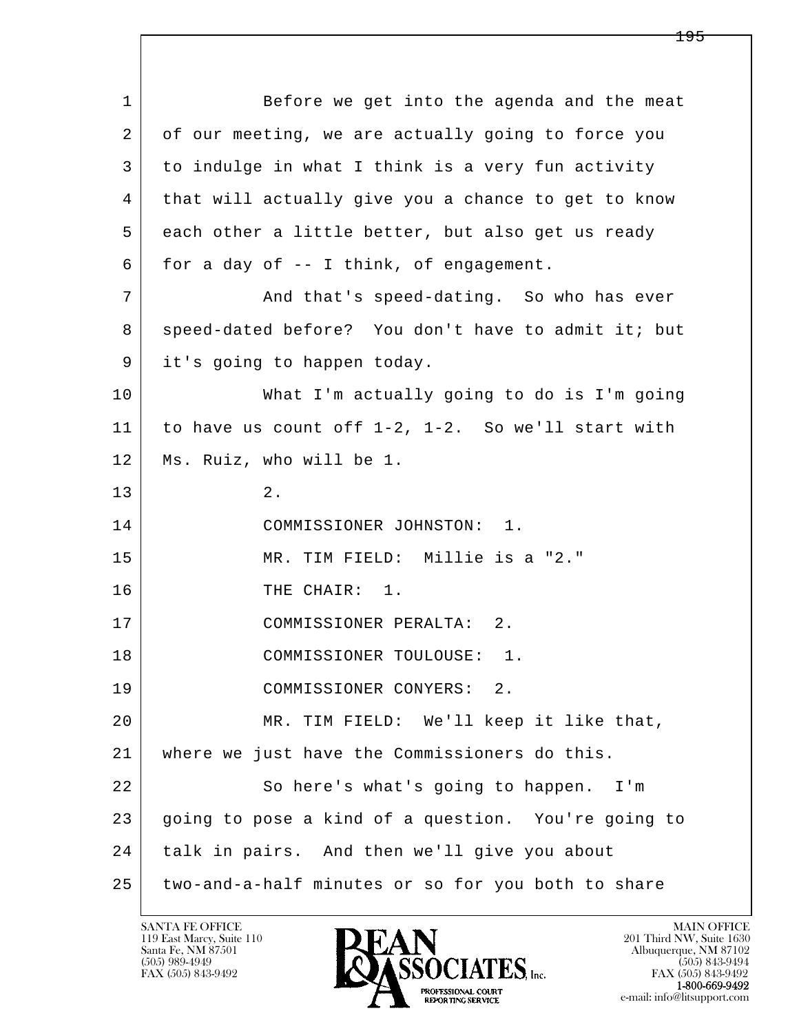l  $\overline{\phantom{a}}$ 1 Before we get into the agenda and the meat 2 of our meeting, we are actually going to force you 3 to indulge in what I think is a very fun activity 4 that will actually give you a chance to get to know 5 each other a little better, but also get us ready  $6$  for a day of  $-$  I think, of engagement. 7 and that's speed-dating. So who has ever 8 speed-dated before? You don't have to admit it; but 9 | it's going to happen today. 10 What I'm actually going to do is I'm going 11 to have us count off 1-2, 1-2. So we'll start with 12 Ms. Ruiz, who will be 1.  $\begin{array}{|c|c|c|}\n\hline\n13 & 2. \\
\hline\n\end{array}$  14 COMMISSIONER JOHNSTON: 1. 15 MR. TIM FIELD: Millie is a "2." 16 THE CHAIR: 1. 17 COMMISSIONER PERALTA: 2. 18 COMMISSIONER TOULOUSE: 1. 19 COMMISSIONER CONYERS: 2. 20 MR. TIM FIELD: We'll keep it like that, 21 where we just have the Commissioners do this. 22 So here's what's going to happen. I'm 23 going to pose a kind of a question. You're going to 24 talk in pairs. And then we'll give you about 25 two-and-a-half minutes or so for you both to share

119 East Marcy, Suite 110<br>Santa Fe, NM 87501

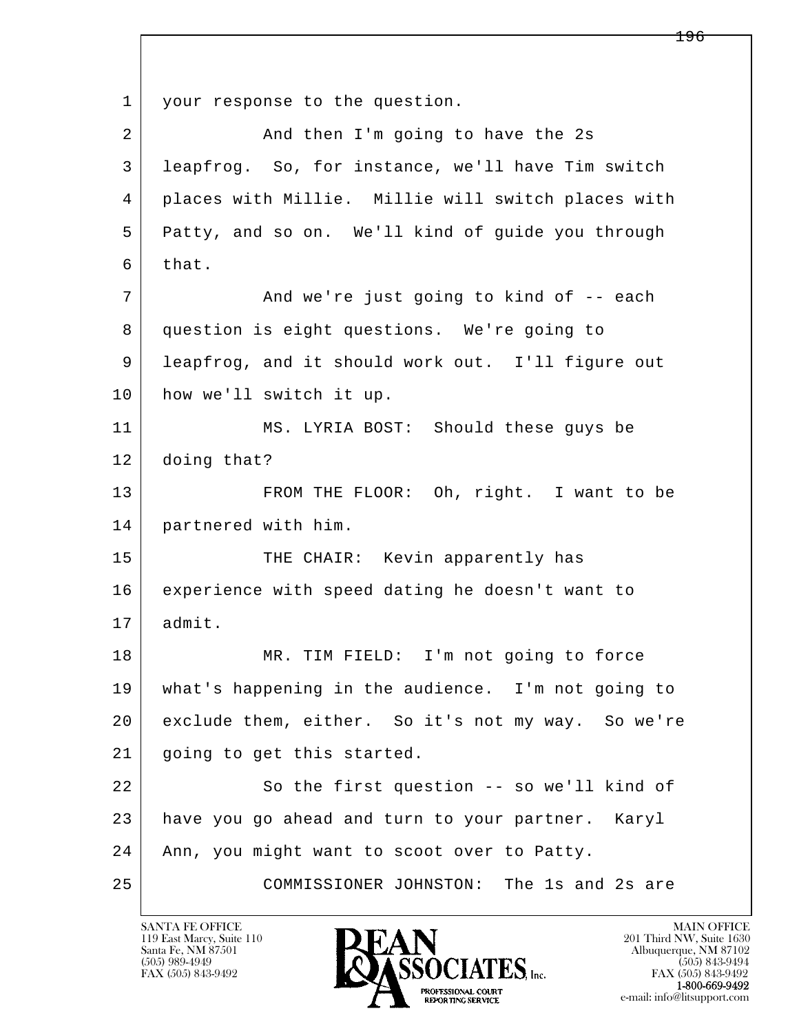l  $\overline{\phantom{a}}$ 1 | your response to the question. 2 And then I'm going to have the 2s 3 leapfrog. So, for instance, we'll have Tim switch 4 places with Millie. Millie will switch places with 5 Patty, and so on. We'll kind of guide you through 6 that. 7 | And we're just going to kind of -- each 8 question is eight questions. We're going to 9 leapfrog, and it should work out. I'll figure out 10 how we'll switch it up. 11 MS. LYRIA BOST: Should these guys be 12 doing that? 13 FROM THE FLOOR: Oh, right. I want to be 14 partnered with him. 15 | THE CHAIR: Kevin apparently has 16 experience with speed dating he doesn't want to 17 admit. 18 | MR. TIM FIELD: I'm not going to force 19 what's happening in the audience. I'm not going to 20 exclude them, either. So it's not my way. So we're 21 going to get this started. 22 So the first question -- so we'll kind of 23 have you go ahead and turn to your partner. Karyl 24 | Ann, you might want to scoot over to Patty. 25 COMMISSIONER JOHNSTON: The 1s and 2s are

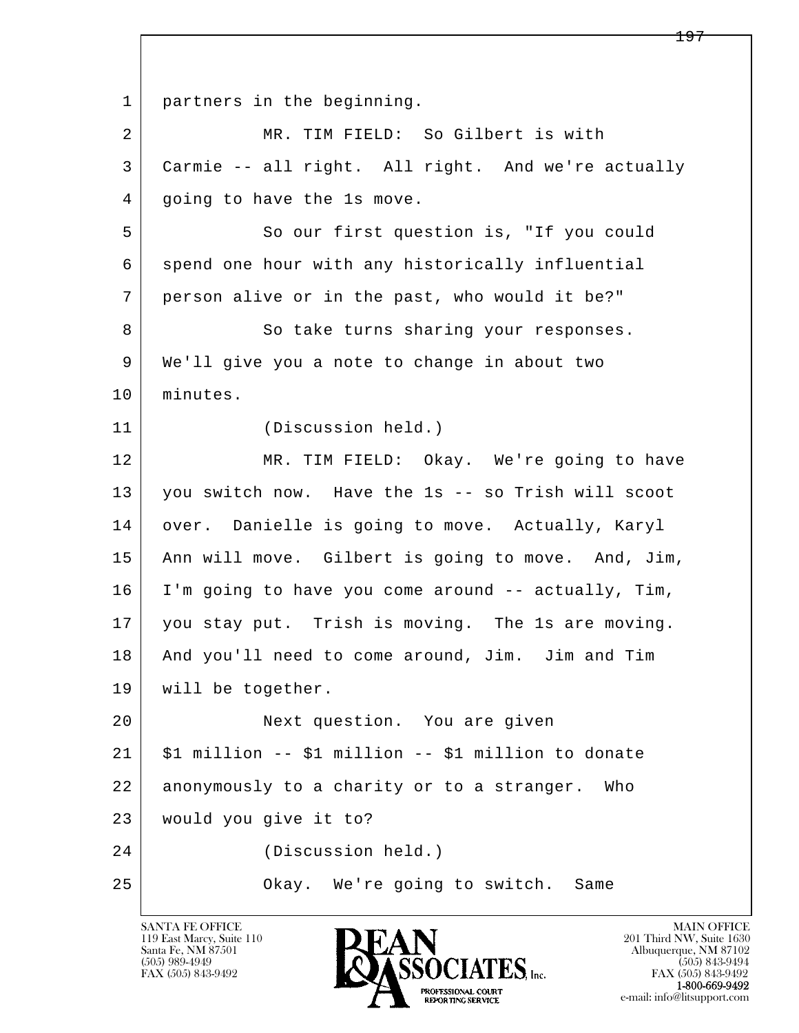l  $\overline{\phantom{a}}$  1 partners in the beginning. 2 MR. TIM FIELD: So Gilbert is with 3 Carmie -- all right. All right. And we're actually 4 going to have the 1s move. 5 So our first question is, "If you could 6 spend one hour with any historically influential 7 person alive or in the past, who would it be?" 8 So take turns sharing your responses. 9 We'll give you a note to change in about two 10 minutes. 11 (Discussion held.) 12 MR. TIM FIELD: Okay. We're going to have 13 you switch now. Have the 1s -- so Trish will scoot 14 | over. Danielle is going to move. Actually, Karyl 15 Ann will move. Gilbert is going to move. And, Jim, 16 I'm going to have you come around -- actually, Tim, 17 you stay put. Trish is moving. The 1s are moving. 18 And you'll need to come around, Jim. Jim and Tim 19 | will be together. 20 Next question. You are given  $21$   $\mid$  \$1 million -- \$1 million -- \$1 million to donate 22 anonymously to a charity or to a stranger. Who 23 would you give it to? 24 (Discussion held.) 25 | Chay. We're going to switch. Same

119 East Marcy, Suite 110<br>Santa Fe, NM 87501



FAX (505) 843-9492 FAX (505) 843-9492 e-mail: info@litsupport.com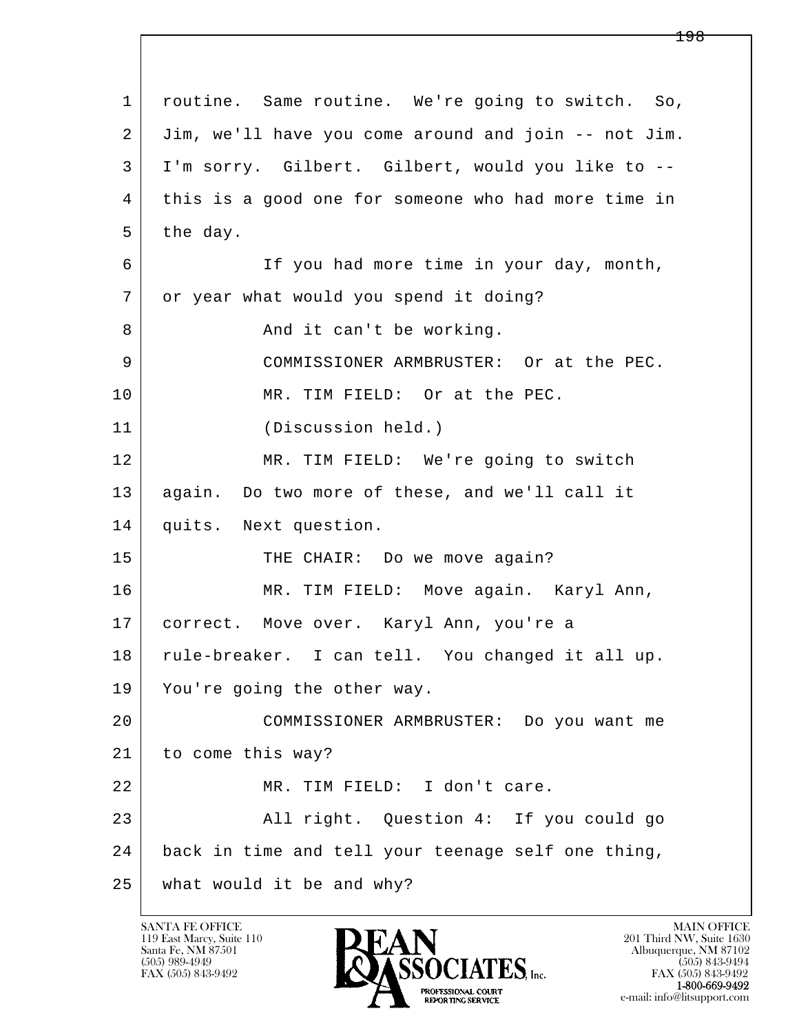l  $\overline{\phantom{a}}$  1 routine. Same routine. We're going to switch. So, 2 Jim, we'll have you come around and join -- not Jim. 3 I'm sorry. Gilbert. Gilbert, would you like to -- 4 this is a good one for someone who had more time in  $5$  the day. 6 If you had more time in your day, month, 7 or year what would you spend it doing? 8 And it can't be working. 9 COMMISSIONER ARMBRUSTER: Or at the PEC. 10 MR. TIM FIELD: Or at the PEC. 11 (Discussion held.) 12 MR. TIM FIELD: We're going to switch 13 again. Do two more of these, and we'll call it 14 quits. Next question. 15 THE CHAIR: Do we move again? 16 MR. TIM FIELD: Move again. Karyl Ann, 17 correct. Move over. Karyl Ann, you're a 18 rule-breaker. I can tell. You changed it all up. 19 You're going the other way. 20 COMMISSIONER ARMBRUSTER: Do you want me 21 to come this way? 22 MR. TIM FIELD: I don't care. 23 | All right. Question 4: If you could go 24 back in time and tell your teenage self one thing, 25 what would it be and why?

119 East Marcy, Suite 110<br>Santa Fe, NM 87501

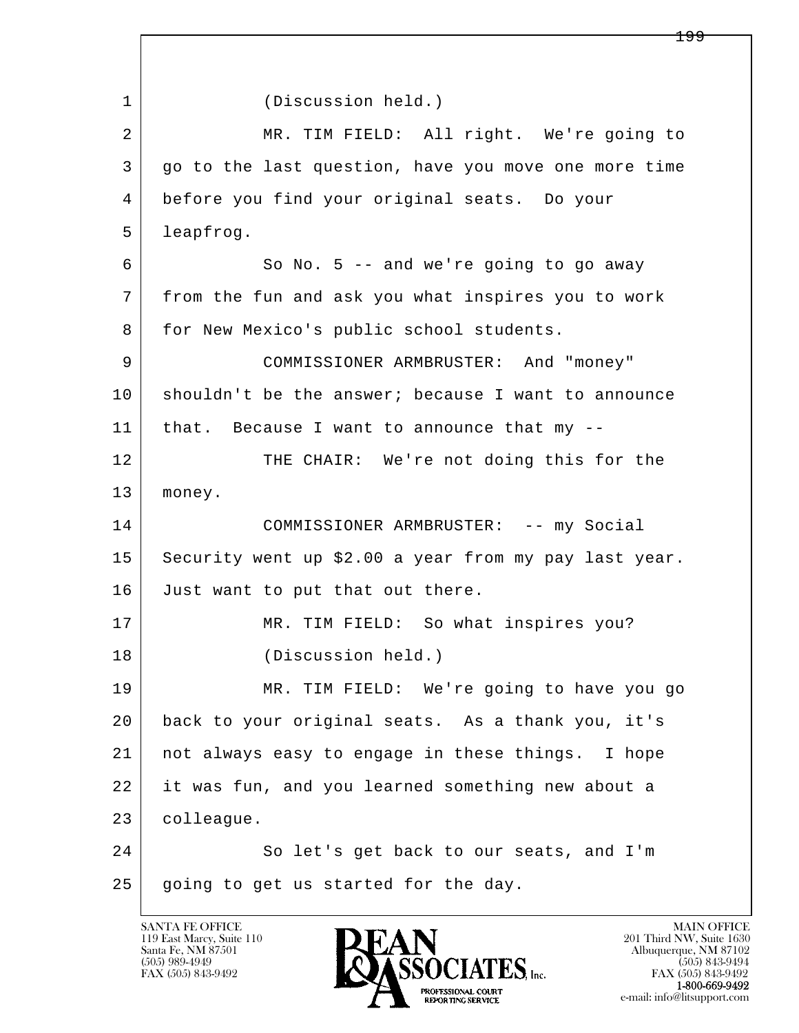l  $\overline{\phantom{a}}$  1 (Discussion held.) 2 | MR. TIM FIELD: All right. We're going to 3 go to the last question, have you move one more time 4 before you find your original seats. Do your 5 leapfrog. 6 So No. 5 -- and we're going to go away 7 from the fun and ask you what inspires you to work 8 | for New Mexico's public school students. 9 COMMISSIONER ARMBRUSTER: And "money" 10 shouldn't be the answer; because I want to announce 11 that. Because I want to announce that my -- 12 THE CHAIR: We're not doing this for the 13 money. 14 COMMISSIONER ARMBRUSTER: -- my Social 15 Security went up \$2.00 a year from my pay last year. 16 Just want to put that out there. 17 | MR. TIM FIELD: So what inspires you? 18 (Discussion held.) 19 MR. TIM FIELD: We're going to have you go 20 back to your original seats. As a thank you, it's 21 not always easy to engage in these things. I hope 22 it was fun, and you learned something new about a 23 colleague. 24 So let's get back to our seats, and I'm 25 going to get us started for the day.

119 East Marcy, Suite 110<br>Santa Fe, NM 87501

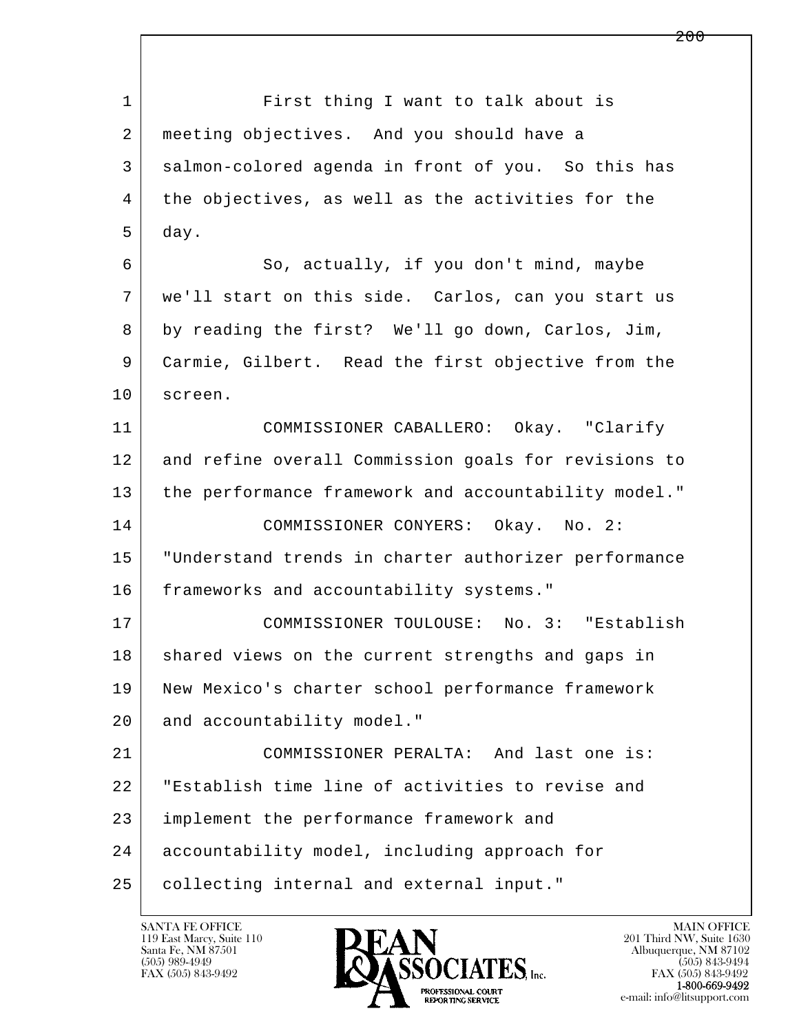l  $\overline{\phantom{a}}$ 1 First thing I want to talk about is 2 meeting objectives. And you should have a 3 salmon-colored agenda in front of you. So this has 4 the objectives, as well as the activities for the 5 day. 6 So, actually, if you don't mind, maybe 7 we'll start on this side. Carlos, can you start us 8 by reading the first? We'll go down, Carlos, Jim, 9 Carmie, Gilbert. Read the first objective from the 10 | screen. 11 COMMISSIONER CABALLERO: Okay. "Clarify 12 and refine overall Commission goals for revisions to 13 the performance framework and accountability model." 14 COMMISSIONER CONYERS: Okay. No. 2: 15 "Understand trends in charter authorizer performance 16 frameworks and accountability systems." 17 COMMISSIONER TOULOUSE: No. 3: "Establish 18 shared views on the current strengths and gaps in 19 New Mexico's charter school performance framework 20 and accountability model." 21 COMMISSIONER PERALTA: And last one is: 22 "Establish time line of activities to revise and 23 implement the performance framework and 24 accountability model, including approach for 25 collecting internal and external input."

119 East Marcy, Suite 110<br>Santa Fe, NM 87501



FAX (505) 843-9492<br>1-800-669-9492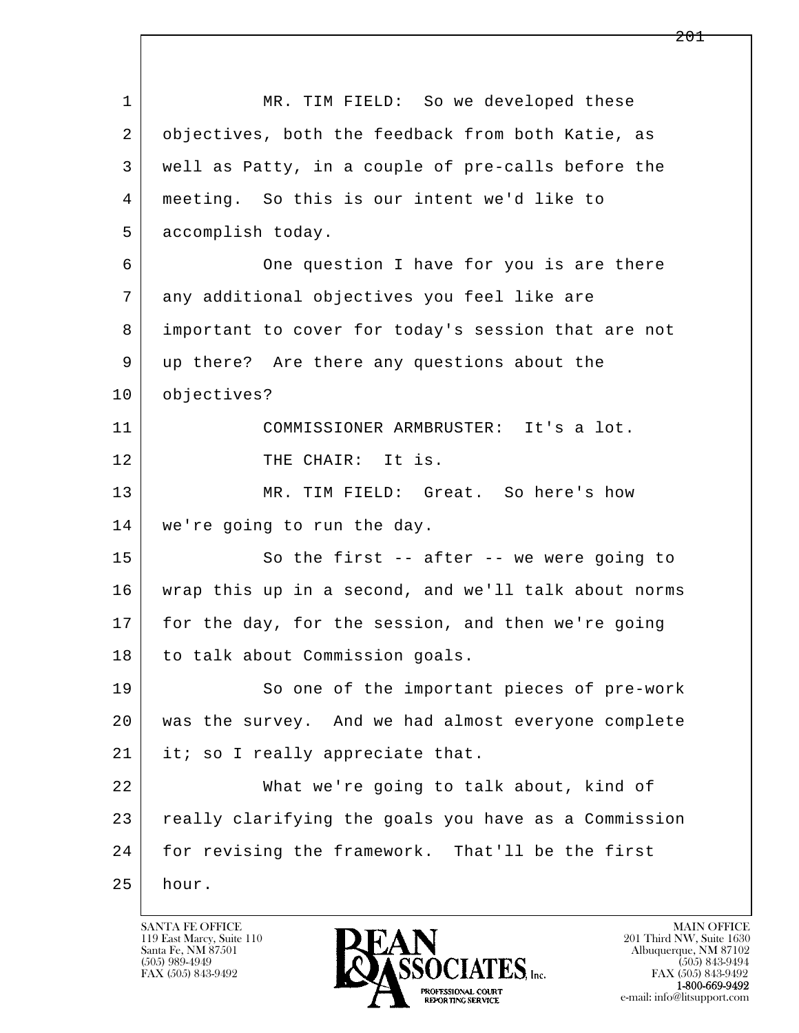l  $\overline{\phantom{a}}$  1 MR. TIM FIELD: So we developed these 2 | objectives, both the feedback from both Katie, as 3 well as Patty, in a couple of pre-calls before the 4 meeting. So this is our intent we'd like to 5 accomplish today. 6 One question I have for you is are there 7 any additional objectives you feel like are 8 important to cover for today's session that are not 9 up there? Are there any questions about the 10 objectives? 11 COMMISSIONER ARMBRUSTER: It's a lot. 12 THE CHAIR: It is. 13 MR. TIM FIELD: Great. So here's how 14 we're going to run the day. 15 | So the first -- after -- we were going to 16 wrap this up in a second, and we'll talk about norms 17 for the day, for the session, and then we're going 18 | to talk about Commission goals. 19 So one of the important pieces of pre-work 20 was the survey. And we had almost everyone complete 21 | it; so I really appreciate that. 22 What we're going to talk about, kind of 23 really clarifying the goals you have as a Commission 24 | for revising the framework. That'll be the first  $25$  hour.

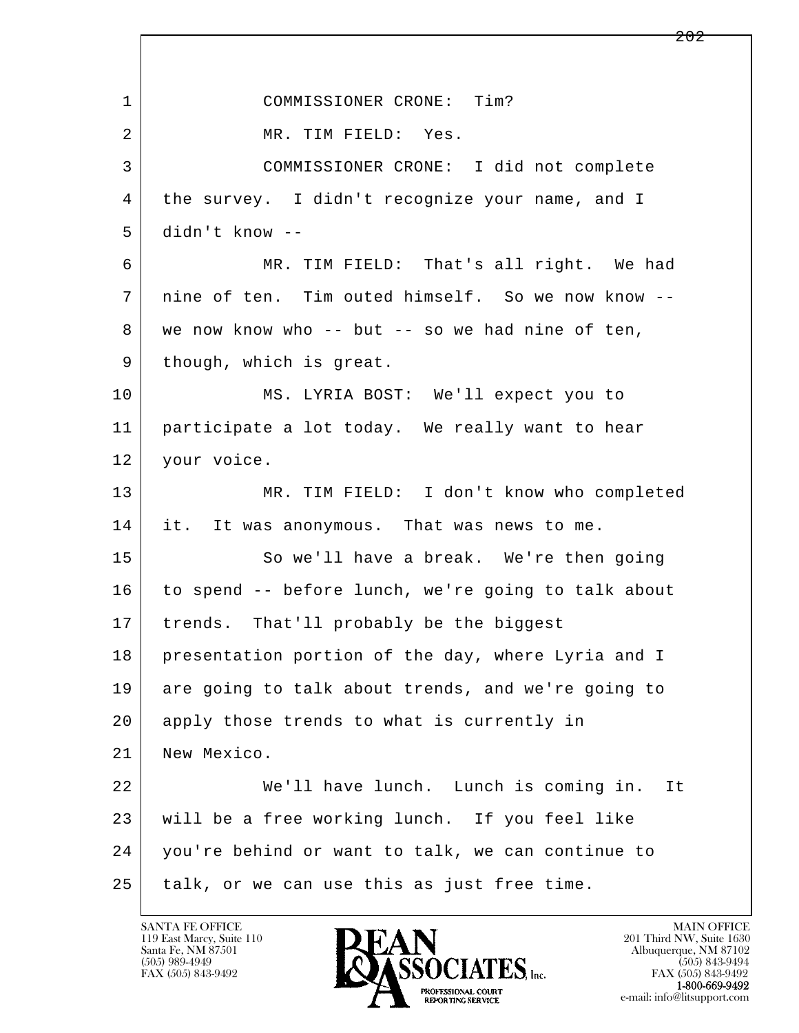l  $\overline{\phantom{a}}$ 1 COMMISSIONER CRONE: Tim? 2 MR. TIM FIELD: Yes. 3 COMMISSIONER CRONE: I did not complete 4 the survey. I didn't recognize your name, and I 5 didn't know -- 6 MR. TIM FIELD: That's all right. We had 7 nine of ten. Tim outed himself. So we now know -- 8 we now know who -- but -- so we had nine of ten, 9 | though, which is great. 10 MS. LYRIA BOST: We'll expect you to 11 participate a lot today. We really want to hear 12 | your voice. 13 MR. TIM FIELD: I don't know who completed 14 it. It was anonymous. That was news to me. 15 So we'll have a break. We're then going 16 to spend -- before lunch, we're going to talk about 17 | trends. That'll probably be the biggest 18 presentation portion of the day, where Lyria and I 19 are going to talk about trends, and we're going to 20 apply those trends to what is currently in 21 New Mexico. 22 We'll have lunch. Lunch is coming in. It 23 will be a free working lunch. If you feel like 24 you're behind or want to talk, we can continue to 25 talk, or we can use this as just free time.

119 East Marcy, Suite 110<br>Santa Fe, NM 87501

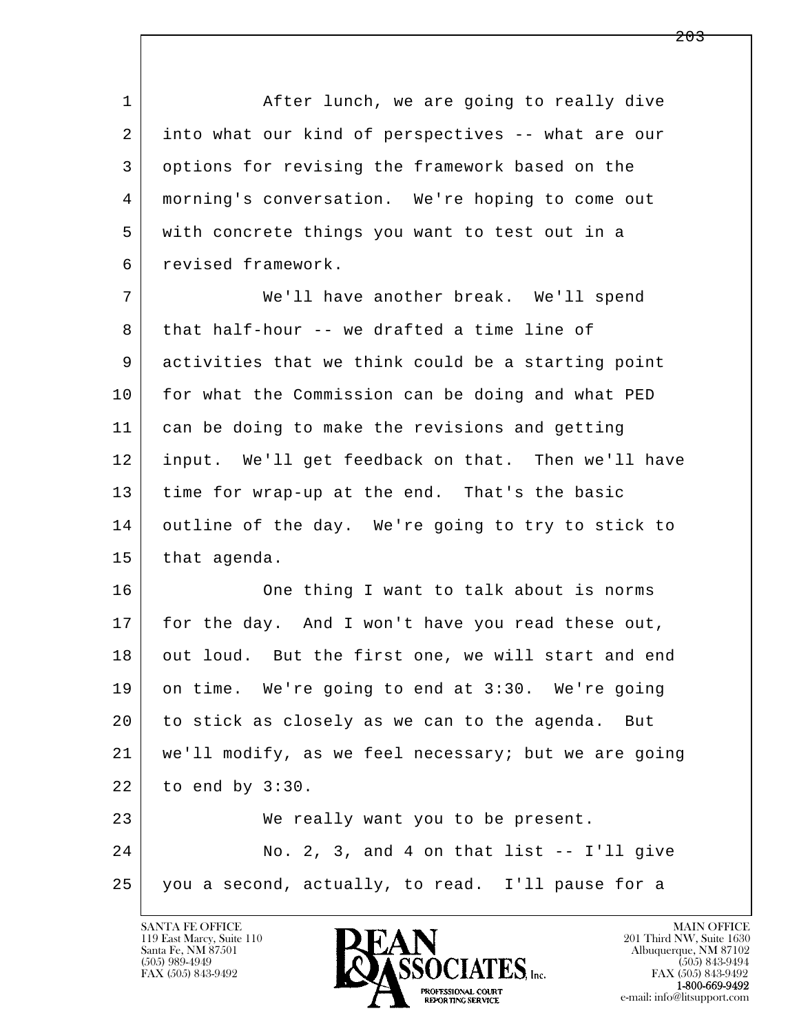1 After lunch, we are going to really dive 2 into what our kind of perspectives -- what are our 3 options for revising the framework based on the 4 morning's conversation. We're hoping to come out 5 with concrete things you want to test out in a 6 revised framework. 7 We'll have another break. We'll spend  $8$  that half-hour -- we drafted a time line of 9 activities that we think could be a starting point 10 for what the Commission can be doing and what PED 11 can be doing to make the revisions and getting 12 input. We'll get feedback on that. Then we'll have 13 time for wrap-up at the end. That's the basic 14 outline of the day. We're going to try to stick to 15 that agenda. 16 One thing I want to talk about is norms 17 for the day. And I won't have you read these out, 18 out loud. But the first one, we will start and end

l  $\overline{\phantom{a}}$  19 on time. We're going to end at 3:30. We're going 20 to stick as closely as we can to the agenda. But 21 we'll modify, as we feel necessary; but we are going 22 to end by 3:30. 23 We really want you to be present. 24 No. 2, 3, and 4 on that list -- I'll give 25 you a second, actually, to read. I'll pause for a

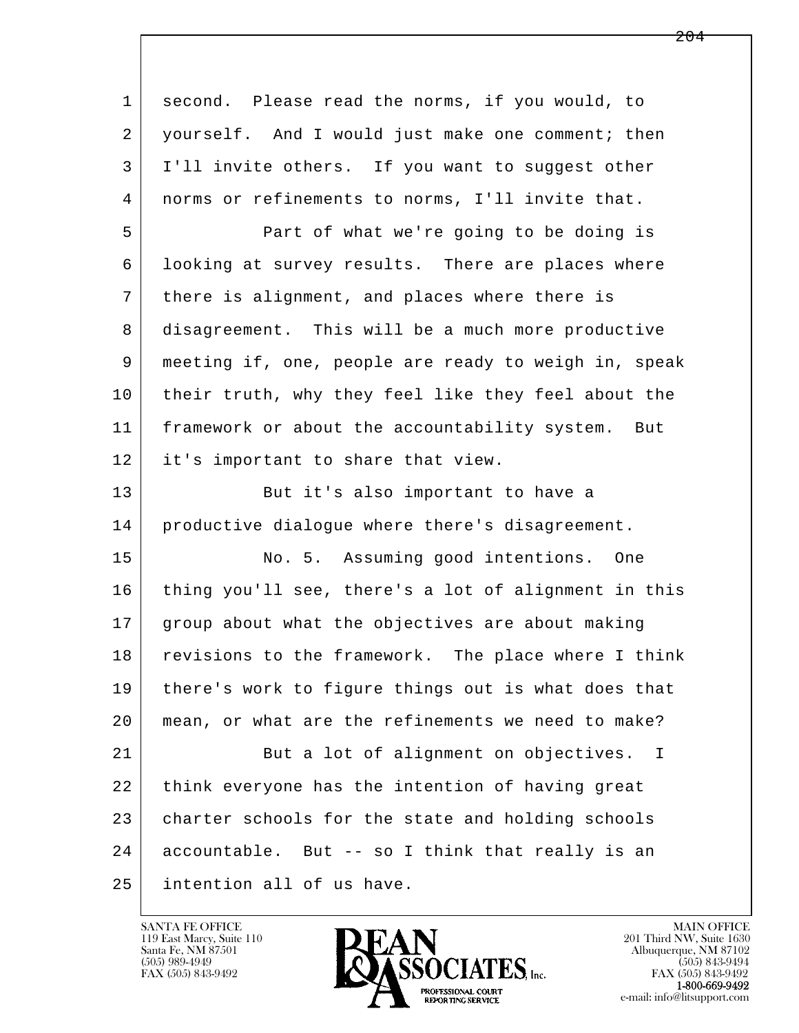l  $\overline{\phantom{a}}$  1 second. Please read the norms, if you would, to 2 yourself. And I would just make one comment; then 3 I'll invite others. If you want to suggest other 4 norms or refinements to norms, I'll invite that. 5 Part of what we're going to be doing is 6 looking at survey results. There are places where 7 there is alignment, and places where there is 8 disagreement. This will be a much more productive 9 meeting if, one, people are ready to weigh in, speak 10 their truth, why they feel like they feel about the 11 framework or about the accountability system. But 12 it's important to share that view. 13 But it's also important to have a 14 productive dialoque where there's disagreement. 15 No. 5. Assuming good intentions. One 16 thing you'll see, there's a lot of alignment in this 17 group about what the objectives are about making 18 revisions to the framework. The place where I think 19 there's work to figure things out is what does that 20 mean, or what are the refinements we need to make? 21 But a lot of alignment on objectives. I 22 think everyone has the intention of having great 23 charter schools for the state and holding schools 24 accountable. But -- so I think that really is an 25 intention all of us have.

119 East Marcy, Suite 110<br>Santa Fe, NM 87501

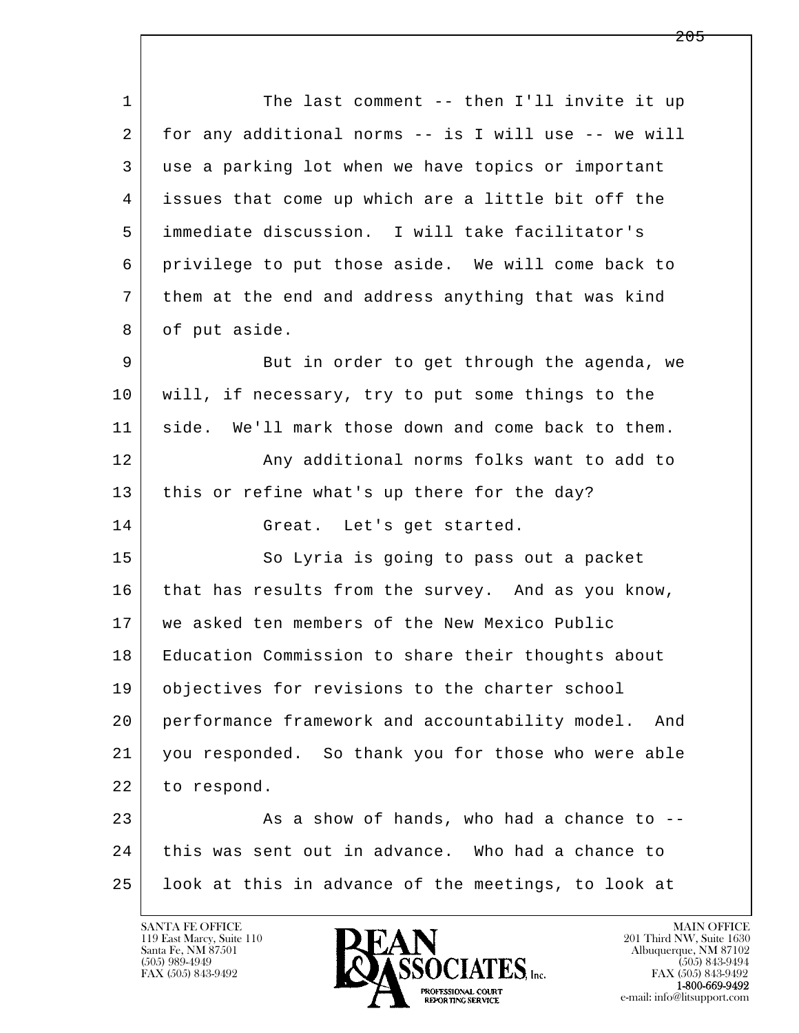1 The last comment -- then I'll invite it up 2 for any additional norms -- is I will use -- we will 3 use a parking lot when we have topics or important 4 issues that come up which are a little bit off the 5 immediate discussion. I will take facilitator's 6 privilege to put those aside. We will come back to 7 them at the end and address anything that was kind 8 of put aside. 9 But in order to get through the agenda, we 10 will, if necessary, try to put some things to the 11 side. We'll mark those down and come back to them. 12 | Any additional norms folks want to add to 13 this or refine what's up there for the day? 14 Great. Let's get started.

15 So Lyria is going to pass out a packet 16 that has results from the survey. And as you know, 17 | we asked ten members of the New Mexico Public 18 Education Commission to share their thoughts about 19 objectives for revisions to the charter school 20 performance framework and accountability model. And 21 you responded. So thank you for those who were able 22 to respond.

l  $\overline{\phantom{a}}$ 23 As a show of hands, who had a chance to -- 24 this was sent out in advance. Who had a chance to 25 look at this in advance of the meetings, to look at

119 East Marcy, Suite 110<br>Santa Fe, NM 87501



FAX (505) 843-9492<br>**1-800-669-9492**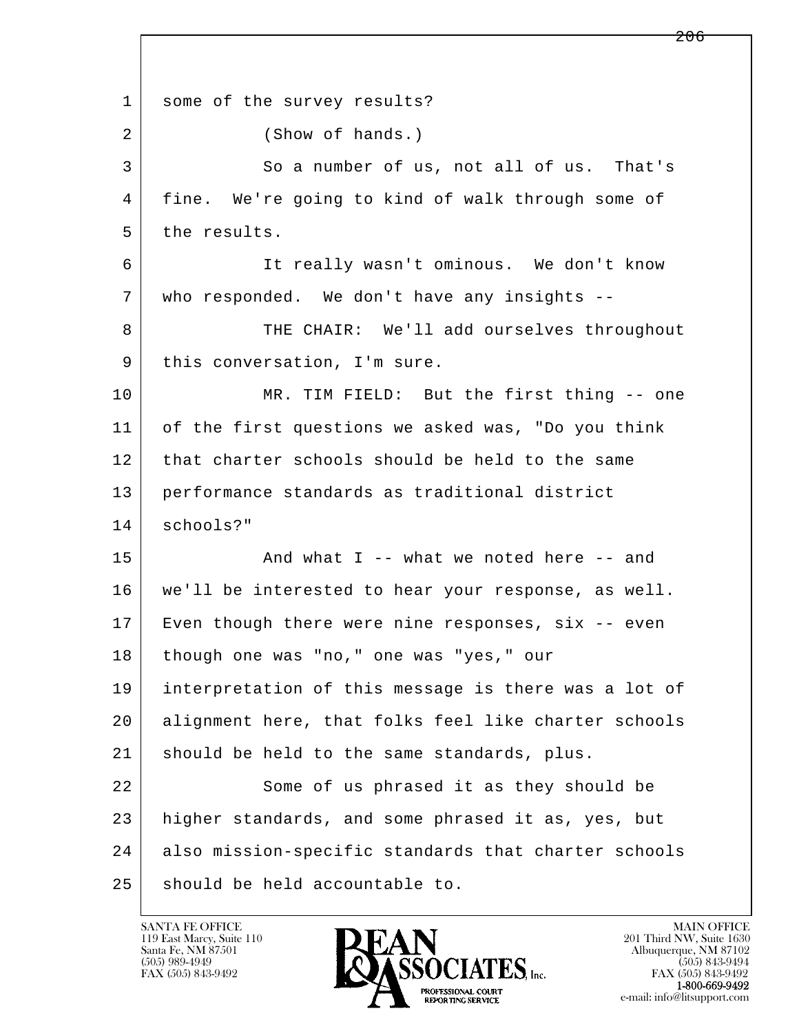l  $\overline{\phantom{a}}$ 1 some of the survey results? 2 (Show of hands.) 3 So a number of us, not all of us. That's 4 fine. We're going to kind of walk through some of 5 the results. 6 It really wasn't ominous. We don't know 7 who responded. We don't have any insights -- 8 THE CHAIR: We'll add ourselves throughout 9 | this conversation, I'm sure. 10 MR. TIM FIELD: But the first thing -- one 11 of the first questions we asked was, "Do you think 12 that charter schools should be held to the same 13 performance standards as traditional district 14 schools?" 15 | The Mand what I -- what we noted here -- and 16 we'll be interested to hear your response, as well. 17 Even though there were nine responses, six -- even 18 though one was "no," one was "yes," our 19 interpretation of this message is there was a lot of 20 alignment here, that folks feel like charter schools 21 should be held to the same standards, plus. 22 Some of us phrased it as they should be 23 higher standards, and some phrased it as, yes, but 24 also mission-specific standards that charter schools 25 should be held accountable to.

119 East Marcy, Suite 110<br>Santa Fe, NM 87501

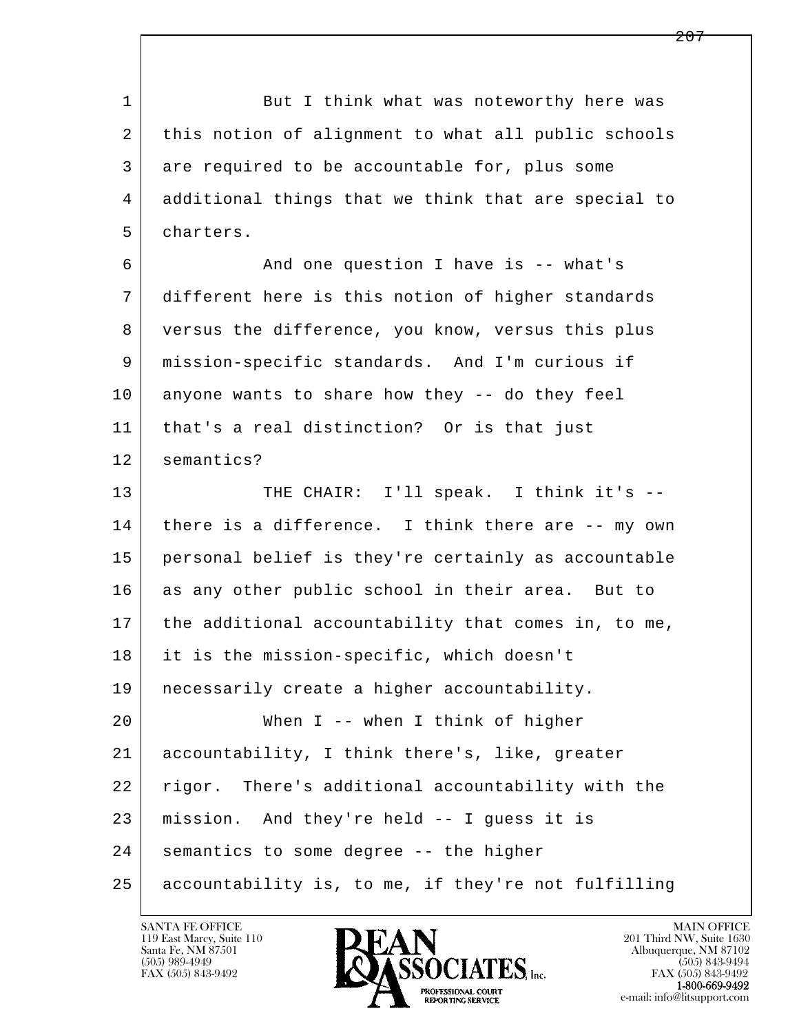l  $\overline{\phantom{a}}$ 1 But I think what was noteworthy here was 2 this notion of alignment to what all public schools 3 are required to be accountable for, plus some 4 additional things that we think that are special to 5 charters. 6 And one question I have is -- what's 7 different here is this notion of higher standards 8 versus the difference, you know, versus this plus 9 mission-specific standards. And I'm curious if 10 anyone wants to share how they -- do they feel 11 that's a real distinction? Or is that just 12 semantics? 13 | THE CHAIR: I'll speak. I think it's --14 there is a difference. I think there are -- my own 15 personal belief is they're certainly as accountable 16 as any other public school in their area. But to 17 the additional accountability that comes in, to me, 18 it is the mission-specific, which doesn't 19 necessarily create a higher accountability. 20 When I -- when I think of higher 21 accountability, I think there's, like, greater 22 rigor. There's additional accountability with the 23 mission. And they're held -- I guess it is 24 | semantics to some degree -- the higher 25 accountability is, to me, if they're not fulfilling

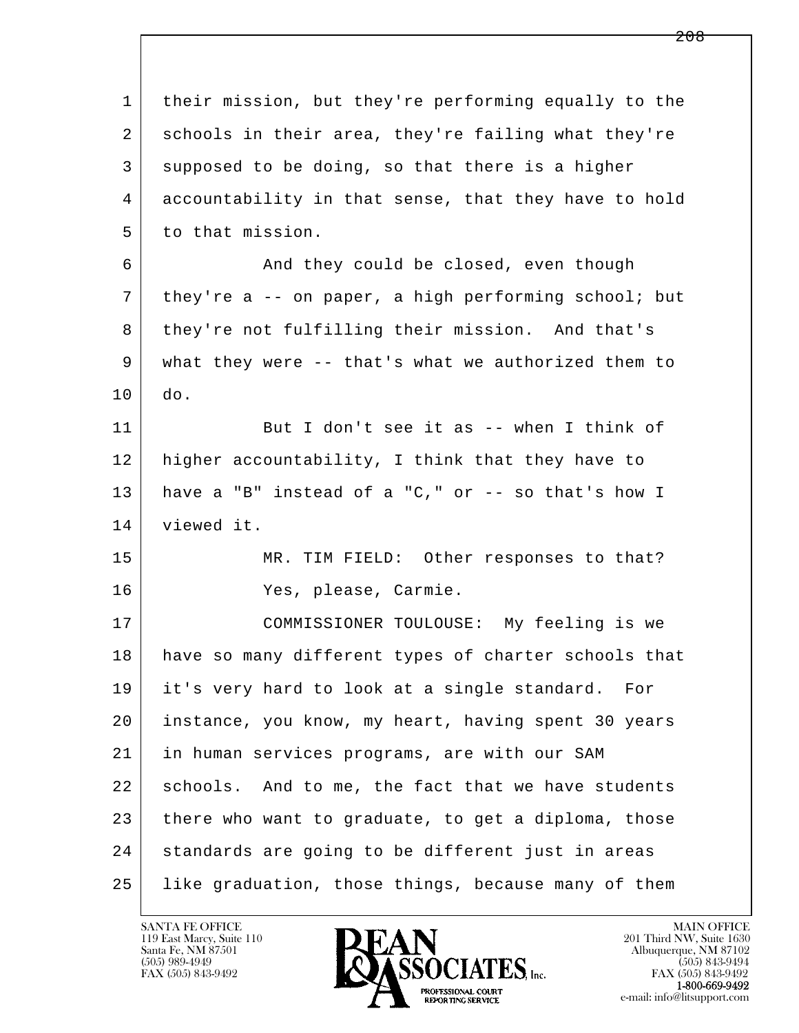| $\mathbf 1$ | their mission, but they're performing equally to the |
|-------------|------------------------------------------------------|
| 2           | schools in their area, they're failing what they're  |
| 3           | supposed to be doing, so that there is a higher      |
| 4           | accountability in that sense, that they have to hold |
| 5           | to that mission.                                     |
| 6           | And they could be closed, even though                |
| 7           | they're a -- on paper, a high performing school; but |
| 8           | they're not fulfilling their mission. And that's     |
| 9           | what they were -- that's what we authorized them to  |
| 10          | do.                                                  |
| 11          | But I don't see it as -- when I think of             |
| 12          | higher accountability, I think that they have to     |
| 13          | have a "B" instead of a "C," or -- so that's how I   |
| 14          | viewed it.                                           |
| 15          | MR. TIM FIELD: Other responses to that?              |
| 16          | Yes, please, Carmie.                                 |
| 17          | COMMISSIONER TOULOUSE: My feeling is we              |
| 18          | have so many different types of charter schools that |
| 19          | it's very hard to look at a single standard.<br>For  |
| 20          | instance, you know, my heart, having spent 30 years  |
| 21          | in human services programs, are with our SAM         |
| 22          | schools. And to me, the fact that we have students   |
| 23          | there who want to graduate, to get a diploma, those  |
| 24          | standards are going to be different just in areas    |
| 25          | like graduation, those things, because many of them  |

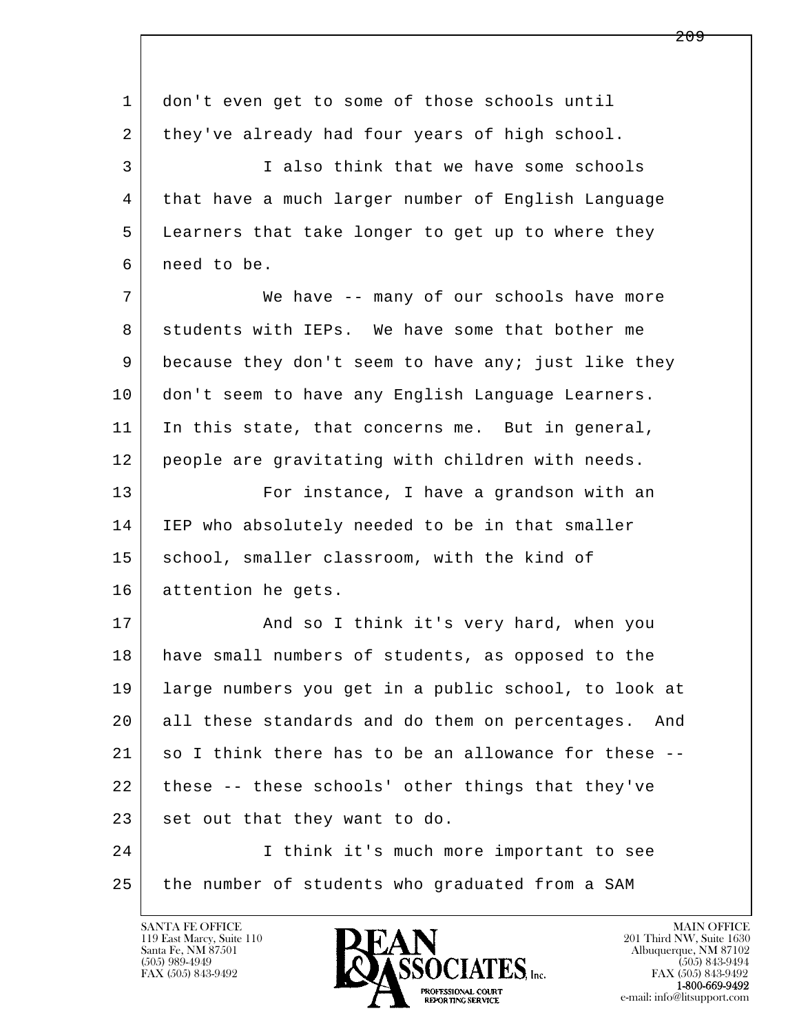| 1  | don't even get to some of those schools until          |
|----|--------------------------------------------------------|
| 2  | they've already had four years of high school.         |
| 3  | I also think that we have some schools                 |
| 4  | that have a much larger number of English Language     |
| 5  | Learners that take longer to get up to where they      |
| 6  | need to be.                                            |
| 7  | We have -- many of our schools have more               |
| 8  | students with IEPs. We have some that bother me        |
| 9  | because they don't seem to have any; just like they    |
| 10 | don't seem to have any English Language Learners.      |
| 11 | In this state, that concerns me. But in general,       |
| 12 | people are gravitating with children with needs.       |
| 13 | For instance, I have a grandson with an                |
| 14 | IEP who absolutely needed to be in that smaller        |
| 15 | school, smaller classroom, with the kind of            |
| 16 | attention he gets.                                     |
| 17 | And so I think it's very hard, when you                |
| 18 | have small numbers of students, as opposed to the      |
| 19 | large numbers you get in a public school, to look at   |
| 20 | all these standards and do them on percentages.<br>And |
| 21 | so I think there has to be an allowance for these --   |
| 22 | these -- these schools' other things that they've      |
| 23 | set out that they want to do.                          |
| 24 | I think it's much more important to see                |
| 25 | the number of students who graduated from a SAM        |
|    |                                                        |

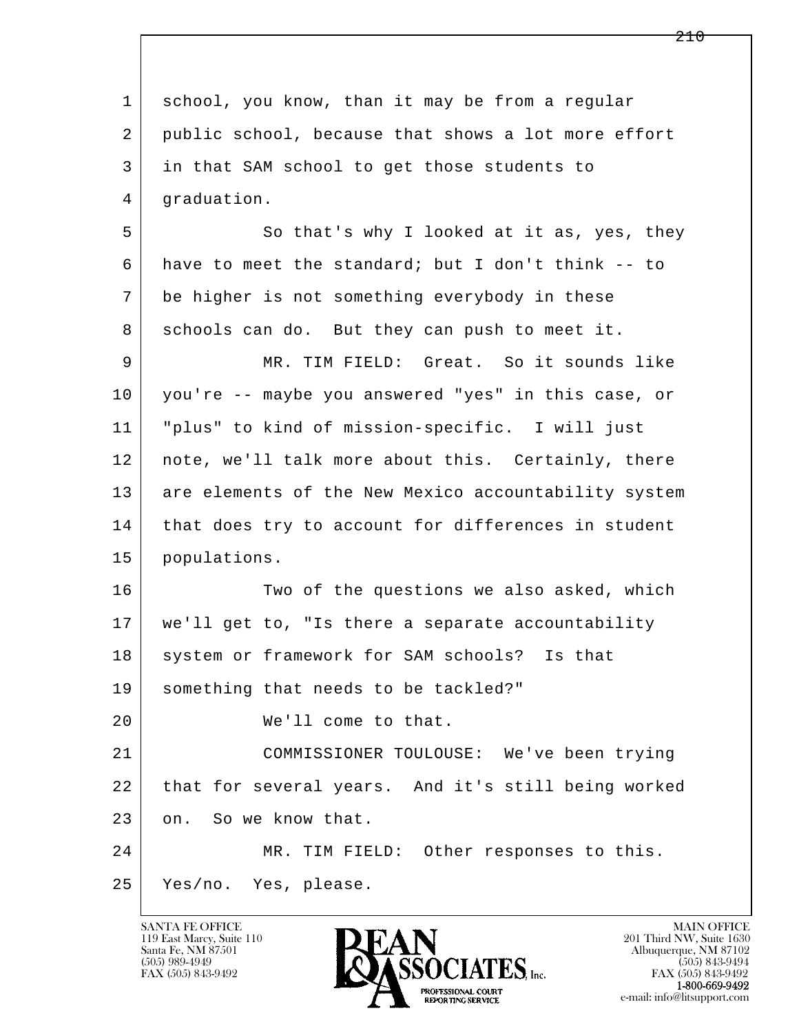| $\mathbf{1}$ | school, you know, than it may be from a regular      |
|--------------|------------------------------------------------------|
| 2            | public school, because that shows a lot more effort  |
| 3            | in that SAM school to get those students to          |
| 4            | graduation.                                          |
| 5            | So that's why I looked at it as, yes, they           |
| 6            | have to meet the standard; but I don't think -- to   |
| 7            | be higher is not something everybody in these        |
| 8            | schools can do. But they can push to meet it.        |
| 9            | MR. TIM FIELD: Great. So it sounds like              |
| 10           | you're -- maybe you answered "yes" in this case, or  |
| 11           | "plus" to kind of mission-specific. I will just      |
| 12           | note, we'll talk more about this. Certainly, there   |
| 13           | are elements of the New Mexico accountability system |
| 14           | that does try to account for differences in student  |
| 15           | populations.                                         |
| 16           | Two of the questions we also asked, which            |
| 17           | we'll get to, "Is there a separate accountability    |
| 18           | system or framework for SAM schools? Is that         |
| 19           | something that needs to be tackled?"                 |
| 20           | We'll come to that.                                  |
| 21           | COMMISSIONER TOULOUSE: We've been trying             |
| 22           | that for several years. And it's still being worked  |
| 23           | on. So we know that.                                 |
| 24           | MR. TIM FIELD: Other responses to this.              |
| 25           | Yes/no. Yes, please.                                 |
|              |                                                      |

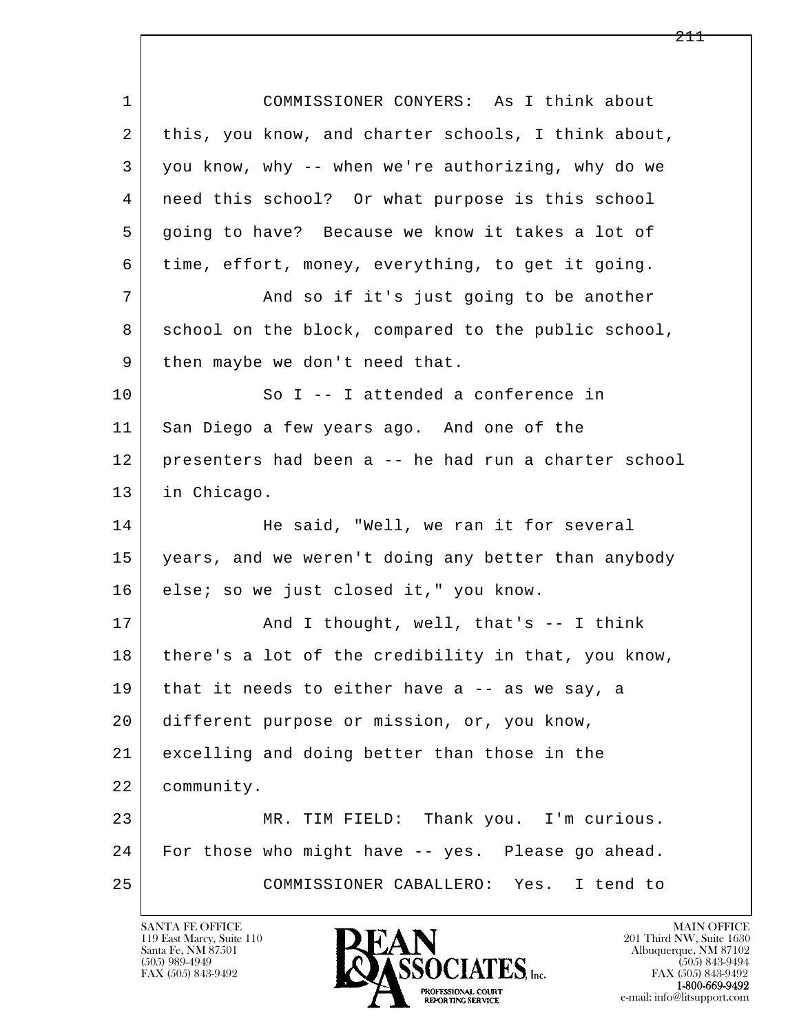| $\mathbf{1}$ | COMMISSIONER CONYERS: As I think about               |
|--------------|------------------------------------------------------|
| 2            | this, you know, and charter schools, I think about,  |
| 3            | you know, why -- when we're authorizing, why do we   |
| 4            | need this school? Or what purpose is this school     |
| 5            | going to have? Because we know it takes a lot of     |
| 6            | time, effort, money, everything, to get it going.    |
| 7            | And so if it's just going to be another              |
| 8            | school on the block, compared to the public school,  |
| 9            | then maybe we don't need that.                       |
| 10           | So I -- I attended a conference in                   |
| 11           | San Diego a few years ago. And one of the            |
| 12           | presenters had been a -- he had run a charter school |
| 13           | in Chicago.                                          |
| 14           | He said, "Well, we ran it for several                |
| 15           | years, and we weren't doing any better than anybody  |
| 16           | else; so we just closed it," you know.               |
| 17           | And I thought, well, that's -- I think               |
| 18           | there's a lot of the credibility in that, you know,  |
| 19           | that it needs to either have a -- as we say, a       |
| 20           | different purpose or mission, or, you know,          |
| 21           | excelling and doing better than those in the         |
| 22           | community.                                           |
| 23           | MR. TIM FIELD: Thank you. I'm curious.               |
| 24           | For those who might have -- yes. Please go ahead.    |
| 25           | COMMISSIONER CABALLERO: Yes.<br>I tend to            |

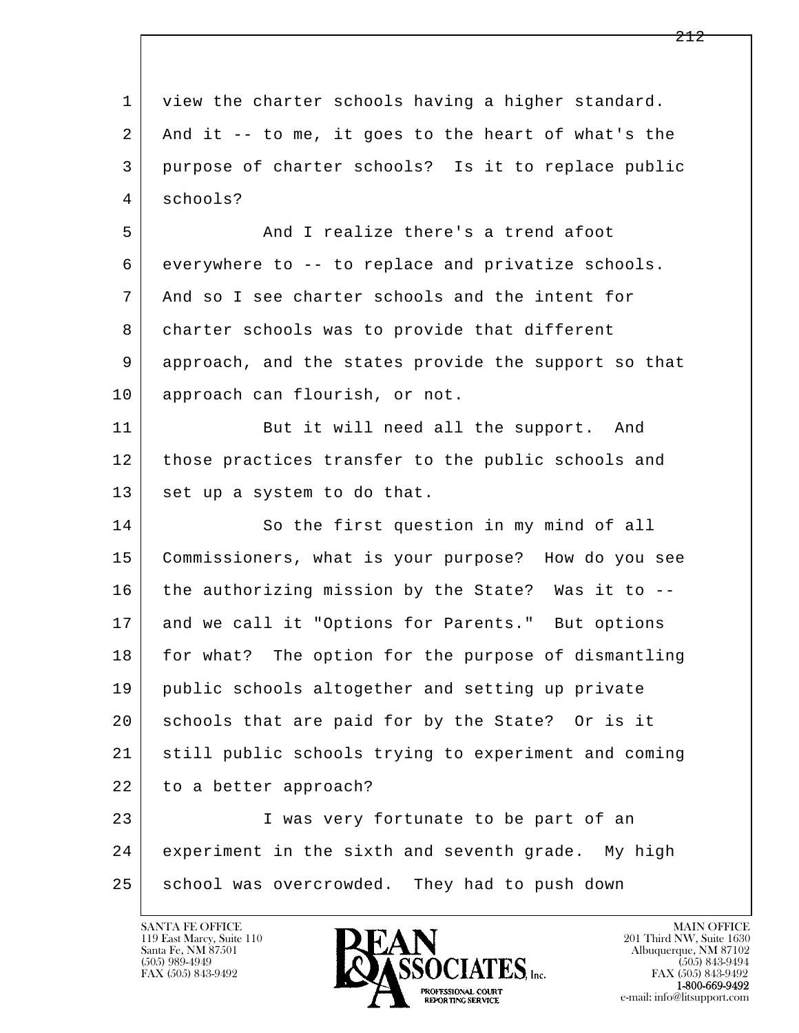l  $\overline{\phantom{a}}$ 1 view the charter schools having a higher standard. 2 And it -- to me, it goes to the heart of what's the 3 purpose of charter schools? Is it to replace public 4 schools? 5 And I realize there's a trend afoot 6 everywhere to -- to replace and privatize schools. 7 And so I see charter schools and the intent for 8 | charter schools was to provide that different 9 approach, and the states provide the support so that 10 approach can flourish, or not. 11 But it will need all the support. And 12 those practices transfer to the public schools and 13 set up a system to do that. 14 So the first question in my mind of all 15 Commissioners, what is your purpose? How do you see 16 the authorizing mission by the State? Was it to -- 17 and we call it "Options for Parents." But options 18 for what? The option for the purpose of dismantling 19 public schools altogether and setting up private 20 schools that are paid for by the State? Or is it 21 still public schools trying to experiment and coming 22 to a better approach? 23 I was very fortunate to be part of an 24 experiment in the sixth and seventh grade. My high 25 school was overcrowded. They had to push down

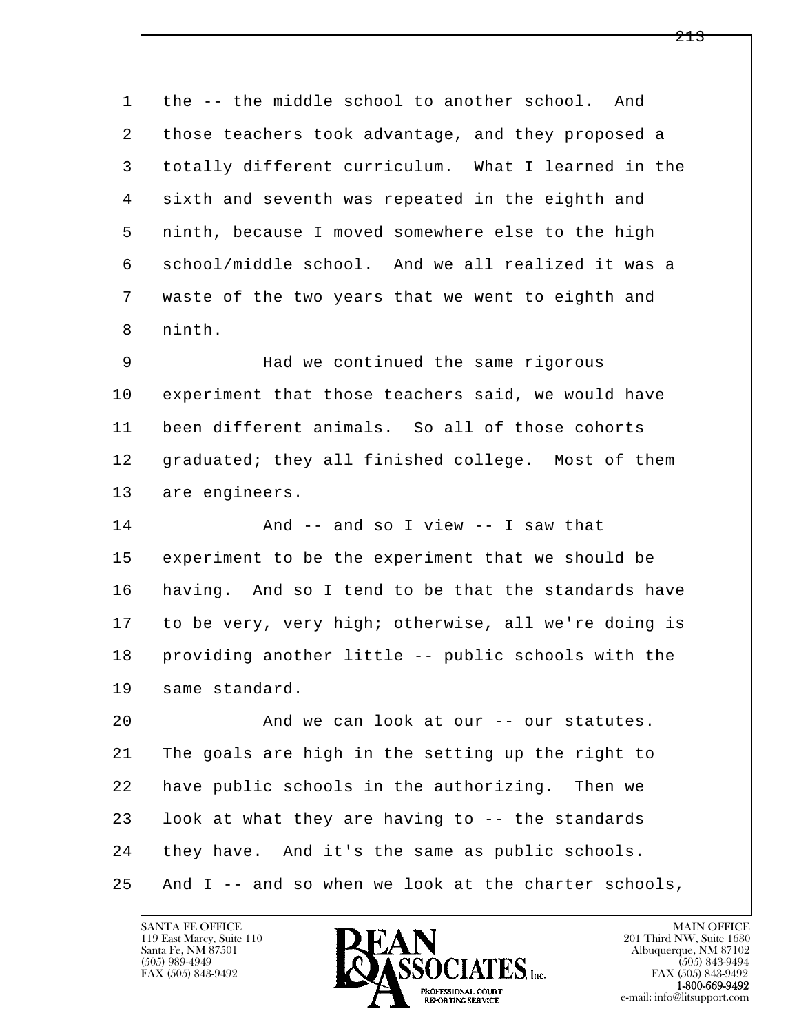1 the -- the middle school to another school. And 2 those teachers took advantage, and they proposed a 3 totally different curriculum. What I learned in the 4 sixth and seventh was repeated in the eighth and 5 ninth, because I moved somewhere else to the high 6 school/middle school. And we all realized it was a 7 waste of the two years that we went to eighth and 8 ninth.

9 | Mad we continued the same rigorous 10 experiment that those teachers said, we would have 11 been different animals. So all of those cohorts 12 | graduated; they all finished college. Most of them 13 are engineers.

14 And -- and so I view -- I saw that 15 experiment to be the experiment that we should be 16 having. And so I tend to be that the standards have 17 to be very, very high; otherwise, all we're doing is 18 providing another little -- public schools with the 19 same standard.

l  $\overline{\phantom{a}}$ 20 And we can look at our -- our statutes. 21 The goals are high in the setting up the right to 22 have public schools in the authorizing. Then we  $23$  look at what they are having to  $-$ - the standards 24 | they have. And it's the same as public schools. 25 And I -- and so when we look at the charter schools,

119 East Marcy, Suite 110<br>Santa Fe, NM 87501



FAX (505) 843-9492<br>**1-800-669-9492**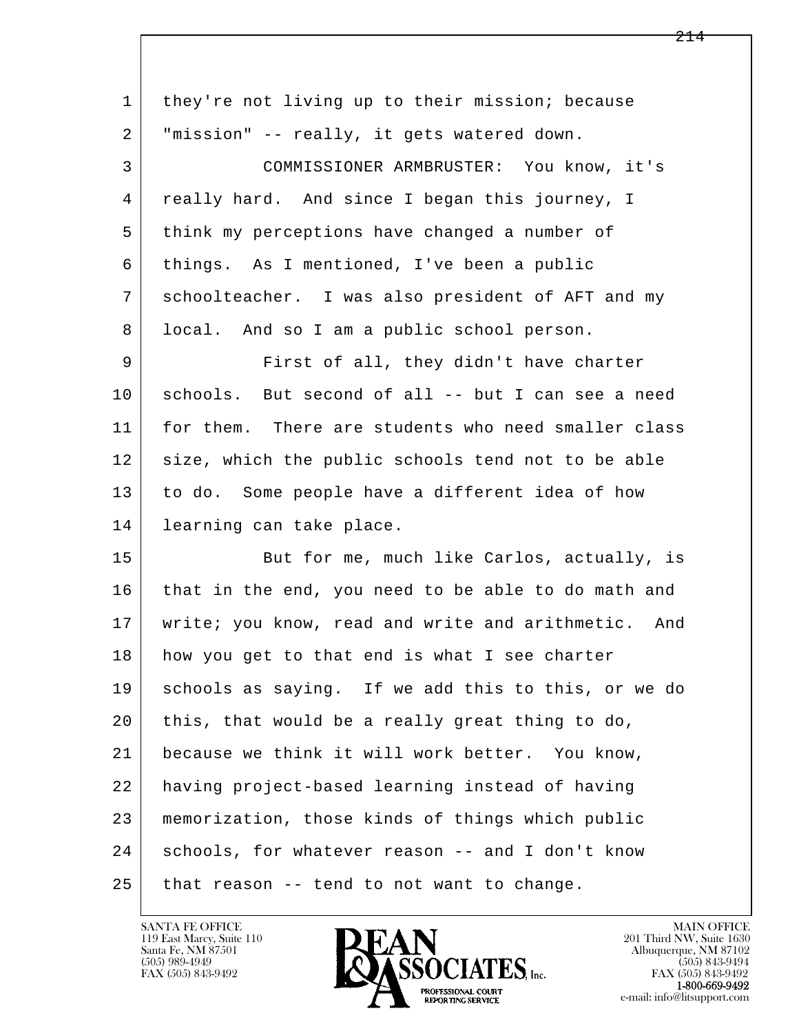| they're not living up to their mission; because     |
|-----------------------------------------------------|
| "mission" -- really, it gets watered down.          |
| COMMISSIONER ARMBRUSTER: You know, it's             |
| really hard. And since I began this journey, I      |
| think my perceptions have changed a number of       |
| things. As I mentioned, I've been a public          |
| schoolteacher. I was also president of AFT and my   |
| local. And so I am a public school person.          |
| First of all, they didn't have charter              |
| schools. But second of all -- but I can see a need  |
| for them. There are students who need smaller class |
| size, which the public schools tend not to be able  |
| to do. Some people have a different idea of how     |
| learning can take place.                            |
| But for me, much like Carlos, actually, is          |
| that in the end, you need to be able to do math and |
| write; you know, read and write and arithmetic. And |
| how you get to that end is what I see charter       |
| schools as saying. If we add this to this, or we do |
| this, that would be a really great thing to do,     |
| because we think it will work better. You know,     |
| having project-based learning instead of having     |
| memorization, those kinds of things which public    |
| schools, for whatever reason -- and I don't know    |
| that reason -- tend to not want to change.          |
|                                                     |

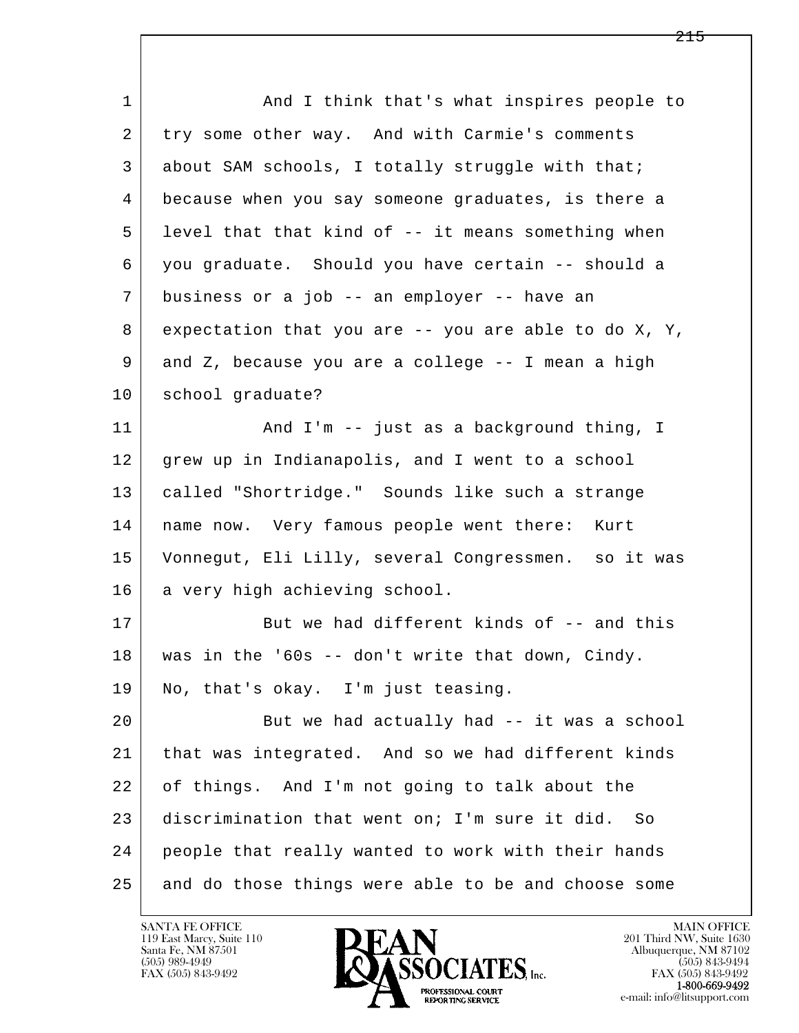| $\mathbf{1}$ | And I think that's what inspires people to              |
|--------------|---------------------------------------------------------|
| 2            | try some other way. And with Carmie's comments          |
| 3            | about SAM schools, I totally struggle with that;        |
| 4            | because when you say someone graduates, is there a      |
| 5            | level that that kind of -- it means something when      |
| 6            | you graduate. Should you have certain -- should a       |
| 7            | business or a job -- an employer -- have an             |
| 8            | expectation that you are $-$ - you are able to do X, Y, |
| 9            | and Z, because you are a college -- I mean a high       |
| 10           | school graduate?                                        |
| 11           | And I'm -- just as a background thing, I                |
| 12           | grew up in Indianapolis, and I went to a school         |
| 13           | called "Shortridge." Sounds like such a strange         |
| 14           | name now. Very famous people went there: Kurt           |
| 15           | Vonnegut, Eli Lilly, several Congressmen. so it was     |
| 16           | a very high achieving school.                           |
| 17           | But we had different kinds of -- and this               |
| 18           | was in the '60s -- don't write that down, Cindy.        |
| 19           | No, that's okay. I'm just teasing.                      |
| 20           | But we had actually had -- it was a school              |
| 21           | that was integrated. And so we had different kinds      |
| 22           | of things. And I'm not going to talk about the          |
| 23           | discrimination that went on; I'm sure it did.<br>So     |
| 24           | people that really wanted to work with their hands      |
| 25           | and do those things were able to be and choose some     |

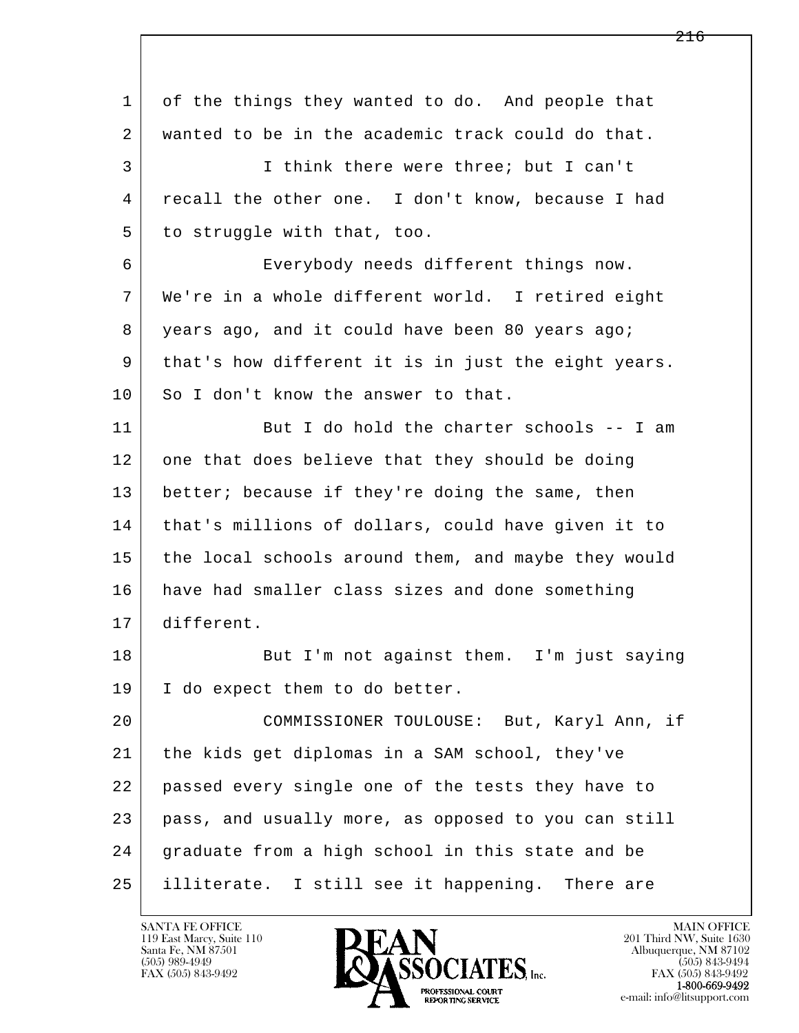| $\mathbf{1}$ | of the things they wanted to do. And people that    |
|--------------|-----------------------------------------------------|
| 2            | wanted to be in the academic track could do that.   |
| 3            | I think there were three; but I can't               |
| 4            | recall the other one. I don't know, because I had   |
| 5            | to struggle with that, too.                         |
| 6            | Everybody needs different things now.               |
| 7            | We're in a whole different world. I retired eight   |
| 8            | years ago, and it could have been 80 years ago;     |
| 9            | that's how different it is in just the eight years. |
| 10           | So I don't know the answer to that.                 |
| 11           | But I do hold the charter schools -- I am           |
| 12           | one that does believe that they should be doing     |
| 13           | better; because if they're doing the same, then     |
| 14           | that's millions of dollars, could have given it to  |
| 15           | the local schools around them, and maybe they would |
| 16           | have had smaller class sizes and done something     |
| 17           | different.                                          |
| 18           | But I'm not against them. I'm just saying           |
| 19           | I do expect them to do better.                      |
| 20           | COMMISSIONER TOULOUSE: But, Karyl Ann, if           |
| 21           | the kids get diplomas in a SAM school, they've      |
| 22           | passed every single one of the tests they have to   |
| 23           | pass, and usually more, as opposed to you can still |
| 24           | graduate from a high school in this state and be    |
| 25           | illiterate. I still see it happening. There are     |

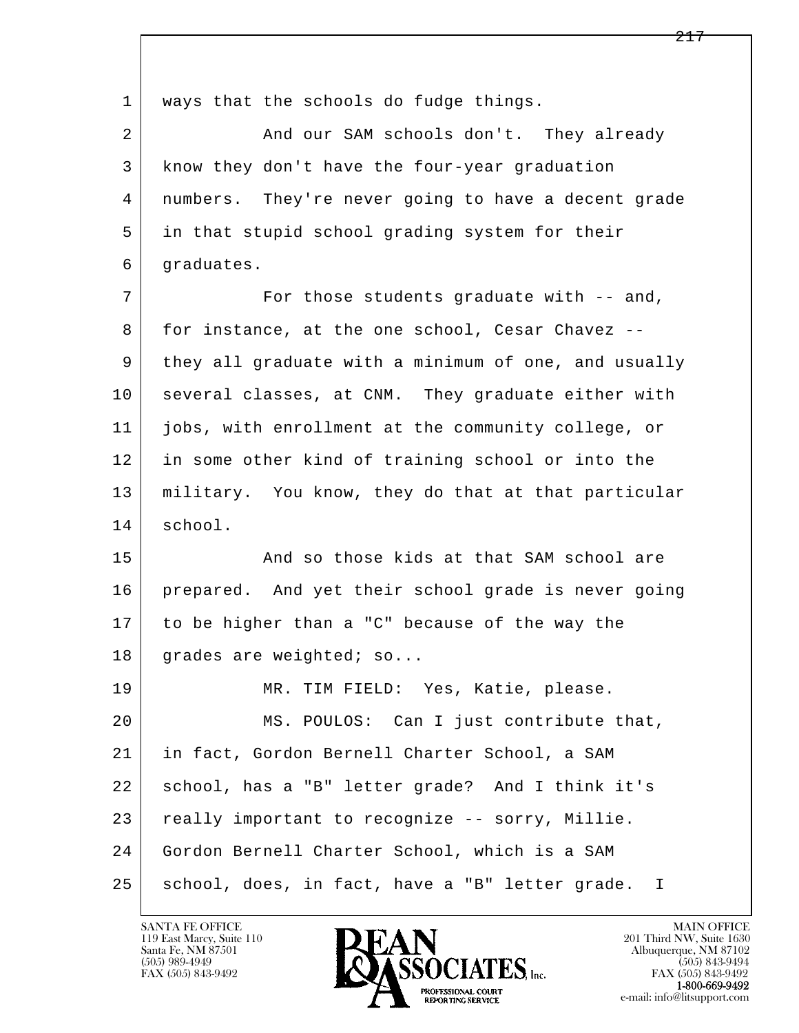l  $\overline{\phantom{a}}$ 1 ways that the schools do fudge things. 2 And our SAM schools don't. They already 3 know they don't have the four-year graduation 4 numbers. They're never going to have a decent grade 5 in that stupid school grading system for their 6 graduates. 7 For those students graduate with -- and, 8 for instance, at the one school, Cesar Chavez -- 9 they all graduate with a minimum of one, and usually 10 several classes, at CNM. They graduate either with 11 jobs, with enrollment at the community college, or 12 in some other kind of training school or into the 13 military. You know, they do that at that particular 14 school. 15 And so those kids at that SAM school are 16 prepared. And yet their school grade is never going 17 to be higher than a "C" because of the way the 18 grades are weighted; so... 19 | MR. TIM FIELD: Yes, Katie, please. 20 MS. POULOS: Can I just contribute that, 21 in fact, Gordon Bernell Charter School, a SAM 22 school, has a "B" letter grade? And I think it's 23 | really important to recognize -- sorry, Millie. 24 Gordon Bernell Charter School, which is a SAM 25 | school, does, in fact, have a "B" letter grade. I

119 East Marcy, Suite 110<br>Santa Fe, NM 87501

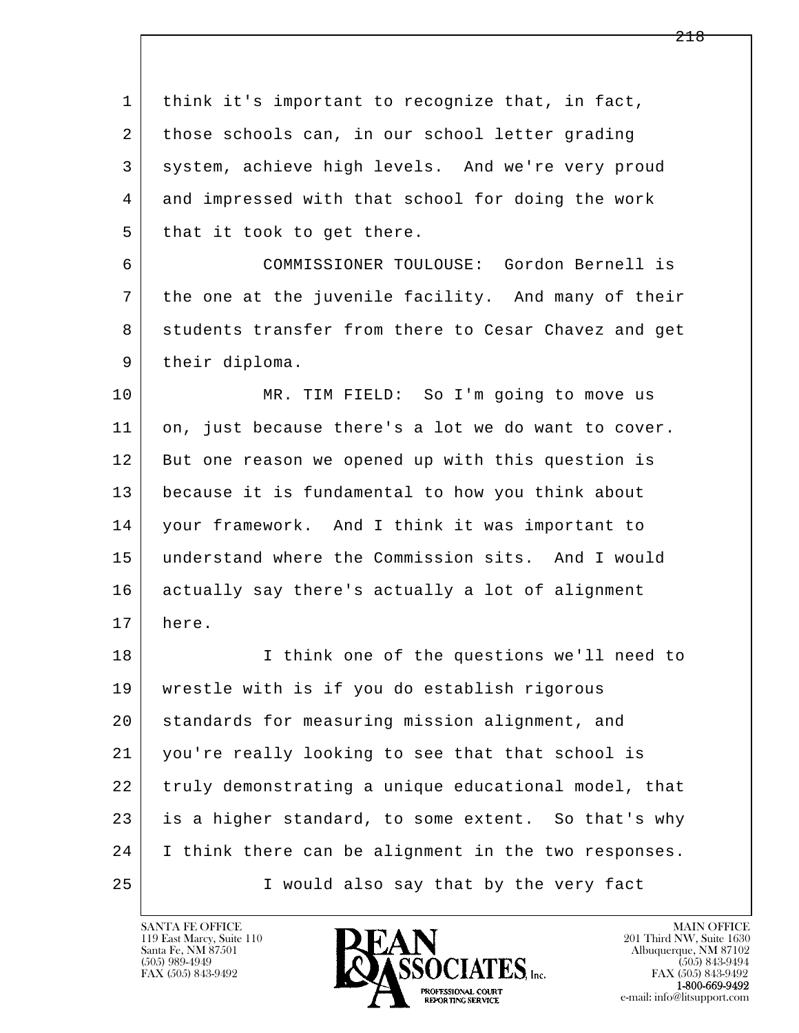l  $\overline{\phantom{a}}$  1 think it's important to recognize that, in fact, 2 those schools can, in our school letter grading 3 system, achieve high levels. And we're very proud 4 and impressed with that school for doing the work  $5$  that it took to get there. 6 COMMISSIONER TOULOUSE: Gordon Bernell is 7 the one at the juvenile facility. And many of their 8 students transfer from there to Cesar Chavez and get 9 | their diploma. 10 MR. TIM FIELD: So I'm going to move us 11 on, just because there's a lot we do want to cover. 12 But one reason we opened up with this question is 13 because it is fundamental to how you think about 14 your framework. And I think it was important to 15 understand where the Commission sits. And I would 16 actually say there's actually a lot of alignment 17 here. 18 I think one of the questions we'll need to 19 wrestle with is if you do establish rigorous 20 standards for measuring mission alignment, and 21 you're really looking to see that that school is 22 truly demonstrating a unique educational model, that 23 is a higher standard, to some extent. So that's why 24 I think there can be alignment in the two responses. 25 I would also say that by the very fact

119 East Marcy, Suite 110<br>Santa Fe, NM 87501

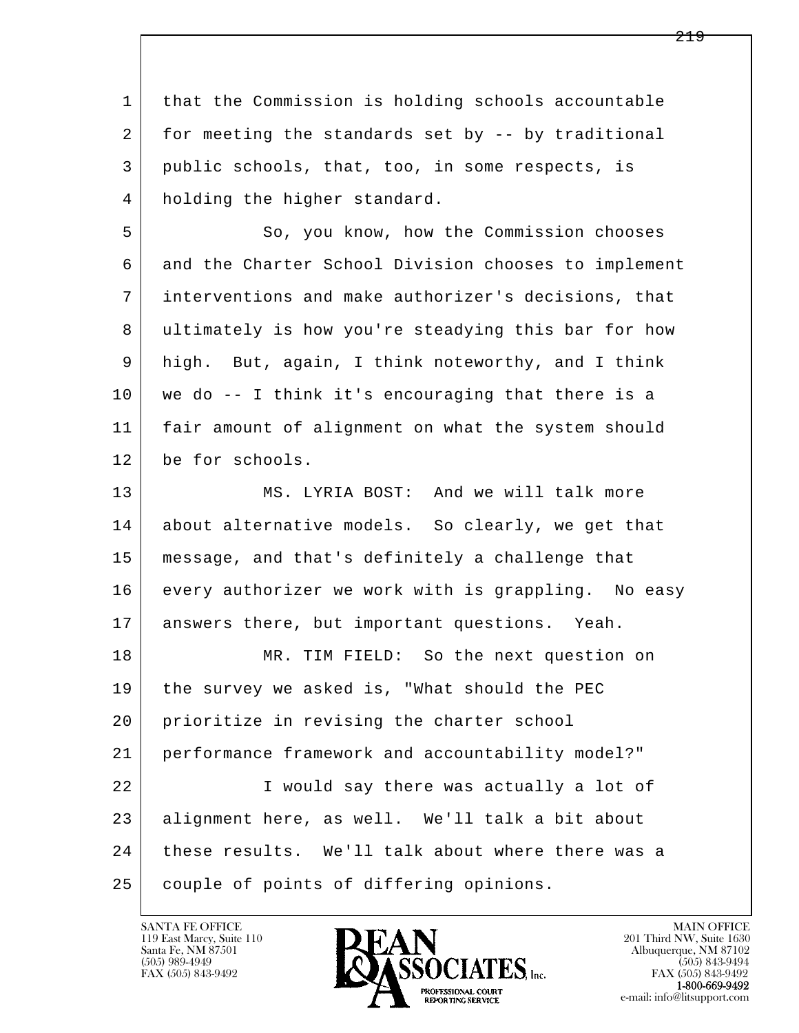l  $\overline{\phantom{a}}$  1 that the Commission is holding schools accountable 2 for meeting the standards set by -- by traditional 3 public schools, that, too, in some respects, is 4 holding the higher standard. 5 So, you know, how the Commission chooses 6 and the Charter School Division chooses to implement 7 interventions and make authorizer's decisions, that 8 ultimately is how you're steadying this bar for how 9 high. But, again, I think noteworthy, and I think 10 we do -- I think it's encouraging that there is a 11 fair amount of alignment on what the system should 12 be for schools. 13 MS. LYRIA BOST: And we will talk more 14 about alternative models. So clearly, we get that 15 message, and that's definitely a challenge that 16 | every authorizer we work with is grappling. No easy 17 answers there, but important questions. Yeah. 18 MR. TIM FIELD: So the next question on 19 the survey we asked is, "What should the PEC 20 prioritize in revising the charter school 21 performance framework and accountability model?" 22 I would say there was actually a lot of 23 alignment here, as well. We'll talk a bit about 24 these results. We'll talk about where there was a 25 couple of points of differing opinions.

119 East Marcy, Suite 110<br>Santa Fe, NM 87501



FAX (505) 843-9492<br>**1-800-669-9492**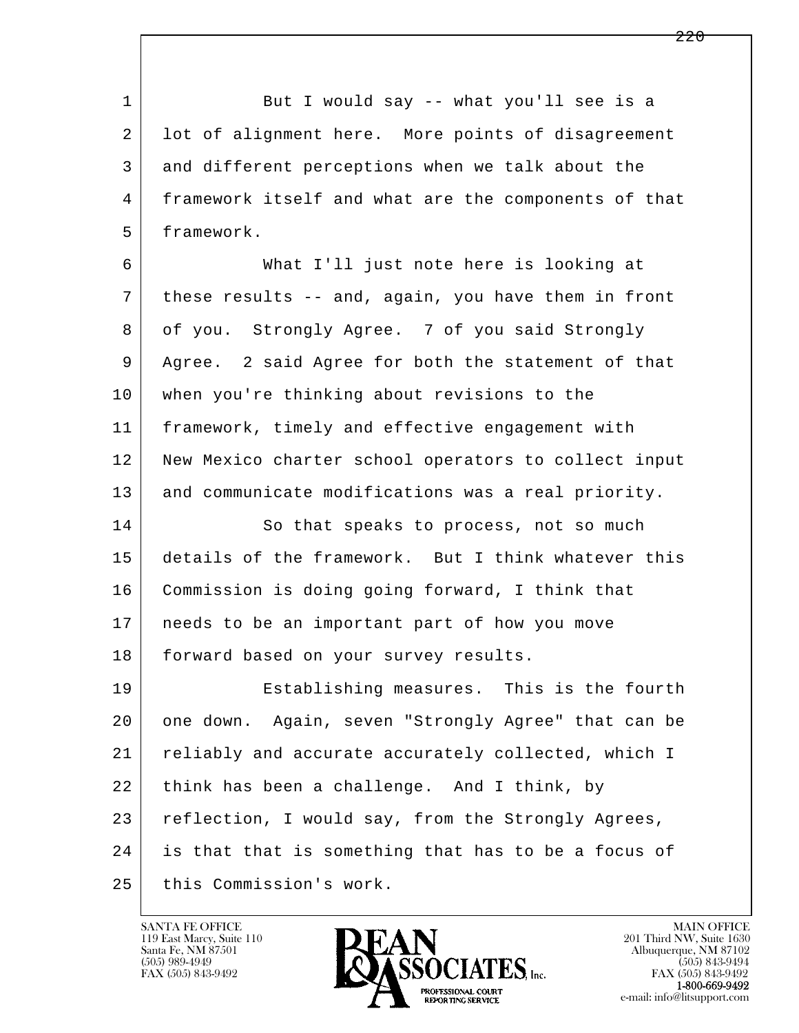1 But I would say -- what you'll see is a 2 lot of alignment here. More points of disagreement 3 and different perceptions when we talk about the 4 framework itself and what are the components of that 5 framework.

 6 What I'll just note here is looking at 7 these results -- and, again, you have them in front 8 | of you. Strongly Agree. 7 of you said Strongly 9 Agree. 2 said Agree for both the statement of that 10 when you're thinking about revisions to the 11 framework, timely and effective engagement with 12 | New Mexico charter school operators to collect input 13 and communicate modifications was a real priority.

14 So that speaks to process, not so much 15 details of the framework. But I think whatever this 16 Commission is doing going forward, I think that 17 needs to be an important part of how you move 18 | forward based on your survey results.

l  $\overline{\phantom{a}}$ 19 Establishing measures. This is the fourth 20 one down. Again, seven "Strongly Agree" that can be 21 reliably and accurate accurately collected, which I  $22$  think has been a challenge. And I think, by 23 reflection, I would say, from the Strongly Agrees, 24 is that that is something that has to be a focus of 25 this Commission's work.

119 East Marcy, Suite 110<br>Santa Fe, NM 87501

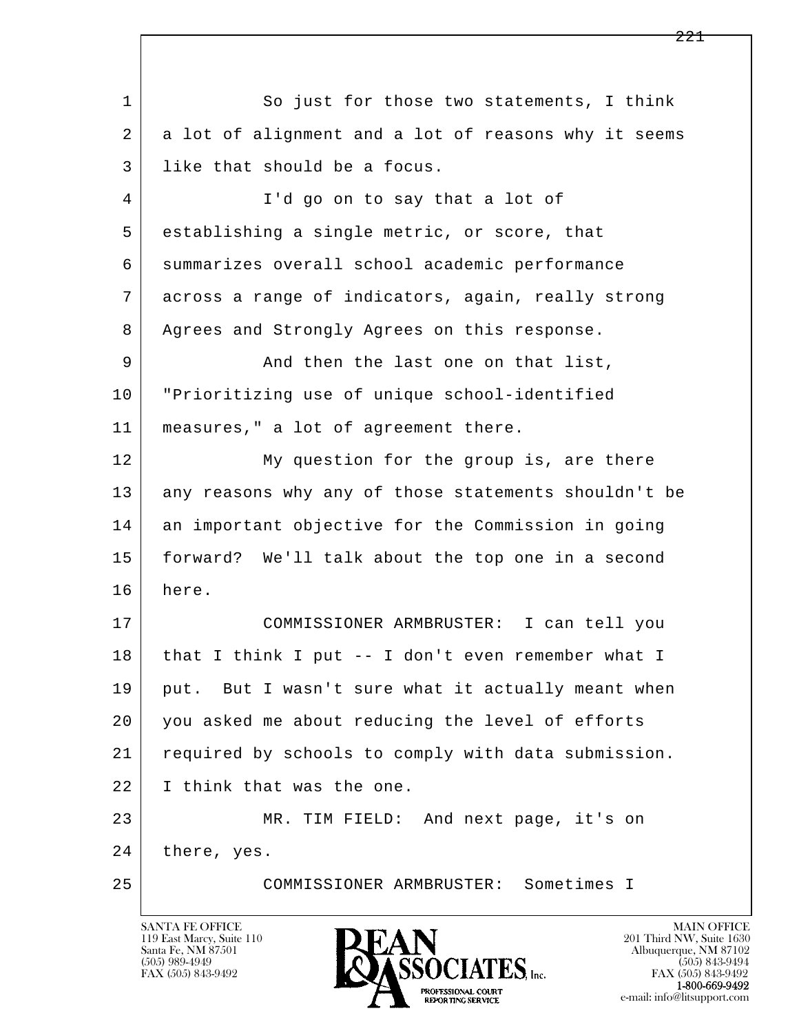l  $\overline{\phantom{a}}$ 1 So just for those two statements, I think 2 a lot of alignment and a lot of reasons why it seems 3 like that should be a focus. 4 I'd go on to say that a lot of 5 establishing a single metric, or score, that 6 summarizes overall school academic performance 7 across a range of indicators, again, really strong 8 | Agrees and Strongly Agrees on this response. 9 And then the last one on that list, 10 "Prioritizing use of unique school-identified 11 measures," a lot of agreement there. 12 My question for the group is, are there 13 any reasons why any of those statements shouldn't be 14 an important objective for the Commission in going 15 forward? We'll talk about the top one in a second 16 here. 17 COMMISSIONER ARMBRUSTER: I can tell you 18 | that I think I put -- I don't even remember what I 19 put. But I wasn't sure what it actually meant when 20 you asked me about reducing the level of efforts 21 required by schools to comply with data submission. 22 I think that was the one. 23 MR. TIM FIELD: And next page, it's on 24 there, yes. 25 COMMISSIONER ARMBRUSTER: Sometimes I

119 East Marcy, Suite 110<br>Santa Fe, NM 87501

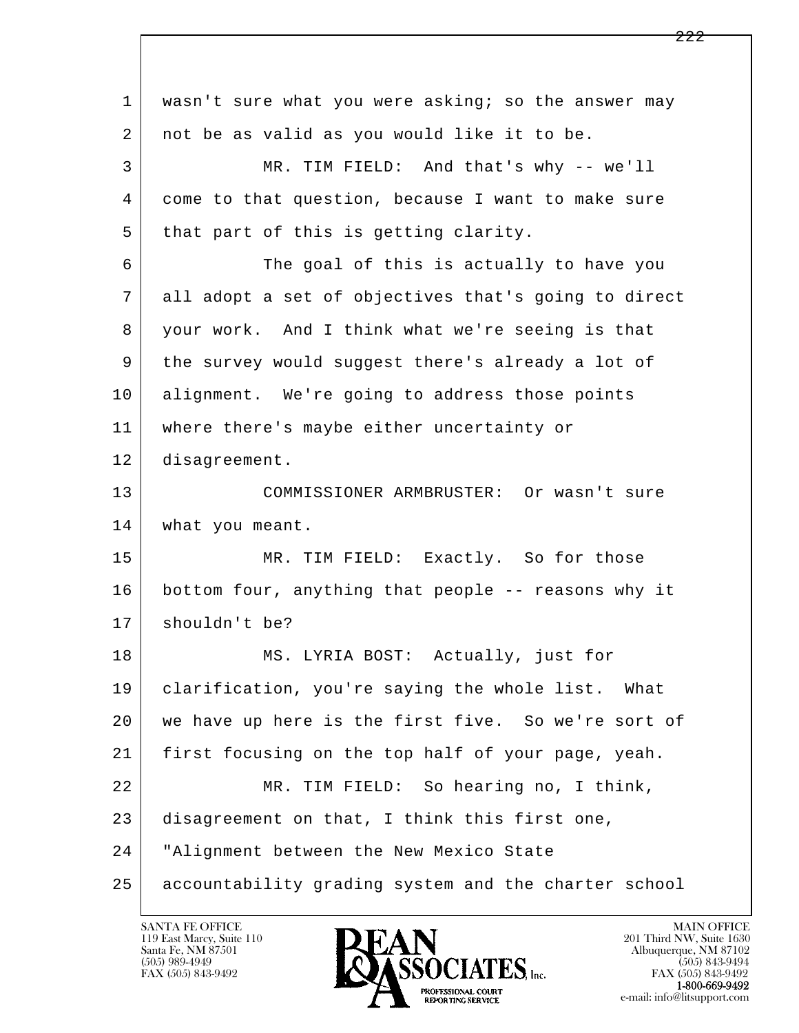l  $\overline{\phantom{a}}$ 1 | wasn't sure what you were asking; so the answer may 2 not be as valid as you would like it to be. 3 MR. TIM FIELD: And that's why -- we'll 4 come to that question, because I want to make sure 5 | that part of this is getting clarity. 6 The goal of this is actually to have you 7 all adopt a set of objectives that's going to direct 8 your work. And I think what we're seeing is that 9 the survey would suggest there's already a lot of 10 alignment. We're going to address those points 11 where there's maybe either uncertainty or 12 disagreement. 13 COMMISSIONER ARMBRUSTER: Or wasn't sure 14 | what you meant. 15 MR. TIM FIELD: Exactly. So for those 16 bottom four, anything that people -- reasons why it 17 | shouldn't be? 18 | MS. LYRIA BOST: Actually, just for 19 clarification, you're saying the whole list. What 20 we have up here is the first five. So we're sort of 21 first focusing on the top half of your page, yeah. 22 MR. TIM FIELD: So hearing no, I think, 23 disagreement on that, I think this first one, 24 "Alignment between the New Mexico State 25 accountability grading system and the charter school

119 East Marcy, Suite 110<br>Santa Fe, NM 87501

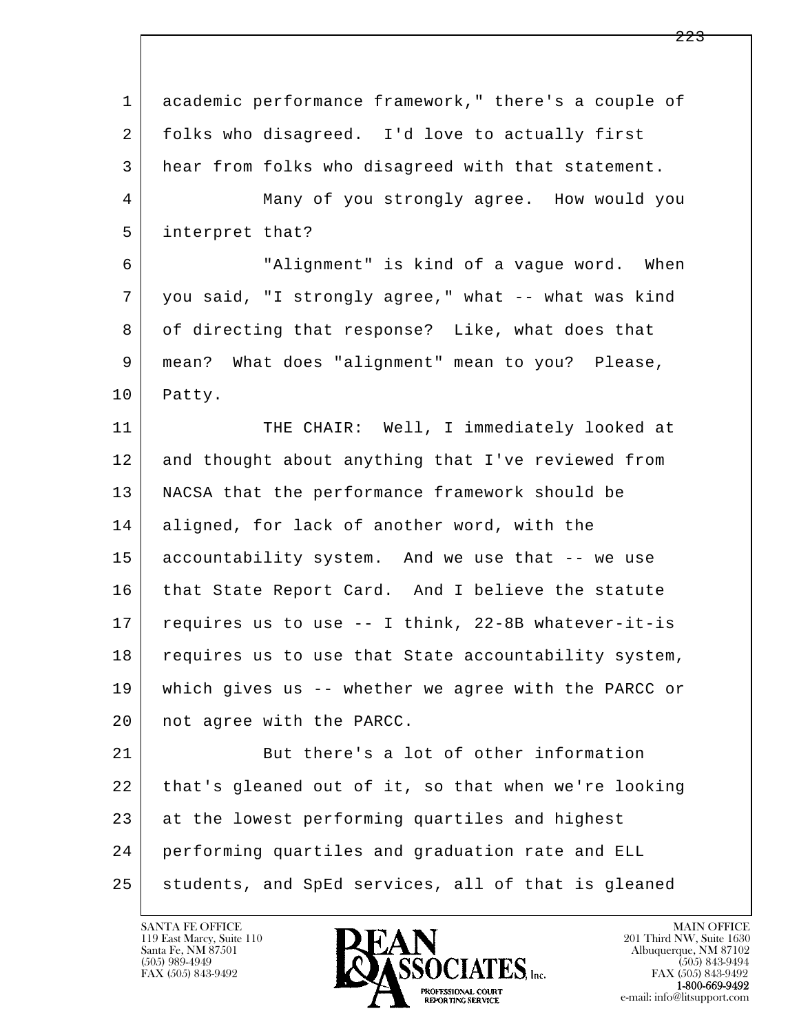| $\mathbf{1}$ | academic performance framework," there's a couple of |
|--------------|------------------------------------------------------|
| 2            | folks who disagreed. I'd love to actually first      |
| 3            | hear from folks who disagreed with that statement.   |
| 4            | Many of you strongly agree. How would you            |
| 5            | interpret that?                                      |
| 6            | "Alignment" is kind of a vague word. When            |
| 7            | you said, "I strongly agree," what -- what was kind  |
| 8            | of directing that response? Like, what does that     |
| 9            | mean? What does "alignment" mean to you? Please,     |
| 10           | Patty.                                               |
| 11           | THE CHAIR: Well, I immediately looked at             |
| 12           | and thought about anything that I've reviewed from   |
| 13           | NACSA that the performance framework should be       |
| 14           | aligned, for lack of another word, with the          |
| 15           | accountability system. And we use that -- we use     |
| 16           | that State Report Card. And I believe the statute    |
| 17           | requires us to use -- I think, 22-8B whatever-it-is  |
| 18           | requires us to use that State accountability system, |
| 19           | which gives us -- whether we agree with the PARCC or |
| 20           | not agree with the PARCC.                            |
| 21           | But there's a lot of other information               |
| 22           | that's gleaned out of it, so that when we're looking |
| 23           | at the lowest performing quartiles and highest       |
| 24           | performing quartiles and graduation rate and ELL     |
| 25           | students, and SpEd services, all of that is gleaned  |

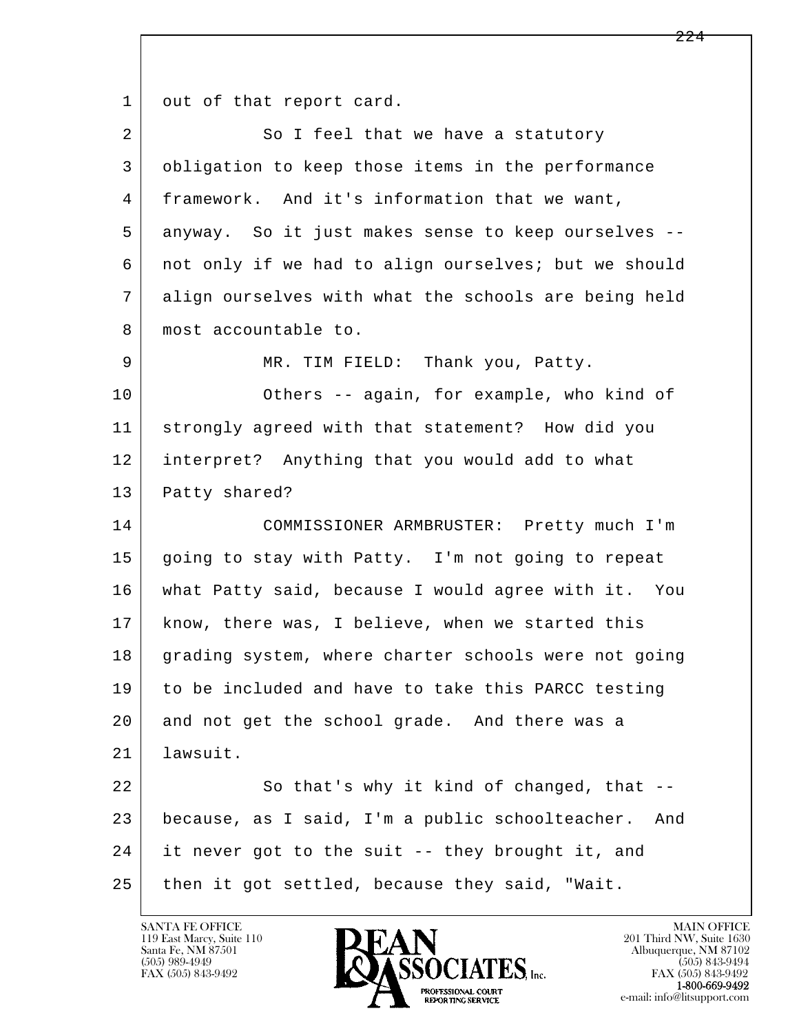l  $\overline{\phantom{a}}$ 1 out of that report card. 2 So I feel that we have a statutory 3 obligation to keep those items in the performance 4 framework. And it's information that we want, 5 anyway. So it just makes sense to keep ourselves -- 6 not only if we had to align ourselves; but we should 7 align ourselves with what the schools are being held 8 | most accountable to. 9 MR. TIM FIELD: Thank you, Patty. 10 Others -- again, for example, who kind of 11 strongly agreed with that statement? How did you 12 interpret? Anything that you would add to what 13 Patty shared? 14 COMMISSIONER ARMBRUSTER: Pretty much I'm 15 going to stay with Patty. I'm not going to repeat 16 what Patty said, because I would agree with it. You 17 know, there was, I believe, when we started this 18 grading system, where charter schools were not going 19 to be included and have to take this PARCC testing 20 and not get the school grade. And there was a 21 lawsuit. 22 So that's why it kind of changed, that -- 23 because, as I said, I'm a public schoolteacher. And 24 it never got to the suit -- they brought it, and  $25$  then it got settled, because they said, "Wait.

119 East Marcy, Suite 110<br>Santa Fe, NM 87501



FAX (505) 843-9492<br>**1-800-669-9492**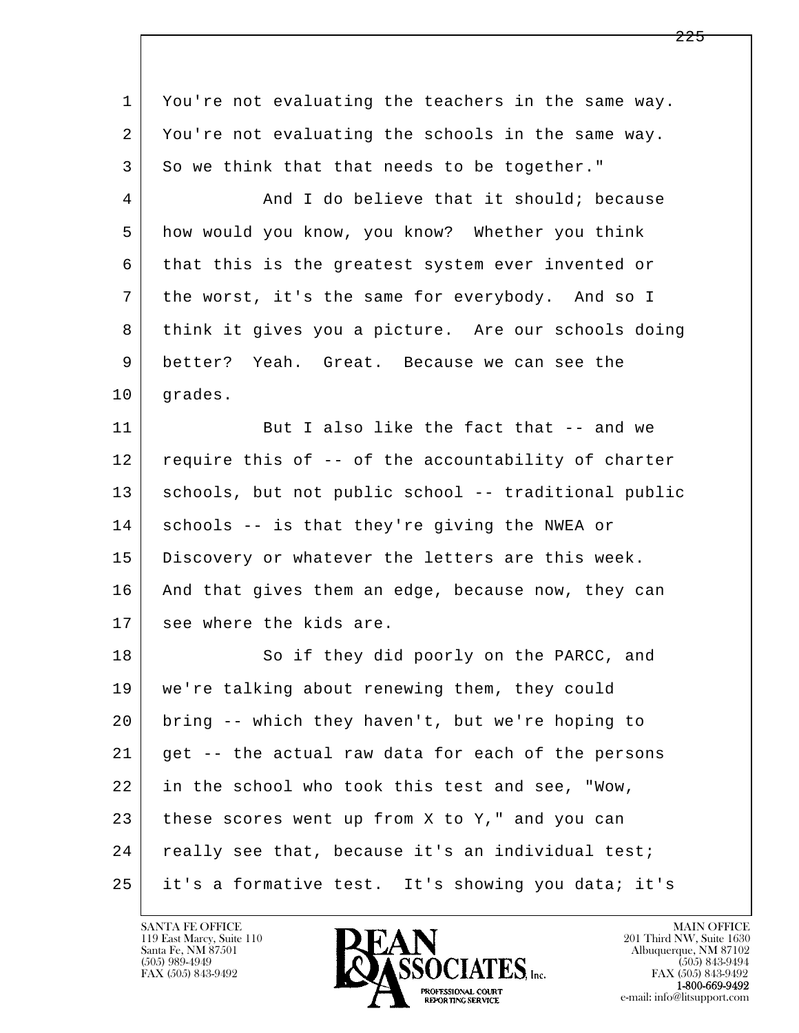| $\mathbf 1$ | You're not evaluating the teachers in the same way.  |
|-------------|------------------------------------------------------|
| 2           | You're not evaluating the schools in the same way.   |
| 3           | So we think that that needs to be together."         |
| 4           | And I do believe that it should; because             |
| 5           | how would you know, you know? Whether you think      |
| 6           | that this is the greatest system ever invented or    |
| 7           | the worst, it's the same for everybody. And so I     |
| 8           | think it gives you a picture. Are our schools doing  |
| 9           | better? Yeah. Great. Because we can see the          |
| 10          | grades.                                              |
| 11          | But I also like the fact that -- and we              |
| 12          | require this of -- of the accountability of charter  |
| 13          | schools, but not public school -- traditional public |
| 14          | schools -- is that they're giving the NWEA or        |
| 15          | Discovery or whatever the letters are this week.     |
| 16          | And that gives them an edge, because now, they can   |
| 17          | see where the kids are.                              |
| 18          | So if they did poorly on the PARCC, and              |
| 19          | we're talking about renewing them, they could        |
| 20          | bring -- which they haven't, but we're hoping to     |
| 21          | get -- the actual raw data for each of the persons   |
| 22          | in the school who took this test and see, "Wow,      |
| 23          | these scores went up from X to Y," and you can       |
| 24          | really see that, because it's an individual test;    |
| 25          | it's a formative test. It's showing you data; it's   |

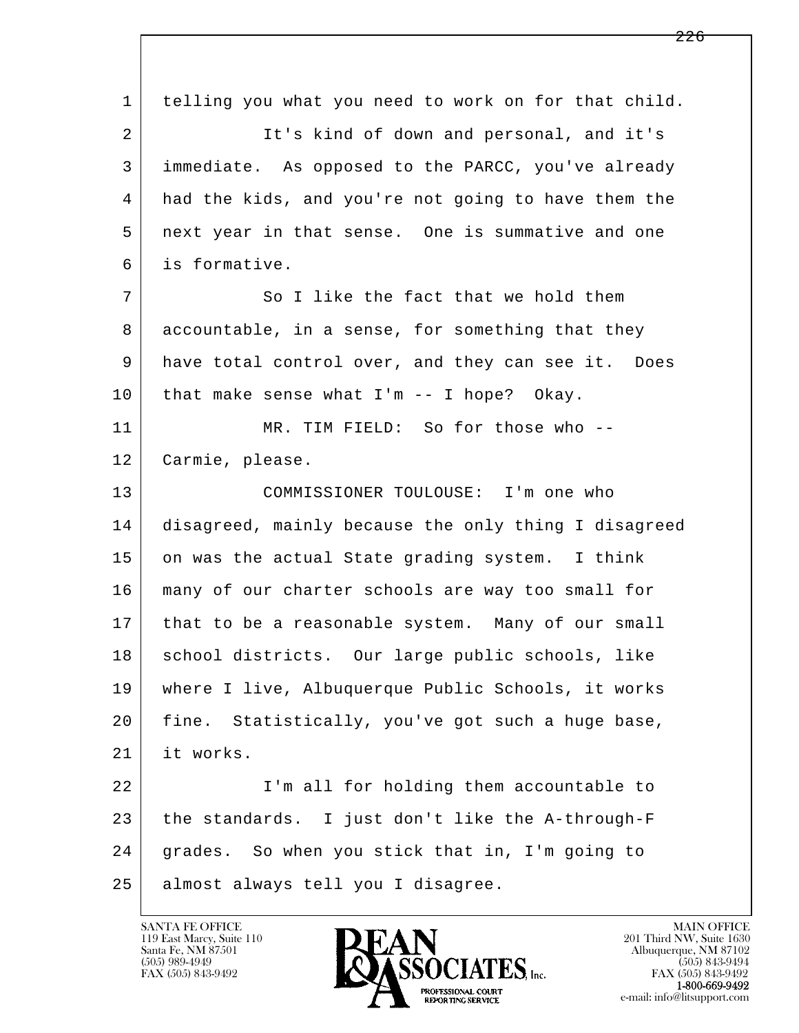l  $\overline{\phantom{a}}$  1 telling you what you need to work on for that child. 2 It's kind of down and personal, and it's 3 immediate. As opposed to the PARCC, you've already 4 had the kids, and you're not going to have them the 5 next year in that sense. One is summative and one 6 is formative. 7 So I like the fact that we hold them 8 accountable, in a sense, for something that they 9 have total control over, and they can see it. Does 10 that make sense what I'm -- I hope? Okay. 11 MR. TIM FIELD: So for those who -- 12 Carmie, please. 13 COMMISSIONER TOULOUSE: I'm one who 14 disagreed, mainly because the only thing I disagreed 15 on was the actual State grading system. I think 16 many of our charter schools are way too small for 17 | that to be a reasonable system. Many of our small 18 | school districts. Our large public schools, like 19 where I live, Albuquerque Public Schools, it works 20 fine. Statistically, you've got such a huge base, 21 it works. 22 | T'm all for holding them accountable to 23 the standards. I just don't like the A-through-F 24 grades. So when you stick that in, I'm going to 25 almost always tell you I disagree.

119 East Marcy, Suite 110<br>Santa Fe, NM 87501

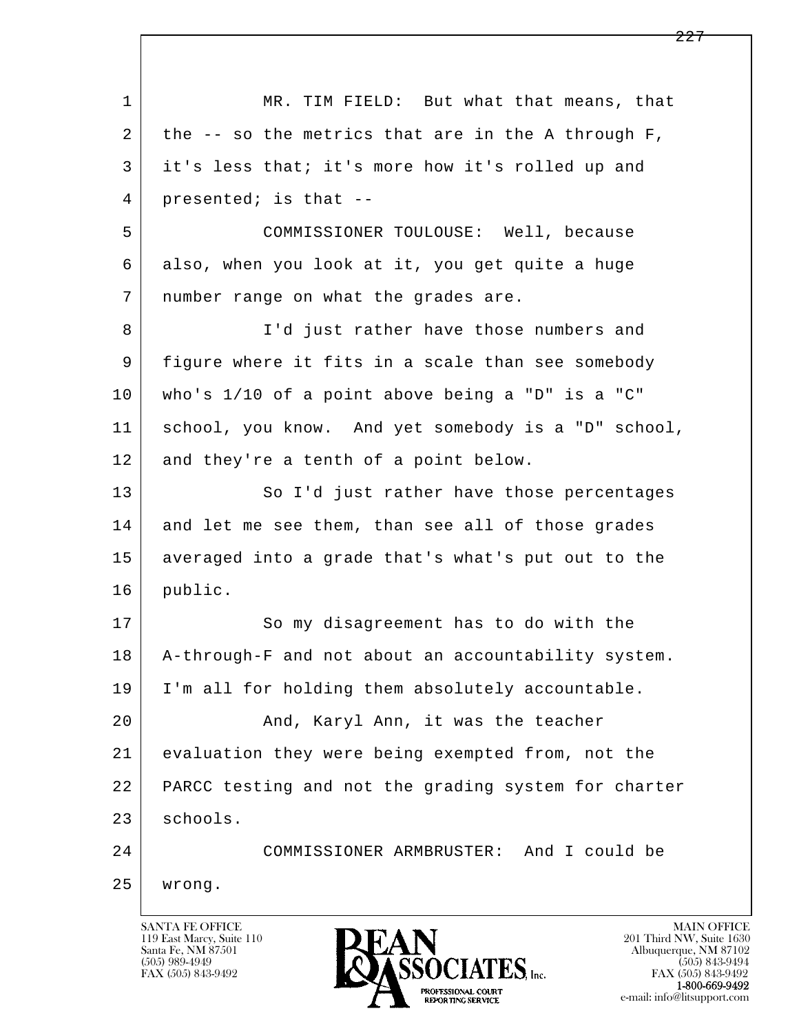l  $\overline{\phantom{a}}$ 1 MR. TIM FIELD: But what that means, that 2 the  $-$  so the metrics that are in the A through F, 3 it's less that; it's more how it's rolled up and 4 presented; is that -- 5 COMMISSIONER TOULOUSE: Well, because 6 also, when you look at it, you get quite a huge 7 | number range on what the grades are. 8 I'd just rather have those numbers and 9 figure where it fits in a scale than see somebody 10 who's 1/10 of a point above being a "D" is a "C" 11 school, you know. And yet somebody is a "D" school, 12 and they're a tenth of a point below. 13 So I'd just rather have those percentages 14 and let me see them, than see all of those grades 15 averaged into a grade that's what's put out to the 16 public. 17 So my disagreement has to do with the 18 A-through-F and not about an accountability system. 19 I'm all for holding them absolutely accountable. 20 | And, Karyl Ann, it was the teacher 21 evaluation they were being exempted from, not the 22 PARCC testing and not the grading system for charter 23 schools. 24 COMMISSIONER ARMBRUSTER: And I could be 25 wrong.

119 East Marcy, Suite 110<br>Santa Fe, NM 87501

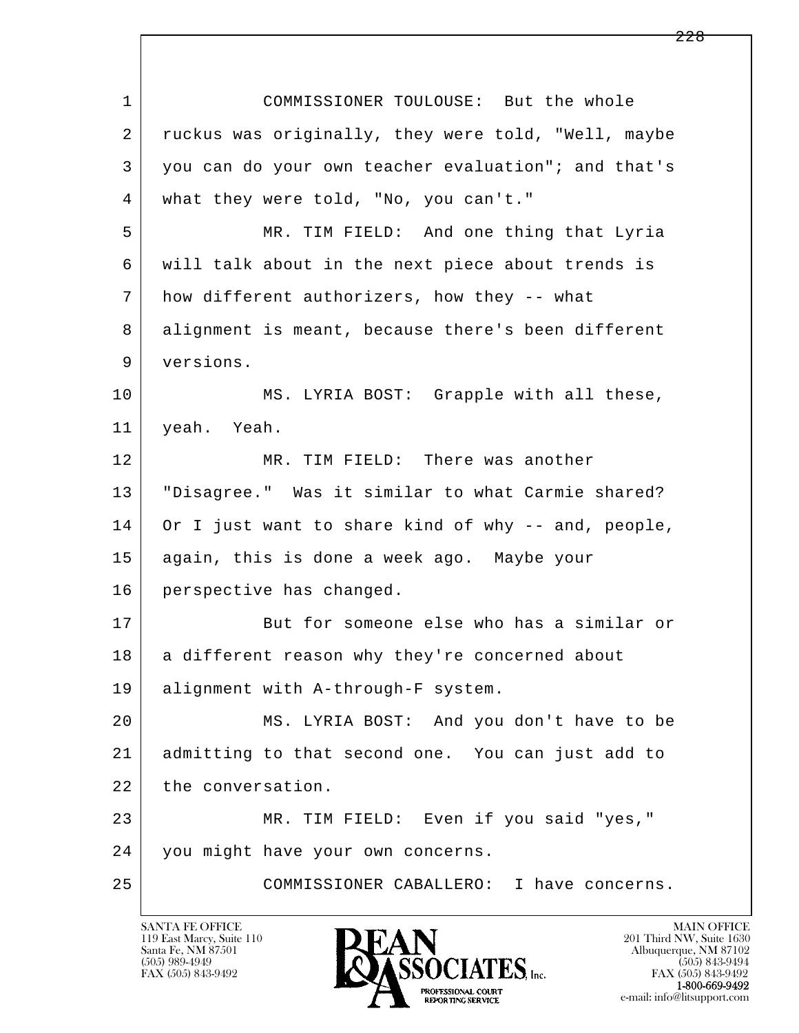| $\mathbf 1$ | COMMISSIONER TOULOUSE: But the whole                |
|-------------|-----------------------------------------------------|
| 2           | ruckus was originally, they were told, "Well, maybe |
| 3           | you can do your own teacher evaluation"; and that's |
| 4           | what they were told, "No, you can't."               |
| 5           | MR. TIM FIELD: And one thing that Lyria             |
| 6           | will talk about in the next piece about trends is   |
| 7           | how different authorizers, how they -- what         |
| 8           | alignment is meant, because there's been different  |
| 9           | versions.                                           |
| 10          | MS. LYRIA BOST: Grapple with all these,             |
| 11          | yeah. Yeah.                                         |
| 12          | MR. TIM FIELD: There was another                    |
| 13          | "Disagree." Was it similar to what Carmie shared?   |
| 14          | Or I just want to share kind of why -- and, people, |
| 15          | again, this is done a week ago. Maybe your          |
| 16          | perspective has changed.                            |
| 17          | But for someone else who has a similar or           |
| 18          | a different reason why they're concerned about      |
| 19          | alignment with A-through-F system.                  |
| 20          | MS. LYRIA BOST: And you don't have to be            |
| 21          | admitting to that second one. You can just add to   |
| 22          | the conversation.                                   |
| 23          | MR. TIM FIELD: Even if you said "yes,"              |
| 24          | you might have your own concerns.                   |
| 25          | COMMISSIONER CABALLERO: I have concerns.            |
|             |                                                     |

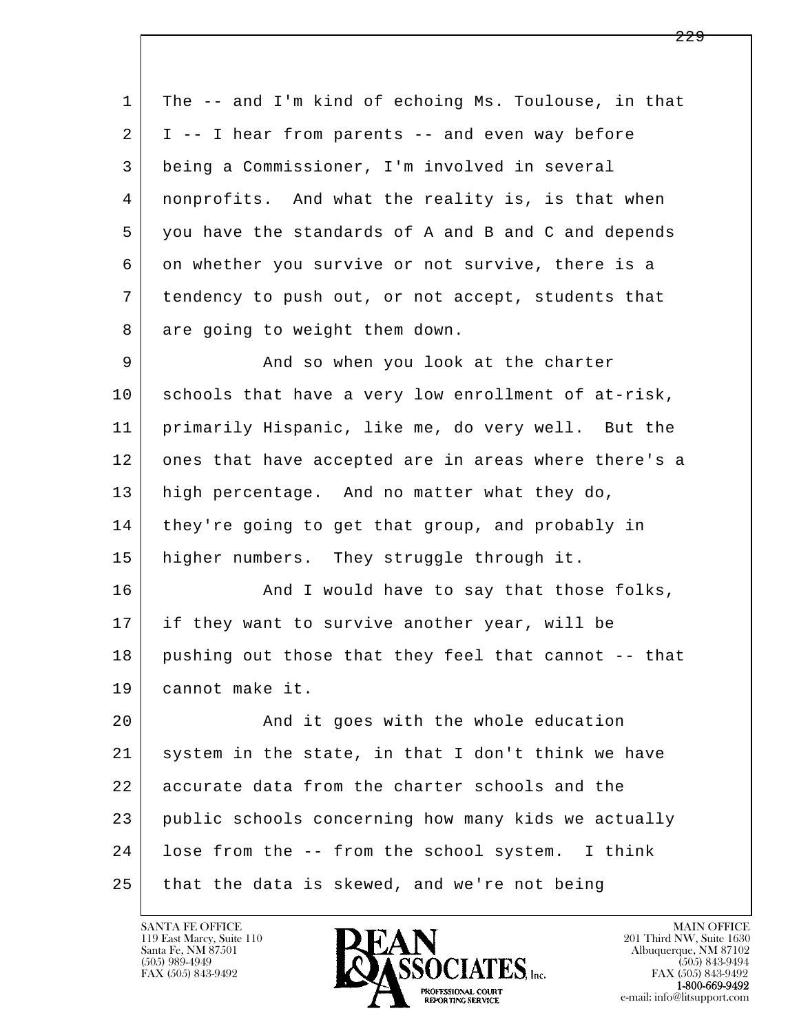| $\mathbf 1$ | The -- and I'm kind of echoing Ms. Toulouse, in that |
|-------------|------------------------------------------------------|
| 2           | I -- I hear from parents -- and even way before      |
| 3           | being a Commissioner, I'm involved in several        |
| 4           | nonprofits. And what the reality is, is that when    |
| 5           | you have the standards of A and B and C and depends  |
| 6           | on whether you survive or not survive, there is a    |
| 7           | tendency to push out, or not accept, students that   |
| 8           | are going to weight them down.                       |
| 9           | And so when you look at the charter                  |
| 10          | schools that have a very low enrollment of at-risk,  |
| 11          | primarily Hispanic, like me, do very well. But the   |
| 12          | ones that have accepted are in areas where there's a |
| 13          | high percentage. And no matter what they do,         |
| 14          | they're going to get that group, and probably in     |
| 15          | higher numbers. They struggle through it.            |
| 16          | And I would have to say that those folks,            |
| 17          | if they want to survive another year, will be        |
| 18          | pushing out those that they feel that cannot -- that |
| 19          | cannot make it.                                      |
| 20          | And it goes with the whole education                 |
| 21          | system in the state, in that I don't think we have   |
| 22          | accurate data from the charter schools and the       |
| 23          | public schools concerning how many kids we actually  |
| 24          | lose from the -- from the school system. I think     |
| 25          | that the data is skewed, and we're not being         |

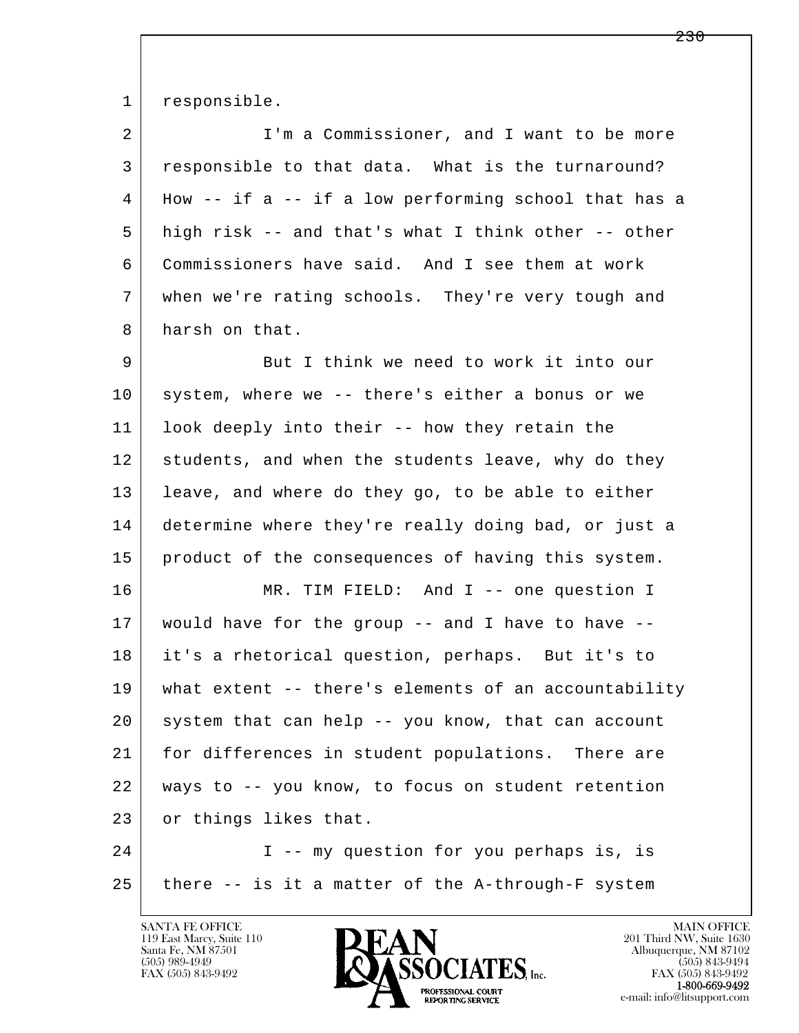1 responsible.

| 2  | I'm a Commissioner, and I want to be more                |
|----|----------------------------------------------------------|
| 3  | responsible to that data. What is the turnaround?        |
| 4  | How $--$ if a $--$ if a low performing school that has a |
| 5  | high risk -- and that's what I think other -- other      |
| 6  | Commissioners have said. And I see them at work          |
| 7  | when we're rating schools. They're very tough and        |
| 8  | harsh on that.                                           |
| 9  | But I think we need to work it into our                  |
| 10 | system, where we -- there's either a bonus or we         |
| 11 | look deeply into their -- how they retain the            |
| 12 | students, and when the students leave, why do they       |
| 13 | leave, and where do they go, to be able to either        |
| 14 | determine where they're really doing bad, or just a      |
| 15 | product of the consequences of having this system.       |
| 16 | MR. TIM FIELD: And I -- one question I                   |
| 17 | would have for the group -- and I have to have --        |
| 18 | it's a rhetorical question, perhaps. But it's to         |
| 19 | what extent -- there's elements of an accountability     |
| 20 | system that can help -- you know, that can account       |
| 21 | for differences in student populations. There are        |
| 22 | ways to -- you know, to focus on student retention       |
| 23 | or things likes that.                                    |
| 24 | I -- my question for you perhaps is, is                  |
| 25 | there -- is it a matter of the A-through-F system        |

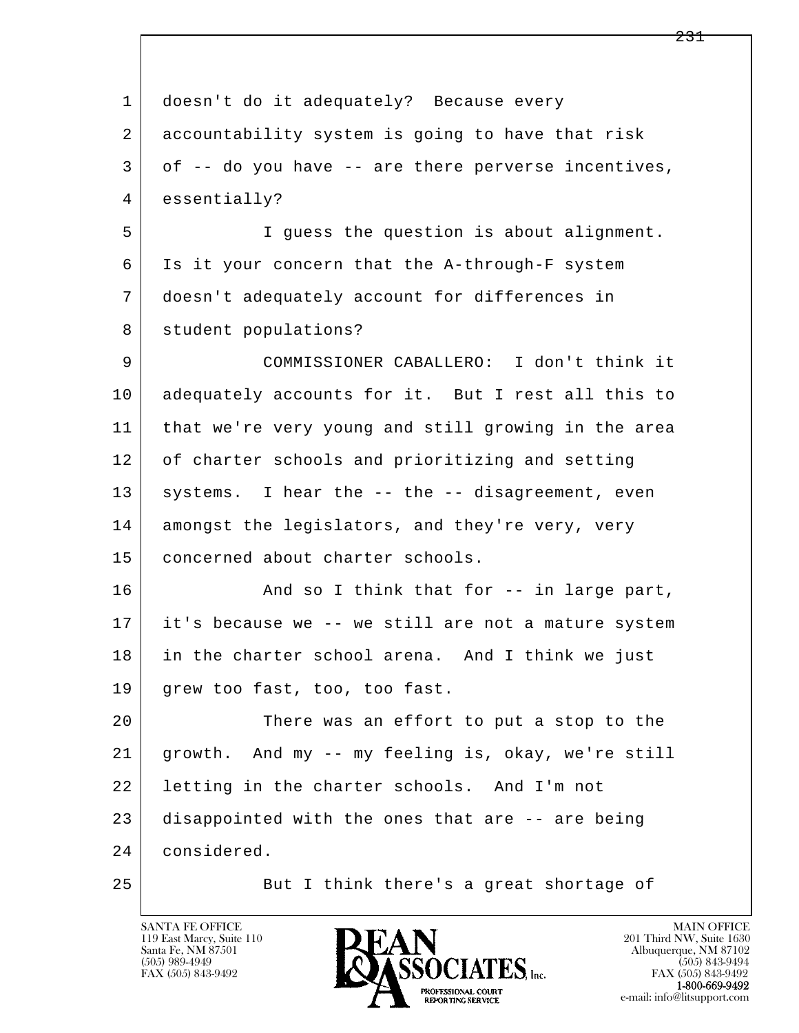| $\mathbf 1$ | doesn't do it adequately? Because every             |
|-------------|-----------------------------------------------------|
| 2           | accountability system is going to have that risk    |
| 3           | of -- do you have -- are there perverse incentives, |
| 4           | essentially?                                        |
| 5           | I guess the question is about alignment.            |
| 6           | Is it your concern that the A-through-F system      |
| 7           | doesn't adequately account for differences in       |
| 8           | student populations?                                |
| 9           | COMMISSIONER CABALLERO: I don't think it            |
| 10          | adequately accounts for it. But I rest all this to  |
| 11          | that we're very young and still growing in the area |
| 12          | of charter schools and prioritizing and setting     |
| 13          | systems. I hear the -- the -- disagreement, even    |
| 14          | amongst the legislators, and they're very, very     |
| 15          | concerned about charter schools.                    |
| 16          | And so I think that for -- in large part,           |
| 17          | it's because we -- we still are not a mature system |
| 18          | in the charter school arena. And I think we just    |
| 19          | grew too fast, too, too fast.                       |
| 20          | There was an effort to put a stop to the            |
| 21          | growth. And my -- my feeling is, okay, we're still  |
| 22          | letting in the charter schools. And I'm not         |
| 23          | disappointed with the ones that are -- are being    |
| 24          | considered.                                         |
| 25          | But I think there's a great shortage of             |

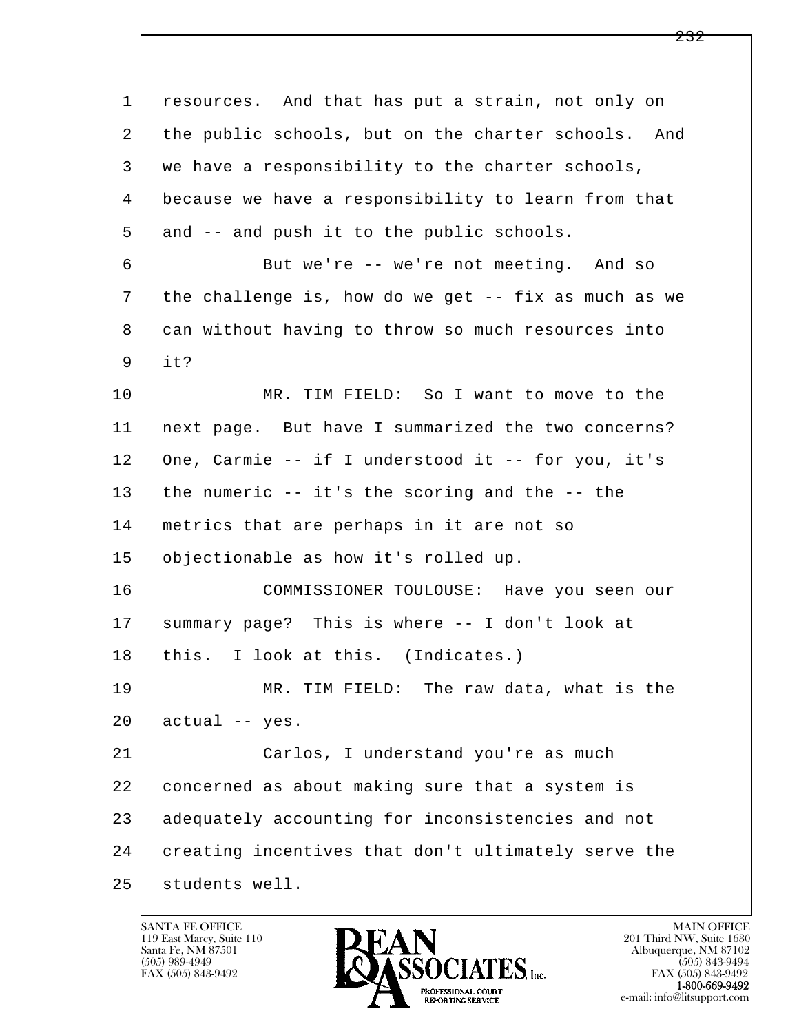l  $\overline{\phantom{a}}$  1 resources. And that has put a strain, not only on 2 the public schools, but on the charter schools. And 3 we have a responsibility to the charter schools, 4 because we have a responsibility to learn from that 5 and -- and push it to the public schools. 6 But we're -- we're not meeting. And so 7 the challenge is, how do we get -- fix as much as we 8 can without having to throw so much resources into 9 it? 10 MR. TIM FIELD: So I want to move to the 11 next page. But have I summarized the two concerns? 12 One, Carmie -- if I understood it -- for you, it's 13 the numeric -- it's the scoring and the -- the 14 metrics that are perhaps in it are not so 15 objectionable as how it's rolled up. 16 COMMISSIONER TOULOUSE: Have you seen our 17 summary page? This is where -- I don't look at 18 | this. I look at this. (Indicates.) 19 MR. TIM FIELD: The raw data, what is the  $20$  actual -- yes. 21 Carlos, I understand you're as much 22 concerned as about making sure that a system is 23 adequately accounting for inconsistencies and not 24 creating incentives that don't ultimately serve the 25 students well.

119 East Marcy, Suite 110<br>Santa Fe, NM 87501

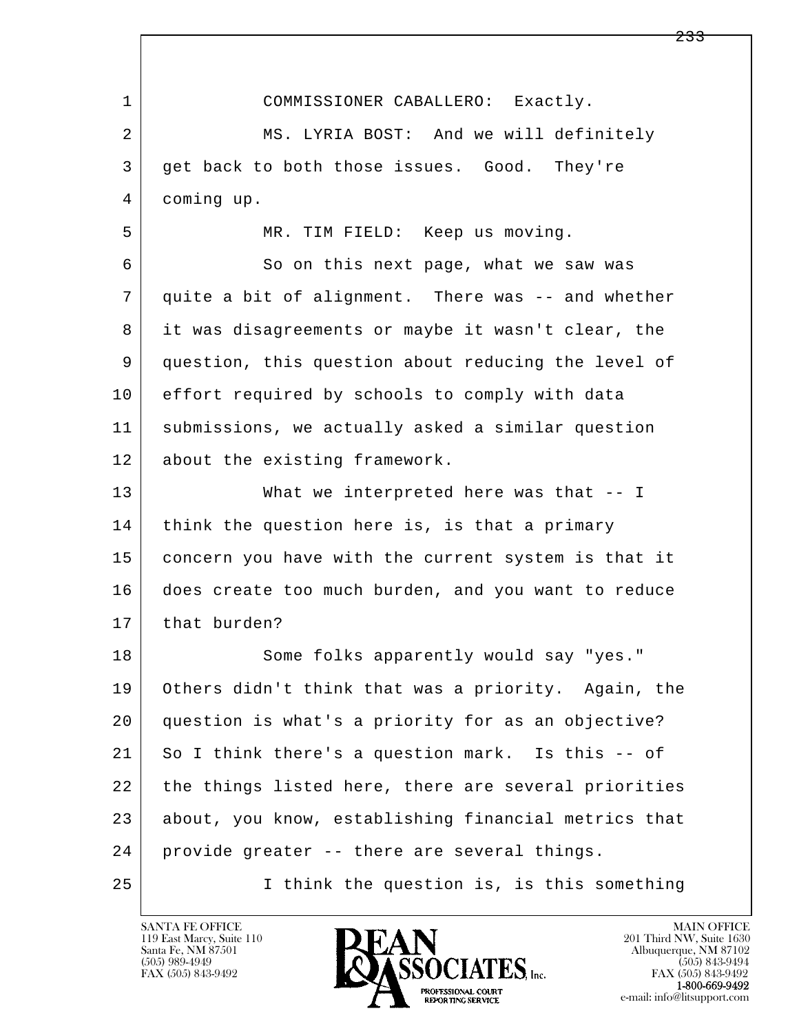| 1              | COMMISSIONER CABALLERO: Exactly.                     |
|----------------|------------------------------------------------------|
| $\overline{a}$ | MS. LYRIA BOST: And we will definitely               |
| 3              | get back to both those issues. Good. They're         |
| 4              | coming up.                                           |
| 5              | MR. TIM FIELD: Keep us moving.                       |
| 6              | So on this next page, what we saw was                |
| 7              | quite a bit of alignment. There was -- and whether   |
| 8              | it was disagreements or maybe it wasn't clear, the   |
| 9              | question, this question about reducing the level of  |
| 10             | effort required by schools to comply with data       |
| 11             | submissions, we actually asked a similar question    |
| 12             | about the existing framework.                        |
| 13             | What we interpreted here was that -- I               |
| 14             | think the question here is, is that a primary        |
| 15             | concern you have with the current system is that it  |
| 16             | does create too much burden, and you want to reduce  |
| 17             | that burden?                                         |
| 18             | Some folks apparently would say "yes."               |
| 19             | Others didn't think that was a priority. Again, the  |
| 20             | question is what's a priority for as an objective?   |
| 21             | So I think there's a question mark. Is this -- of    |
| 22             | the things listed here, there are several priorities |
| 23             | about, you know, establishing financial metrics that |
| 24             | provide greater -- there are several things.         |
| 25             | I think the question is, is this something           |

Г

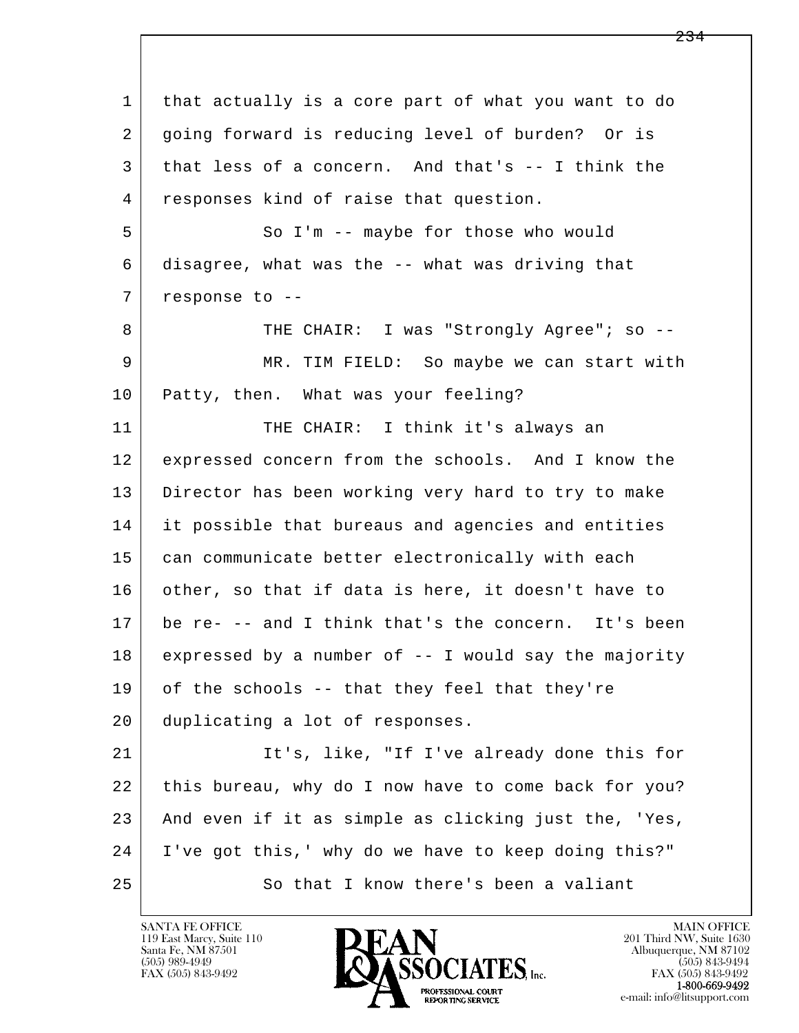l  $\overline{\phantom{a}}$  1 that actually is a core part of what you want to do 2 going forward is reducing level of burden? Or is 3 that less of a concern. And that's -- I think the 4 responses kind of raise that question. 5 So I'm -- maybe for those who would 6 disagree, what was the -- what was driving that 7 response to --8 | THE CHAIR: I was "Strongly Agree"; so -- 9 MR. TIM FIELD: So maybe we can start with 10 Patty, then. What was your feeling? 11 THE CHAIR: I think it's always an 12 expressed concern from the schools. And I know the 13 Director has been working very hard to try to make 14 it possible that bureaus and agencies and entities 15 can communicate better electronically with each 16 other, so that if data is here, it doesn't have to 17 be re- -- and I think that's the concern. It's been 18 expressed by a number of -- I would say the majority 19 of the schools -- that they feel that they're 20 duplicating a lot of responses. 21 It's, like, "If I've already done this for 22 this bureau, why do I now have to come back for you? 23 And even if it as simple as clicking just the, 'Yes, 24 I've got this,' why do we have to keep doing this?" 25 So that I know there's been a valiant

119 East Marcy, Suite 110<br>Santa Fe, NM 87501

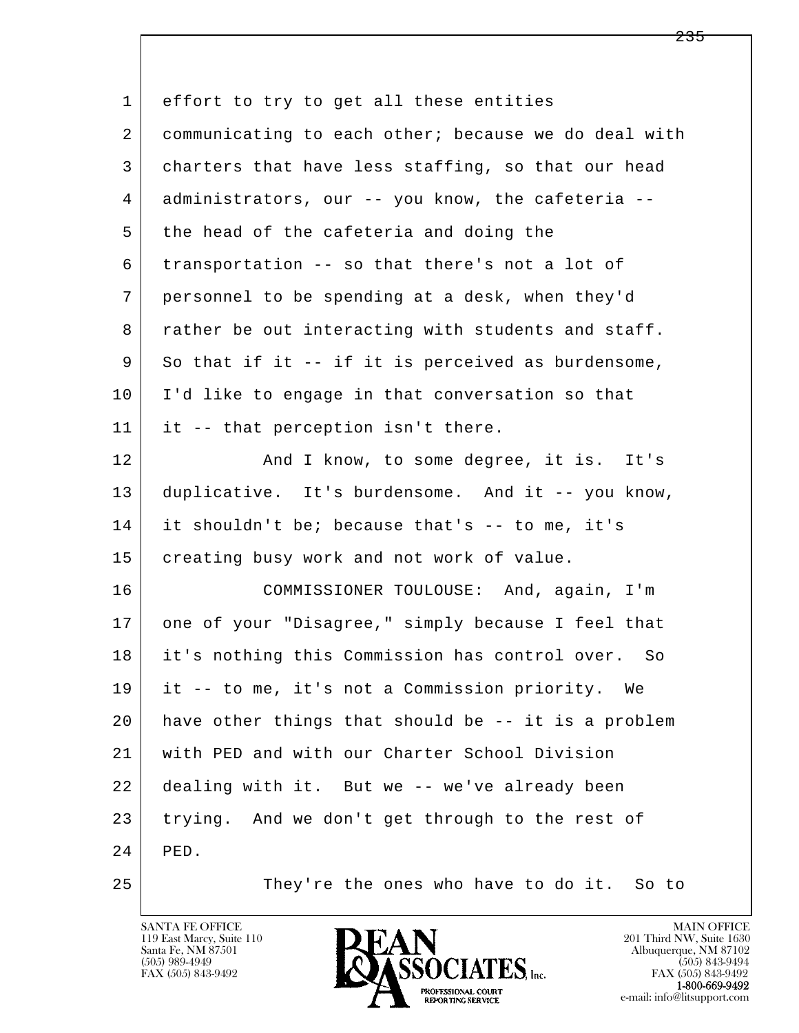l  $\overline{\phantom{a}}$  1 effort to try to get all these entities 2 communicating to each other; because we do deal with 3 charters that have less staffing, so that our head 4 administrators, our -- you know, the cafeteria -- 5 the head of the cafeteria and doing the 6 transportation -- so that there's not a lot of 7 personnel to be spending at a desk, when they'd 8 | rather be out interacting with students and staff. 9 So that if it -- if it is perceived as burdensome, 10 I'd like to engage in that conversation so that 11 it -- that perception isn't there. 12 And I know, to some degree, it is. It's 13 duplicative. It's burdensome. And it -- you know, 14 it shouldn't be; because that's -- to me, it's 15 creating busy work and not work of value. 16 COMMISSIONER TOULOUSE: And, again, I'm 17 one of your "Disagree," simply because I feel that 18 it's nothing this Commission has control over. So 19 it -- to me, it's not a Commission priority. We 20 have other things that should be -- it is a problem 21 with PED and with our Charter School Division 22 dealing with it. But we -- we've already been 23 trying. And we don't get through to the rest of 24 PED. 25 They're the ones who have to do it. So to

119 East Marcy, Suite 110<br>Santa Fe, NM 87501

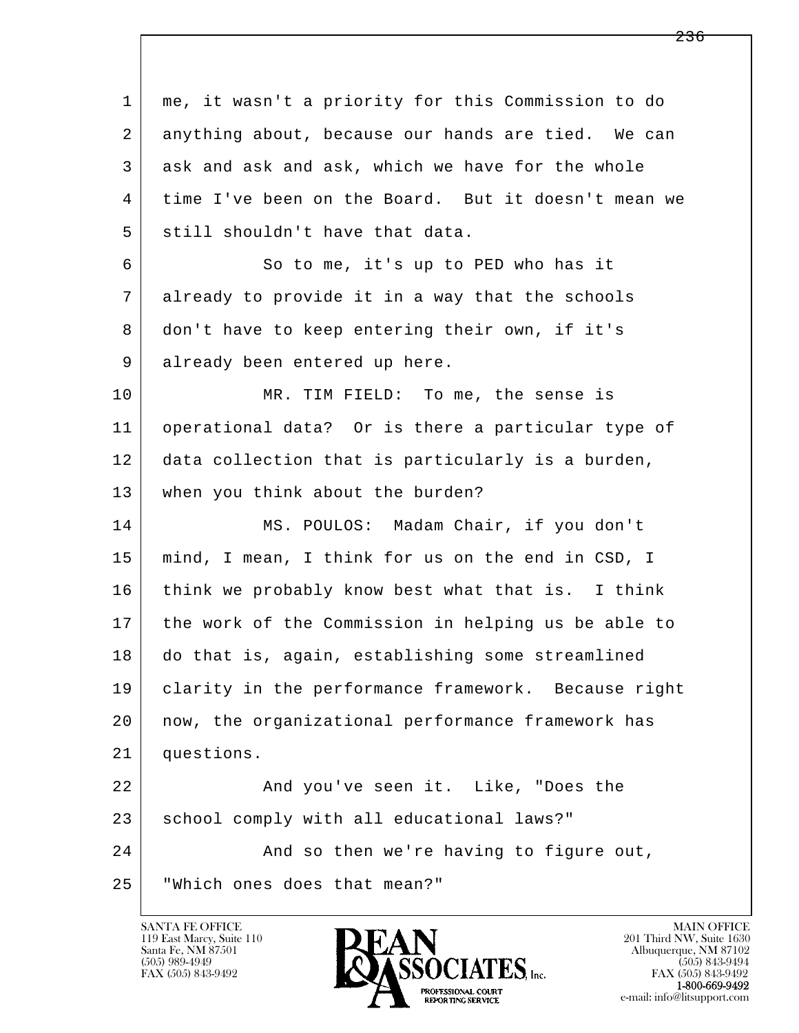l  $\overline{\phantom{a}}$  1 me, it wasn't a priority for this Commission to do 2 anything about, because our hands are tied. We can 3 ask and ask and ask, which we have for the whole 4 time I've been on the Board. But it doesn't mean we  $5$  still shouldn't have that data. 6 So to me, it's up to PED who has it 7 already to provide it in a way that the schools 8 don't have to keep entering their own, if it's 9 already been entered up here. 10 MR. TIM FIELD: To me, the sense is 11 operational data? Or is there a particular type of 12 data collection that is particularly is a burden, 13 | when you think about the burden? 14 MS. POULOS: Madam Chair, if you don't 15 mind, I mean, I think for us on the end in CSD, I 16 think we probably know best what that is. I think 17 the work of the Commission in helping us be able to 18 do that is, again, establishing some streamlined 19 clarity in the performance framework. Because right 20 now, the organizational performance framework has 21 questions. 22 And you've seen it. Like, "Does the 23 school comply with all educational laws?" 24 And so then we're having to figure out, 25 "Which ones does that mean?"

119 East Marcy, Suite 110<br>Santa Fe, NM 87501



FAX (505) 843-9492<br>1-800-669-9492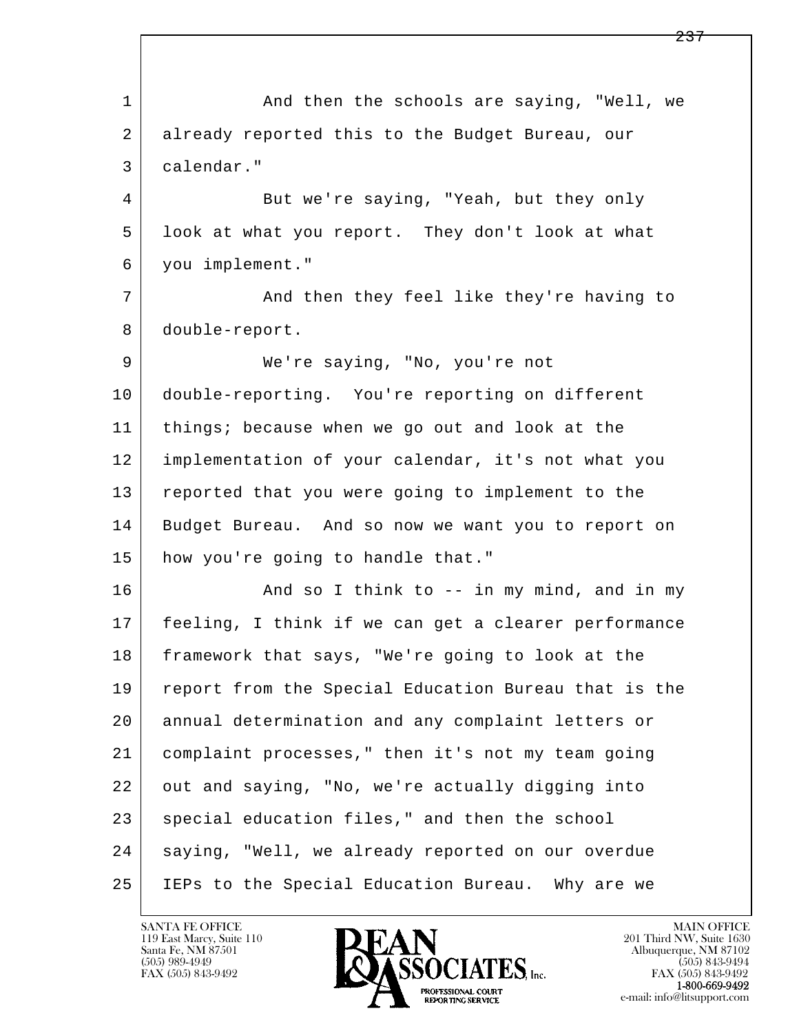l  $\overline{\phantom{a}}$ 1 and then the schools are saying, "Well, we 2 already reported this to the Budget Bureau, our 3 calendar." 4 But we're saying, "Yeah, but they only 5 look at what you report. They don't look at what 6 you implement." 7 | And then they feel like they're having to 8 double-report. 9 We're saying, "No, you're not 10 double-reporting. You're reporting on different 11 things; because when we go out and look at the 12 implementation of your calendar, it's not what you 13 reported that you were going to implement to the 14 Budget Bureau. And so now we want you to report on 15 how you're going to handle that." 16 And so I think to -- in my mind, and in my 17 feeling, I think if we can get a clearer performance 18 framework that says, "We're going to look at the 19 report from the Special Education Bureau that is the 20 annual determination and any complaint letters or 21 complaint processes," then it's not my team going 22 out and saying, "No, we're actually digging into 23 special education files," and then the school 24 | saying, "Well, we already reported on our overdue 25 IEPs to the Special Education Bureau. Why are we

119 East Marcy, Suite 110<br>Santa Fe, NM 87501



FAX (505) 843-9492<br>**1-800-669-9492**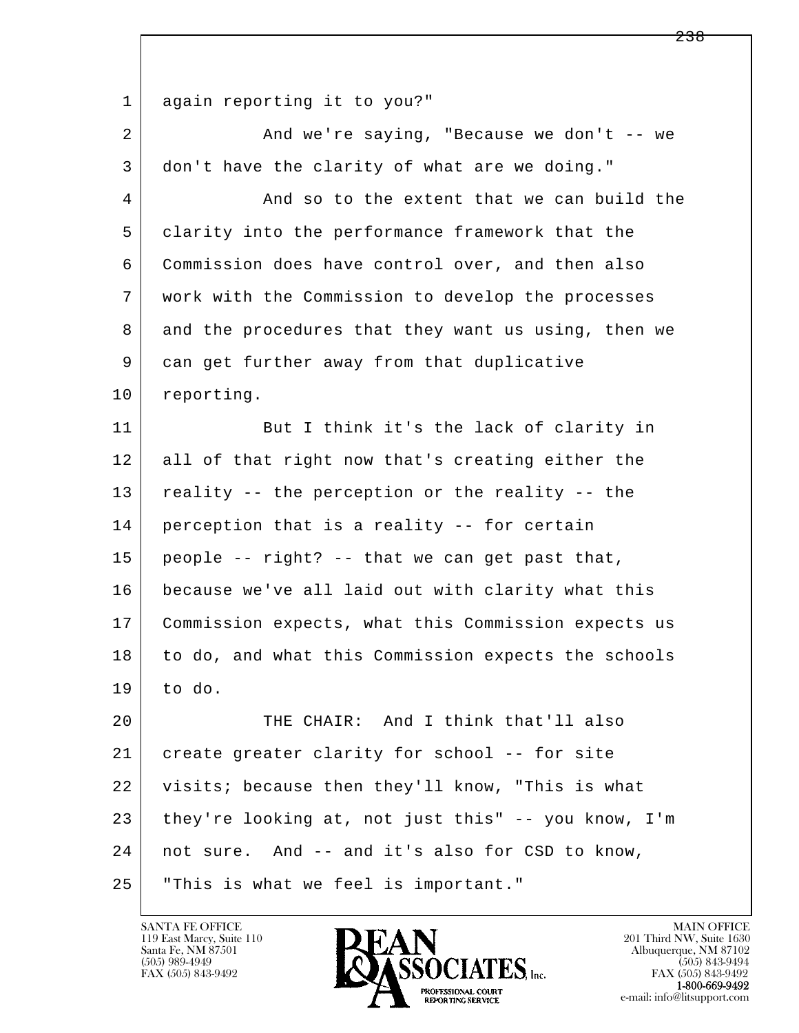l  $\overline{\phantom{a}}$ 1 again reporting it to you?" 2 And we're saying, "Because we don't -- we 3 don't have the clarity of what are we doing." 4 And so to the extent that we can build the 5 clarity into the performance framework that the 6 Commission does have control over, and then also 7 work with the Commission to develop the processes 8 and the procedures that they want us using, then we 9 can get further away from that duplicative 10 reporting. 11 But I think it's the lack of clarity in 12 all of that right now that's creating either the 13 reality -- the perception or the reality -- the 14 perception that is a reality -- for certain  $15$  people -- right? -- that we can get past that, 16 because we've all laid out with clarity what this 17 Commission expects, what this Commission expects us 18 to do, and what this Commission expects the schools  $19$  to do. 20 THE CHAIR: And I think that'll also 21 create greater clarity for school -- for site 22 visits; because then they'll know, "This is what 23 they're looking at, not just this" -- you know, I'm 24 not sure. And -- and it's also for CSD to know, 25 "This is what we feel is important."

119 East Marcy, Suite 110<br>Santa Fe, NM 87501



FAX (505) 843-9492<br>**1-800-669-9492**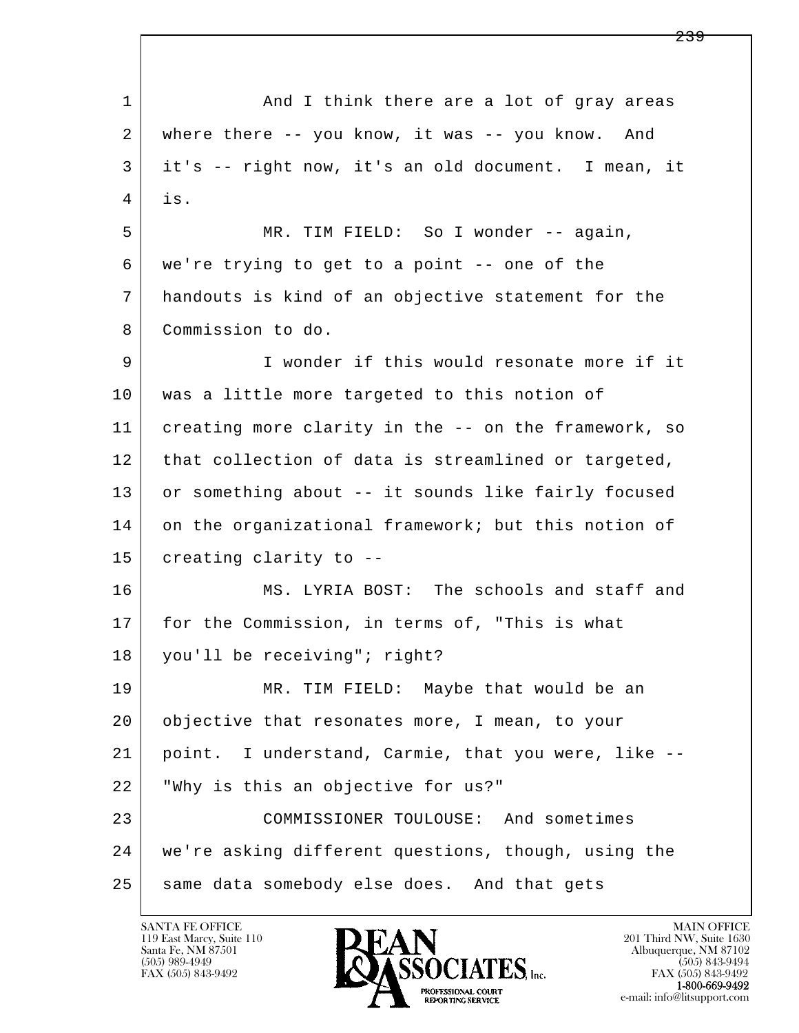l  $\overline{\phantom{a}}$ 1 and I think there are a lot of gray areas 2 where there -- you know, it was -- you know. And 3 it's -- right now, it's an old document. I mean, it  $4$  is. 5 MR. TIM FIELD: So I wonder -- again, 6 we're trying to get to a point -- one of the 7 handouts is kind of an objective statement for the 8 Commission to do. 9 I wonder if this would resonate more if it 10 was a little more targeted to this notion of 11 creating more clarity in the -- on the framework, so 12 | that collection of data is streamlined or targeted, 13 or something about -- it sounds like fairly focused 14 on the organizational framework; but this notion of 15 creating clarity to -- 16 MS. LYRIA BOST: The schools and staff and 17 for the Commission, in terms of, "This is what 18 you'll be receiving"; right? 19 MR. TIM FIELD: Maybe that would be an 20 objective that resonates more, I mean, to your 21 point. I understand, Carmie, that you were, like -- 22 "Why is this an objective for us?" 23 COMMISSIONER TOULOUSE: And sometimes 24 we're asking different questions, though, using the 25 same data somebody else does. And that gets

119 East Marcy, Suite 110<br>Santa Fe, NM 87501

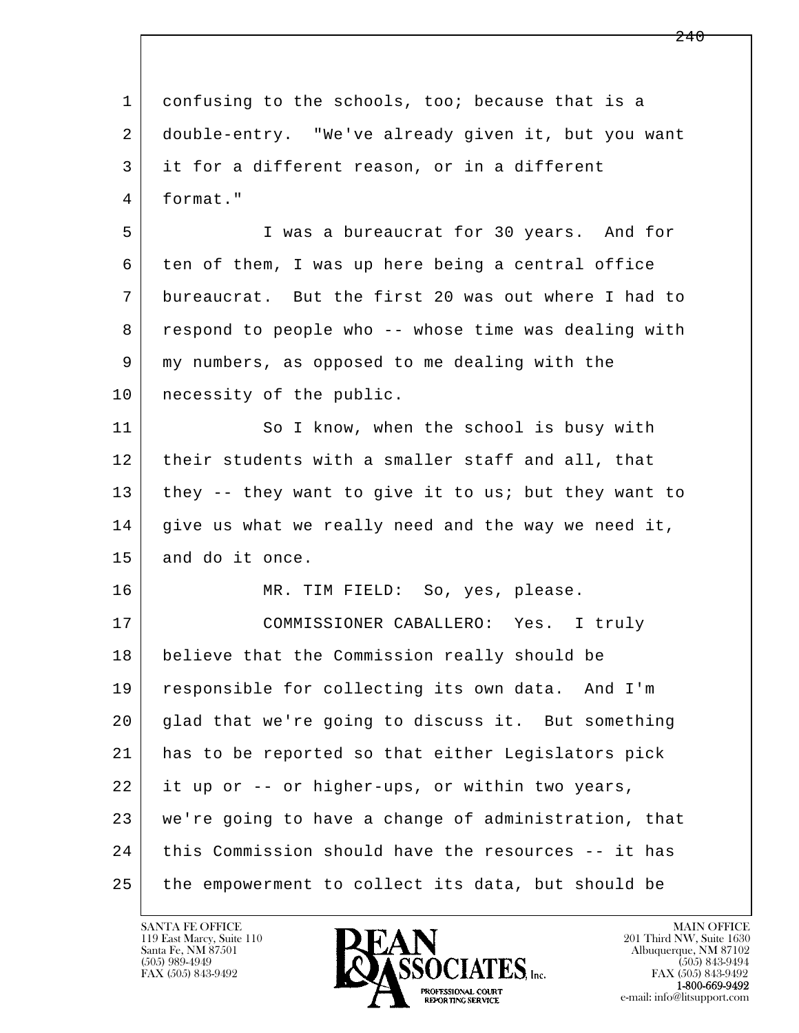l  $\overline{\phantom{a}}$  1 confusing to the schools, too; because that is a 2 double-entry. "We've already given it, but you want 3 it for a different reason, or in a different 4 format." 5 I was a bureaucrat for 30 years. And for 6 ten of them, I was up here being a central office 7 bureaucrat. But the first 20 was out where I had to 8 respond to people who -- whose time was dealing with 9 my numbers, as opposed to me dealing with the 10 | necessity of the public. 11 So I know, when the school is busy with 12 their students with a smaller staff and all, that 13 they -- they want to give it to us; but they want to  $14$  give us what we really need and the way we need it, 15 and do it once. 16 MR. TIM FIELD: So, yes, please. 17 COMMISSIONER CABALLERO: Yes. I truly 18 believe that the Commission really should be 19 responsible for collecting its own data. And I'm 20 glad that we're going to discuss it. But something 21 has to be reported so that either Legislators pick 22 it up or -- or higher-ups, or within two years, 23 we're going to have a change of administration, that 24 | this Commission should have the resources -- it has 25 the empowerment to collect its data, but should be

119 East Marcy, Suite 110<br>Santa Fe, NM 87501

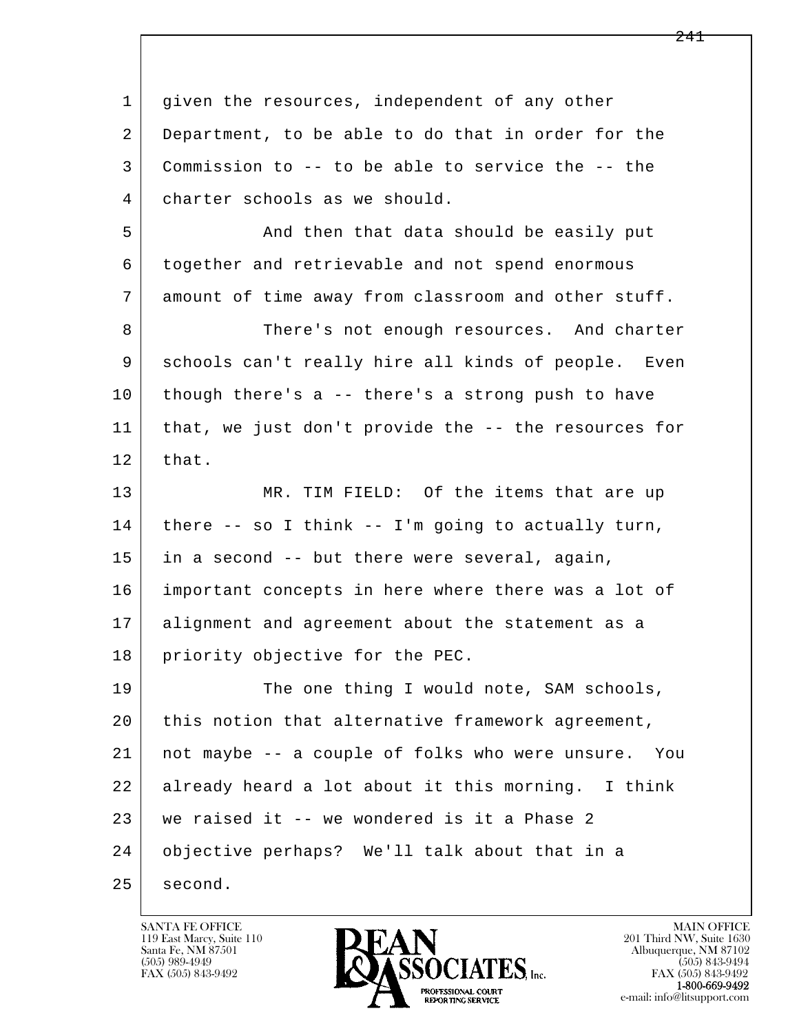| 1  | given the resources, independent of any other          |
|----|--------------------------------------------------------|
| 2  | Department, to be able to do that in order for the     |
| 3  | Commission to -- to be able to service the -- the      |
| 4  | charter schools as we should.                          |
| 5  | And then that data should be easily put                |
| 6  | together and retrievable and not spend enormous        |
| 7  | amount of time away from classroom and other stuff.    |
| 8  | There's not enough resources. And charter              |
| 9  | schools can't really hire all kinds of people. Even    |
| 10 | though there's a -- there's a strong push to have      |
| 11 | that, we just don't provide the -- the resources for   |
| 12 | that.                                                  |
| 13 | MR. TIM FIELD: Of the items that are up                |
| 14 | there $--$ so I think $--$ I'm going to actually turn, |
| 15 | in a second -- but there were several, again,          |
| 16 | important concepts in here where there was a lot of    |
| 17 | alignment and agreement about the statement as a       |
| 18 | priority objective for the PEC.                        |
| 19 | The one thing I would note, SAM schools,               |
| 20 | this notion that alternative framework agreement,      |
| 21 | not maybe -- a couple of folks who were unsure. You    |
| 22 | already heard a lot about it this morning. I think     |
| 23 | we raised it -- we wondered is it a Phase 2            |
| 24 | objective perhaps? We'll talk about that in a          |
| 25 | second.                                                |

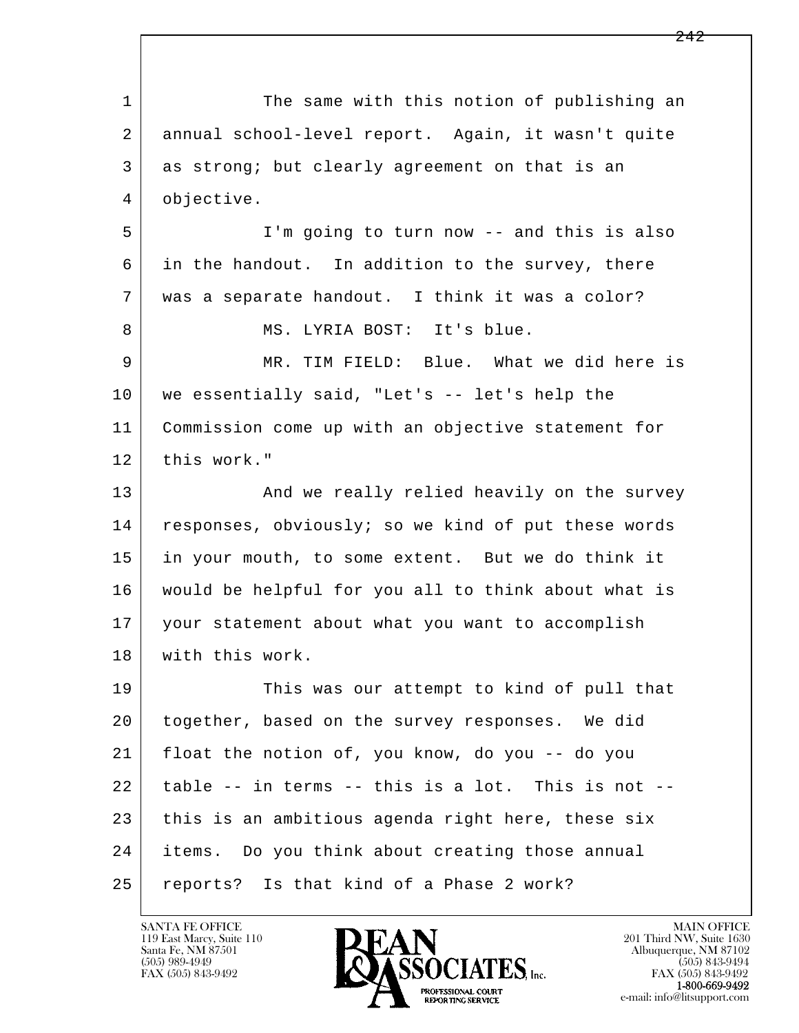l  $\overline{\phantom{a}}$ 1 The same with this notion of publishing an 2 annual school-level report. Again, it wasn't quite 3 as strong; but clearly agreement on that is an 4 objective. 5 I'm going to turn now -- and this is also 6 in the handout. In addition to the survey, there 7 was a separate handout. I think it was a color? 8 | MS. LYRIA BOST: It's blue. 9 MR. TIM FIELD: Blue. What we did here is 10 we essentially said, "Let's -- let's help the 11 Commission come up with an objective statement for 12 this work." 13 | And we really relied heavily on the survey 14 responses, obviously; so we kind of put these words 15 in your mouth, to some extent. But we do think it 16 would be helpful for you all to think about what is 17 your statement about what you want to accomplish 18 | with this work. 19 This was our attempt to kind of pull that 20 together, based on the survey responses. We did 21 float the notion of, you know, do you -- do you 22 table -- in terms -- this is a lot. This is not -- 23 this is an ambitious agenda right here, these six 24 items. Do you think about creating those annual 25 reports? Is that kind of a Phase 2 work?

119 East Marcy, Suite 110<br>Santa Fe, NM 87501

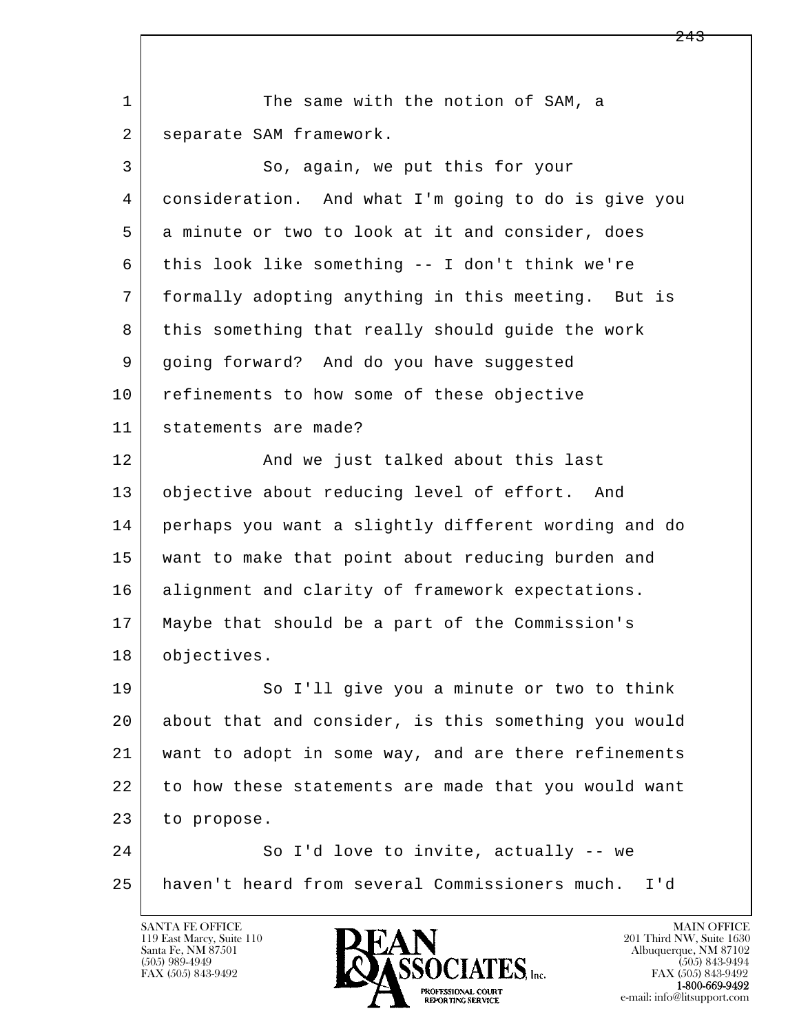l  $\overline{\phantom{a}}$ 1 The same with the notion of SAM, a 2 | separate SAM framework. 3 So, again, we put this for your 4 consideration. And what I'm going to do is give you 5 a minute or two to look at it and consider, does 6 this look like something -- I don't think we're 7 formally adopting anything in this meeting. But is 8 this something that really should guide the work 9 going forward? And do you have suggested 10 refinements to how some of these objective 11 statements are made? 12 And we just talked about this last 13 objective about reducing level of effort. And 14 perhaps you want a slightly different wording and do 15 want to make that point about reducing burden and 16 alignment and clarity of framework expectations. 17 Maybe that should be a part of the Commission's 18 objectives. 19 So I'll give you a minute or two to think 20 about that and consider, is this something you would 21 want to adopt in some way, and are there refinements 22 to how these statements are made that you would want 23 to propose. 24 So I'd love to invite, actually -- we 25 haven't heard from several Commissioners much. I'd

119 East Marcy, Suite 110<br>Santa Fe, NM 87501



FAX (505) 843-9492<br>**1-800-669-9492**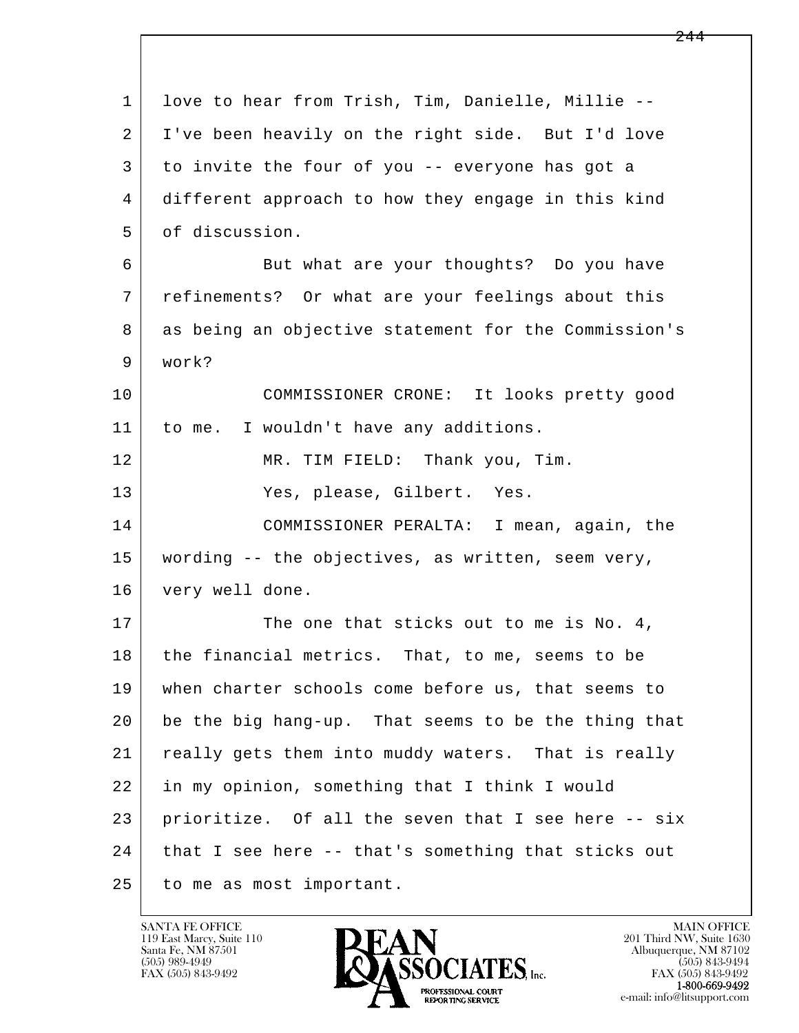l  $\overline{\phantom{a}}$  1 love to hear from Trish, Tim, Danielle, Millie -- 2 I've been heavily on the right side. But I'd love 3 to invite the four of you -- everyone has got a 4 different approach to how they engage in this kind 5 of discussion. 6 But what are your thoughts? Do you have 7 refinements? Or what are your feelings about this 8 as being an objective statement for the Commission's 9 work? 10 COMMISSIONER CRONE: It looks pretty good 11 | to me. I wouldn't have any additions. 12 MR. TIM FIELD: Thank you, Tim. 13 Yes, please, Gilbert. Yes. 14 COMMISSIONER PERALTA: I mean, again, the 15 wording -- the objectives, as written, seem very, 16 very well done. 17 The one that sticks out to me is No. 4, 18 the financial metrics. That, to me, seems to be 19 when charter schools come before us, that seems to 20 be the big hang-up. That seems to be the thing that 21 | really gets them into muddy waters. That is really 22 in my opinion, something that I think I would 23 prioritize. Of all the seven that I see here -- six 24 | that I see here -- that's something that sticks out 25 to me as most important.

119 East Marcy, Suite 110<br>Santa Fe, NM 87501



FAX (505) 843-9492<br>1-800-669-9492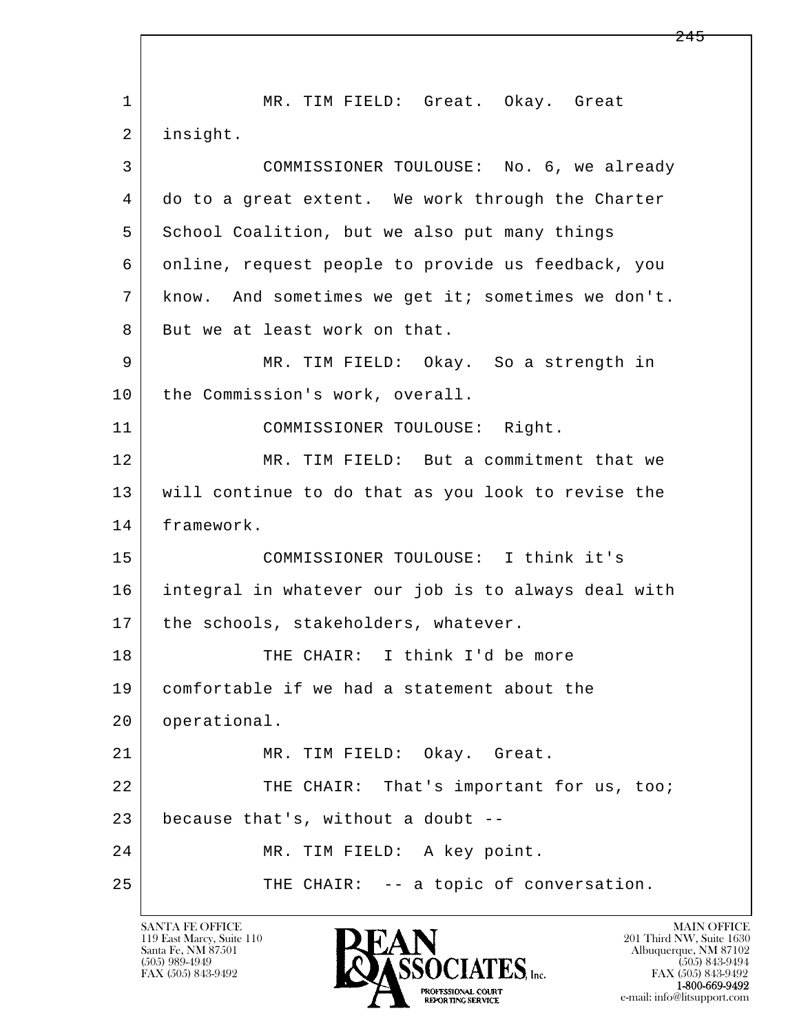l  $\overline{\phantom{a}}$ 1 | MR. TIM FIELD: Great. Okay. Great 2 insight. 3 COMMISSIONER TOULOUSE: No. 6, we already 4 do to a great extent. We work through the Charter 5 School Coalition, but we also put many things 6 online, request people to provide us feedback, you 7 know. And sometimes we get it; sometimes we don't. 8 But we at least work on that. 9 | MR. TIM FIELD: Okay. So a strength in 10 | the Commission's work, overall. 11 COMMISSIONER TOULOUSE: Right. 12 MR. TIM FIELD: But a commitment that we 13 will continue to do that as you look to revise the 14 framework. 15 COMMISSIONER TOULOUSE: I think it's 16 integral in whatever our job is to always deal with 17 | the schools, stakeholders, whatever. 18 THE CHAIR: I think I'd be more 19 comfortable if we had a statement about the 20 operational. 21 MR. TIM FIELD: Okay. Great. 22 THE CHAIR: That's important for us, too; 23 because that's, without a doubt -- 24 | MR. TIM FIELD: A key point. 25 THE CHAIR: -- a topic of conversation.

119 East Marcy, Suite 110<br>Santa Fe, NM 87501

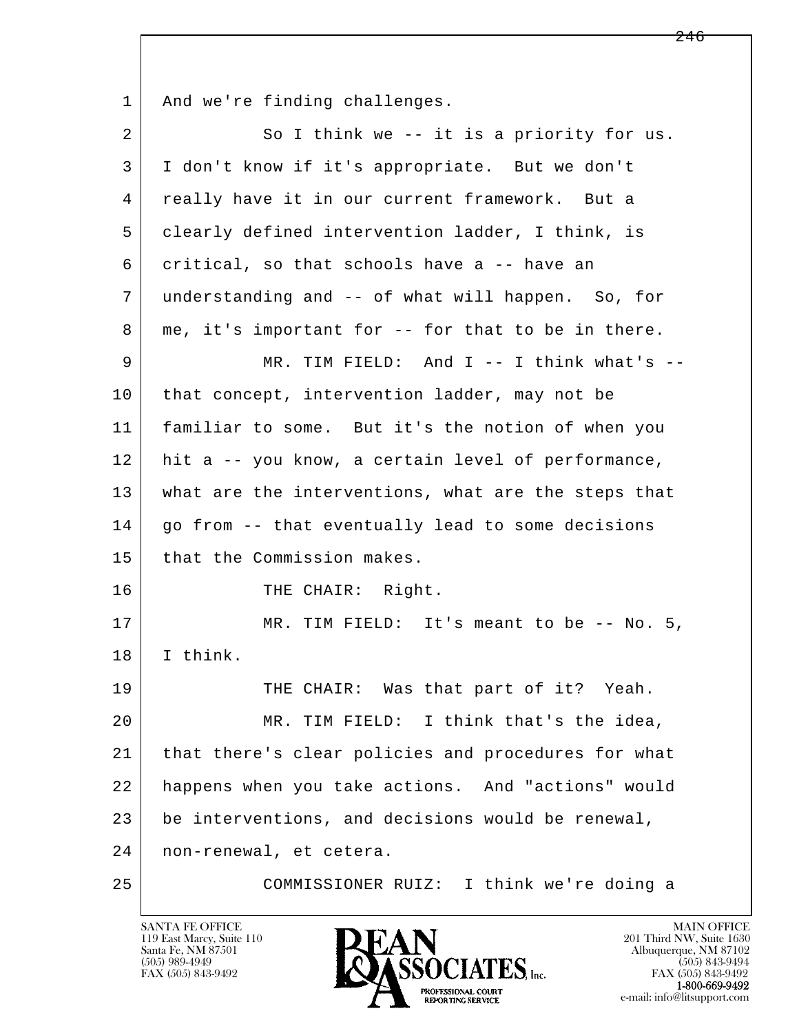l  $\overline{\phantom{a}}$ 1 | And we're finding challenges. 2 So I think we -- it is a priority for us. 3 I don't know if it's appropriate. But we don't 4 really have it in our current framework. But a 5 clearly defined intervention ladder, I think, is 6 critical, so that schools have a -- have an 7 understanding and -- of what will happen. So, for 8 | me, it's important for -- for that to be in there. 9 MR. TIM FIELD: And I -- I think what's -- 10 that concept, intervention ladder, may not be 11 familiar to some. But it's the notion of when you 12 hit a -- you know, a certain level of performance, 13 what are the interventions, what are the steps that  $14$  go from  $-$ - that eventually lead to some decisions 15 that the Commission makes. 16 THE CHAIR: Right. 17 | MR. TIM FIELD: It's meant to be -- No. 5, 18 I think. 19 THE CHAIR: Was that part of it? Yeah. 20 MR. TIM FIELD: I think that's the idea, 21 that there's clear policies and procedures for what 22 happens when you take actions. And "actions" would 23 be interventions, and decisions would be renewal, 24 non-renewal, et cetera. 25 COMMISSIONER RUIZ: I think we're doing a

119 East Marcy, Suite 110<br>Santa Fe, NM 87501

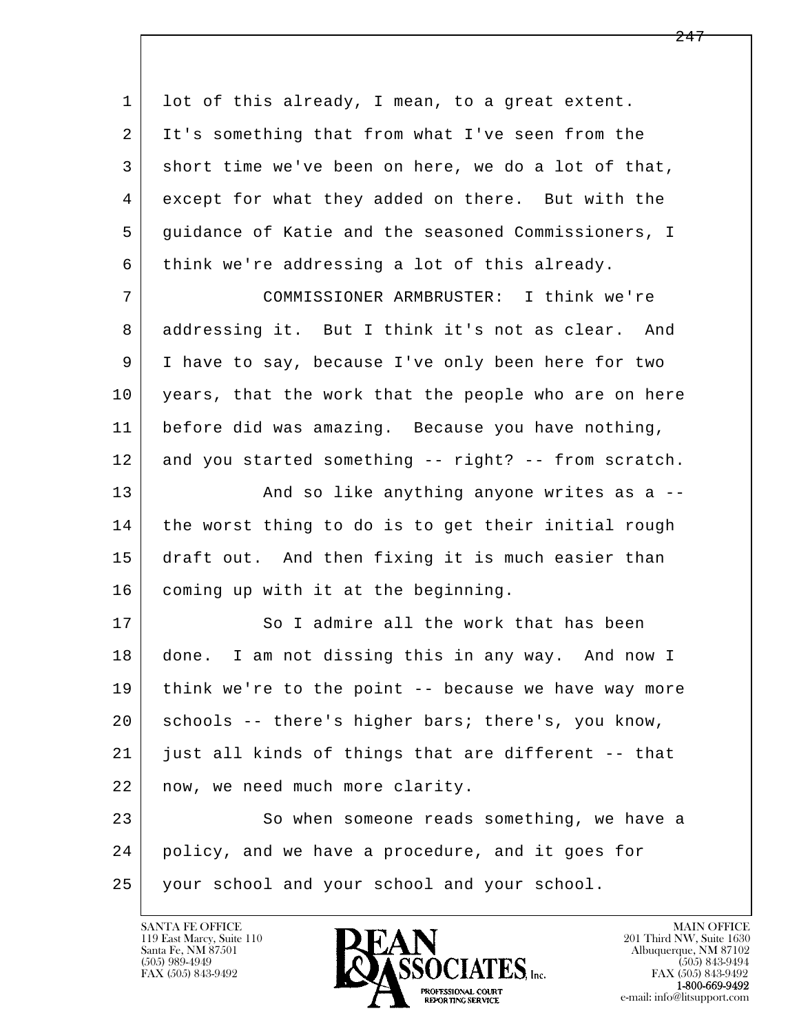l  $\overline{\phantom{a}}$ 1 lot of this already, I mean, to a great extent. 2 It's something that from what I've seen from the 3 short time we've been on here, we do a lot of that, 4 except for what they added on there. But with the 5 guidance of Katie and the seasoned Commissioners, I 6 think we're addressing a lot of this already. 7 COMMISSIONER ARMBRUSTER: I think we're 8 addressing it. But I think it's not as clear. And 9 I have to say, because I've only been here for two 10 years, that the work that the people who are on here 11 before did was amazing. Because you have nothing, 12 and you started something -- right? -- from scratch. 13 And so like anything anyone writes as a --14 the worst thing to do is to get their initial rough 15 draft out. And then fixing it is much easier than 16 coming up with it at the beginning. 17 So I admire all the work that has been 18 done. I am not dissing this in any way. And now I 19 think we're to the point -- because we have way more 20 schools -- there's higher bars; there's, you know, 21 just all kinds of things that are different -- that 22 | now, we need much more clarity. 23 So when someone reads something, we have a 24 policy, and we have a procedure, and it goes for 25 your school and your school and your school.

119 East Marcy, Suite 110<br>Santa Fe, NM 87501

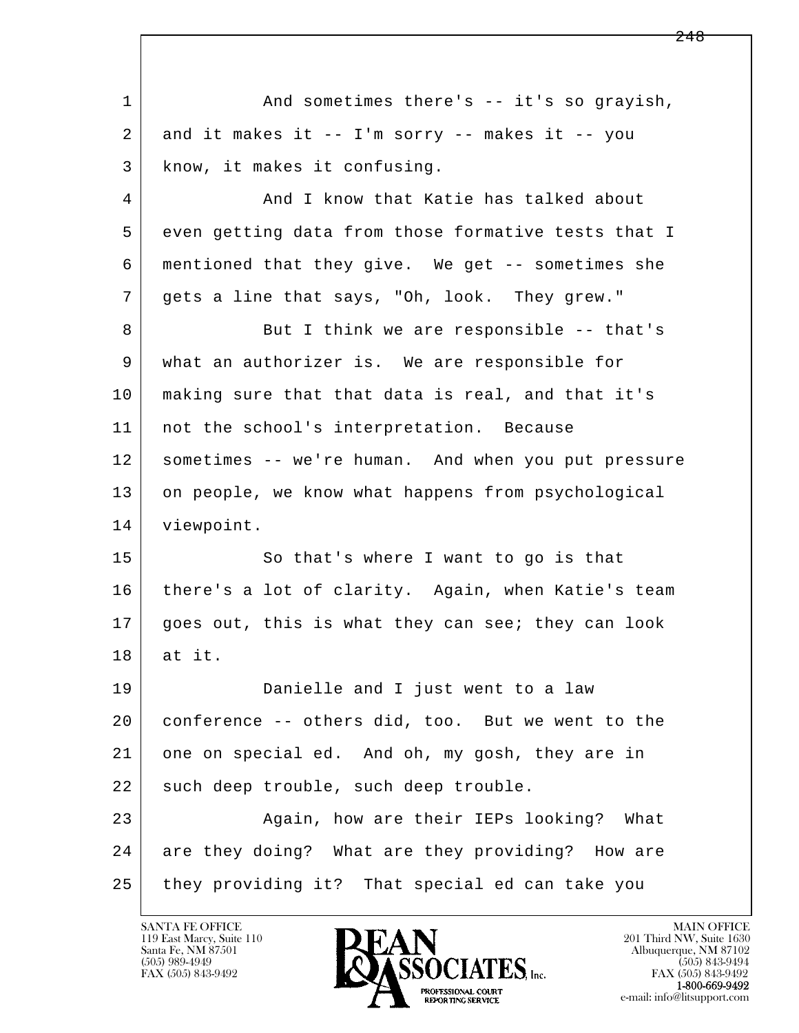| $\mathbf{1}$ | And sometimes there's -- it's so grayish,           |
|--------------|-----------------------------------------------------|
| 2            | and it makes it -- I'm sorry -- makes it -- you     |
| 3            | know, it makes it confusing.                        |
| 4            | And I know that Katie has talked about              |
| 5            | even getting data from those formative tests that I |
| 6            | mentioned that they give. We get -- sometimes she   |
| 7            | gets a line that says, "Oh, look. They grew."       |
| 8            | But I think we are responsible -- that's            |
| 9            | what an authorizer is. We are responsible for       |
| 10           | making sure that that data is real, and that it's   |
| 11           | not the school's interpretation. Because            |
| 12           | sometimes -- we're human. And when you put pressure |
| 13           | on people, we know what happens from psychological  |
| 14           | viewpoint.                                          |
| 15           | So that's where I want to go is that                |
| 16           | there's a lot of clarity. Again, when Katie's team  |
| 17           | goes out, this is what they can see; they can look  |
| 18           | at it.                                              |
| 19           | Danielle and I just went to a law                   |
| 20           | conference -- others did, too. But we went to the   |
| 21           | one on special ed. And oh, my gosh, they are in     |
| 22           | such deep trouble, such deep trouble.               |
| 23           | Again, how are their IEPs looking?<br>What          |
| 24           | are they doing? What are they providing? How are    |
| 25           | they providing it? That special ed can take you     |

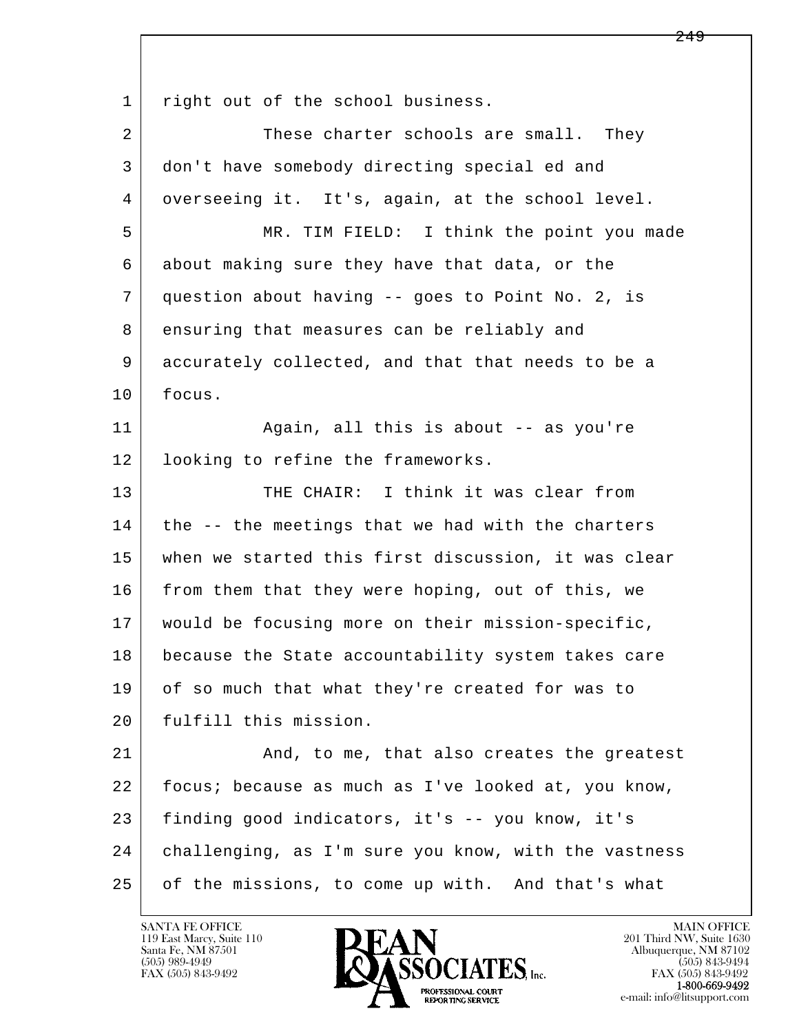l  $\overline{\phantom{a}}$ 1 right out of the school business. 2 These charter schools are small. They 3 don't have somebody directing special ed and 4 overseeing it. It's, again, at the school level. 5 MR. TIM FIELD: I think the point you made 6 about making sure they have that data, or the 7 question about having -- goes to Point No. 2, is 8 ensuring that measures can be reliably and 9 accurately collected, and that that needs to be a 10 focus. 11 | Again, all this is about -- as you're 12 looking to refine the frameworks. 13 THE CHAIR: I think it was clear from  $14$  the  $-$  the meetings that we had with the charters 15 when we started this first discussion, it was clear 16 from them that they were hoping, out of this, we 17 would be focusing more on their mission-specific, 18 because the State accountability system takes care 19 of so much that what they're created for was to 20 Fulfill this mission. 21 And, to me, that also creates the greatest 22 focus; because as much as I've looked at, you know, 23 finding good indicators, it's -- you know, it's 24 challenging, as I'm sure you know, with the vastness 25 of the missions, to come up with. And that's what

119 East Marcy, Suite 110<br>Santa Fe, NM 87501



FAX (505) 843-9492<br>1-800-669-9492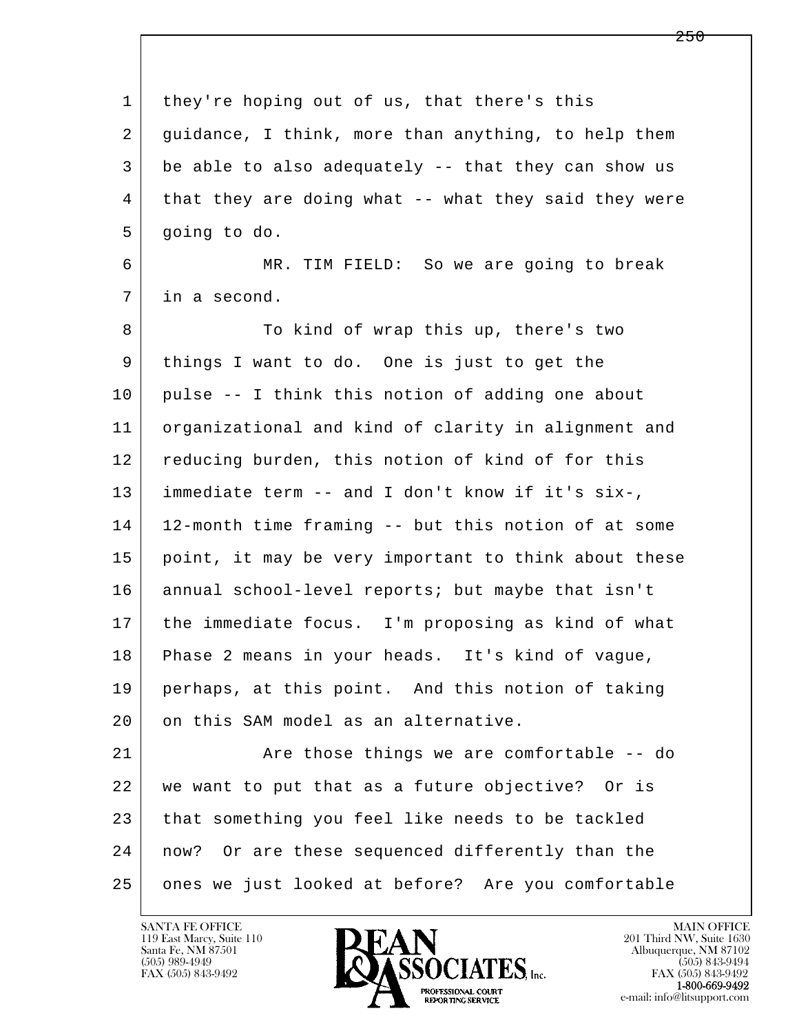| $\mathbf 1$ | they're hoping out of us, that there's this          |
|-------------|------------------------------------------------------|
| 2           | guidance, I think, more than anything, to help them  |
| 3           | be able to also adequately -- that they can show us  |
| 4           | that they are doing what -- what they said they were |
| 5           | going to do.                                         |
| 6           | MR. TIM FIELD: So we are going to break              |
| 7           | in a second.                                         |
| 8           | To kind of wrap this up, there's two                 |
| 9           | things I want to do. One is just to get the          |
| 10          | pulse -- I think this notion of adding one about     |
| 11          | organizational and kind of clarity in alignment and  |
| 12          | reducing burden, this notion of kind of for this     |
| 13          | immediate term -- and I don't know if it's six-,     |
| 14          | 12-month time framing -- but this notion of at some  |
| 15          | point, it may be very important to think about these |
| 16          | annual school-level reports; but maybe that isn't    |
| 17          | the immediate focus. I'm proposing as kind of what   |
| 18          | Phase 2 means in your heads. It's kind of vague,     |
| 19          | perhaps, at this point. And this notion of taking    |
| 20          | on this SAM model as an alternative.                 |
| 21          | Are those things we are comfortable -- do            |
| 22          | we want to put that as a future objective? Or is     |
| 23          | that something you feel like needs to be tackled     |
| 24          | now? Or are these sequenced differently than the     |
| 25          | ones we just looked at before? Are you comfortable   |

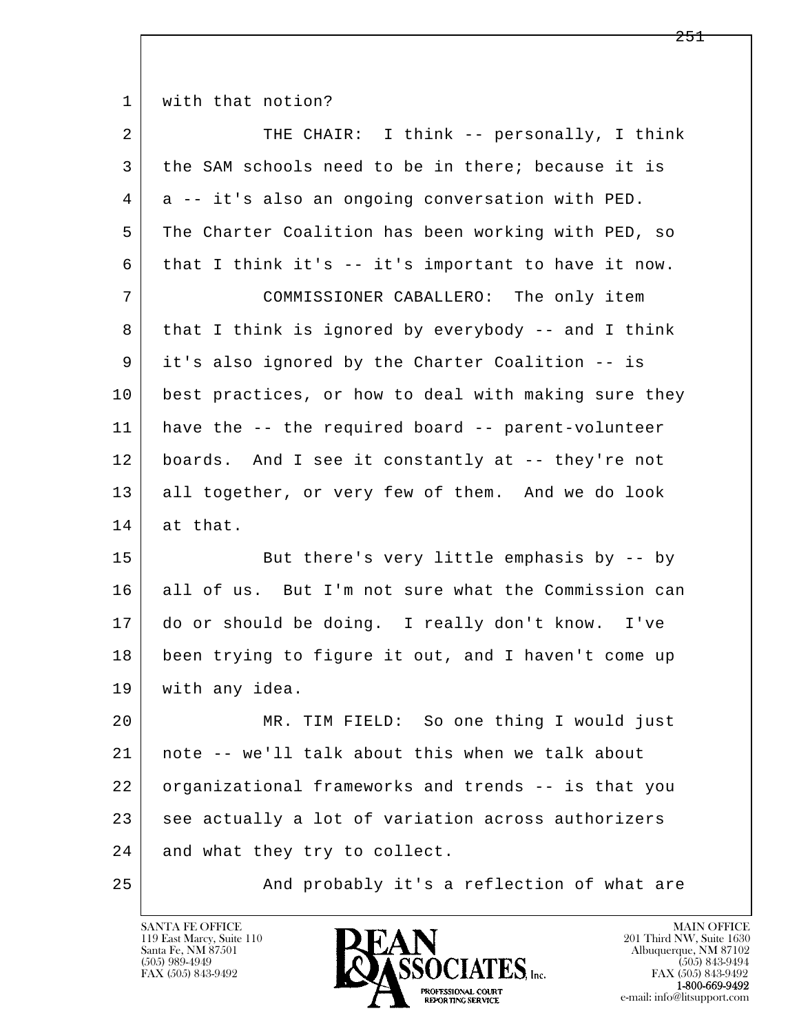1 | with that notion?

| $\overline{2}$ | THE CHAIR: I think -- personally, I think            |
|----------------|------------------------------------------------------|
| 3              | the SAM schools need to be in there; because it is   |
| 4              | a -- it's also an ongoing conversation with PED.     |
| 5              | The Charter Coalition has been working with PED, so  |
| 6              | that I think it's -- it's important to have it now.  |
| 7              | COMMISSIONER CABALLERO: The only item                |
| 8              | that I think is ignored by everybody -- and I think  |
| 9              | it's also ignored by the Charter Coalition -- is     |
| 10             | best practices, or how to deal with making sure they |
| 11             | have the -- the required board -- parent-volunteer   |
| 12             | boards. And I see it constantly at -- they're not    |
| 13             | all together, or very few of them. And we do look    |
|                |                                                      |
| 14             | at that.                                             |
| 15             | But there's very little emphasis by -- by            |
| 16             | all of us. But I'm not sure what the Commission can  |
| 17             | do or should be doing. I really don't know. I've     |
| 18             | been trying to figure it out, and I haven't come up  |
| 19             | with any idea.                                       |
| 20             | MR. TIM FIELD: So one thing I would just             |
| 21             | note -- we'll talk about this when we talk about     |
| 22             | organizational frameworks and trends -- is that you  |
| 23             | see actually a lot of variation across authorizers   |
| 24             | and what they try to collect.                        |

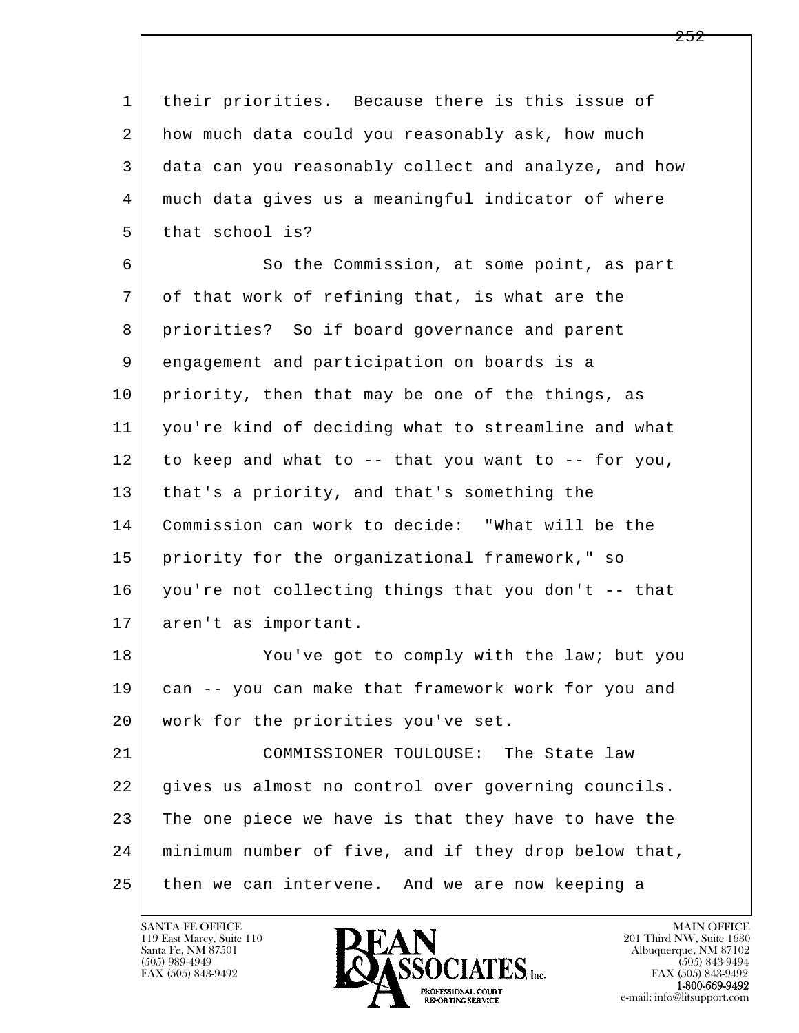l  $\overline{\phantom{a}}$  1 their priorities. Because there is this issue of 2 how much data could you reasonably ask, how much 3 data can you reasonably collect and analyze, and how 4 much data gives us a meaningful indicator of where 5 that school is? 6 So the Commission, at some point, as part 7 of that work of refining that, is what are the 8 priorities? So if board governance and parent 9 engagement and participation on boards is a 10 priority, then that may be one of the things, as 11 you're kind of deciding what to streamline and what 12 to keep and what to -- that you want to -- for you, 13 | that's a priority, and that's something the 14 Commission can work to decide: "What will be the 15 priority for the organizational framework," so 16 you're not collecting things that you don't -- that 17 aren't as important. 18 You've got to comply with the law; but you 19 can -- you can make that framework work for you and 20 work for the priorities you've set. 21 COMMISSIONER TOULOUSE: The State law 22 gives us almost no control over governing councils. 23 The one piece we have is that they have to have the 24 minimum number of five, and if they drop below that, 25 then we can intervene. And we are now keeping a

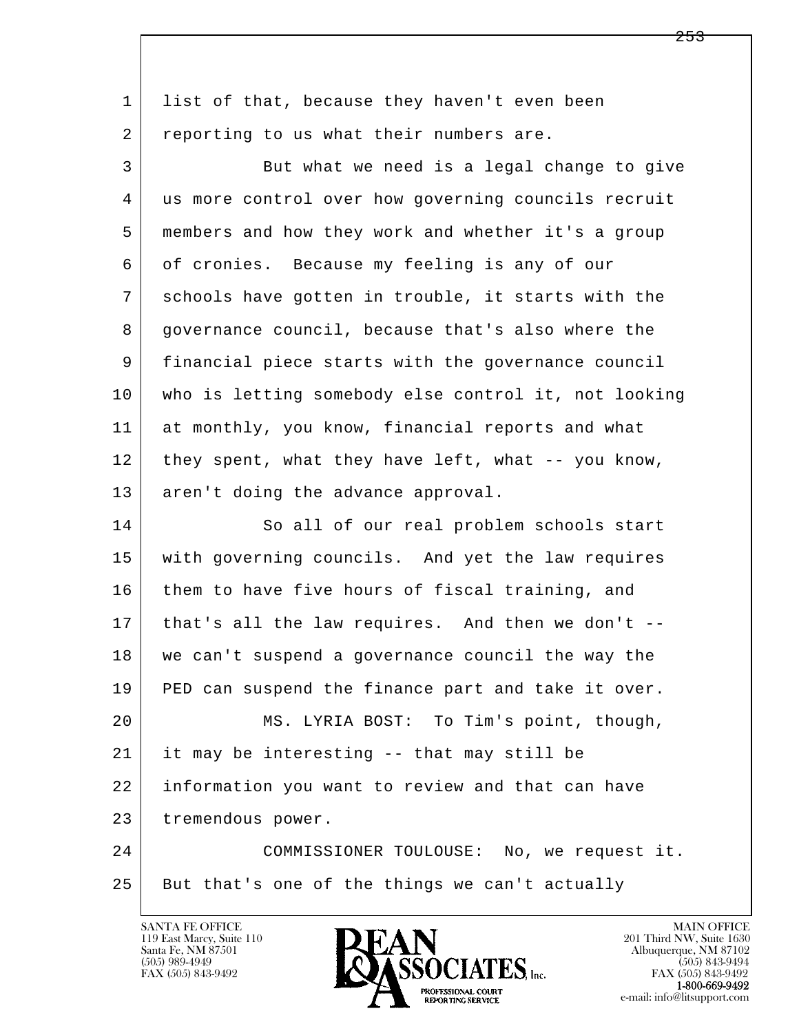| $\mathbf{1}$ | list of that, because they haven't even been         |
|--------------|------------------------------------------------------|
| 2            | reporting to us what their numbers are.              |
| 3            | But what we need is a legal change to give           |
| 4            | us more control over how governing councils recruit  |
| 5            | members and how they work and whether it's a group   |
| 6            | of cronies. Because my feeling is any of our         |
| 7            | schools have gotten in trouble, it starts with the   |
| 8            | governance council, because that's also where the    |
| 9            | financial piece starts with the governance council   |
| 10           | who is letting somebody else control it, not looking |
| 11           | at monthly, you know, financial reports and what     |
| 12           | they spent, what they have left, what -- you know,   |
| 13           | aren't doing the advance approval.                   |
| 14           | So all of our real problem schools start             |
| 15           | with governing councils. And yet the law requires    |
| 16           | them to have five hours of fiscal training, and      |
| 17           | that's all the law requires. And then we don't --    |
| 18           | we can't suspend a governance council the way the    |
| 19           | PED can suspend the finance part and take it over.   |
| 20           | MS. LYRIA BOST: To Tim's point, though,              |
| 21           | it may be interesting -- that may still be           |
| 22           | information you want to review and that can have     |
| 23           | tremendous power.                                    |
| 24           | COMMISSIONER TOULOUSE: No, we request it.            |
| 25           | But that's one of the things we can't actually       |
|              |                                                      |

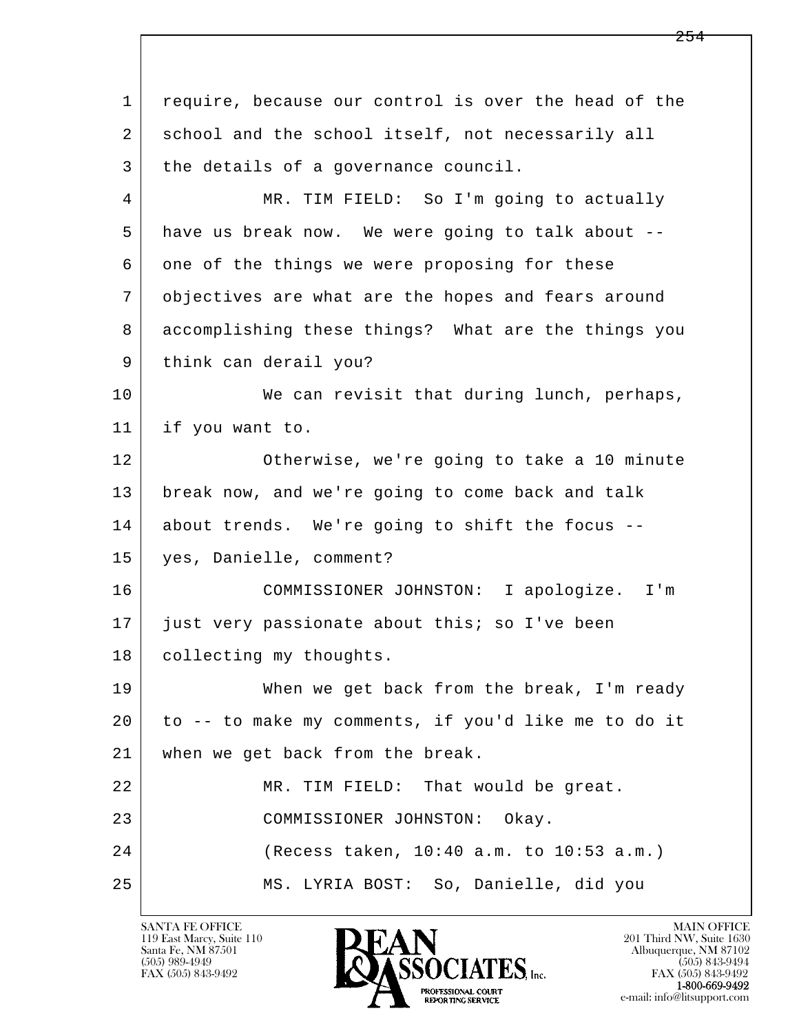l  $\overline{\phantom{a}}$  1 require, because our control is over the head of the 2 school and the school itself, not necessarily all 3 the details of a governance council. 4 MR. TIM FIELD: So I'm going to actually 5 have us break now. We were going to talk about -- 6 one of the things we were proposing for these 7 objectives are what are the hopes and fears around 8 accomplishing these things? What are the things you 9 think can derail you? 10 We can revisit that during lunch, perhaps, 11 if you want to. 12 Otherwise, we're going to take a 10 minute 13 break now, and we're going to come back and talk 14 about trends. We're going to shift the focus -- 15 yes, Danielle, comment? 16 COMMISSIONER JOHNSTON: I apologize. I'm 17 just very passionate about this; so I've been 18 | collecting my thoughts. 19 When we get back from the break, I'm ready 20 to -- to make my comments, if you'd like me to do it 21 when we get back from the break. 22 MR. TIM FIELD: That would be great. 23 COMMISSIONER JOHNSTON: Okay. 24 (Recess taken, 10:40 a.m. to 10:53 a.m.) 25 MS. LYRIA BOST: So, Danielle, did you

119 East Marcy, Suite 110<br>Santa Fe, NM 87501

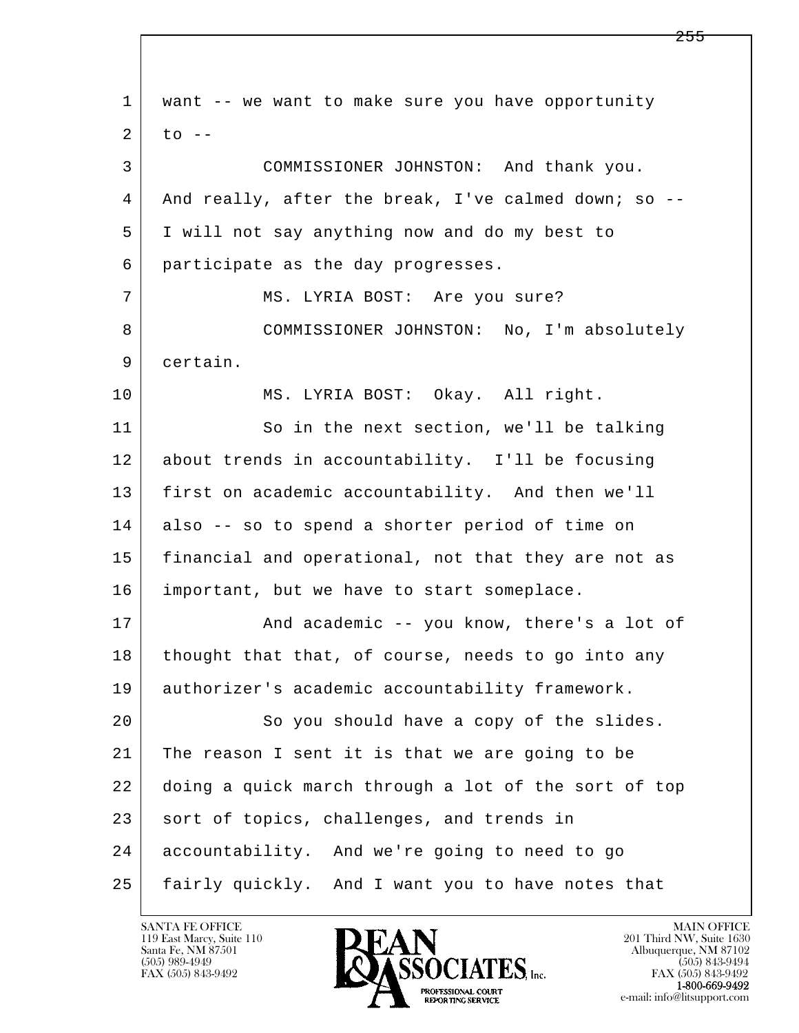| $\mathbf 1$ | want -- we want to make sure you have opportunity    |
|-------------|------------------------------------------------------|
| 2           | $\text{to}$ --                                       |
| 3           | COMMISSIONER JOHNSTON: And thank you.                |
| 4           | And really, after the break, I've calmed down; so -- |
| 5           | I will not say anything now and do my best to        |
| 6           | participate as the day progresses.                   |
| 7           | MS. LYRIA BOST: Are you sure?                        |
| 8           | COMMISSIONER JOHNSTON: No, I'm absolutely            |
| 9           | certain.                                             |
| 10          | MS. LYRIA BOST: Okay. All right.                     |
| 11          | So in the next section, we'll be talking             |
| 12          | about trends in accountability. I'll be focusing     |
| 13          | first on academic accountability. And then we'll     |
| 14          | also -- so to spend a shorter period of time on      |
| 15          | financial and operational, not that they are not as  |
| 16          | important, but we have to start someplace.           |
| 17          | And academic -- you know, there's a lot of           |
| 18          | thought that that, of course, needs to go into any   |
| 19          | authorizer's academic accountability framework.      |
| 20          | So you should have a copy of the slides.             |
| 21          | The reason I sent it is that we are going to be      |
| 22          | doing a quick march through a lot of the sort of top |
| 23          | sort of topics, challenges, and trends in            |
| 24          | accountability. And we're going to need to go        |
| 25          | fairly quickly. And I want you to have notes that    |

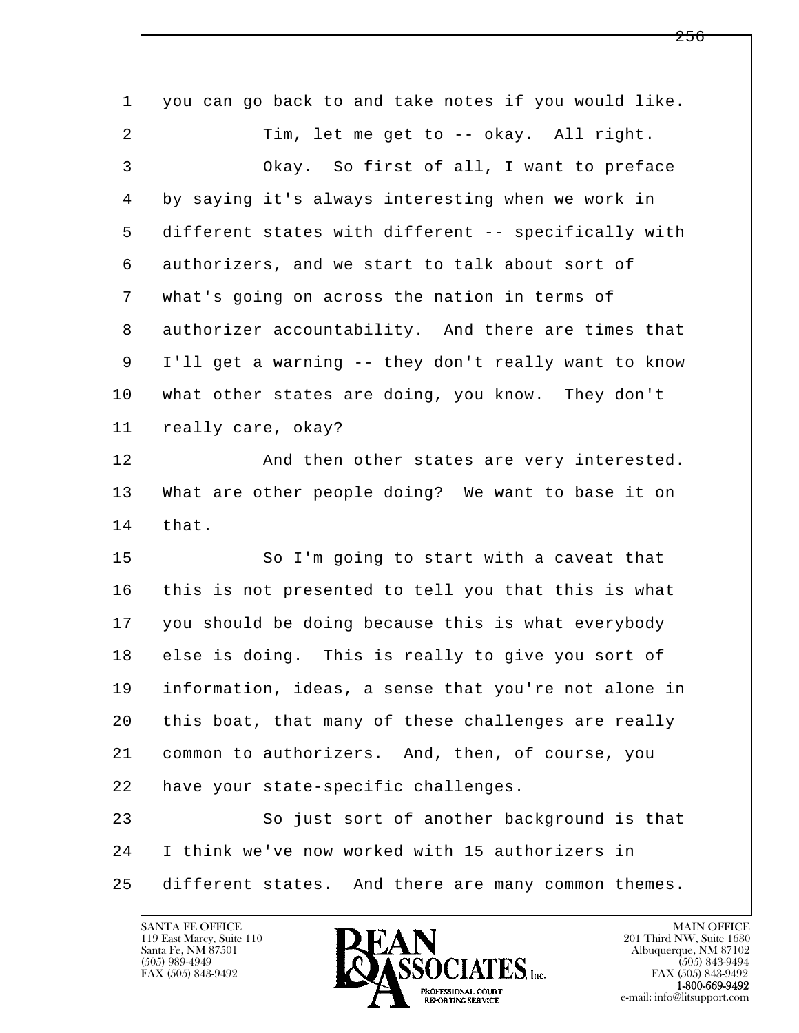| $\mathbf 1$ | you can go back to and take notes if you would like. |
|-------------|------------------------------------------------------|
| 2           | Tim, let me get to -- okay. All right.               |
| 3           | Okay. So first of all, I want to preface             |
| 4           | by saying it's always interesting when we work in    |
| 5           | different states with different -- specifically with |
| 6           | authorizers, and we start to talk about sort of      |
| 7           | what's going on across the nation in terms of        |
| 8           | authorizer accountability. And there are times that  |
| 9           | I'll get a warning -- they don't really want to know |
| 10          | what other states are doing, you know. They don't    |
| 11          | really care, okay?                                   |
| 12          | And then other states are very interested.           |
| 13          | What are other people doing? We want to base it on   |
| 14          | that.                                                |
| 15          | So I'm going to start with a caveat that             |
| 16          | this is not presented to tell you that this is what  |
| 17          | you should be doing because this is what everybody   |
| 18          | else is doing. This is really to give you sort of    |
| 19          | information, ideas, a sense that you're not alone in |
| 20          | this boat, that many of these challenges are really  |
| 21          | common to authorizers. And, then, of course, you     |
| 22          | have your state-specific challenges.                 |
| 23          | So just sort of another background is that           |
| 24          | I think we've now worked with 15 authorizers in      |
| 25          | different states. And there are many common themes.  |
|             |                                                      |

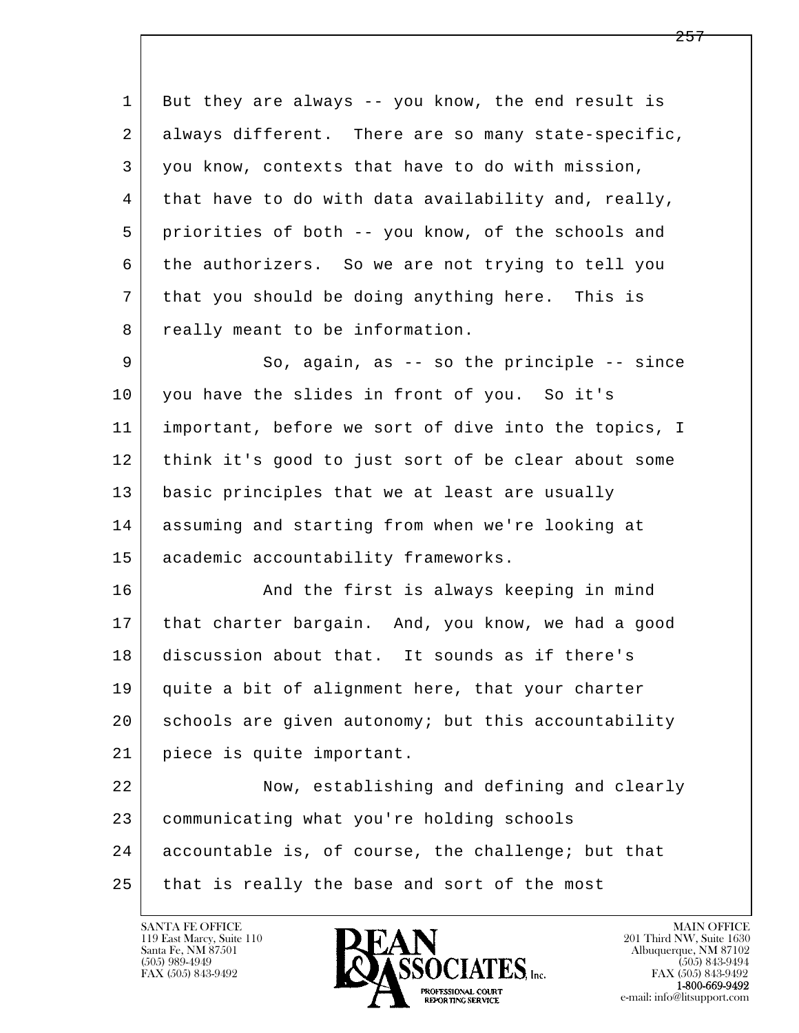1 But they are always -- you know, the end result is 2 always different. There are so many state-specific, 3 you know, contexts that have to do with mission, 4 that have to do with data availability and, really, 5 priorities of both -- you know, of the schools and 6 the authorizers. So we are not trying to tell you 7 that you should be doing anything here. This is 8 really meant to be information. 9 So, again, as -- so the principle -- since 10 you have the slides in front of you. So it's 11 important, before we sort of dive into the topics, I 12 think it's good to just sort of be clear about some 13 basic principles that we at least are usually

 14 assuming and starting from when we're looking at 15 academic accountability frameworks.

16 And the first is always keeping in mind 17 | that charter bargain. And, you know, we had a good 18 discussion about that. It sounds as if there's 19 quite a bit of alignment here, that your charter 20 schools are given autonomy; but this accountability 21 piece is quite important.

l  $\overline{\phantom{a}}$  22 Now, establishing and defining and clearly 23 communicating what you're holding schools 24 accountable is, of course, the challenge; but that 25 that is really the base and sort of the most

119 East Marcy, Suite 110<br>Santa Fe, NM 87501

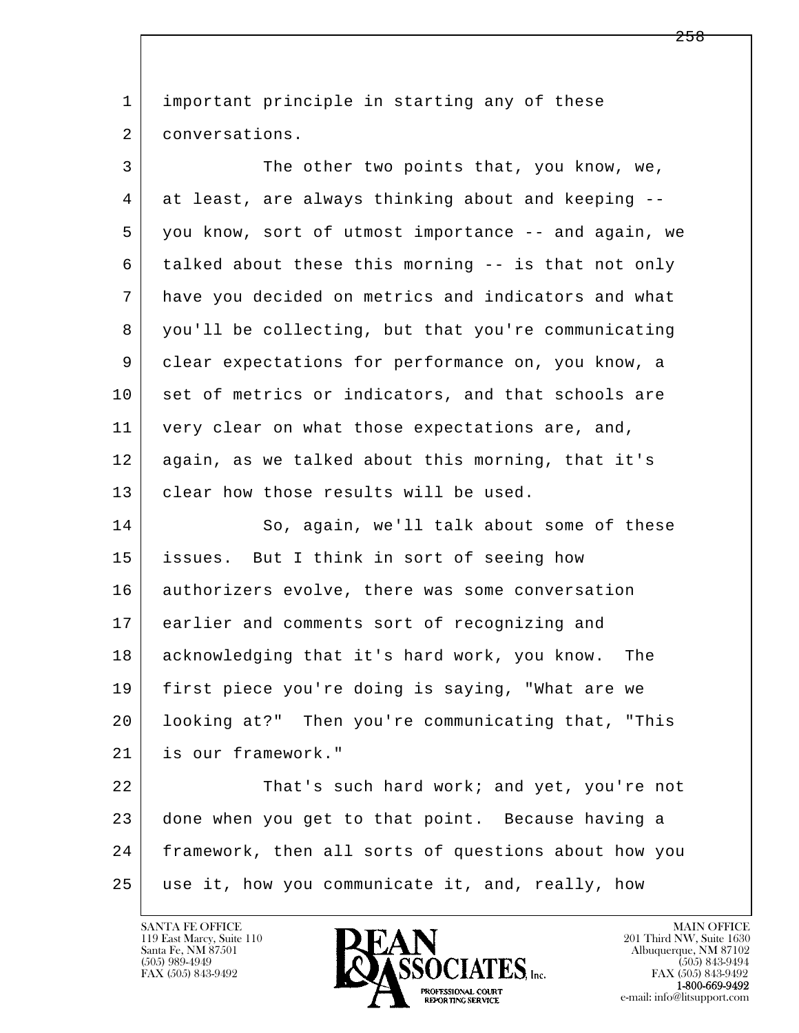l  $\overline{\phantom{a}}$ 1 important principle in starting any of these 2 conversations. 3 The other two points that, you know, we, 4 at least, are always thinking about and keeping -- 5 you know, sort of utmost importance -- and again, we 6 talked about these this morning -- is that not only 7 have you decided on metrics and indicators and what 8 you'll be collecting, but that you're communicating 9 clear expectations for performance on, you know, a 10 set of metrics or indicators, and that schools are 11 very clear on what those expectations are, and, 12 again, as we talked about this morning, that it's 13 clear how those results will be used. 14 So, again, we'll talk about some of these 15 issues. But I think in sort of seeing how 16 authorizers evolve, there was some conversation 17 earlier and comments sort of recognizing and 18 acknowledging that it's hard work, you know. The 19 first piece you're doing is saying, "What are we 20 looking at?" Then you're communicating that, "This 21 is our framework." 22 That's such hard work; and yet, you're not 23 done when you get to that point. Because having a 24 framework, then all sorts of questions about how you 25 use it, how you communicate it, and, really, how

119 East Marcy, Suite 110<br>Santa Fe, NM 87501

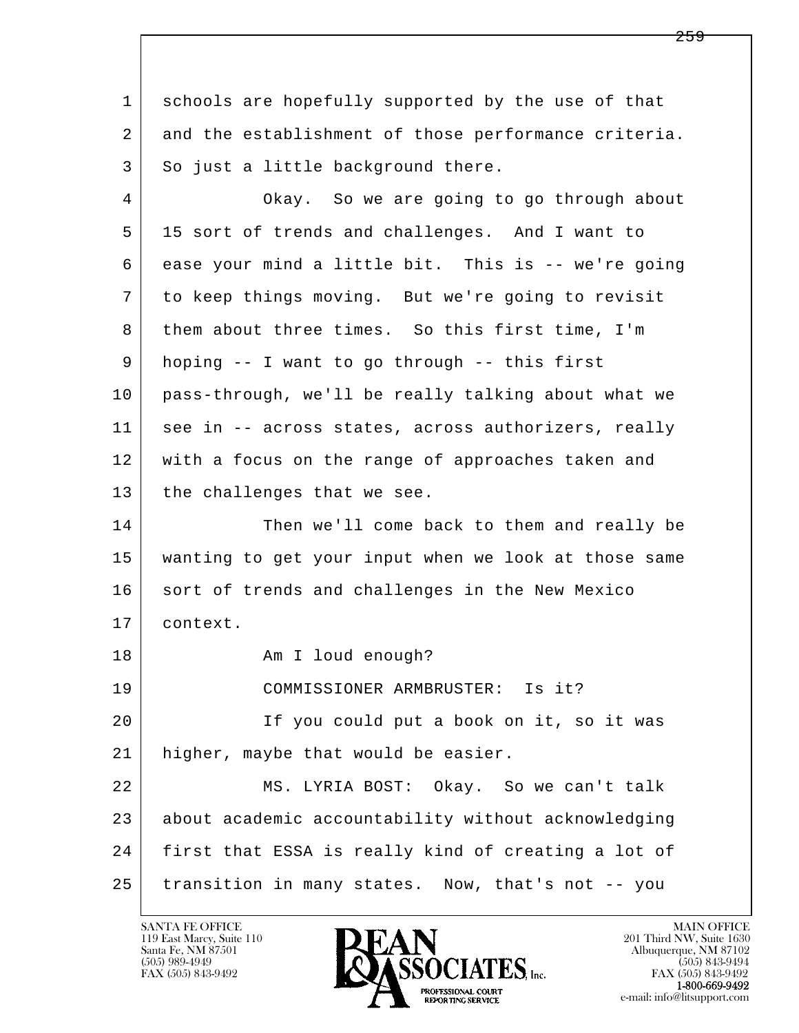l  $\overline{\phantom{a}}$  1 schools are hopefully supported by the use of that 2 and the establishment of those performance criteria. 3 So just a little background there. 4 Okay. So we are going to go through about 5 15 sort of trends and challenges. And I want to 6 ease your mind a little bit. This is -- we're going 7 to keep things moving. But we're going to revisit 8 them about three times. So this first time, I'm 9 hoping -- I want to go through -- this first 10 pass-through, we'll be really talking about what we 11 | see in -- across states, across authorizers, really 12 with a focus on the range of approaches taken and 13 | the challenges that we see. 14 Then we'll come back to them and really be 15 wanting to get your input when we look at those same 16 sort of trends and challenges in the New Mexico 17 context. 18 | The Common Am I loud enough? 19 COMMISSIONER ARMBRUSTER: Is it? 20 If you could put a book on it, so it was 21 higher, maybe that would be easier. 22 MS. LYRIA BOST: Okay. So we can't talk 23 about academic accountability without acknowledging 24 first that ESSA is really kind of creating a lot of 25 transition in many states. Now, that's not -- you

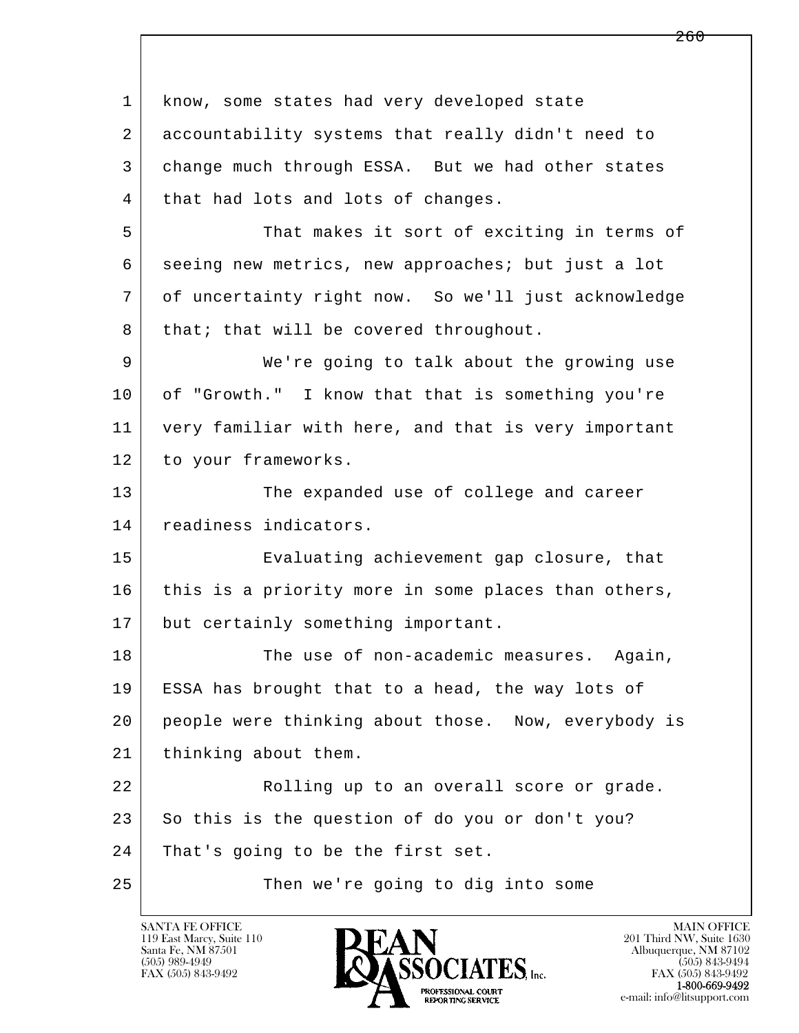| $\mathbf 1$ | know, some states had very developed state          |
|-------------|-----------------------------------------------------|
| 2           | accountability systems that really didn't need to   |
| 3           | change much through ESSA. But we had other states   |
| 4           | that had lots and lots of changes.                  |
| 5           | That makes it sort of exciting in terms of          |
| 6           | seeing new metrics, new approaches; but just a lot  |
| 7           | of uncertainty right now. So we'll just acknowledge |
| 8           | that; that will be covered throughout.              |
| 9           | We're going to talk about the growing use           |
| 10          | of "Growth." I know that that is something you're   |
| 11          | very familiar with here, and that is very important |
| 12          | to your frameworks.                                 |
| 13          | The expanded use of college and career              |
| 14          | readiness indicators.                               |
| 15          | Evaluating achievement gap closure, that            |
| 16          | this is a priority more in some places than others, |
| 17          | but certainly something important.                  |
| 18          | The use of non-academic measures. Again,            |
| 19          | ESSA has brought that to a head, the way lots of    |
| 20          | people were thinking about those. Now, everybody is |
| 21          | thinking about them.                                |
| 22          | Rolling up to an overall score or grade.            |
| 23          | So this is the question of do you or don't you?     |
| 24          | That's going to be the first set.                   |
| 25          | Then we're going to dig into some                   |

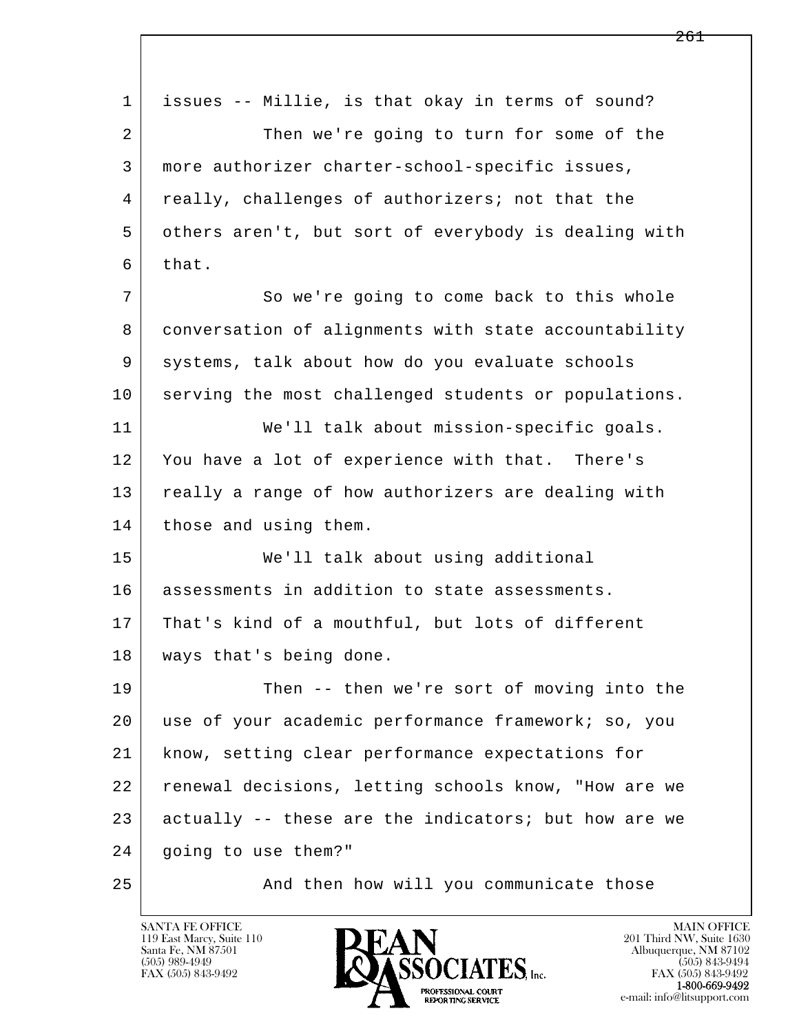| 1  | issues -- Millie, is that okay in terms of sound?    |
|----|------------------------------------------------------|
| 2  | Then we're going to turn for some of the             |
| 3  | more authorizer charter-school-specific issues,      |
| 4  | really, challenges of authorizers; not that the      |
| 5  | others aren't, but sort of everybody is dealing with |
| 6  | that.                                                |
| 7  | So we're going to come back to this whole            |
| 8  | conversation of alignments with state accountability |
| 9  | systems, talk about how do you evaluate schools      |
| 10 | serving the most challenged students or populations. |
| 11 | We'll talk about mission-specific goals.             |
| 12 | You have a lot of experience with that. There's      |
| 13 | really a range of how authorizers are dealing with   |
| 14 | those and using them.                                |
| 15 | We'll talk about using additional                    |
| 16 | assessments in addition to state assessments.        |
| 17 | That's kind of a mouthful, but lots of different     |
| 18 | ways that's being done.                              |
| 19 | Then -- then we're sort of moving into the           |
| 20 | use of your academic performance framework; so, you  |
| 21 | know, setting clear performance expectations for     |
| 22 | renewal decisions, letting schools know, "How are we |
| 23 | actually -- these are the indicators; but how are we |
| 24 | going to use them?"                                  |
| 25 | And then how will you communicate those              |

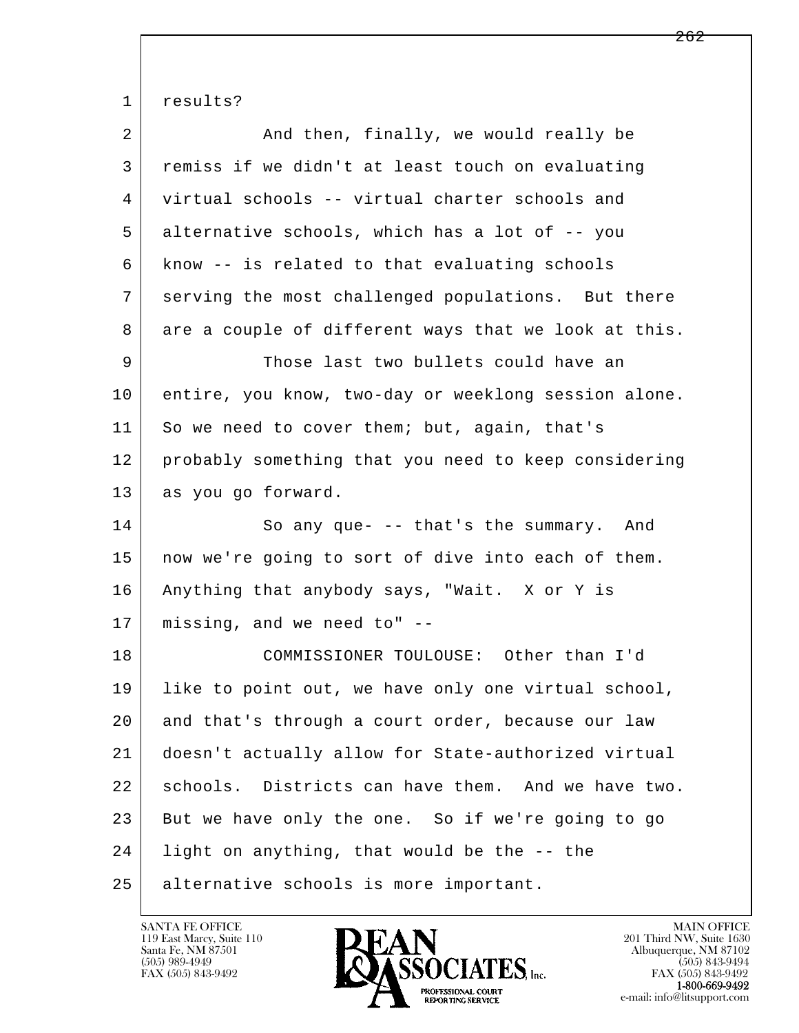l  $\overline{\phantom{a}}$ 1 results? 2 And then, finally, we would really be 3 remiss if we didn't at least touch on evaluating 4 virtual schools -- virtual charter schools and 5 alternative schools, which has a lot of -- you 6 know -- is related to that evaluating schools 7 serving the most challenged populations. But there 8 are a couple of different ways that we look at this. 9 Those last two bullets could have an 10 entire, you know, two-day or weeklong session alone. 11 So we need to cover them; but, again, that's 12 probably something that you need to keep considering 13 | as you go forward. 14 So any que- -- that's the summary. And 15 | now we're going to sort of dive into each of them. 16 Anything that anybody says, "Wait. X or Y is 17 missing, and we need to" -- 18 COMMISSIONER TOULOUSE: Other than I'd 19 like to point out, we have only one virtual school, 20 and that's through a court order, because our law 21 doesn't actually allow for State-authorized virtual 22 schools. Districts can have them. And we have two. 23 But we have only the one. So if we're going to go 24 light on anything, that would be the -- the 25 alternative schools is more important.

119 East Marcy, Suite 110<br>Santa Fe, NM 87501

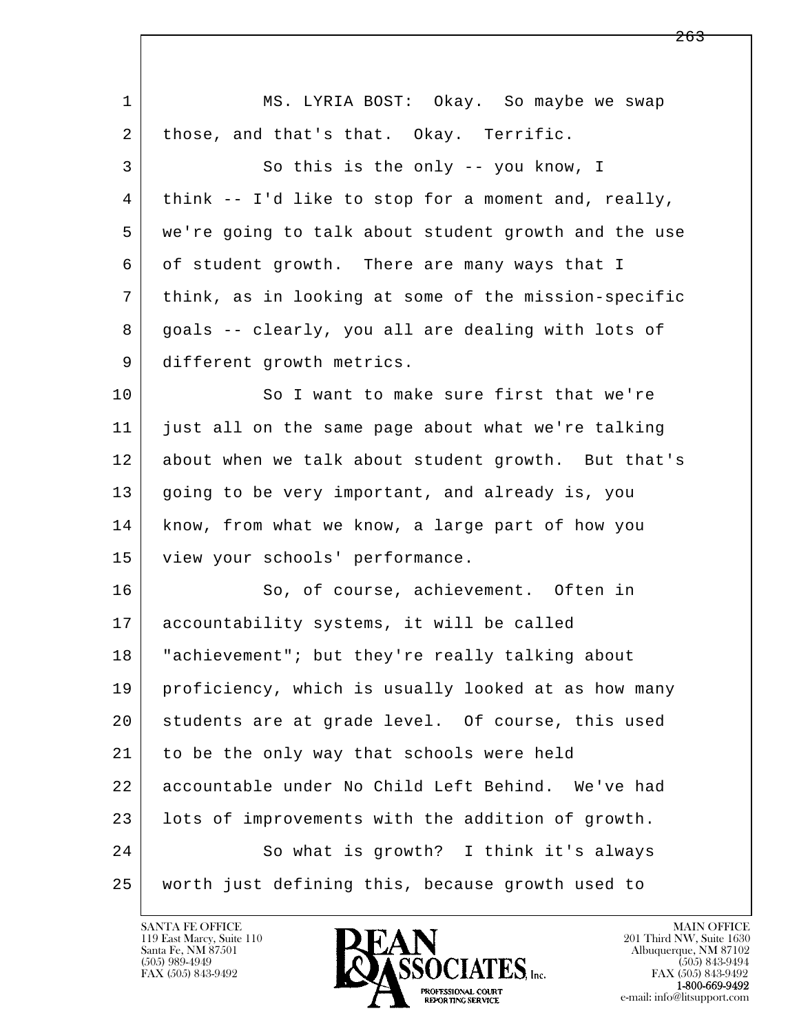| $\mathbf{1}$   | MS. LYRIA BOST: Okay. So maybe we swap                |
|----------------|-------------------------------------------------------|
| 2              | those, and that's that. Okay. Terrific.               |
| 3              | So this is the only -- you know, I                    |
| 4              | think $--$ I'd like to stop for a moment and, really, |
| 5              | we're going to talk about student growth and the use  |
| 6              | of student growth. There are many ways that I         |
| $7\phantom{.}$ | think, as in looking at some of the mission-specific  |
| 8              | goals -- clearly, you all are dealing with lots of    |
| 9              | different growth metrics.                             |
| 10             | So I want to make sure first that we're               |
| 11             | just all on the same page about what we're talking    |
| 12             | about when we talk about student growth. But that's   |
| 13             | going to be very important, and already is, you       |
| 14             | know, from what we know, a large part of how you      |
| 15             | view your schools' performance.                       |
| 16             | So, of course, achievement. Often in                  |
| 17             | accountability systems, it will be called             |
| 18             | "achievement"; but they're really talking about       |
| 19             | proficiency, which is usually looked at as how many   |
| 20             | students are at grade level. Of course, this used     |
| 21             | to be the only way that schools were held             |
| 22             | accountable under No Child Left Behind. We've had     |
| 23             | lots of improvements with the addition of growth.     |
| 24             | So what is growth? I think it's always                |
| 25             | worth just defining this, because growth used to      |

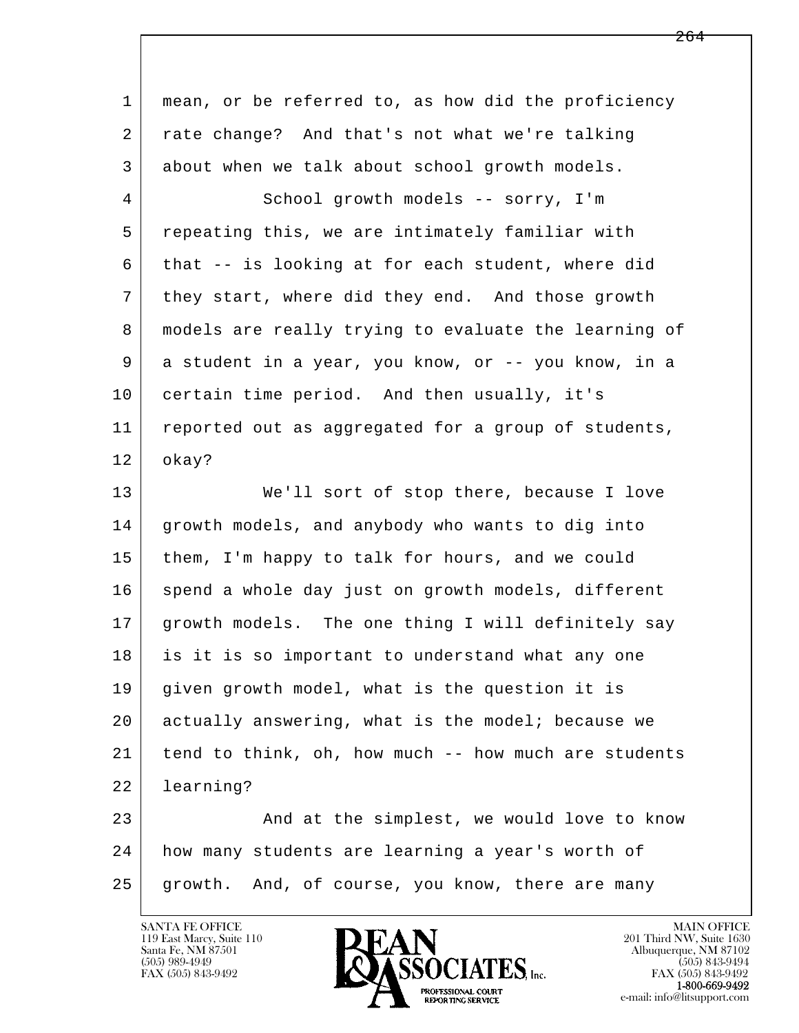| $\mathbf{1}$   | mean, or be referred to, as how did the proficiency  |
|----------------|------------------------------------------------------|
| 2              | rate change? And that's not what we're talking       |
| 3              | about when we talk about school growth models.       |
| $\overline{4}$ | School growth models -- sorry, I'm                   |
| 5              | repeating this, we are intimately familiar with      |
| 6              | that -- is looking at for each student, where did    |
| 7              | they start, where did they end. And those growth     |
| 8              | models are really trying to evaluate the learning of |
| 9              | a student in a year, you know, or -- you know, in a  |
| 10             | certain time period. And then usually, it's          |
| 11             | reported out as aggregated for a group of students,  |
| 12             | okay?                                                |
| 13             | We'll sort of stop there, because I love             |
| 14             | growth models, and anybody who wants to dig into     |
| 15             | them, I'm happy to talk for hours, and we could      |
| 16             | spend a whole day just on growth models, different   |
| 17             | growth models. The one thing I will definitely say   |
| 18             | is it is so important to understand what any one     |
| 19             | given growth model, what is the question it is       |
| 20             | actually answering, what is the model; because we    |
| 21             | tend to think, oh, how much -- how much are students |
| 22             | learning?                                            |
| 23             | And at the simplest, we would love to know           |
| 24             | how many students are learning a year's worth of     |
| 25             | growth. And, of course, you know, there are many     |
|                |                                                      |

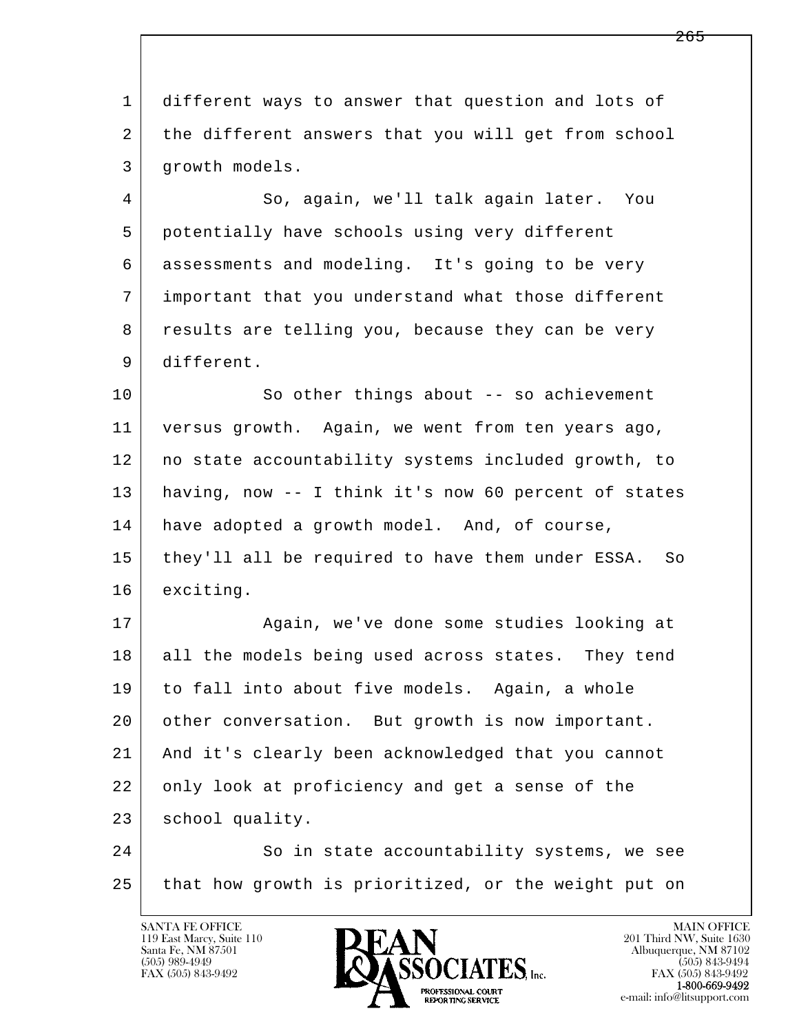l  $\overline{\phantom{a}}$  1 different ways to answer that question and lots of 2 | the different answers that you will get from school 3 growth models. 4 So, again, we'll talk again later. You 5 potentially have schools using very different 6 assessments and modeling. It's going to be very 7 important that you understand what those different 8 results are telling you, because they can be very 9 different. 10 So other things about -- so achievement 11 versus growth. Again, we went from ten years ago, 12 no state accountability systems included growth, to 13 having, now -- I think it's now 60 percent of states 14 have adopted a growth model. And, of course, 15 they'll all be required to have them under ESSA. So 16 exciting. 17 | Again, we've done some studies looking at 18 all the models being used across states. They tend 19 to fall into about five models. Again, a whole 20 other conversation. But growth is now important. 21 And it's clearly been acknowledged that you cannot 22 only look at proficiency and get a sense of the 23 | school quality. 24 So in state accountability systems, we see 25 that how growth is prioritized, or the weight put on

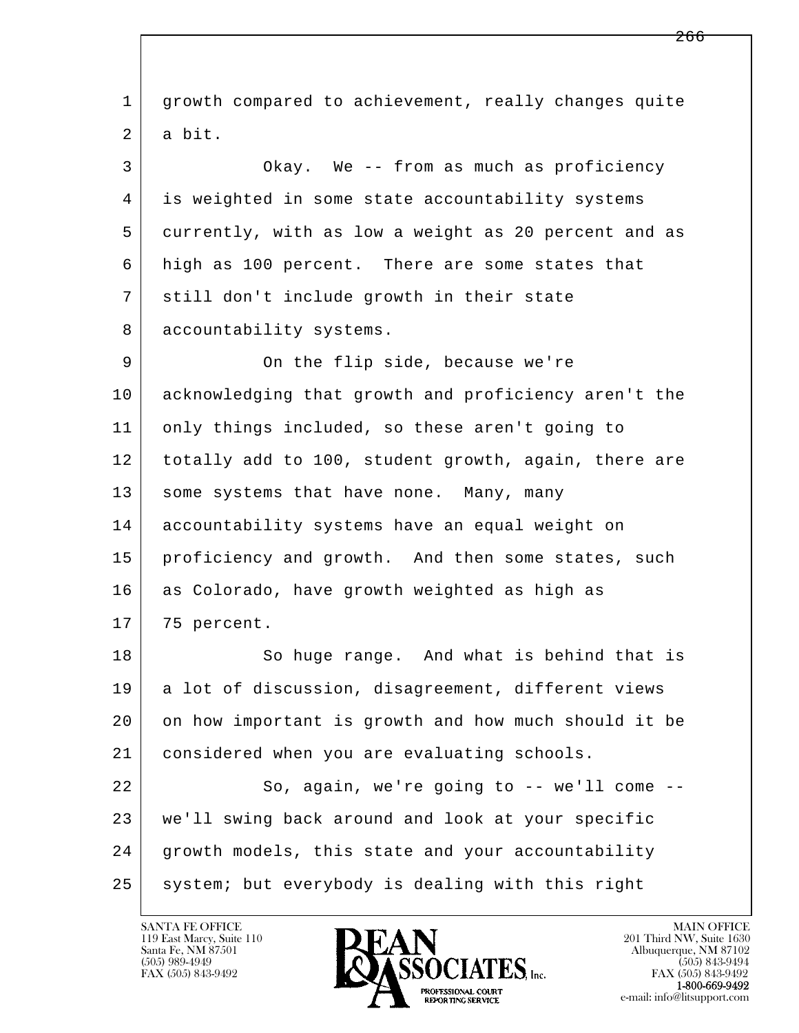l  $\overline{\phantom{a}}$  1 growth compared to achievement, really changes quite 2 a bit. 3 Okay. We -- from as much as proficiency 4 is weighted in some state accountability systems 5 currently, with as low a weight as 20 percent and as 6 high as 100 percent. There are some states that 7 still don't include growth in their state 8 accountability systems. 9 On the flip side, because we're 10 acknowledging that growth and proficiency aren't the 11 only things included, so these aren't going to 12 totally add to 100, student growth, again, there are 13 | some systems that have none. Many, many 14 accountability systems have an equal weight on 15 | proficiency and growth. And then some states, such 16 as Colorado, have growth weighted as high as 17 75 percent. 18 So huge range. And what is behind that is 19 a lot of discussion, disagreement, different views 20 on how important is growth and how much should it be 21 considered when you are evaluating schools. 22 So, again, we're going to -- we'll come -- 23 we'll swing back around and look at your specific 24 growth models, this state and your accountability 25 system; but everybody is dealing with this right

119 East Marcy, Suite 110<br>Santa Fe, NM 87501

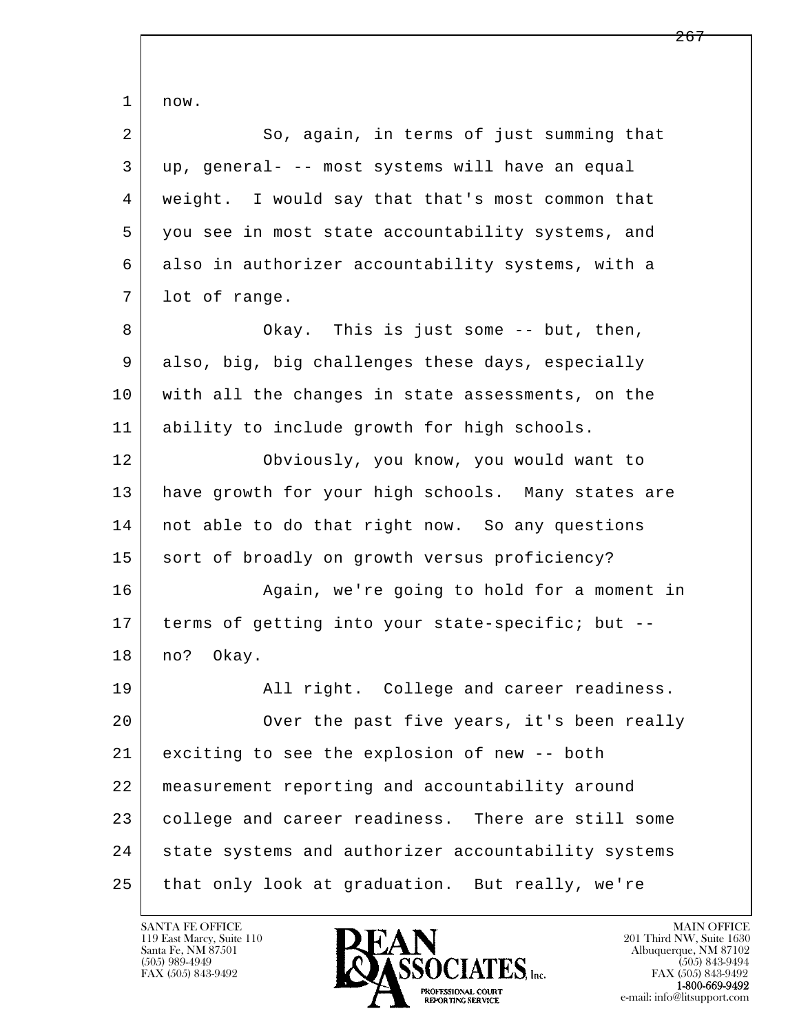l  $\overline{\phantom{a}}$  1 now. 2 So, again, in terms of just summing that 3 up, general- -- most systems will have an equal 4 weight. I would say that that's most common that 5 you see in most state accountability systems, and 6 also in authorizer accountability systems, with a 7 lot of range. 8 Okay. This is just some -- but, then, 9 also, big, big challenges these days, especially 10 with all the changes in state assessments, on the 11 ability to include growth for high schools. 12 Obviously, you know, you would want to 13 | have growth for your high schools. Many states are 14 | not able to do that right now. So any questions 15 sort of broadly on growth versus proficiency? 16 Again, we're going to hold for a moment in 17 terms of getting into your state-specific; but -- 18 | no? Okay. 19 All right. College and career readiness. 20 | Over the past five years, it's been really 21 exciting to see the explosion of new -- both 22 measurement reporting and accountability around 23 college and career readiness. There are still some 24 state systems and authorizer accountability systems 25 that only look at graduation. But really, we're

119 East Marcy, Suite 110<br>Santa Fe, NM 87501

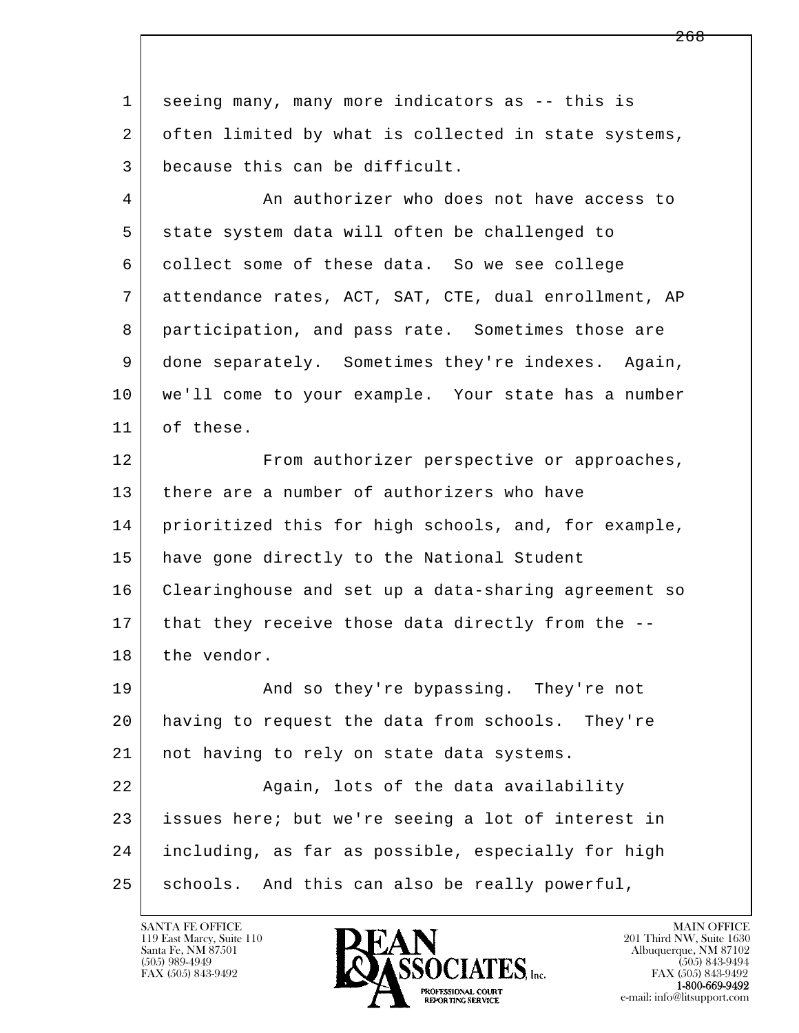l  $\overline{\phantom{a}}$  1 seeing many, many more indicators as -- this is 2 often limited by what is collected in state systems, 3 because this can be difficult. 4 An authorizer who does not have access to 5 state system data will often be challenged to 6 collect some of these data. So we see college 7 attendance rates, ACT, SAT, CTE, dual enrollment, AP 8 participation, and pass rate. Sometimes those are 9 done separately. Sometimes they're indexes. Again, 10 we'll come to your example. Your state has a number 11 of these. 12 From authorizer perspective or approaches, 13 there are a number of authorizers who have 14 prioritized this for high schools, and, for example, 15 have gone directly to the National Student 16 Clearinghouse and set up a data-sharing agreement so 17 | that they receive those data directly from the --18 the vendor. 19 | And so they're bypassing. They're not 20 having to request the data from schools. They're 21 | not having to rely on state data systems. 22 Again, lots of the data availability 23 issues here; but we're seeing a lot of interest in 24 including, as far as possible, especially for high 25 schools. And this can also be really powerful,

119 East Marcy, Suite 110<br>Santa Fe, NM 87501

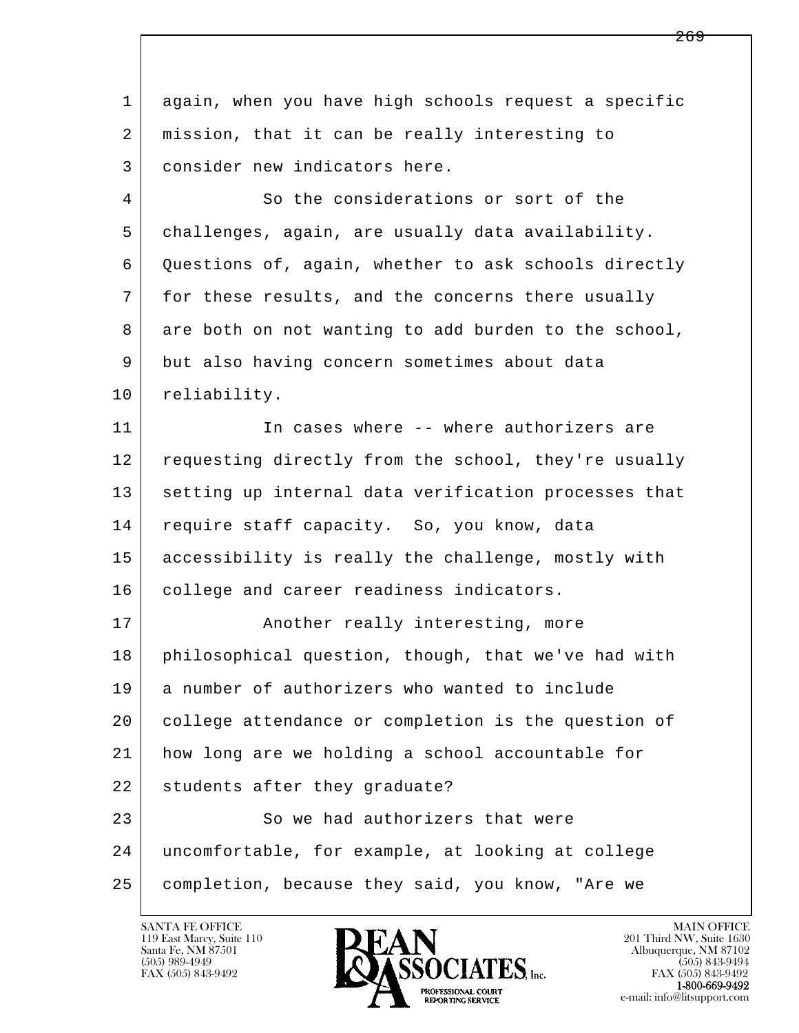l  $\overline{\phantom{a}}$  1 again, when you have high schools request a specific 2 mission, that it can be really interesting to 3 consider new indicators here. 4 So the considerations or sort of the 5 challenges, again, are usually data availability. 6 Questions of, again, whether to ask schools directly 7 for these results, and the concerns there usually 8 are both on not wanting to add burden to the school, 9 but also having concern sometimes about data 10 reliability. 11 In cases where -- where authorizers are 12 requesting directly from the school, they're usually 13 setting up internal data verification processes that 14 require staff capacity. So, you know, data 15 accessibility is really the challenge, mostly with 16 college and career readiness indicators. 17 | **Another really interesting, more**  18 philosophical question, though, that we've had with 19 a number of authorizers who wanted to include 20 college attendance or completion is the question of 21 how long are we holding a school accountable for 22 students after they graduate? 23 So we had authorizers that were 24 uncomfortable, for example, at looking at college 25 completion, because they said, you know, "Are we



FAX (505) 843-9492<br>**1-800-669-9492**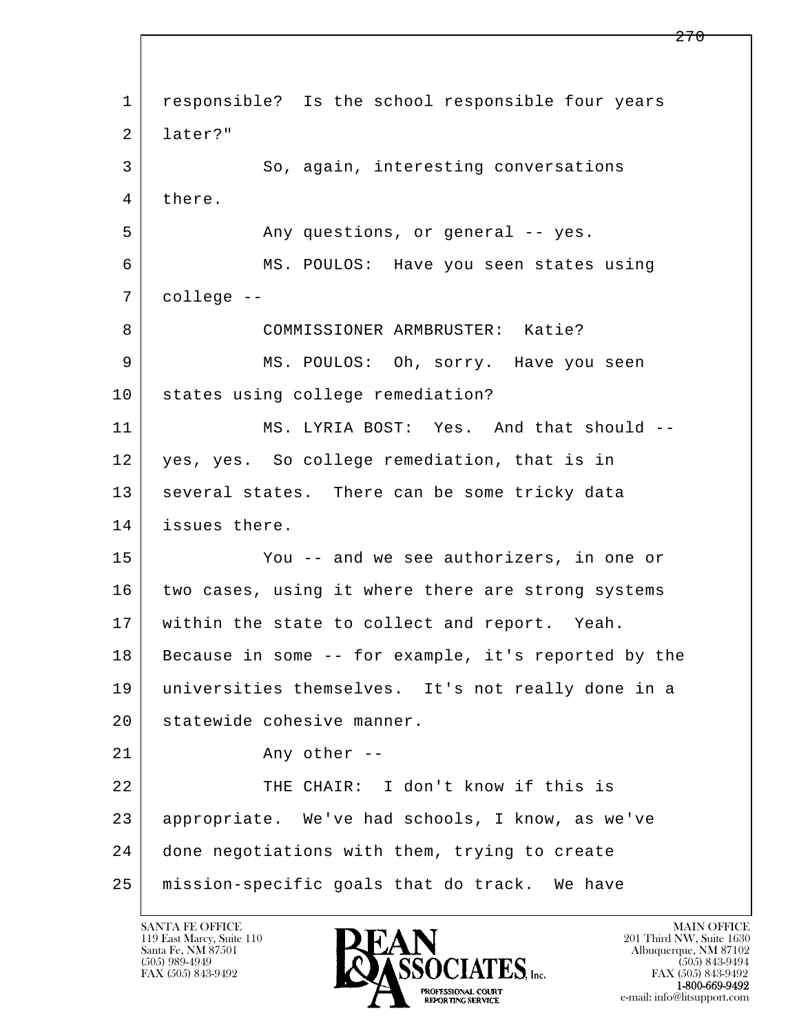l  $\overline{\phantom{a}}$  1 responsible? Is the school responsible four years 2 later?" 3 So, again, interesting conversations 4 there. 5 Any questions, or general -- yes. 6 MS. POULOS: Have you seen states using 7 college -- 8 | COMMISSIONER ARMBRUSTER: Katie? 9 MS. POULOS: Oh, sorry. Have you seen 10 states using college remediation? 11 MS. LYRIA BOST: Yes. And that should -- 12 yes, yes. So college remediation, that is in 13 | several states. There can be some tricky data 14 issues there. 15 You -- and we see authorizers, in one or 16 two cases, using it where there are strong systems 17 | within the state to collect and report. Yeah. 18 Because in some -- for example, it's reported by the 19 universities themselves. It's not really done in a 20 statewide cohesive manner. 21 Any other --22 THE CHAIR: I don't know if this is 23 appropriate. We've had schools, I know, as we've 24 done negotiations with them, trying to create 25 mission-specific goals that do track. We have

119 East Marcy, Suite 110<br>Santa Fe, NM 87501



FAX (505) 843-9492 FAX (505) 843-9492 e-mail: info@litsupport.com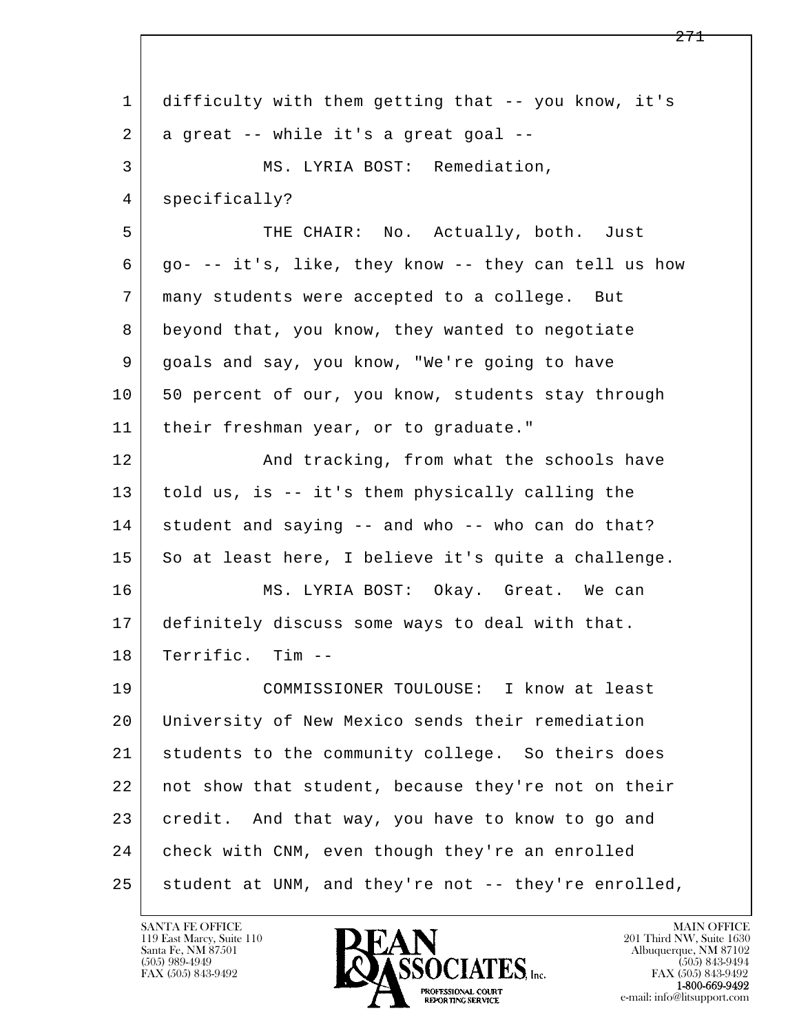| 1  | difficulty with them getting that -- you know, it's  |
|----|------------------------------------------------------|
| 2  | a great -- while it's a great goal --                |
| 3  | MS. LYRIA BOST: Remediation,                         |
| 4  | specifically?                                        |
| 5  | THE CHAIR: No. Actually, both. Just                  |
| 6  | go- -- it's, like, they know -- they can tell us how |
| 7  | many students were accepted to a college. But        |
| 8  | beyond that, you know, they wanted to negotiate      |
| 9  | goals and say, you know, "We're going to have        |
| 10 | 50 percent of our, you know, students stay through   |
| 11 | their freshman year, or to graduate."                |
| 12 | And tracking, from what the schools have             |
| 13 | told us, is -- it's them physically calling the      |
| 14 | student and saying -- and who -- who can do that?    |
| 15 | So at least here, I believe it's quite a challenge.  |
| 16 | MS. LYRIA BOST: Okay. Great. We can                  |
| 17 | definitely discuss some ways to deal with that.      |
| 18 | Terrific. Tim --                                     |
| 19 | COMMISSIONER TOULOUSE: I know at least               |
| 20 | University of New Mexico sends their remediation     |
| 21 | students to the community college. So theirs does    |
| 22 | not show that student, because they're not on their  |
| 23 | credit. And that way, you have to know to go and     |
| 24 | check with CNM, even though they're an enrolled      |
| 25 | student at UNM, and they're not -- they're enrolled, |

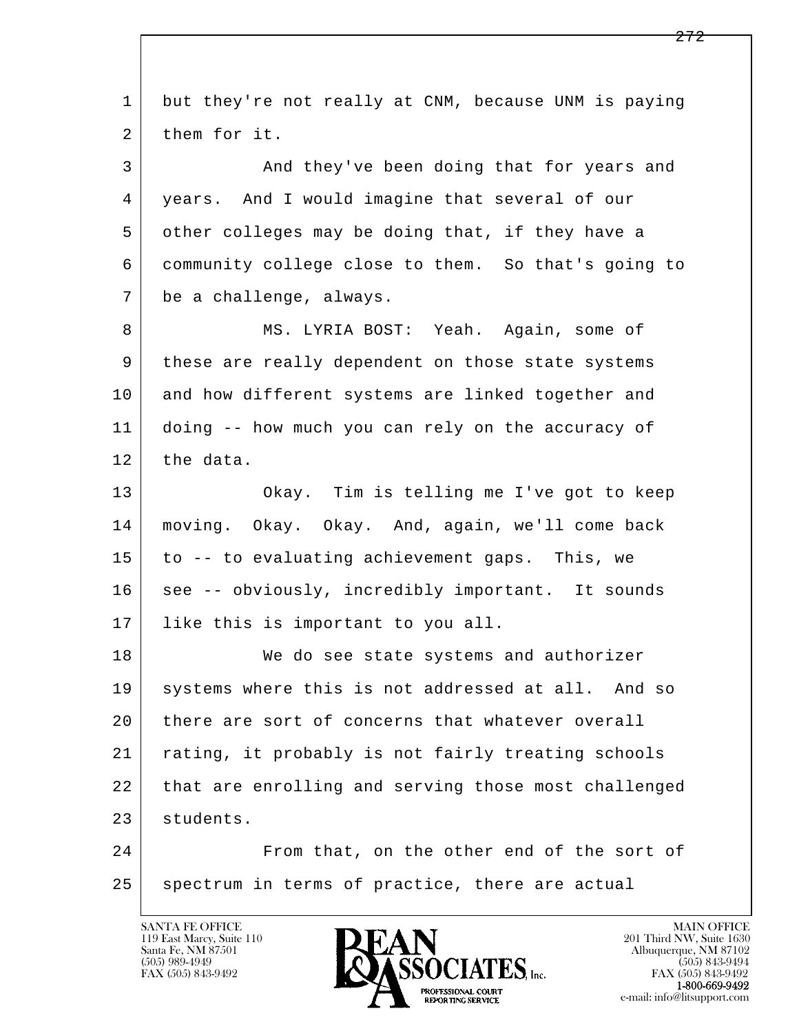l  $\overline{\phantom{a}}$  1 but they're not really at CNM, because UNM is paying 2 them for it. 3 And they've been doing that for years and 4 years. And I would imagine that several of our 5 other colleges may be doing that, if they have a 6 community college close to them. So that's going to 7 be a challenge, always. 8 MS. LYRIA BOST: Yeah. Again, some of 9 these are really dependent on those state systems 10 and how different systems are linked together and 11 doing -- how much you can rely on the accuracy of 12 the data. 13 Okay. Tim is telling me I've got to keep 14 moving. Okay. Okay. And, again, we'll come back 15 to -- to evaluating achievement gaps. This, we 16 see -- obviously, incredibly important. It sounds 17 like this is important to you all. 18 We do see state systems and authorizer 19 systems where this is not addressed at all. And so 20 there are sort of concerns that whatever overall 21 rating, it probably is not fairly treating schools 22 that are enrolling and serving those most challenged 23 students. 24 From that, on the other end of the sort of 25 spectrum in terms of practice, there are actual

119 East Marcy, Suite 110<br>Santa Fe, NM 87501

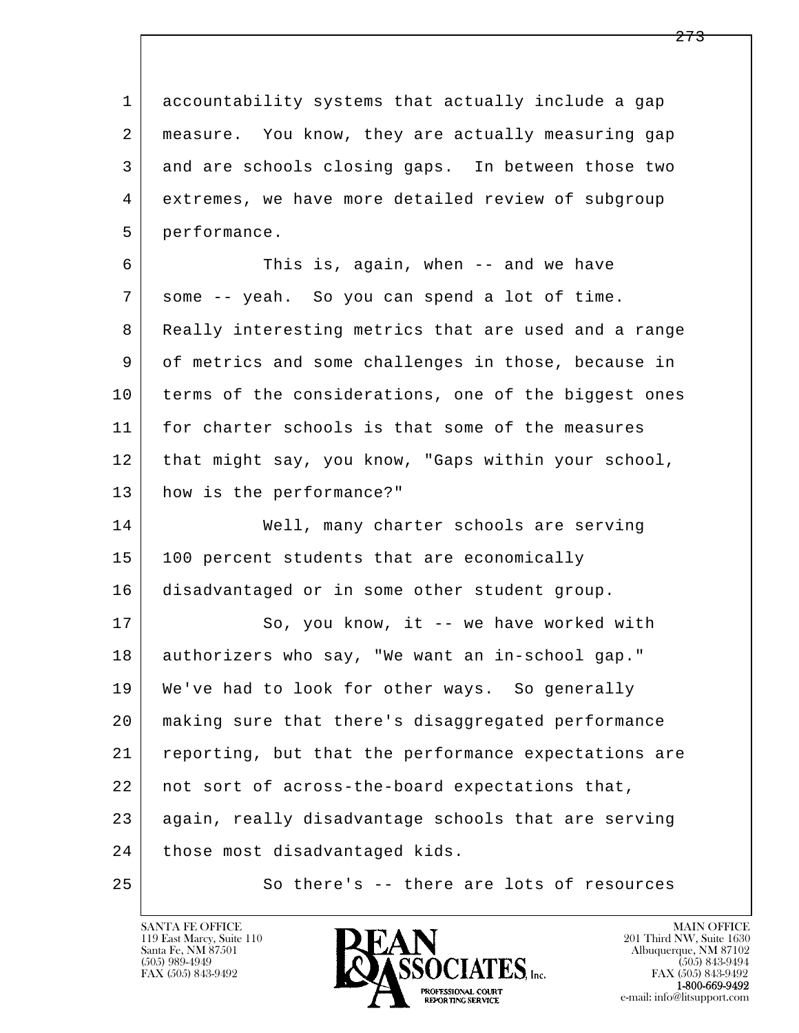l  $\overline{\phantom{a}}$  1 accountability systems that actually include a gap 2 measure. You know, they are actually measuring gap 3 and are schools closing gaps. In between those two 4 extremes, we have more detailed review of subgroup 5 performance. 6 This is, again, when -- and we have 7 some -- yeah. So you can spend a lot of time. 8 Really interesting metrics that are used and a range 9 of metrics and some challenges in those, because in 10 terms of the considerations, one of the biggest ones 11 for charter schools is that some of the measures 12 that might say, you know, "Gaps within your school, 13 how is the performance?" 14 Well, many charter schools are serving 15 100 percent students that are economically 16 disadvantaged or in some other student group. 17 So, you know, it -- we have worked with 18 authorizers who say, "We want an in-school gap." 19 We've had to look for other ways. So generally 20 making sure that there's disaggregated performance 21 reporting, but that the performance expectations are 22 | not sort of across-the-board expectations that, 23 again, really disadvantage schools that are serving 24 | those most disadvantaged kids. 25 So there's -- there are lots of resources

119 East Marcy, Suite 110<br>Santa Fe, NM 87501



FAX (505) 843-9492<br>1-800-669-9492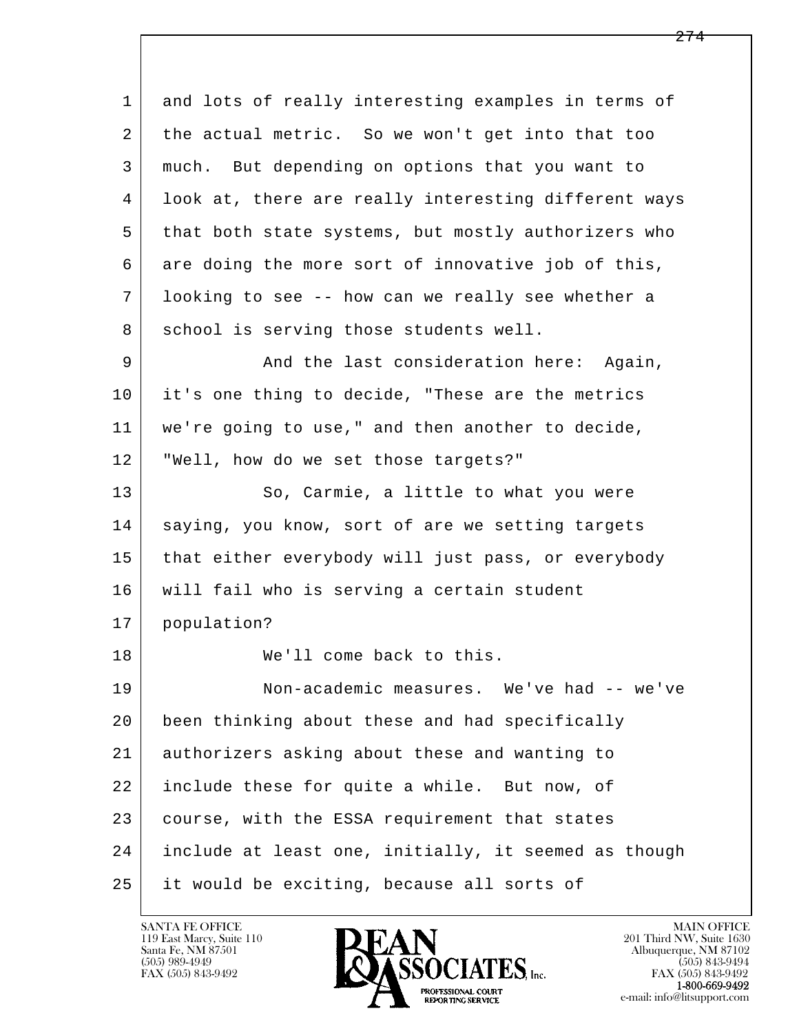l  $\overline{\phantom{a}}$  1 and lots of really interesting examples in terms of 2 the actual metric. So we won't get into that too 3 much. But depending on options that you want to 4 look at, there are really interesting different ways 5 that both state systems, but mostly authorizers who  $6$  are doing the more sort of innovative job of this, 7 looking to see -- how can we really see whether a 8 | school is serving those students well. 9 And the last consideration here: Again, 10 it's one thing to decide, "These are the metrics 11 we're going to use," and then another to decide, 12 "Well, how do we set those targets?" 13 So, Carmie, a little to what you were 14 | saying, you know, sort of are we setting targets 15 | that either everybody will just pass, or everybody 16 will fail who is serving a certain student 17 population? 18 We'll come back to this. 19 Non-academic measures. We've had -- we've 20 been thinking about these and had specifically 21 authorizers asking about these and wanting to 22 include these for quite a while. But now, of 23 course, with the ESSA requirement that states 24 include at least one, initially, it seemed as though 25 it would be exciting, because all sorts of

119 East Marcy, Suite 110<br>Santa Fe, NM 87501

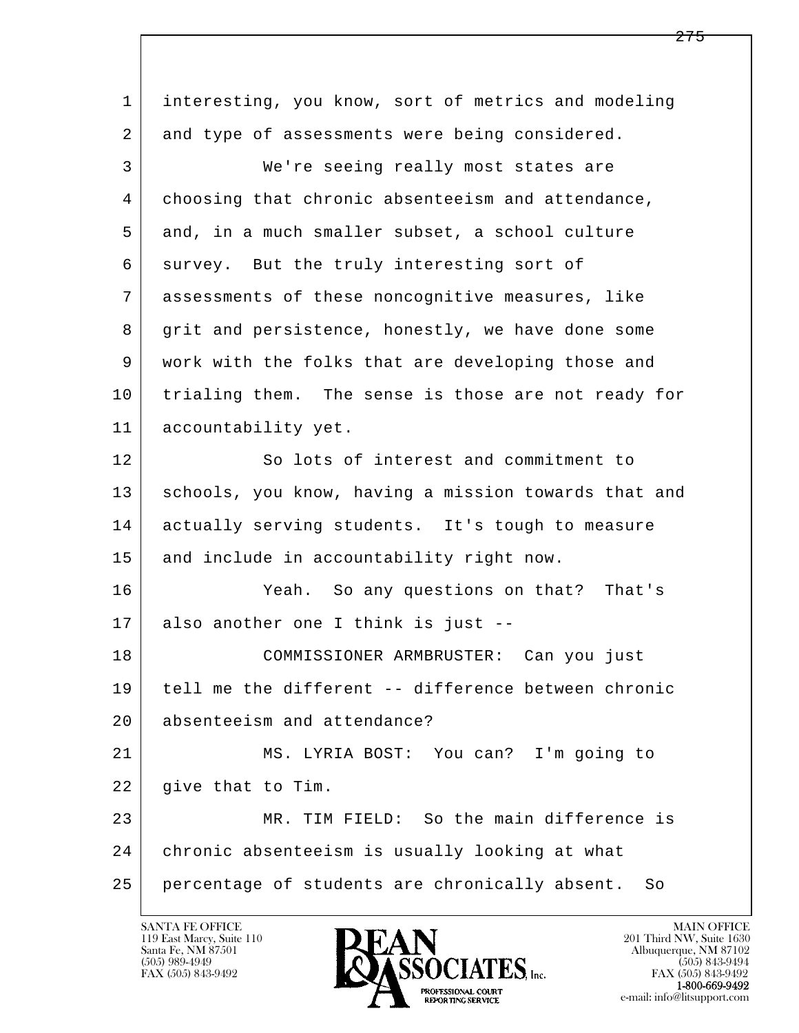l  $\overline{\phantom{a}}$  1 interesting, you know, sort of metrics and modeling 2 and type of assessments were being considered. 3 We're seeing really most states are 4 choosing that chronic absenteeism and attendance, 5 and, in a much smaller subset, a school culture 6 survey. But the truly interesting sort of 7 assessments of these noncognitive measures, like 8 grit and persistence, honestly, we have done some 9 work with the folks that are developing those and 10 trialing them. The sense is those are not ready for 11 | accountability yet. 12 So lots of interest and commitment to 13 | schools, you know, having a mission towards that and 14 actually serving students. It's tough to measure 15 and include in accountability right now. 16 Yeah. So any questions on that? That's 17 also another one I think is just -- 18 COMMISSIONER ARMBRUSTER: Can you just 19 tell me the different -- difference between chronic 20 absenteeism and attendance? 21 MS. LYRIA BOST: You can? I'm going to 22 give that to Tim. 23 MR. TIM FIELD: So the main difference is 24 chronic absenteeism is usually looking at what 25 percentage of students are chronically absent. So

119 East Marcy, Suite 110<br>Santa Fe, NM 87501

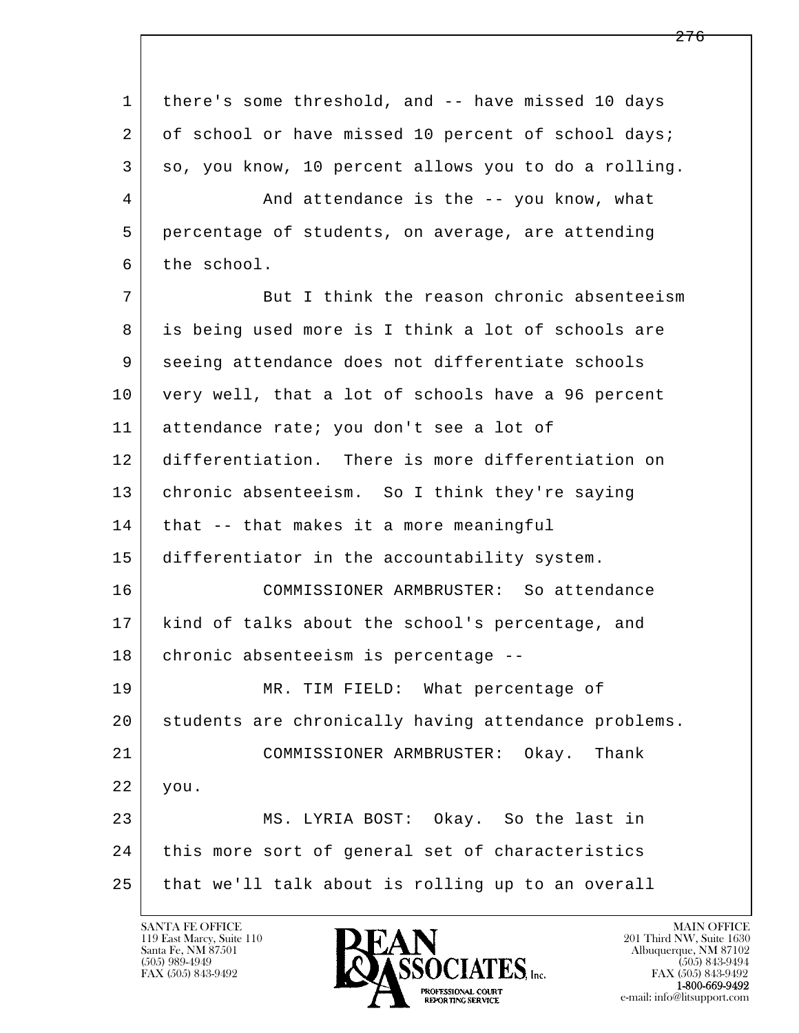l  $\overline{\phantom{a}}$ 1 there's some threshold, and -- have missed 10 days 2 of school or have missed 10 percent of school days; 3 so, you know, 10 percent allows you to do a rolling. 4 And attendance is the -- you know, what 5 percentage of students, on average, are attending 6 the school. 7 But I think the reason chronic absenteeism 8 is being used more is I think a lot of schools are 9 seeing attendance does not differentiate schools 10 very well, that a lot of schools have a 96 percent 11 attendance rate; you don't see a lot of 12 differentiation. There is more differentiation on 13 | chronic absenteeism. So I think they're saying 14 | that -- that makes it a more meaningful 15 differentiator in the accountability system. 16 COMMISSIONER ARMBRUSTER: So attendance 17 kind of talks about the school's percentage, and 18 chronic absenteeism is percentage -- 19 MR. TIM FIELD: What percentage of 20 students are chronically having attendance problems. 21 COMMISSIONER ARMBRUSTER: Okay. Thank 22 you. 23 | MS. LYRIA BOST: Okay. So the last in 24 | this more sort of general set of characteristics 25 that we'll talk about is rolling up to an overall

119 East Marcy, Suite 110<br>Santa Fe, NM 87501



FAX (505) 843-9492<br>**1-800-669-9492**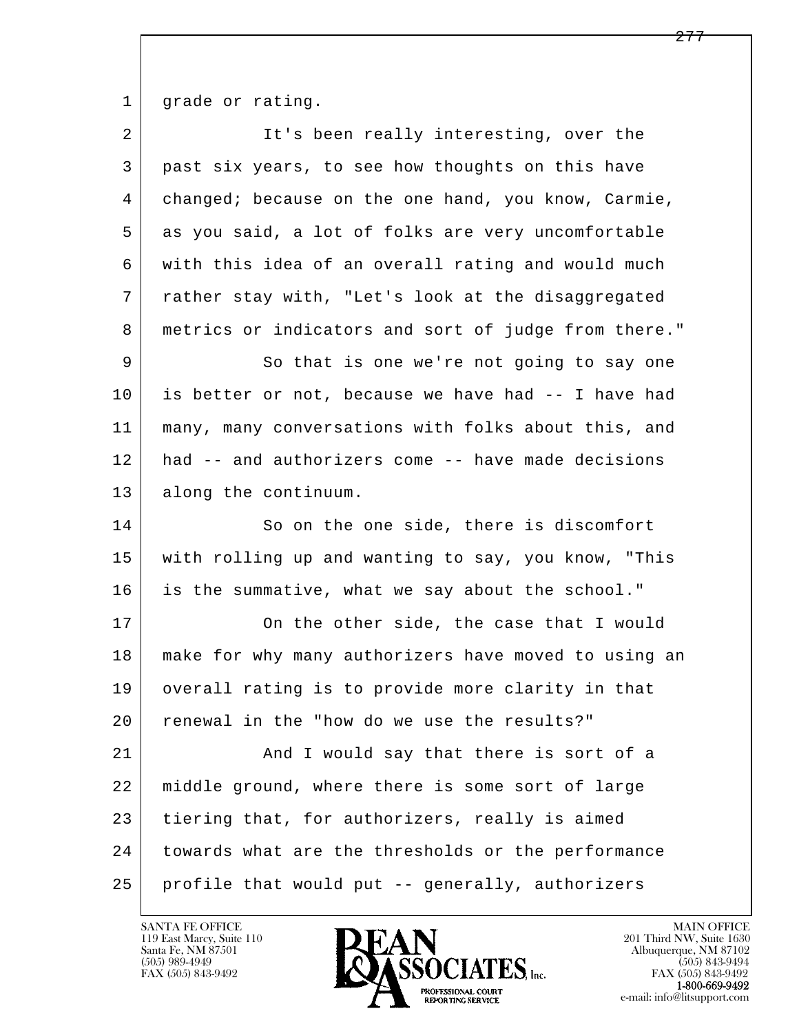1 grade or rating.

| $\overline{2}$ | It's been really interesting, over the               |
|----------------|------------------------------------------------------|
| 3              | past six years, to see how thoughts on this have     |
| 4              | changed; because on the one hand, you know, Carmie,  |
| 5              | as you said, a lot of folks are very uncomfortable   |
| 6              | with this idea of an overall rating and would much   |
| 7              | rather stay with, "Let's look at the disaggregated   |
| 8              | metrics or indicators and sort of judge from there." |
| 9              | So that is one we're not going to say one            |
| 10             | is better or not, because we have had -- I have had  |
| 11             | many, many conversations with folks about this, and  |
| 12             | had -- and authorizers come -- have made decisions   |
| 13             | along the continuum.                                 |
| 14             | So on the one side, there is discomfort              |
| 15             | with rolling up and wanting to say, you know, "This  |
| 16             | is the summative, what we say about the school."     |
| 17             | On the other side, the case that I would             |
| 18             | make for why many authorizers have moved to using an |
| 19             | overall rating is to provide more clarity in that    |
| 20             | renewal in the "how do we use the results?"          |
| 21             | And I would say that there is sort of a              |
| 22             | middle ground, where there is some sort of large     |
| 23             | tiering that, for authorizers, really is aimed       |
| 24             | towards what are the thresholds or the performance   |
| 25             | profile that would put -- generally, authorizers     |

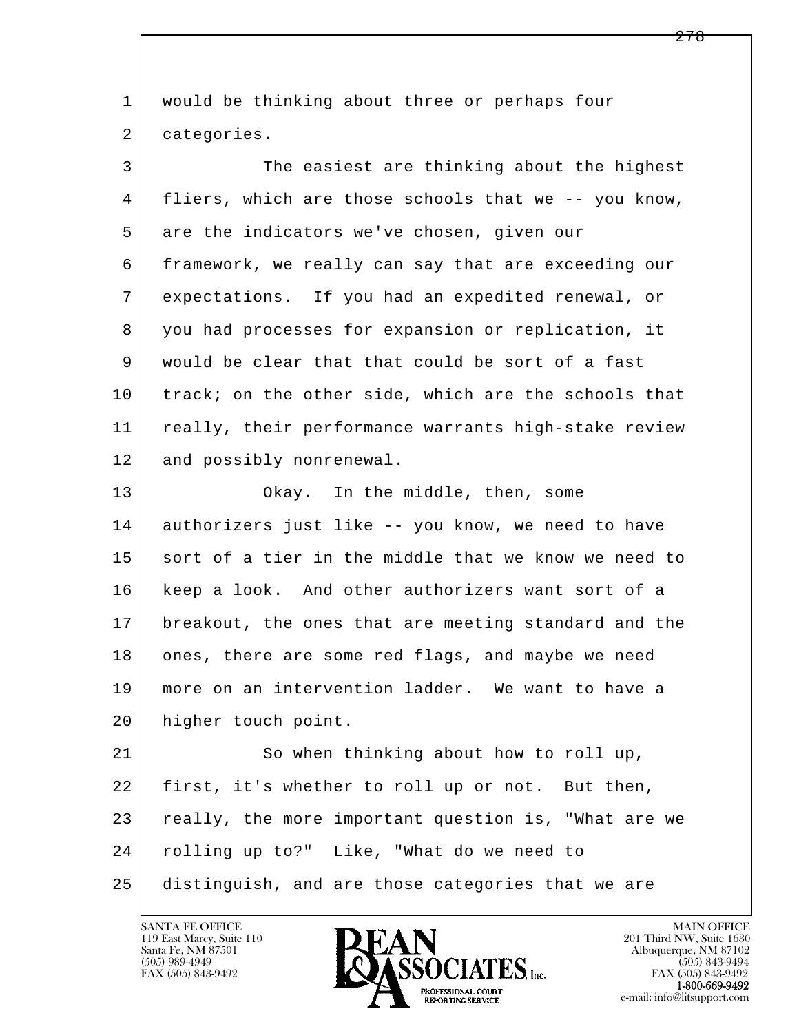l  $\overline{\phantom{a}}$  1 would be thinking about three or perhaps four 2 categories. 3 The easiest are thinking about the highest 4 fliers, which are those schools that we -- you know, 5 are the indicators we've chosen, given our 6 framework, we really can say that are exceeding our 7 expectations. If you had an expedited renewal, or 8 you had processes for expansion or replication, it 9 would be clear that that could be sort of a fast 10 track; on the other side, which are the schools that 11 | really, their performance warrants high-stake review 12 and possibly nonrenewal. 13 Okay. In the middle, then, some 14 authorizers just like -- you know, we need to have 15 sort of a tier in the middle that we know we need to 16 keep a look. And other authorizers want sort of a 17 breakout, the ones that are meeting standard and the 18 ones, there are some red flags, and maybe we need 19 more on an intervention ladder. We want to have a 20 higher touch point. 21 So when thinking about how to roll up, 22 first, it's whether to roll up or not. But then, 23 really, the more important question is, "What are we 24 rolling up to?" Like, "What do we need to 25 distinguish, and are those categories that we are

119 East Marcy, Suite 110<br>Santa Fe, NM 87501



FAX (505) 843-9492<br>**1-800-669-9492**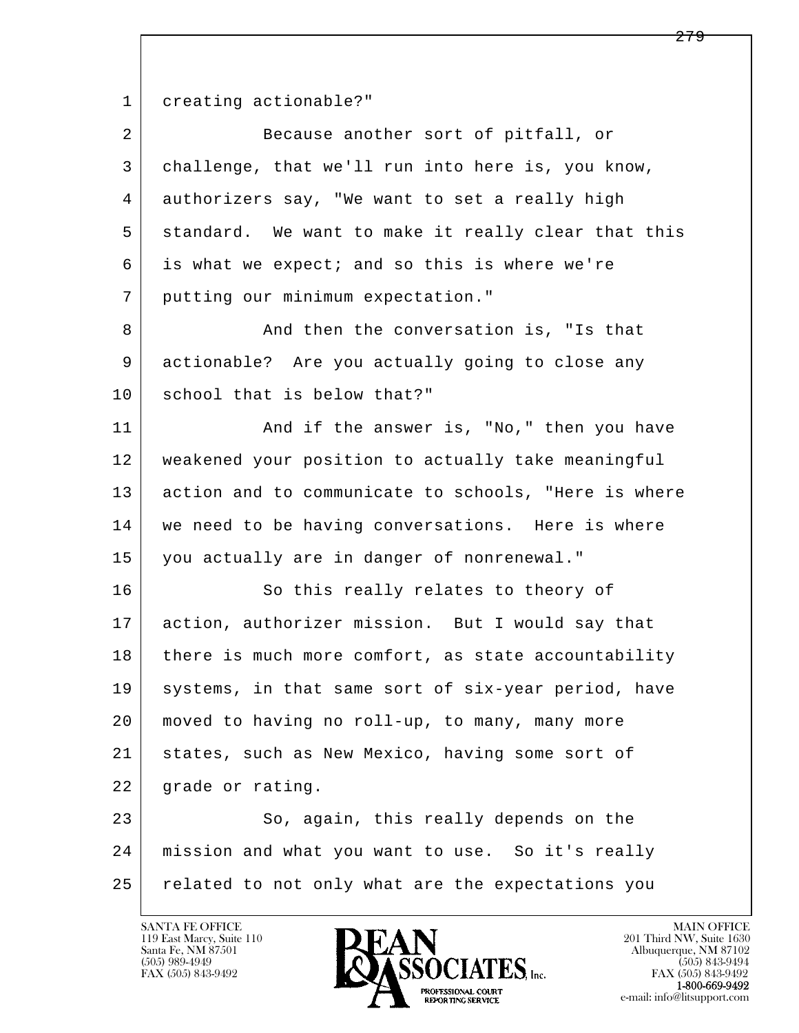1 creating actionable?"

| $\overline{2}$ | Because another sort of pitfall, or                  |
|----------------|------------------------------------------------------|
| 3              | challenge, that we'll run into here is, you know,    |
| 4              | authorizers say, "We want to set a really high       |
| 5              | standard. We want to make it really clear that this  |
| 6              | is what we expect; and so this is where we're        |
| 7              | putting our minimum expectation."                    |
| 8              | And then the conversation is, "Is that               |
| 9              | actionable? Are you actually going to close any      |
| 10             | school that is below that?"                          |
| 11             | And if the answer is, "No," then you have            |
| 12             | weakened your position to actually take meaningful   |
| 13             | action and to communicate to schools, "Here is where |
| 14             | we need to be having conversations. Here is where    |
| 15             | you actually are in danger of nonrenewal."           |
| 16             | So this really relates to theory of                  |
| 17             | action, authorizer mission. But I would say that     |
| 18             | there is much more comfort, as state accountability  |
| 19             | systems, in that same sort of six-year period, have  |
| 20             | moved to having no roll-up, to many, many more       |
| 21             | states, such as New Mexico, having some sort of      |
| 22             | grade or rating.                                     |
| 23             | So, again, this really depends on the                |
| 24             | mission and what you want to use. So it's really     |
| 25             | related to not only what are the expectations you    |

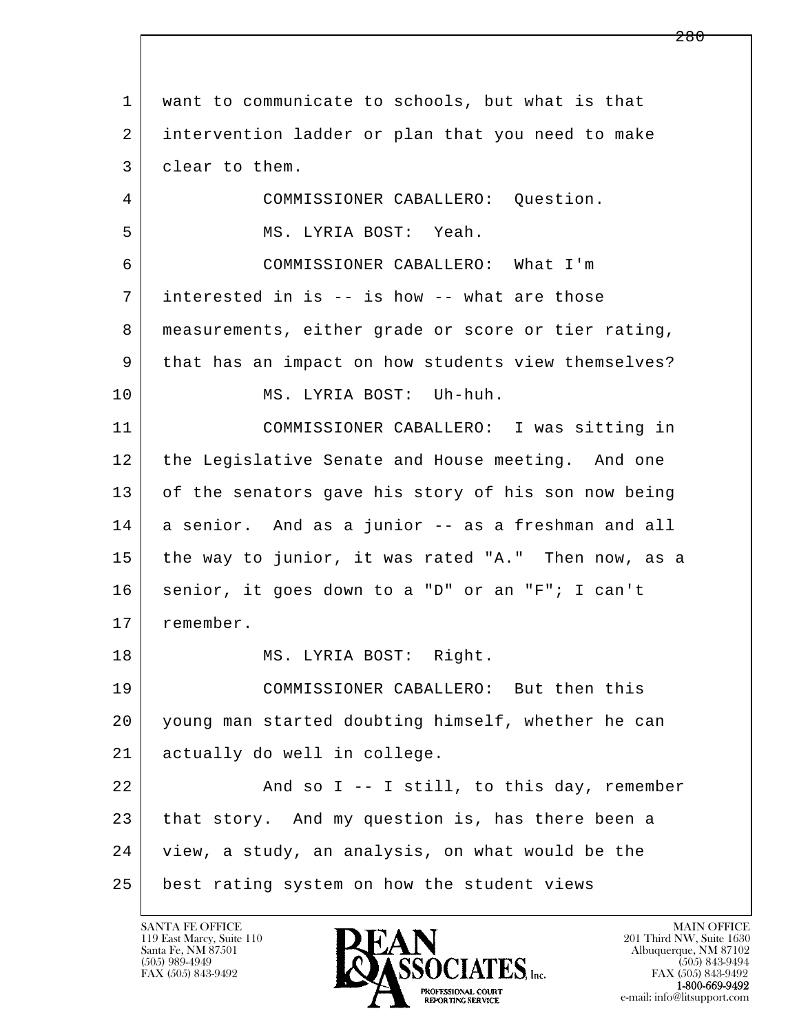l  $\overline{\phantom{a}}$  1 want to communicate to schools, but what is that 2 intervention ladder or plan that you need to make 3 clear to them. 4 COMMISSIONER CABALLERO: Question. 5 MS. LYRIA BOST: Yeah. 6 COMMISSIONER CABALLERO: What I'm 7 interested in is -- is how -- what are those 8 measurements, either grade or score or tier rating, 9 that has an impact on how students view themselves? 10 MS. LYRIA BOST: Uh-huh. 11 COMMISSIONER CABALLERO: I was sitting in 12 the Legislative Senate and House meeting. And one 13 of the senators gave his story of his son now being 14 a senior. And as a junior -- as a freshman and all 15 the way to junior, it was rated "A." Then now, as a 16 senior, it goes down to a "D" or an "F"; I can't 17 remember. 18 | MS. LYRIA BOST: Right. 19 COMMISSIONER CABALLERO: But then this 20 young man started doubting himself, whether he can 21 actually do well in college.  $22$   $\vert$  and so I -- I still, to this day, remember 23 that story. And my question is, has there been a 24 view, a study, an analysis, on what would be the 25 best rating system on how the student views

119 East Marcy, Suite 110<br>Santa Fe, NM 87501



FAX (505) 843-9492<br>**1-800-669-9492**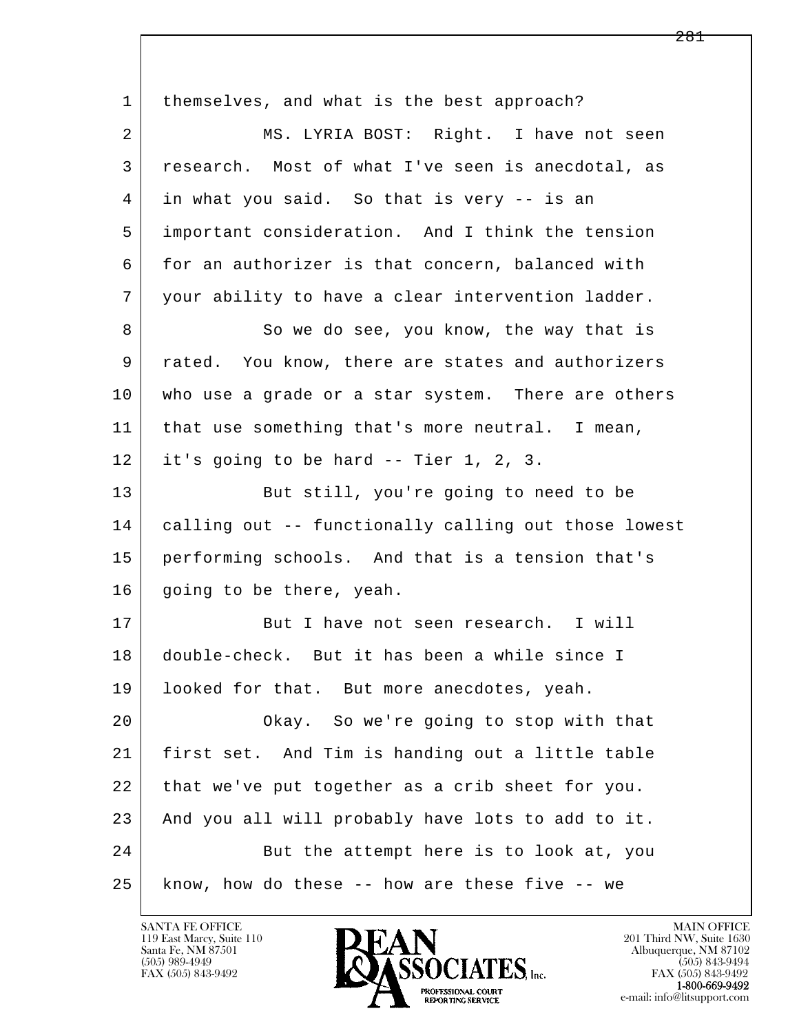l  $\overline{\phantom{a}}$ 1 | themselves, and what is the best approach? 2 MS. LYRIA BOST: Right. I have not seen 3 research. Most of what I've seen is anecdotal, as 4 in what you said. So that is very -- is an 5 important consideration. And I think the tension 6 for an authorizer is that concern, balanced with 7 your ability to have a clear intervention ladder. 8 So we do see, you know, the way that is 9 rated. You know, there are states and authorizers 10 who use a grade or a star system. There are others 11 | that use something that's more neutral. I mean, 12 it's going to be hard -- Tier 1, 2, 3. 13 But still, you're going to need to be 14 calling out -- functionally calling out those lowest 15 performing schools. And that is a tension that's 16 | going to be there, yeah. 17 But I have not seen research. I will 18 double-check. But it has been a while since I 19 | looked for that. But more anecdotes, yeah. 20 Okay. So we're going to stop with that 21 first set. And Tim is handing out a little table 22 that we've put together as a crib sheet for you. 23 And you all will probably have lots to add to it. 24 But the attempt here is to look at, you 25 know, how do these -- how are these five -- we

119 East Marcy, Suite 110<br>Santa Fe, NM 87501



FAX (505) 843-9492<br>**1-800-669-9492**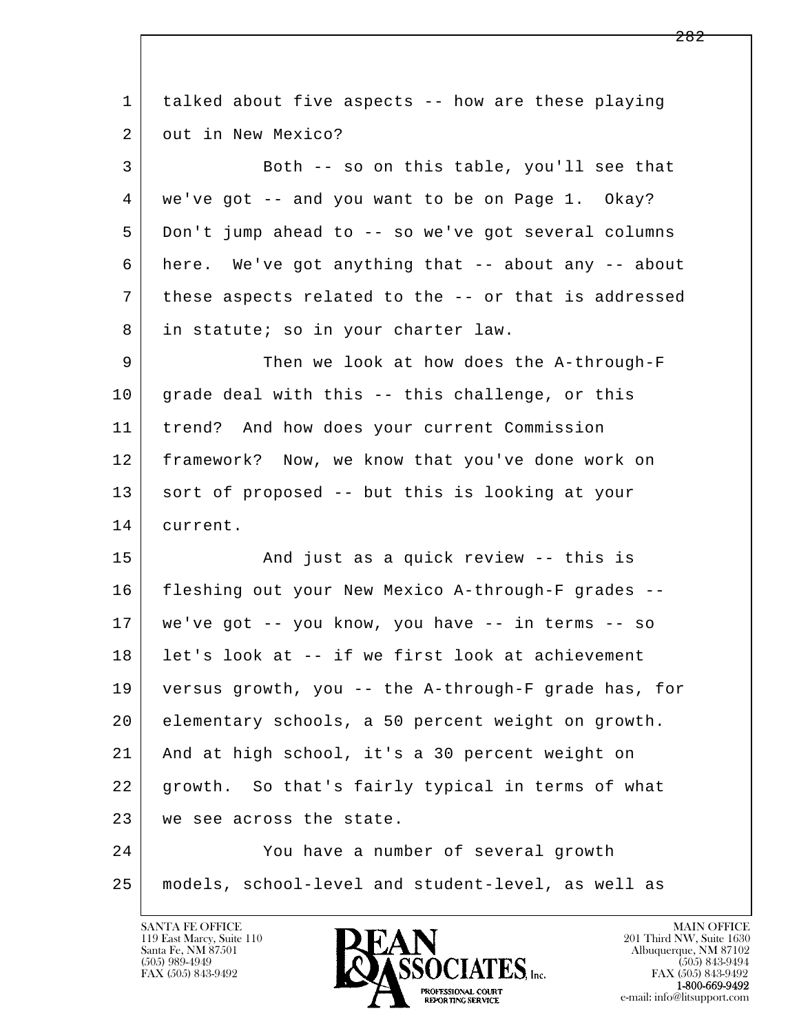l  $\overline{\phantom{a}}$  1 talked about five aspects -- how are these playing 2 out in New Mexico? 3 Both -- so on this table, you'll see that 4 we've got -- and you want to be on Page 1. Okay? 5 Don't jump ahead to -- so we've got several columns 6 here. We've got anything that -- about any -- about 7 these aspects related to the -- or that is addressed 8 in statute; so in your charter law. 9 Then we look at how does the A-through-F  $10$  grade deal with this -- this challenge, or this 11 trend? And how does your current Commission 12 framework? Now, we know that you've done work on 13 sort of proposed -- but this is looking at your 14 current. 15 | The and just as a quick review -- this is 16 fleshing out your New Mexico A-through-F grades -- 17 we've got -- you know, you have -- in terms -- so 18 let's look at -- if we first look at achievement 19 versus growth, you -- the A-through-F grade has, for 20 elementary schools, a 50 percent weight on growth. 21 And at high school, it's a 30 percent weight on 22 growth. So that's fairly typical in terms of what 23 | we see across the state. 24 You have a number of several growth 25 models, school-level and student-level, as well as



FAX (505) 843-9492<br>1-800-669-9492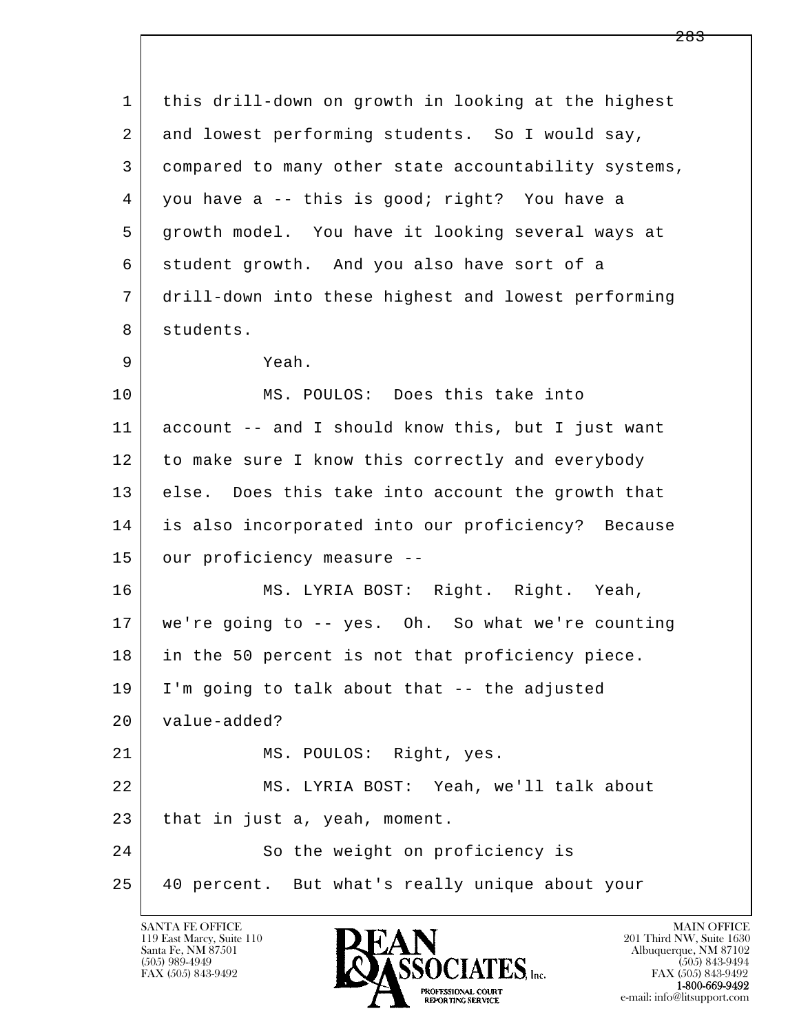| $\mathbf 1$ | this drill-down on growth in looking at the highest  |
|-------------|------------------------------------------------------|
| 2           | and lowest performing students. So I would say,      |
| 3           | compared to many other state accountability systems, |
| 4           | you have a -- this is good; right? You have a        |
| 5           | growth model. You have it looking several ways at    |
| 6           | student growth. And you also have sort of a          |
| 7           | drill-down into these highest and lowest performing  |
| 8           | students.                                            |
| 9           | Yeah.                                                |
| 10          | MS. POULOS: Does this take into                      |
| 11          | account -- and I should know this, but I just want   |
| 12          | to make sure I know this correctly and everybody     |
| 13          | else. Does this take into account the growth that    |
| 14          | is also incorporated into our proficiency? Because   |
| 15          | our proficiency measure --                           |
| 16          | MS. LYRIA BOST: Right. Right. Yeah,                  |
| 17          | we're going to -- yes. Oh. So what we're counting    |
| 18          | in the 50 percent is not that proficiency piece.     |
| 19          | I'm going to talk about that -- the adjusted         |
| 20          | value-added?                                         |
| 21          | MS. POULOS: Right, yes.                              |
| 22          | MS. LYRIA BOST: Yeah, we'll talk about               |
| 23          | that in just a, yeah, moment.                        |
| 24          | So the weight on proficiency is                      |
| 25          | 40 percent. But what's really unique about your      |

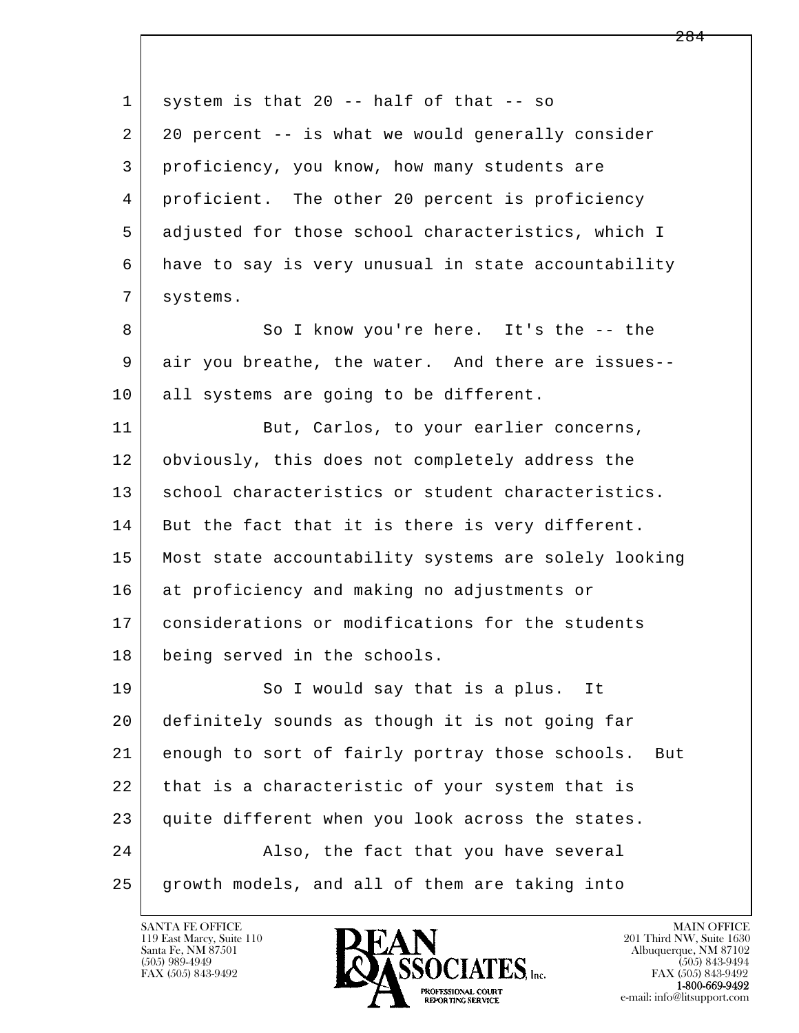| $\mathbf{1}$ | system is that $20 - -$ half of that $- -$ so          |
|--------------|--------------------------------------------------------|
| 2            | 20 percent -- is what we would generally consider      |
| 3            | proficiency, you know, how many students are           |
| 4            | proficient. The other 20 percent is proficiency        |
| 5            | adjusted for those school characteristics, which I     |
| 6            | have to say is very unusual in state accountability    |
| 7            | systems.                                               |
| 8            | So I know you're here. It's the -- the                 |
| 9            | air you breathe, the water. And there are issues--     |
| 10           | all systems are going to be different.                 |
| 11           | But, Carlos, to your earlier concerns,                 |
| 12           | obviously, this does not completely address the        |
| 13           | school characteristics or student characteristics.     |
| 14           | But the fact that it is there is very different.       |
| 15           | Most state accountability systems are solely looking   |
| 16           | at proficiency and making no adjustments or            |
| 17           | considerations or modifications for the students       |
| 18           | being served in the schools.                           |
| 19           | So I would say that is a plus. It                      |
| 20           | definitely sounds as though it is not going far        |
| 21           | enough to sort of fairly portray those schools.<br>But |
| 22           | that is a characteristic of your system that is        |
| 23           | quite different when you look across the states.       |
| 24           | Also, the fact that you have several                   |
| 25           | growth models, and all of them are taking into         |

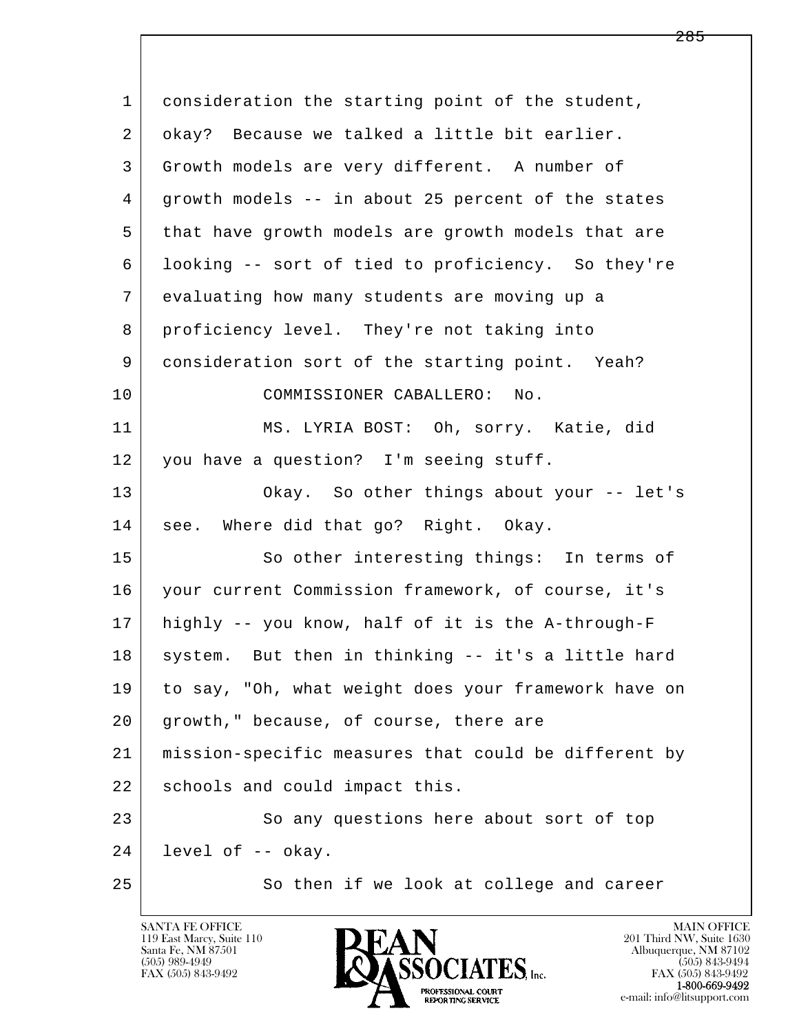| 1  | consideration the starting point of the student,     |
|----|------------------------------------------------------|
| 2  | okay? Because we talked a little bit earlier.        |
| 3  | Growth models are very different. A number of        |
| 4  | growth models -- in about 25 percent of the states   |
| 5  | that have growth models are growth models that are   |
| 6  | looking -- sort of tied to proficiency. So they're   |
| 7  | evaluating how many students are moving up a         |
| 8  | proficiency level. They're not taking into           |
| 9  | consideration sort of the starting point. Yeah?      |
| 10 | COMMISSIONER CABALLERO: No.                          |
| 11 | MS. LYRIA BOST: Oh, sorry. Katie, did                |
| 12 | you have a question? I'm seeing stuff.               |
| 13 | Okay. So other things about your -- let's            |
| 14 | see. Where did that go? Right. Okay.                 |
| 15 | So other interesting things: In terms of             |
| 16 | your current Commission framework, of course, it's   |
| 17 | highly -- you know, half of it is the A-through-F    |
| 18 | system. But then in thinking -- it's a little hard   |
| 19 | to say, "Oh, what weight does your framework have on |
| 20 | growth," because, of course, there are               |
| 21 | mission-specific measures that could be different by |
| 22 | schools and could impact this.                       |
| 23 | So any questions here about sort of top              |
| 24 | level of -- okay.                                    |
| 25 | So then if we look at college and career             |

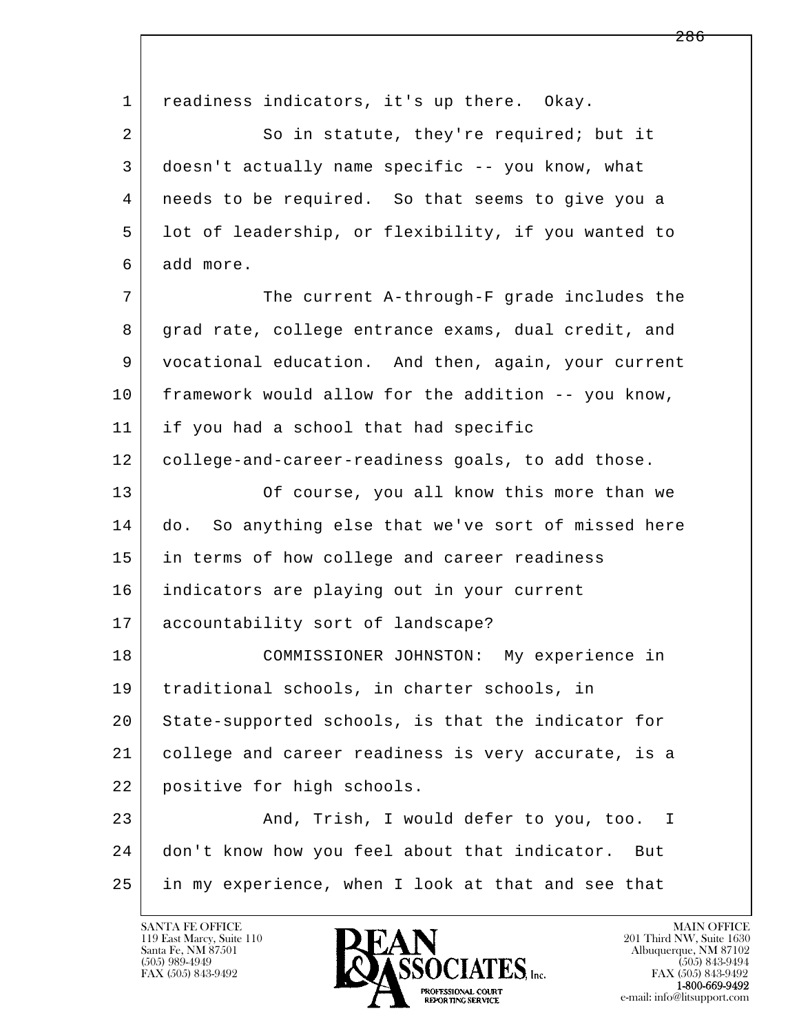l  $\overline{\phantom{a}}$ 1 readiness indicators, it's up there. Okay. 2 So in statute, they're required; but it 3 doesn't actually name specific -- you know, what 4 needs to be required. So that seems to give you a 5 lot of leadership, or flexibility, if you wanted to 6 add more. 7 The current A-through-F grade includes the 8 grad rate, college entrance exams, dual credit, and 9 vocational education. And then, again, your current 10 framework would allow for the addition -- you know, 11 if you had a school that had specific 12 college-and-career-readiness goals, to add those. 13 Of course, you all know this more than we 14 do. So anything else that we've sort of missed here 15 in terms of how college and career readiness 16 indicators are playing out in your current 17 accountability sort of landscape? 18 COMMISSIONER JOHNSTON: My experience in 19 traditional schools, in charter schools, in 20 State-supported schools, is that the indicator for 21 college and career readiness is very accurate, is a 22 positive for high schools. 23 And, Trish, I would defer to you, too. I 24 don't know how you feel about that indicator. But 25 in my experience, when I look at that and see that

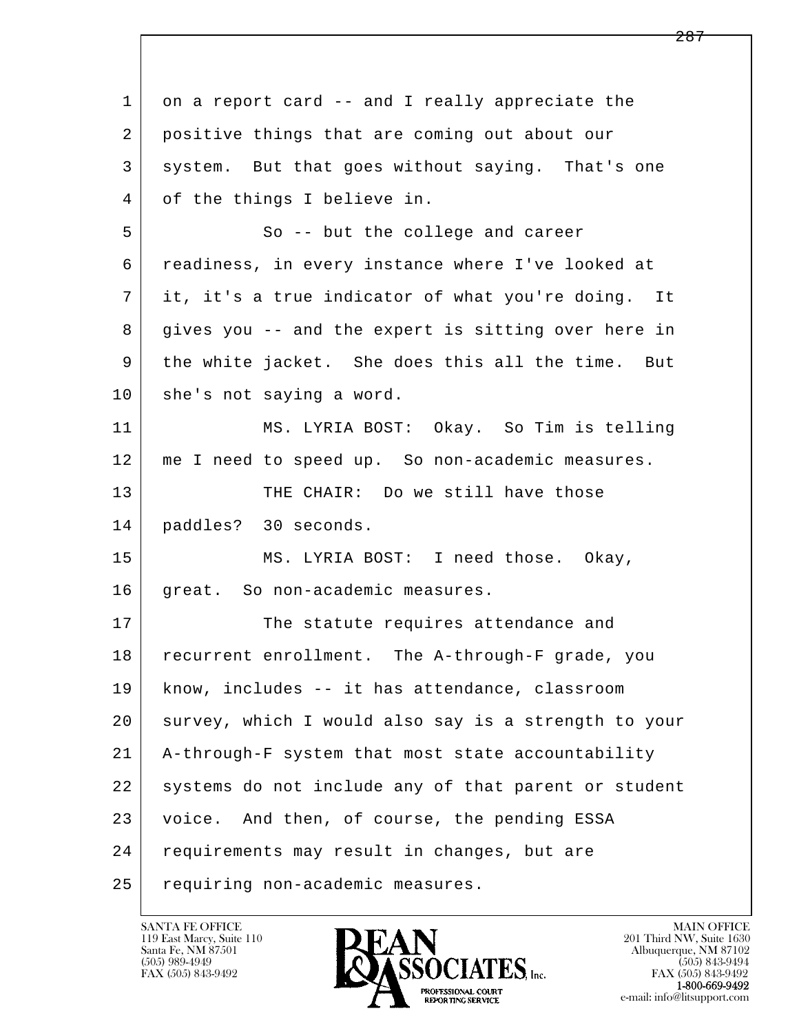l  $\overline{\phantom{a}}$ 1 on a report card -- and I really appreciate the 2 positive things that are coming out about our 3 system. But that goes without saying. That's one 4 of the things I believe in. 5 So -- but the college and career 6 readiness, in every instance where I've looked at 7 it, it's a true indicator of what you're doing. It 8 gives you -- and the expert is sitting over here in 9 the white jacket. She does this all the time. But 10 she's not saying a word. 11 MS. LYRIA BOST: Okay. So Tim is telling 12 me I need to speed up. So non-academic measures. 13 THE CHAIR: Do we still have those 14 paddles? 30 seconds. 15 | MS. LYRIA BOST: I need those. Okay, 16 great. So non-academic measures. 17 The statute requires attendance and 18 recurrent enrollment. The A-through-F grade, you 19 know, includes -- it has attendance, classroom 20 survey, which I would also say is a strength to your 21 A-through-F system that most state accountability 22 systems do not include any of that parent or student 23 voice. And then, of course, the pending ESSA 24 | requirements may result in changes, but are 25 requiring non-academic measures.

119 East Marcy, Suite 110<br>Santa Fe, NM 87501

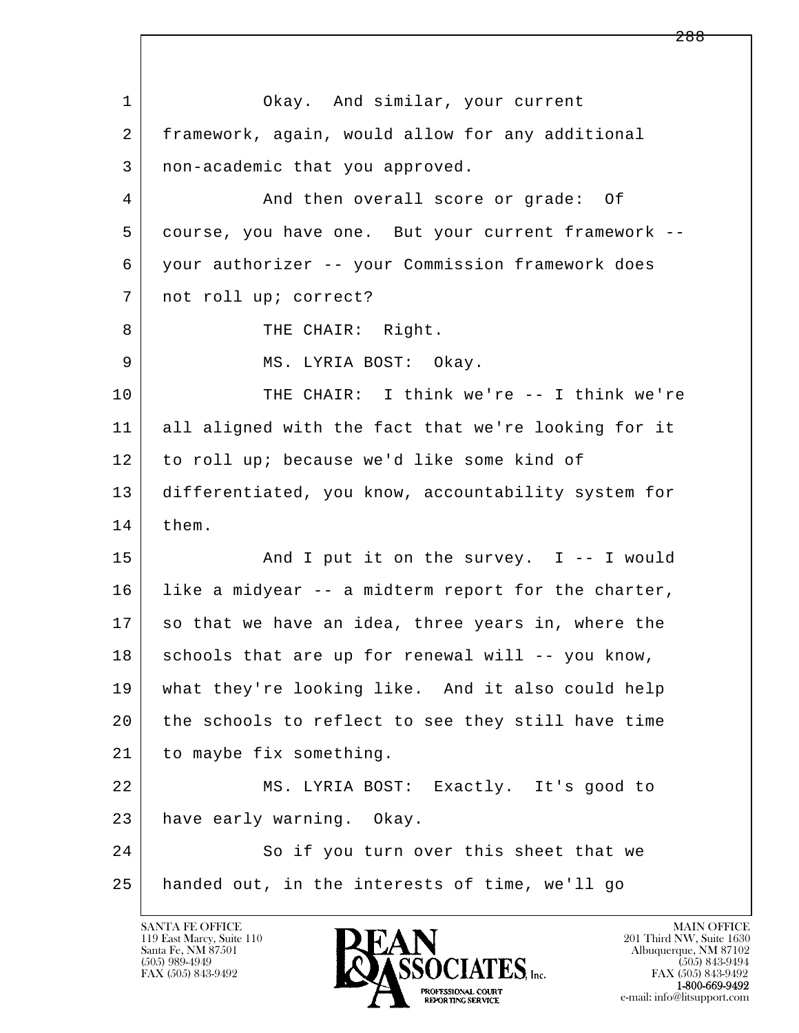l  $\overline{\phantom{a}}$ 1 Okay. And similar, your current 2 framework, again, would allow for any additional 3 non-academic that you approved. 4 And then overall score or grade: Of 5 course, you have one. But your current framework -- 6 your authorizer -- your Commission framework does 7 | not roll up; correct? 8 THE CHAIR: Right. 9 MS. LYRIA BOST: Okay. 10 THE CHAIR: I think we're -- I think we're 11 all aligned with the fact that we're looking for it 12 to roll up; because we'd like some kind of 13 differentiated, you know, accountability system for 14 them. 15 | The Survey. I -- I would  $16$  like a midyear -- a midterm report for the charter, 17 so that we have an idea, three years in, where the 18 schools that are up for renewal will -- you know, 19 what they're looking like. And it also could help 20 the schools to reflect to see they still have time 21 to maybe fix something. 22 MS. LYRIA BOST: Exactly. It's good to 23 have early warning. Okay. 24 So if you turn over this sheet that we 25 handed out, in the interests of time, we'll go

119 East Marcy, Suite 110<br>Santa Fe, NM 87501

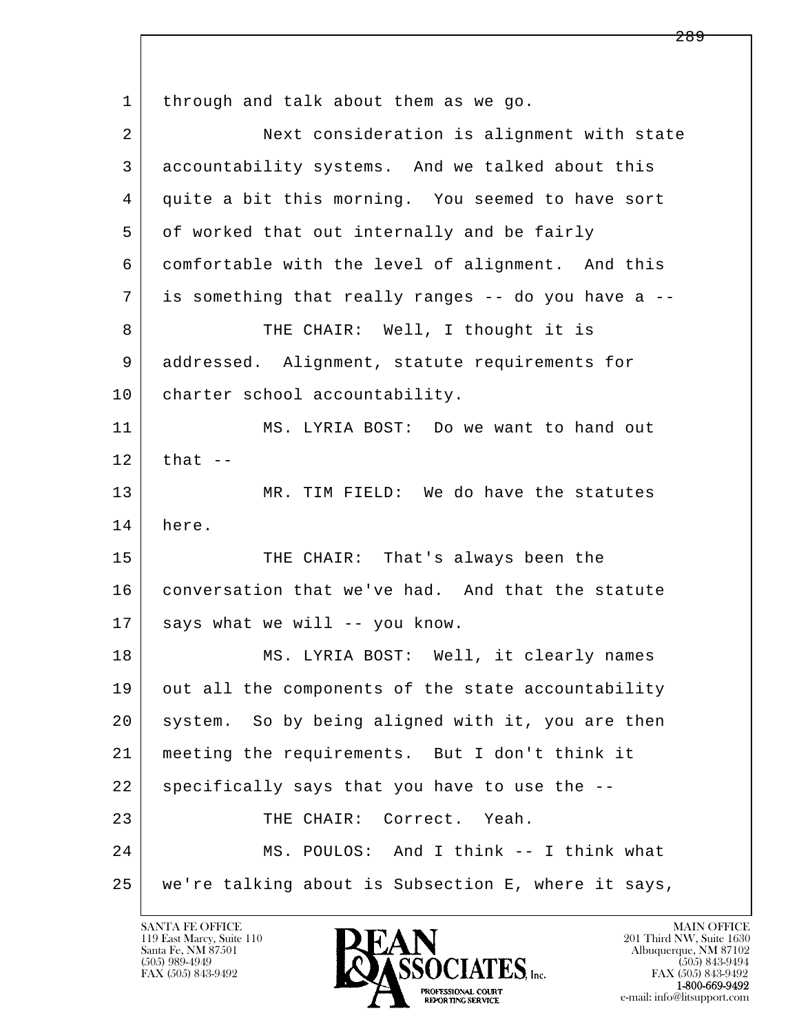l  $\overline{\phantom{a}}$ 1 through and talk about them as we go. 2 Next consideration is alignment with state 3 accountability systems. And we talked about this 4 quite a bit this morning. You seemed to have sort 5 of worked that out internally and be fairly 6 comfortable with the level of alignment. And this 7 is something that really ranges -- do you have a -- 8 THE CHAIR: Well, I thought it is 9 addressed. Alignment, statute requirements for 10 | charter school accountability. 11 MS. LYRIA BOST: Do we want to hand out  $12$  that  $-$  13 MR. TIM FIELD: We do have the statutes 14 here. 15 THE CHAIR: That's always been the 16 | conversation that we've had. And that the statute  $17$  says what we will -- you know. 18 | MS. LYRIA BOST: Well, it clearly names 19 out all the components of the state accountability 20 system. So by being aligned with it, you are then 21 meeting the requirements. But I don't think it  $22$  specifically says that you have to use the  $-$ -23 THE CHAIR: Correct. Yeah. 24 MS. POULOS: And I think -- I think what 25 we're talking about is Subsection E, where it says,

119 East Marcy, Suite 110<br>Santa Fe, NM 87501

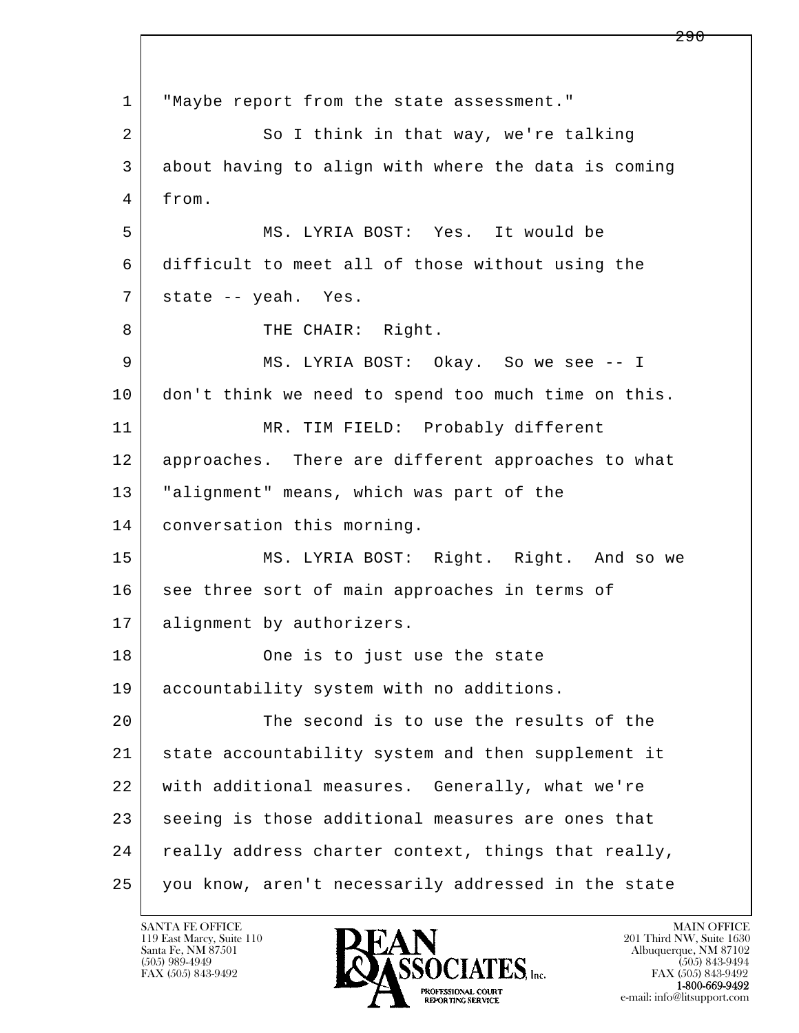l  $\overline{\phantom{a}}$  1 "Maybe report from the state assessment." 2 So I think in that way, we're talking 3 about having to align with where the data is coming 4 from. 5 MS. LYRIA BOST: Yes. It would be 6 difficult to meet all of those without using the 7 | state -- yeah. Yes. 8 | THE CHAIR: Right. 9 MS. LYRIA BOST: Okay. So we see -- I 10 don't think we need to spend too much time on this. 11 | MR. TIM FIELD: Probably different 12 approaches. There are different approaches to what 13 "alignment" means, which was part of the 14 conversation this morning. 15 | MS. LYRIA BOST: Right. Right. And so we 16 see three sort of main approaches in terms of 17 alignment by authorizers. 18 | Cone is to just use the state 19 | accountability system with no additions. 20 The second is to use the results of the 21 state accountability system and then supplement it 22 with additional measures. Generally, what we're 23 seeing is those additional measures are ones that 24 really address charter context, things that really, 25 you know, aren't necessarily addressed in the state

119 East Marcy, Suite 110<br>Santa Fe, NM 87501

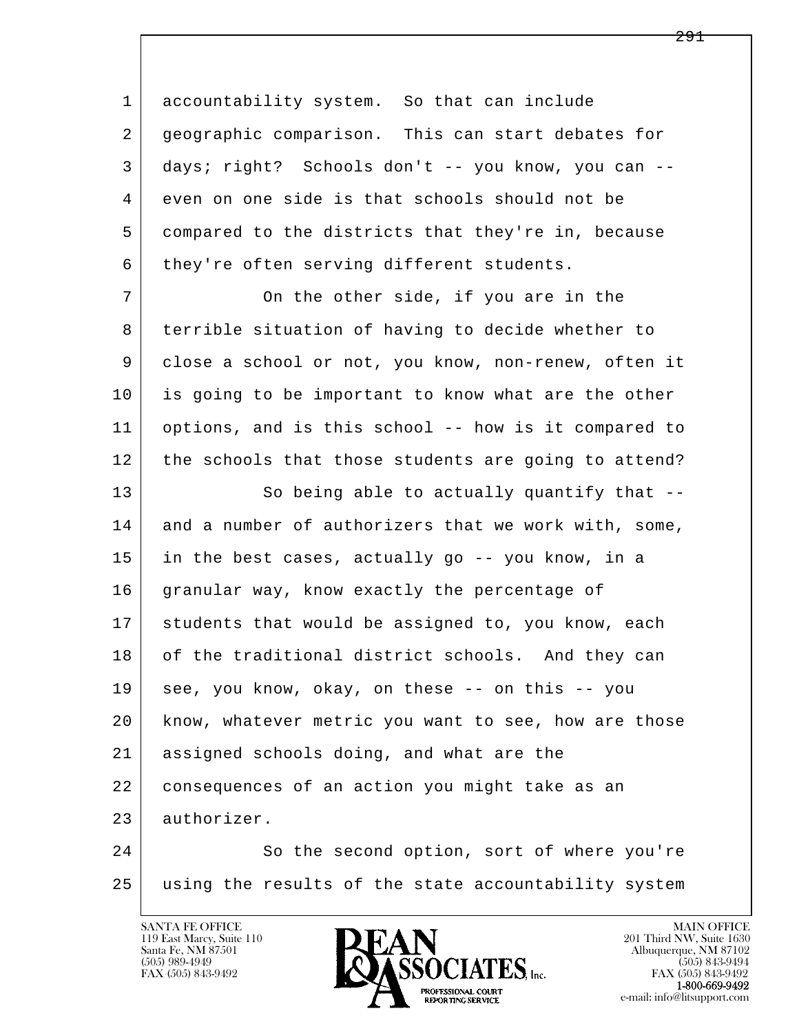1 accountability system. So that can include 2 geographic comparison. This can start debates for 3 days; right? Schools don't -- you know, you can -- 4 even on one side is that schools should not be 5 compared to the districts that they're in, because 6 they're often serving different students.

7 On the other side, if you are in the 8 | terrible situation of having to decide whether to 9 close a school or not, you know, non-renew, often it 10 is going to be important to know what are the other 11 options, and is this school -- how is it compared to 12 the schools that those students are going to attend?

13 So being able to actually quantify that --14 and a number of authorizers that we work with, some, 15 in the best cases, actually go -- you know, in a 16 granular way, know exactly the percentage of 17 students that would be assigned to, you know, each 18 of the traditional district schools. And they can 19 see, you know, okay, on these -- on this -- you 20 know, whatever metric you want to see, how are those 21 assigned schools doing, and what are the 22 consequences of an action you might take as an 23 authorizer.

l  $\overline{\phantom{a}}$ 24 So the second option, sort of where you're 25 using the results of the state accountability system

119 East Marcy, Suite 110<br>Santa Fe, NM 87501

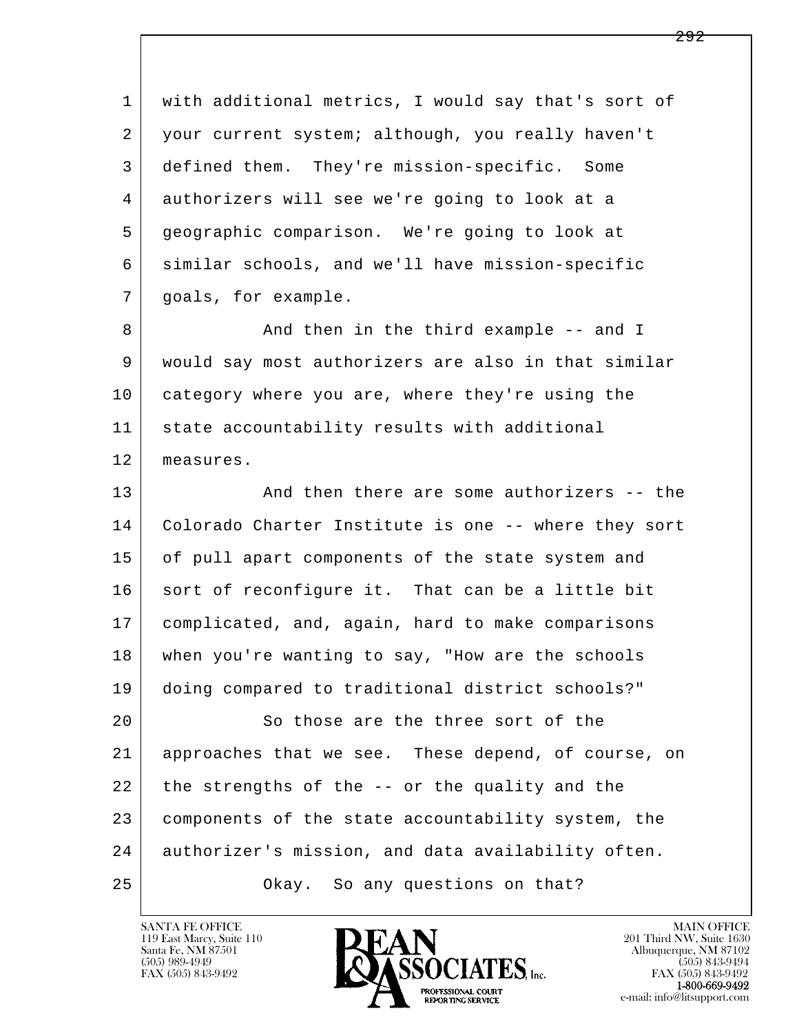l  $\overline{\phantom{a}}$  1 with additional metrics, I would say that's sort of 2 | your current system; although, you really haven't 3 defined them. They're mission-specific. Some 4 authorizers will see we're going to look at a 5 geographic comparison. We're going to look at 6 similar schools, and we'll have mission-specific 7 | goals, for example. 8 And then in the third example -- and I 9 would say most authorizers are also in that similar 10 category where you are, where they're using the 11 state accountability results with additional 12 measures. 13 And then there are some authorizers -- the 14 Colorado Charter Institute is one -- where they sort 15 of pull apart components of the state system and 16 sort of reconfigure it. That can be a little bit 17 complicated, and, again, hard to make comparisons 18 when you're wanting to say, "How are the schools 19 doing compared to traditional district schools?" 20 So those are the three sort of the 21 approaches that we see. These depend, of course, on 22 the strengths of the -- or the quality and the 23 components of the state accountability system, the 24 authorizer's mission, and data availability often. 25 | Chay. So any questions on that?

119 East Marcy, Suite 110<br>Santa Fe, NM 87501

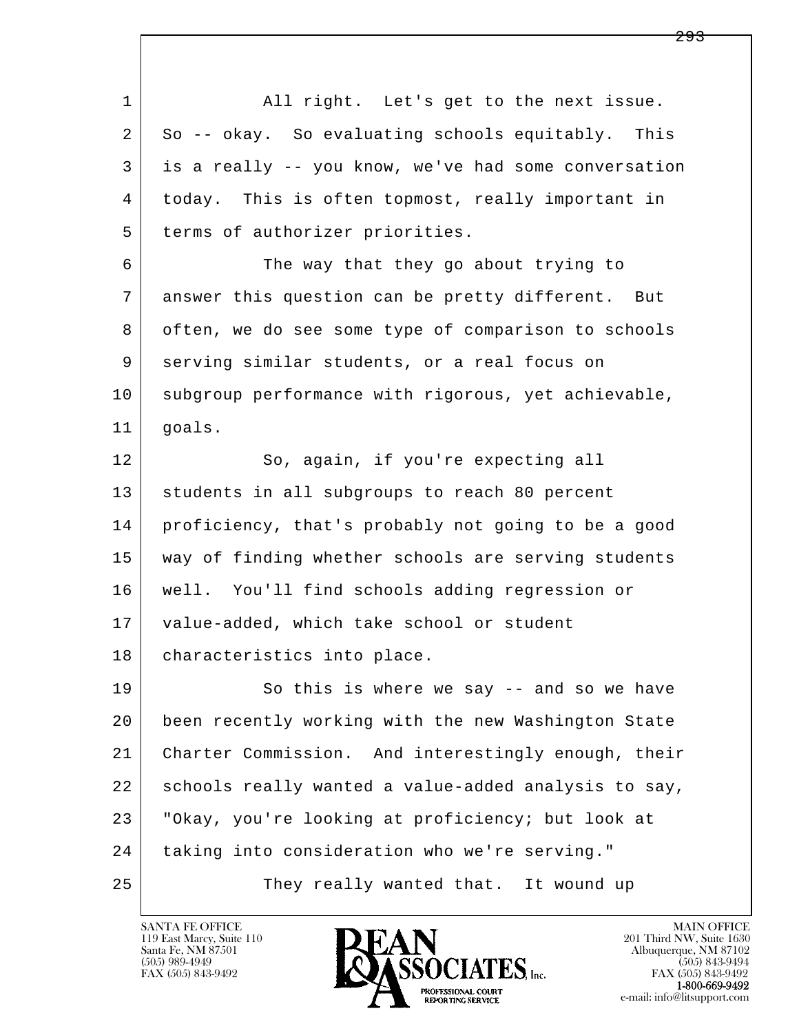l  $\overline{\phantom{a}}$  1 All right. Let's get to the next issue. 2 So -- okay. So evaluating schools equitably. This 3 is a really -- you know, we've had some conversation 4 today. This is often topmost, really important in 5 terms of authorizer priorities. 6 The way that they go about trying to 7 answer this question can be pretty different. But 8 often, we do see some type of comparison to schools 9 serving similar students, or a real focus on 10 subgroup performance with rigorous, yet achievable, 11 goals. 12 So, again, if you're expecting all 13 | students in all subgroups to reach 80 percent 14 proficiency, that's probably not going to be a good 15 way of finding whether schools are serving students 16 well. You'll find schools adding regression or 17 value-added, which take school or student 18 | characteristics into place. 19 So this is where we say -- and so we have 20 been recently working with the new Washington State 21 Charter Commission. And interestingly enough, their 22 schools really wanted a value-added analysis to say, 23 "Okay, you're looking at proficiency; but look at 24 taking into consideration who we're serving." 25 They really wanted that. It wound up

119 East Marcy, Suite 110<br>Santa Fe, NM 87501

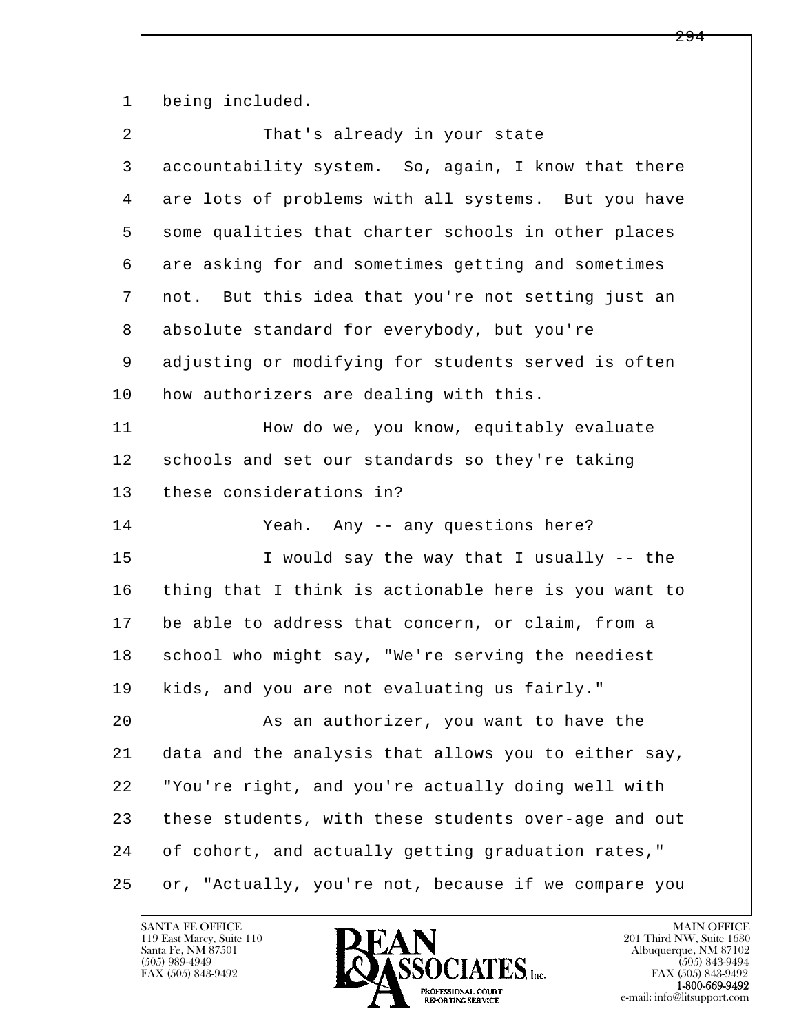1 being included.

| $\overline{a}$ | That's already in your state                         |
|----------------|------------------------------------------------------|
| 3              | accountability system. So, again, I know that there  |
| 4              | are lots of problems with all systems. But you have  |
| 5              | some qualities that charter schools in other places  |
| 6              | are asking for and sometimes getting and sometimes   |
| 7              | not. But this idea that you're not setting just an   |
| 8              | absolute standard for everybody, but you're          |
| 9              | adjusting or modifying for students served is often  |
| 10             | how authorizers are dealing with this.               |
| 11             | How do we, you know, equitably evaluate              |
| 12             | schools and set our standards so they're taking      |
| 13             | these considerations in?                             |
|                |                                                      |
| 14             | Yeah. Any -- any questions here?                     |
| 15             | I would say the way that I usually -- the            |
| 16             | thing that I think is actionable here is you want to |
| 17             | be able to address that concern, or claim, from a    |
| 18             | school who might say, "We're serving the neediest    |
| 19             | kids, and you are not evaluating us fairly."         |
| 20             | As an authorizer, you want to have the               |
| 21             | data and the analysis that allows you to either say, |
| 22             | "You're right, and you're actually doing well with   |
| 23             | these students, with these students over-age and out |
| 24             | of cohort, and actually getting graduation rates,"   |

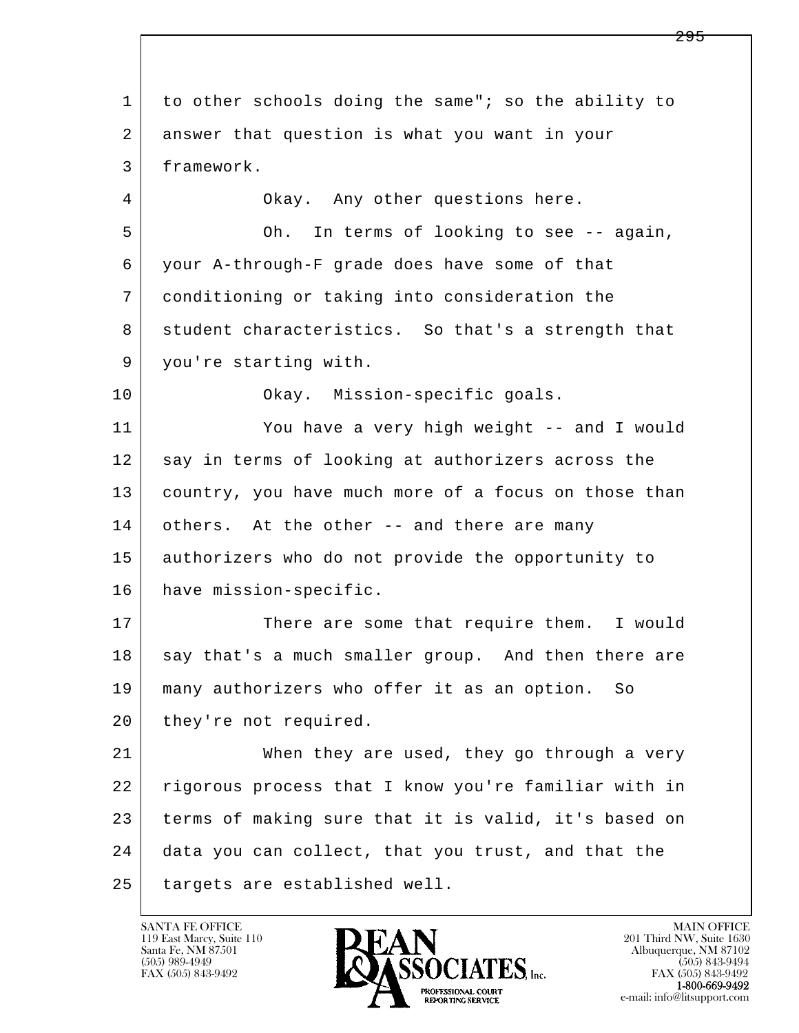l  $\overline{\phantom{a}}$  1 to other schools doing the same"; so the ability to 2 answer that question is what you want in your 3 framework. 4 Okay. Any other questions here. 5 Oh. In terms of looking to see -- again, 6 your A-through-F grade does have some of that 7 conditioning or taking into consideration the 8 student characteristics. So that's a strength that 9 you're starting with. 10 Okay. Mission-specific goals. 11 You have a very high weight -- and I would 12 say in terms of looking at authorizers across the 13 country, you have much more of a focus on those than 14 others. At the other -- and there are many 15 authorizers who do not provide the opportunity to 16 have mission-specific. 17 There are some that require them. I would 18 say that's a much smaller group. And then there are 19 many authorizers who offer it as an option. So 20 they're not required. 21 When they are used, they go through a very 22 rigorous process that I know you're familiar with in 23 terms of making sure that it is valid, it's based on 24 data you can collect, that you trust, and that the 25 | targets are established well.

119 East Marcy, Suite 110<br>Santa Fe, NM 87501

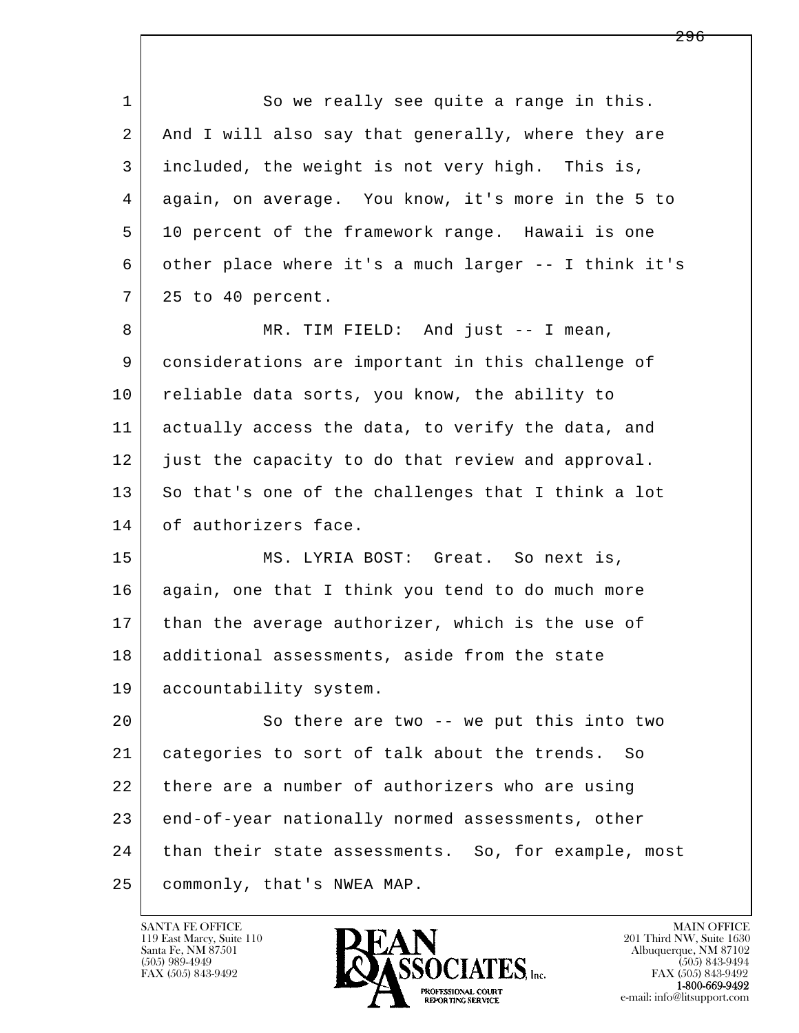l  $\overline{\phantom{a}}$ 1 So we really see quite a range in this. 2 And I will also say that generally, where they are 3 included, the weight is not very high. This is, 4 again, on average. You know, it's more in the 5 to 5 10 percent of the framework range. Hawaii is one 6 other place where it's a much larger -- I think it's 7 25 to 40 percent. 8 MR. TIM FIELD: And just -- I mean, 9 considerations are important in this challenge of 10 reliable data sorts, you know, the ability to 11 actually access the data, to verify the data, and 12 just the capacity to do that review and approval. 13 So that's one of the challenges that I think a lot 14 of authorizers face. 15 MS. LYRIA BOST: Great. So next is, 16 again, one that I think you tend to do much more 17 | than the average authorizer, which is the use of 18 | additional assessments, aside from the state 19 accountability system. 20 So there are two -- we put this into two 21 categories to sort of talk about the trends. So 22 there are a number of authorizers who are using 23 end-of-year nationally normed assessments, other 24 | than their state assessments. So, for example, most 25 commonly, that's NWEA MAP.

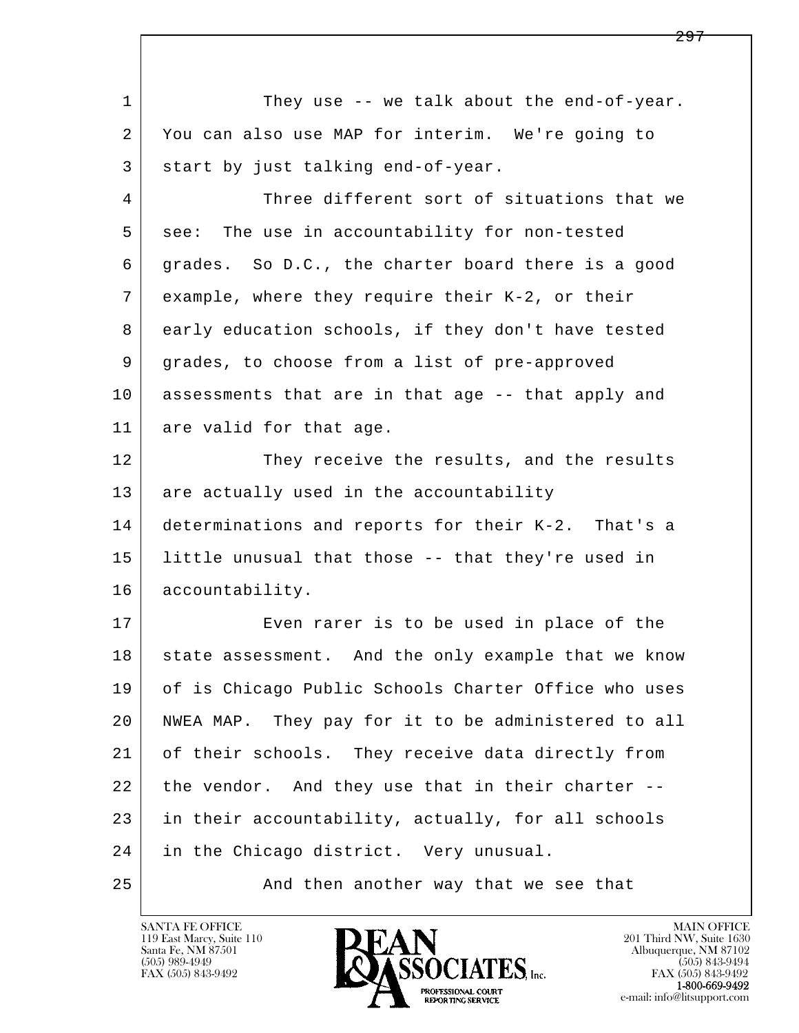| $\mathbf 1$ | They use -- we talk about the end-of-year.           |
|-------------|------------------------------------------------------|
| 2           | You can also use MAP for interim. We're going to     |
| 3           | start by just talking end-of-year.                   |
| 4           | Three different sort of situations that we           |
| 5           | see: The use in accountability for non-tested        |
| 6           | grades. So D.C., the charter board there is a good   |
| 7           | example, where they require their K-2, or their      |
| 8           | early education schools, if they don't have tested   |
| 9           | grades, to choose from a list of pre-approved        |
| 10          | assessments that are in that age -- that apply and   |
| 11          | are valid for that age.                              |
| 12          | They receive the results, and the results            |
| 13          | are actually used in the accountability              |
| 14          | determinations and reports for their K-2. That's a   |
| 15          | little unusual that those -- that they're used in    |
| 16          | accountability.                                      |
| 17          | Even rarer is to be used in place of the             |
| 18          | state assessment. And the only example that we know  |
| 19          | of is Chicago Public Schools Charter Office who uses |
| 20          | NWEA MAP. They pay for it to be administered to all  |
| 21          | of their schools. They receive data directly from    |
| 22          | the vendor. And they use that in their charter --    |
| 23          | in their accountability, actually, for all schools   |
| 24          | in the Chicago district. Very unusual.               |
| 25          | And then another way that we see that                |

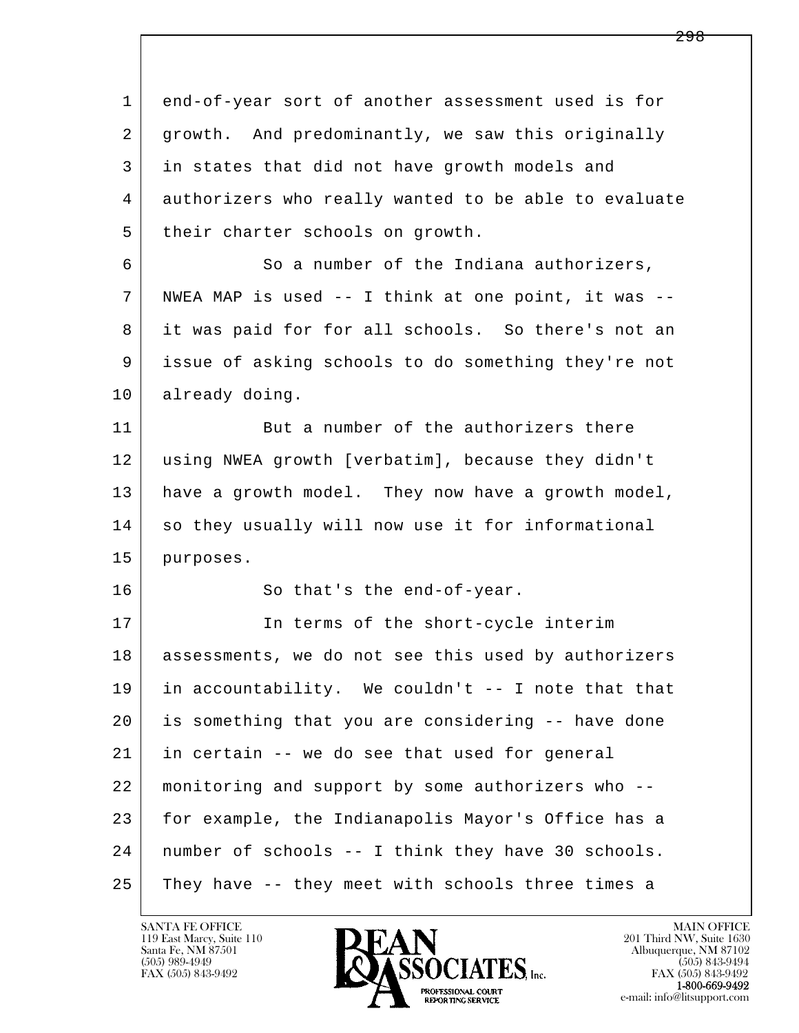l  $\overline{\phantom{a}}$  1 end-of-year sort of another assessment used is for 2 growth. And predominantly, we saw this originally 3 in states that did not have growth models and 4 authorizers who really wanted to be able to evaluate 5 their charter schools on growth. 6 So a number of the Indiana authorizers, 7 NWEA MAP is used -- I think at one point, it was -- 8 it was paid for for all schools. So there's not an 9 issue of asking schools to do something they're not 10 already doing. 11 But a number of the authorizers there 12 using NWEA growth [verbatim], because they didn't 13 have a growth model. They now have a growth model, 14 so they usually will now use it for informational 15 purposes. 16 So that's the end-of-year. 17 | The terms of the short-cycle interim 18 assessments, we do not see this used by authorizers 19 in accountability. We couldn't -- I note that that 20 is something that you are considering -- have done 21 in certain -- we do see that used for general 22 monitoring and support by some authorizers who -- 23 for example, the Indianapolis Mayor's Office has a 24 number of schools -- I think they have 30 schools. 25 They have -- they meet with schools three times a

119 East Marcy, Suite 110<br>Santa Fe, NM 87501

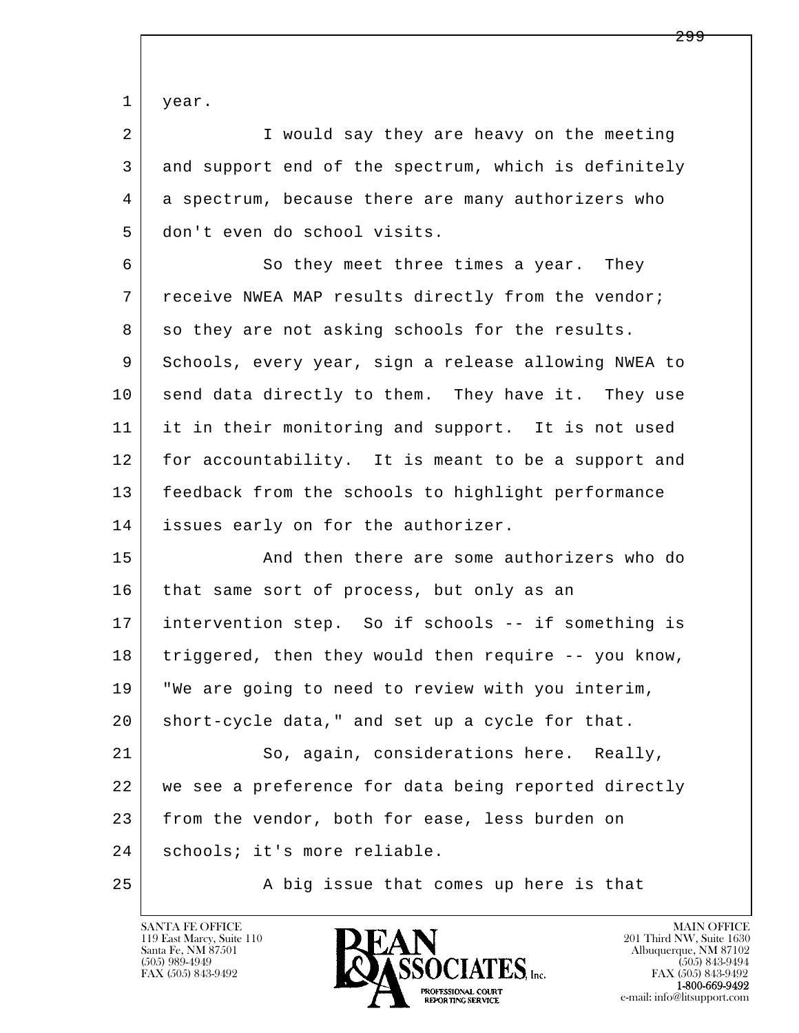1 year.

2 I would say they are heavy on the meeting 3 and support end of the spectrum, which is definitely 4 a spectrum, because there are many authorizers who 5 don't even do school visits.

6 So they meet three times a year. They 7 receive NWEA MAP results directly from the vendor; 8 so they are not asking schools for the results. 9 Schools, every year, sign a release allowing NWEA to 10 send data directly to them. They have it. They use 11 it in their monitoring and support. It is not used 12 for accountability. It is meant to be a support and 13 feedback from the schools to highlight performance 14 issues early on for the authorizer.

15 And then there are some authorizers who do 16 that same sort of process, but only as an 17 | intervention step. So if schools -- if something is 18 triggered, then they would then require -- you know, 19 "We are going to need to review with you interim, 20 short-cycle data," and set up a cycle for that.

l  $\overline{\phantom{a}}$ 21 So, again, considerations here. Really, 22 we see a preference for data being reported directly 23 from the vendor, both for ease, less burden on 24 | schools; it's more reliable.

25 A big issue that comes up here is that

119 East Marcy, Suite 110<br>Santa Fe, NM 87501

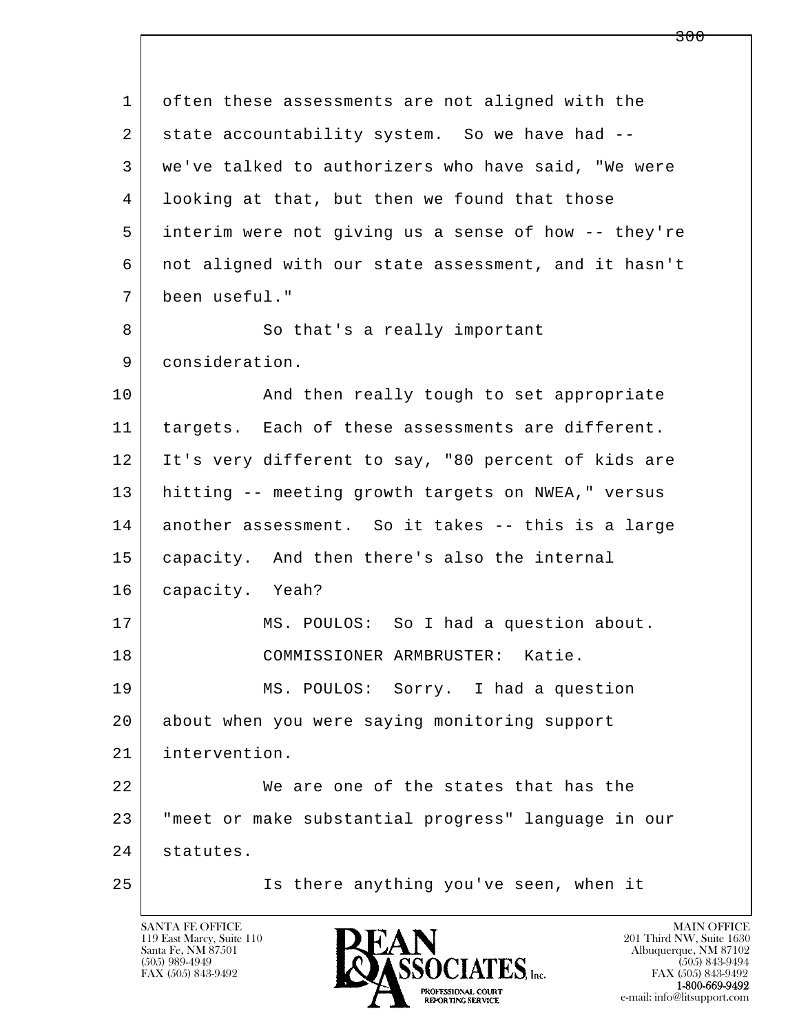l  $\overline{\phantom{a}}$  1 often these assessments are not aligned with the 2 state accountability system. So we have had -- 3 we've talked to authorizers who have said, "We were 4 looking at that, but then we found that those 5 interim were not giving us a sense of how -- they're 6 not aligned with our state assessment, and it hasn't 7 been useful." 8 | So that's a really important 9 consideration. 10 | And then really tough to set appropriate 11 targets. Each of these assessments are different. 12 It's very different to say, "80 percent of kids are 13 hitting -- meeting growth targets on NWEA," versus 14 another assessment. So it takes -- this is a large 15 capacity. And then there's also the internal 16 capacity. Yeah? 17 | MS. POULOS: So I had a question about. 18 COMMISSIONER ARMBRUSTER: Katie. 19 MS. POULOS: Sorry. I had a question 20 about when you were saying monitoring support 21 intervention. 22 We are one of the states that has the 23 "meet or make substantial progress" language in our 24 statutes. 25 Is there anything you've seen, when it

119 East Marcy, Suite 110<br>Santa Fe, NM 87501

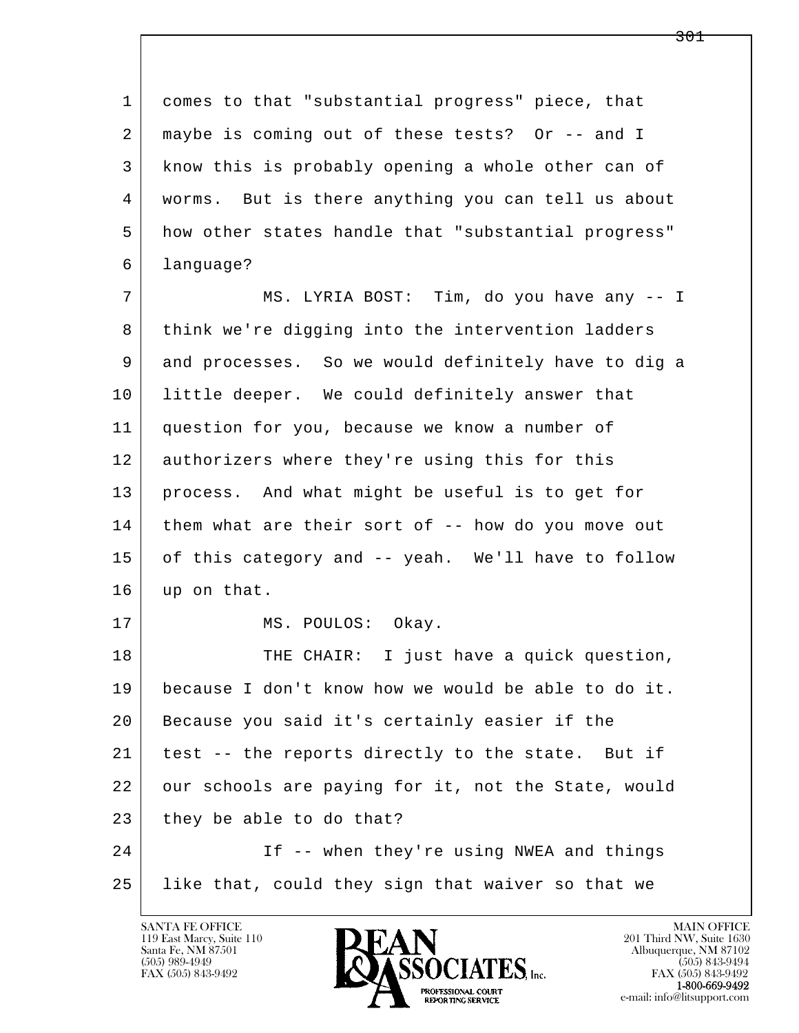l  $\overline{\phantom{a}}$  1 comes to that "substantial progress" piece, that 2 maybe is coming out of these tests? Or -- and I 3 know this is probably opening a whole other can of 4 worms. But is there anything you can tell us about 5 how other states handle that "substantial progress" 6 language? 7 | MS. LYRIA BOST: Tim, do you have any -- I 8 think we're digging into the intervention ladders 9 and processes. So we would definitely have to dig a 10 | little deeper. We could definitely answer that 11 question for you, because we know a number of 12 authorizers where they're using this for this 13 process. And what might be useful is to get for 14 them what are their sort of -- how do you move out 15 of this category and -- yeah. We'll have to follow 16 up on that. 17 MS. POULOS: Okay. 18 THE CHAIR: I just have a quick question, 19 because I don't know how we would be able to do it. 20 Because you said it's certainly easier if the 21 | test -- the reports directly to the state. But if 22 our schools are paying for it, not the State, would  $23$  they be able to do that? 24 If -- when they're using NWEA and things 25 like that, could they sign that waiver so that we

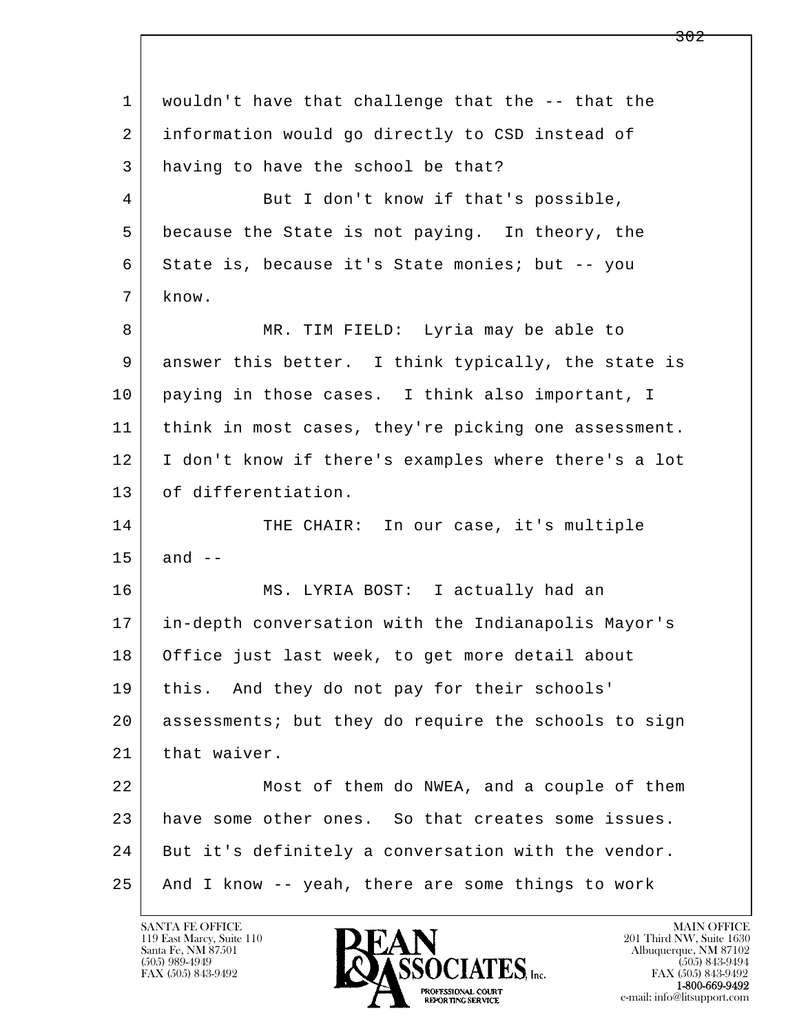l  $\overline{\phantom{a}}$  1 wouldn't have that challenge that the -- that the 2 information would go directly to CSD instead of 3 having to have the school be that? 4 But I don't know if that's possible, 5 because the State is not paying. In theory, the 6 State is, because it's State monies; but -- you 7 know. 8 MR. TIM FIELD: Lyria may be able to 9 answer this better. I think typically, the state is 10 paying in those cases. I think also important, I 11 think in most cases, they're picking one assessment. 12 I don't know if there's examples where there's a lot 13 of differentiation. 14 THE CHAIR: In our case, it's multiple  $15$  and  $-$  16 MS. LYRIA BOST: I actually had an 17 in-depth conversation with the Indianapolis Mayor's 18 Office just last week, to get more detail about 19 this. And they do not pay for their schools' 20 assessments; but they do require the schools to sign 21 | that waiver. 22 Most of them do NWEA, and a couple of them 23 have some other ones. So that creates some issues. 24 But it's definitely a conversation with the vendor. 25 And I know -- yeah, there are some things to work

119 East Marcy, Suite 110<br>Santa Fe, NM 87501

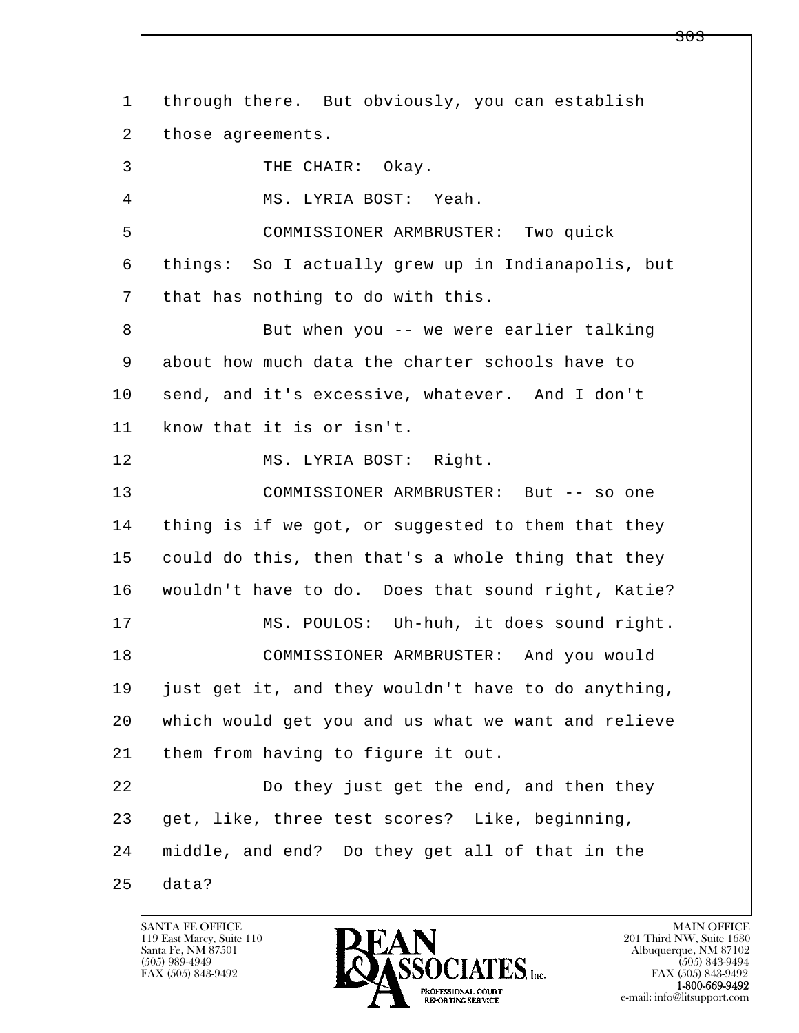l  $\overline{\phantom{a}}$  1 through there. But obviously, you can establish 2 | those agreements. 3 THE CHAIR: Okay. 4 MS. LYRIA BOST: Yeah. 5 COMMISSIONER ARMBRUSTER: Two quick 6 things: So I actually grew up in Indianapolis, but 7 that has nothing to do with this. 8 But when you -- we were earlier talking 9 about how much data the charter schools have to 10 | send, and it's excessive, whatever. And I don't 11 know that it is or isn't. 12 MS. LYRIA BOST: Right. 13 COMMISSIONER ARMBRUSTER: But -- so one 14 thing is if we got, or suggested to them that they 15 could do this, then that's a whole thing that they 16 wouldn't have to do. Does that sound right, Katie? 17 | MS. POULOS: Uh-huh, it does sound right. 18 COMMISSIONER ARMBRUSTER: And you would 19 just get it, and they wouldn't have to do anything, 20 which would get you and us what we want and relieve 21 | them from having to figure it out. 22 Do they just get the end, and then they 23 get, like, three test scores? Like, beginning, 24 middle, and end? Do they get all of that in the  $25$  data?

119 East Marcy, Suite 110<br>Santa Fe, NM 87501



<del>303</del>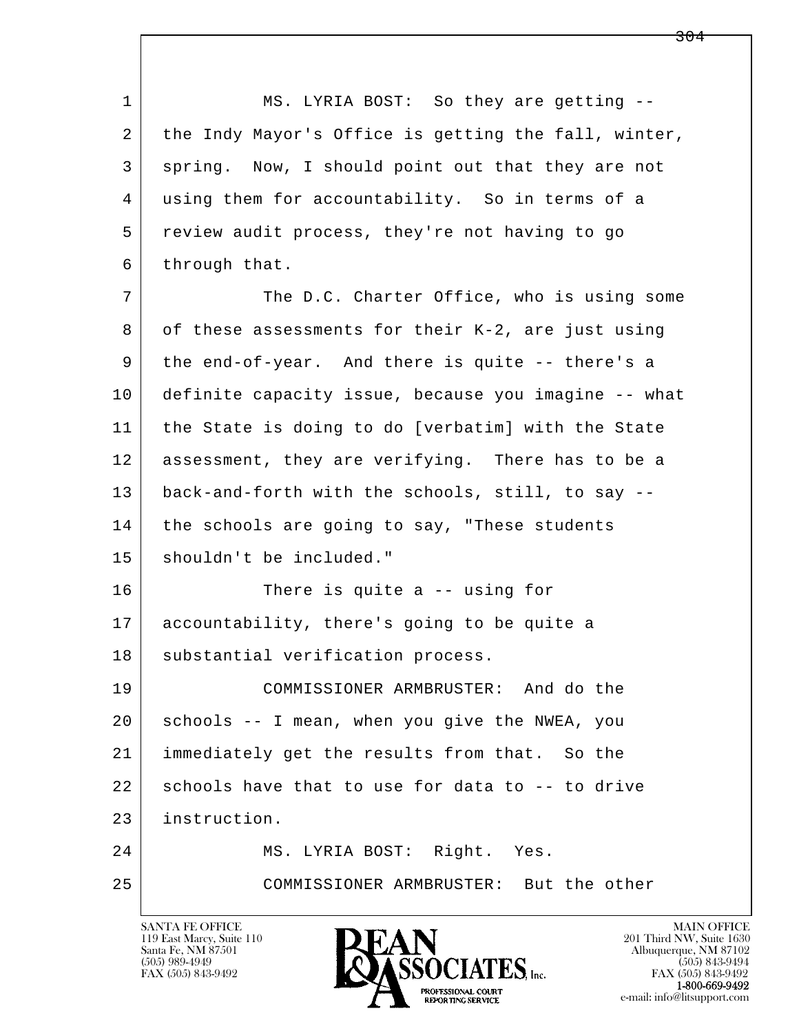l  $\overline{\phantom{a}}$ 1 MS. LYRIA BOST: So they are getting -- 2 the Indy Mayor's Office is getting the fall, winter, 3 spring. Now, I should point out that they are not 4 using them for accountability. So in terms of a 5 review audit process, they're not having to go 6 through that. 7 The D.C. Charter Office, who is using some 8 of these assessments for their K-2, are just using 9 the end-of-year. And there is quite -- there's a 10 definite capacity issue, because you imagine -- what 11 the State is doing to do [verbatim] with the State 12 assessment, they are verifying. There has to be a 13 back-and-forth with the schools, still, to say -- 14 | the schools are going to say, "These students 15 shouldn't be included." 16 There is quite a -- using for 17 accountability, there's going to be quite a 18 | substantial verification process. 19 COMMISSIONER ARMBRUSTER: And do the 20 schools -- I mean, when you give the NWEA, you 21 immediately get the results from that. So the  $22$  schools have that to use for data to  $-$ - to drive 23 instruction. 24 MS. LYRIA BOST: Right. Yes. 25 COMMISSIONER ARMBRUSTER: But the other

119 East Marcy, Suite 110<br>Santa Fe, NM 87501

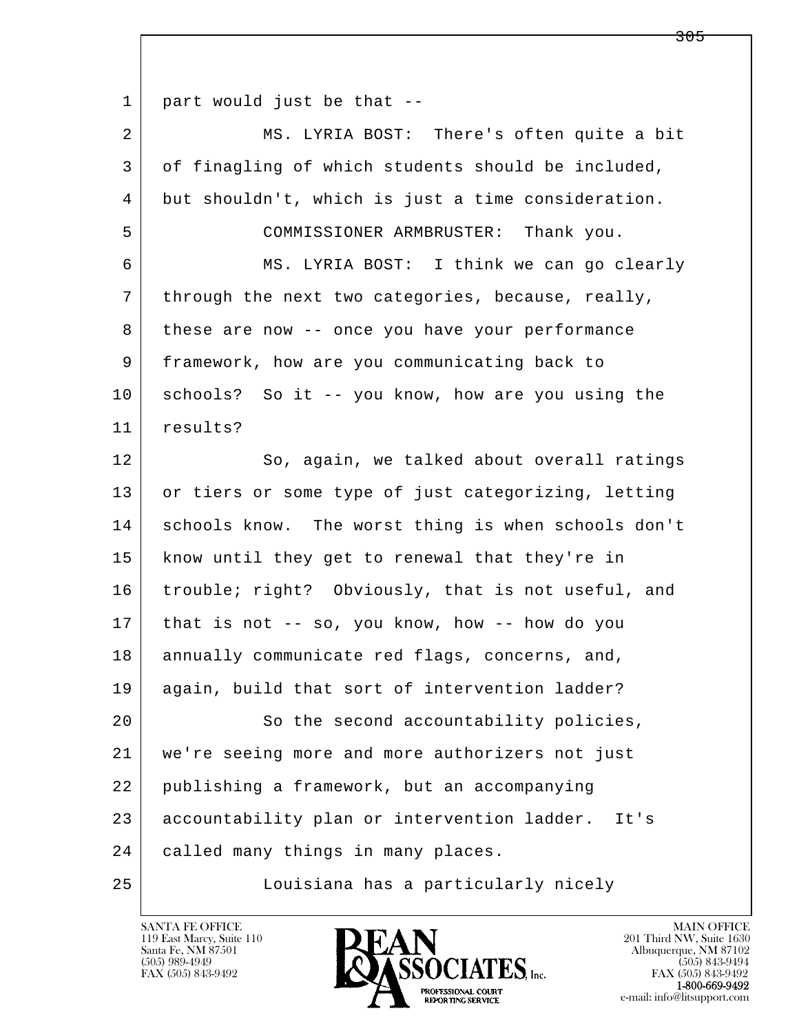1 part would just be that --

l  $\overline{\phantom{a}}$ 2 MS. LYRIA BOST: There's often quite a bit 3 of finagling of which students should be included, 4 but shouldn't, which is just a time consideration. 5 COMMISSIONER ARMBRUSTER: Thank you. 6 MS. LYRIA BOST: I think we can go clearly 7 through the next two categories, because, really, 8 these are now -- once you have your performance 9 framework, how are you communicating back to 10 schools? So it -- you know, how are you using the 11 results? 12 So, again, we talked about overall ratings 13 or tiers or some type of just categorizing, letting 14 schools know. The worst thing is when schools don't 15 know until they get to renewal that they're in 16 trouble; right? Obviously, that is not useful, and 17 that is not -- so, you know, how -- how do you 18 annually communicate red flags, concerns, and, 19 again, build that sort of intervention ladder? 20 So the second accountability policies, 21 we're seeing more and more authorizers not just 22 publishing a framework, but an accompanying 23 accountability plan or intervention ladder. It's 24 called many things in many places. 25 Louisiana has a particularly nicely

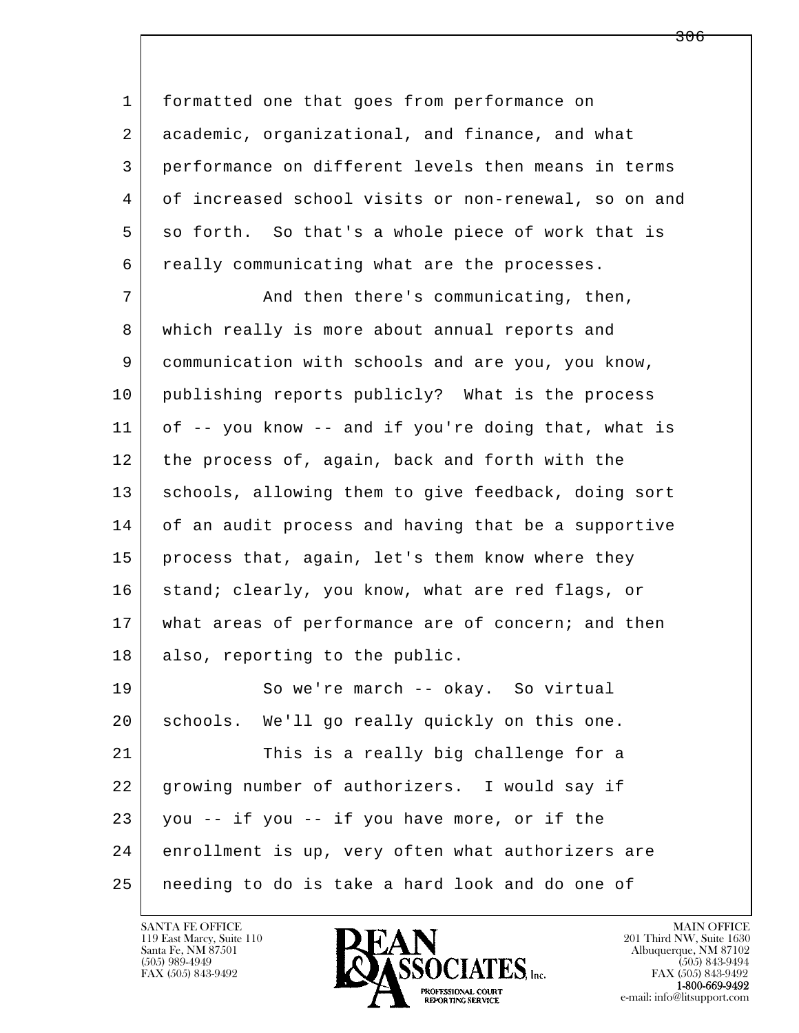1 formatted one that goes from performance on 2 academic, organizational, and finance, and what 3 performance on different levels then means in terms 4 of increased school visits or non-renewal, so on and 5 so forth. So that's a whole piece of work that is 6 really communicating what are the processes.

7 And then there's communicating, then, 8 which really is more about annual reports and 9 communication with schools and are you, you know, 10 publishing reports publicly? What is the process 11 of -- you know -- and if you're doing that, what is 12 the process of, again, back and forth with the 13 | schools, allowing them to give feedback, doing sort 14 of an audit process and having that be a supportive 15 | process that, again, let's them know where they 16 stand; clearly, you know, what are red flags, or 17 | what areas of performance are of concern; and then 18 also, reporting to the public. 19 So we're march -- okay. So virtual

l  $\overline{\phantom{a}}$  20 schools. We'll go really quickly on this one. 21 This is a really big challenge for a 22 growing number of authorizers. I would say if  $23$  you -- if you -- if you have more, or if the 24 enrollment is up, very often what authorizers are 25 needing to do is take a hard look and do one of

119 East Marcy, Suite 110<br>Santa Fe, NM 87501

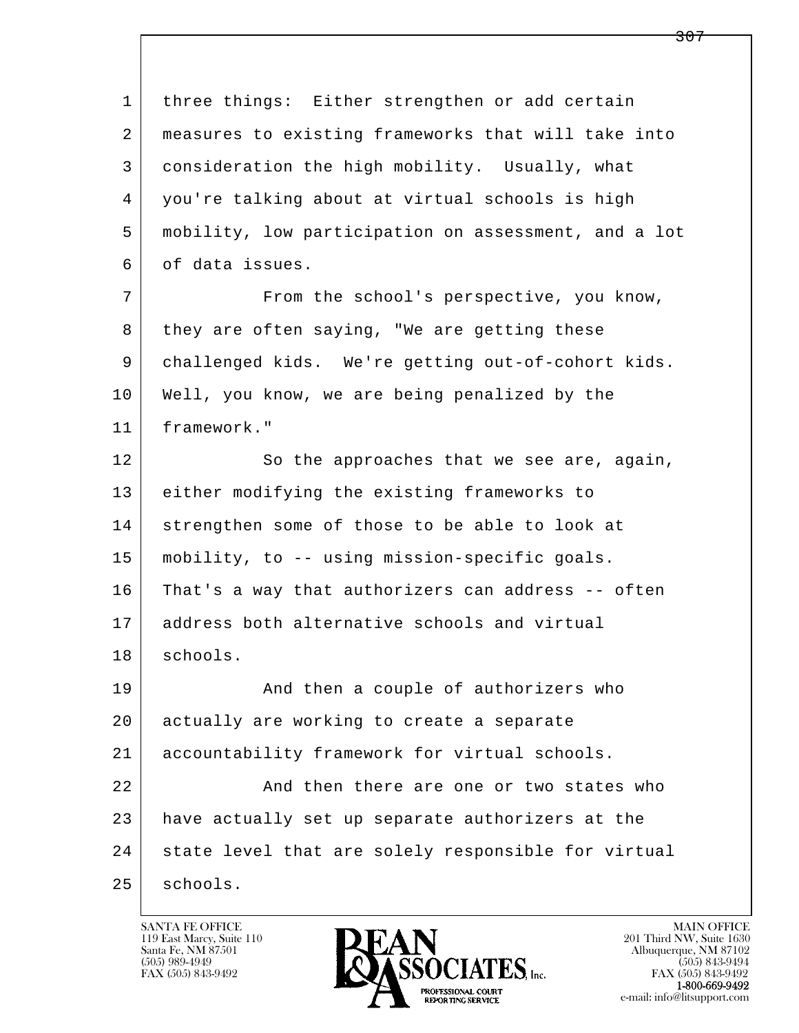l  $\overline{\phantom{a}}$  1 three things: Either strengthen or add certain 2 measures to existing frameworks that will take into 3 consideration the high mobility. Usually, what 4 you're talking about at virtual schools is high 5 mobility, low participation on assessment, and a lot 6 of data issues. 7 From the school's perspective, you know, 8 they are often saying, "We are getting these 9 challenged kids. We're getting out-of-cohort kids. 10 Well, you know, we are being penalized by the 11 framework." 12 So the approaches that we see are, again, 13 either modifying the existing frameworks to 14 strengthen some of those to be able to look at 15 mobility, to -- using mission-specific goals. 16 That's a way that authorizers can address -- often 17 address both alternative schools and virtual 18 | schools. 19 | And then a couple of authorizers who 20 actually are working to create a separate 21 accountability framework for virtual schools. 22 And then there are one or two states who 23 have actually set up separate authorizers at the 24 | state level that are solely responsible for virtual 25 | schools.

119 East Marcy, Suite 110<br>Santa Fe, NM 87501

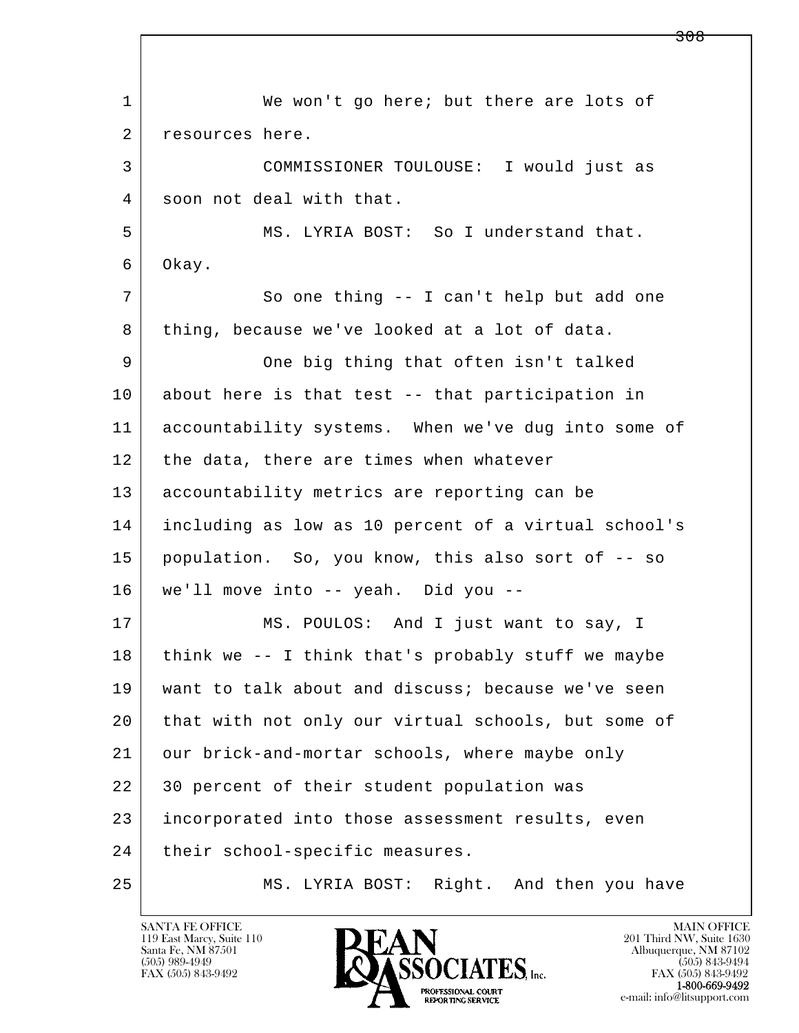l  $\overline{\phantom{a}}$ 1 We won't go here; but there are lots of 2 resources here. 3 COMMISSIONER TOULOUSE: I would just as 4 soon not deal with that. 5 MS. LYRIA BOST: So I understand that. 6 Okay. 7 So one thing -- I can't help but add one 8 thing, because we've looked at a lot of data. 9 One big thing that often isn't talked 10 about here is that test -- that participation in 11 accountability systems. When we've dug into some of 12 | the data, there are times when whatever 13 accountability metrics are reporting can be 14 including as low as 10 percent of a virtual school's 15 population. So, you know, this also sort of -- so 16 we'll move into -- yeah. Did you -- 17 | MS. POULOS: And I just want to say, I  $18$  think we -- I think that's probably stuff we maybe 19 want to talk about and discuss; because we've seen 20 that with not only our virtual schools, but some of 21 our brick-and-mortar schools, where maybe only 22 30 percent of their student population was 23 incorporated into those assessment results, even 24 | their school-specific measures. 25 MS. LYRIA BOST: Right. And then you have

119 East Marcy, Suite 110<br>Santa Fe, NM 87501

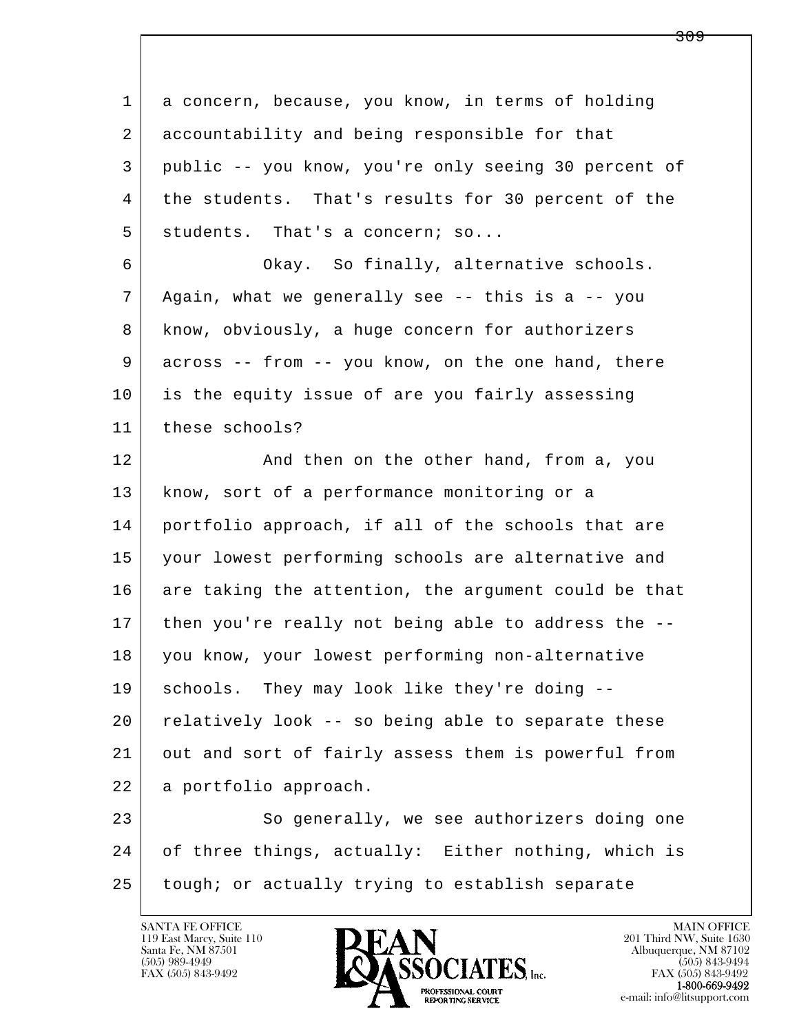l  $\overline{\phantom{a}}$  1 a concern, because, you know, in terms of holding 2 accountability and being responsible for that 3 public -- you know, you're only seeing 30 percent of 4 the students. That's results for 30 percent of the  $5$  students. That's a concern; so... 6 Okay. So finally, alternative schools. 7 Again, what we generally see -- this is a -- you 8 know, obviously, a huge concern for authorizers 9 across -- from -- you know, on the one hand, there 10 is the equity issue of are you fairly assessing 11 these schools? 12 And then on the other hand, from a, you 13 | know, sort of a performance monitoring or a 14 portfolio approach, if all of the schools that are 15 your lowest performing schools are alternative and 16 are taking the attention, the argument could be that 17 | then you're really not being able to address the -- 18 you know, your lowest performing non-alternative 19 | schools. They may look like they're doing -- $20$  relatively look  $-$  so being able to separate these 21 out and sort of fairly assess them is powerful from 22 a portfolio approach. 23 So generally, we see authorizers doing one 24 of three things, actually: Either nothing, which is 25 tough; or actually trying to establish separate

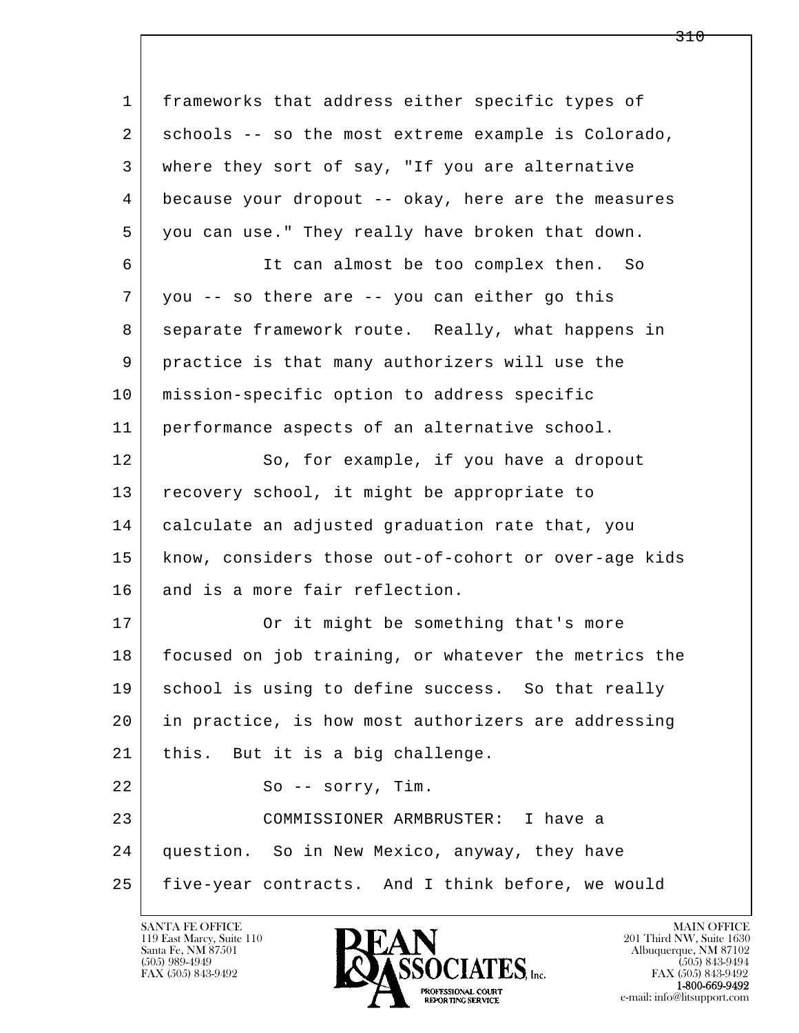l  $\overline{\phantom{a}}$  1 frameworks that address either specific types of 2 schools -- so the most extreme example is Colorado, 3 where they sort of say, "If you are alternative 4 because your dropout -- okay, here are the measures 5 you can use." They really have broken that down. 6 It can almost be too complex then. So 7 you -- so there are -- you can either go this 8 separate framework route. Really, what happens in 9 practice is that many authorizers will use the 10 mission-specific option to address specific 11 performance aspects of an alternative school. 12 So, for example, if you have a dropout 13 recovery school, it might be appropriate to 14 calculate an adjusted graduation rate that, you 15 | know, considers those out-of-cohort or over-age kids 16 and is a more fair reflection. 17 Or it might be something that's more 18 focused on job training, or whatever the metrics the 19 | school is using to define success. So that really 20 in practice, is how most authorizers are addressing 21 | this. But it is a big challenge. 22 So -- sorry, Tim. 23 COMMISSIONER ARMBRUSTER: I have a 24 question. So in New Mexico, anyway, they have 25 five-year contracts. And I think before, we would

119 East Marcy, Suite 110<br>Santa Fe, NM 87501

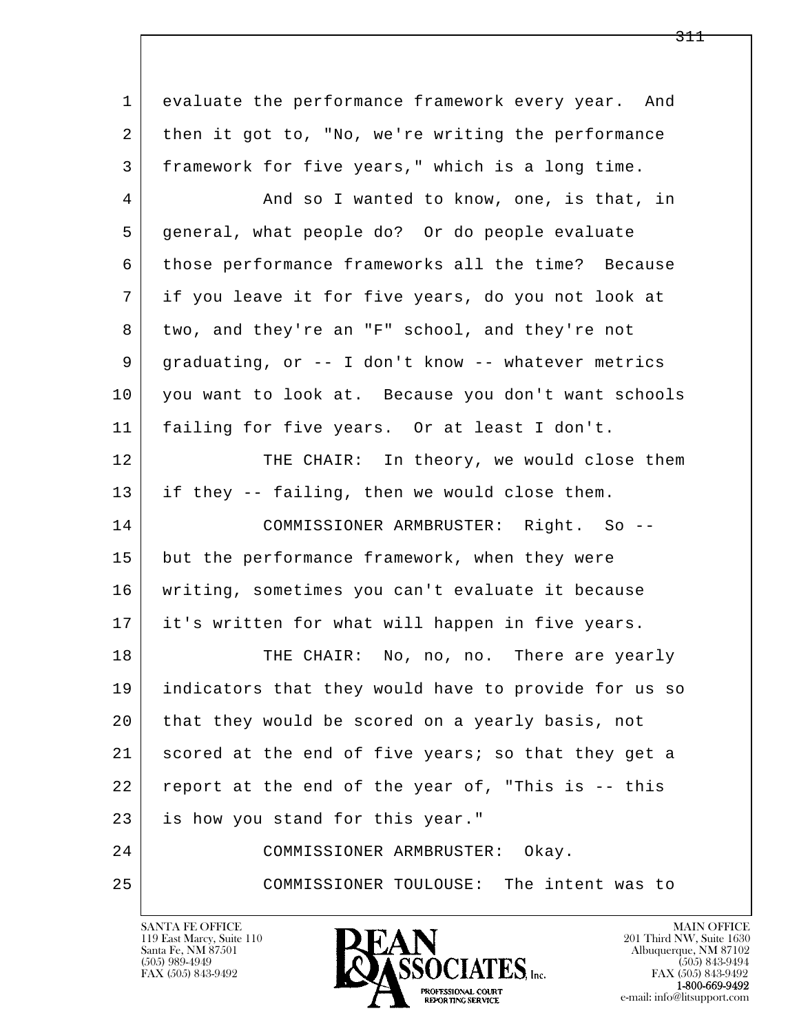l  $\overline{\phantom{a}}$  1 evaluate the performance framework every year. And 2 then it got to, "No, we're writing the performance 3 framework for five years," which is a long time. 4 And so I wanted to know, one, is that, in 5 general, what people do? Or do people evaluate 6 those performance frameworks all the time? Because 7 if you leave it for five years, do you not look at 8 | two, and they're an "F" school, and they're not 9 graduating, or -- I don't know -- whatever metrics 10 you want to look at. Because you don't want schools 11 failing for five years. Or at least I don't. 12 THE CHAIR: In theory, we would close them 13 if they -- failing, then we would close them. 14 COMMISSIONER ARMBRUSTER: Right. So -- 15 but the performance framework, when they were 16 writing, sometimes you can't evaluate it because 17 it's written for what will happen in five years. 18 THE CHAIR: No, no, no. There are yearly 19 indicators that they would have to provide for us so 20 that they would be scored on a yearly basis, not 21 scored at the end of five years; so that they get a 22 report at the end of the year of, "This is -- this 23 is how you stand for this year." 24 COMMISSIONER ARMBRUSTER: Okay. 25 COMMISSIONER TOULOUSE: The intent was to

119 East Marcy, Suite 110<br>Santa Fe, NM 87501

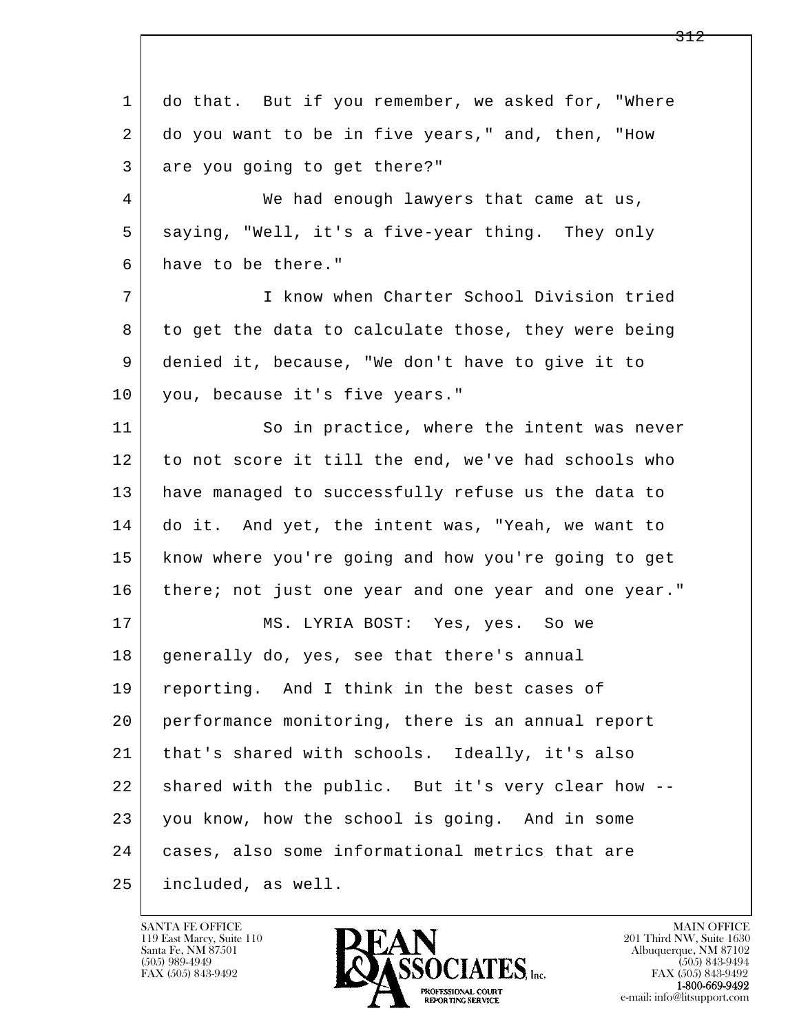l  $\overline{\phantom{a}}$ 1 do that. But if you remember, we asked for, "Where 2 do you want to be in five years," and, then, "How 3 are you going to get there?" 4 We had enough lawyers that came at us, 5 saying, "Well, it's a five-year thing. They only 6 have to be there." 7 I know when Charter School Division tried 8 to get the data to calculate those, they were being 9 denied it, because, "We don't have to give it to 10 you, because it's five years." 11 So in practice, where the intent was never 12 to not score it till the end, we've had schools who 13 have managed to successfully refuse us the data to 14 do it. And yet, the intent was, "Yeah, we want to 15 know where you're going and how you're going to get 16 there; not just one year and one year and one year." 17 | MS. LYRIA BOST: Yes, yes. So we 18 | generally do, yes, see that there's annual 19 | reporting. And I think in the best cases of 20 performance monitoring, there is an annual report 21 | that's shared with schools. Ideally, it's also 22 shared with the public. But it's very clear how -- 23 you know, how the school is going. And in some 24 cases, also some informational metrics that are 25 included, as well.

119 East Marcy, Suite 110<br>Santa Fe, NM 87501



FAX (505) 843-9492<br>1-800-669-9492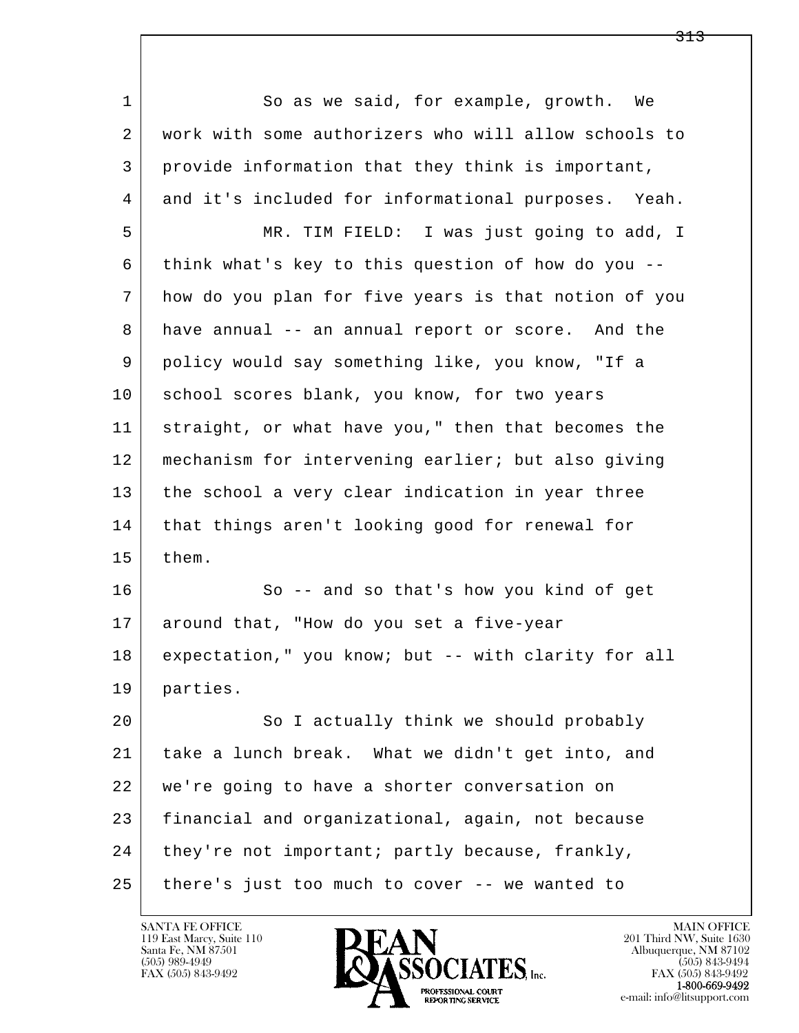l  $\overline{\phantom{a}}$ 1 So as we said, for example, growth. We 2 work with some authorizers who will allow schools to 3 provide information that they think is important, 4 and it's included for informational purposes. Yeah. 5 MR. TIM FIELD: I was just going to add, I 6 think what's key to this question of how do you -- 7 how do you plan for five years is that notion of you 8 have annual -- an annual report or score. And the 9 policy would say something like, you know, "If a 10 school scores blank, you know, for two years 11 straight, or what have you," then that becomes the 12 mechanism for intervening earlier; but also giving 13 the school a very clear indication in year three 14 | that things aren't looking good for renewal for 15 them. 16 So -- and so that's how you kind of get 17 around that, "How do you set a five-year 18 expectation," you know; but -- with clarity for all 19 parties. 20 So I actually think we should probably 21 take a lunch break. What we didn't get into, and 22 we're going to have a shorter conversation on 23 financial and organizational, again, not because 24 | they're not important; partly because, frankly, 25 there's just too much to cover -- we wanted to

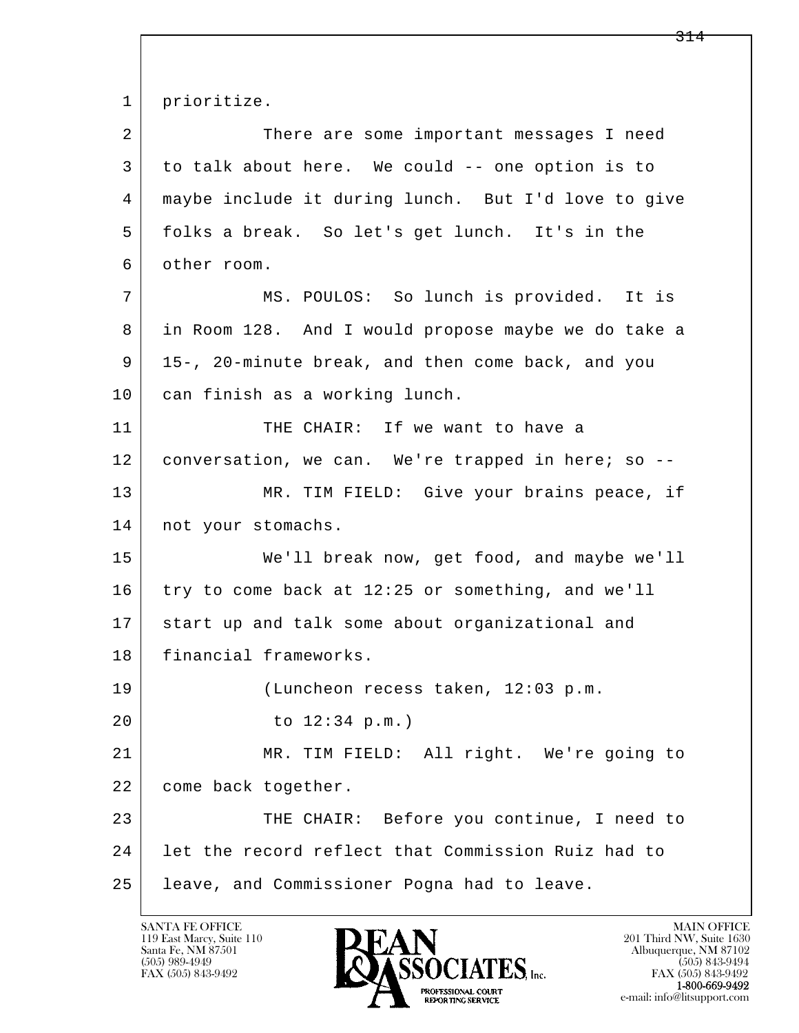l  $\overline{\phantom{a}}$  1 prioritize. 2 There are some important messages I need 3 to talk about here. We could -- one option is to 4 maybe include it during lunch. But I'd love to give 5 folks a break. So let's get lunch. It's in the 6 other room. 7 MS. POULOS: So lunch is provided. It is 8 in Room 128. And I would propose maybe we do take a 9 15-, 20-minute break, and then come back, and you 10 can finish as a working lunch. 11 THE CHAIR: If we want to have a 12 conversation, we can. We're trapped in here; so -- 13 MR. TIM FIELD: Give your brains peace, if 14 | not your stomachs. 15 We'll break now, get food, and maybe we'll 16 try to come back at 12:25 or something, and we'll 17 start up and talk some about organizational and 18 | financial frameworks. 19 (Luncheon recess taken, 12:03 p.m. 20 to 12:34 p.m.) 21 MR. TIM FIELD: All right. We're going to 22 | come back together. 23 THE CHAIR: Before you continue, I need to 24 let the record reflect that Commission Ruiz had to 25 leave, and Commissioner Pogna had to leave.

119 East Marcy, Suite 110<br>Santa Fe, NM 87501

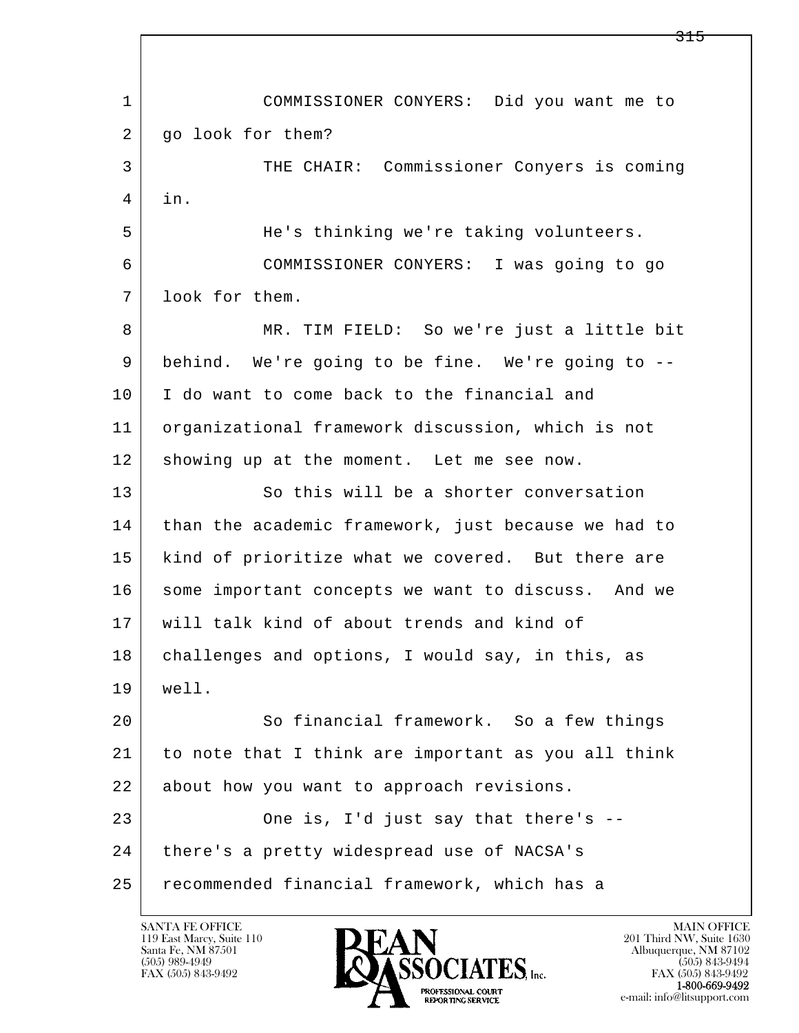l  $\overline{\phantom{a}}$  1 COMMISSIONER CONYERS: Did you want me to 2 | go look for them? 3 THE CHAIR: Commissioner Conyers is coming 4 in. 5 He's thinking we're taking volunteers. 6 COMMISSIONER CONYERS: I was going to go 7 look for them. 8 MR. TIM FIELD: So we're just a little bit 9 behind. We're going to be fine. We're going to -- 10 I do want to come back to the financial and 11 organizational framework discussion, which is not 12 showing up at the moment. Let me see now. 13 So this will be a shorter conversation 14 than the academic framework, just because we had to 15 | kind of prioritize what we covered. But there are 16 some important concepts we want to discuss. And we 17 will talk kind of about trends and kind of 18 challenges and options, I would say, in this, as 19 well. 20 So financial framework. So a few things 21 to note that I think are important as you all think 22 about how you want to approach revisions. 23 One is, I'd just say that there's --24 | there's a pretty widespread use of NACSA's 25 recommended financial framework, which has a

119 East Marcy, Suite 110<br>Santa Fe, NM 87501

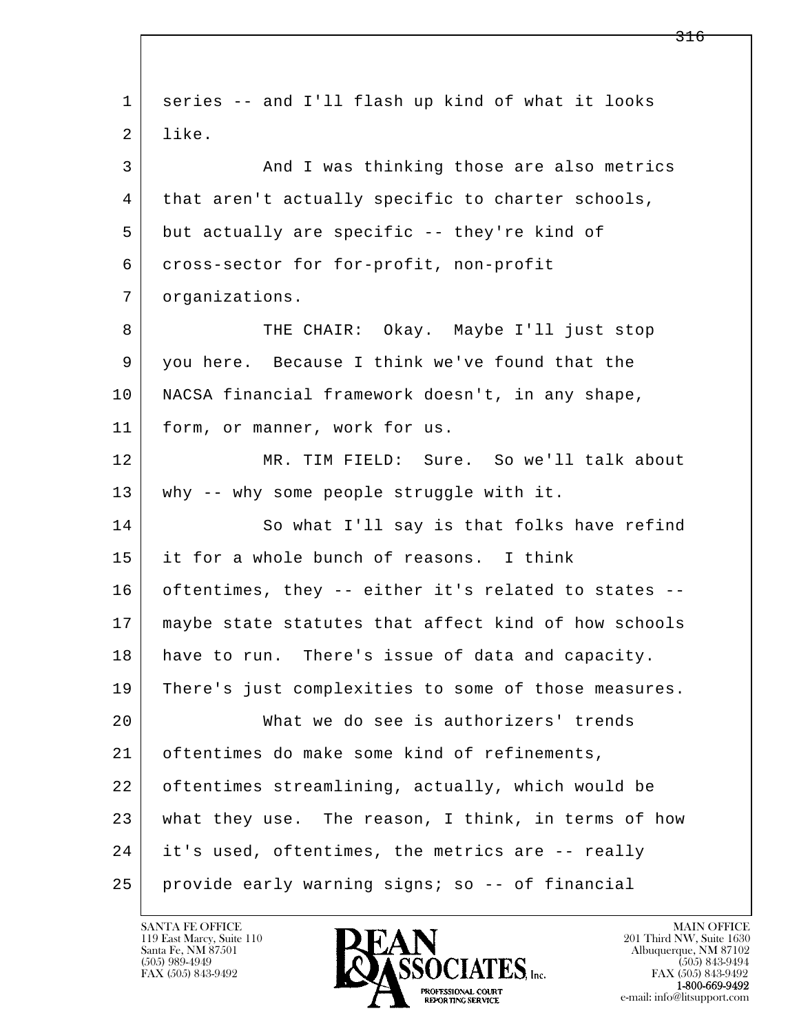l  $\overline{\phantom{a}}$  1 series -- and I'll flash up kind of what it looks 2 like. 3 And I was thinking those are also metrics 4 that aren't actually specific to charter schools, 5 but actually are specific -- they're kind of 6 cross-sector for for-profit, non-profit 7 organizations. 8 THE CHAIR: Okay. Maybe I'll just stop 9 you here. Because I think we've found that the 10 NACSA financial framework doesn't, in any shape, 11 form, or manner, work for us. 12 MR. TIM FIELD: Sure. So we'll talk about 13 why -- why some people struggle with it. 14 So what I'll say is that folks have refind 15 it for a whole bunch of reasons. I think 16 oftentimes, they -- either it's related to states -- 17 maybe state statutes that affect kind of how schools 18 have to run. There's issue of data and capacity. 19 There's just complexities to some of those measures. 20 What we do see is authorizers' trends 21 oftentimes do make some kind of refinements, 22 oftentimes streamlining, actually, which would be 23 what they use. The reason, I think, in terms of how 24 it's used, oftentimes, the metrics are -- really 25 provide early warning signs; so -- of financial

119 East Marcy, Suite 110<br>Santa Fe, NM 87501

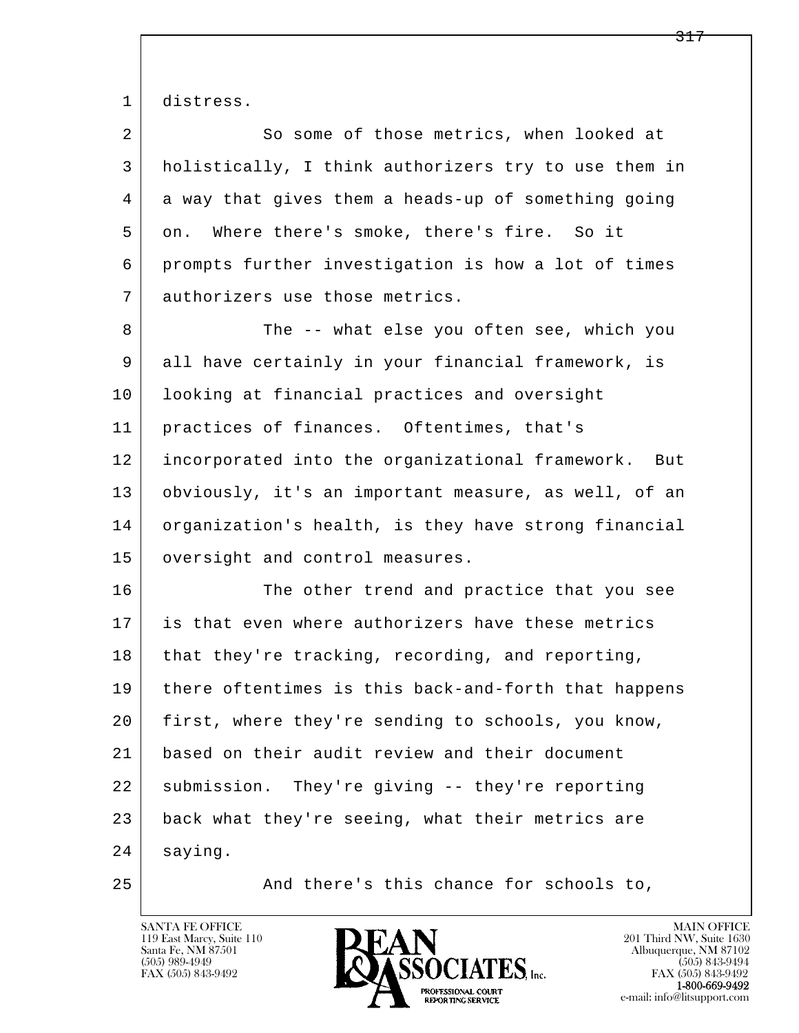1 distress.

| $\overline{a}$ | So some of those metrics, when looked at               |
|----------------|--------------------------------------------------------|
| 3              | holistically, I think authorizers try to use them in   |
| 4              | a way that gives them a heads-up of something going    |
| 5              | Where there's smoke, there's fire. So it<br>on.        |
| 6              | prompts further investigation is how a lot of times    |
| 7              | authorizers use those metrics.                         |
| 8              | The -- what else you often see, which you              |
| 9              | all have certainly in your financial framework, is     |
| 10             | looking at financial practices and oversight           |
| 11             | practices of finances. Oftentimes, that's              |
| 12             | incorporated into the organizational framework.<br>But |
| 13             | obviously, it's an important measure, as well, of an   |
| 14             | organization's health, is they have strong financial   |
| 15             | oversight and control measures.                        |
| 16             | The other trend and practice that you see              |
| 17             | is that even where authorizers have these metrics      |
| 18             | that they're tracking, recording, and reporting,       |
| 19             | there oftentimes is this back-and-forth that happens   |
| 20             | first, where they're sending to schools, you know,     |
| 21             | based on their audit review and their document         |
| 22             | submission. They're giving -- they're reporting        |
| 23             | back what they're seeing, what their metrics are       |
| 24             | saying.                                                |

25 And there's this chance for schools to,

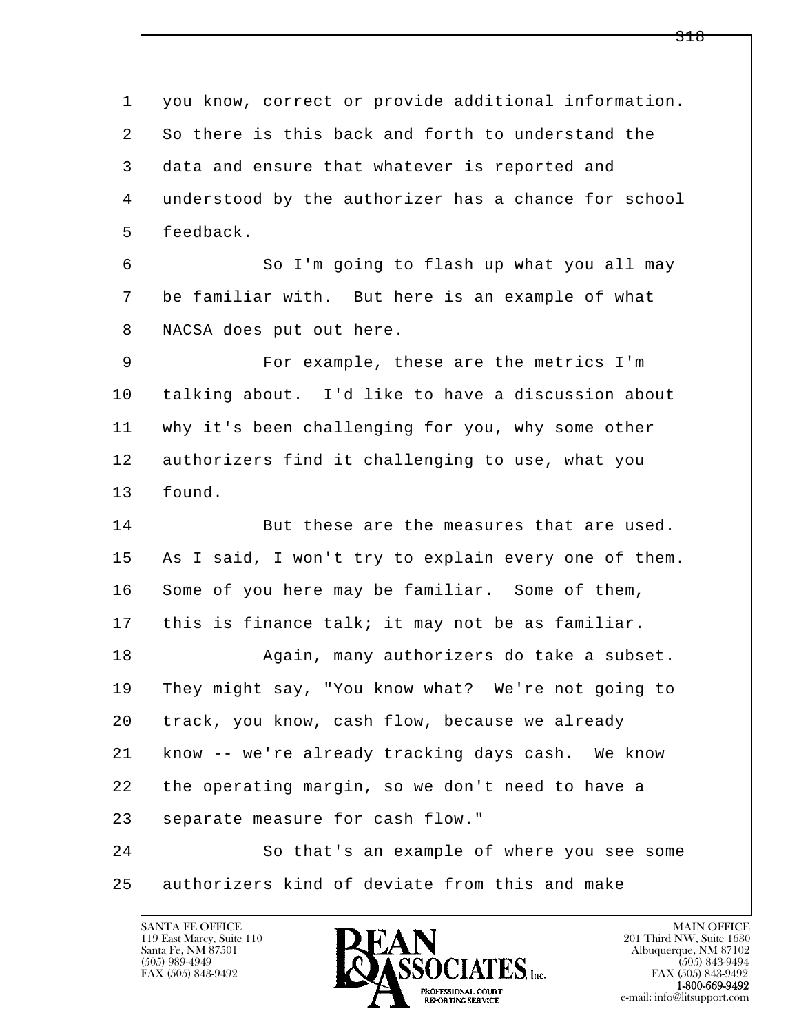l  $\overline{\phantom{a}}$ 1 you know, correct or provide additional information. 2 So there is this back and forth to understand the 3 data and ensure that whatever is reported and 4 understood by the authorizer has a chance for school 5 feedback. 6 So I'm going to flash up what you all may 7 be familiar with. But here is an example of what 8 | NACSA does put out here. 9 For example, these are the metrics I'm 10 talking about. I'd like to have a discussion about 11 why it's been challenging for you, why some other 12 authorizers find it challenging to use, what you 13 found. 14 But these are the measures that are used. 15 | As I said, I won't try to explain every one of them. 16 Some of you here may be familiar. Some of them, 17 | this is finance talk; it may not be as familiar. 18 | Again, many authorizers do take a subset. 19 They might say, "You know what? We're not going to 20 track, you know, cash flow, because we already 21 know -- we're already tracking days cash. We know 22 the operating margin, so we don't need to have a 23 separate measure for cash flow." 24 So that's an example of where you see some 25 authorizers kind of deviate from this and make

119 East Marcy, Suite 110<br>Santa Fe, NM 87501

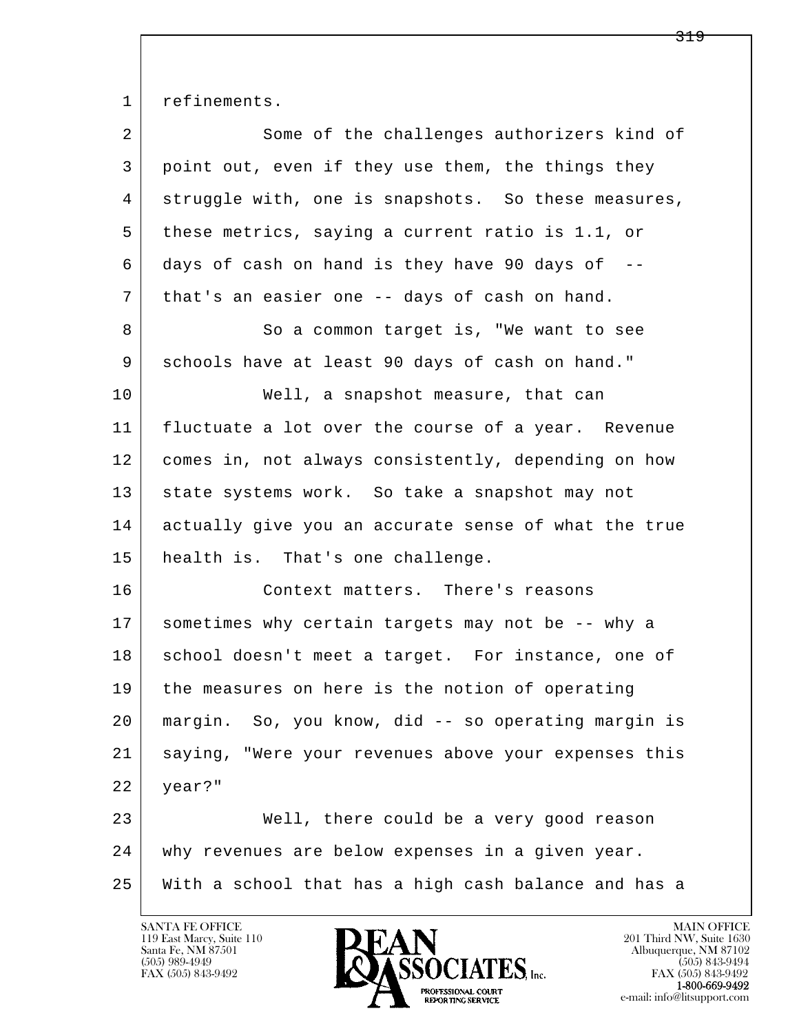1 refinements.

| $\overline{a}$ | Some of the challenges authorizers kind of           |
|----------------|------------------------------------------------------|
| 3              | point out, even if they use them, the things they    |
| 4              | struggle with, one is snapshots. So these measures,  |
| 5              | these metrics, saying a current ratio is 1.1, or     |
| 6              | days of cash on hand is they have 90 days of $-$ -   |
| 7              | that's an easier one -- days of cash on hand.        |
| 8              | So a common target is, "We want to see               |
| 9              | schools have at least 90 days of cash on hand."      |
| 10             | Well, a snapshot measure, that can                   |
| 11             | fluctuate a lot over the course of a year. Revenue   |
| 12             | comes in, not always consistently, depending on how  |
| 13             | state systems work. So take a snapshot may not       |
| 14             | actually give you an accurate sense of what the true |
| 15             | health is. That's one challenge.                     |
| 16             | Context matters. There's reasons                     |
| 17             | sometimes why certain targets may not be -- why a    |
| 18             | school doesn't meet a target. For instance, one of   |
| 19             | the measures on here is the notion of operating      |
| 20             | margin. So, you know, did -- so operating margin is  |
| 21             | saying, "Were your revenues above your expenses this |
| 22             | year?"                                               |
| 23             | Well, there could be a very good reason              |
| 24             | why revenues are below expenses in a given year.     |
| 25             | With a school that has a high cash balance and has a |

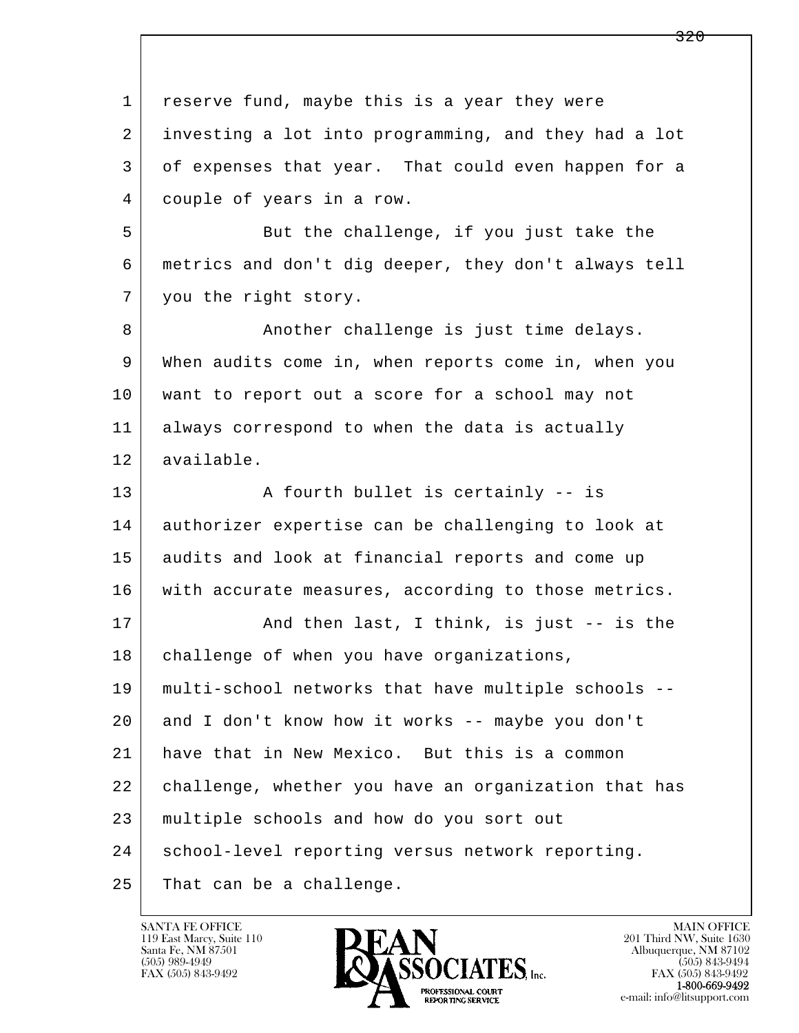l  $\overline{\phantom{a}}$ 1 reserve fund, maybe this is a year they were 2 investing a lot into programming, and they had a lot 3 of expenses that year. That could even happen for a 4 couple of years in a row. 5 But the challenge, if you just take the 6 metrics and don't dig deeper, they don't always tell 7 | you the right story. 8 Another challenge is just time delays. 9 When audits come in, when reports come in, when you 10 want to report out a score for a school may not 11 always correspond to when the data is actually 12 available. 13 | A fourth bullet is certainly -- is 14 authorizer expertise can be challenging to look at 15 audits and look at financial reports and come up 16 with accurate measures, according to those metrics. 17 | The Rand then last, I think, is just -- is the 18 | challenge of when you have organizations, 19 multi-school networks that have multiple schools -- 20 and I don't know how it works -- maybe you don't 21 have that in New Mexico. But this is a common 22 challenge, whether you have an organization that has 23 multiple schools and how do you sort out 24 | school-level reporting versus network reporting. 25 That can be a challenge.

119 East Marcy, Suite 110<br>Santa Fe, NM 87501

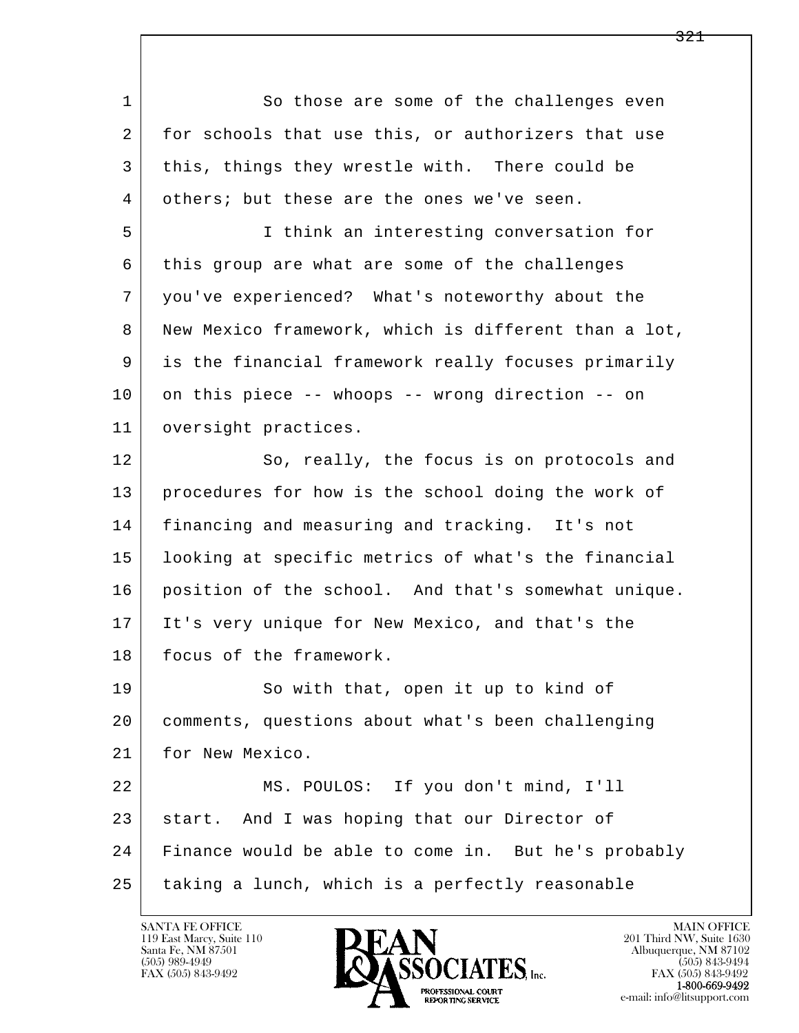l  $\overline{\phantom{a}}$ 1 So those are some of the challenges even 2 for schools that use this, or authorizers that use 3 this, things they wrestle with. There could be 4 others; but these are the ones we've seen. 5 I think an interesting conversation for 6 this group are what are some of the challenges 7 you've experienced? What's noteworthy about the 8 New Mexico framework, which is different than a lot, 9 is the financial framework really focuses primarily 10 on this piece -- whoops -- wrong direction -- on 11 oversight practices. 12 So, really, the focus is on protocols and 13 procedures for how is the school doing the work of 14 financing and measuring and tracking. It's not 15 looking at specific metrics of what's the financial 16 position of the school. And that's somewhat unique. 17 It's very unique for New Mexico, and that's the 18 | focus of the framework. 19 So with that, open it up to kind of 20 comments, questions about what's been challenging 21 for New Mexico. 22 MS. POULOS: If you don't mind, I'll 23 start. And I was hoping that our Director of 24 Finance would be able to come in. But he's probably 25 taking a lunch, which is a perfectly reasonable

119 East Marcy, Suite 110<br>Santa Fe, NM 87501

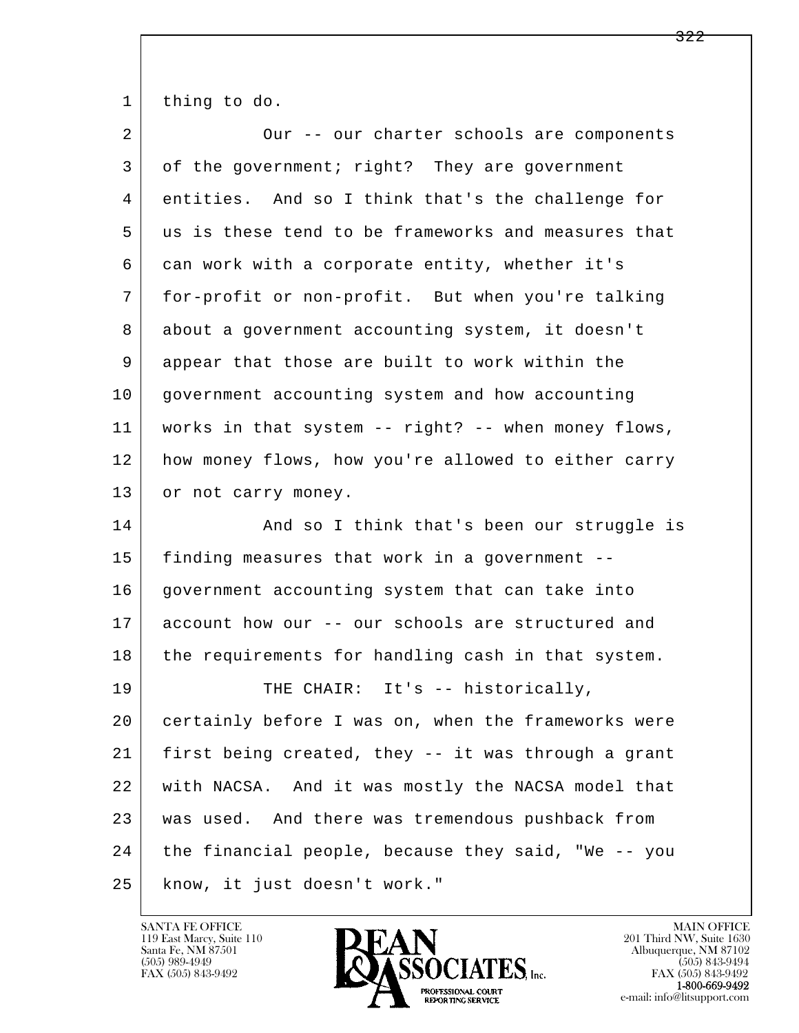1 thing to do.

| $\overline{2}$ | Our -- our charter schools are components           |
|----------------|-----------------------------------------------------|
| 3              | of the government; right? They are government       |
| 4              | entities. And so I think that's the challenge for   |
| 5              | us is these tend to be frameworks and measures that |
| 6              | can work with a corporate entity, whether it's      |
| 7              | for-profit or non-profit. But when you're talking   |
| 8              | about a government accounting system, it doesn't    |
| 9              | appear that those are built to work within the      |
| 10             | government accounting system and how accounting     |
| 11             | works in that system -- right? -- when money flows, |
| 12             | how money flows, how you're allowed to either carry |
| 13             | or not carry money.                                 |
| 14             | And so I think that's been our struggle is          |
|                |                                                     |
| 15             | finding measures that work in a government --       |
| 16             | government accounting system that can take into     |
| 17             | account how our -- our schools are structured and   |
| 18             | the requirements for handling cash in that system.  |
| 19             | THE CHAIR: It's -- historically,                    |
| 20             | certainly before I was on, when the frameworks were |
| 21             | first being created, they -- it was through a grant |
| 22             | with NACSA. And it was mostly the NACSA model that  |
| 23             | was used. And there was tremendous pushback from    |
| 24             | the financial people, because they said, "We -- you |

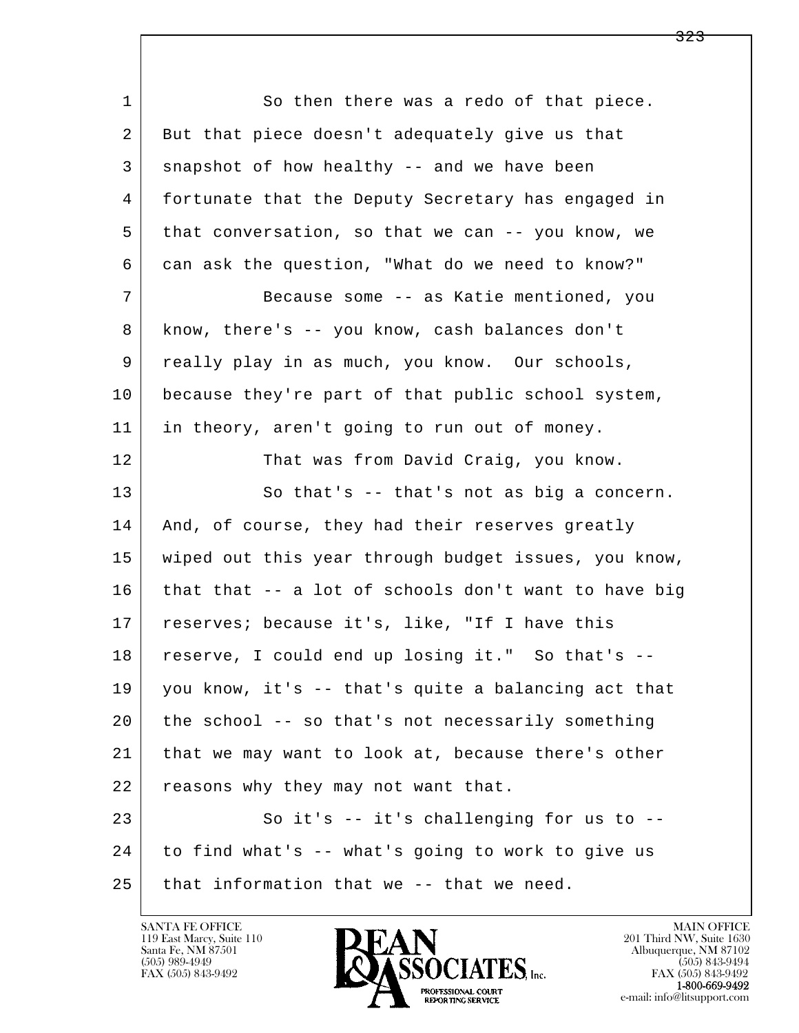l  $\overline{\phantom{a}}$ 1 So then there was a redo of that piece. 2 But that piece doesn't adequately give us that 3 snapshot of how healthy -- and we have been 4 fortunate that the Deputy Secretary has engaged in 5 that conversation, so that we can -- you know, we 6 can ask the question, "What do we need to know?" 7 Because some -- as Katie mentioned, you 8 know, there's -- you know, cash balances don't 9 really play in as much, you know. Our schools, 10 because they're part of that public school system, 11 in theory, aren't going to run out of money. 12 That was from David Craig, you know. 13 So that's -- that's not as big a concern. 14 | And, of course, they had their reserves greatly 15 | wiped out this year through budget issues, you know, 16 that that -- a lot of schools don't want to have big 17 | reserves; because it's, like, "If I have this 18 reserve, I could end up losing it." So that's -- 19 you know, it's -- that's quite a balancing act that 20 the school -- so that's not necessarily something 21 that we may want to look at, because there's other 22 reasons why they may not want that. 23 So it's -- it's challenging for us to -- 24 to find what's -- what's going to work to give us  $25$  that information that we -- that we need.



FAX (505) 843-9492<br>1-800-669-9492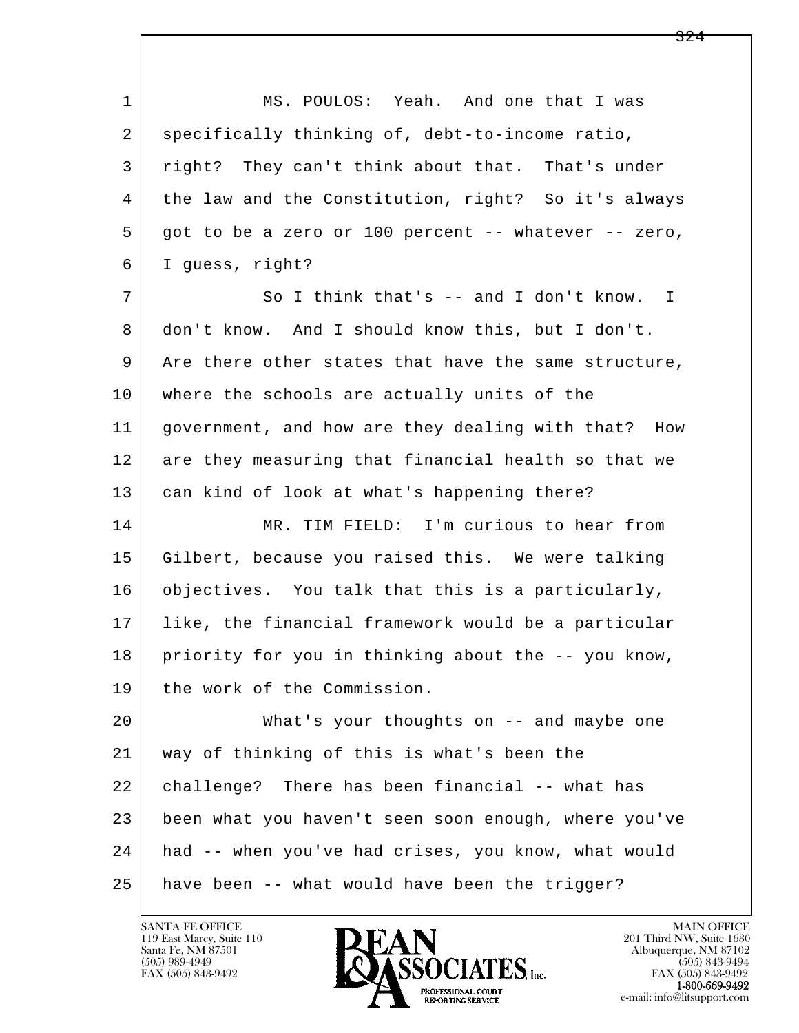l  $\overline{\phantom{a}}$ 1 | MS. POULOS: Yeah. And one that I was 2 specifically thinking of, debt-to-income ratio, 3 right? They can't think about that. That's under 4 the law and the Constitution, right? So it's always 5 got to be a zero or 100 percent -- whatever -- zero, 6 I guess, right? 7 | So I think that's -- and I don't know. I 8 don't know. And I should know this, but I don't. 9 Are there other states that have the same structure, 10 | where the schools are actually units of the 11 government, and how are they dealing with that? How 12 are they measuring that financial health so that we 13 can kind of look at what's happening there? 14 MR. TIM FIELD: I'm curious to hear from 15 Gilbert, because you raised this. We were talking 16 objectives. You talk that this is a particularly, 17 like, the financial framework would be a particular 18 priority for you in thinking about the -- you know, 19 the work of the Commission. 20 What's your thoughts on -- and maybe one 21 way of thinking of this is what's been the 22 challenge? There has been financial -- what has 23 been what you haven't seen soon enough, where you've 24 had -- when you've had crises, you know, what would 25 have been -- what would have been the trigger?

119 East Marcy, Suite 110<br>Santa Fe, NM 87501

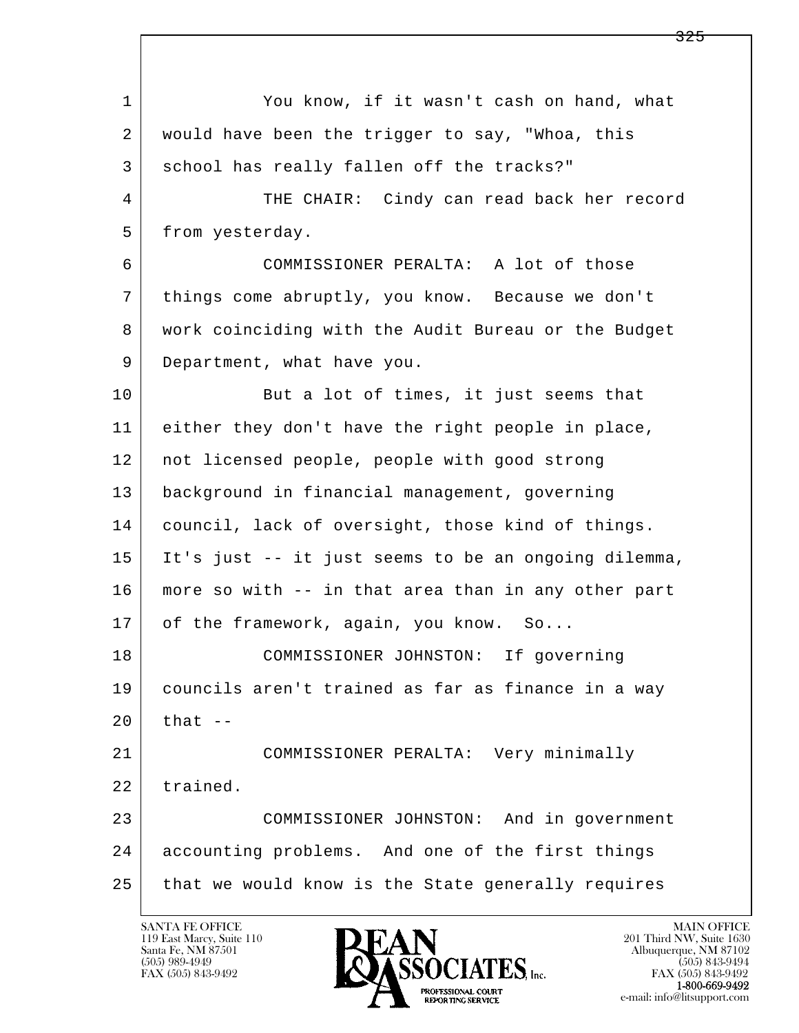l  $\overline{\phantom{a}}$  1 You know, if it wasn't cash on hand, what 2 would have been the trigger to say, "Whoa, this 3 | school has really fallen off the tracks?" 4 THE CHAIR: Cindy can read back her record 5 from yesterday. 6 COMMISSIONER PERALTA: A lot of those 7 things come abruptly, you know. Because we don't 8 work coinciding with the Audit Bureau or the Budget 9 Department, what have you. 10 But a lot of times, it just seems that 11 either they don't have the right people in place, 12 not licensed people, people with good strong 13 background in financial management, governing 14 council, lack of oversight, those kind of things. 15 It's just -- it just seems to be an ongoing dilemma, 16 more so with -- in that area than in any other part 17 of the framework, again, you know. So... 18 COMMISSIONER JOHNSTON: If governing 19 councils aren't trained as far as finance in a way  $20$  that  $-$  21 COMMISSIONER PERALTA: Very minimally 22 trained. 23 COMMISSIONER JOHNSTON: And in government 24 accounting problems. And one of the first things 25 that we would know is the State generally requires

119 East Marcy, Suite 110<br>Santa Fe, NM 87501



FAX (505) 843-9492<br>1-800-669-9492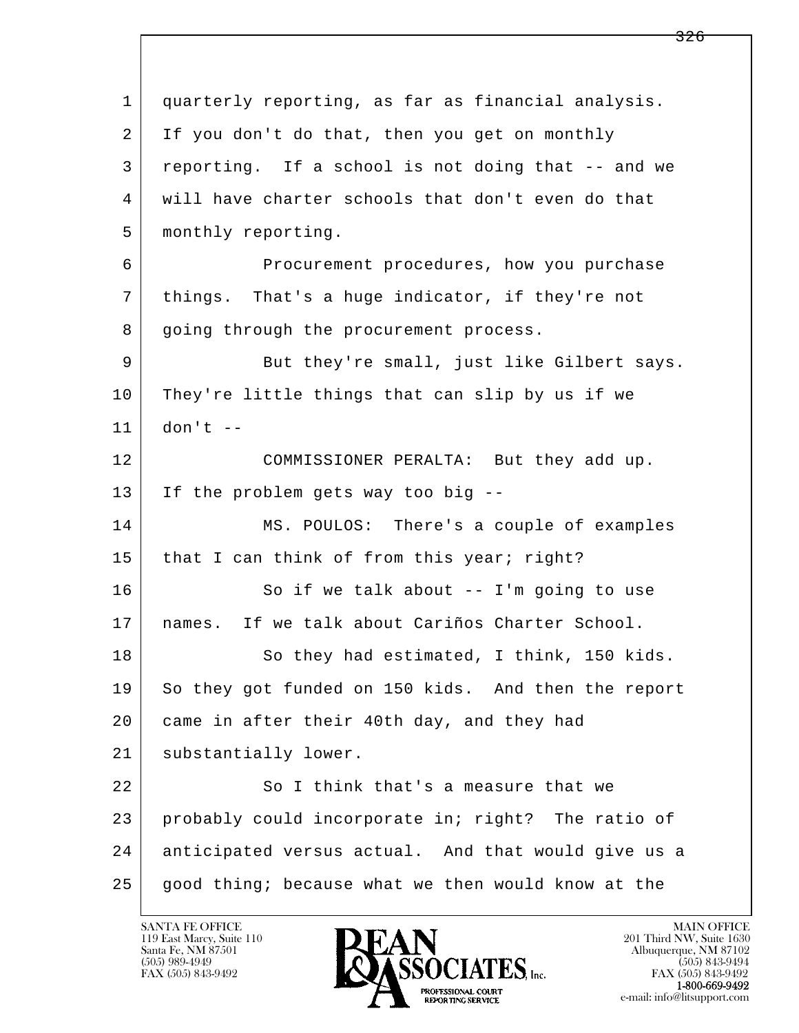l  $\overline{\phantom{a}}$  1 quarterly reporting, as far as financial analysis. 2 If you don't do that, then you get on monthly 3 reporting. If a school is not doing that -- and we 4 will have charter schools that don't even do that 5 monthly reporting. 6 Procurement procedures, how you purchase 7 things. That's a huge indicator, if they're not 8 going through the procurement process. 9 But they're small, just like Gilbert says. 10 They're little things that can slip by us if we 11 don't -- 12 COMMISSIONER PERALTA: But they add up. 13 If the problem gets way too big -- 14 | MS. POULOS: There's a couple of examples 15 that I can think of from this year; right? 16 So if we talk about -- I'm going to use 17 names. If we talk about Cariños Charter School. 18 So they had estimated, I think, 150 kids. 19 So they got funded on 150 kids. And then the report 20 came in after their 40th day, and they had 21 | substantially lower. 22 So I think that's a measure that we 23 probably could incorporate in; right? The ratio of 24 anticipated versus actual. And that would give us a  $25$  good thing; because what we then would know at the

119 East Marcy, Suite 110<br>Santa Fe, NM 87501

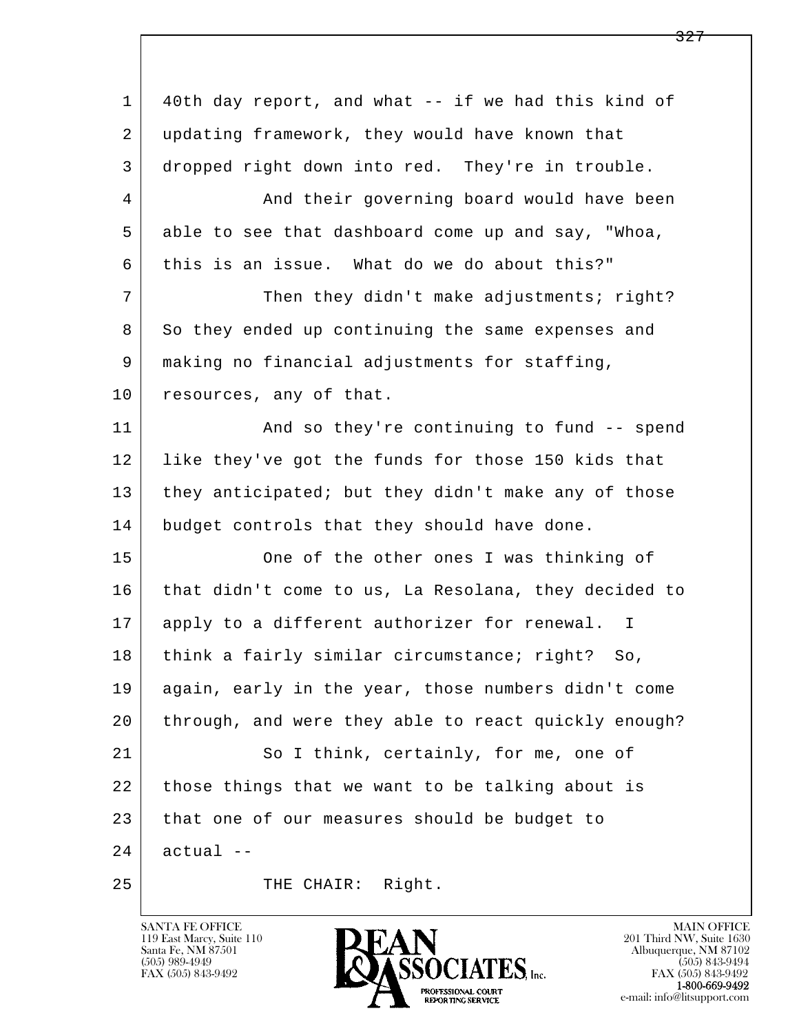l  $\overline{\phantom{a}}$  1 40th day report, and what -- if we had this kind of 2 updating framework, they would have known that 3 dropped right down into red. They're in trouble. 4 | And their governing board would have been 5 able to see that dashboard come up and say, "Whoa, 6 this is an issue. What do we do about this?" 7 Then they didn't make adjustments; right? 8 So they ended up continuing the same expenses and 9 making no financial adjustments for staffing, 10 resources, any of that. 11 | And so they're continuing to fund -- spend 12 like they've got the funds for those 150 kids that 13 they anticipated; but they didn't make any of those 14 budget controls that they should have done. 15 | One of the other ones I was thinking of 16 that didn't come to us, La Resolana, they decided to 17 apply to a different authorizer for renewal. I 18 think a fairly similar circumstance; right? So, 19 again, early in the year, those numbers didn't come 20 through, and were they able to react quickly enough? 21 So I think, certainly, for me, one of 22 those things that we want to be talking about is 23 that one of our measures should be budget to  $24$  actual  $-$ 25 THE CHAIR: Right.

119 East Marcy, Suite 110<br>Santa Fe, NM 87501

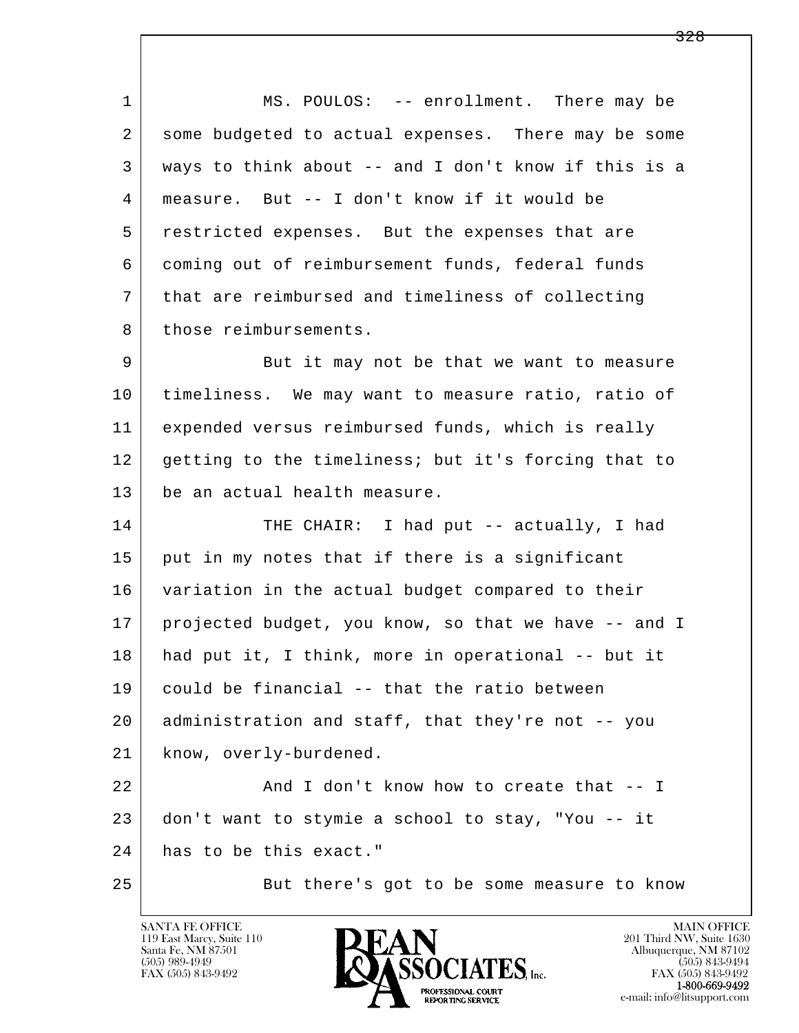l  $\overline{\phantom{a}}$ 1 MS. POULOS: -- enrollment. There may be 2 some budgeted to actual expenses. There may be some 3 ways to think about -- and I don't know if this is a 4 measure. But -- I don't know if it would be 5 restricted expenses. But the expenses that are 6 coming out of reimbursement funds, federal funds 7 that are reimbursed and timeliness of collecting 8 those reimbursements. 9 But it may not be that we want to measure 10 timeliness. We may want to measure ratio, ratio of 11 expended versus reimbursed funds, which is really 12 getting to the timeliness; but it's forcing that to 13 be an actual health measure. 14 | THE CHAIR: I had put -- actually, I had 15 put in my notes that if there is a significant 16 variation in the actual budget compared to their 17 projected budget, you know, so that we have -- and I 18 had put it, I think, more in operational -- but it 19 could be financial -- that the ratio between 20 administration and staff, that they're not -- you 21 | know, overly-burdened. 22 And I don't know how to create that -- I 23 don't want to stymie a school to stay, "You -- it 24 has to be this exact." 25 But there's got to be some measure to know

119 East Marcy, Suite 110<br>Santa Fe, NM 87501



FAX (505) 843-9492<br>**1-800-669-9492**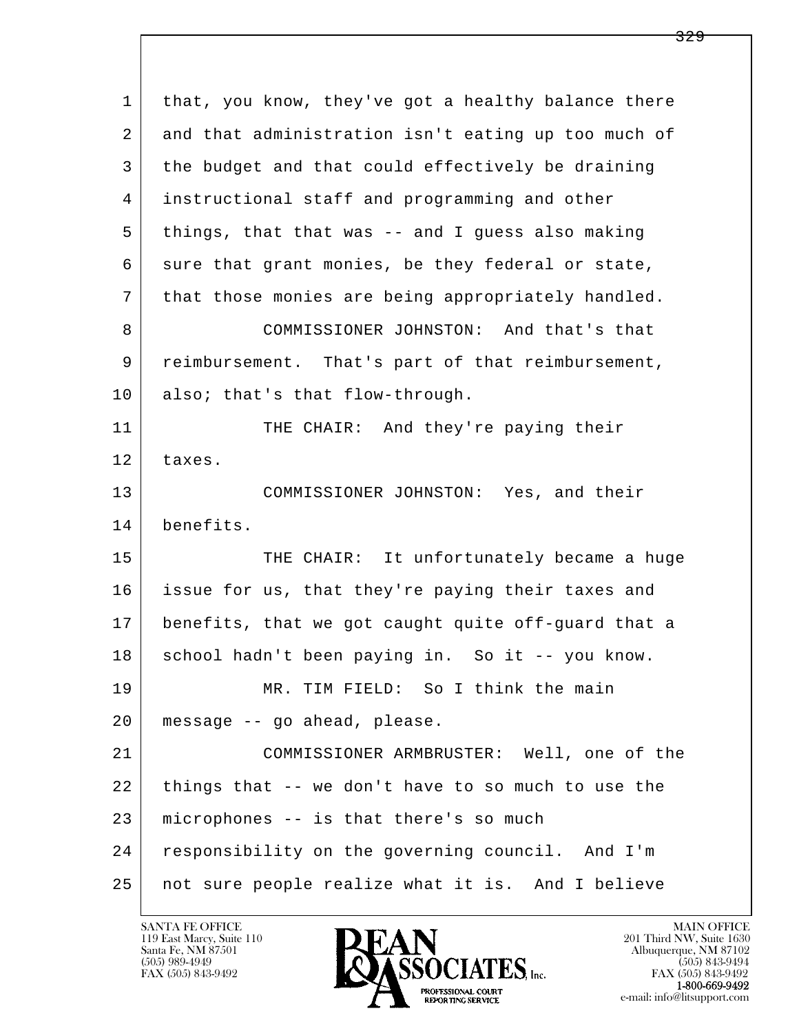| $\mathbf{1}$ | that, you know, they've got a healthy balance there |
|--------------|-----------------------------------------------------|
| 2            | and that administration isn't eating up too much of |
| 3            | the budget and that could effectively be draining   |
| 4            | instructional staff and programming and other       |
| 5            | things, that that was -- and I guess also making    |
| 6            | sure that grant monies, be they federal or state,   |
| 7            | that those monies are being appropriately handled.  |
| 8            | COMMISSIONER JOHNSTON: And that's that              |
| 9            | reimbursement. That's part of that reimbursement,   |
| 10           | also; that's that flow-through.                     |
| 11           | THE CHAIR: And they're paying their                 |
| 12           | taxes.                                              |
| 13           | COMMISSIONER JOHNSTON: Yes, and their               |
| 14           | benefits.                                           |
| 15           | THE CHAIR: It unfortunately became a huge           |
| 16           | issue for us, that they're paying their taxes and   |
| 17           | benefits, that we got caught quite off-guard that a |
| 18           | school hadn't been paying in. So it -- you know.    |
| 19           | MR. TIM FIELD: So I think the main                  |
| 20           | message -- go ahead, please.                        |
| 21           | COMMISSIONER ARMBRUSTER: Well, one of the           |
| 22           | things that -- we don't have to so much to use the  |
| 23           | microphones -- is that there's so much              |
| 24           | responsibility on the governing council. And I'm    |
| 25           | not sure people realize what it is. And I believe   |

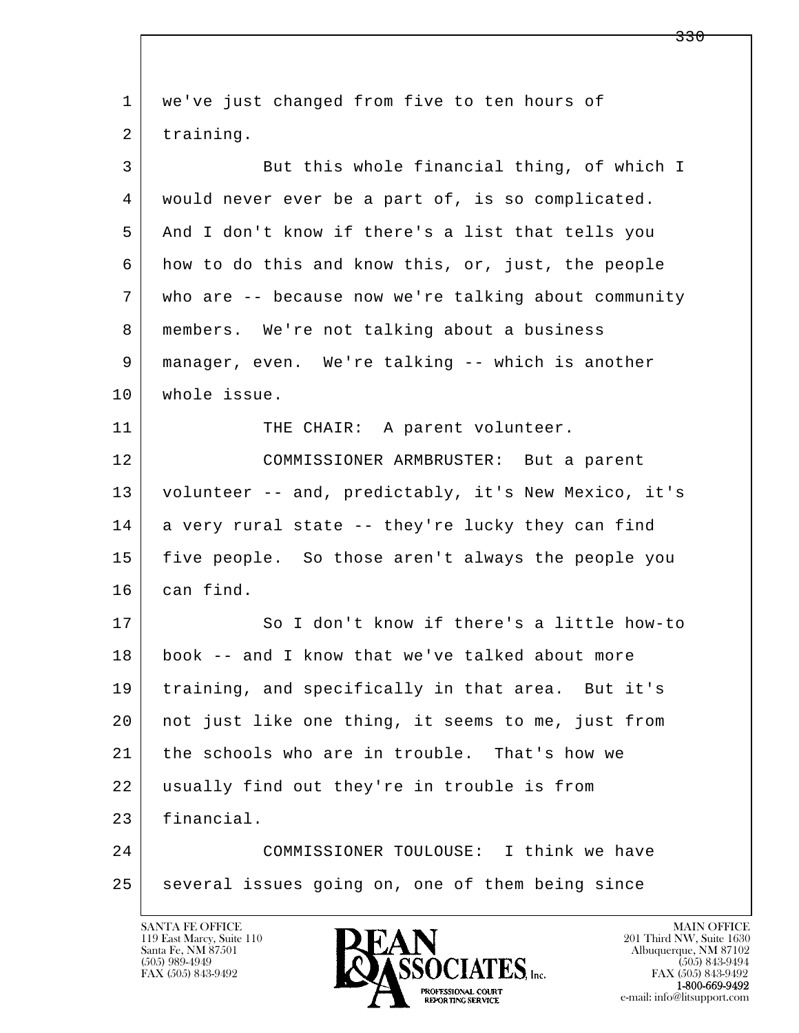| $\mathbf 1$ | we've just changed from five to ten hours of         |
|-------------|------------------------------------------------------|
| 2           | training.                                            |
| 3           | But this whole financial thing, of which I           |
| 4           | would never ever be a part of, is so complicated.    |
| 5           | And I don't know if there's a list that tells you    |
| 6           | how to do this and know this, or, just, the people   |
| 7           | who are -- because now we're talking about community |
| 8           | members. We're not talking about a business          |
| 9           | manager, even. We're talking -- which is another     |
| 10          | whole issue.                                         |
| 11          | THE CHAIR: A parent volunteer.                       |
| 12          | COMMISSIONER ARMBRUSTER: But a parent                |
| 13          | volunteer -- and, predictably, it's New Mexico, it's |
| 14          | a very rural state -- they're lucky they can find    |
| 15          | five people. So those aren't always the people you   |
| 16          | can find.                                            |
| 17          | So I don't know if there's a little how-to           |
| 18          | book -- and I know that we've talked about more      |
| 19          | training, and specifically in that area. But it's    |
| 20          | not just like one thing, it seems to me, just from   |
| 21          | the schools who are in trouble. That's how we        |
| 22          | usually find out they're in trouble is from          |
| 23          | financial.                                           |
| 24          | COMMISSIONER TOULOUSE: I think we have               |
| 25          | several issues going on, one of them being since     |
|             |                                                      |

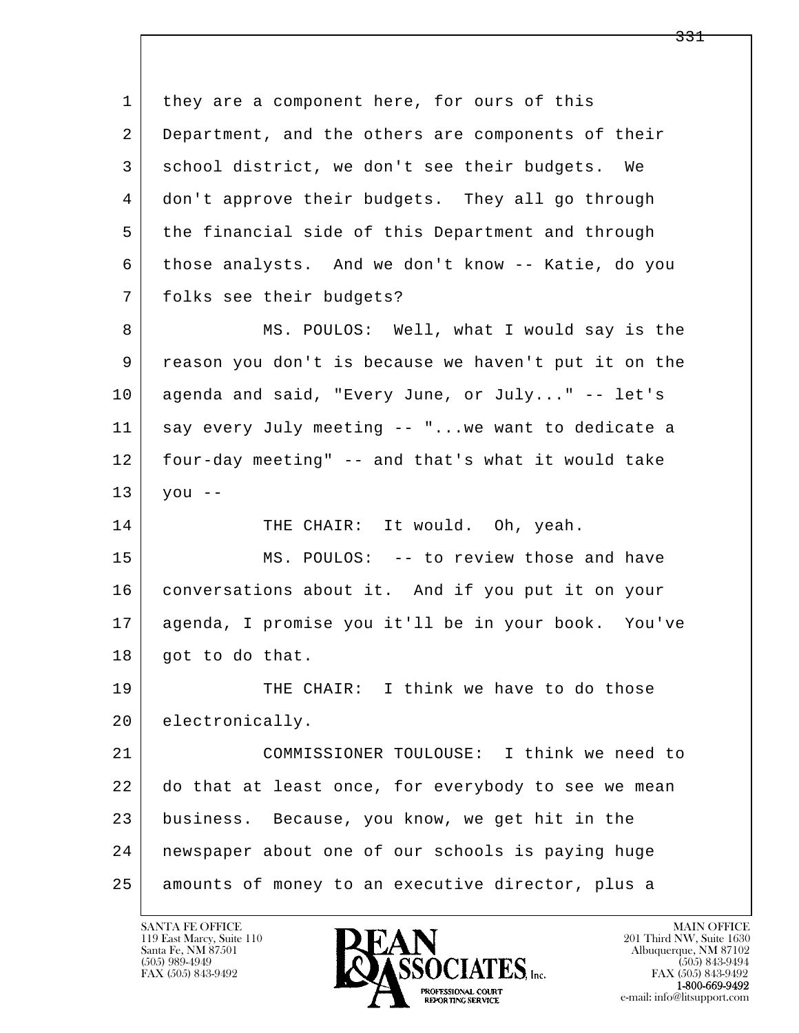l  $\overline{\phantom{a}}$ 1 they are a component here, for ours of this 2 Department, and the others are components of their 3 school district, we don't see their budgets. We 4 don't approve their budgets. They all go through 5 the financial side of this Department and through 6 those analysts. And we don't know -- Katie, do you 7 folks see their budgets? 8 MS. POULOS: Well, what I would say is the 9 reason you don't is because we haven't put it on the 10 agenda and said, "Every June, or July..." -- let's 11 say every July meeting -- "...we want to dedicate a 12 four-day meeting" -- and that's what it would take  $13$  you --14 THE CHAIR: It would. Oh, yeah. 15 MS. POULOS: -- to review those and have 16 conversations about it. And if you put it on your 17 agenda, I promise you it'll be in your book. You've 18 | got to do that. 19 THE CHAIR: I think we have to do those 20 electronically. 21 COMMISSIONER TOULOUSE: I think we need to 22 do that at least once, for everybody to see we mean 23 business. Because, you know, we get hit in the 24 newspaper about one of our schools is paying huge 25 amounts of money to an executive director, plus a

119 East Marcy, Suite 110<br>Santa Fe, NM 87501



FAX (505) 843-9492<br>**1-800-669-9492**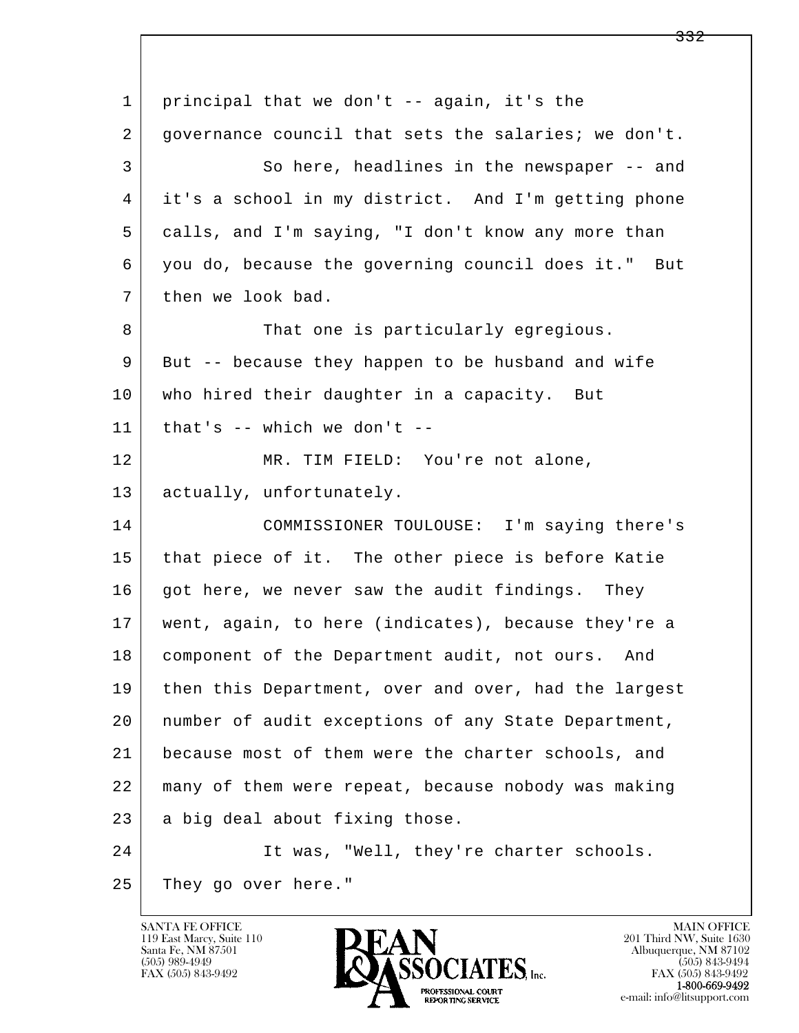l  $\overline{\phantom{a}}$ 1 principal that we don't -- again, it's the 2 governance council that sets the salaries; we don't. 3 So here, headlines in the newspaper -- and 4 it's a school in my district. And I'm getting phone 5 calls, and I'm saying, "I don't know any more than 6 you do, because the governing council does it." But 7 then we look bad. 8 | That one is particularly egregious. 9 But -- because they happen to be husband and wife 10 who hired their daughter in a capacity. But  $11$  that's -- which we don't -- 12 MR. TIM FIELD: You're not alone, 13 actually, unfortunately. 14 COMMISSIONER TOULOUSE: I'm saying there's 15 | that piece of it. The other piece is before Katie 16 got here, we never saw the audit findings. They 17 went, again, to here (indicates), because they're a 18 component of the Department audit, not ours. And 19 then this Department, over and over, had the largest 20 number of audit exceptions of any State Department, 21 because most of them were the charter schools, and 22 many of them were repeat, because nobody was making  $23$  a big deal about fixing those. 24 It was, "Well, they're charter schools. 25 They go over here."

119 East Marcy, Suite 110<br>Santa Fe, NM 87501

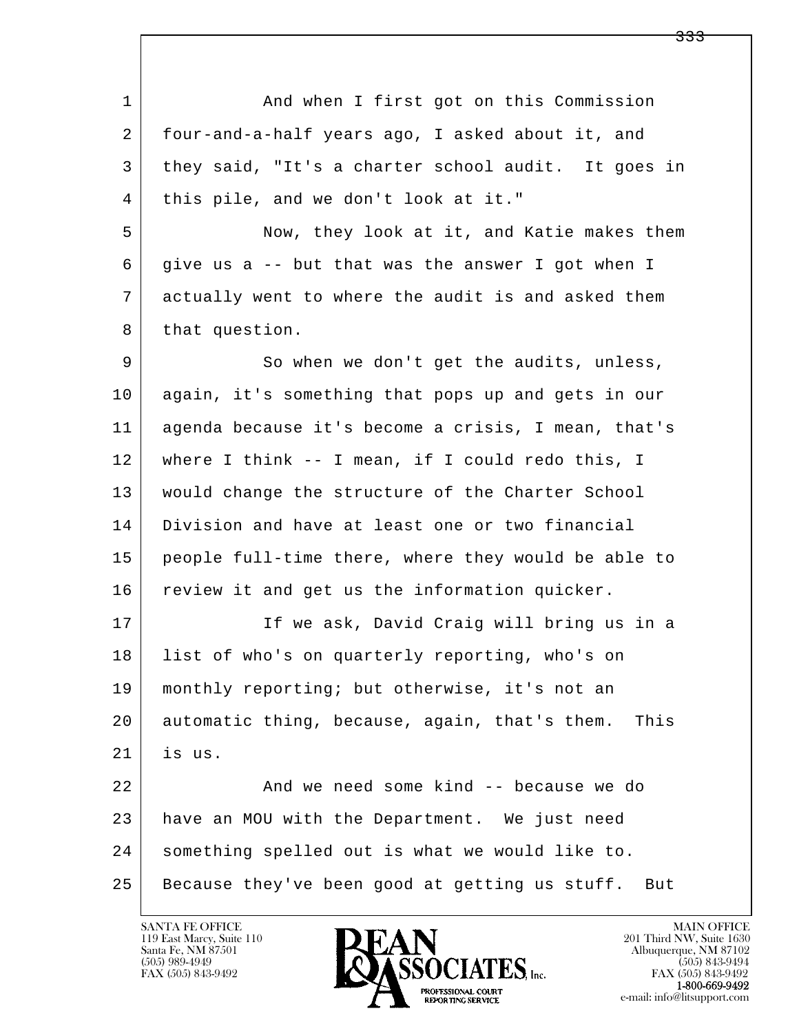| 1  | And when I first got on this Commission               |
|----|-------------------------------------------------------|
| 2  | four-and-a-half years ago, I asked about it, and      |
| 3  | they said, "It's a charter school audit. It goes in   |
| 4  | this pile, and we don't look at it."                  |
| 5  | Now, they look at it, and Katie makes them            |
| 6  | give us a -- but that was the answer I got when I     |
| 7  | actually went to where the audit is and asked them    |
| 8  | that question.                                        |
| 9  | So when we don't get the audits, unless,              |
| 10 | again, it's something that pops up and gets in our    |
| 11 | agenda because it's become a crisis, I mean, that's   |
| 12 | where I think -- I mean, if I could redo this, I      |
| 13 | would change the structure of the Charter School      |
| 14 | Division and have at least one or two financial       |
| 15 | people full-time there, where they would be able to   |
| 16 | review it and get us the information quicker.         |
| 17 | If we ask, David Craig will bring us in a             |
| 18 | list of who's on quarterly reporting, who's on        |
| 19 | monthly reporting; but otherwise, it's not an         |
| 20 | automatic thing, because, again, that's them.<br>This |
| 21 | is us.                                                |
| 22 | And we need some kind -- because we do                |
| 23 | have an MOU with the Department. We just need         |
| 24 | something spelled out is what we would like to.       |
| 25 | Because they've been good at getting us stuff.<br>But |

![](_page_155_Picture_2.jpeg)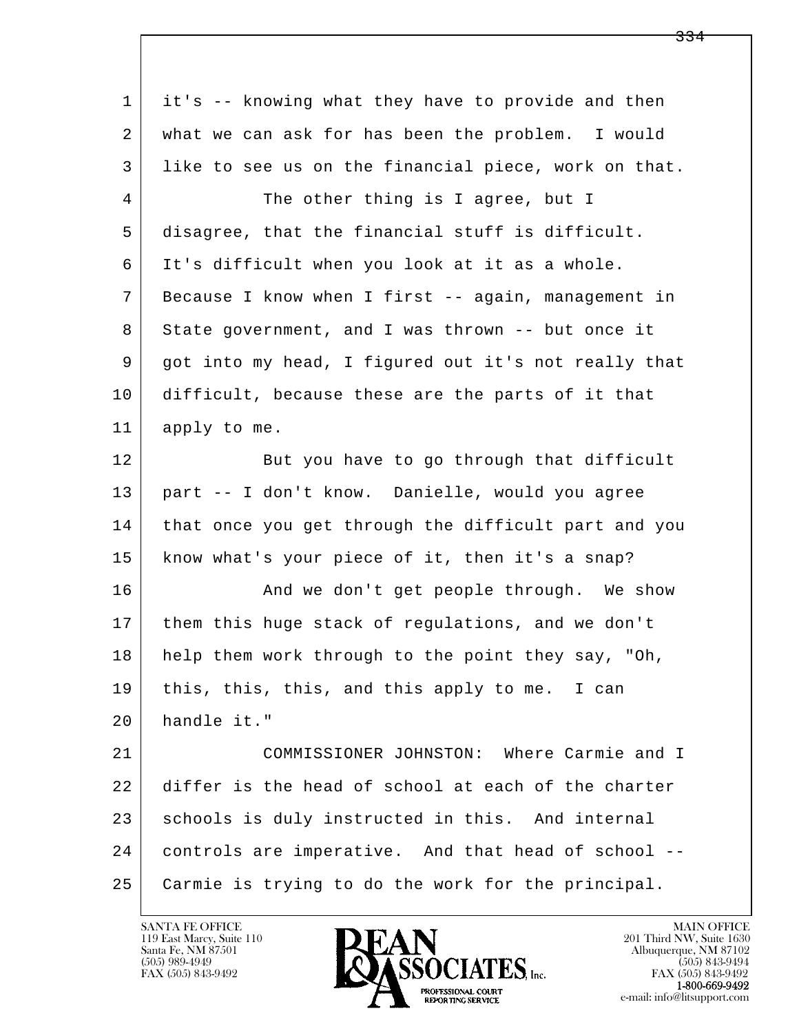| 1  | it's -- knowing what they have to provide and then   |
|----|------------------------------------------------------|
| 2  | what we can ask for has been the problem. I would    |
| 3  | like to see us on the financial piece, work on that. |
| 4  | The other thing is I agree, but I                    |
| 5  | disagree, that the financial stuff is difficult.     |
| 6  | It's difficult when you look at it as a whole.       |
| 7  | Because I know when I first -- again, management in  |
| 8  | State government, and I was thrown -- but once it    |
| 9  | got into my head, I figured out it's not really that |
| 10 | difficult, because these are the parts of it that    |
| 11 | apply to me.                                         |
| 12 | But you have to go through that difficult            |
| 13 | part -- I don't know. Danielle, would you agree      |
| 14 | that once you get through the difficult part and you |
| 15 | know what's your piece of it, then it's a snap?      |
| 16 | And we don't get people through. We show             |
| 17 | them this huge stack of regulations, and we don't    |
| 18 | help them work through to the point they say, "Oh,   |
| 19 | this, this, this, and this apply to me. I can        |
| 20 | handle it."                                          |
| 21 | COMMISSIONER JOHNSTON: Where Carmie and I            |
| 22 | differ is the head of school at each of the charter  |
| 23 | schools is duly instructed in this. And internal     |
| 24 | controls are imperative. And that head of school --  |
| 25 | Carmie is trying to do the work for the principal.   |

![](_page_156_Picture_2.jpeg)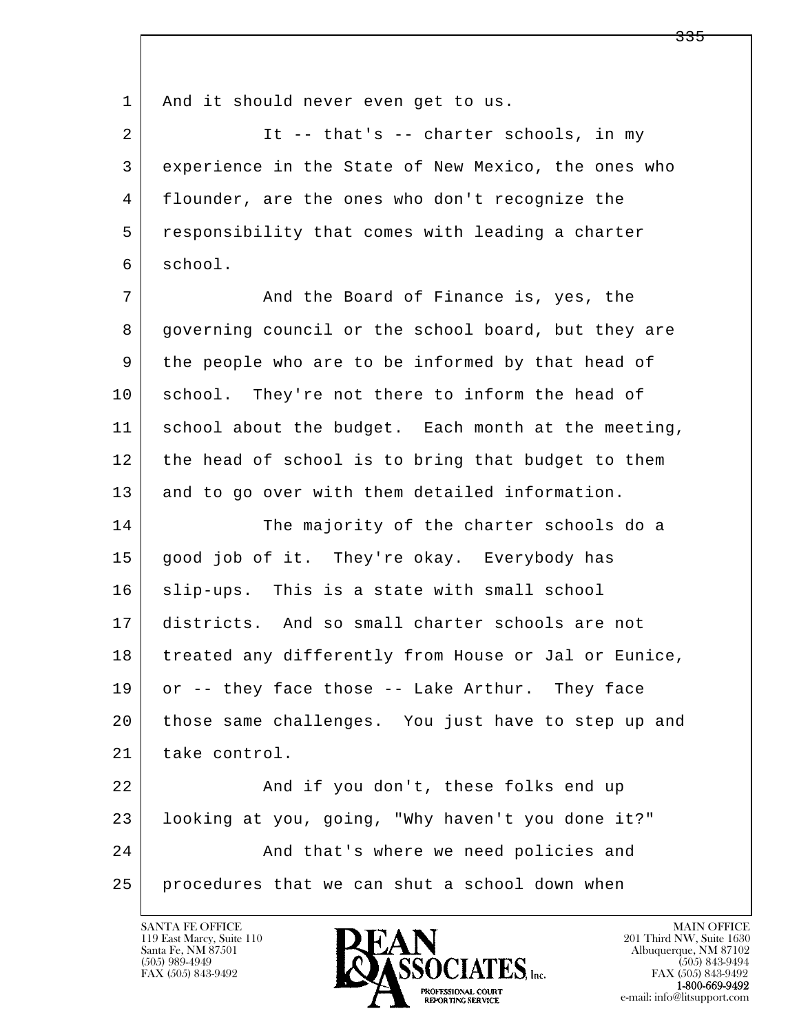1 | And it should never even get to us.

2 It -- that's -- charter schools, in my 3 experience in the State of New Mexico, the ones who 4 flounder, are the ones who don't recognize the 5 responsibility that comes with leading a charter 6 school.

7 And the Board of Finance is, yes, the 8 governing council or the school board, but they are 9 the people who are to be informed by that head of 10 school. They're not there to inform the head of 11 school about the budget. Each month at the meeting, 12 the head of school is to bring that budget to them 13 and to go over with them detailed information.

14 The majority of the charter schools do a 15 good job of it. They're okay. Everybody has 16 | slip-ups. This is a state with small school 17 districts. And so small charter schools are not 18 treated any differently from House or Jal or Eunice, 19 or -- they face those -- Lake Arthur. They face 20 those same challenges. You just have to step up and 21 take control.

l  $\overline{\phantom{a}}$ 22 And if you don't, these folks end up 23 looking at you, going, "Why haven't you done it?" 24 And that's where we need policies and 25 procedures that we can shut a school down when

119 East Marcy, Suite 110<br>Santa Fe, NM 87501

![](_page_157_Picture_6.jpeg)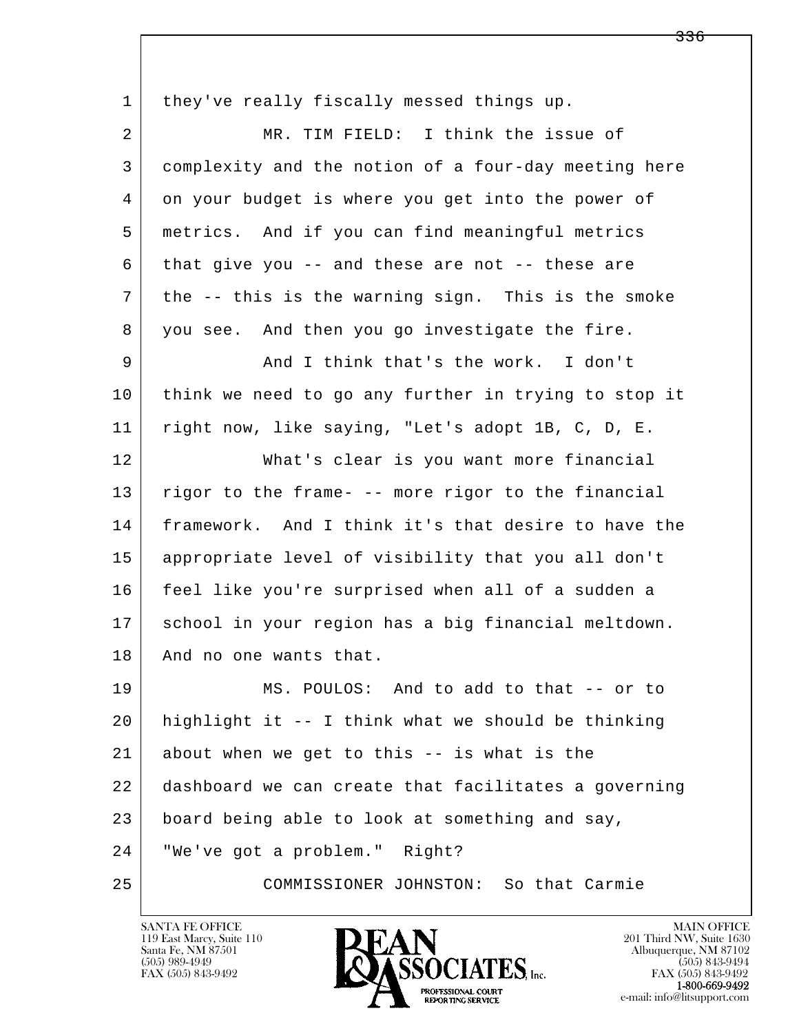l  $\overline{\phantom{a}}$ 1 they've really fiscally messed things up. 2 MR. TIM FIELD: I think the issue of 3 complexity and the notion of a four-day meeting here 4 on your budget is where you get into the power of 5 metrics. And if you can find meaningful metrics 6 that give you -- and these are not -- these are 7 the -- this is the warning sign. This is the smoke 8 you see. And then you go investigate the fire. 9 And I think that's the work. I don't 10 think we need to go any further in trying to stop it 11 right now, like saying, "Let's adopt 1B, C, D, E. 12 What's clear is you want more financial 13 | rigor to the frame- -- more rigor to the financial 14 framework. And I think it's that desire to have the 15 appropriate level of visibility that you all don't 16 feel like you're surprised when all of a sudden a 17 school in your region has a big financial meltdown. 18 | And no one wants that. 19 MS. POULOS: And to add to that -- or to 20 highlight it -- I think what we should be thinking  $21$  about when we get to this  $-$  is what is the 22 dashboard we can create that facilitates a governing 23 board being able to look at something and say, 24 "We've got a problem." Right? 25 COMMISSIONER JOHNSTON: So that Carmie

119 East Marcy, Suite 110<br>Santa Fe, NM 87501

![](_page_158_Picture_2.jpeg)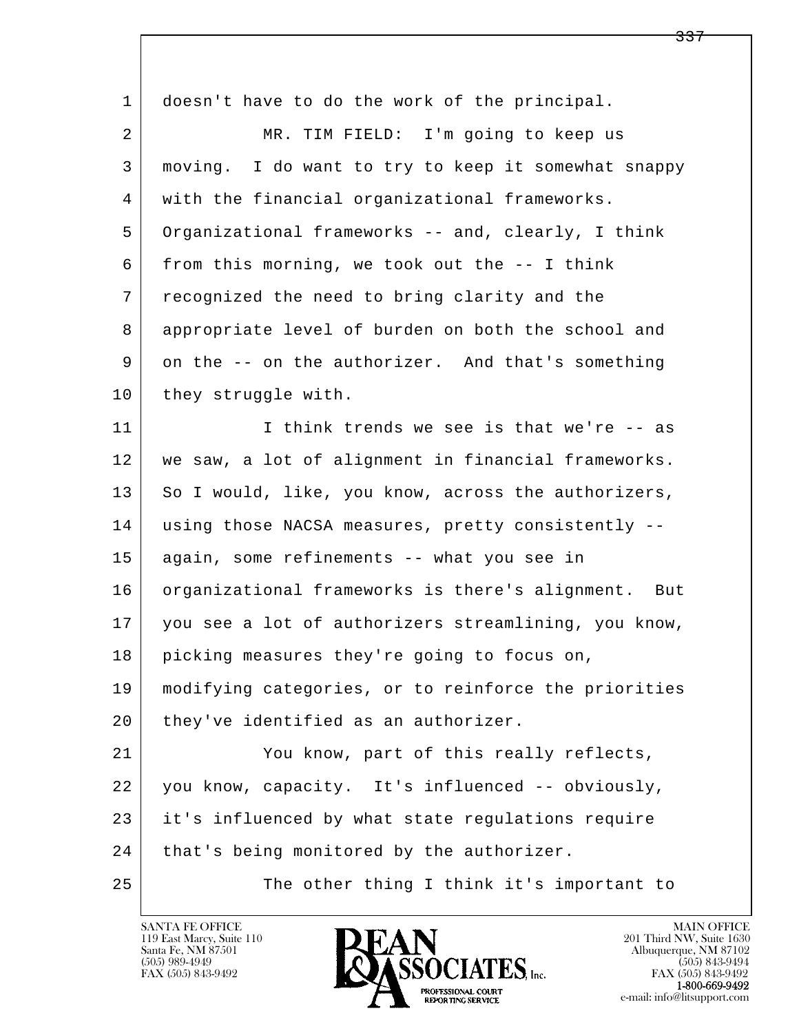| $\mathbf 1$ | doesn't have to do the work of the principal.        |
|-------------|------------------------------------------------------|
| 2           | MR. TIM FIELD: I'm going to keep us                  |
| 3           | moving. I do want to try to keep it somewhat snappy  |
| 4           | with the financial organizational frameworks.        |
| 5           | Organizational frameworks -- and, clearly, I think   |
| 6           | from this morning, we took out the -- I think        |
| 7           | recognized the need to bring clarity and the         |
| 8           | appropriate level of burden on both the school and   |
| 9           | on the -- on the authorizer. And that's something    |
| 10          | they struggle with.                                  |
| 11          | I think trends we see is that we're -- as            |
| 12          | we saw, a lot of alignment in financial frameworks.  |
| 13          | So I would, like, you know, across the authorizers,  |
| 14          | using those NACSA measures, pretty consistently --   |
| 15          | again, some refinements -- what you see in           |
| 16          | organizational frameworks is there's alignment. But  |
| 17          | you see a lot of authorizers streamlining, you know, |
| 18          | picking measures they're going to focus on,          |
| 19          | modifying categories, or to reinforce the priorities |
| 20          | they've identified as an authorizer.                 |
| 21          | You know, part of this really reflects,              |
| 22          | you know, capacity. It's influenced -- obviously,    |
| 23          | it's influenced by what state regulations require    |
| 24          | that's being monitored by the authorizer.            |
| 25          | The other thing I think it's important to            |

![](_page_159_Picture_2.jpeg)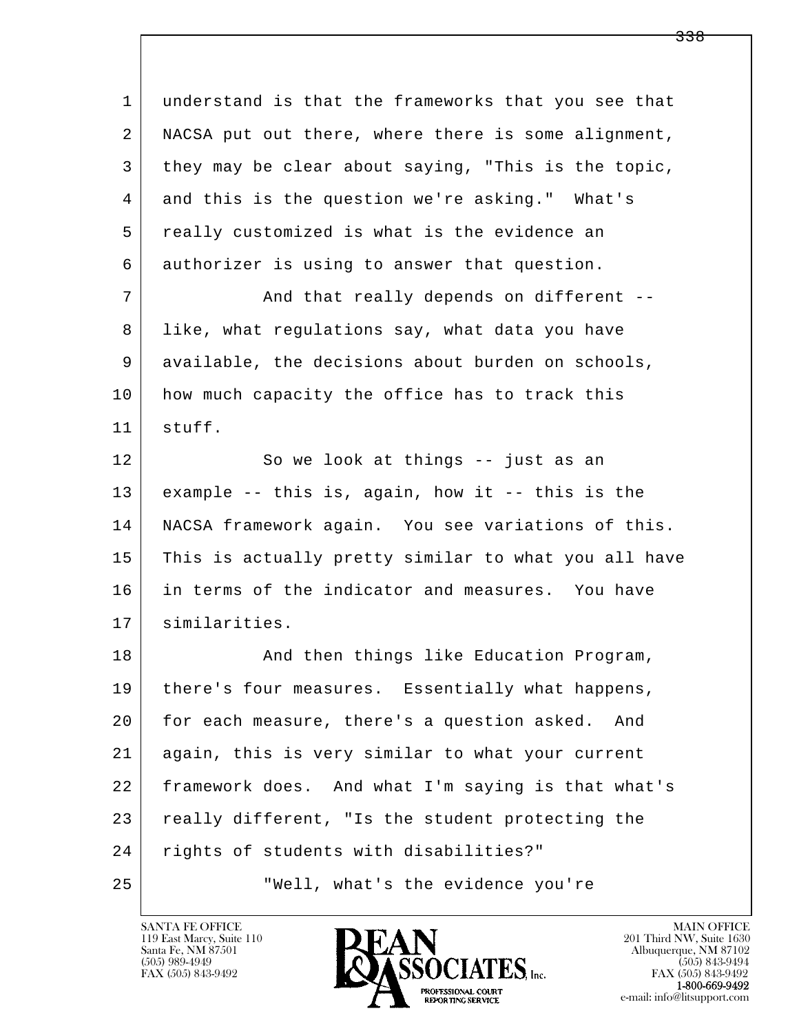| 1  | understand is that the frameworks that you see that  |
|----|------------------------------------------------------|
| 2  | NACSA put out there, where there is some alignment,  |
| 3  | they may be clear about saying, "This is the topic,  |
| 4  | and this is the question we're asking." What's       |
| 5  | really customized is what is the evidence an         |
| 6  | authorizer is using to answer that question.         |
| 7  | And that really depends on different --              |
| 8  | like, what regulations say, what data you have       |
| 9  | available, the decisions about burden on schools,    |
| 10 | how much capacity the office has to track this       |
| 11 | stuff.                                               |
| 12 | So we look at things -- just as an                   |
| 13 | example -- this is, again, how it -- this is the     |
| 14 | NACSA framework again. You see variations of this.   |
| 15 | This is actually pretty similar to what you all have |
| 16 | in terms of the indicator and measures. You have     |
| 17 | similarities.                                        |
| 18 | And then things like Education Program,              |
| 19 | there's four measures. Essentially what happens,     |
| 20 | for each measure, there's a question asked. And      |
| 21 | again, this is very similar to what your current     |
| 22 | framework does. And what I'm saying is that what's   |
| 23 | really different, "Is the student protecting the     |
| 24 | rights of students with disabilities?"               |
| 25 | "Well, what's the evidence you're                    |

![](_page_160_Picture_2.jpeg)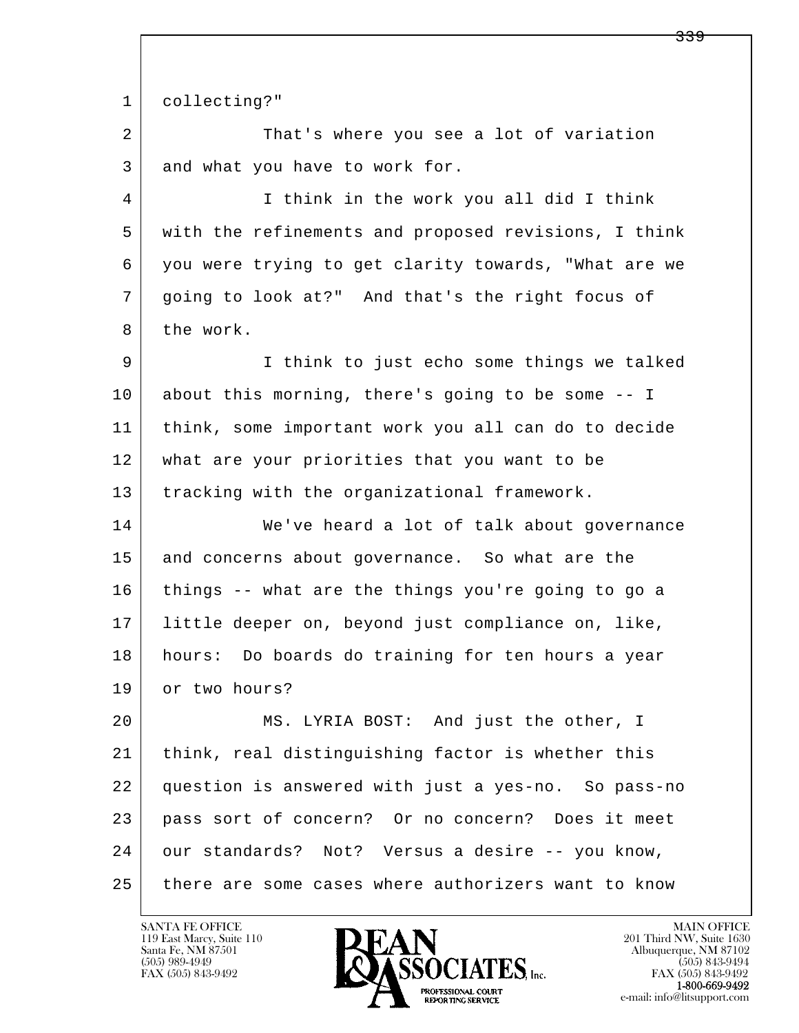l  $\overline{\phantom{a}}$  1 collecting?" 2 That's where you see a lot of variation 3 and what you have to work for. 4 I think in the work you all did I think 5 with the refinements and proposed revisions, I think 6 you were trying to get clarity towards, "What are we 7 going to look at?" And that's the right focus of 8 the work. 9 I think to just echo some things we talked 10 about this morning, there's going to be some -- I 11 think, some important work you all can do to decide 12 what are your priorities that you want to be 13 | tracking with the organizational framework. 14 We've heard a lot of talk about governance 15 and concerns about governance. So what are the 16 things -- what are the things you're going to go a 17 little deeper on, beyond just compliance on, like, 18 hours: Do boards do training for ten hours a year 19 or two hours? 20 MS. LYRIA BOST: And just the other, I 21 think, real distinguishing factor is whether this 22 question is answered with just a yes-no. So pass-no 23 pass sort of concern? Or no concern? Does it meet 24 our standards? Not? Versus a desire -- you know, 25 there are some cases where authorizers want to know

119 East Marcy, Suite 110<br>Santa Fe, NM 87501

![](_page_161_Picture_2.jpeg)

FAX (505) 843-9492<br>**1-800-669-9492** 

<del>339</del>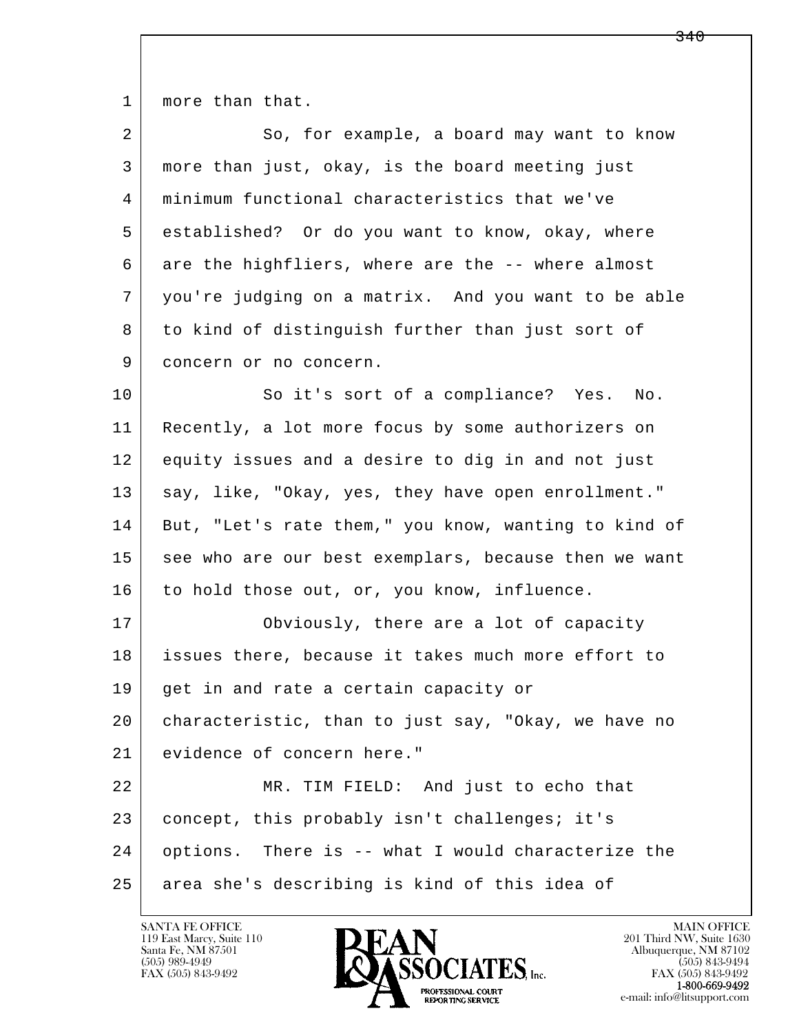1 | more than that.

| 2  | So, for example, a board may want to know            |
|----|------------------------------------------------------|
| 3  | more than just, okay, is the board meeting just      |
| 4  | minimum functional characteristics that we've        |
| 5  | established? Or do you want to know, okay, where     |
| 6  | are the highfliers, where are the -- where almost    |
| 7  | you're judging on a matrix. And you want to be able  |
| 8  | to kind of distinguish further than just sort of     |
| 9  | concern or no concern.                               |
| 10 | So it's sort of a compliance? Yes.<br>No.            |
| 11 | Recently, a lot more focus by some authorizers on    |
| 12 | equity issues and a desire to dig in and not just    |
| 13 | say, like, "Okay, yes, they have open enrollment."   |
| 14 | But, "Let's rate them," you know, wanting to kind of |
| 15 | see who are our best exemplars, because then we want |
| 16 | to hold those out, or, you know, influence.          |
| 17 | Obviously, there are a lot of capacity               |
| 18 | issues there, because it takes much more effort to   |
| 19 | get in and rate a certain capacity or                |
| 20 | characteristic, than to just say, "Okay, we have no  |
| 21 | evidence of concern here."                           |
| 22 | MR. TIM FIELD: And just to echo that                 |
| 23 | concept, this probably isn't challenges; it's        |
| 24 | options. There is -- what I would characterize the   |
| 25 | area she's describing is kind of this idea of        |

![](_page_162_Picture_3.jpeg)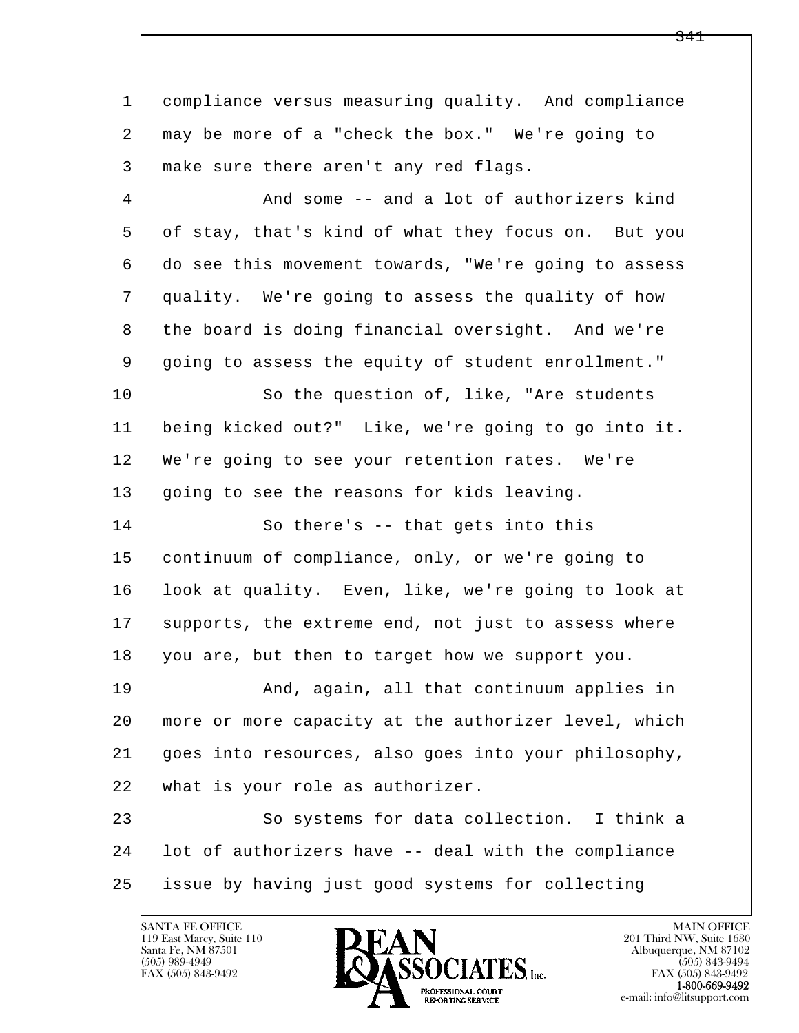l  $\overline{\phantom{a}}$  1 compliance versus measuring quality. And compliance 2 may be more of a "check the box." We're going to 3 make sure there aren't any red flags. 4 And some -- and a lot of authorizers kind 5 of stay, that's kind of what they focus on. But you 6 do see this movement towards, "We're going to assess 7 quality. We're going to assess the quality of how 8 the board is doing financial oversight. And we're 9 going to assess the equity of student enrollment." 10 | So the question of, like, "Are students 11 being kicked out?" Like, we're going to go into it. 12 We're going to see your retention rates. We're 13 | going to see the reasons for kids leaving. 14 So there's -- that gets into this 15 continuum of compliance, only, or we're going to 16 look at quality. Even, like, we're going to look at 17 supports, the extreme end, not just to assess where 18 you are, but then to target how we support you. 19 | The Rand, again, all that continuum applies in 20 more or more capacity at the authorizer level, which 21 goes into resources, also goes into your philosophy, 22 what is your role as authorizer. 23 So systems for data collection. I think a 24 lot of authorizers have -- deal with the compliance 25 issue by having just good systems for collecting

![](_page_163_Picture_2.jpeg)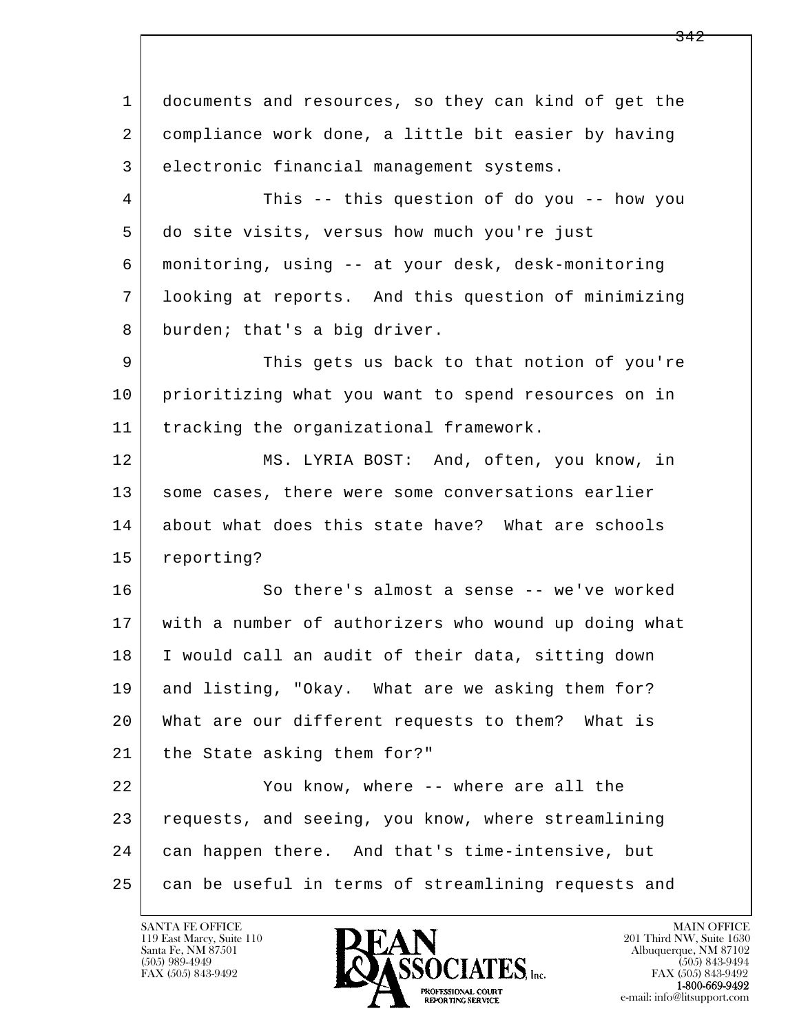l  $\overline{\phantom{a}}$  1 documents and resources, so they can kind of get the 2 compliance work done, a little bit easier by having 3 electronic financial management systems. 4 This -- this question of do you -- how you 5 do site visits, versus how much you're just 6 monitoring, using -- at your desk, desk-monitoring 7 looking at reports. And this question of minimizing 8 burden; that's a big driver. 9 This gets us back to that notion of you're 10 prioritizing what you want to spend resources on in 11 tracking the organizational framework. 12 MS. LYRIA BOST: And, often, you know, in 13 | some cases, there were some conversations earlier 14 about what does this state have? What are schools 15 reporting? 16 So there's almost a sense -- we've worked 17 with a number of authorizers who wound up doing what 18 I would call an audit of their data, sitting down 19 and listing, "Okay. What are we asking them for? 20 What are our different requests to them? What is 21 | the State asking them for?" 22 You know, where -- where are all the 23 requests, and seeing, you know, where streamlining 24 can happen there. And that's time-intensive, but 25 can be useful in terms of streamlining requests and

119 East Marcy, Suite 110<br>Santa Fe, NM 87501

![](_page_164_Picture_2.jpeg)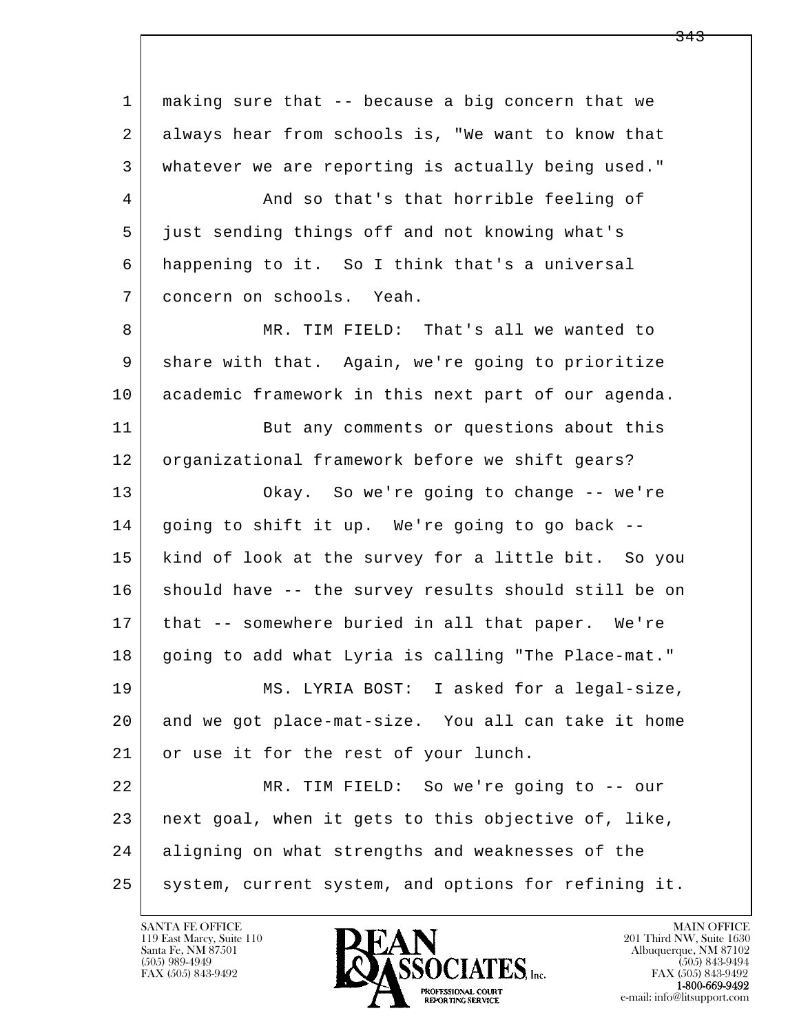l  $\overline{\phantom{a}}$  1 making sure that -- because a big concern that we 2 always hear from schools is, "We want to know that 3 whatever we are reporting is actually being used." 4 And so that's that horrible feeling of 5 just sending things off and not knowing what's 6 happening to it. So I think that's a universal 7 concern on schools. Yeah. 8 MR. TIM FIELD: That's all we wanted to 9 share with that. Again, we're going to prioritize 10 academic framework in this next part of our agenda. 11 But any comments or questions about this 12 organizational framework before we shift gears? 13 Okay. So we're going to change -- we're  $14$  going to shift it up. We're going to go back  $-$  15 kind of look at the survey for a little bit. So you 16 should have -- the survey results should still be on 17 that -- somewhere buried in all that paper. We're 18 going to add what Lyria is calling "The Place-mat." 19 MS. LYRIA BOST: I asked for a legal-size, 20 and we got place-mat-size. You all can take it home 21 or use it for the rest of your lunch. 22 MR. TIM FIELD: So we're going to -- our 23 next goal, when it gets to this objective of, like, 24 aligning on what strengths and weaknesses of the 25 | system, current system, and options for refining it.

119 East Marcy, Suite 110<br>Santa Fe, NM 87501

![](_page_165_Picture_2.jpeg)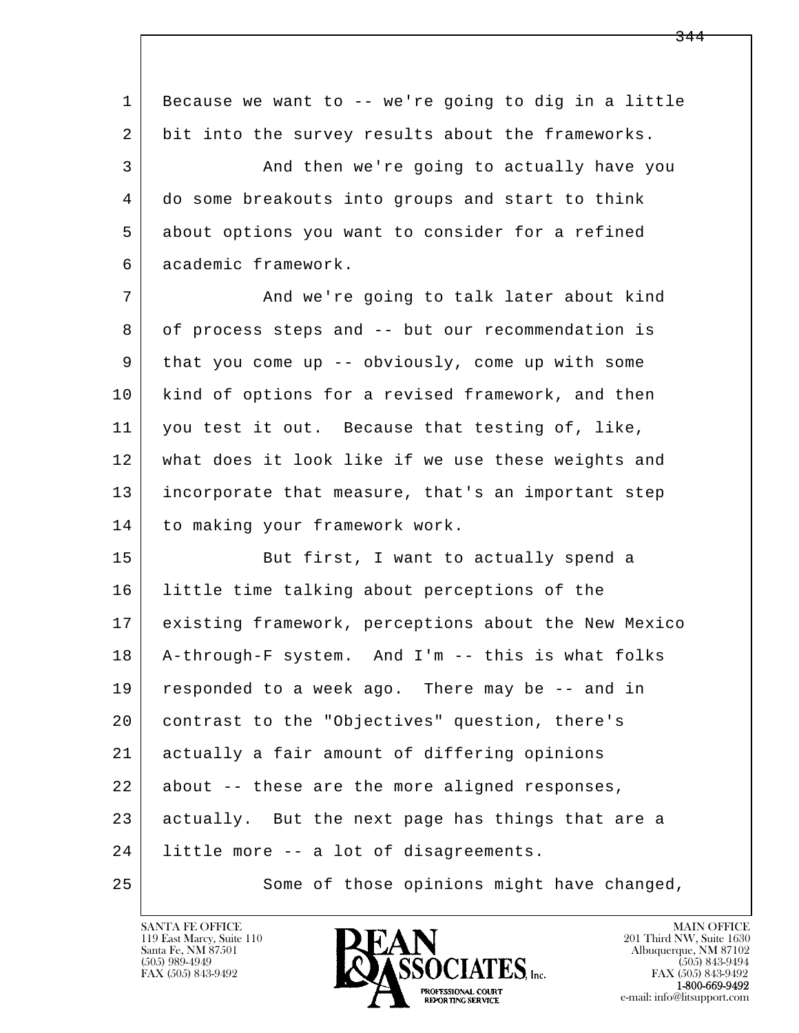l  $\overline{\phantom{a}}$  1 Because we want to -- we're going to dig in a little 2 bit into the survey results about the frameworks. 3 And then we're going to actually have you 4 do some breakouts into groups and start to think 5 about options you want to consider for a refined 6 academic framework. 7 And we're going to talk later about kind 8 of process steps and -- but our recommendation is 9 that you come up -- obviously, come up with some 10 kind of options for a revised framework, and then 11 you test it out. Because that testing of, like, 12 what does it look like if we use these weights and 13 incorporate that measure, that's an important step 14 to making your framework work. 15 | But first, I want to actually spend a 16 little time talking about perceptions of the 17 existing framework, perceptions about the New Mexico 18 A-through-F system. And I'm -- this is what folks 19 responded to a week ago. There may be -- and in 20 contrast to the "Objectives" question, there's 21 actually a fair amount of differing opinions 22 about -- these are the more aligned responses, 23 actually. But the next page has things that are a 24 little more -- a lot of disagreements. 25 Some of those opinions might have changed,

119 East Marcy, Suite 110<br>Santa Fe, NM 87501

![](_page_166_Picture_2.jpeg)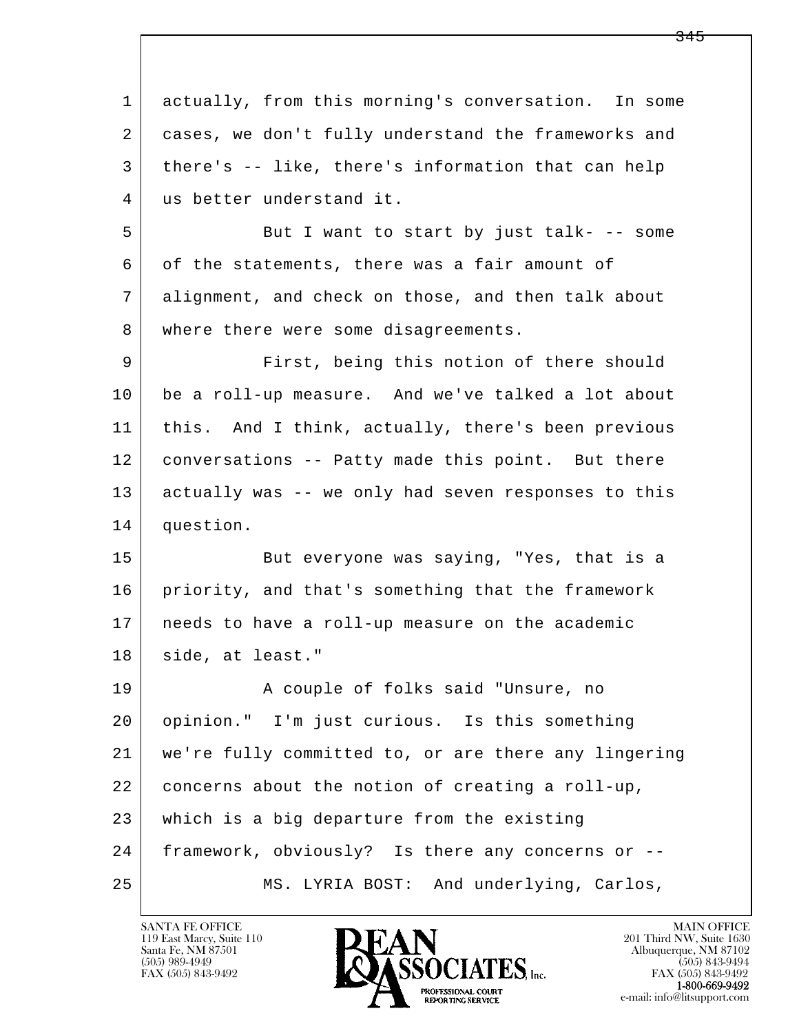| 1  | actually, from this morning's conversation. In some  |
|----|------------------------------------------------------|
| 2  | cases, we don't fully understand the frameworks and  |
| 3  | there's -- like, there's information that can help   |
| 4  | us better understand it.                             |
| 5  | But I want to start by just talk- -- some            |
| 6  | of the statements, there was a fair amount of        |
| 7  | alignment, and check on those, and then talk about   |
| 8  | where there were some disagreements.                 |
| 9  | First, being this notion of there should             |
| 10 | be a roll-up measure. And we've talked a lot about   |
| 11 | this. And I think, actually, there's been previous   |
| 12 | conversations -- Patty made this point. But there    |
| 13 | actually was -- we only had seven responses to this  |
| 14 | question.                                            |
| 15 | But everyone was saying, "Yes, that is a             |
| 16 | priority, and that's something that the framework    |
| 17 | needs to have a roll-up measure on the academic      |
| 18 | side, at least."                                     |
| 19 | A couple of folks said "Unsure, no                   |
| 20 | opinion." I'm just curious. Is this something        |
| 21 | we're fully committed to, or are there any lingering |
| 22 | concerns about the notion of creating a roll-up,     |
| 23 | which is a big departure from the existing           |
| 24 | framework, obviously? Is there any concerns or --    |
| 25 | And underlying, Carlos,<br>MS. LYRIA BOST:           |

![](_page_167_Picture_2.jpeg)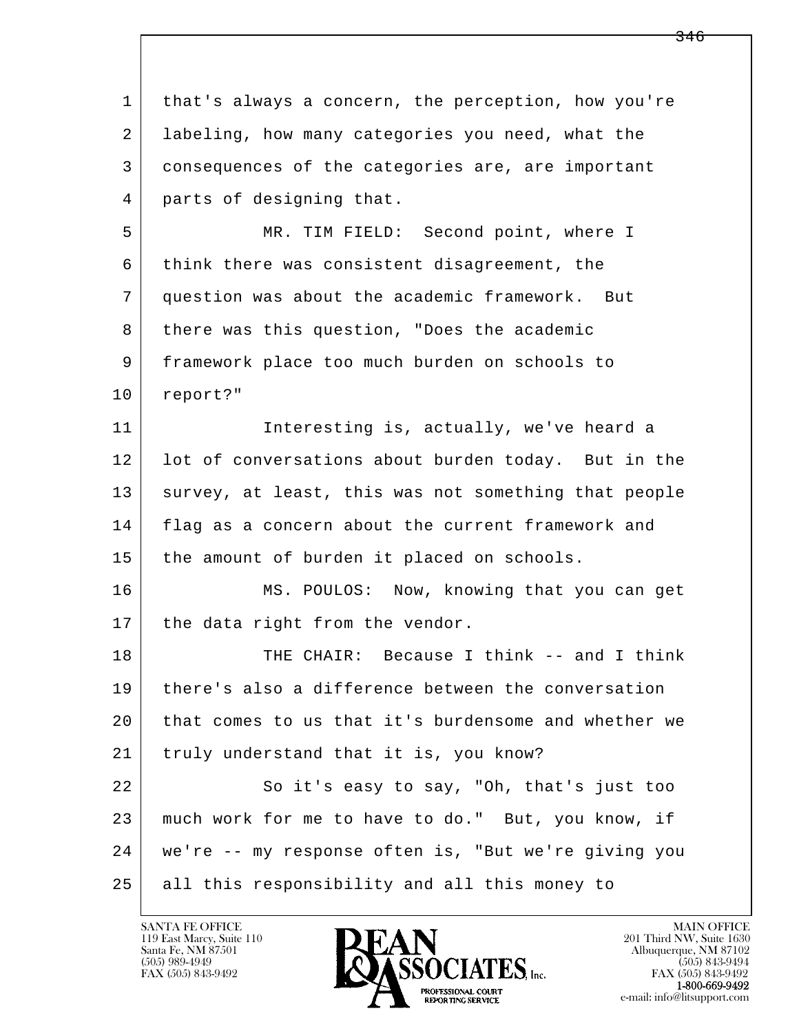| $\mathbf{1}$ | that's always a concern, the perception, how you're  |
|--------------|------------------------------------------------------|
| 2            | labeling, how many categories you need, what the     |
| 3            | consequences of the categories are, are important    |
| 4            | parts of designing that.                             |
| 5            | MR. TIM FIELD: Second point, where I                 |
| 6            | think there was consistent disagreement, the         |
| 7            | question was about the academic framework. But       |
| 8            | there was this question, "Does the academic          |
| 9            | framework place too much burden on schools to        |
| 10           | report?"                                             |
| 11           | Interesting is, actually, we've heard a              |
| 12           | lot of conversations about burden today. But in the  |
| 13           | survey, at least, this was not something that people |
| 14           | flag as a concern about the current framework and    |
| 15           | the amount of burden it placed on schools.           |
| 16           | MS. POULOS: Now, knowing that you can get            |
| 17           | the data right from the vendor.                      |
| 18           | THE CHAIR: Because I think -- and I think            |
| 19           | there's also a difference between the conversation   |
| 20           | that comes to us that it's burdensome and whether we |
| 21           | truly understand that it is, you know?               |
| 22           | So it's easy to say, "Oh, that's just too            |
| 23           | much work for me to have to do." But, you know, if   |
| 24           | we're -- my response often is, "But we're giving you |
| 25           | all this responsibility and all this money to        |

![](_page_168_Picture_2.jpeg)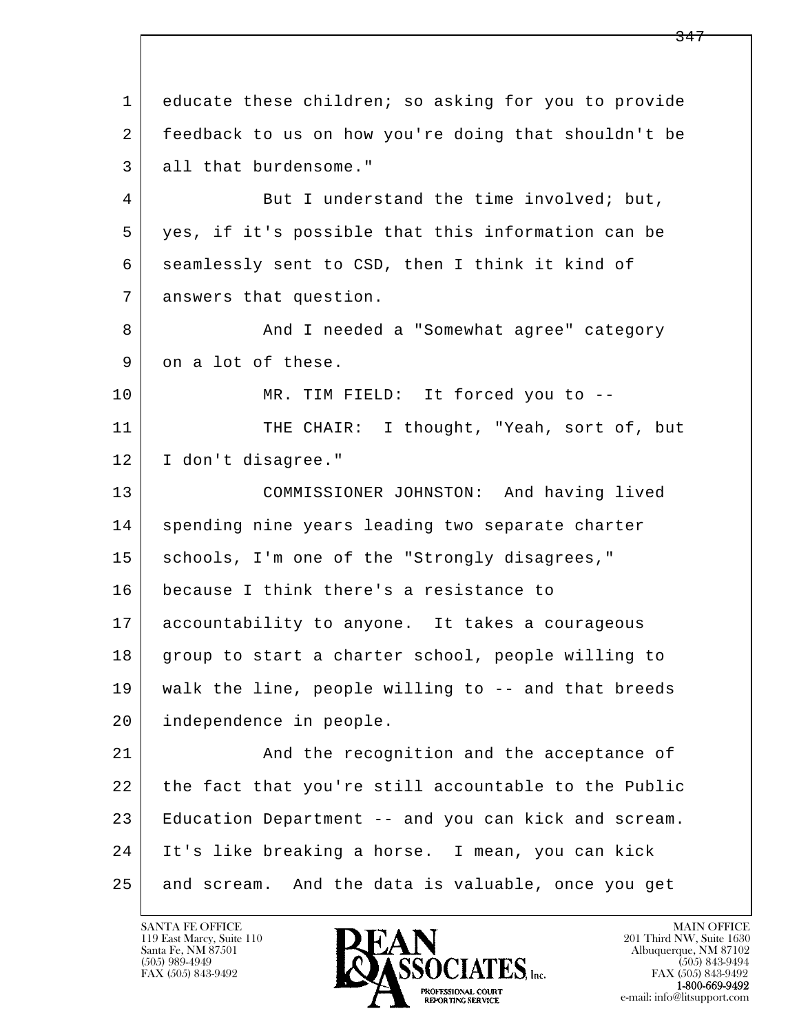l  $\overline{\phantom{a}}$  1 educate these children; so asking for you to provide 2 feedback to us on how you're doing that shouldn't be 3 all that burdensome." 4 But I understand the time involved; but, 5 yes, if it's possible that this information can be 6 seamlessly sent to CSD, then I think it kind of 7 answers that question. 8 And I needed a "Somewhat agree" category 9 on a lot of these. 10 MR. TIM FIELD: It forced you to --11 THE CHAIR: I thought, "Yeah, sort of, but 12 I don't disagree." 13 COMMISSIONER JOHNSTON: And having lived 14 spending nine years leading two separate charter 15 | schools, I'm one of the "Strongly disagrees," 16 because I think there's a resistance to 17 accountability to anyone. It takes a courageous 18 group to start a charter school, people willing to 19 walk the line, people willing to -- and that breeds 20 independence in people. 21 | And the recognition and the acceptance of 22 the fact that you're still accountable to the Public 23 Education Department -- and you can kick and scream. 24 It's like breaking a horse. I mean, you can kick 25 and scream. And the data is valuable, once you get

119 East Marcy, Suite 110<br>Santa Fe, NM 87501

![](_page_169_Picture_2.jpeg)

FAX (505) 843-9492<br>1-800-669-9492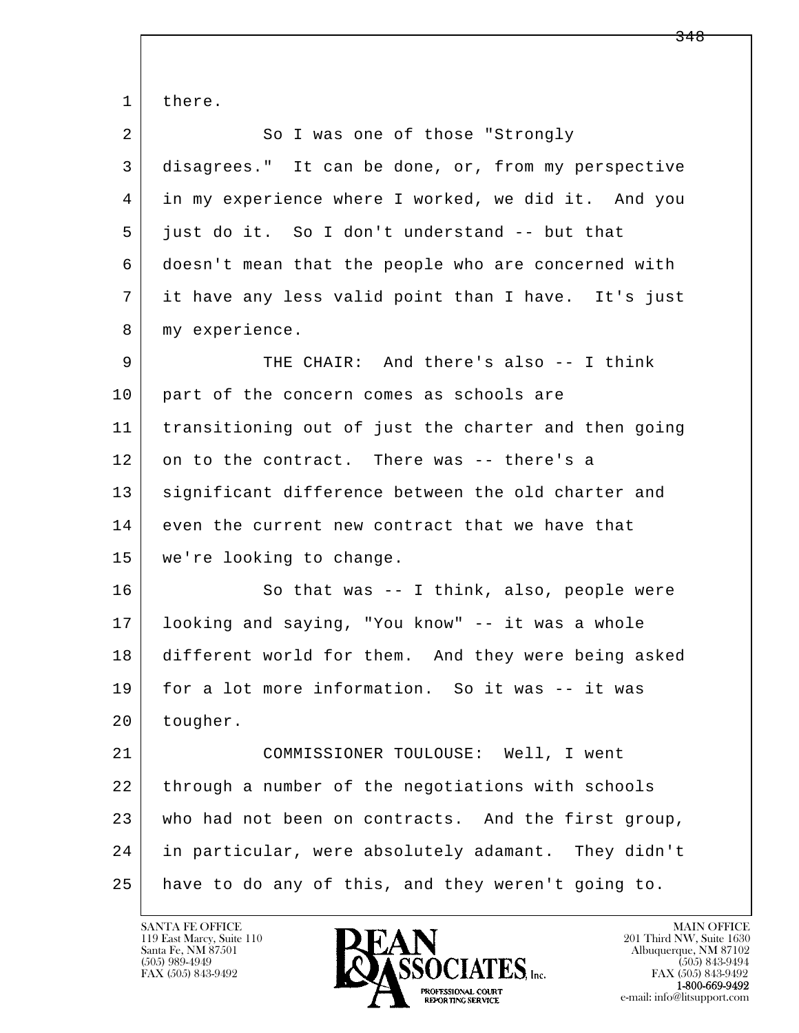l  $\overline{\phantom{a}}$ 1 there. 2 So I was one of those "Strongly 3 disagrees." It can be done, or, from my perspective 4 in my experience where I worked, we did it. And you 5 just do it. So I don't understand -- but that 6 doesn't mean that the people who are concerned with 7 it have any less valid point than I have. It's just 8 | my experience. 9 THE CHAIR: And there's also -- I think 10 part of the concern comes as schools are 11 transitioning out of just the charter and then going 12 on to the contract. There was -- there's a 13 significant difference between the old charter and 14 even the current new contract that we have that 15 we're looking to change. 16 So that was -- I think, also, people were 17 looking and saying, "You know" -- it was a whole 18 different world for them. And they were being asked 19 for a lot more information. So it was -- it was 20 tougher. 21 COMMISSIONER TOULOUSE: Well, I went 22 through a number of the negotiations with schools 23 who had not been on contracts. And the first group, 24 in particular, were absolutely adamant. They didn't 25 have to do any of this, and they weren't going to.

119 East Marcy, Suite 110<br>Santa Fe, NM 87501

![](_page_170_Picture_2.jpeg)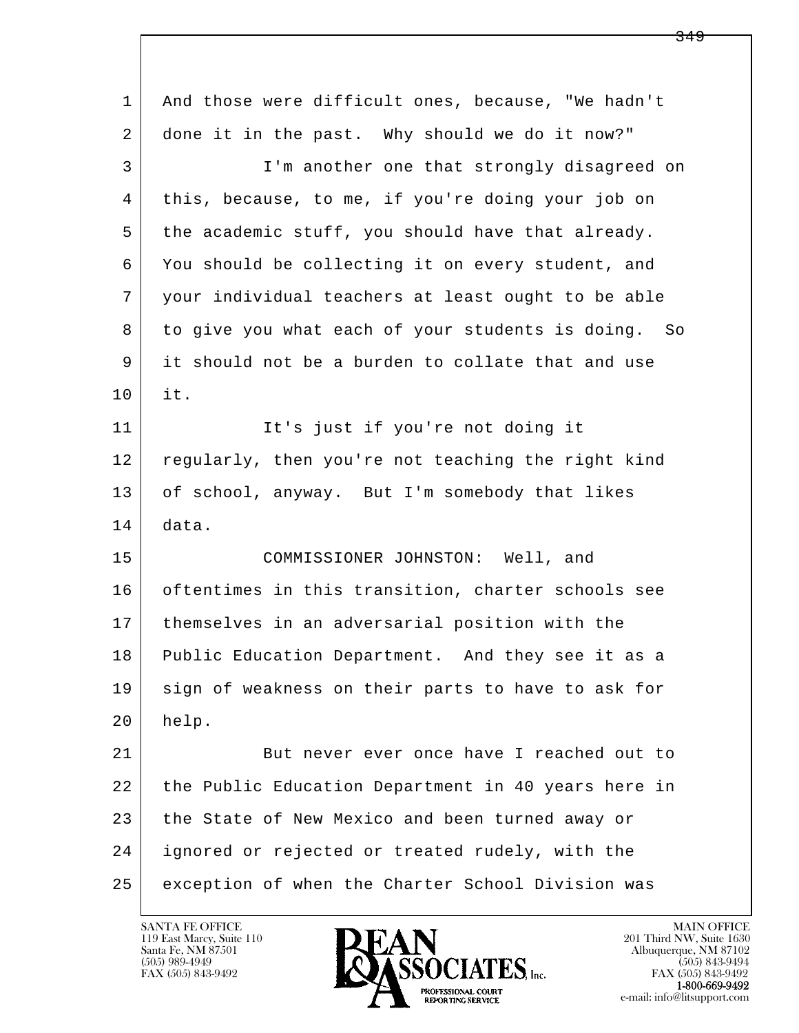| 1  | And those were difficult ones, because, "We hadn't  |
|----|-----------------------------------------------------|
| 2  | done it in the past. Why should we do it now?"      |
| 3  | I'm another one that strongly disagreed on          |
| 4  | this, because, to me, if you're doing your job on   |
| 5  | the academic stuff, you should have that already.   |
| 6  | You should be collecting it on every student, and   |
| 7  | your individual teachers at least ought to be able  |
| 8  | to give you what each of your students is doing. So |
| 9  | it should not be a burden to collate that and use   |
| 10 | it.                                                 |
| 11 | It's just if you're not doing it                    |
| 12 | regularly, then you're not teaching the right kind  |
| 13 | of school, anyway. But I'm somebody that likes      |
| 14 | data.                                               |
| 15 | COMMISSIONER JOHNSTON: Well, and                    |
| 16 | oftentimes in this transition, charter schools see  |
| 17 | themselves in an adversarial position with the      |
| 18 | Public Education Department. And they see it as a   |
| 19 | sign of weakness on their parts to have to ask for  |
| 20 | help.                                               |
| 21 | But never ever once have I reached out to           |
| 22 | the Public Education Department in 40 years here in |
| 23 | the State of New Mexico and been turned away or     |
| 24 | ignored or rejected or treated rudely, with the     |
| 25 | exception of when the Charter School Division was   |

![](_page_171_Picture_2.jpeg)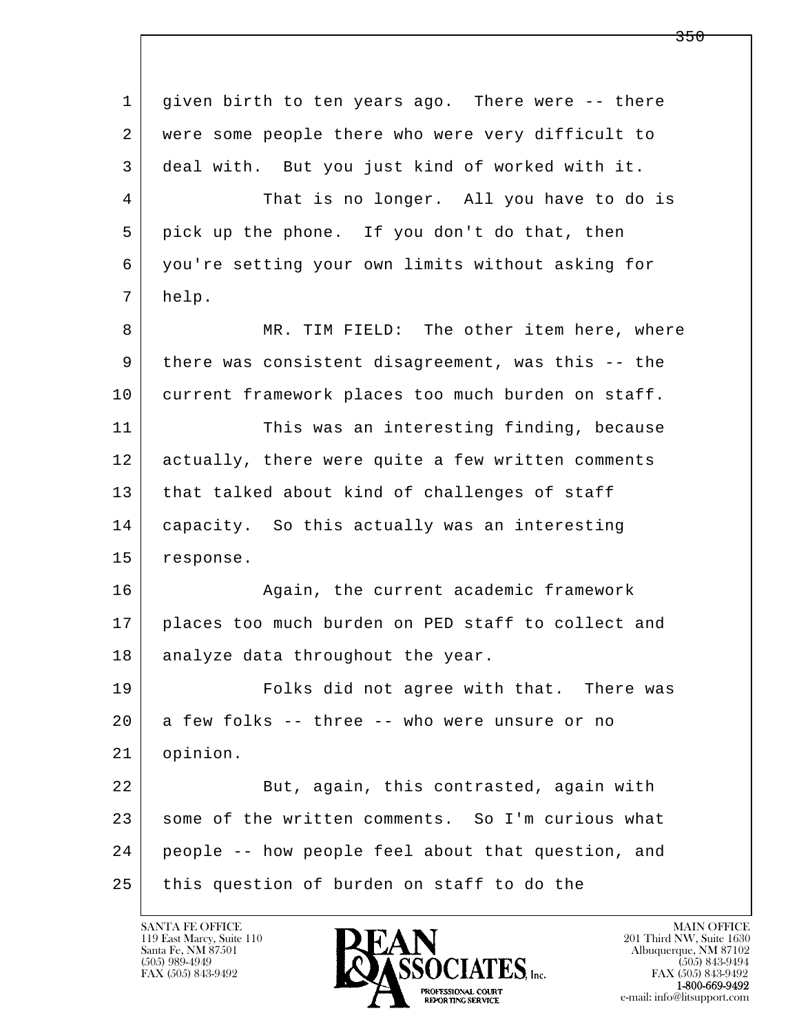l  $\overline{\phantom{a}}$  1 given birth to ten years ago. There were -- there 2 were some people there who were very difficult to 3 deal with. But you just kind of worked with it. 4 That is no longer. All you have to do is 5 pick up the phone. If you don't do that, then 6 you're setting your own limits without asking for 7 help. 8 MR. TIM FIELD: The other item here, where 9 there was consistent disagreement, was this -- the 10 current framework places too much burden on staff. 11 This was an interesting finding, because 12 actually, there were quite a few written comments 13 that talked about kind of challenges of staff 14 capacity. So this actually was an interesting 15 response. 16 Again, the current academic framework 17 places too much burden on PED staff to collect and 18 | analyze data throughout the year. 19 Folks did not agree with that. There was  $20$  a few folks -- three -- who were unsure or no 21 opinion. 22 But, again, this contrasted, again with 23 some of the written comments. So I'm curious what 24 people -- how people feel about that question, and 25 this question of burden on staff to do the

119 East Marcy, Suite 110<br>Santa Fe, NM 87501

![](_page_172_Picture_2.jpeg)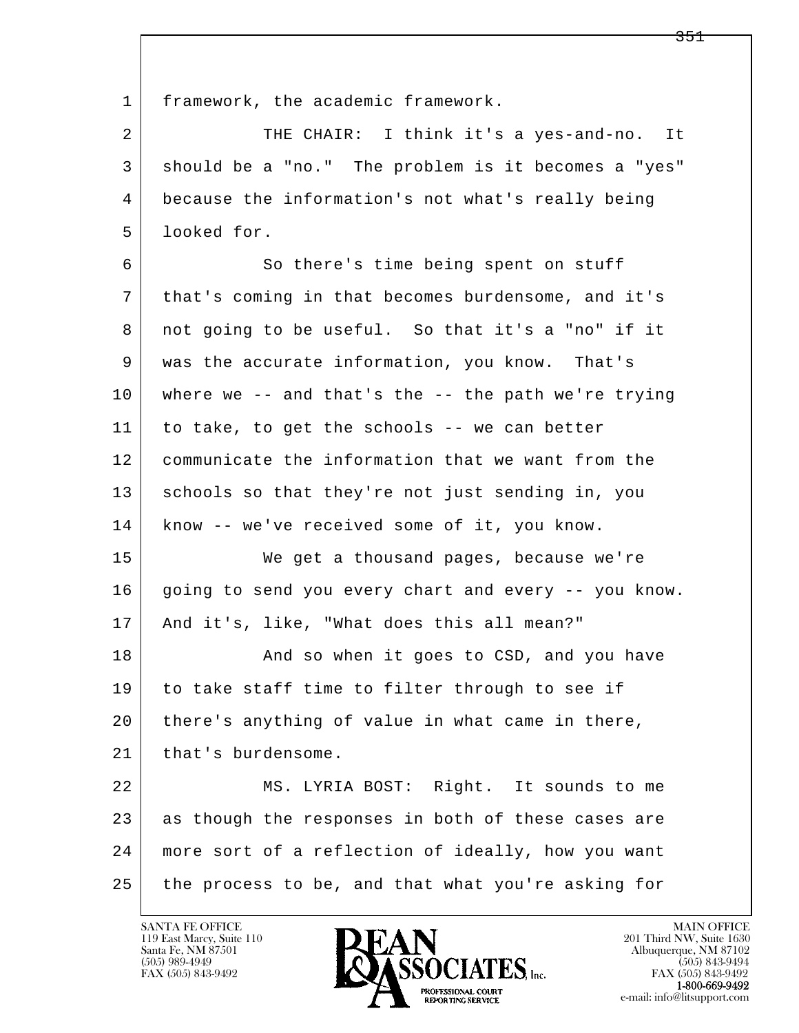1 | framework, the academic framework.

2 THE CHAIR: I think it's a yes-and-no. It 3 should be a "no." The problem is it becomes a "yes" 4 because the information's not what's really being 5 looked for.

6 So there's time being spent on stuff 7 that's coming in that becomes burdensome, and it's 8 not going to be useful. So that it's a "no" if it 9 was the accurate information, you know. That's  $10$  where we -- and that's the -- the path we're trying 11 to take, to get the schools -- we can better 12 communicate the information that we want from the 13 schools so that they're not just sending in, you 14 know -- we've received some of it, you know.

 15 We get a thousand pages, because we're 16 going to send you every chart and every -- you know. 17 | And it's, like, "What does this all mean?"

18 And so when it goes to CSD, and you have 19 to take staff time to filter through to see if 20 there's anything of value in what came in there, 21 | that's burdensome.

l  $\overline{\phantom{a}}$  22 MS. LYRIA BOST: Right. It sounds to me 23 as though the responses in both of these cases are 24 more sort of a reflection of ideally, how you want 25 the process to be, and that what you're asking for

119 East Marcy, Suite 110<br>Santa Fe, NM 87501

![](_page_173_Picture_7.jpeg)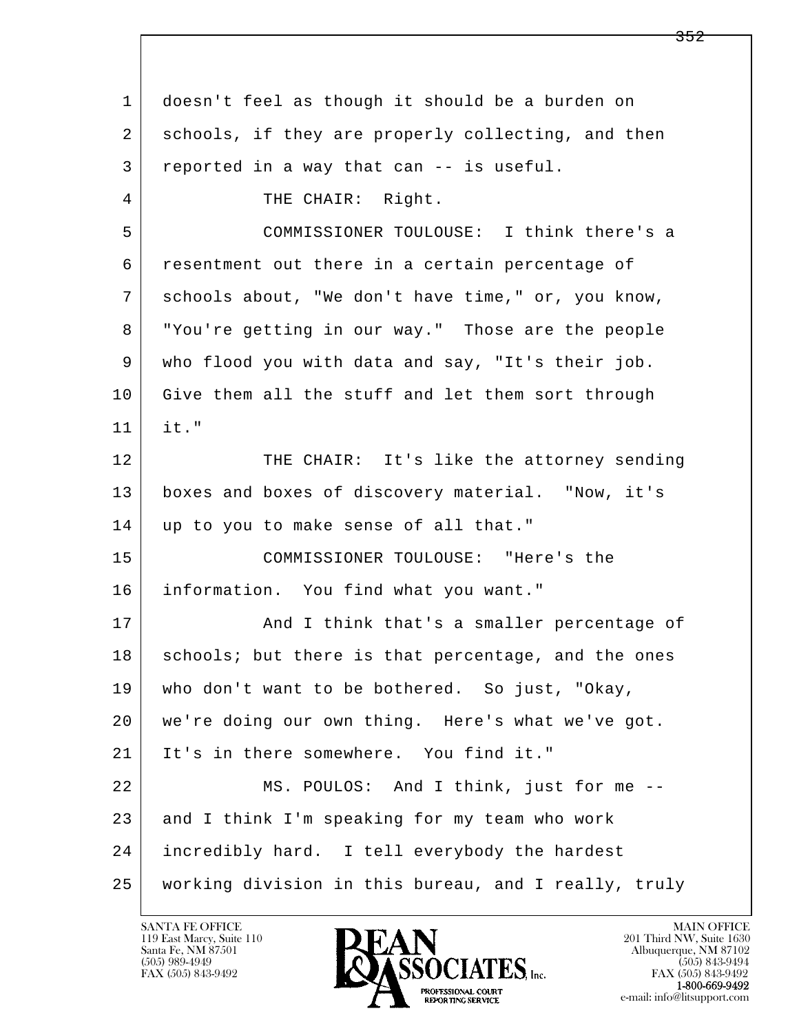| $\mathbf{1}$ | doesn't feel as though it should be a burden on      |
|--------------|------------------------------------------------------|
| 2            | schools, if they are properly collecting, and then   |
| 3            | reported in a way that can -- is useful.             |
| 4            | THE CHAIR: Right.                                    |
| 5            | COMMISSIONER TOULOUSE: I think there's a             |
| 6            | resentment out there in a certain percentage of      |
| 7            | schools about, "We don't have time," or, you know,   |
| 8            | "You're getting in our way." Those are the people    |
| 9            | who flood you with data and say, "It's their job.    |
| 10           | Give them all the stuff and let them sort through    |
| 11           | it."                                                 |
| 12           | THE CHAIR: It's like the attorney sending            |
| 13           | boxes and boxes of discovery material. "Now, it's    |
| 14           | up to you to make sense of all that."                |
| 15           | COMMISSIONER TOULOUSE: "Here's the                   |
| 16           | information. You find what you want."                |
| 17           | And I think that's a smaller percentage of           |
| 18           | schools; but there is that percentage, and the ones  |
| 19           | who don't want to be bothered. So just, "Okay,       |
| 20           | we're doing our own thing. Here's what we've got.    |
| 21           | It's in there somewhere. You find it."               |
| 22           | MS. POULOS: And I think, just for me --              |
| 23           | and I think I'm speaking for my team who work        |
| 24           | incredibly hard. I tell everybody the hardest        |
| 25           | working division in this bureau, and I really, truly |

![](_page_174_Picture_2.jpeg)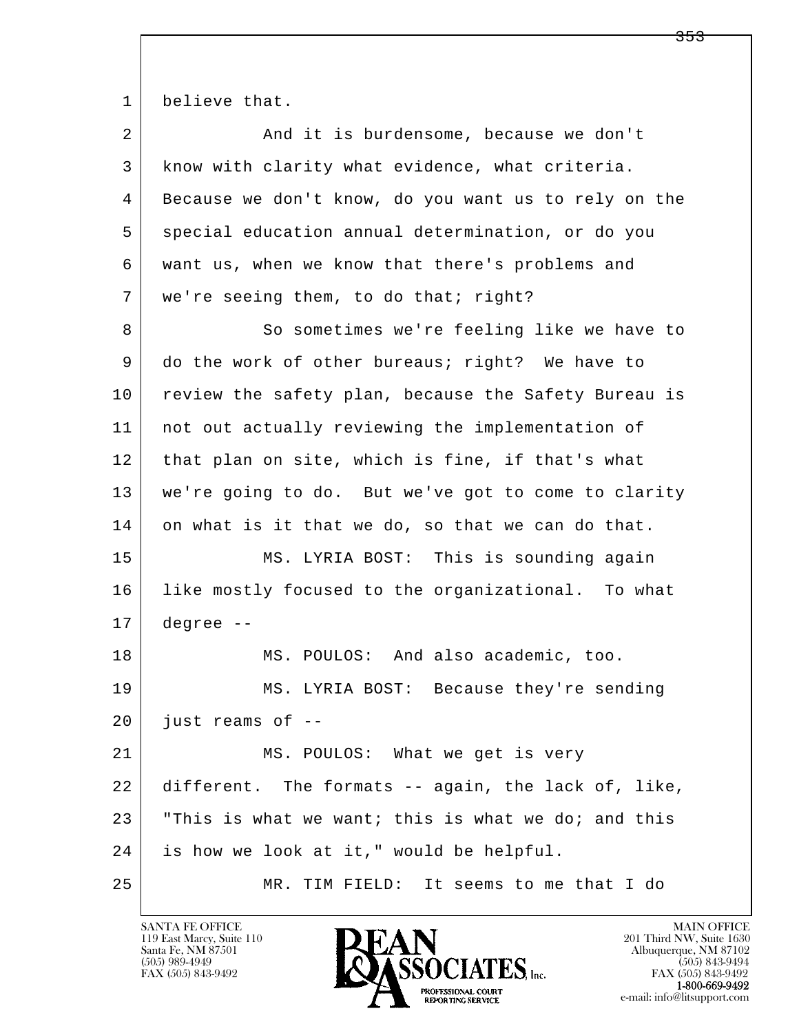1 believe that.

| $\overline{a}$ | And it is burdensome, because we don't               |
|----------------|------------------------------------------------------|
| 3              | know with clarity what evidence, what criteria.      |
| 4              | Because we don't know, do you want us to rely on the |
| 5              | special education annual determination, or do you    |
| 6              | want us, when we know that there's problems and      |
| 7              | we're seeing them, to do that; right?                |
| 8              | So sometimes we're feeling like we have to           |
| 9              | do the work of other bureaus; right? We have to      |
| 10             | review the safety plan, because the Safety Bureau is |
| 11             | not out actually reviewing the implementation of     |
| 12             | that plan on site, which is fine, if that's what     |
| 13             | we're going to do. But we've got to come to clarity  |
| 14             | on what is it that we do, so that we can do that.    |
| 15             | MS. LYRIA BOST: This is sounding again               |
| 16             | like mostly focused to the organizational. To what   |
| 17             | degree --                                            |
| 18             | MS. POULOS: And also academic, too.                  |
| 19             | MS. LYRIA BOST: Because they're sending              |
| 20             | just reams of --                                     |
| 21             | MS. POULOS: What we get is very                      |
| 22             | different. The formats -- again, the lack of, like,  |
| 23             | "This is what we want; this is what we do; and this  |
| 24             | is how we look at it," would be helpful.             |
| 25             | MR. TIM FIELD: It seems to me that I do              |

![](_page_175_Picture_3.jpeg)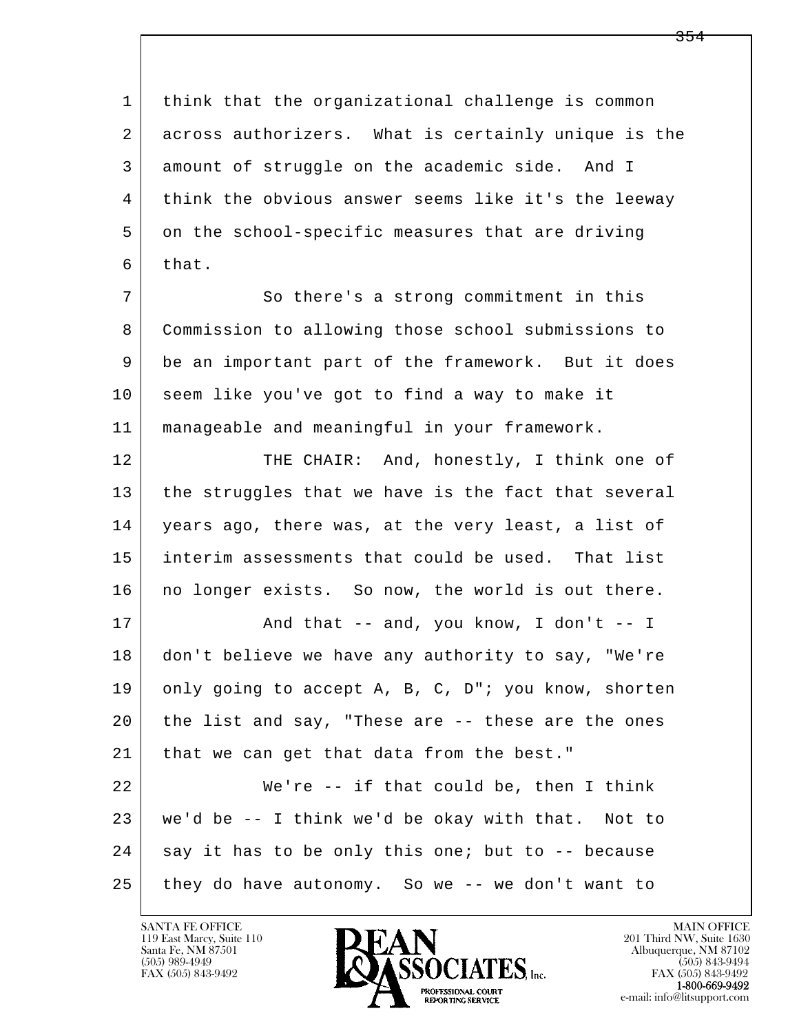l  $\overline{\phantom{a}}$  1 think that the organizational challenge is common 2 across authorizers. What is certainly unique is the 3 amount of struggle on the academic side. And I 4 think the obvious answer seems like it's the leeway 5 on the school-specific measures that are driving  $6$  that. 7 So there's a strong commitment in this 8 Commission to allowing those school submissions to 9 be an important part of the framework. But it does 10 seem like you've got to find a way to make it 11 manageable and meaningful in your framework. 12 THE CHAIR: And, honestly, I think one of 13 the struggles that we have is the fact that several 14 years ago, there was, at the very least, a list of 15 interim assessments that could be used. That list 16 no longer exists. So now, the world is out there.  $17$   $\vert$  and that -- and, you know, I don't -- I 18 don't believe we have any authority to say, "We're 19 only going to accept A, B, C, D"; you know, shorten 20 the list and say, "These are -- these are the ones 21 | that we can get that data from the best." 22 We're -- if that could be, then I think 23 we'd be -- I think we'd be okay with that. Not to  $24$  say it has to be only this one; but to  $-$  because 25 they do have autonomy. So we -- we don't want to

119 East Marcy, Suite 110<br>Santa Fe, NM 87501

![](_page_176_Picture_2.jpeg)

FAX (505) 843-9492<br>**1-800-669-9492**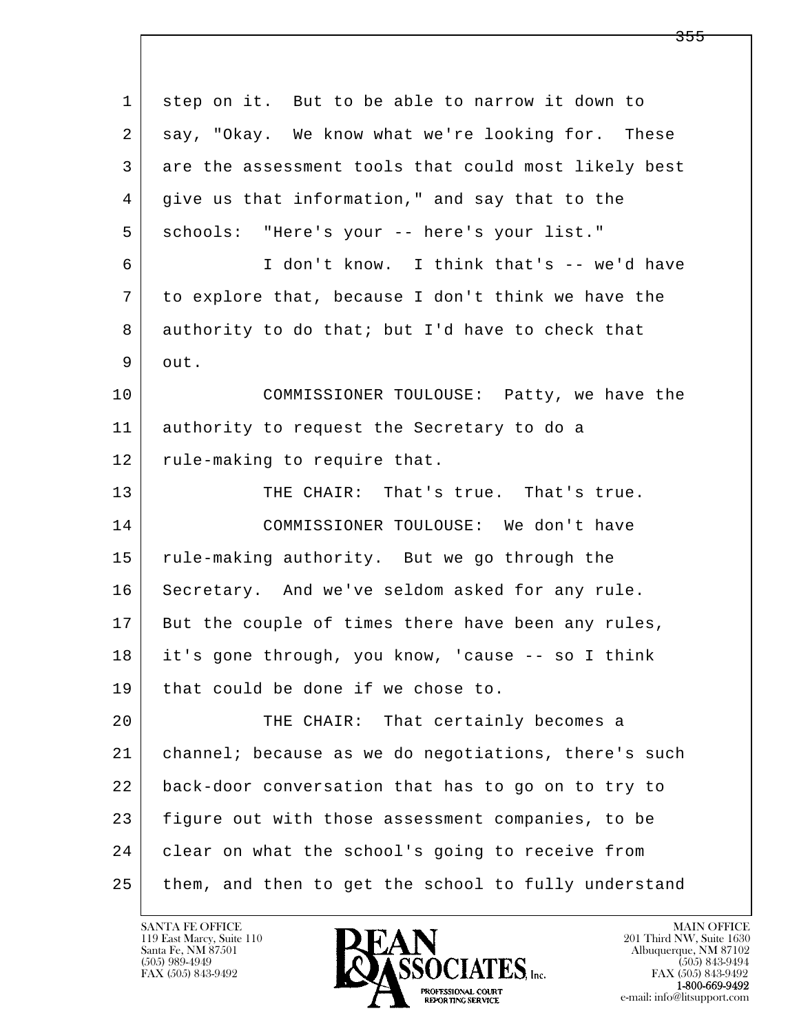| $\mathbf 1$ | step on it. But to be able to narrow it down to      |
|-------------|------------------------------------------------------|
| 2           | say, "Okay. We know what we're looking for. These    |
| 3           | are the assessment tools that could most likely best |
| 4           | give us that information," and say that to the       |
| 5           | schools: "Here's your -- here's your list."          |
| 6           | I don't know. I think that's -- we'd have            |
| 7           | to explore that, because I don't think we have the   |
| 8           | authority to do that; but I'd have to check that     |
| 9           | out.                                                 |
| 10          | COMMISSIONER TOULOUSE: Patty, we have the            |
| 11          | authority to request the Secretary to do a           |
| 12          | rule-making to require that.                         |
| 13          | THE CHAIR: That's true. That's true.                 |
| 14          | COMMISSIONER TOULOUSE: We don't have                 |
| 15          | rule-making authority. But we go through the         |
| 16          | Secretary. And we've seldom asked for any rule.      |
| 17          | But the couple of times there have been any rules,   |
| 18          | it's gone through, you know, 'cause -- so I think    |
| 19          | that could be done if we chose to.                   |
| 20          | THE CHAIR: That certainly becomes a                  |
| 21          | channel; because as we do negotiations, there's such |
| 22          | back-door conversation that has to go on to try to   |
| 23          | figure out with those assessment companies, to be    |
| 24          | clear on what the school's going to receive from     |
| 25          | them, and then to get the school to fully understand |

![](_page_177_Picture_2.jpeg)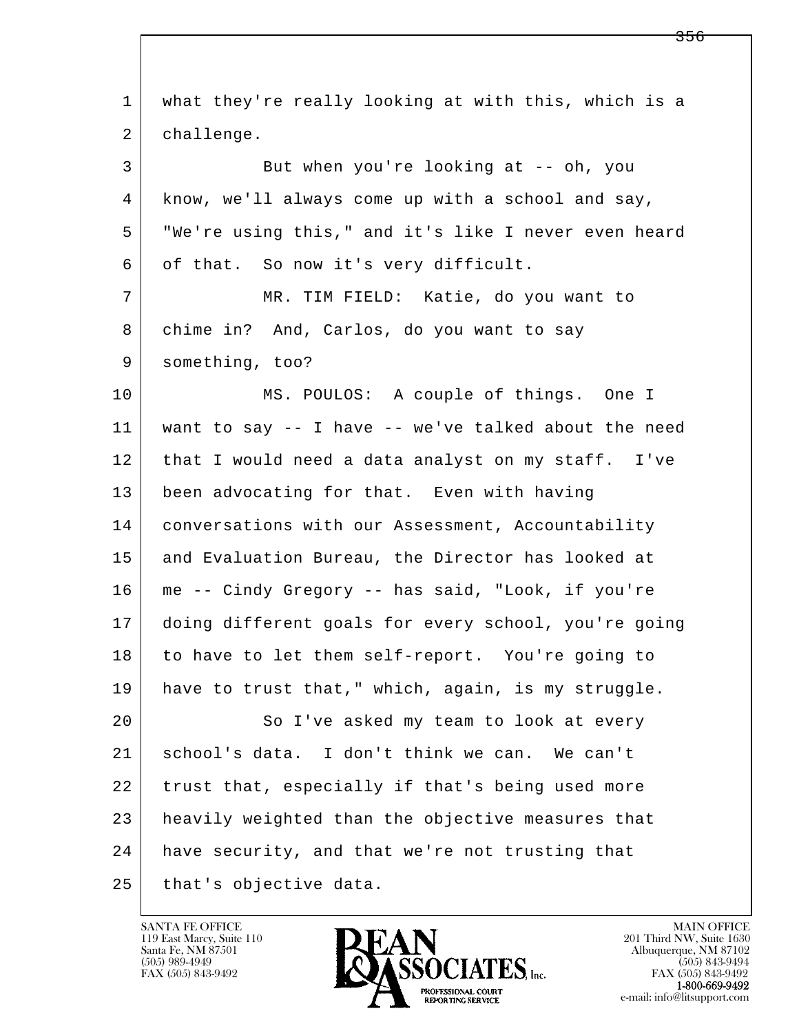| $\mathbf{1}$ | what they're really looking at with this, which is a |
|--------------|------------------------------------------------------|
| 2            | challenge.                                           |
| 3            | But when you're looking at -- oh, you                |
| 4            | know, we'll always come up with a school and say,    |
| 5            | "We're using this," and it's like I never even heard |
| 6            | of that. So now it's very difficult.                 |
| 7            | MR. TIM FIELD: Katie, do you want to                 |
| 8            | chime in? And, Carlos, do you want to say            |
| 9            | something, too?                                      |
| 10           | MS. POULOS: A couple of things. One I                |
| 11           | want to say -- I have -- we've talked about the need |
| 12           | that I would need a data analyst on my staff. I've   |
| 13           | been advocating for that. Even with having           |
| 14           | conversations with our Assessment, Accountability    |
| 15           | and Evaluation Bureau, the Director has looked at    |
| 16           | me -- Cindy Gregory -- has said, "Look, if you're    |
| 17           | doing different goals for every school, you're going |
| 18           | to have to let them self-report. You're going to     |
| 19           | have to trust that," which, again, is my struggle.   |
| 20           | So I've asked my team to look at every               |
| 21           | school's data. I don't think we can. We can't        |
| 22           | trust that, especially if that's being used more     |
| 23           | heavily weighted than the objective measures that    |
| 24           | have security, and that we're not trusting that      |
| 25           | that's objective data.                               |

![](_page_178_Picture_2.jpeg)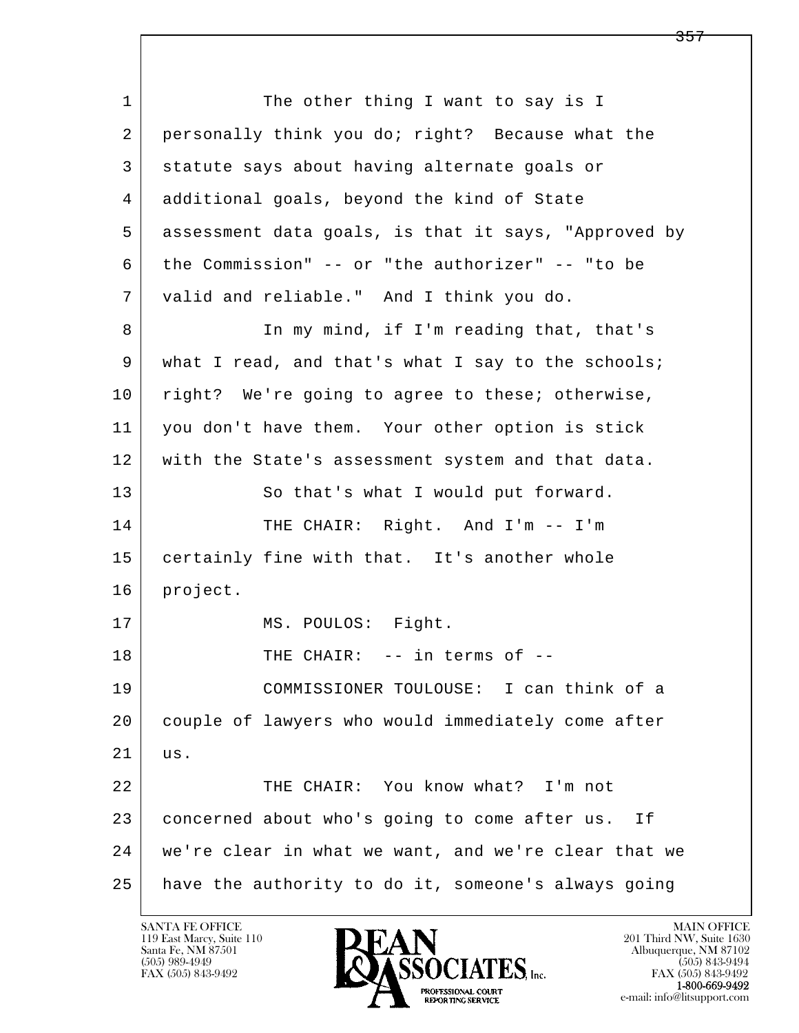l  $\overline{\phantom{a}}$ 1 The other thing I want to say is I 2 personally think you do; right? Because what the 3 statute says about having alternate goals or 4 additional goals, beyond the kind of State 5 assessment data goals, is that it says, "Approved by 6 the Commission" -- or "the authorizer" -- "to be 7 valid and reliable." And I think you do. 8 In my mind, if I'm reading that, that's 9 what I read, and that's what I say to the schools; 10 | right? We're going to agree to these; otherwise, 11 you don't have them. Your other option is stick 12 with the State's assessment system and that data. 13 So that's what I would put forward. 14 THE CHAIR: Right. And I'm -- I'm 15 certainly fine with that. It's another whole 16 | project. 17 | MS. POULOS: Fight. 18 THE CHAIR: -- in terms of -- 19 COMMISSIONER TOULOUSE: I can think of a 20 couple of lawyers who would immediately come after 21 us. 22 THE CHAIR: You know what? I'm not 23 concerned about who's going to come after us. If 24 we're clear in what we want, and we're clear that we 25 have the authority to do it, someone's always going

119 East Marcy, Suite 110<br>Santa Fe, NM 87501

![](_page_179_Picture_2.jpeg)

FAX (505) 843-9492<br>**1-800-669-9492**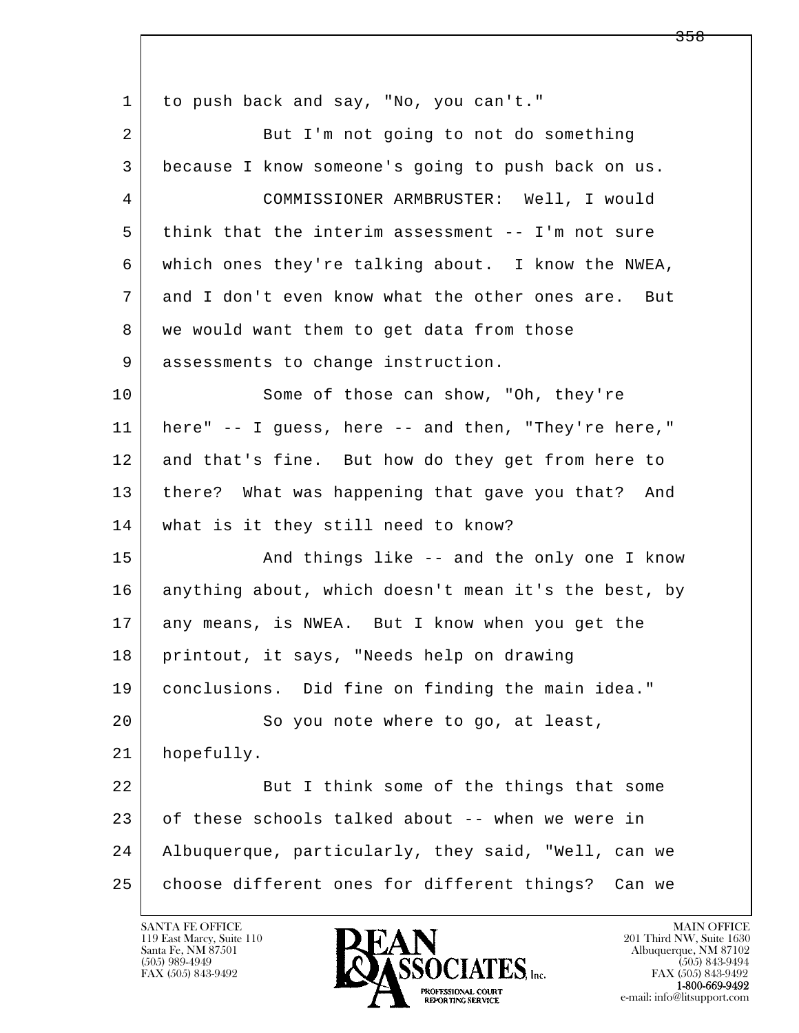l  $\overline{\phantom{a}}$  1 to push back and say, "No, you can't." 2 But I'm not going to not do something 3 because I know someone's going to push back on us. 4 COMMISSIONER ARMBRUSTER: Well, I would 5 think that the interim assessment -- I'm not sure 6 which ones they're talking about. I know the NWEA, 7 and I don't even know what the other ones are. But 8 | we would want them to get data from those 9 assessments to change instruction. 10 Some of those can show, "Oh, they're 11 here" -- I guess, here -- and then, "They're here," 12 and that's fine. But how do they get from here to 13 there? What was happening that gave you that? And 14 what is it they still need to know? 15 | The Sand things like -- and the only one I know 16 anything about, which doesn't mean it's the best, by 17 any means, is NWEA. But I know when you get the 18 printout, it says, "Needs help on drawing 19 conclusions. Did fine on finding the main idea." 20 So you note where to go, at least, 21 hopefully. 22 But I think some of the things that some 23 of these schools talked about -- when we were in 24 Albuquerque, particularly, they said, "Well, can we 25 choose different ones for different things? Can we

119 East Marcy, Suite 110<br>Santa Fe, NM 87501



<del>358</del>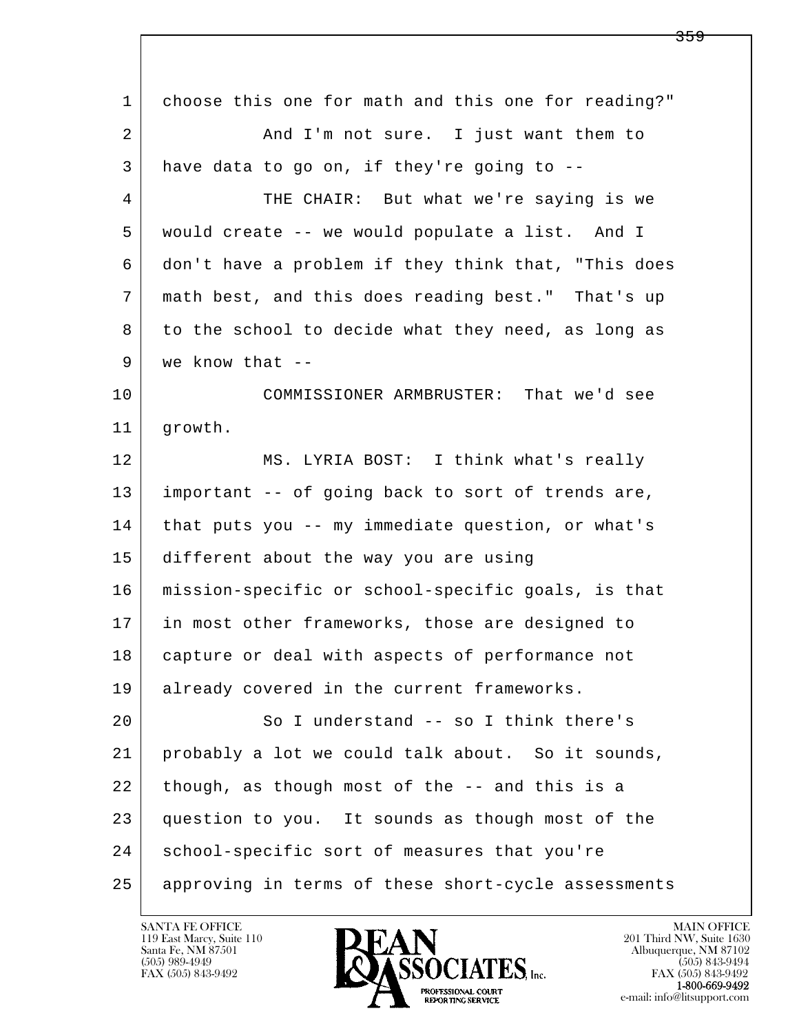| 1  | choose this one for math and this one for reading?" |
|----|-----------------------------------------------------|
| 2  | And I'm not sure. I just want them to               |
| 3  | have data to go on, if they're going to --          |
| 4  | THE CHAIR: But what we're saying is we              |
| 5  | would create -- we would populate a list. And I     |
| 6  | don't have a problem if they think that, "This does |
| 7  | math best, and this does reading best." That's up   |
| 8  | to the school to decide what they need, as long as  |
| 9  | we know that $-$ -                                  |
| 10 | COMMISSIONER ARMBRUSTER: That we'd see              |
| 11 | growth.                                             |
| 12 | MS. LYRIA BOST: I think what's really               |
| 13 | important -- of going back to sort of trends are,   |
| 14 | that puts you -- my immediate question, or what's   |
| 15 | different about the way you are using               |
| 16 | mission-specific or school-specific goals, is that  |
| 17 | in most other frameworks, those are designed to     |
| 18 | capture or deal with aspects of performance not     |
| 19 | already covered in the current frameworks.          |
| 20 | So I understand -- so I think there's               |
| 21 | probably a lot we could talk about. So it sounds,   |
| 22 | though, as though most of the -- and this is a      |
| 23 | question to you. It sounds as though most of the    |
| 24 | school-specific sort of measures that you're        |
| 25 | approving in terms of these short-cycle assessments |

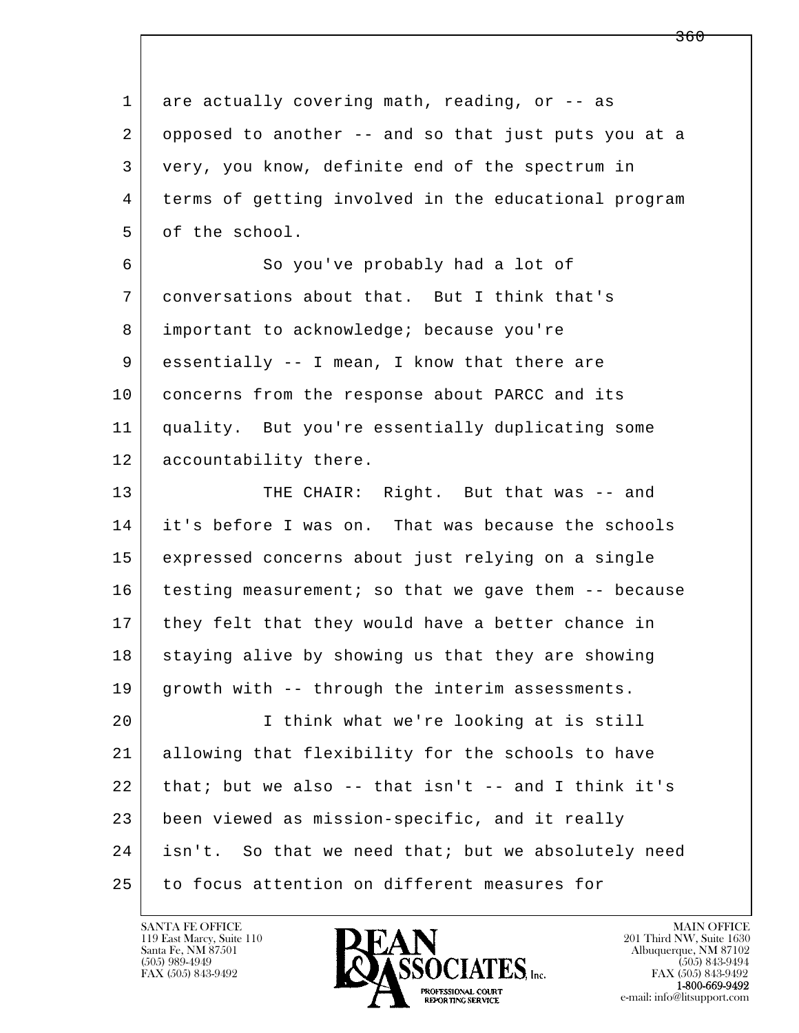l  $\overline{\phantom{a}}$ 1 are actually covering math, reading, or -- as 2 opposed to another -- and so that just puts you at a 3 very, you know, definite end of the spectrum in 4 terms of getting involved in the educational program 5 of the school. 6 | So you've probably had a lot of 7 conversations about that. But I think that's 8 important to acknowledge; because you're 9 essentially -- I mean, I know that there are 10 concerns from the response about PARCC and its 11 quality. But you're essentially duplicating some 12 | accountability there. 13 THE CHAIR: Right. But that was -- and 14 it's before I was on. That was because the schools 15 expressed concerns about just relying on a single 16 testing measurement; so that we gave them -- because 17 | they felt that they would have a better chance in 18 staying alive by showing us that they are showing 19 growth with -- through the interim assessments. 20 I think what we're looking at is still 21 allowing that flexibility for the schools to have  $22$  that; but we also -- that isn't -- and I think it's 23 been viewed as mission-specific, and it really 24 | isn't. So that we need that; but we absolutely need 25 to focus attention on different measures for

119 East Marcy, Suite 110<br>Santa Fe, NM 87501



FAX (505) 843-9492<br>1-800-669-9492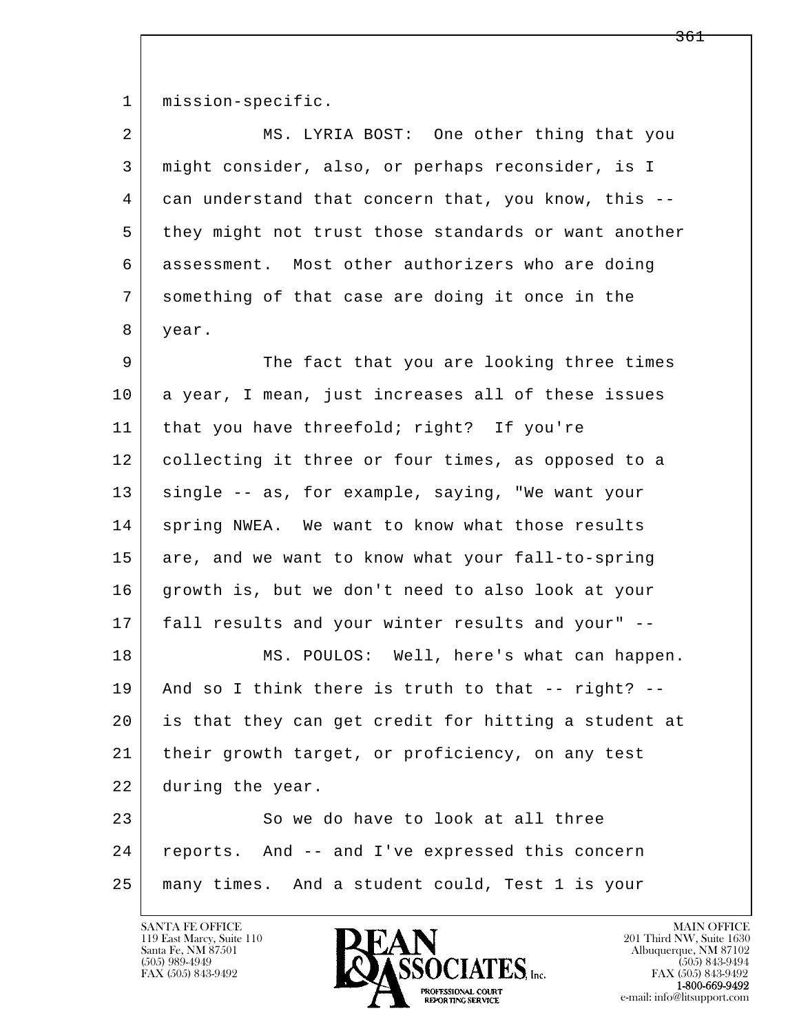1 | mission-specific.

| $\overline{2}$ | MS. LYRIA BOST: One other thing that you             |
|----------------|------------------------------------------------------|
| 3              | might consider, also, or perhaps reconsider, is I    |
| 4              | can understand that concern that, you know, this --  |
| 5              | they might not trust those standards or want another |
| 6              | assessment. Most other authorizers who are doing     |
| 7              | something of that case are doing it once in the      |
| 8              | year.                                                |
| 9              | The fact that you are looking three times            |
| 10             | a year, I mean, just increases all of these issues   |
| 11             | that you have threefold; right? If you're            |
| 12             | collecting it three or four times, as opposed to a   |
| 13             | single -- as, for example, saying, "We want your     |
| 14             | spring NWEA. We want to know what those results      |
| 15             | are, and we want to know what your fall-to-spring    |
| 16             | growth is, but we don't need to also look at your    |
| 17             | fall results and your winter results and your" --    |
| 18             | MS. POULOS: Well, here's what can happen.            |
| 19             | And so I think there is truth to that -- right? --   |
| 20             | is that they can get credit for hitting a student at |
| 21             | their growth target, or proficiency, on any test     |
| 22             | during the year.                                     |
| 23             | So we do have to look at all three                   |
| 24             | reports. And -- and I've expressed this concern      |
| 25             | many times. And a student could, Test 1 is your      |

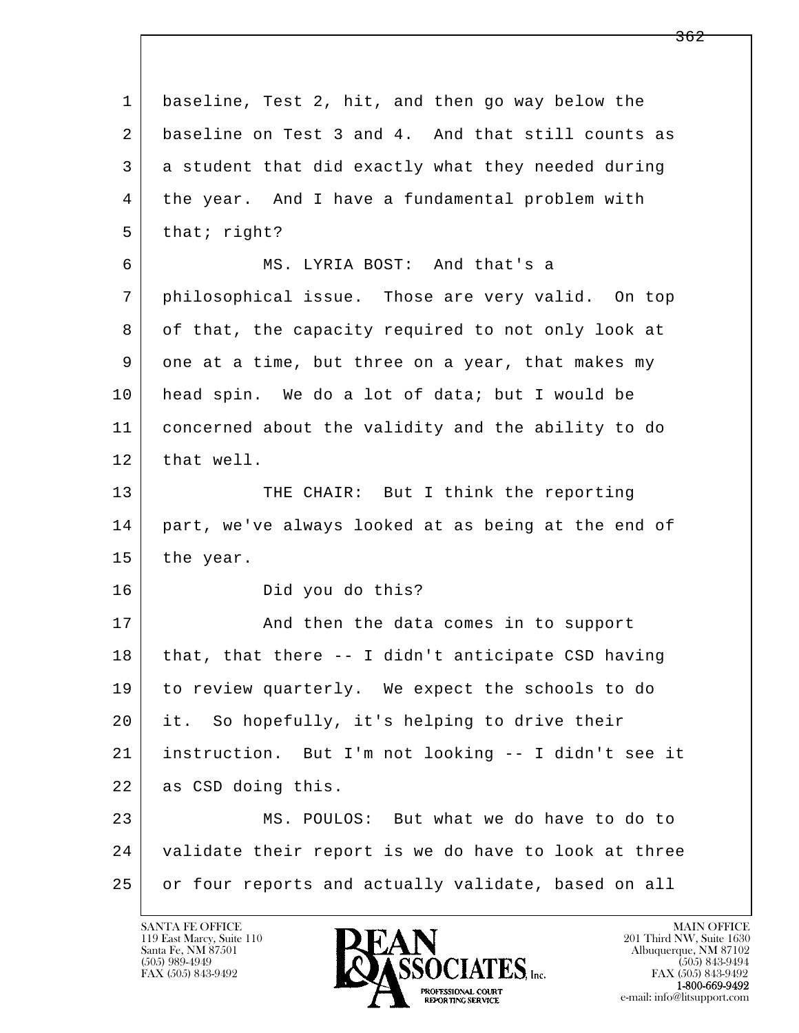| $\mathbf 1$ | baseline, Test 2, hit, and then go way below the     |
|-------------|------------------------------------------------------|
| 2           | baseline on Test 3 and 4. And that still counts as   |
| 3           | a student that did exactly what they needed during   |
| 4           | the year. And I have a fundamental problem with      |
| 5           | that; right?                                         |
| 6           | MS. LYRIA BOST: And that's a                         |
| 7           | philosophical issue. Those are very valid. On top    |
| 8           | of that, the capacity required to not only look at   |
| 9           | one at a time, but three on a year, that makes my    |
| 10          | head spin. We do a lot of data; but I would be       |
| 11          | concerned about the validity and the ability to do   |
| 12          | that well.                                           |
| 13          | THE CHAIR: But I think the reporting                 |
| 14          | part, we've always looked at as being at the end of  |
| 15          | the year.                                            |
| 16          | Did you do this?                                     |
| 17          | And then the data comes in to support                |
| 18          | that, that there -- I didn't anticipate CSD having   |
| 19          | to review quarterly. We expect the schools to do     |
| 20          | it. So hopefully, it's helping to drive their        |
| 21          | instruction. But I'm not looking -- I didn't see it  |
| 22          | as CSD doing this.                                   |
| 23          | MS. POULOS: But what we do have to do to             |
| 24          | validate their report is we do have to look at three |
| 25          | or four reports and actually validate, based on all  |

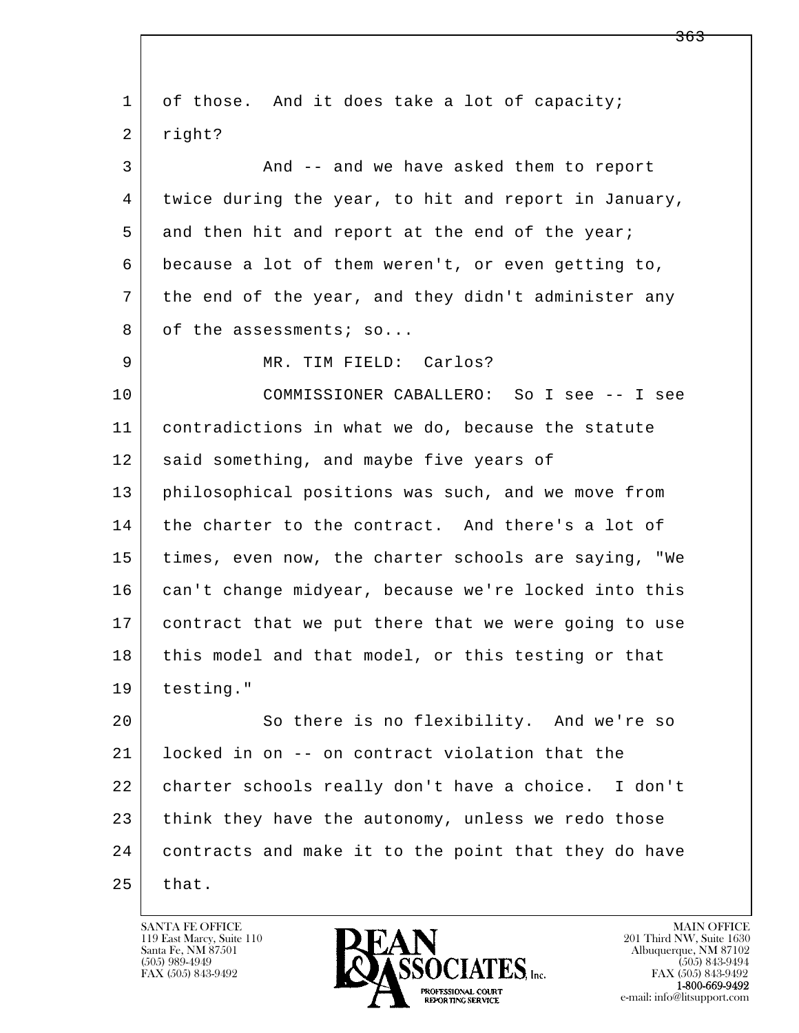l  $\overline{\phantom{a}}$ 1 of those. And it does take a lot of capacity; 2 right? 3 And -- and we have asked them to report 4 twice during the year, to hit and report in January, 5 and then hit and report at the end of the year; 6 because a lot of them weren't, or even getting to, 7 the end of the year, and they didn't administer any 8 of the assessments; so... 9 MR. TIM FIELD: Carlos? 10 COMMISSIONER CABALLERO: So I see -- I see 11 contradictions in what we do, because the statute 12 said something, and maybe five years of 13 philosophical positions was such, and we move from 14 the charter to the contract. And there's a lot of 15 times, even now, the charter schools are saying, "We 16 can't change midyear, because we're locked into this 17 contract that we put there that we were going to use 18 this model and that model, or this testing or that 19 testing." 20 So there is no flexibility. And we're so 21 locked in on -- on contract violation that the 22 charter schools really don't have a choice. I don't 23 think they have the autonomy, unless we redo those 24 contracts and make it to the point that they do have  $25$  that.

119 East Marcy, Suite 110<br>Santa Fe, NM 87501



<del>363</del>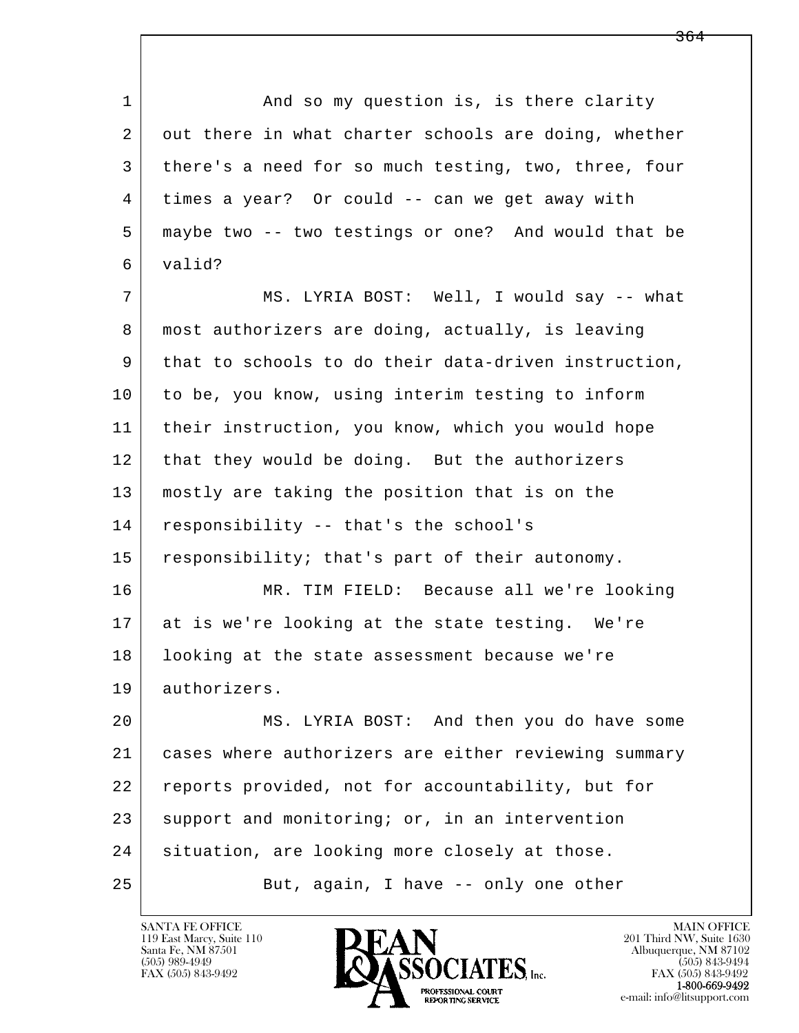l 1 and so my question is, is there clarity 2 out there in what charter schools are doing, whether 3 there's a need for so much testing, two, three, four 4 times a year? Or could -- can we get away with 5 maybe two -- two testings or one? And would that be 6 valid? 7 MS. LYRIA BOST: Well, I would say -- what 8 | most authorizers are doing, actually, is leaving 9 that to schools to do their data-driven instruction, 10 to be, you know, using interim testing to inform 11 their instruction, you know, which you would hope 12 that they would be doing. But the authorizers 13 mostly are taking the position that is on the 14 responsibility -- that's the school's 15 responsibility; that's part of their autonomy. 16 MR. TIM FIELD: Because all we're looking 17 at is we're looking at the state testing. We're 18 | looking at the state assessment because we're 19 authorizers. 20 MS. LYRIA BOST: And then you do have some 21 cases where authorizers are either reviewing summary 22 reports provided, not for accountability, but for 23 support and monitoring; or, in an intervention 24 | situation, are looking more closely at those.

25 But, again, I have -- only one other

119 East Marcy, Suite 110<br>Santa Fe, NM 87501

 $\overline{\phantom{a}}$ 



FAX (505) 843-9492<br>**1-800-669-9492**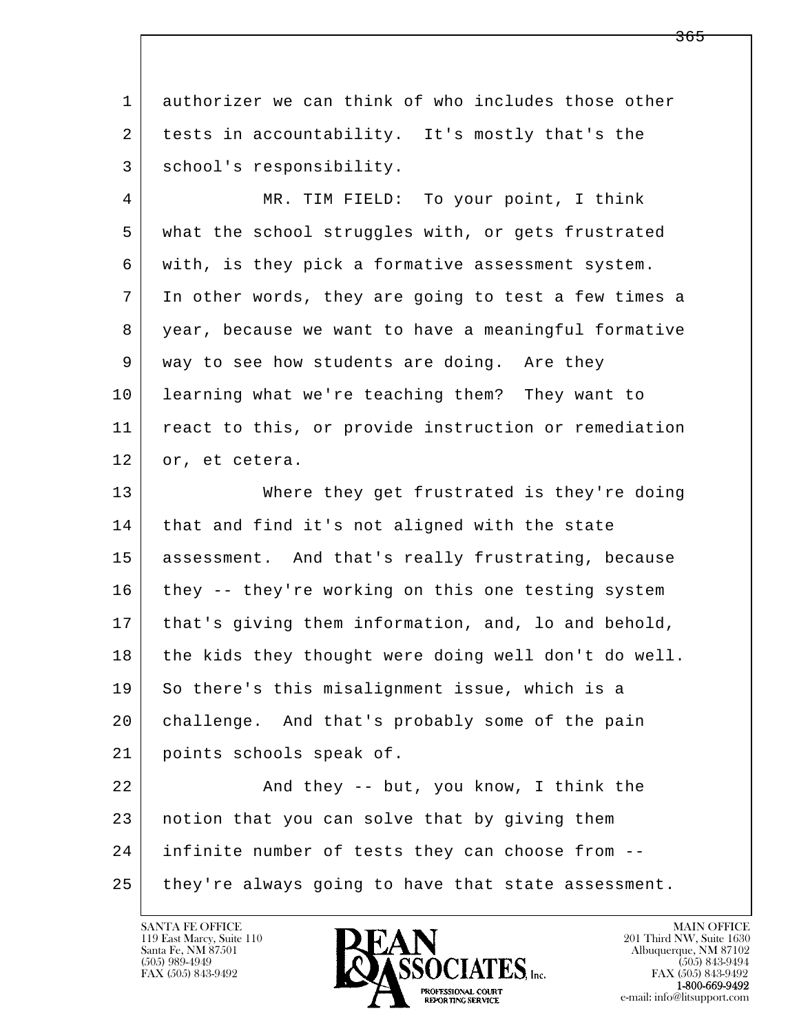1 authorizer we can think of who includes those other 2 tests in accountability. It's mostly that's the 3 school's responsibility.

 4 MR. TIM FIELD: To your point, I think 5 what the school struggles with, or gets frustrated 6 with, is they pick a formative assessment system. 7 In other words, they are going to test a few times a 8 year, because we want to have a meaningful formative 9 way to see how students are doing. Are they 10 learning what we're teaching them? They want to 11 react to this, or provide instruction or remediation 12 or, et cetera.

 13 Where they get frustrated is they're doing 14 that and find it's not aligned with the state 15 assessment. And that's really frustrating, because 16 they -- they're working on this one testing system 17 that's giving them information, and, lo and behold, 18 the kids they thought were doing well don't do well. 19 So there's this misalignment issue, which is a 20 challenge. And that's probably some of the pain 21 points schools speak of.

l  $\overline{\phantom{a}}$ 22 And they -- but, you know, I think the 23 notion that you can solve that by giving them 24 infinite number of tests they can choose from -- 25 they're always going to have that state assessment.

119 East Marcy, Suite 110<br>Santa Fe, NM 87501

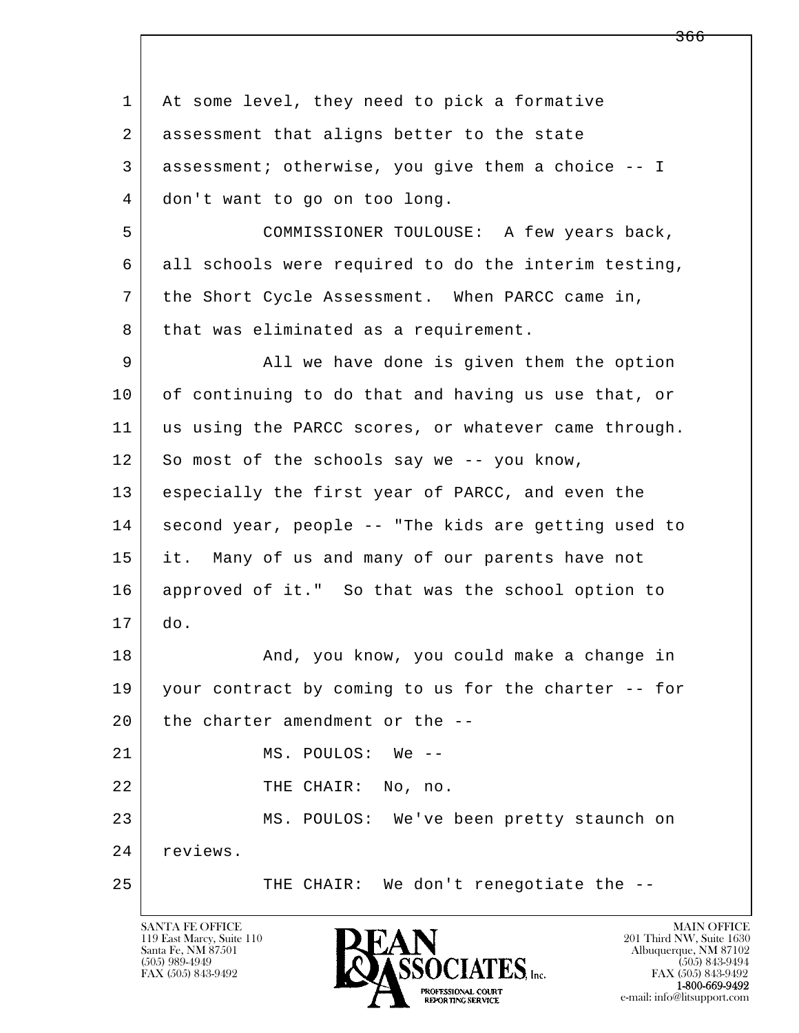l  $\overline{\phantom{a}}$ 1 At some level, they need to pick a formative 2 | assessment that aligns better to the state 3 assessment; otherwise, you give them a choice -- I 4 don't want to go on too long. 5 COMMISSIONER TOULOUSE: A few years back, 6 all schools were required to do the interim testing, 7 the Short Cycle Assessment. When PARCC came in, 8 that was eliminated as a requirement. 9 All we have done is given them the option 10 of continuing to do that and having us use that, or 11 us using the PARCC scores, or whatever came through. 12 So most of the schools say we -- you know, 13 especially the first year of PARCC, and even the 14 second year, people -- "The kids are getting used to 15 it. Many of us and many of our parents have not 16 approved of it." So that was the school option to 17 do. 18 | The Root Know, you could make a change in 19 your contract by coming to us for the charter -- for 20 the charter amendment or the --21 MS. POULOS: We --22 THE CHAIR: No, no. 23 MS. POULOS: We've been pretty staunch on 24 reviews. 25 THE CHAIR: We don't renegotiate the --

119 East Marcy, Suite 110<br>Santa Fe, NM 87501

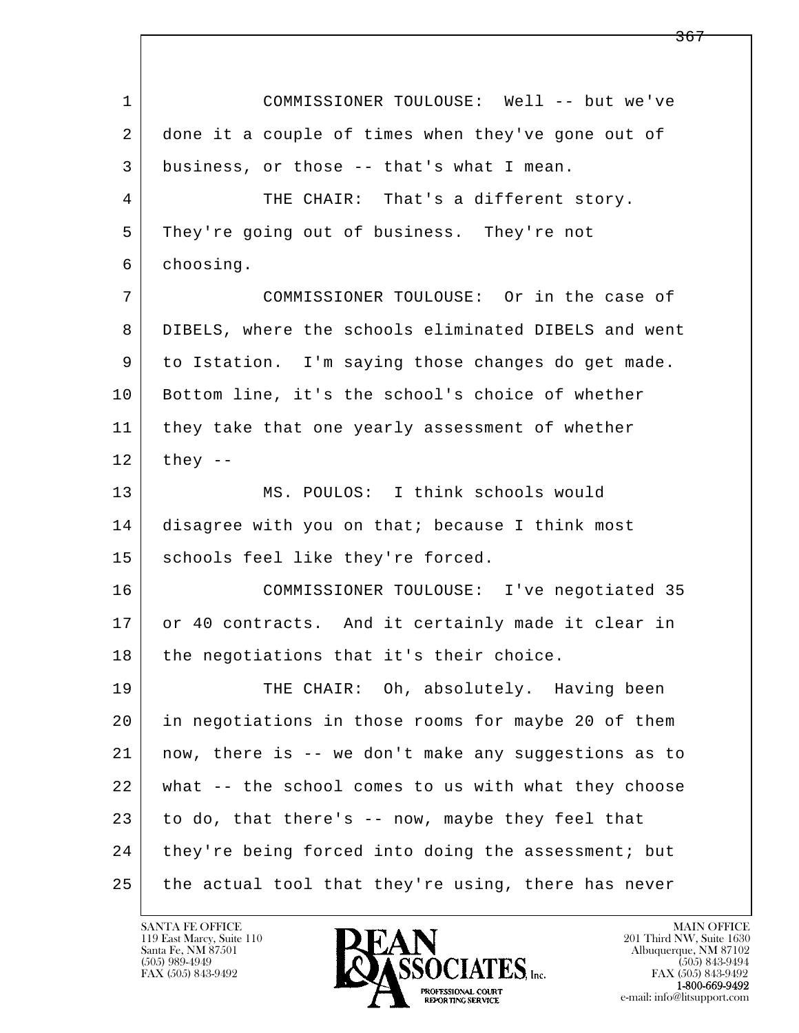l  $\overline{\phantom{a}}$  1 COMMISSIONER TOULOUSE: Well -- but we've 2 done it a couple of times when they've gone out of 3 business, or those -- that's what I mean. 4 THE CHAIR: That's a different story. 5 They're going out of business. They're not 6 choosing. 7 COMMISSIONER TOULOUSE: Or in the case of 8 DIBELS, where the schools eliminated DIBELS and went 9 to Istation. I'm saying those changes do get made. 10 | Bottom line, it's the school's choice of whether 11 | they take that one yearly assessment of whether  $12$  they  $-$  13 MS. POULOS: I think schools would 14 disagree with you on that; because I think most 15 | schools feel like they're forced. 16 COMMISSIONER TOULOUSE: I've negotiated 35 17 or 40 contracts. And it certainly made it clear in  $18$  the negotiations that it's their choice. 19 THE CHAIR: Oh, absolutely. Having been 20 in negotiations in those rooms for maybe 20 of them 21 now, there is -- we don't make any suggestions as to 22 what -- the school comes to us with what they choose  $23$  to do, that there's  $-$  now, maybe they feel that 24 they're being forced into doing the assessment; but 25 the actual tool that they're using, there has never

119 East Marcy, Suite 110<br>Santa Fe, NM 87501



FAX (505) 843-9492<br>**1-800-669-9492**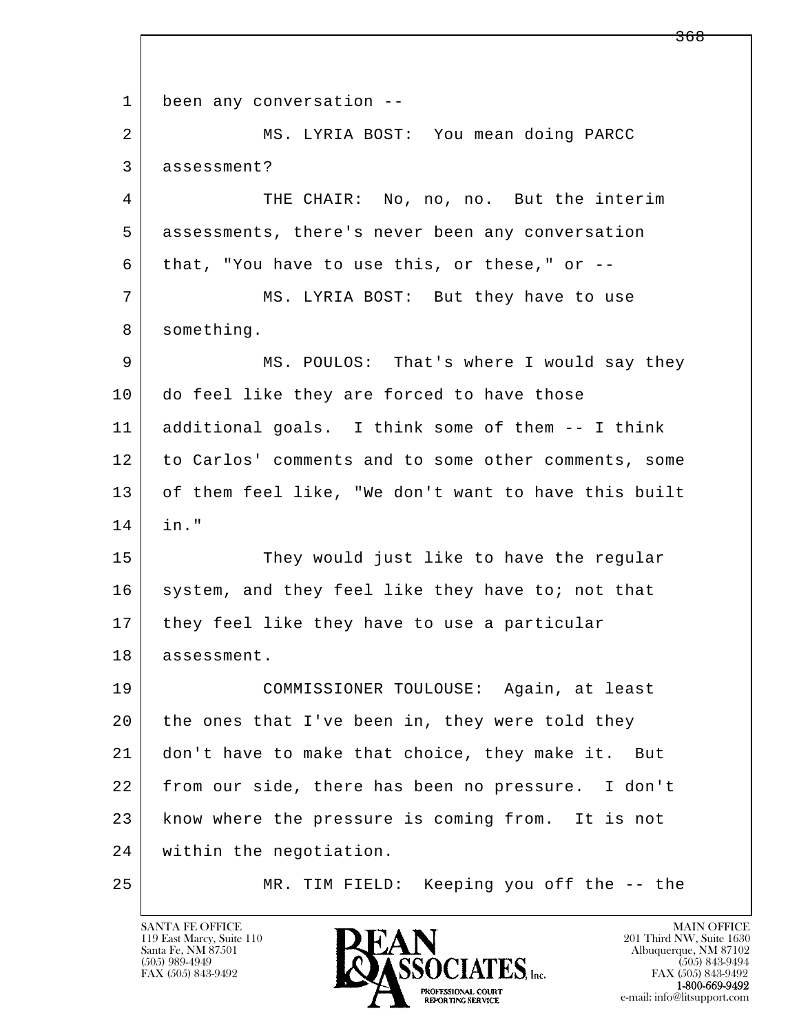l  $\overline{\phantom{a}}$ 1 been any conversation -- 2 MS. LYRIA BOST: You mean doing PARCC 3 assessment? 4 THE CHAIR: No, no, no. But the interim 5 assessments, there's never been any conversation  $6$  that, "You have to use this, or these," or  $-$ -7 MS. LYRIA BOST: But they have to use 8 something. 9 MS. POULOS: That's where I would say they 10 do feel like they are forced to have those 11 additional goals. I think some of them -- I think 12 to Carlos' comments and to some other comments, some 13 of them feel like, "We don't want to have this built 14 in." 15 They would just like to have the regular 16 system, and they feel like they have to; not that 17 | they feel like they have to use a particular 18 assessment. 19 COMMISSIONER TOULOUSE: Again, at least 20 the ones that I've been in, they were told they 21 don't have to make that choice, they make it. But 22 from our side, there has been no pressure. I don't 23 know where the pressure is coming from. It is not 24 within the negotiation. 25 MR. TIM FIELD: Keeping you off the -- the

119 East Marcy, Suite 110<br>Santa Fe, NM 87501



<del>368</del>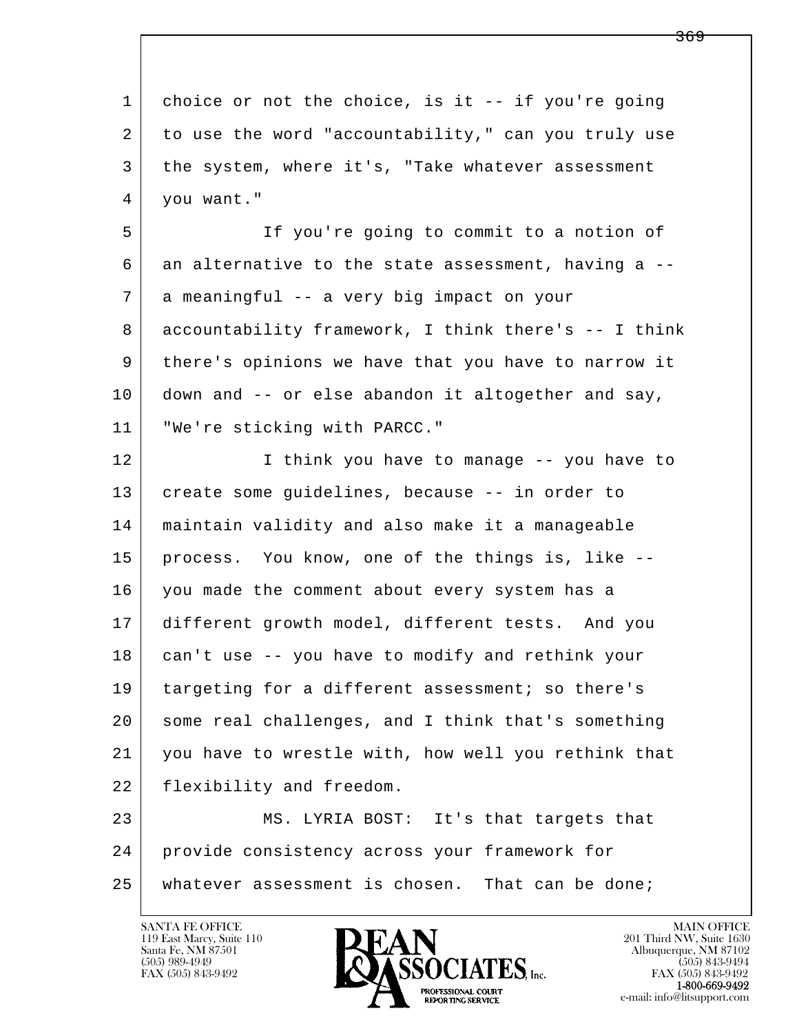l  $\overline{\phantom{a}}$ 1 choice or not the choice, is it -- if you're going 2 to use the word "accountability," can you truly use 3 the system, where it's, "Take whatever assessment 4 you want." 5 If you're going to commit to a notion of  $6$  an alternative to the state assessment, having a  $-$ - 7 a meaningful -- a very big impact on your 8 accountability framework, I think there's -- I think 9 there's opinions we have that you have to narrow it 10 down and -- or else abandon it altogether and say, 11 "We're sticking with PARCC." 12 I think you have to manage -- you have to 13 create some guidelines, because -- in order to 14 maintain validity and also make it a manageable 15 process. You know, one of the things is, like -- 16 | you made the comment about every system has a 17 different growth model, different tests. And you 18 can't use -- you have to modify and rethink your 19 targeting for a different assessment; so there's 20 some real challenges, and I think that's something 21 you have to wrestle with, how well you rethink that 22 flexibility and freedom. 23 MS. LYRIA BOST: It's that targets that 24 provide consistency across your framework for 25 whatever assessment is chosen. That can be done;

119 East Marcy, Suite 110<br>Santa Fe, NM 87501



FAX (505) 843-9492<br>**1-800-669-9492**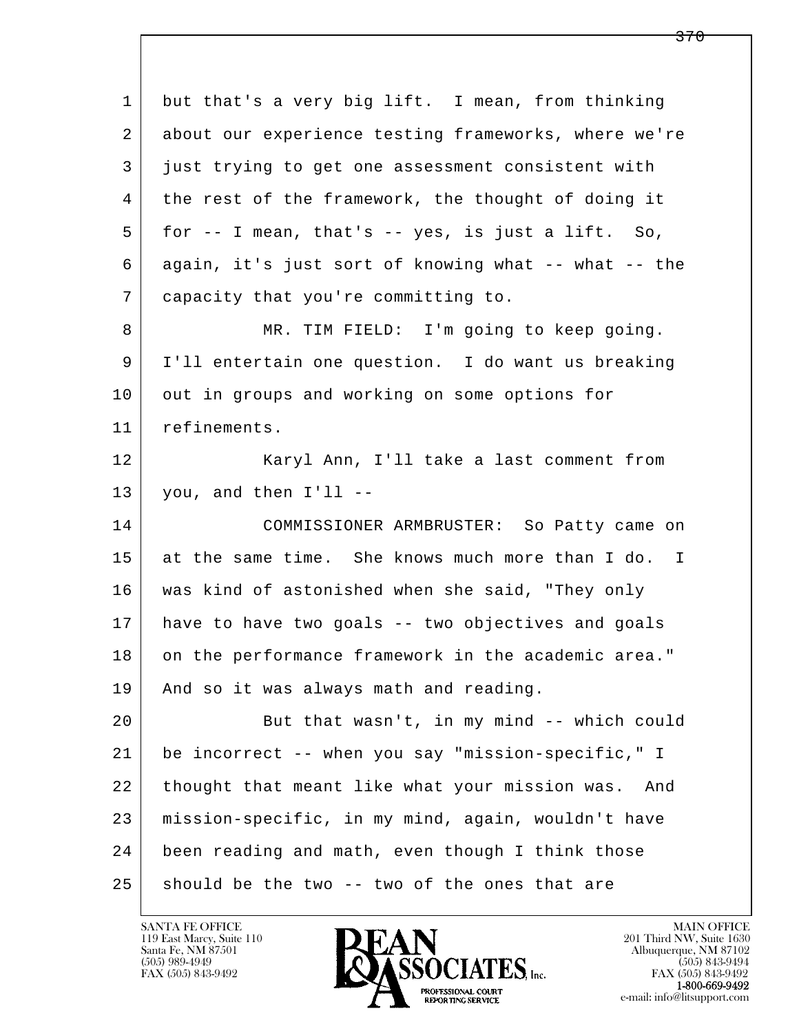| 1  | but that's a very big lift. I mean, from thinking       |
|----|---------------------------------------------------------|
| 2  | about our experience testing frameworks, where we're    |
| 3  | just trying to get one assessment consistent with       |
| 4  | the rest of the framework, the thought of doing it      |
| 5  | for $-$ - I mean, that's $-$ - yes, is just a lift. So, |
| 6  | again, it's just sort of knowing what -- what -- the    |
| 7  | capacity that you're committing to.                     |
| 8  | MR. TIM FIELD: I'm going to keep going.                 |
| 9  | I'll entertain one question. I do want us breaking      |
| 10 | out in groups and working on some options for           |
| 11 | refinements.                                            |
| 12 | Karyl Ann, I'll take a last comment from                |
| 13 | you, and then I'll --                                   |
| 14 | COMMISSIONER ARMBRUSTER: So Patty came on               |
| 15 | at the same time. She knows much more than I do. I      |
| 16 | was kind of astonished when she said, "They only        |
| 17 | have to have two goals -- two objectives and goals      |
| 18 | on the performance framework in the academic area."     |
| 19 | And so it was always math and reading.                  |
| 20 | But that wasn't, in my mind -- which could              |
| 21 | be incorrect -- when you say "mission-specific," I      |
| 22 | thought that meant like what your mission was.<br>And   |
| 23 | mission-specific, in my mind, again, wouldn't have      |
| 24 | been reading and math, even though I think those        |
| 25 | should be the two -- two of the ones that are           |

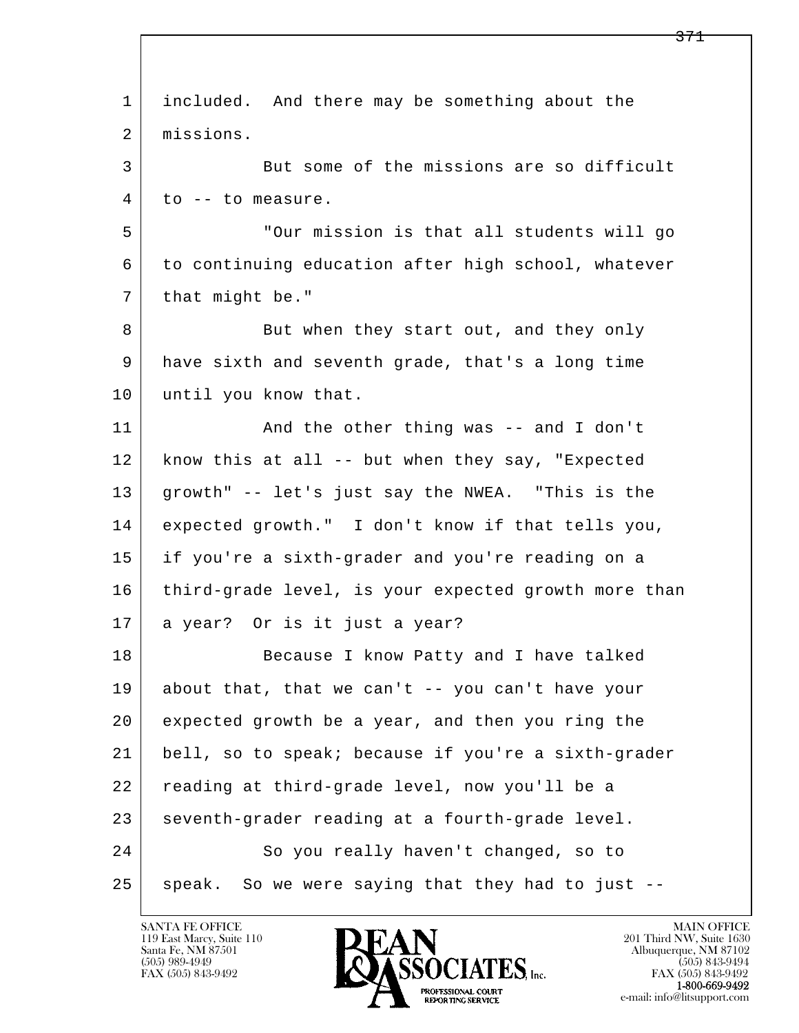| 1  | included. And there may be something about the       |
|----|------------------------------------------------------|
| 2  | missions.                                            |
| 3  | But some of the missions are so difficult            |
| 4  | to -- to measure.                                    |
| 5  | "Our mission is that all students will go            |
| 6  | to continuing education after high school, whatever  |
| 7  | that might be."                                      |
| 8  | But when they start out, and they only               |
| 9  | have sixth and seventh grade, that's a long time     |
| 10 | until you know that.                                 |
| 11 | And the other thing was -- and I don't               |
| 12 | know this at all -- but when they say, "Expected     |
| 13 | growth" -- let's just say the NWEA. "This is the     |
| 14 | expected growth." I don't know if that tells you,    |
| 15 | if you're a sixth-grader and you're reading on a     |
| 16 | third-grade level, is your expected growth more than |
| 17 | a year? Or is it just a year?                        |
| 18 | Because I know Patty and I have talked               |
| 19 | about that, that we can't -- you can't have your     |
| 20 | expected growth be a year, and then you ring the     |
| 21 | bell, so to speak; because if you're a sixth-grader  |
| 22 | reading at third-grade level, now you'll be a        |
| 23 | seventh-grader reading at a fourth-grade level.      |
| 24 | So you really haven't changed, so to                 |
| 25 | speak. So we were saying that they had to just --    |

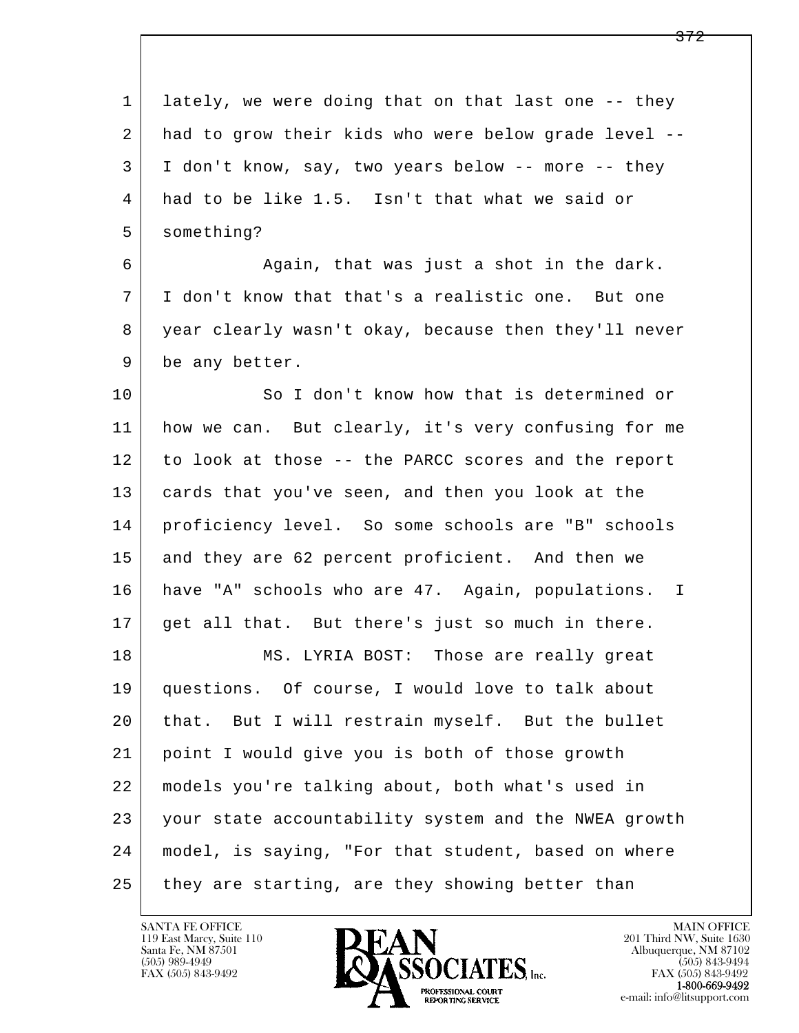l  $\overline{\phantom{a}}$ 1 lately, we were doing that on that last one -- they 2 had to grow their kids who were below grade level -- 3 I don't know, say, two years below -- more -- they 4 had to be like 1.5. Isn't that what we said or 5 something? 6 Again, that was just a shot in the dark. 7 I don't know that that's a realistic one. But one 8 year clearly wasn't okay, because then they'll never 9 be any better. 10 So I don't know how that is determined or 11 how we can. But clearly, it's very confusing for me 12 to look at those -- the PARCC scores and the report 13 cards that you've seen, and then you look at the 14 proficiency level. So some schools are "B" schools 15 and they are 62 percent proficient. And then we 16 have "A" schools who are 47. Again, populations. I 17 get all that. But there's just so much in there. 18 MS. LYRIA BOST: Those are really great 19 questions. Of course, I would love to talk about 20 that. But I will restrain myself. But the bullet 21 point I would give you is both of those growth 22 models you're talking about, both what's used in 23 your state accountability system and the NWEA growth 24 model, is saying, "For that student, based on where  $25$  they are starting, are they showing better than

119 East Marcy, Suite 110<br>Santa Fe, NM 87501

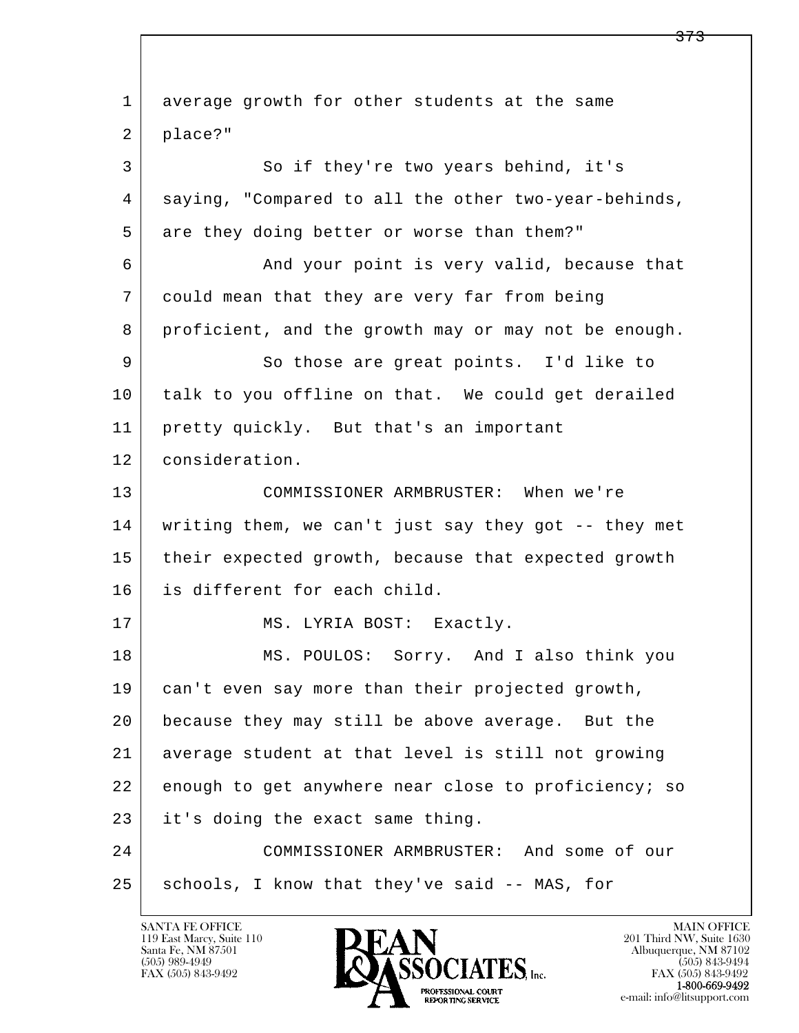l  $\overline{\phantom{a}}$  1 average growth for other students at the same 2 | place?" 3 So if they're two years behind, it's 4 saying, "Compared to all the other two-year-behinds, 5 are they doing better or worse than them?" 6 And your point is very valid, because that 7 could mean that they are very far from being 8 proficient, and the growth may or may not be enough. 9 So those are great points. I'd like to 10 talk to you offline on that. We could get derailed 11 pretty quickly. But that's an important 12 consideration. 13 COMMISSIONER ARMBRUSTER: When we're 14 writing them, we can't just say they got -- they met 15 | their expected growth, because that expected growth 16 is different for each child. 17 MS. LYRIA BOST: Exactly. 18 MS. POULOS: Sorry. And I also think you 19 can't even say more than their projected growth, 20 because they may still be above average. But the 21 average student at that level is still not growing 22 enough to get anywhere near close to proficiency; so 23 it's doing the exact same thing. 24 COMMISSIONER ARMBRUSTER: And some of our 25 | schools, I know that they've said -- MAS, for

119 East Marcy, Suite 110<br>Santa Fe, NM 87501

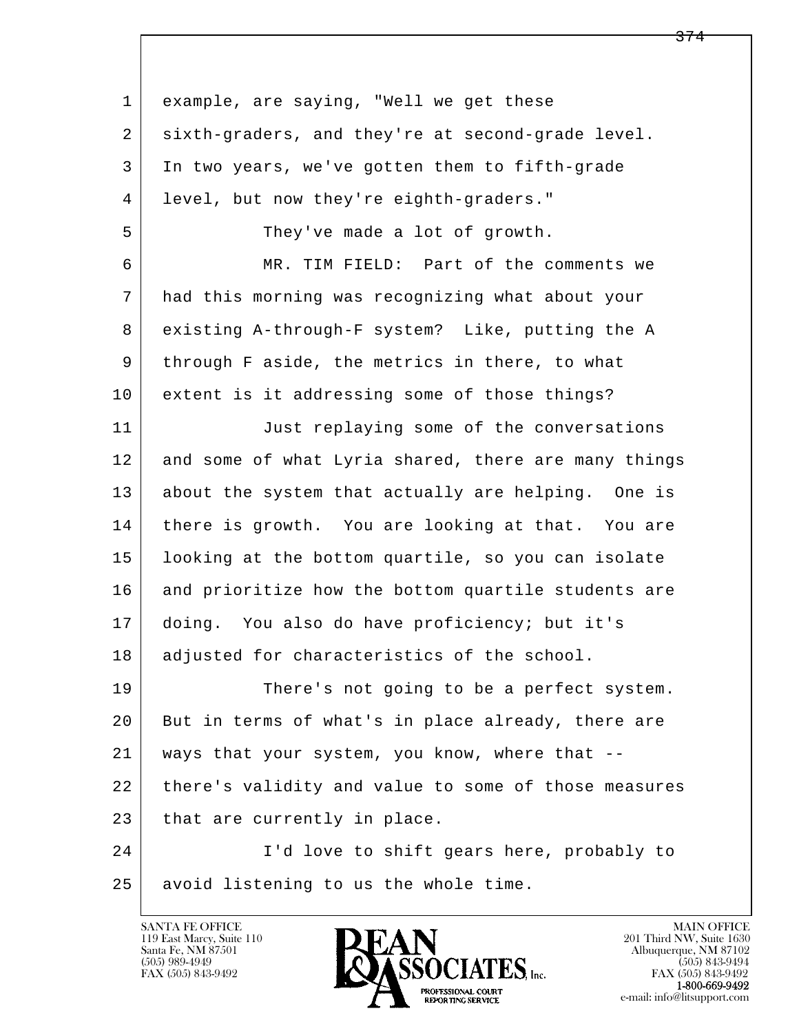| $\mathbf 1$ | example, are saying, "Well we get these              |
|-------------|------------------------------------------------------|
| 2           | sixth-graders, and they're at second-grade level.    |
| 3           | In two years, we've gotten them to fifth-grade       |
| 4           | level, but now they're eighth-graders."              |
| 5           | They've made a lot of growth.                        |
| 6           | MR. TIM FIELD: Part of the comments we               |
| 7           | had this morning was recognizing what about your     |
| 8           | existing A-through-F system? Like, putting the A     |
| 9           | through F aside, the metrics in there, to what       |
| 10          | extent is it addressing some of those things?        |
| 11          | Just replaying some of the conversations             |
| 12          | and some of what Lyria shared, there are many things |
| 13          | about the system that actually are helping. One is   |
| 14          | there is growth. You are looking at that. You are    |
| 15          | looking at the bottom quartile, so you can isolate   |
| 16          | and prioritize how the bottom quartile students are  |
| 17          | doing. You also do have proficiency; but it's        |
| 18          | adjusted for characteristics of the school.          |
| 19          | There's not going to be a perfect system.            |
| 20          | But in terms of what's in place already, there are   |
| 21          | ways that your system, you know, where that --       |
| 22          | there's validity and value to some of those measures |
| 23          | that are currently in place.                         |
| 24          | I'd love to shift gears here, probably to            |
| 25          | avoid listening to us the whole time.                |

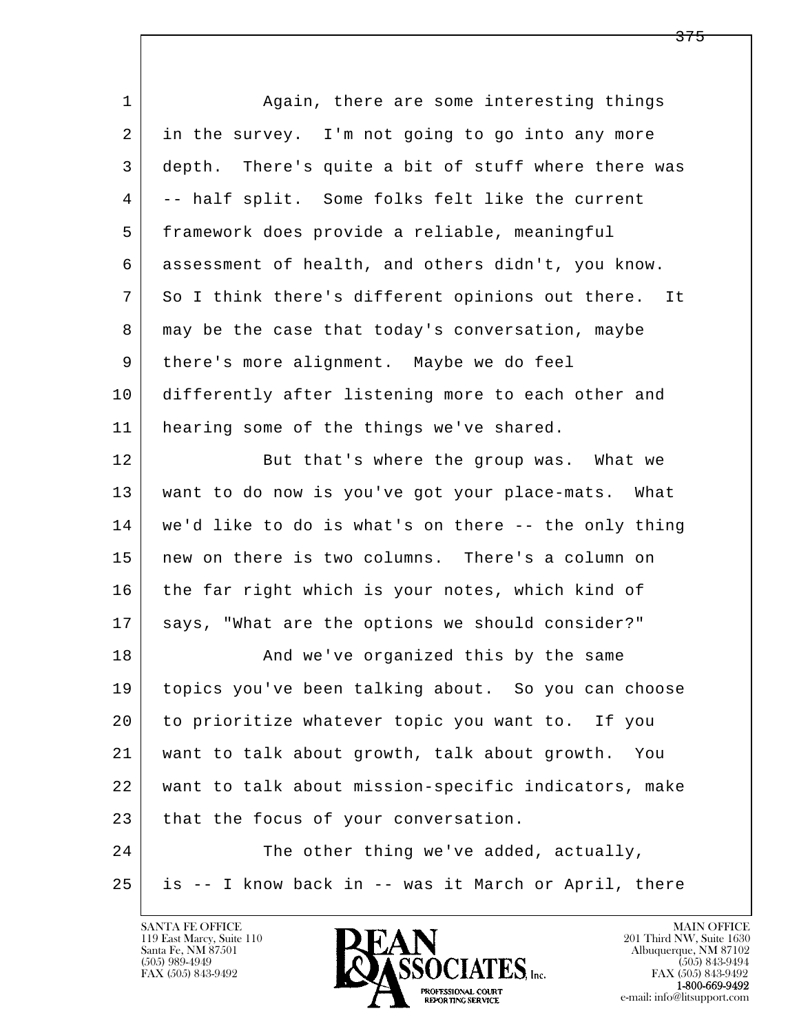l  $\overline{\phantom{a}}$ 1 Again, there are some interesting things 2 in the survey. I'm not going to go into any more 3 depth. There's quite a bit of stuff where there was 4 -- half split. Some folks felt like the current 5 framework does provide a reliable, meaningful 6 assessment of health, and others didn't, you know. 7 So I think there's different opinions out there. It 8 may be the case that today's conversation, maybe 9 there's more alignment. Maybe we do feel 10 differently after listening more to each other and 11 | hearing some of the things we've shared. 12 But that's where the group was. What we 13 want to do now is you've got your place-mats. What 14 we'd like to do is what's on there -- the only thing 15 new on there is two columns. There's a column on 16 the far right which is your notes, which kind of 17 | says, "What are the options we should consider?" 18 | The Sand we've organized this by the same 19 topics you've been talking about. So you can choose 20 to prioritize whatever topic you want to. If you 21 want to talk about growth, talk about growth. You 22 want to talk about mission-specific indicators, make 23 that the focus of your conversation. 24 The other thing we've added, actually, 25 is -- I know back in -- was it March or April, there

119 East Marcy, Suite 110<br>Santa Fe, NM 87501

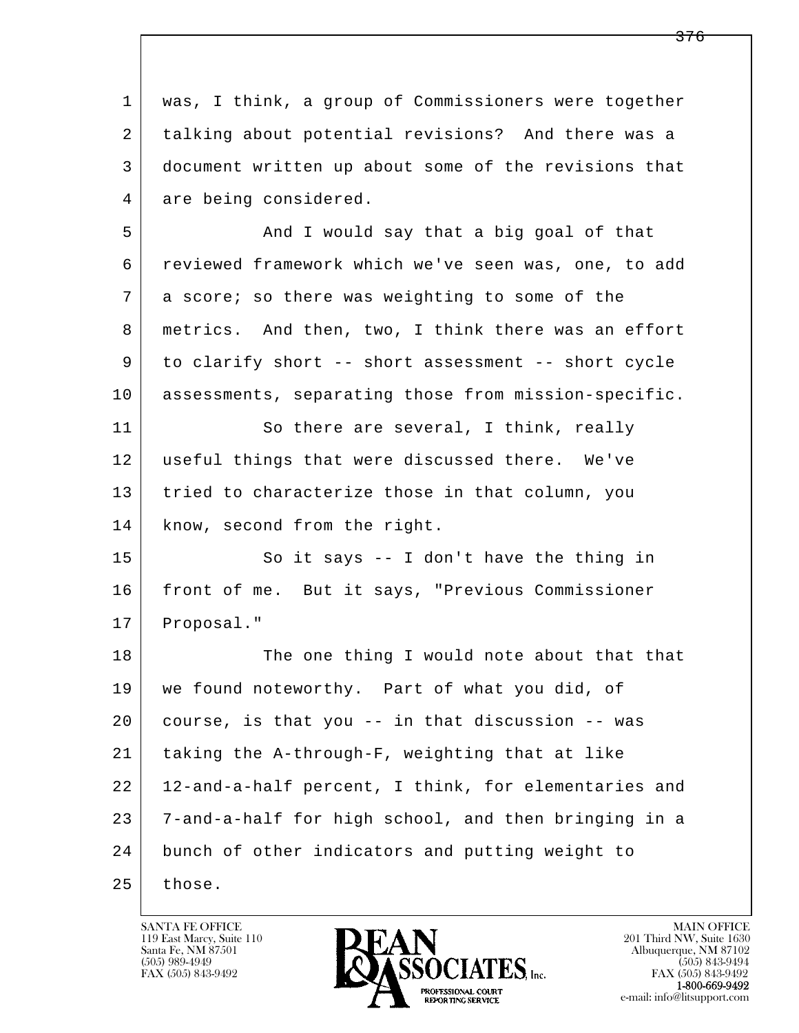l  $\overline{\phantom{a}}$  1 was, I think, a group of Commissioners were together 2 talking about potential revisions? And there was a 3 document written up about some of the revisions that 4 are being considered. 5 | And I would say that a big goal of that 6 reviewed framework which we've seen was, one, to add 7 a score; so there was weighting to some of the 8 metrics. And then, two, I think there was an effort 9 to clarify short -- short assessment -- short cycle 10 assessments, separating those from mission-specific. 11 So there are several, I think, really 12 | useful things that were discussed there. We've 13 tried to characterize those in that column, you 14 know, second from the right. 15 | So it says -- I don't have the thing in 16 front of me. But it says, "Previous Commissioner 17 | Proposal." 18 The one thing I would note about that that 19 we found noteworthy. Part of what you did, of 20 course, is that you -- in that discussion -- was 21 taking the A-through-F, weighting that at like 22 12-and-a-half percent, I think, for elementaries and 23 7-and-a-half for high school, and then bringing in a 24 bunch of other indicators and putting weight to  $25$  those.

119 East Marcy, Suite 110<br>Santa Fe, NM 87501

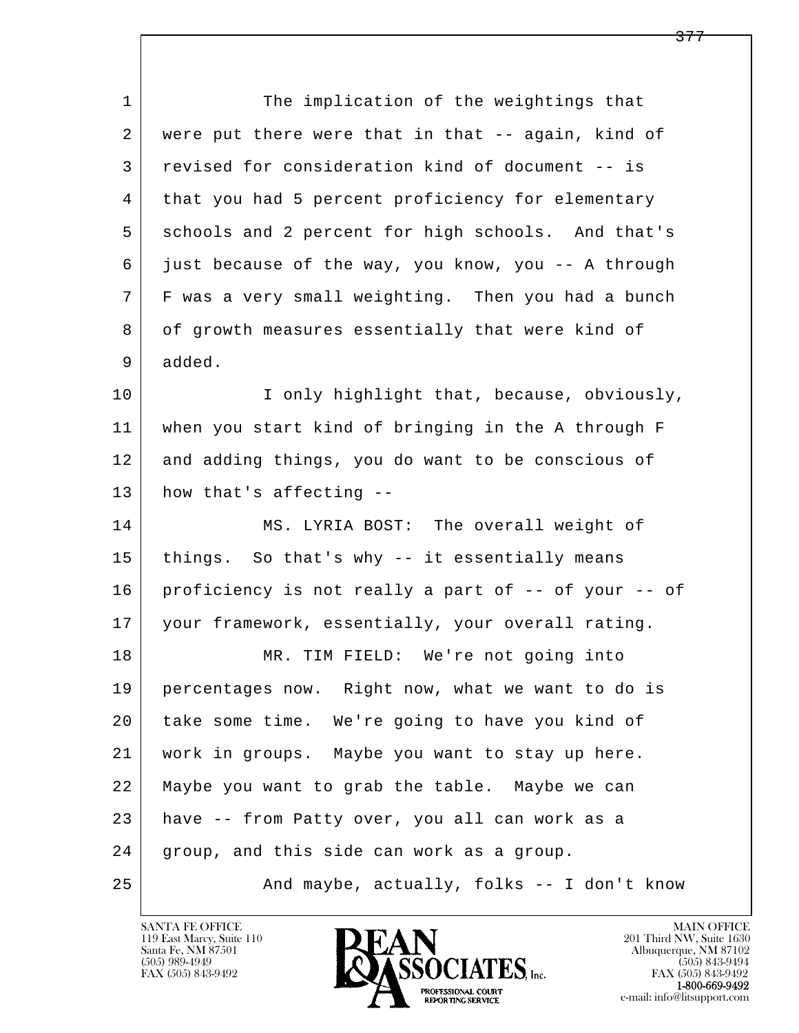| $\mathbf 1$ | The implication of the weightings that               |
|-------------|------------------------------------------------------|
| 2           | were put there were that in that -- again, kind of   |
| 3           | revised for consideration kind of document -- is     |
| 4           | that you had 5 percent proficiency for elementary    |
| 5           | schools and 2 percent for high schools. And that's   |
| 6           | just because of the way, you know, you -- A through  |
| 7           | F was a very small weighting. Then you had a bunch   |
| 8           | of growth measures essentially that were kind of     |
| 9           | added.                                               |
| 10          | I only highlight that, because, obviously,           |
| 11          | when you start kind of bringing in the A through F   |
| 12          | and adding things, you do want to be conscious of    |
| 13          | how that's affecting --                              |
| 14          | MS. LYRIA BOST: The overall weight of                |
| 15          | things. So that's why -- it essentially means        |
| 16          | proficiency is not really a part of -- of your -- of |
| 17          | your framework, essentially, your overall rating.    |
| 18          | MR. TIM FIELD: We're not going into                  |
| 19          | percentages now. Right now, what we want to do is    |
| 20          | take some time. We're going to have you kind of      |
| 21          | work in groups. Maybe you want to stay up here.      |
| 22          | Maybe you want to grab the table. Maybe we can       |
| 23          | have -- from Patty over, you all can work as a       |
| 24          | group, and this side can work as a group.            |
| 25          | And maybe, actually, folks -- I don't know           |

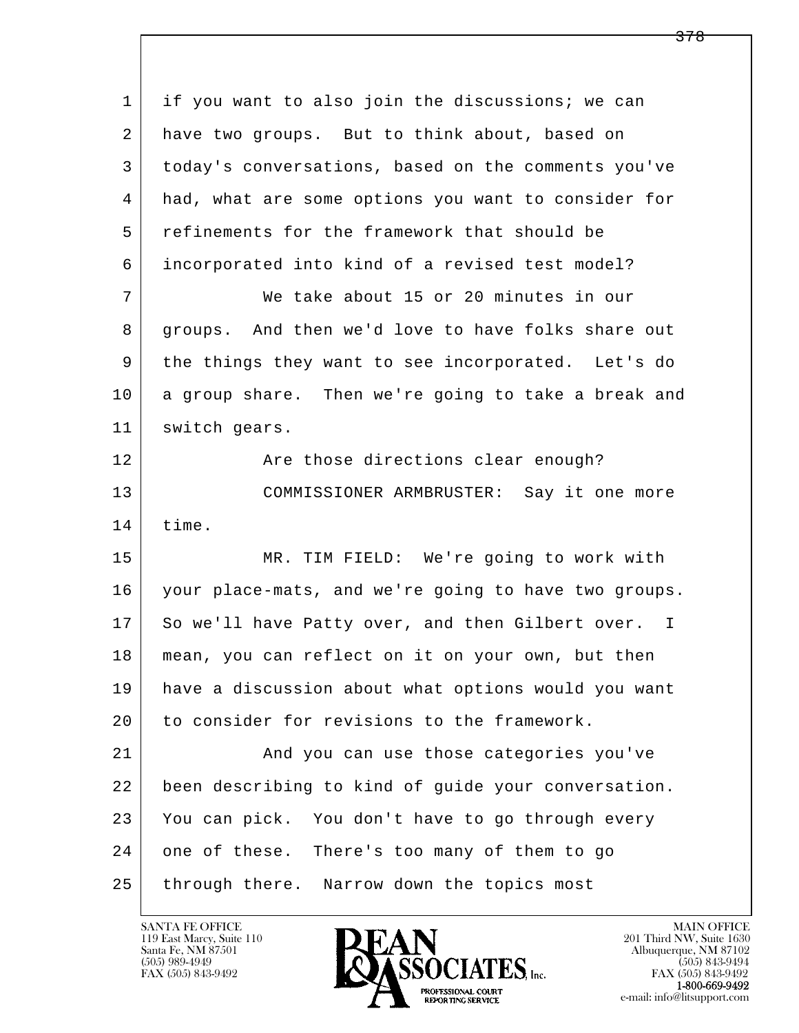l  $\overline{\phantom{a}}$  1 if you want to also join the discussions; we can 2 have two groups. But to think about, based on 3 today's conversations, based on the comments you've 4 had, what are some options you want to consider for 5 refinements for the framework that should be 6 incorporated into kind of a revised test model? 7 We take about 15 or 20 minutes in our 8 groups. And then we'd love to have folks share out 9 the things they want to see incorporated. Let's do 10 a group share. Then we're going to take a break and 11 | switch gears. 12 Are those directions clear enough? 13 COMMISSIONER ARMBRUSTER: Say it one more 14 time. 15 MR. TIM FIELD: We're going to work with 16 your place-mats, and we're going to have two groups. 17 So we'll have Patty over, and then Gilbert over. I 18 mean, you can reflect on it on your own, but then 19 have a discussion about what options would you want 20 to consider for revisions to the framework. 21 | And you can use those categories you've 22 been describing to kind of guide your conversation. 23 You can pick. You don't have to go through every 24 one of these. There's too many of them to go 25 through there. Narrow down the topics most

119 East Marcy, Suite 110<br>Santa Fe, NM 87501



FAX (505) 843-9492<br>**1-800-669-9492**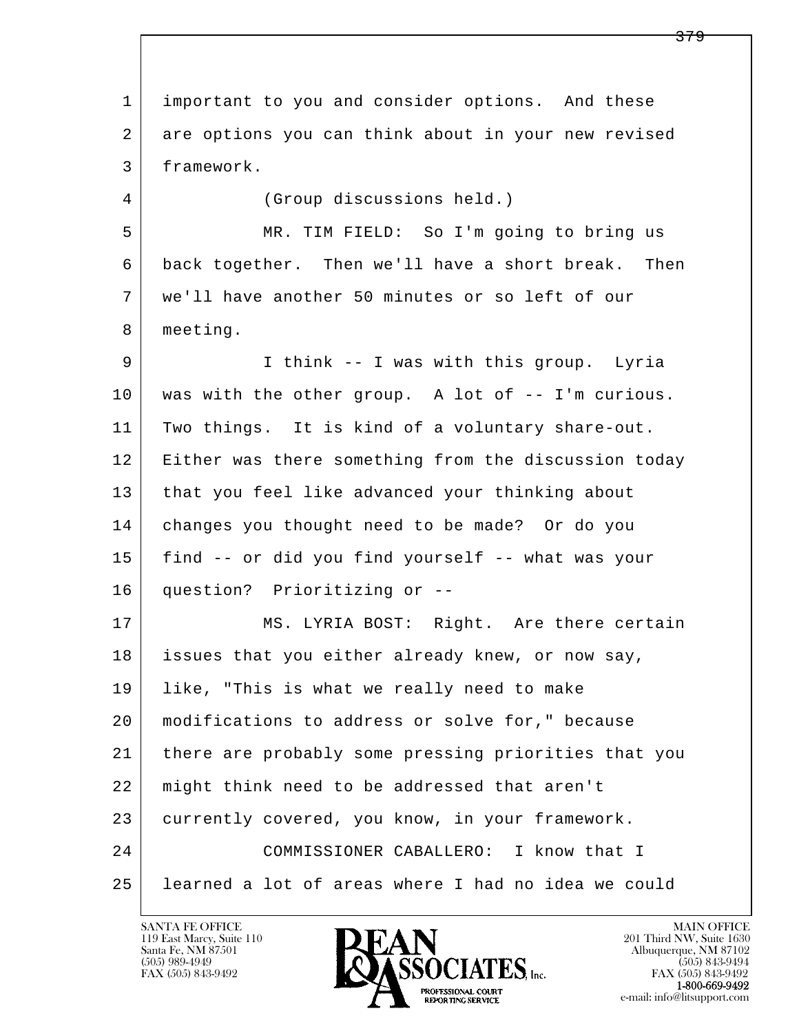l  $\overline{\phantom{a}}$  1 important to you and consider options. And these 2 are options you can think about in your new revised 3 framework. 4 (Group discussions held.) 5 MR. TIM FIELD: So I'm going to bring us 6 back together. Then we'll have a short break. Then 7 we'll have another 50 minutes or so left of our 8 meeting. 9 I think -- I was with this group. Lyria 10 was with the other group. A lot of -- I'm curious. 11 Two things. It is kind of a voluntary share-out. 12 Either was there something from the discussion today 13 that you feel like advanced your thinking about 14 changes you thought need to be made? Or do you 15 find -- or did you find yourself -- what was your 16 question? Prioritizing or -- 17 MS. LYRIA BOST: Right. Are there certain 18 issues that you either already knew, or now say, 19 like, "This is what we really need to make 20 modifications to address or solve for," because 21 there are probably some pressing priorities that you 22 might think need to be addressed that aren't 23 currently covered, you know, in your framework. 24 COMMISSIONER CABALLERO: I know that I 25 learned a lot of areas where I had no idea we could

119 East Marcy, Suite 110<br>Santa Fe, NM 87501



FAX (505) 843-9492<br>**1-800-669-9492**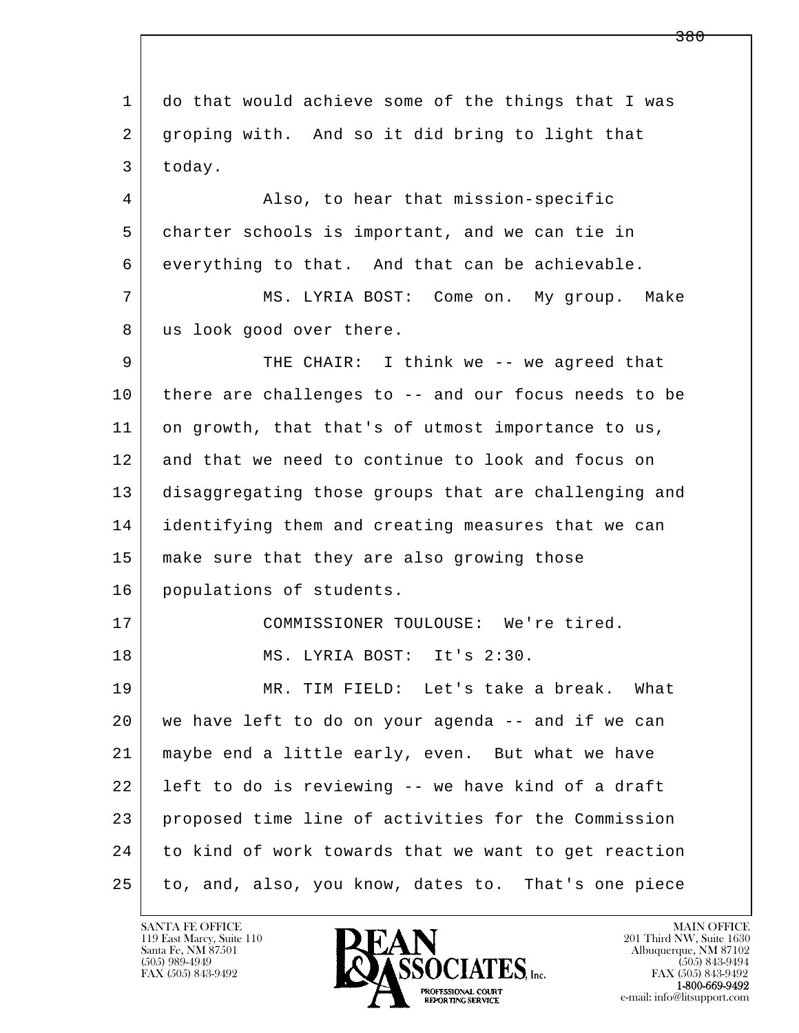l  $\overline{\phantom{a}}$  1 do that would achieve some of the things that I was 2 groping with. And so it did bring to light that 3 today. 4 Also, to hear that mission-specific 5 charter schools is important, and we can tie in 6 everything to that. And that can be achievable. 7 MS. LYRIA BOST: Come on. My group. Make 8 | us look good over there. 9 THE CHAIR: I think we -- we agreed that 10 there are challenges to -- and our focus needs to be 11 on growth, that that's of utmost importance to us, 12 and that we need to continue to look and focus on 13 disaggregating those groups that are challenging and 14 identifying them and creating measures that we can 15 make sure that they are also growing those 16 populations of students. 17 COMMISSIONER TOULOUSE: We're tired. 18 MS. LYRIA BOST: It's 2:30. 19 MR. TIM FIELD: Let's take a break. What 20 we have left to do on your agenda -- and if we can 21 maybe end a little early, even. But what we have 22 left to do is reviewing -- we have kind of a draft 23 proposed time line of activities for the Commission 24 to kind of work towards that we want to get reaction 25 to, and, also, you know, dates to. That's one piece

119 East Marcy, Suite 110<br>Santa Fe, NM 87501

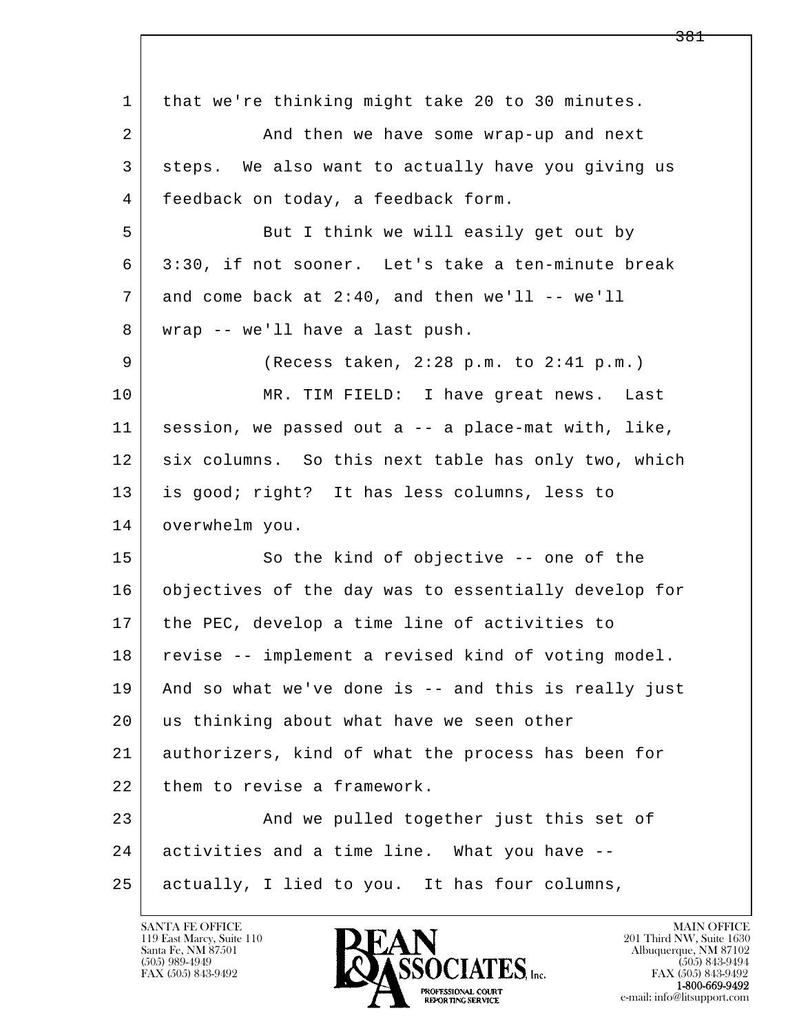l  $\overline{\phantom{a}}$  1 that we're thinking might take 20 to 30 minutes. 2 And then we have some wrap-up and next 3 steps. We also want to actually have you giving us 4 feedback on today, a feedback form. 5 | But I think we will easily get out by 6 3:30, if not sooner. Let's take a ten-minute break  $7$  and come back at 2:40, and then we'll -- we'll 8 wrap -- we'll have a last push. 9 (Recess taken, 2:28 p.m. to 2:41 p.m.) 10 MR. TIM FIELD: I have great news. Last 11 session, we passed out a -- a place-mat with, like, 12 six columns. So this next table has only two, which 13 is good; right? It has less columns, less to 14 overwhelm you. 15 So the kind of objective -- one of the 16 objectives of the day was to essentially develop for 17 the PEC, develop a time line of activities to 18 revise -- implement a revised kind of voting model. 19 And so what we've done is -- and this is really just 20 us thinking about what have we seen other 21 authorizers, kind of what the process has been for 22 them to revise a framework. 23 And we pulled together just this set of 24 activities and a time line. What you have -- 25 actually, I lied to you. It has four columns,

119 East Marcy, Suite 110<br>Santa Fe, NM 87501



FAX (505) 843-9492<br>1-800-669-9492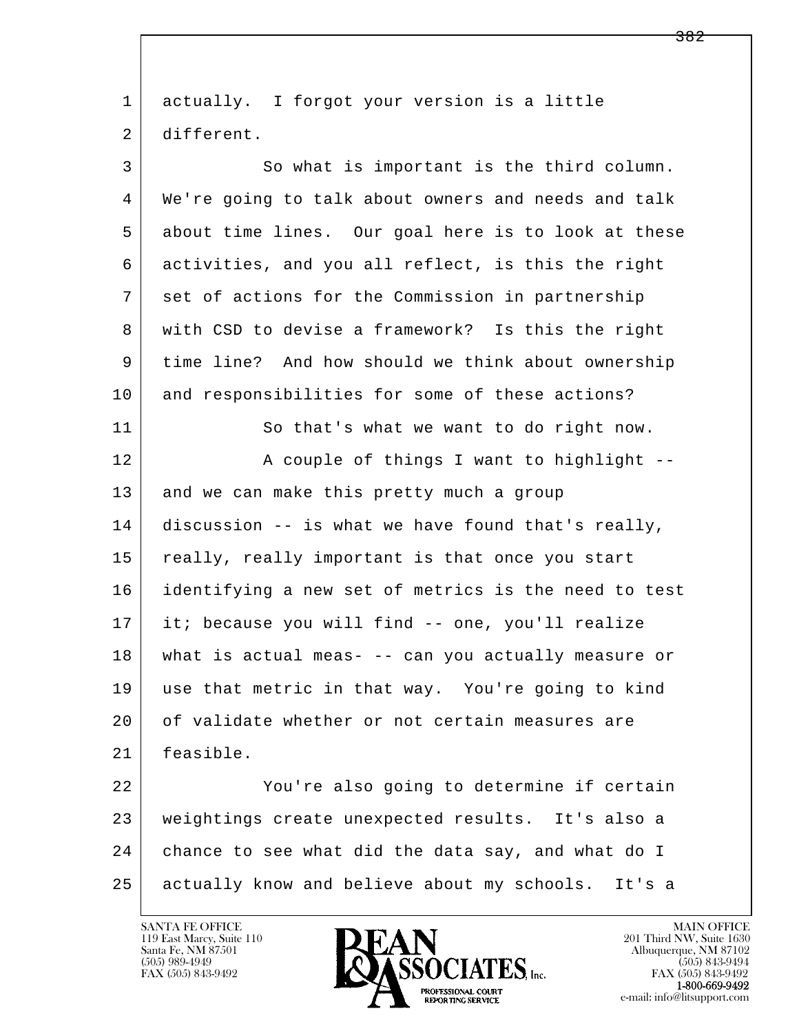| $\mathbf{1}$ | actually. I forgot your version is a little          |
|--------------|------------------------------------------------------|
| 2            | different.                                           |
| 3            | So what is important is the third column.            |
| 4            | We're going to talk about owners and needs and talk  |
| 5            | about time lines. Our goal here is to look at these  |
| 6            | activities, and you all reflect, is this the right   |
| 7            | set of actions for the Commission in partnership     |
| 8            | with CSD to devise a framework? Is this the right    |
| 9            | time line? And how should we think about ownership   |
| 10           | and responsibilities for some of these actions?      |
| 11           | So that's what we want to do right now.              |
| 12           | A couple of things I want to highlight --            |
| 13           | and we can make this pretty much a group             |
| 14           | discussion -- is what we have found that's really,   |
| 15           | really, really important is that once you start      |
| 16           | identifying a new set of metrics is the need to test |
| 17           | it; because you will find -- one, you'll realize     |
| 18           | what is actual meas- -- can you actually measure or  |
| 19           | use that metric in that way. You're going to kind    |
| 20           | of validate whether or not certain measures are      |
| 21           | feasible.                                            |
| 22           | You're also going to determine if certain            |
| 23           | weightings create unexpected results. It's also a    |
| 24           | chance to see what did the data say, and what do I   |
| 25           | actually know and believe about my schools. It's a   |

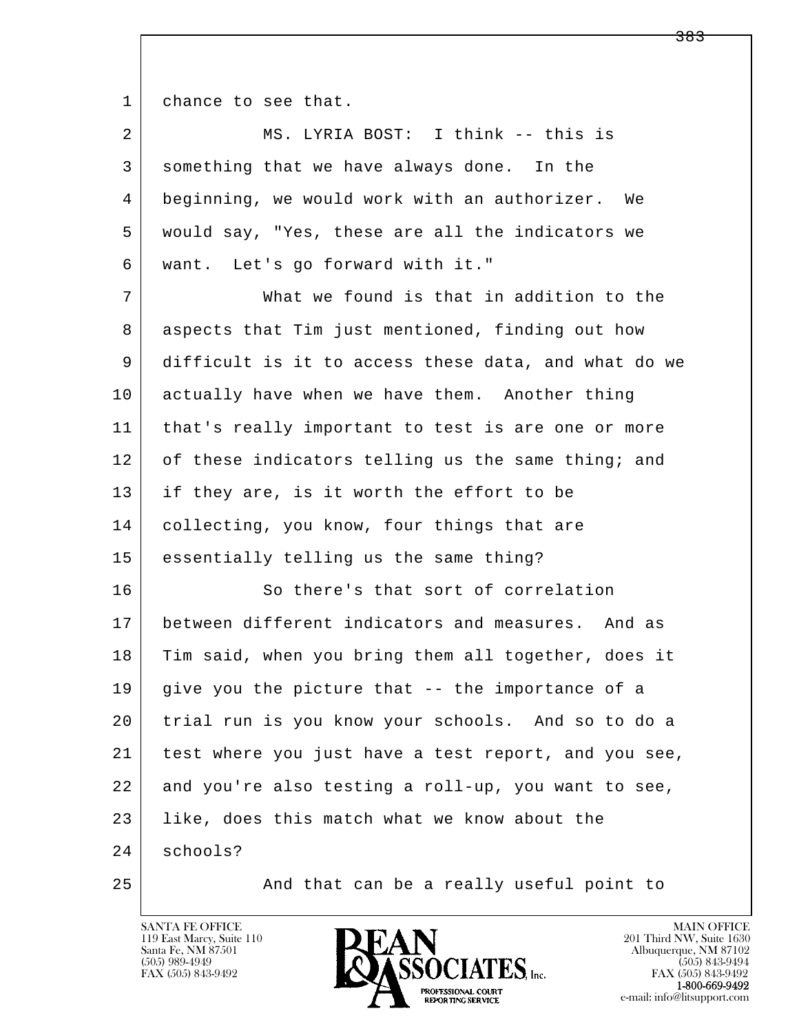1 chance to see that.

| 2  | MS. LYRIA BOST: I think -- this is                   |
|----|------------------------------------------------------|
| 3  | something that we have always done. In the           |
| 4  | beginning, we would work with an authorizer. We      |
| 5  | would say, "Yes, these are all the indicators we     |
| 6  | want. Let's go forward with it."                     |
| 7  | What we found is that in addition to the             |
| 8  | aspects that Tim just mentioned, finding out how     |
| 9  | difficult is it to access these data, and what do we |
| 10 | actually have when we have them. Another thing       |
| 11 | that's really important to test is are one or more   |
| 12 | of these indicators telling us the same thing; and   |
| 13 | if they are, is it worth the effort to be            |
| 14 | collecting, you know, four things that are           |
| 15 | essentially telling us the same thing?               |
| 16 | So there's that sort of correlation                  |
| 17 | between different indicators and measures. And as    |
| 18 | Tim said, when you bring them all together, does it  |
| 19 | give you the picture that -- the importance of a     |
| 20 | trial run is you know your schools. And so to do a   |
| 21 | test where you just have a test report, and you see, |
| 22 | and you're also testing a roll-up, you want to see,  |
| 23 | like, does this match what we know about the         |
| 24 | schools?                                             |
| 25 | And that can be a really useful point to             |

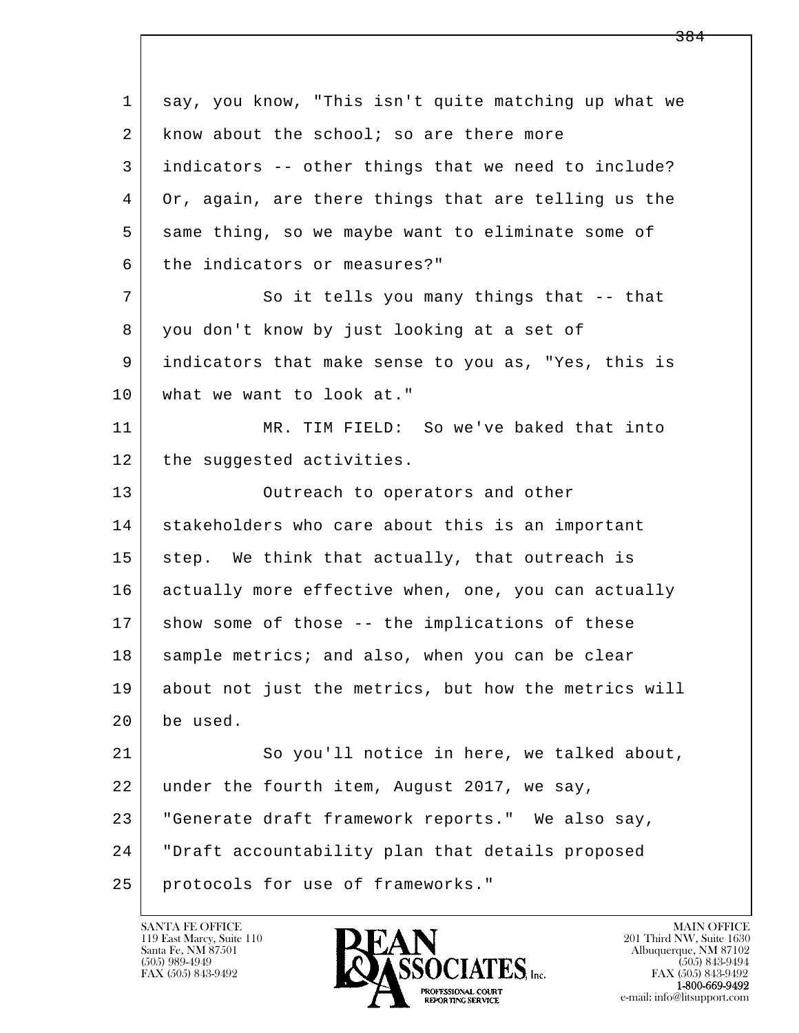l  $\overline{\phantom{a}}$  1 say, you know, "This isn't quite matching up what we  $2$  know about the school; so are there more 3 indicators -- other things that we need to include? 4 Or, again, are there things that are telling us the 5 same thing, so we maybe want to eliminate some of 6 the indicators or measures?" 7 So it tells you many things that -- that 8 you don't know by just looking at a set of 9 indicators that make sense to you as, "Yes, this is 10 what we want to look at." 11 MR. TIM FIELD: So we've baked that into 12 the suggested activities. 13 | Outreach to operators and other 14 stakeholders who care about this is an important 15 step. We think that actually, that outreach is 16 actually more effective when, one, you can actually 17 | show some of those -- the implications of these 18 | sample metrics; and also, when you can be clear 19 about not just the metrics, but how the metrics will 20 be used. 21 So you'll notice in here, we talked about, 22 under the fourth item, August 2017, we say, 23 | "Generate draft framework reports." We also say, 24 "Draft accountability plan that details proposed 25 protocols for use of frameworks."

119 East Marcy, Suite 110<br>Santa Fe, NM 87501

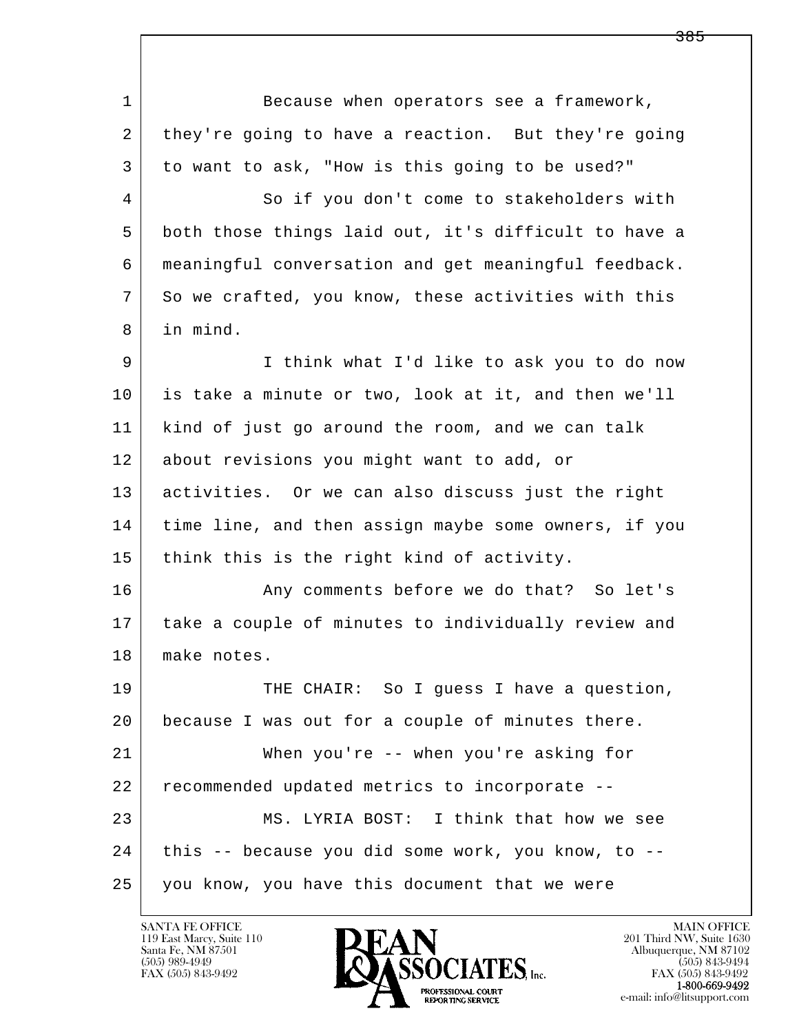l  $\overline{\phantom{a}}$ 1 Because when operators see a framework, 2 they're going to have a reaction. But they're going 3 to want to ask, "How is this going to be used?" 4 So if you don't come to stakeholders with 5 both those things laid out, it's difficult to have a 6 meaningful conversation and get meaningful feedback. 7 So we crafted, you know, these activities with this 8 in mind. 9 I think what I'd like to ask you to do now 10 is take a minute or two, look at it, and then we'll 11 kind of just go around the room, and we can talk 12 about revisions you might want to add, or 13 activities. Or we can also discuss just the right 14 time line, and then assign maybe some owners, if you 15 think this is the right kind of activity. 16 Any comments before we do that? So let's 17 take a couple of minutes to individually review and 18 make notes. 19 THE CHAIR: So I guess I have a question, 20 because I was out for a couple of minutes there. 21 When you're -- when you're asking for 22 recommended updated metrics to incorporate -- 23 MS. LYRIA BOST: I think that how we see 24 this -- because you did some work, you know, to --25 you know, you have this document that we were

119 East Marcy, Suite 110<br>Santa Fe, NM 87501

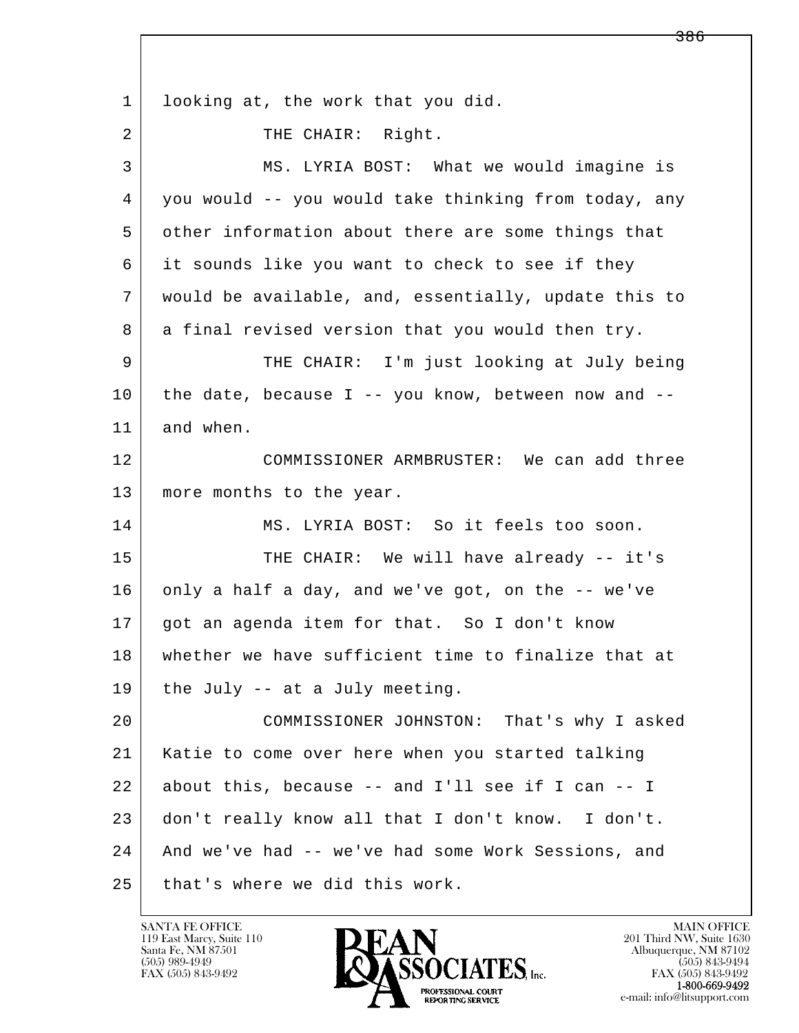l  $\overline{\phantom{a}}$ 1 looking at, the work that you did. 2 | THE CHAIR: Right. 3 MS. LYRIA BOST: What we would imagine is 4 you would -- you would take thinking from today, any 5 other information about there are some things that 6 it sounds like you want to check to see if they 7 would be available, and, essentially, update this to 8 a final revised version that you would then try. 9 THE CHAIR: I'm just looking at July being  $10$  the date, because I -- you know, between now and -- 11 and when. 12 COMMISSIONER ARMBRUSTER: We can add three 13 | more months to the year. 14 MS. LYRIA BOST: So it feels too soon. 15 | THE CHAIR: We will have already -- it's 16 only a half a day, and we've got, on the -- we've 17 got an agenda item for that. So I don't know 18 whether we have sufficient time to finalize that at  $19$  the July -- at a July meeting. 20 COMMISSIONER JOHNSTON: That's why I asked 21 Katie to come over here when you started talking  $22$  about this, because  $-$  and I'll see if I can  $-$  I 23 don't really know all that I don't know. I don't. 24 And we've had -- we've had some Work Sessions, and 25 that's where we did this work.

119 East Marcy, Suite 110<br>Santa Fe, NM 87501

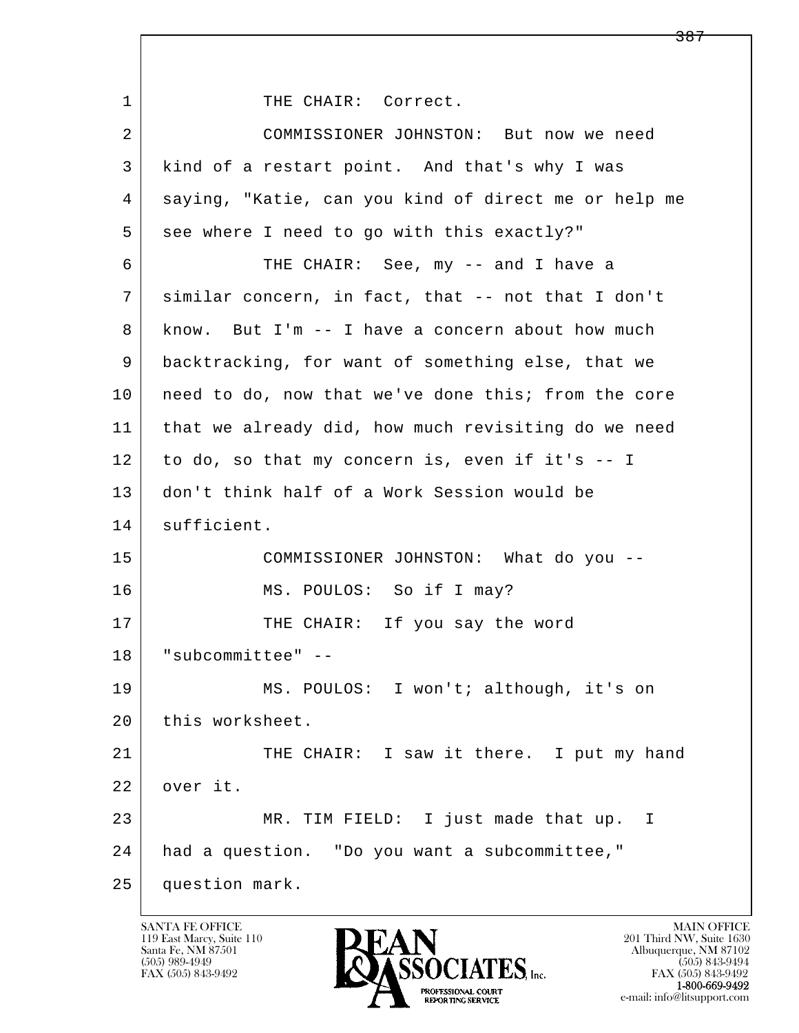l  $\overline{\phantom{a}}$ 1 | THE CHAIR: Correct. 2 COMMISSIONER JOHNSTON: But now we need 3 kind of a restart point. And that's why I was 4 saying, "Katie, can you kind of direct me or help me 5 see where I need to go with this exactly?" 6 THE CHAIR: See, my -- and I have a 7 similar concern, in fact, that -- not that I don't 8 know. But I'm -- I have a concern about how much 9 backtracking, for want of something else, that we 10 | need to do, now that we've done this; from the core 11 that we already did, how much revisiting do we need  $12$  to do, so that my concern is, even if it's  $-1$  13 don't think half of a Work Session would be 14 sufficient. 15 COMMISSIONER JOHNSTON: What do you -- 16 MS. POULOS: So if I may? 17 THE CHAIR: If you say the word 18 "subcommittee" -- 19 MS. POULOS: I won't; although, it's on 20 this worksheet. 21 THE CHAIR: I saw it there. I put my hand 22 over it. 23 MR. TIM FIELD: I just made that up. I 24 had a question. "Do you want a subcommittee," 25 question mark.

119 East Marcy, Suite 110<br>Santa Fe, NM 87501

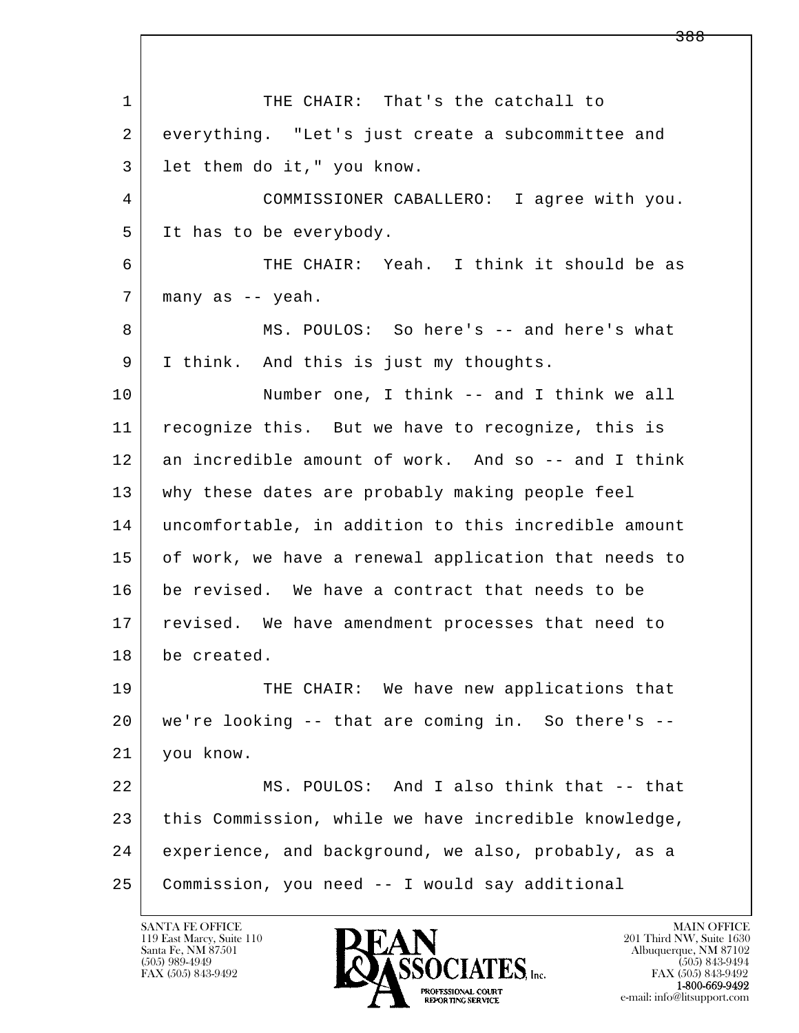l  $\overline{\phantom{a}}$ 1 THE CHAIR: That's the catchall to 2 everything. "Let's just create a subcommittee and 3 let them do it," you know. 4 COMMISSIONER CABALLERO: I agree with you. 5 It has to be everybody. 6 THE CHAIR: Yeah. I think it should be as 7 | many as -- yeah. 8 MS. POULOS: So here's -- and here's what 9 I think. And this is just my thoughts. 10 Number one, I think -- and I think we all 11 | recognize this. But we have to recognize, this is 12 an incredible amount of work. And so -- and I think 13 why these dates are probably making people feel 14 uncomfortable, in addition to this incredible amount 15 of work, we have a renewal application that needs to 16 be revised. We have a contract that needs to be 17 | revised. We have amendment processes that need to 18 be created. 19 THE CHAIR: We have new applications that 20 we're looking -- that are coming in. So there's -- 21 you know. 22 MS. POULOS: And I also think that -- that 23 | this Commission, while we have incredible knowledge, 24 experience, and background, we also, probably, as a 25 Commission, you need -- I would say additional

119 East Marcy, Suite 110<br>Santa Fe, NM 87501

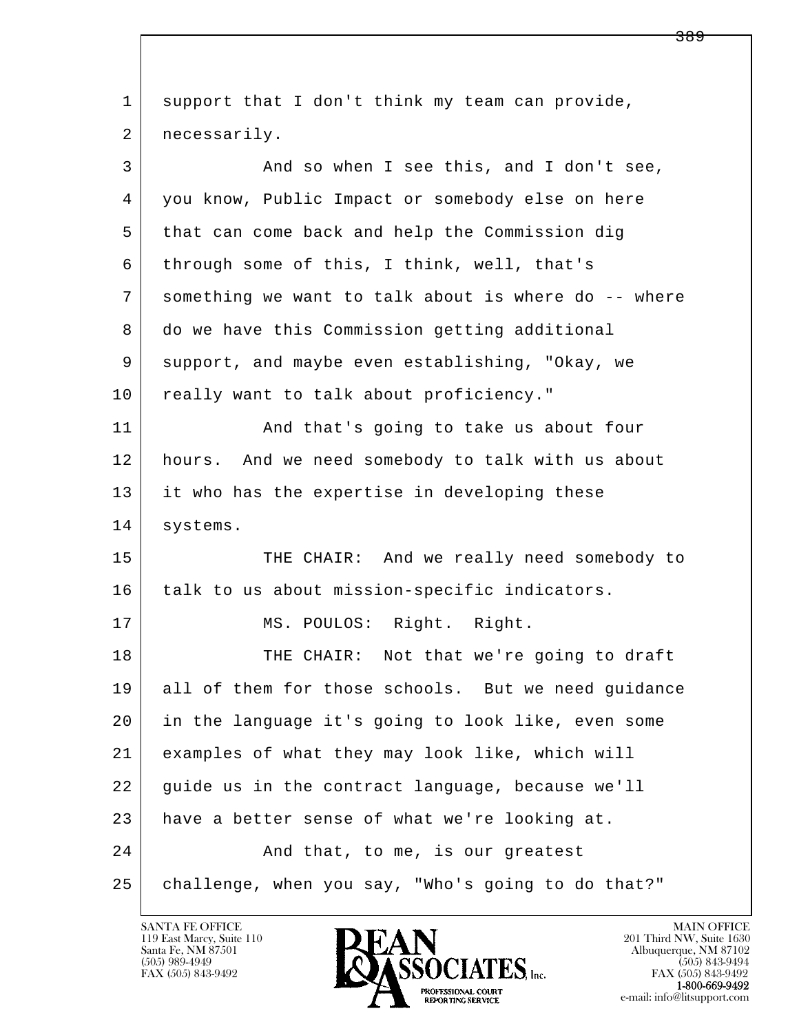| 1  | support that I don't think my team can provide,      |
|----|------------------------------------------------------|
| 2  | necessarily.                                         |
| 3  | And so when I see this, and I don't see,             |
| 4  | you know, Public Impact or somebody else on here     |
| 5  | that can come back and help the Commission dig       |
| 6  | through some of this, I think, well, that's          |
| 7  | something we want to talk about is where do -- where |
| 8  | do we have this Commission getting additional        |
| 9  | support, and maybe even establishing, "Okay, we      |
| 10 | really want to talk about proficiency."              |
| 11 | And that's going to take us about four               |
| 12 | hours. And we need somebody to talk with us about    |
| 13 | it who has the expertise in developing these         |
| 14 | systems.                                             |
| 15 | THE CHAIR: And we really need somebody to            |
| 16 | talk to us about mission-specific indicators.        |
| 17 | MS. POULOS: Right. Right.                            |
| 18 | THE CHAIR: Not that we're going to draft             |
| 19 | all of them for those schools. But we need quidance  |
| 20 | in the language it's going to look like, even some   |
| 21 | examples of what they may look like, which will      |
| 22 | quide us in the contract language, because we'll     |
| 23 | have a better sense of what we're looking at.        |
| 24 | And that, to me, is our greatest                     |
| 25 | challenge, when you say, "Who's going to do that?"   |

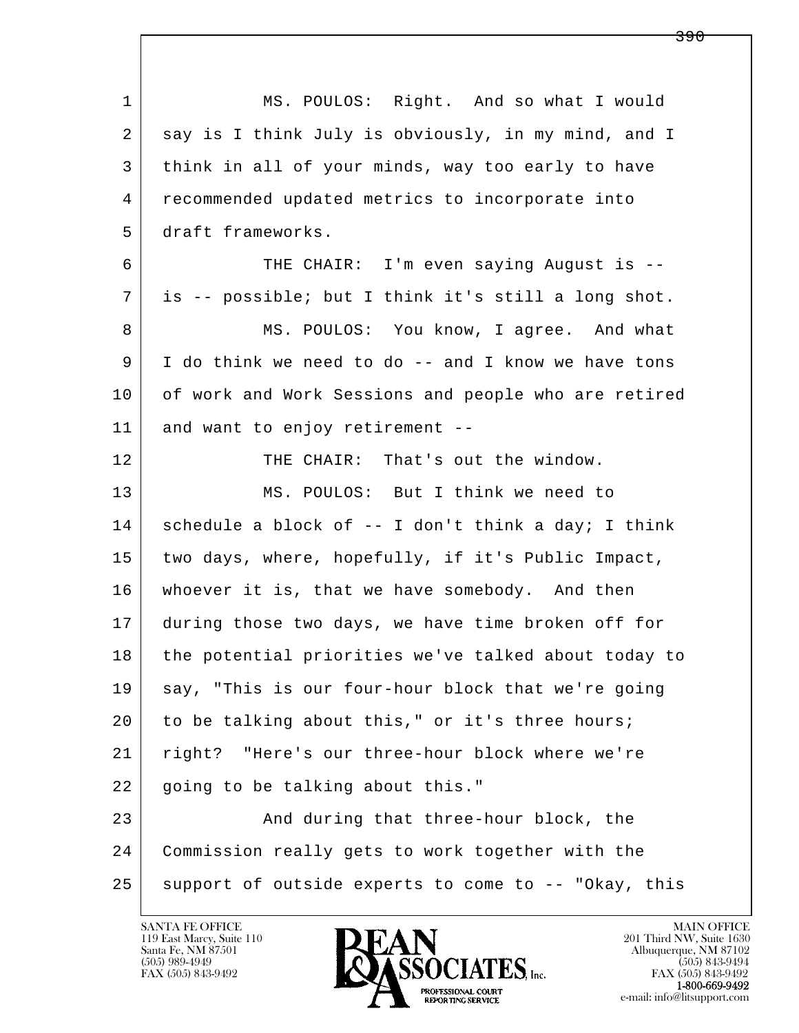| $\mathbf 1$ | MS. POULOS: Right. And so what I would               |
|-------------|------------------------------------------------------|
| 2           | say is I think July is obviously, in my mind, and I  |
| 3           | think in all of your minds, way too early to have    |
| 4           | recommended updated metrics to incorporate into      |
| 5           | draft frameworks.                                    |
| 6           | THE CHAIR: I'm even saying August is --              |
| 7           | is -- possible; but I think it's still a long shot.  |
| 8           | MS. POULOS: You know, I agree. And what              |
| 9           | I do think we need to do -- and I know we have tons  |
| 10          | of work and Work Sessions and people who are retired |
| 11          | and want to enjoy retirement --                      |
| 12          | THE CHAIR: That's out the window.                    |
| 13          | MS. POULOS: But I think we need to                   |
| 14          | schedule a block of -- I don't think a day; I think  |
| 15          | two days, where, hopefully, if it's Public Impact,   |
| 16          | whoever it is, that we have somebody. And then       |
| 17          | during those two days, we have time broken off for   |
| 18          | the potential priorities we've talked about today to |
| 19          | say, "This is our four-hour block that we're going   |
| 20          | to be talking about this," or it's three hours;      |
| 21          | right? "Here's our three-hour block where we're      |
| 22          | going to be talking about this."                     |
| 23          | And during that three-hour block, the                |
| 24          | Commission really gets to work together with the     |
| 25          | support of outside experts to come to -- "Okay, this |

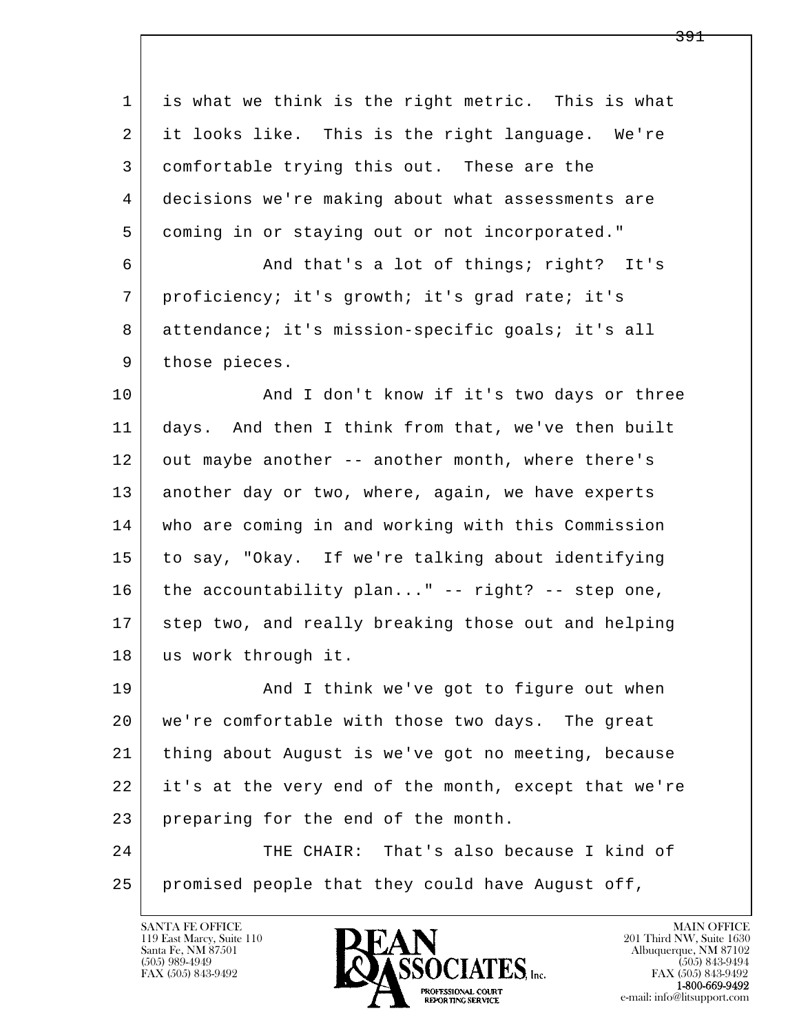| 1  | is what we think is the right metric. This is what   |
|----|------------------------------------------------------|
| 2  | it looks like. This is the right language. We're     |
| 3  | comfortable trying this out. These are the           |
| 4  | decisions we're making about what assessments are    |
| 5  | coming in or staying out or not incorporated."       |
| 6  | And that's a lot of things; right? It's              |
| 7  | proficiency; it's growth; it's grad rate; it's       |
| 8  | attendance; it's mission-specific goals; it's all    |
| 9  | those pieces.                                        |
| 10 | And I don't know if it's two days or three           |
| 11 | days. And then I think from that, we've then built   |
| 12 | out maybe another -- another month, where there's    |
| 13 | another day or two, where, again, we have experts    |
| 14 | who are coming in and working with this Commission   |
| 15 | to say, "Okay. If we're talking about identifying    |
| 16 | the accountability plan" -- right? -- step one,      |
| 17 | step two, and really breaking those out and helping  |
| 18 | us work through it.                                  |
| 19 | And I think we've got to figure out when             |
| 20 | we're comfortable with those two days. The great     |
| 21 | thing about August is we've got no meeting, because  |
| 22 | it's at the very end of the month, except that we're |
| 23 | preparing for the end of the month.                  |
| 24 | That's also because I kind of<br>THE CHAIR:          |
| 25 | promised people that they could have August off,     |
|    |                                                      |

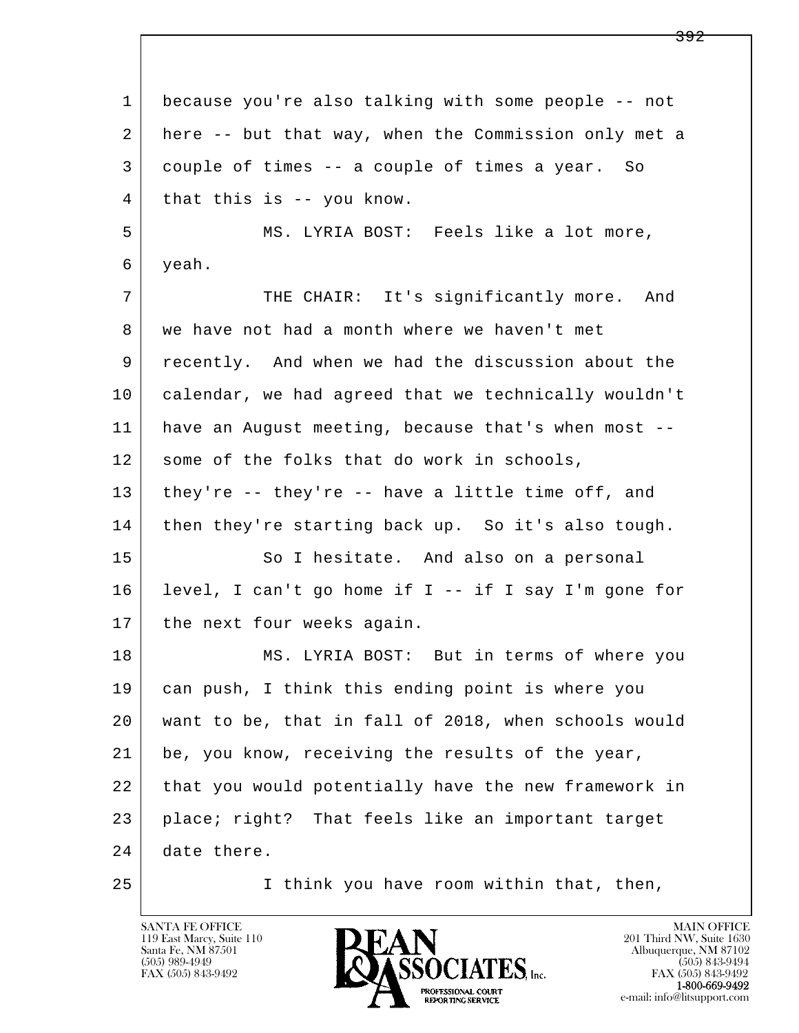l  $\overline{\phantom{a}}$  1 because you're also talking with some people -- not 2 here -- but that way, when the Commission only met a 3 couple of times -- a couple of times a year. So 4 | that this is -- you know. 5 MS. LYRIA BOST: Feels like a lot more, 6 yeah. 7 THE CHAIR: It's significantly more. And 8 we have not had a month where we haven't met 9 recently. And when we had the discussion about the 10 calendar, we had agreed that we technically wouldn't 11 have an August meeting, because that's when most -- 12 some of the folks that do work in schools, 13 they're -- they're -- have a little time off, and 14 then they're starting back up. So it's also tough. 15 So I hesitate. And also on a personal 16 level, I can't go home if I -- if I say I'm gone for 17 the next four weeks again. 18 MS. LYRIA BOST: But in terms of where you 19 can push, I think this ending point is where you 20 want to be, that in fall of 2018, when schools would 21 be, you know, receiving the results of the year, 22 that you would potentially have the new framework in 23 place; right? That feels like an important target 24 date there. 25 I think you have room within that, then,

119 East Marcy, Suite 110<br>Santa Fe, NM 87501

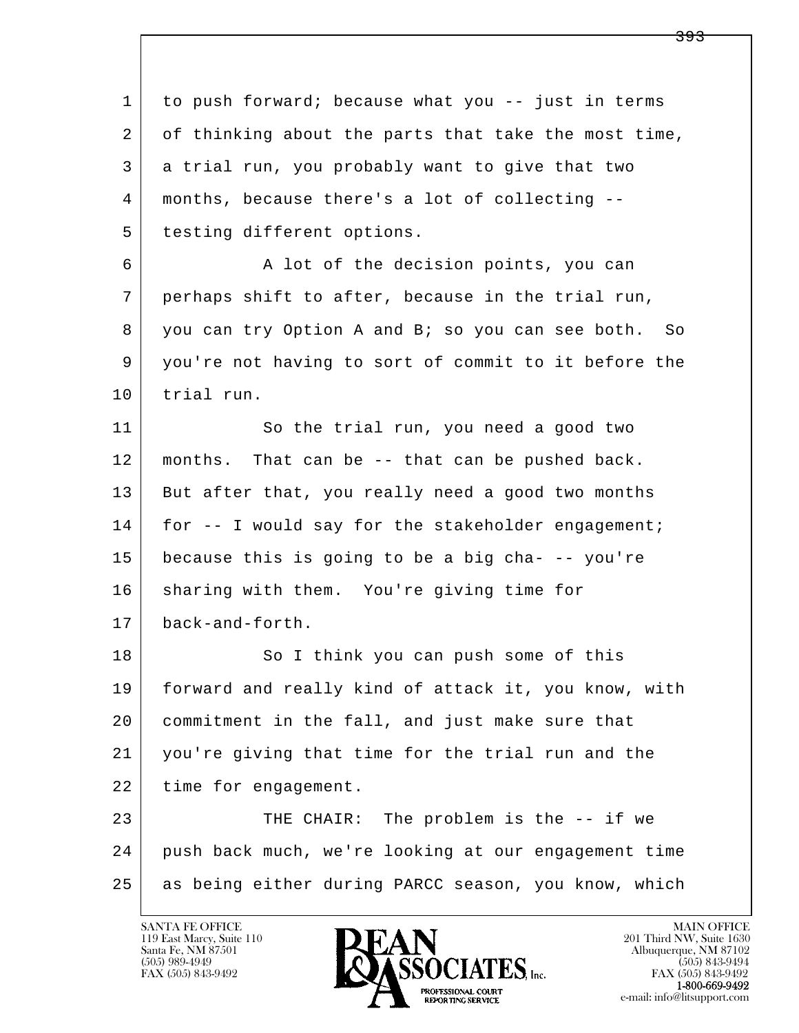l  $\overline{\phantom{a}}$  1 to push forward; because what you -- just in terms 2 of thinking about the parts that take the most time, 3 a trial run, you probably want to give that two 4 months, because there's a lot of collecting -- 5 | testing different options. 6 A lot of the decision points, you can 7 perhaps shift to after, because in the trial run, 8 you can try Option A and B; so you can see both. So 9 you're not having to sort of commit to it before the 10 trial run. 11 So the trial run, you need a good two 12 months. That can be -- that can be pushed back. 13 But after that, you really need a good two months 14 for -- I would say for the stakeholder engagement; 15 because this is going to be a big cha- -- you're 16 sharing with them. You're giving time for 17 back-and-forth. 18 So I think you can push some of this 19 forward and really kind of attack it, you know, with 20 commitment in the fall, and just make sure that 21 you're giving that time for the trial run and the 22 | time for engagement. 23 THE CHAIR: The problem is the -- if we 24 push back much, we're looking at our engagement time 25 as being either during PARCC season, you know, which

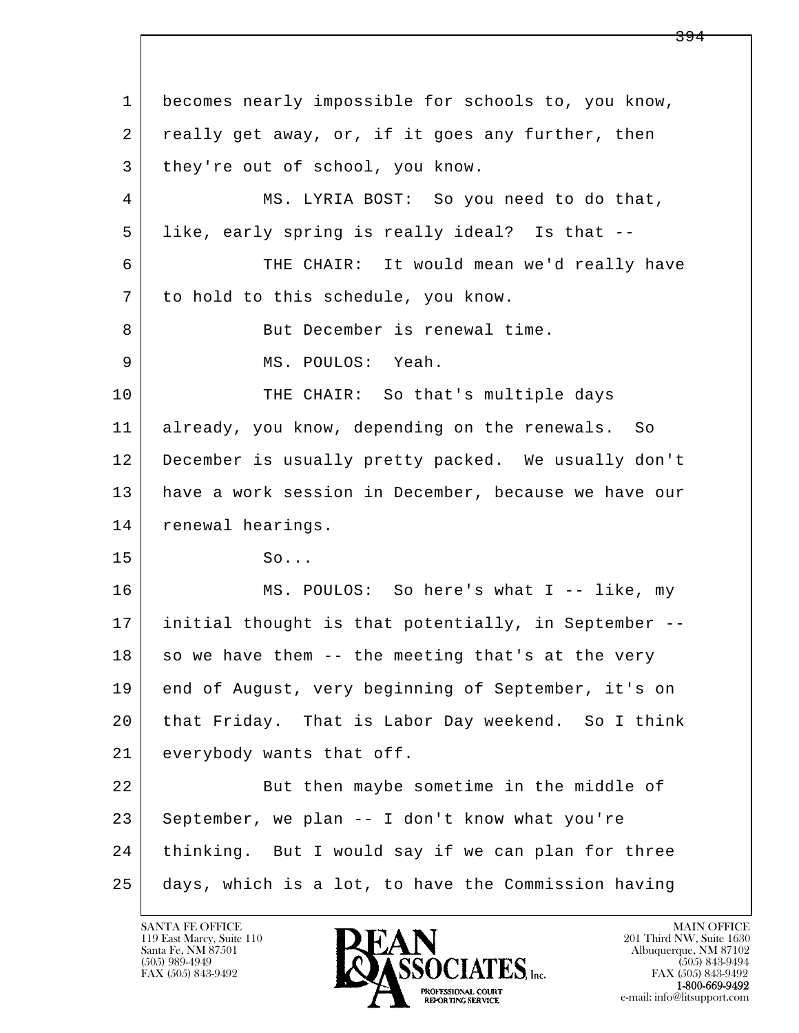l  $\overline{\phantom{a}}$  1 becomes nearly impossible for schools to, you know, 2 | really get away, or, if it goes any further, then 3 they're out of school, you know. 4 MS. LYRIA BOST: So you need to do that, 5 like, early spring is really ideal? Is that -- 6 THE CHAIR: It would mean we'd really have 7 to hold to this schedule, you know. 8 | But December is renewal time. 9 | MS. POULOS: Yeah. 10 THE CHAIR: So that's multiple days 11 already, you know, depending on the renewals. So 12 December is usually pretty packed. We usually don't 13 have a work session in December, because we have our 14 renewal hearings. 15 So... 16 MS. POULOS: So here's what I -- like, my 17 initial thought is that potentially, in September --  $18$  so we have them  $-$  the meeting that's at the very 19 end of August, very beginning of September, it's on 20 that Friday. That is Labor Day weekend. So I think 21 everybody wants that off. 22 But then maybe sometime in the middle of 23 September, we plan -- I don't know what you're 24 | thinking. But I would say if we can plan for three 25 days, which is a lot, to have the Commission having

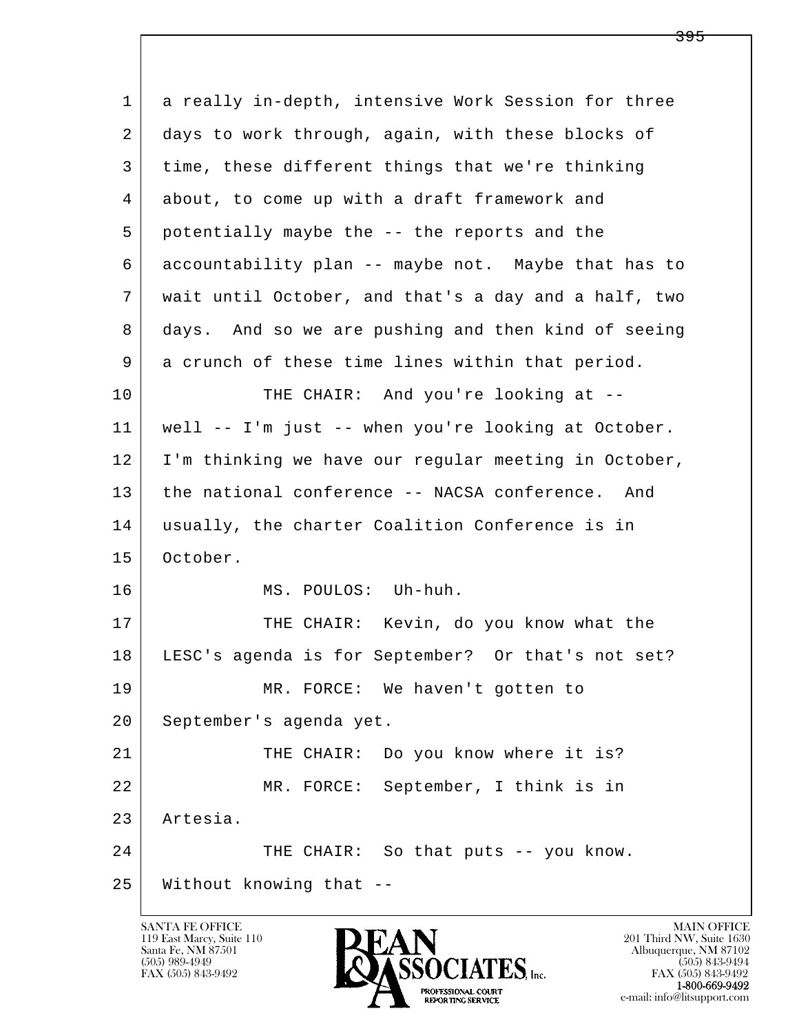| $\mathbf{1}$ | a really in-depth, intensive Work Session for three  |
|--------------|------------------------------------------------------|
| 2            | days to work through, again, with these blocks of    |
| 3            | time, these different things that we're thinking     |
| 4            | about, to come up with a draft framework and         |
| 5            | potentially maybe the -- the reports and the         |
| 6            | accountability plan -- maybe not. Maybe that has to  |
| 7            | wait until October, and that's a day and a half, two |
| 8            | days. And so we are pushing and then kind of seeing  |
| 9            | a crunch of these time lines within that period.     |
| 10           | THE CHAIR: And you're looking at --                  |
| 11           | well -- I'm just -- when you're looking at October.  |
| 12           | I'm thinking we have our regular meeting in October, |
| 13           | the national conference -- NACSA conference. And     |
| 14           | usually, the charter Coalition Conference is in      |
| 15           | October.                                             |
| 16           | MS. POULOS: Uh-huh.                                  |
| 17           | THE CHAIR: Kevin, do you know what the               |
| 18           | LESC's agenda is for September? Or that's not set?   |
| 19           | MR. FORCE: We haven't gotten to                      |
| 20           | September's agenda yet.                              |
| 21           | THE CHAIR: Do you know where it is?                  |
| 22           | MR. FORCE: September, I think is in                  |
| 23           | Artesia.                                             |
| 24           | THE CHAIR: So that puts -- you know.                 |
| 25           | Without knowing that --                              |

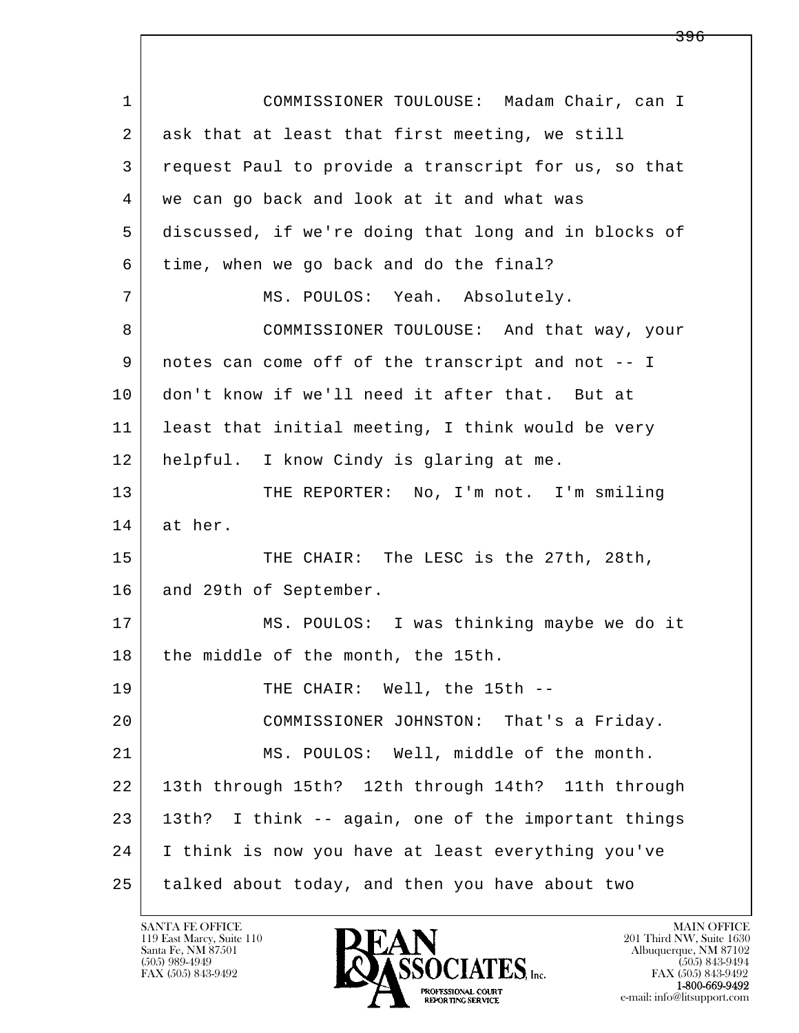l  $\overline{\phantom{a}}$  1 COMMISSIONER TOULOUSE: Madam Chair, can I 2 ask that at least that first meeting, we still 3 request Paul to provide a transcript for us, so that 4 we can go back and look at it and what was 5 discussed, if we're doing that long and in blocks of 6 time, when we go back and do the final? 7 | MS. POULOS: Yeah. Absolutely. 8 COMMISSIONER TOULOUSE: And that way, your 9 notes can come off of the transcript and not -- I 10 don't know if we'll need it after that. But at 11 least that initial meeting, I think would be very 12 helpful. I know Cindy is glaring at me. 13 THE REPORTER: No, I'm not. I'm smiling 14 at her. 15 THE CHAIR: The LESC is the 27th, 28th, 16 and 29th of September. 17 | MS. POULOS: I was thinking maybe we do it 18 the middle of the month, the 15th. 19 THE CHAIR: Well, the 15th -- 20 COMMISSIONER JOHNSTON: That's a Friday. 21 MS. POULOS: Well, middle of the month. 22 13th through 15th? 12th through 14th? 11th through 23 13th? I think -- again, one of the important things 24 I think is now you have at least everything you've 25 talked about today, and then you have about two

119 East Marcy, Suite 110<br>Santa Fe, NM 87501



<del>396</del>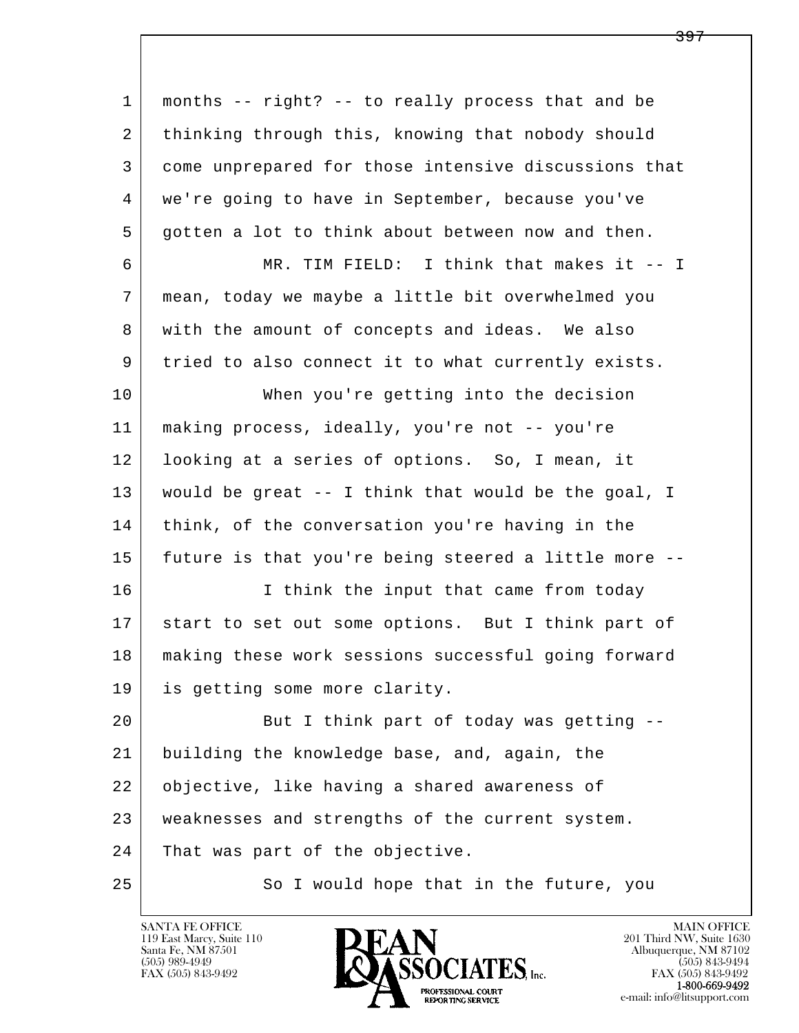| 1  | months -- right? -- to really process that and be    |
|----|------------------------------------------------------|
| 2  | thinking through this, knowing that nobody should    |
| 3  | come unprepared for those intensive discussions that |
| 4  | we're going to have in September, because you've     |
| 5  | gotten a lot to think about between now and then.    |
| 6  | MR. TIM FIELD: I think that makes it -- I            |
| 7  | mean, today we maybe a little bit overwhelmed you    |
| 8  | with the amount of concepts and ideas. We also       |
| 9  | tried to also connect it to what currently exists.   |
| 10 | When you're getting into the decision                |
| 11 | making process, ideally, you're not -- you're        |
| 12 | looking at a series of options. So, I mean, it       |
| 13 | would be great -- I think that would be the goal, I  |
| 14 | think, of the conversation you're having in the      |
| 15 | future is that you're being steered a little more -- |
| 16 | I think the input that came from today               |
| 17 | start to set out some options. But I think part of   |
| 18 | making these work sessions successful going forward  |
| 19 | is getting some more clarity.                        |
| 20 | But I think part of today was getting --             |
| 21 | building the knowledge base, and, again, the         |
| 22 | objective, like having a shared awareness of         |
| 23 | weaknesses and strengths of the current system.      |
| 24 | That was part of the objective.                      |
| 25 | So I would hope that in the future, you              |

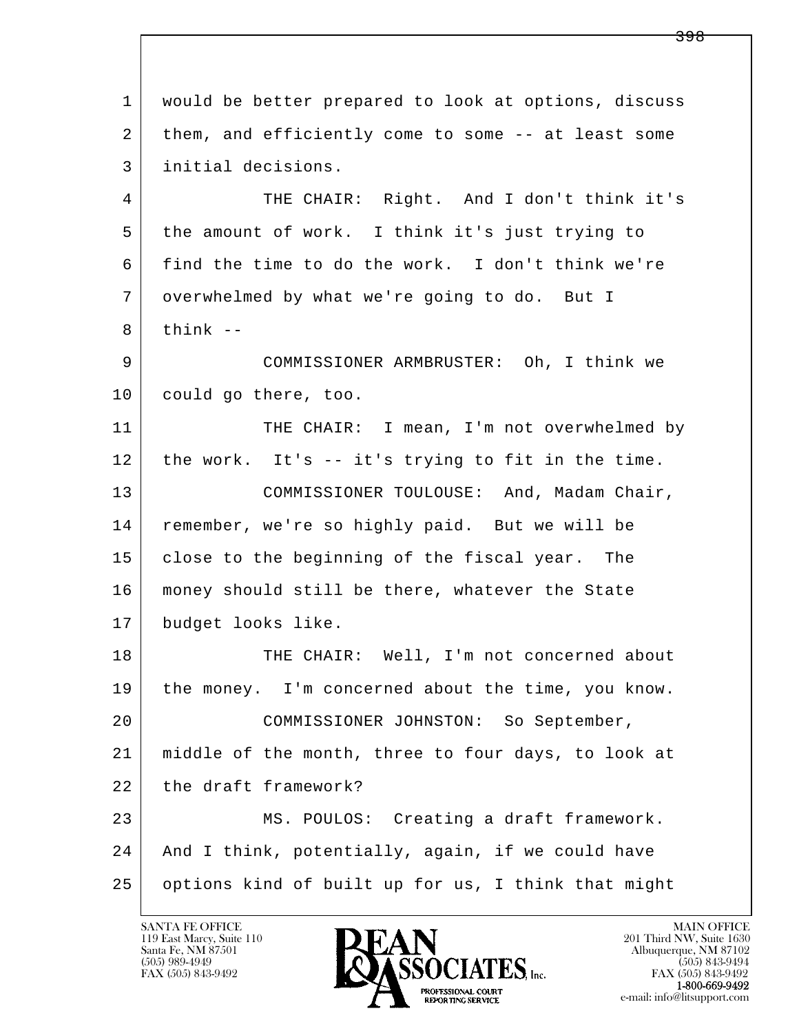l  $\overline{\phantom{a}}$  1 would be better prepared to look at options, discuss 2 | them, and efficiently come to some -- at least some 3 initial decisions. 4 THE CHAIR: Right. And I don't think it's 5 the amount of work. I think it's just trying to 6 find the time to do the work. I don't think we're 7 overwhelmed by what we're going to do. But I  $8$  think  $-$  9 COMMISSIONER ARMBRUSTER: Oh, I think we 10 could go there, too. 11 THE CHAIR: I mean, I'm not overwhelmed by 12 the work. It's -- it's trying to fit in the time. 13 | COMMISSIONER TOULOUSE: And, Madam Chair, 14 remember, we're so highly paid. But we will be 15 close to the beginning of the fiscal year. The 16 money should still be there, whatever the State 17 budget looks like. 18 THE CHAIR: Well, I'm not concerned about 19 the money. I'm concerned about the time, you know. 20 COMMISSIONER JOHNSTON: So September, 21 middle of the month, three to four days, to look at 22 the draft framework? 23 MS. POULOS: Creating a draft framework. 24 And I think, potentially, again, if we could have 25 options kind of built up for us, I think that might

119 East Marcy, Suite 110<br>Santa Fe, NM 87501

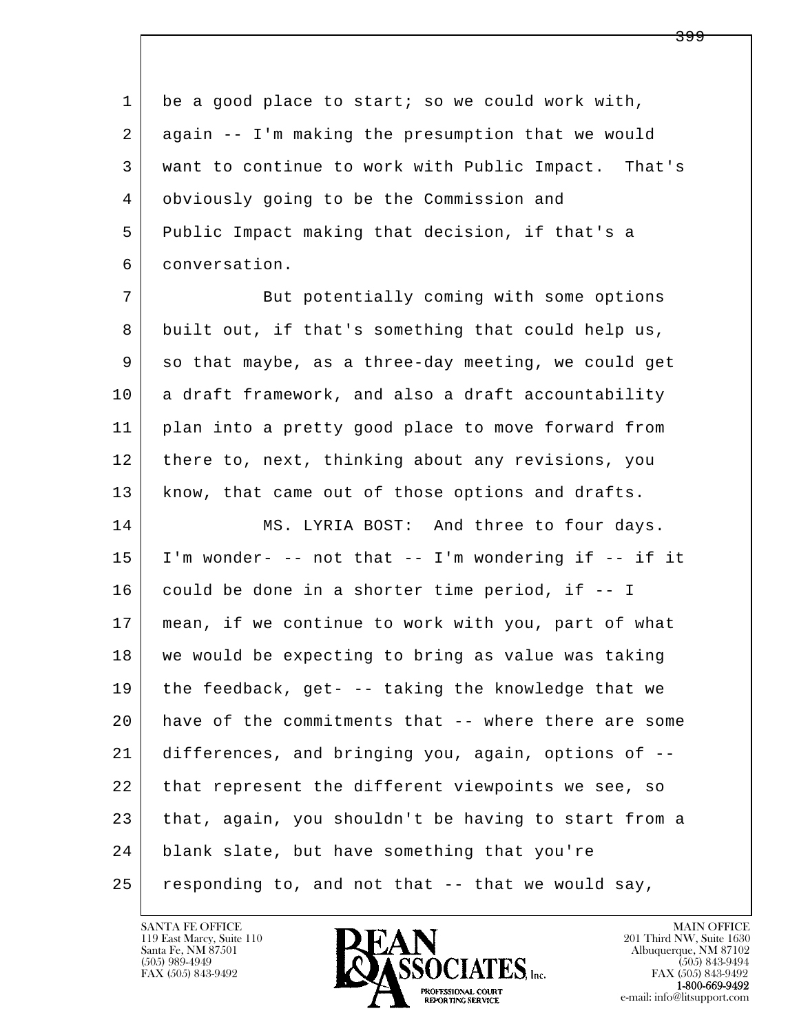1 be a good place to start; so we could work with, 2 again -- I'm making the presumption that we would 3 want to continue to work with Public Impact. That's 4 obviously going to be the Commission and 5 Public Impact making that decision, if that's a 6 conversation.

7 But potentially coming with some options 8 built out, if that's something that could help us, 9 so that maybe, as a three-day meeting, we could get 10 a draft framework, and also a draft accountability 11 plan into a pretty good place to move forward from 12 there to, next, thinking about any revisions, you 13 | know, that came out of those options and drafts.

l  $\overline{\phantom{a}}$ 14 MS. LYRIA BOST: And three to four days. 15 I'm wonder- -- not that -- I'm wondering if -- if it 16 could be done in a shorter time period, if -- I 17 mean, if we continue to work with you, part of what 18 we would be expecting to bring as value was taking 19 the feedback, get- -- taking the knowledge that we 20 have of the commitments that -- where there are some 21 differences, and bringing you, again, options of -- 22 that represent the different viewpoints we see, so 23 that, again, you shouldn't be having to start from a 24 blank slate, but have something that you're  $25$  responding to, and not that  $-$  that we would say,

119 East Marcy, Suite 110<br>Santa Fe, NM 87501

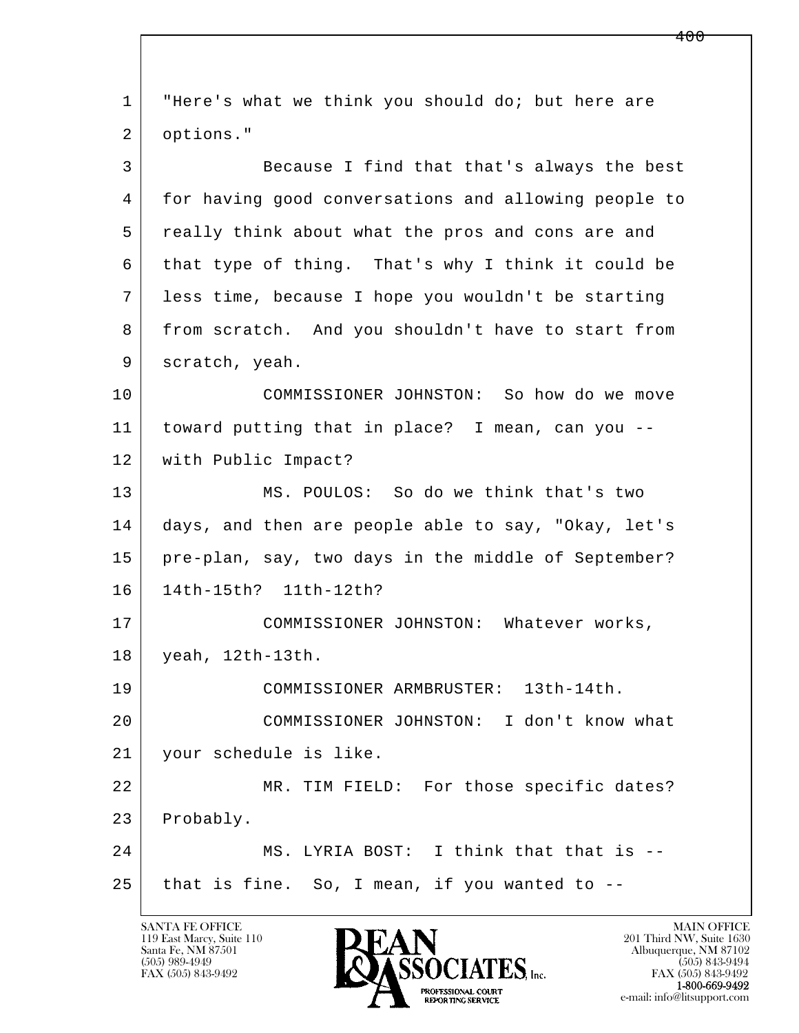l  $\overline{\phantom{a}}$  1 "Here's what we think you should do; but here are 2 options." 3 Because I find that that's always the best 4 for having good conversations and allowing people to 5 really think about what the pros and cons are and 6 that type of thing. That's why I think it could be 7 less time, because I hope you wouldn't be starting 8 from scratch. And you shouldn't have to start from 9 scratch, yeah. 10 COMMISSIONER JOHNSTON: So how do we move 11 toward putting that in place? I mean, can you -- 12 with Public Impact? 13 MS. POULOS: So do we think that's two 14 days, and then are people able to say, "Okay, let's 15 | pre-plan, say, two days in the middle of September? 16 14th-15th? 11th-12th? 17 COMMISSIONER JOHNSTON: Whatever works, 18 yeah, 12th-13th. 19 COMMISSIONER ARMBRUSTER: 13th-14th. 20 COMMISSIONER JOHNSTON: I don't know what 21 your schedule is like. 22 MR. TIM FIELD: For those specific dates? 23 Probably. 24 MS. LYRIA BOST: I think that that is -- $25$  that is fine. So, I mean, if you wanted to  $-$ 

119 East Marcy, Suite 110<br>Santa Fe, NM 87501

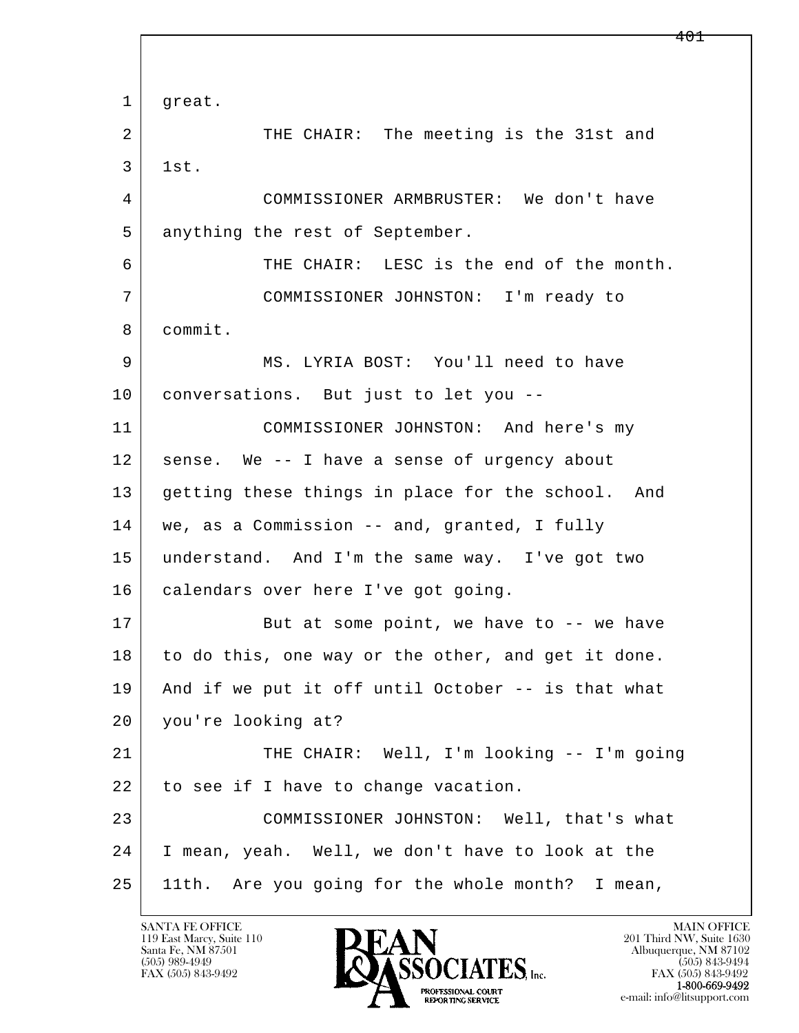l  $\overline{\phantom{a}}$ 1 | great. 2 THE CHAIR: The meeting is the 31st and 3 1st. 4 COMMISSIONER ARMBRUSTER: We don't have 5 anything the rest of September. 6 THE CHAIR: LESC is the end of the month. 7 COMMISSIONER JOHNSTON: I'm ready to 8 commit. 9 MS. LYRIA BOST: You'll need to have 10 conversations. But just to let you -- 11 COMMISSIONER JOHNSTON: And here's my 12 sense. We -- I have a sense of urgency about 13 getting these things in place for the school. And 14 | we, as a Commission -- and, granted, I fully 15 understand. And I'm the same way. I've got two 16 calendars over here I've got going. 17 But at some point, we have to -- we have 18 to do this, one way or the other, and get it done. 19 And if we put it off until October -- is that what 20 you're looking at? 21 | THE CHAIR: Well, I'm looking -- I'm going 22 to see if I have to change vacation. 23 COMMISSIONER JOHNSTON: Well, that's what 24 I mean, yeah. Well, we don't have to look at the 25 11th. Are you going for the whole month? I mean,

119 East Marcy, Suite 110<br>Santa Fe, NM 87501

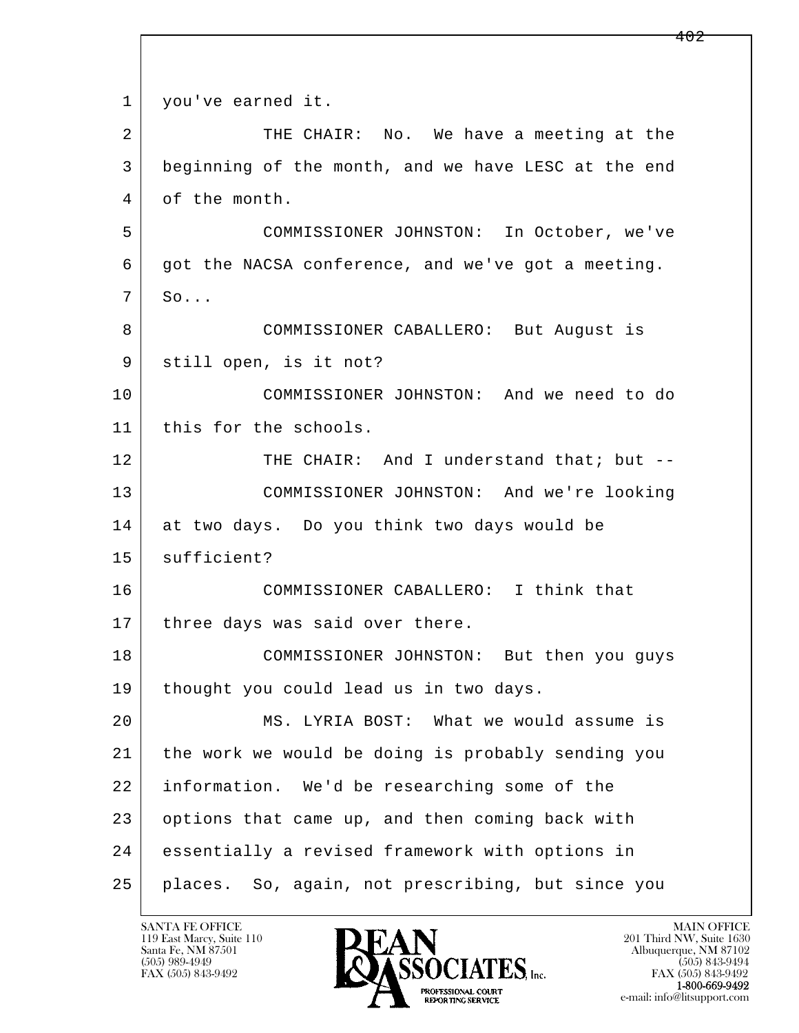l  $\overline{\phantom{a}}$ 1 | you've earned it. 2 THE CHAIR: No. We have a meeting at the 3 beginning of the month, and we have LESC at the end 4 of the month. 5 COMMISSIONER JOHNSTON: In October, we've 6 got the NACSA conference, and we've got a meeting.  $7 \mid \text{SO} \ldots$  8 COMMISSIONER CABALLERO: But August is 9 | still open, is it not? 10 COMMISSIONER JOHNSTON: And we need to do 11 | this for the schools. 12 THE CHAIR: And I understand that; but -- 13 COMMISSIONER JOHNSTON: And we're looking 14 at two days. Do you think two days would be 15 | sufficient? 16 COMMISSIONER CABALLERO: I think that 17 | three days was said over there. 18 COMMISSIONER JOHNSTON: But then you guys 19 | thought you could lead us in two days. 20 MS. LYRIA BOST: What we would assume is 21 the work we would be doing is probably sending you 22 information. We'd be researching some of the 23 options that came up, and then coming back with 24 essentially a revised framework with options in 25 places. So, again, not prescribing, but since you

119 East Marcy, Suite 110<br>Santa Fe, NM 87501

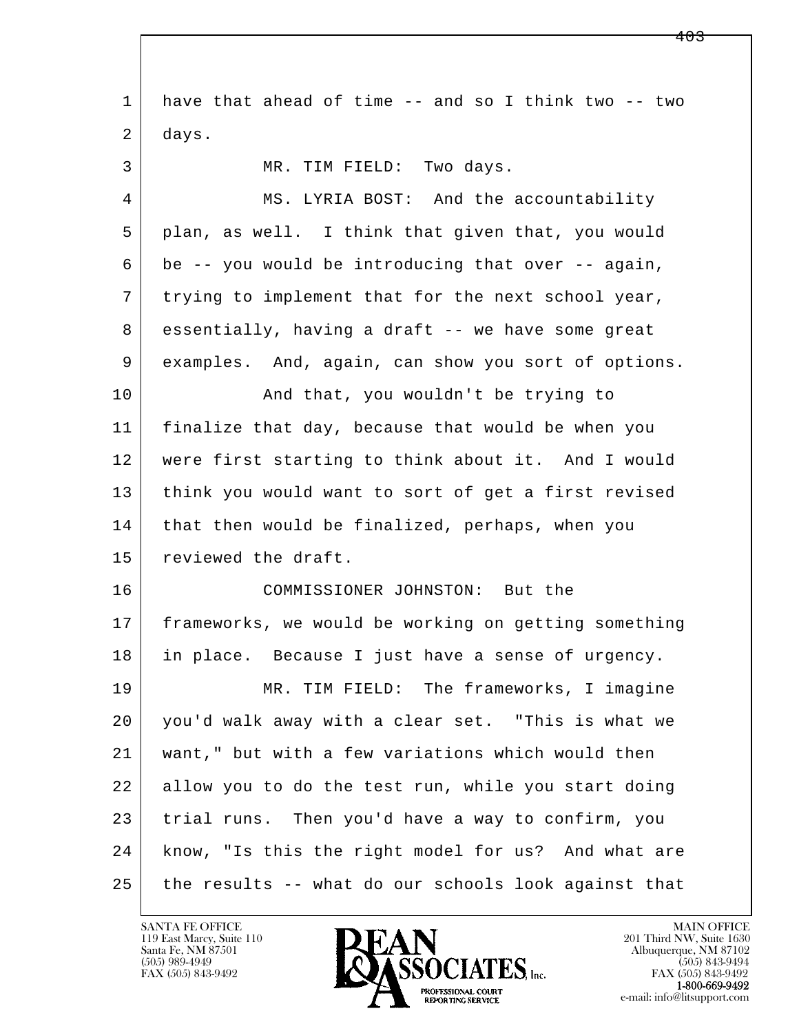l  $\overline{\phantom{a}}$  1 have that ahead of time -- and so I think two -- two 2 days. 3 MR. TIM FIELD: Two days. 4 MS. LYRIA BOST: And the accountability 5 plan, as well. I think that given that, you would 6 be -- you would be introducing that over -- again, 7 trying to implement that for the next school year, 8 essentially, having a draft -- we have some great 9 examples. And, again, can show you sort of options. 10 | And that, you wouldn't be trying to 11 finalize that day, because that would be when you 12 were first starting to think about it. And I would 13 think you would want to sort of get a first revised 14 that then would be finalized, perhaps, when you 15 reviewed the draft. 16 COMMISSIONER JOHNSTON: But the 17 frameworks, we would be working on getting something 18 in place. Because I just have a sense of urgency. 19 MR. TIM FIELD: The frameworks, I imagine 20 you'd walk away with a clear set. "This is what we 21 want," but with a few variations which would then 22 allow you to do the test run, while you start doing 23 trial runs. Then you'd have a way to confirm, you 24 know, "Is this the right model for us? And what are 25 the results -- what do our schools look against that

119 East Marcy, Suite 110<br>Santa Fe, NM 87501

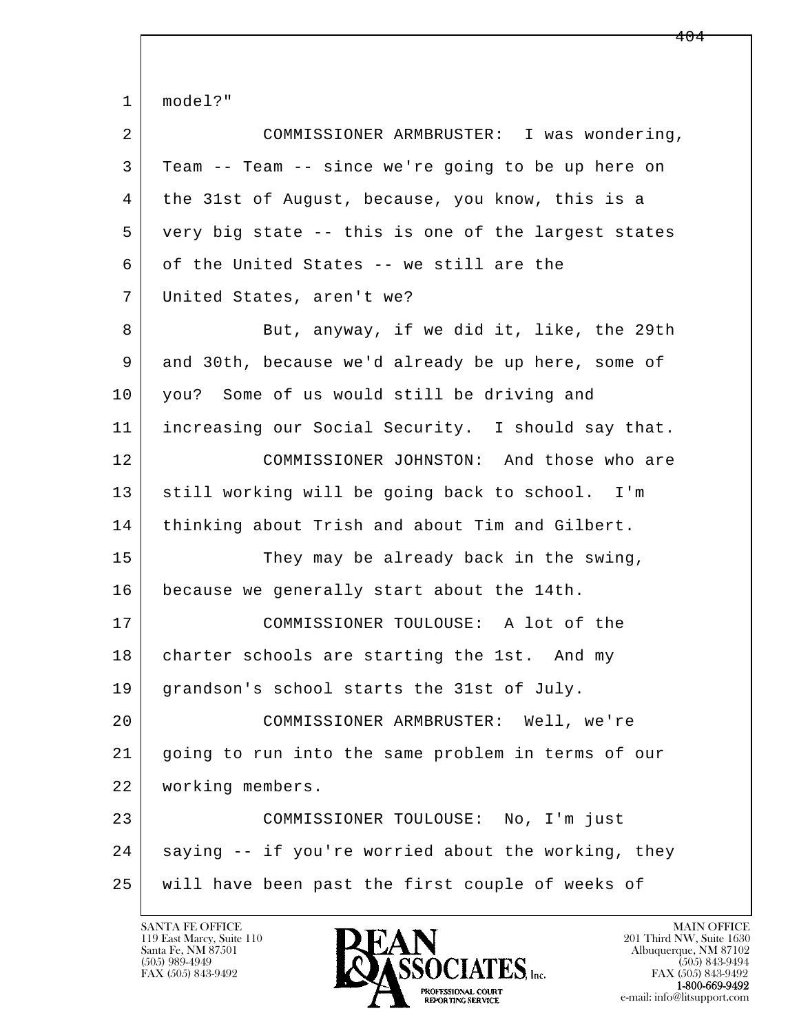l  $\overline{\phantom{a}}$  1 model?" 2 COMMISSIONER ARMBRUSTER: I was wondering, 3 Team -- Team -- since we're going to be up here on 4 the 31st of August, because, you know, this is a 5 very big state -- this is one of the largest states 6 of the United States -- we still are the 7 United States, aren't we? 8 But, anyway, if we did it, like, the 29th 9 and 30th, because we'd already be up here, some of 10 you? Some of us would still be driving and 11 increasing our Social Security. I should say that. 12 COMMISSIONER JOHNSTON: And those who are 13 still working will be going back to school. I'm 14 | thinking about Trish and about Tim and Gilbert. 15 They may be already back in the swing, 16 because we generally start about the 14th. 17 COMMISSIONER TOULOUSE: A lot of the 18 | charter schools are starting the 1st. And my 19 grandson's school starts the 31st of July. 20 COMMISSIONER ARMBRUSTER: Well, we're 21 going to run into the same problem in terms of our 22 working members. 23 COMMISSIONER TOULOUSE: No, I'm just 24 saying -- if you're worried about the working, they 25 will have been past the first couple of weeks of

119 East Marcy, Suite 110<br>Santa Fe, NM 87501

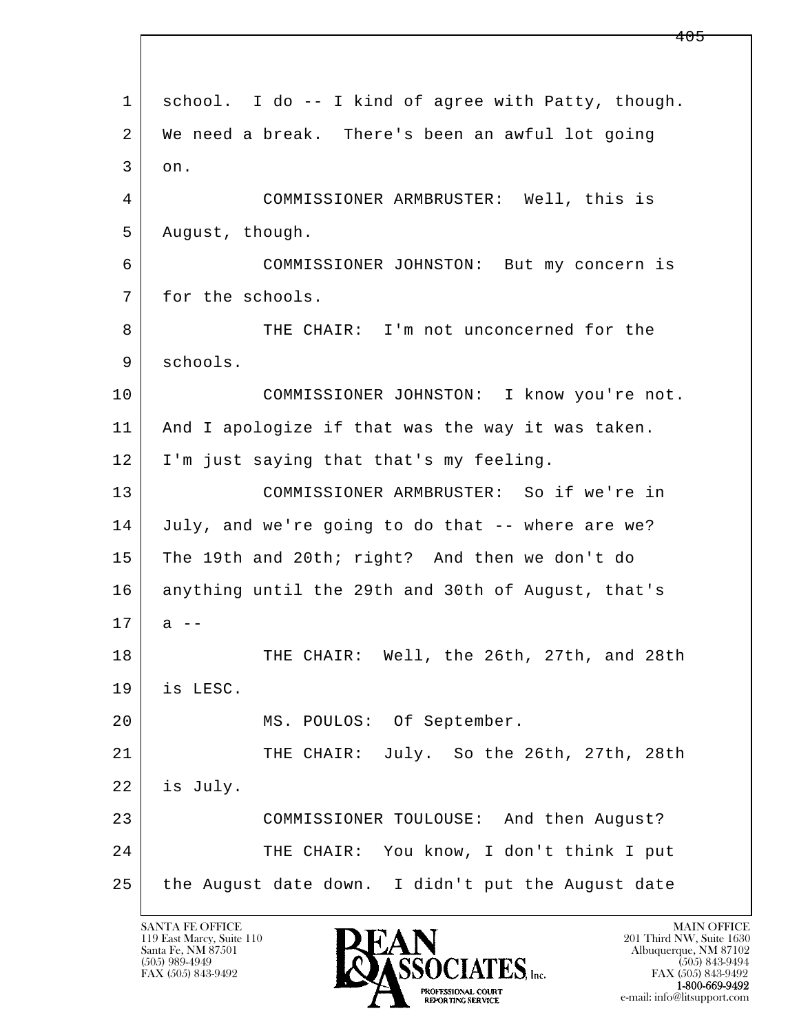l  $\overline{\phantom{a}}$  1 school. I do -- I kind of agree with Patty, though. 2 We need a break. There's been an awful lot going  $3$  on. 4 COMMISSIONER ARMBRUSTER: Well, this is 5 | August, though. 6 COMMISSIONER JOHNSTON: But my concern is 7 for the schools. 8 THE CHAIR: I'm not unconcerned for the 9 schools. 10 COMMISSIONER JOHNSTON: I know you're not. 11 And I apologize if that was the way it was taken. 12 I'm just saying that that's my feeling. 13 COMMISSIONER ARMBRUSTER: So if we're in 14 July, and we're going to do that -- where are we? 15 The 19th and 20th; right? And then we don't do 16 anything until the 29th and 30th of August, that's  $17$  a  $-$ 18 THE CHAIR: Well, the 26th, 27th, and 28th 19 is LESC. 20 MS. POULOS: Of September. 21 THE CHAIR: July. So the 26th, 27th, 28th 22 is July. 23 COMMISSIONER TOULOUSE: And then August? 24 THE CHAIR: You know, I don't think I put 25 the August date down. I didn't put the August date

119 East Marcy, Suite 110<br>Santa Fe, NM 87501

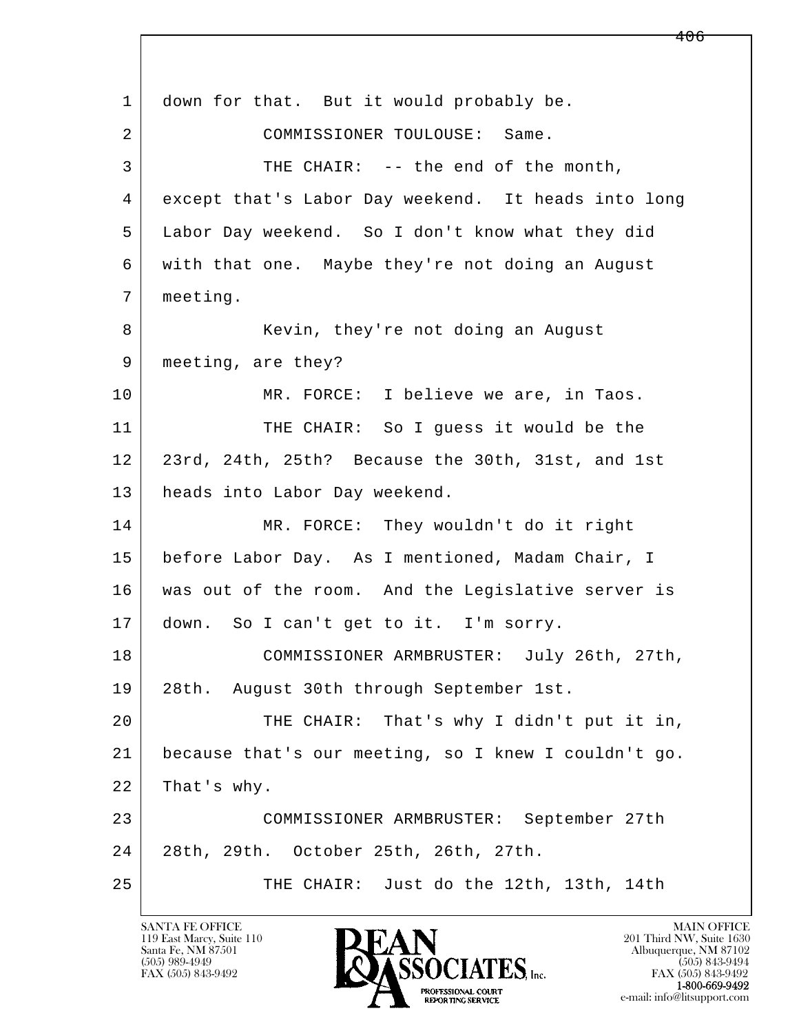l  $\overline{\phantom{a}}$ 1 down for that. But it would probably be. 2 COMMISSIONER TOULOUSE: Same. 3 THE CHAIR: -- the end of the month, 4 except that's Labor Day weekend. It heads into long 5 Labor Day weekend. So I don't know what they did 6 with that one. Maybe they're not doing an August 7 meeting. 8 | Kevin, they're not doing an August 9 | meeting, are they? 10 MR. FORCE: I believe we are, in Taos. 11 THE CHAIR: So I guess it would be the 12 23rd, 24th, 25th? Because the 30th, 31st, and 1st 13 heads into Labor Day weekend. 14 MR. FORCE: They wouldn't do it right 15 before Labor Day. As I mentioned, Madam Chair, I 16 was out of the room. And the Legislative server is 17 down. So I can't get to it. I'm sorry. 18 COMMISSIONER ARMBRUSTER: July 26th, 27th, 19 28th. August 30th through September 1st. 20 THE CHAIR: That's why I didn't put it in, 21 because that's our meeting, so I knew I couldn't go. 22 That's why. 23 COMMISSIONER ARMBRUSTER: September 27th 24 28th, 29th. October 25th, 26th, 27th. 25 THE CHAIR: Just do the 12th, 13th, 14th

119 East Marcy, Suite 110<br>Santa Fe, NM 87501

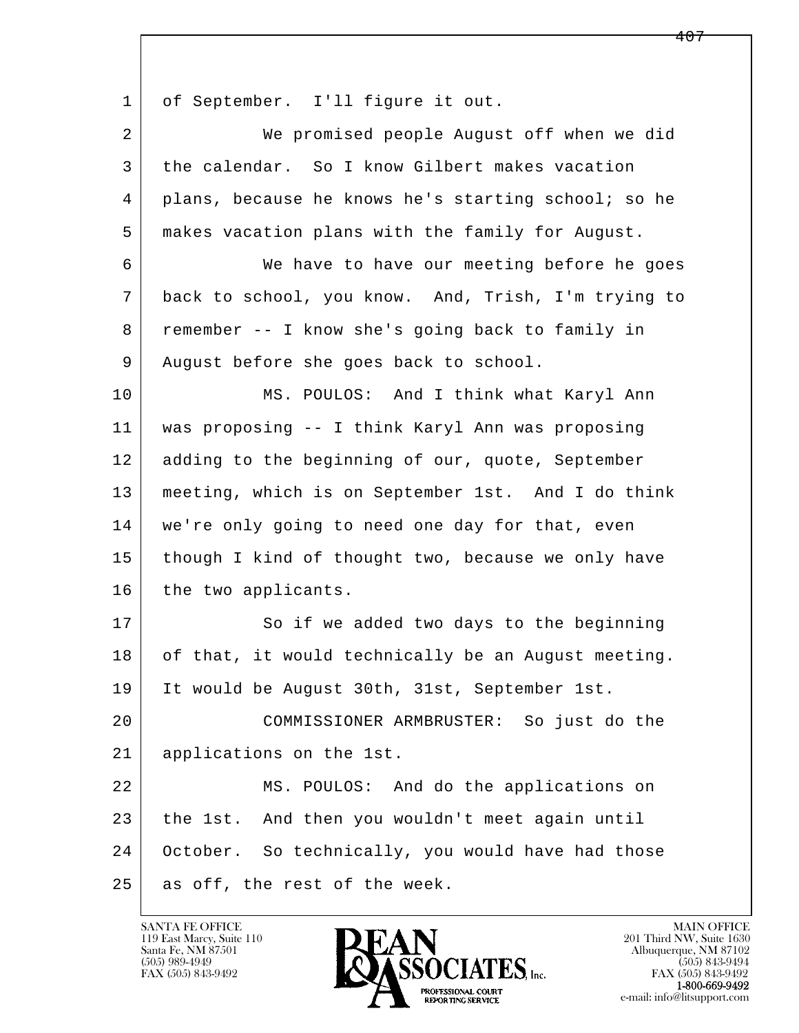1 of September. I'll figure it out.

| $\overline{a}$ | We promised people August off when we did           |
|----------------|-----------------------------------------------------|
| 3              | the calendar. So I know Gilbert makes vacation      |
| 4              | plans, because he knows he's starting school; so he |
| 5              | makes vacation plans with the family for August.    |
| 6              | We have to have our meeting before he goes          |
| 7              | back to school, you know. And, Trish, I'm trying to |
| 8              | remember -- I know she's going back to family in    |
| 9              | August before she goes back to school.              |
| 10             | MS. POULOS: And I think what Karyl Ann              |
| 11             | was proposing -- I think Karyl Ann was proposing    |
| 12             | adding to the beginning of our, quote, September    |
| 13             | meeting, which is on September 1st. And I do think  |
| 14             | we're only going to need one day for that, even     |
| 15             | though I kind of thought two, because we only have  |
| 16             | the two applicants.                                 |
| 17             | So if we added two days to the beginning            |
| 18             | of that, it would technically be an August meeting. |
| 19             | It would be August 30th, 31st, September 1st.       |
| 20             | COMMISSIONER ARMBRUSTER: So just do the             |
| 21             | applications on the 1st.                            |
| 22             | MS. POULOS: And do the applications on              |
| 23             | the 1st. And then you wouldn't meet again until     |
| 24             | October. So technically, you would have had those   |
| 25             | as off, the rest of the week.                       |

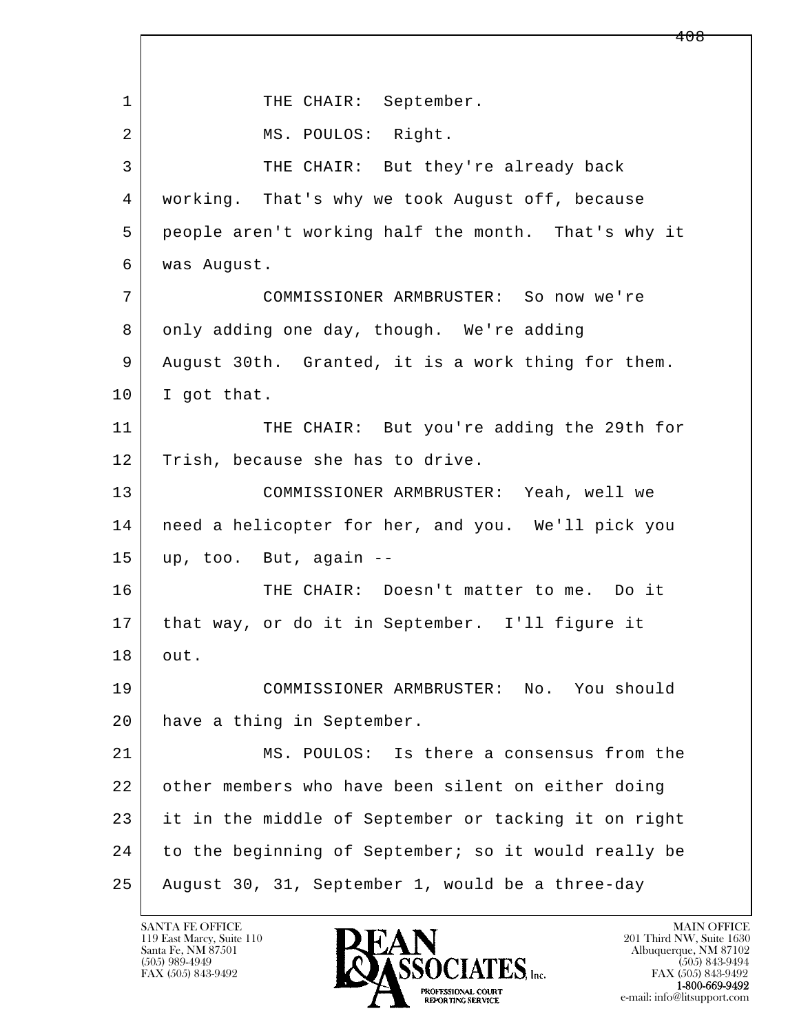l  $\overline{\phantom{a}}$ 1 | THE CHAIR: September. 2 MS. POULOS: Right. 3 THE CHAIR: But they're already back 4 working. That's why we took August off, because 5 people aren't working half the month. That's why it 6 was August. 7 COMMISSIONER ARMBRUSTER: So now we're 8 only adding one day, though. We're adding 9 August 30th. Granted, it is a work thing for them.  $10$  I got that. 11 THE CHAIR: But you're adding the 29th for 12 Trish, because she has to drive. 13 COMMISSIONER ARMBRUSTER: Yeah, well we 14 need a helicopter for her, and you. We'll pick you  $15$  up, too. But, again  $-$ 16 THE CHAIR: Doesn't matter to me. Do it 17 that way, or do it in September. I'll figure it 18 out. 19 COMMISSIONER ARMBRUSTER: No. You should 20 have a thing in September. 21 MS. POULOS: Is there a consensus from the 22 other members who have been silent on either doing 23 it in the middle of September or tacking it on right 24 to the beginning of September; so it would really be 25 August 30, 31, September 1, would be a three-day

119 East Marcy, Suite 110<br>Santa Fe, NM 87501

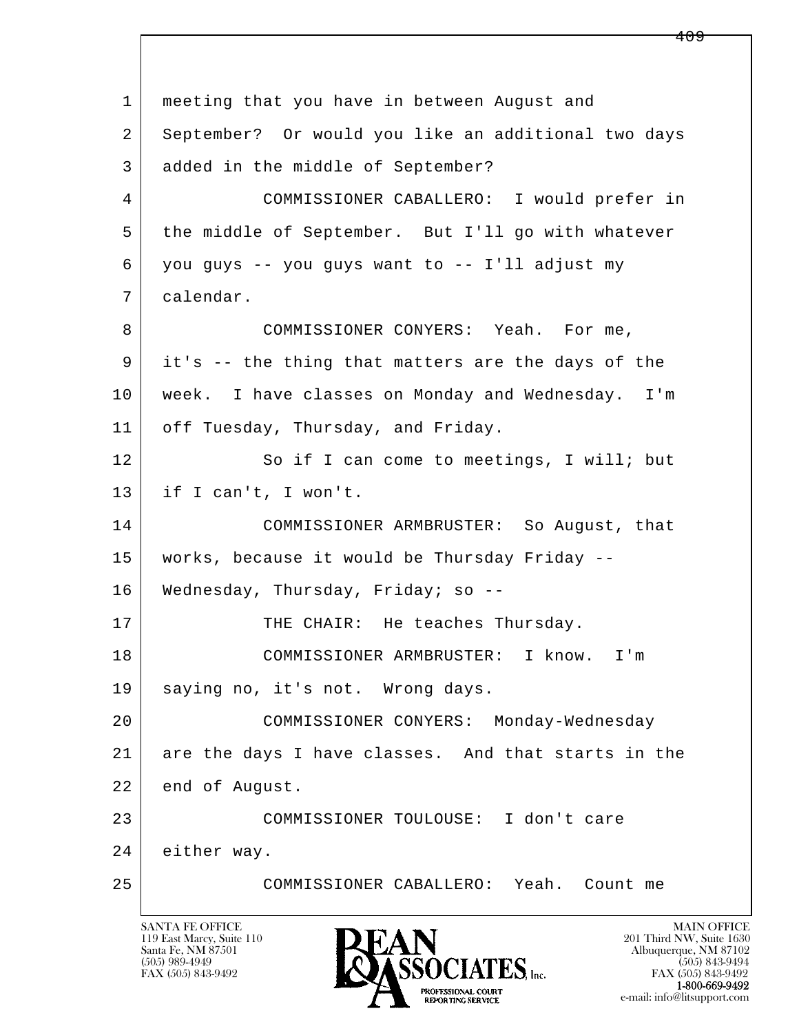l  $\overline{\phantom{a}}$  1 meeting that you have in between August and 2 September? Or would you like an additional two days 3 added in the middle of September? 4 COMMISSIONER CABALLERO: I would prefer in 5 the middle of September. But I'll go with whatever 6 you guys -- you guys want to -- I'll adjust my 7 calendar. 8 COMMISSIONER CONYERS: Yeah. For me, 9 it's -- the thing that matters are the days of the 10 week. I have classes on Monday and Wednesday. I'm 11 | off Tuesday, Thursday, and Friday. 12 So if I can come to meetings, I will; but 13 if I can't, I won't. 14 COMMISSIONER ARMBRUSTER: So August, that 15 works, because it would be Thursday Friday -- 16 Wednesday, Thursday, Friday; so --17 THE CHAIR: He teaches Thursday. 18 COMMISSIONER ARMBRUSTER: I know. I'm 19 | saying no, it's not. Wrong days. 20 COMMISSIONER CONYERS: Monday-Wednesday 21 are the days I have classes. And that starts in the 22 end of August. 23 COMMISSIONER TOULOUSE: I don't care 24 either way. 25 COMMISSIONER CABALLERO: Yeah. Count me

119 East Marcy, Suite 110<br>Santa Fe, NM 87501

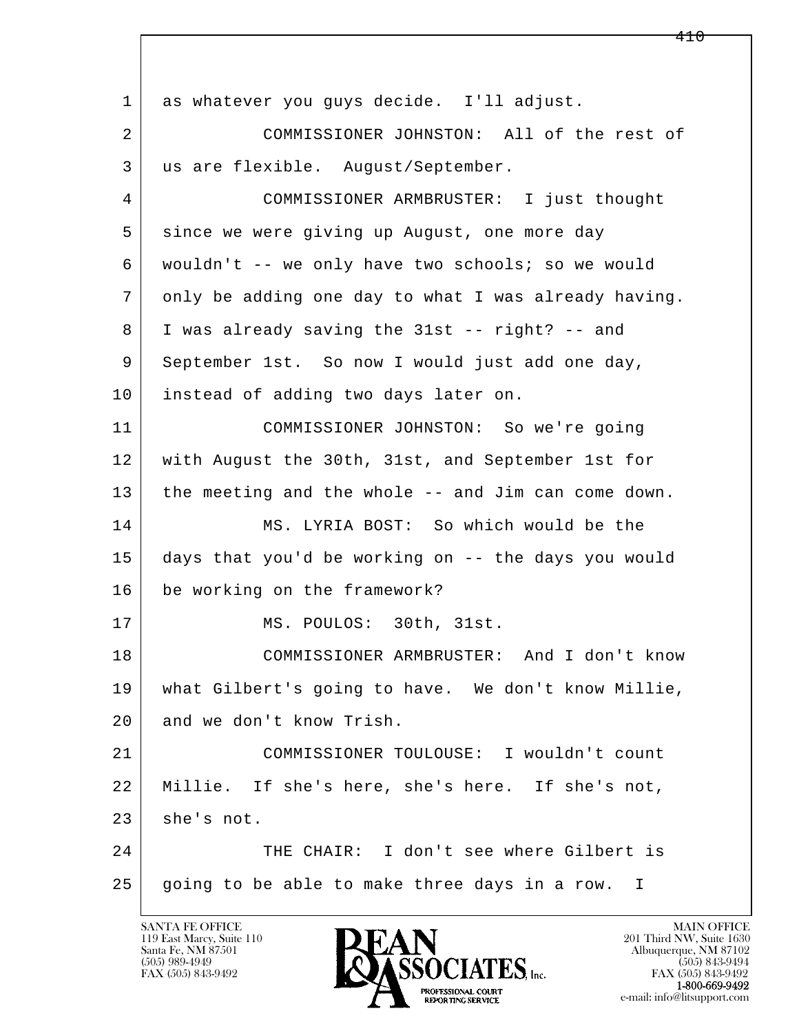l  $\overline{\phantom{a}}$  1 as whatever you guys decide. I'll adjust. 2 COMMISSIONER JOHNSTON: All of the rest of 3 us are flexible. August/September. 4 COMMISSIONER ARMBRUSTER: I just thought 5 since we were giving up August, one more day 6 wouldn't -- we only have two schools; so we would 7 only be adding one day to what I was already having. 8 I was already saving the 31st -- right? -- and 9 September 1st. So now I would just add one day, 10 instead of adding two days later on. 11 COMMISSIONER JOHNSTON: So we're going 12 with August the 30th, 31st, and September 1st for 13 the meeting and the whole -- and Jim can come down. 14 MS. LYRIA BOST: So which would be the 15 days that you'd be working on -- the days you would 16 be working on the framework? 17 MS. POULOS: 30th, 31st. 18 COMMISSIONER ARMBRUSTER: And I don't know 19 what Gilbert's going to have. We don't know Millie, 20 and we don't know Trish. 21 COMMISSIONER TOULOUSE: I wouldn't count 22 Millie. If she's here, she's here. If she's not, 23 she's not. 24 THE CHAIR: I don't see where Gilbert is  $25$  going to be able to make three days in a row. I

119 East Marcy, Suite 110<br>Santa Fe, NM 87501

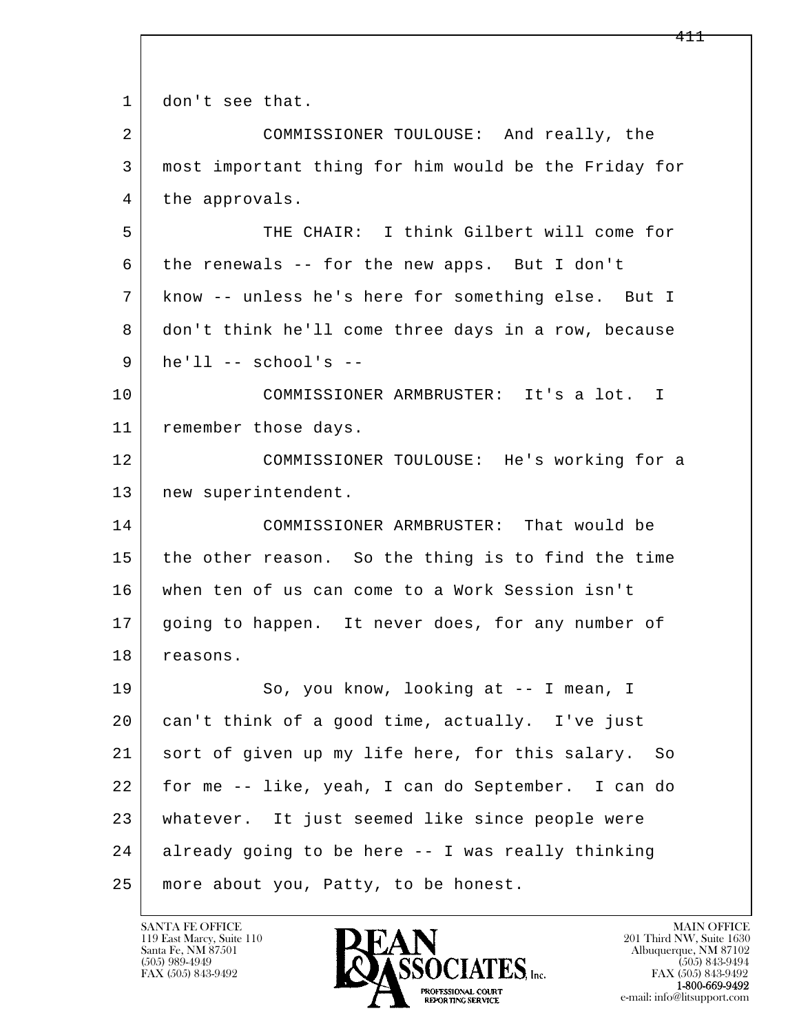l  $\overline{\phantom{a}}$ 1 don't see that. 2 COMMISSIONER TOULOUSE: And really, the 3 most important thing for him would be the Friday for 4 | the approvals. 5 THE CHAIR: I think Gilbert will come for 6 the renewals -- for the new apps. But I don't 7 know -- unless he's here for something else. But I 8 don't think he'll come three days in a row, because 9 he'll -- school's -- 10 COMMISSIONER ARMBRUSTER: It's a lot. I 11 | remember those days. 12 COMMISSIONER TOULOUSE: He's working for a 13 | new superintendent. 14 COMMISSIONER ARMBRUSTER: That would be 15 the other reason. So the thing is to find the time 16 when ten of us can come to a Work Session isn't 17 going to happen. It never does, for any number of 18 reasons. 19 So, you know, looking at -- I mean, I 20 can't think of a good time, actually. I've just 21 sort of given up my life here, for this salary. So 22 for me -- like, yeah, I can do September. I can do 23 whatever. It just seemed like since people were 24 already going to be here -- I was really thinking 25 more about you, Patty, to be honest.

119 East Marcy, Suite 110<br>Santa Fe, NM 87501

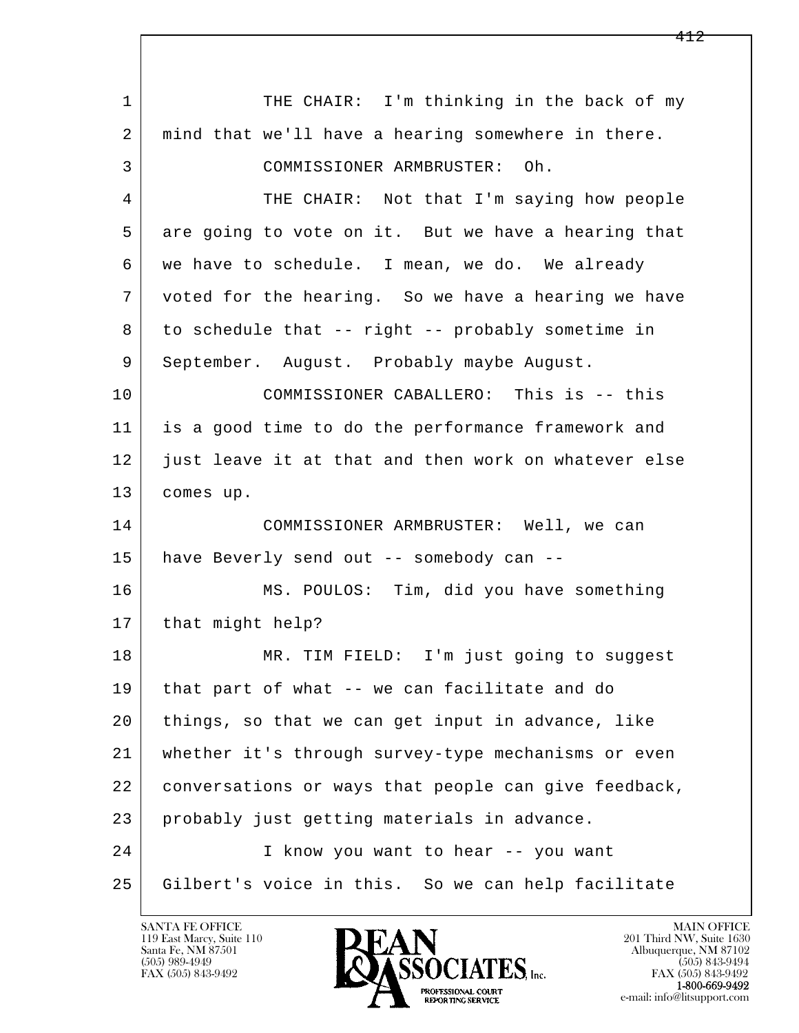l  $\overline{\phantom{a}}$ 1 THE CHAIR: I'm thinking in the back of my 2 | mind that we'll have a hearing somewhere in there. 3 COMMISSIONER ARMBRUSTER: Oh. 4 THE CHAIR: Not that I'm saying how people 5 are going to vote on it. But we have a hearing that 6 we have to schedule. I mean, we do. We already 7 voted for the hearing. So we have a hearing we have 8 to schedule that -- right -- probably sometime in 9 | September. August. Probably maybe August. 10 COMMISSIONER CABALLERO: This is -- this 11 is a good time to do the performance framework and 12 just leave it at that and then work on whatever else 13 comes up. 14 COMMISSIONER ARMBRUSTER: Well, we can 15 have Beverly send out -- somebody can -- 16 MS. POULOS: Tim, did you have something 17 | that might help? 18 | MR. TIM FIELD: I'm just going to suggest 19 that part of what -- we can facilitate and do 20 things, so that we can get input in advance, like 21 whether it's through survey-type mechanisms or even 22 conversations or ways that people can give feedback, 23 probably just getting materials in advance. 24 I know you want to hear -- you want 25 Gilbert's voice in this. So we can help facilitate

119 East Marcy, Suite 110<br>Santa Fe, NM 87501

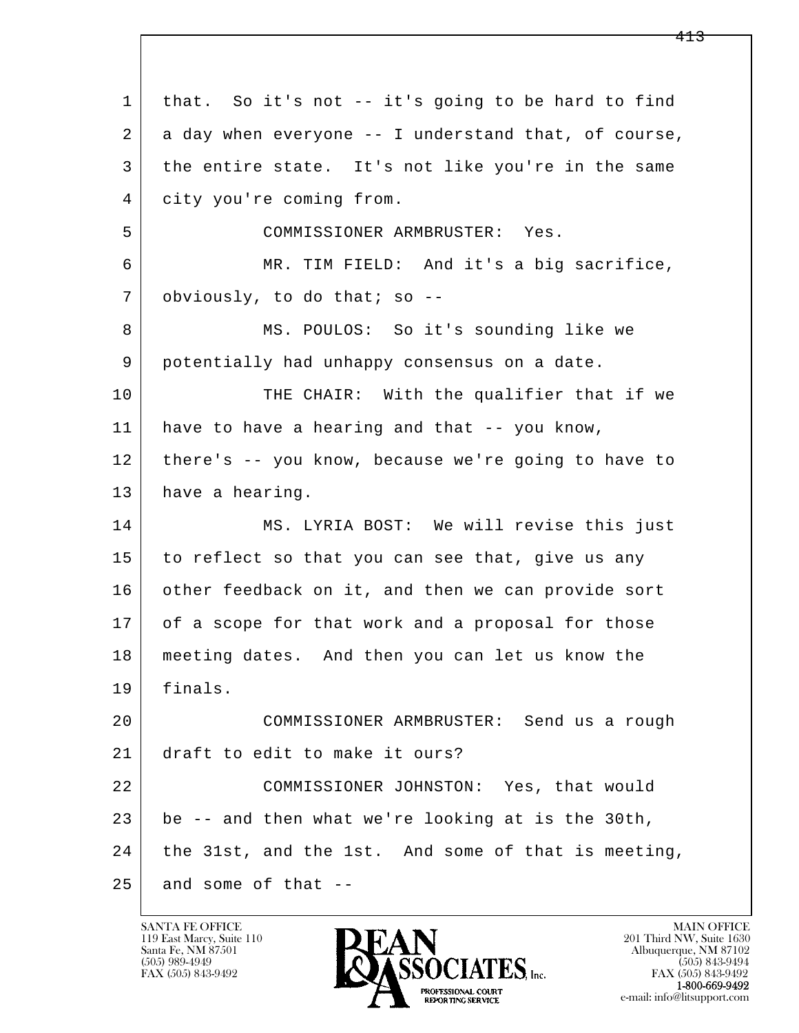l  $\overline{\phantom{a}}$  1 that. So it's not -- it's going to be hard to find 2 a day when everyone -- I understand that, of course, 3 the entire state. It's not like you're in the same 4 city you're coming from. 5 COMMISSIONER ARMBRUSTER: Yes. 6 MR. TIM FIELD: And it's a big sacrifice, 7 obviously, to do that; so -- 8 MS. POULOS: So it's sounding like we 9 potentially had unhappy consensus on a date. 10 THE CHAIR: With the qualifier that if we 11 have to have a hearing and that -- you know, 12 there's -- you know, because we're going to have to 13 have a hearing. 14 MS. LYRIA BOST: We will revise this just 15 to reflect so that you can see that, give us any 16 other feedback on it, and then we can provide sort 17 of a scope for that work and a proposal for those 18 meeting dates. And then you can let us know the 19 finals. 20 COMMISSIONER ARMBRUSTER: Send us a rough 21 draft to edit to make it ours? 22 COMMISSIONER JOHNSTON: Yes, that would 23 be -- and then what we're looking at is the 30th, 24 the 31st, and the 1st. And some of that is meeting,  $25$  and some of that  $-$ 

119 East Marcy, Suite 110<br>Santa Fe, NM 87501

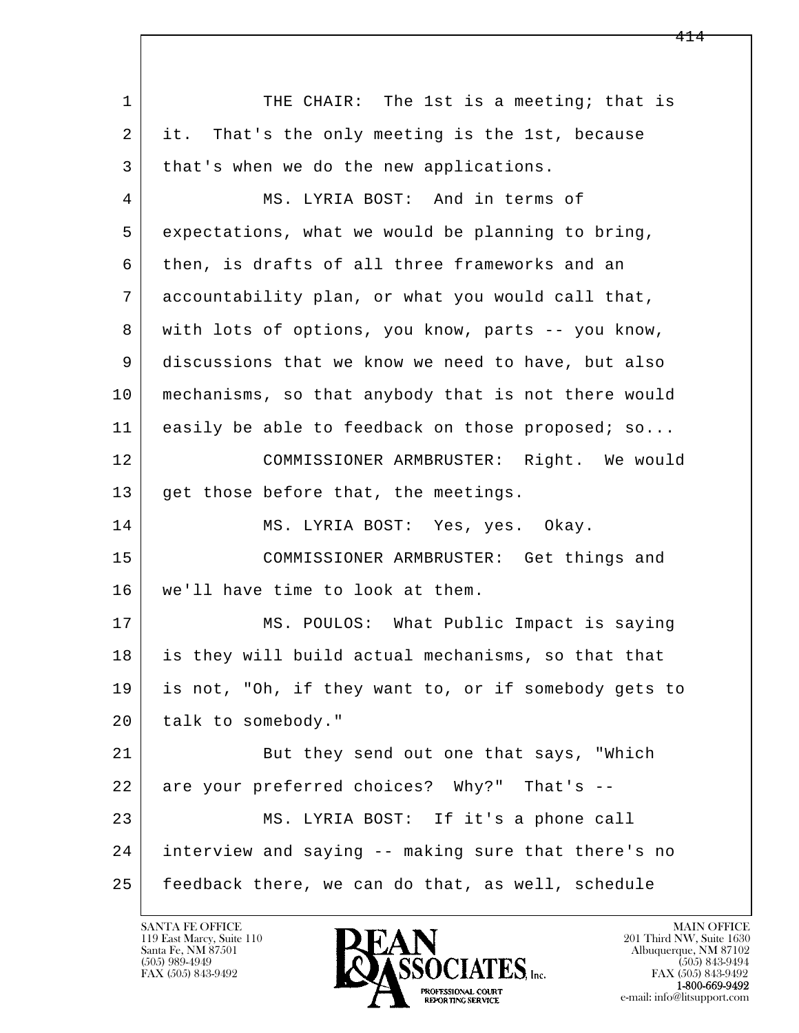l  $\overline{\phantom{a}}$ 1 THE CHAIR: The 1st is a meeting; that is 2 it. That's the only meeting is the 1st, because 3 | that's when we do the new applications. 4 MS. LYRIA BOST: And in terms of 5 expectations, what we would be planning to bring, 6 then, is drafts of all three frameworks and an 7 accountability plan, or what you would call that, 8 with lots of options, you know, parts -- you know, 9 discussions that we know we need to have, but also 10 mechanisms, so that anybody that is not there would 11 easily be able to feedback on those proposed; so... 12 COMMISSIONER ARMBRUSTER: Right. We would 13 get those before that, the meetings. 14 MS. LYRIA BOST: Yes, yes. Okay. 15 COMMISSIONER ARMBRUSTER: Get things and 16 we'll have time to look at them. 17 | MS. POULOS: What Public Impact is saying 18 is they will build actual mechanisms, so that that 19 is not, "Oh, if they want to, or if somebody gets to 20 talk to somebody." 21 But they send out one that says, "Which 22 are your preferred choices? Why?" That's -- 23 MS. LYRIA BOST: If it's a phone call 24 interview and saying -- making sure that there's no 25 feedback there, we can do that, as well, schedule

119 East Marcy, Suite 110<br>Santa Fe, NM 87501

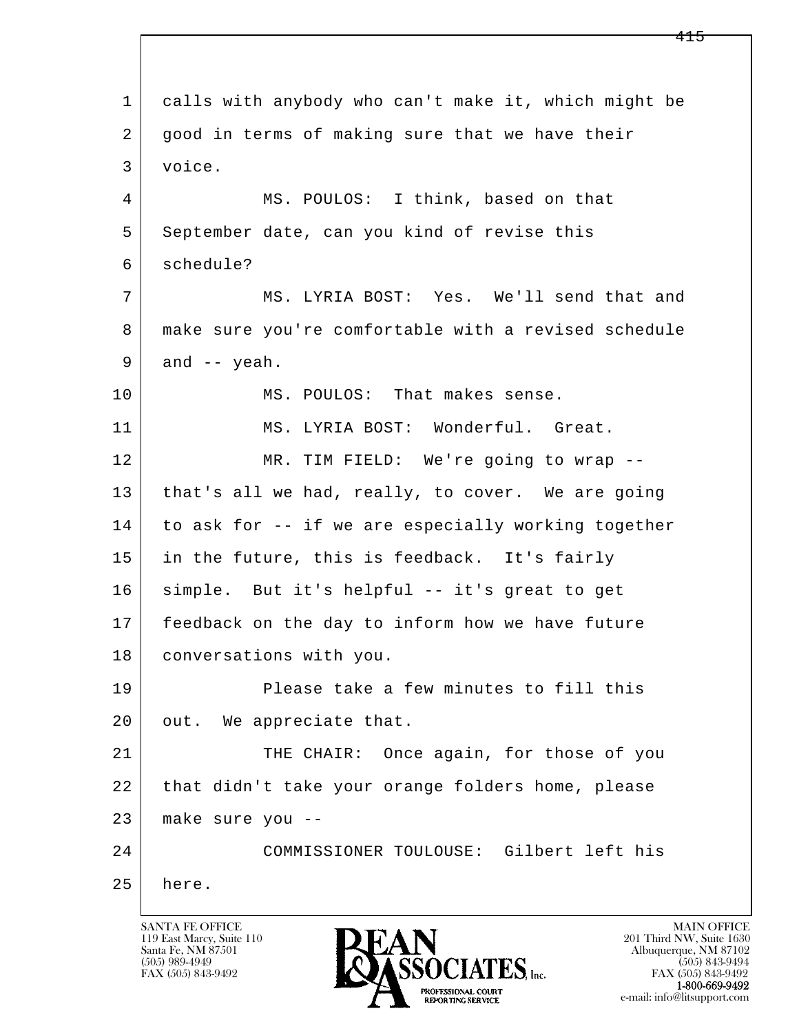l  $\overline{\phantom{a}}$  1 calls with anybody who can't make it, which might be 2 good in terms of making sure that we have their 3 voice. 4 MS. POULOS: I think, based on that 5 September date, can you kind of revise this 6 schedule? 7 MS. LYRIA BOST: Yes. We'll send that and 8 make sure you're comfortable with a revised schedule  $9$  and  $-$  yeah. 10 MS. POULOS: That makes sense. 11 MS. LYRIA BOST: Wonderful. Great. 12 MR. TIM FIELD: We're going to wrap --13 | that's all we had, really, to cover. We are going 14 to ask for -- if we are especially working together 15 in the future, this is feedback. It's fairly 16 simple. But it's helpful -- it's great to get 17 feedback on the day to inform how we have future 18 conversations with you. 19 Please take a few minutes to fill this 20 | out. We appreciate that. 21 THE CHAIR: Once again, for those of you 22 that didn't take your orange folders home, please 23 make sure you -- 24 COMMISSIONER TOULOUSE: Gilbert left his 25 here.

119 East Marcy, Suite 110<br>Santa Fe, NM 87501

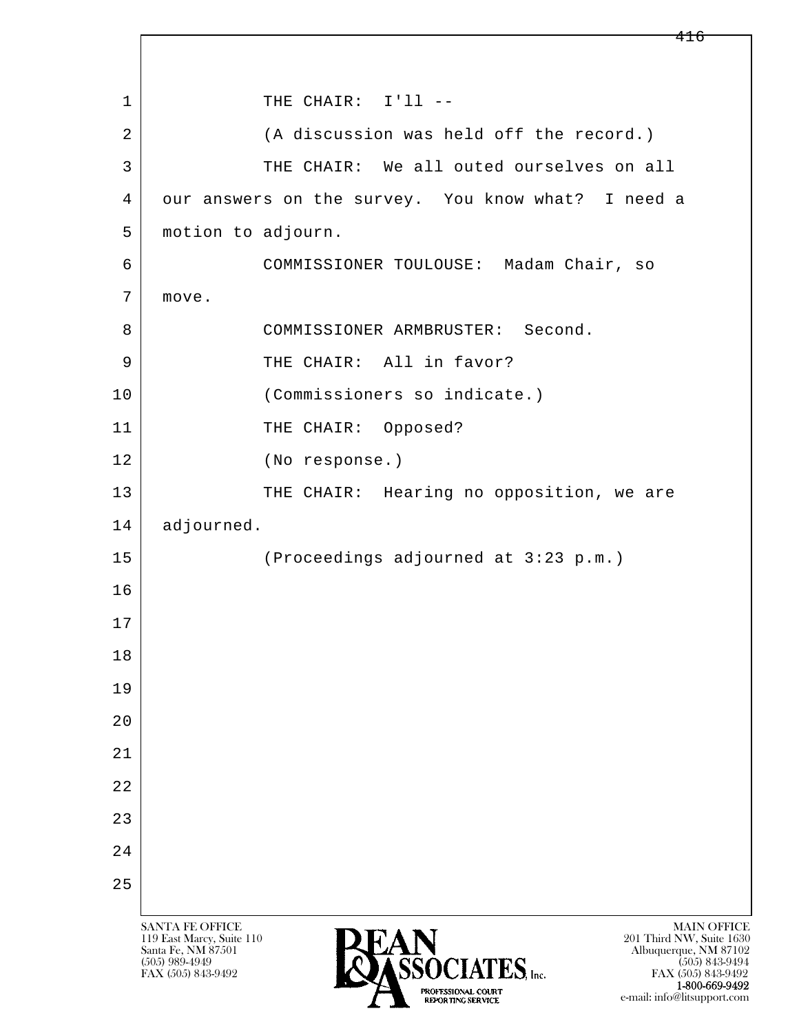l  $\overline{\phantom{a}}$ SANTA FE OFFICE MAIN OFFICE MAIN OFFICE MAIN OFFICE MAIN OFFICE 119 East Marcy, Suite 110<br>Santa Fe, NM 87501 Santa Fe, NM 87501 Albuquerque, NM 87102  $\overline{\text{S5OCIATES}}_{\text{Inc}}$  [505) 989-4949 [505] 843-9492 [505] 843-9492 [505] 843-9492 1 | THE CHAIR: I'll --2 | (A discussion was held off the record.) 3 THE CHAIR: We all outed ourselves on all 4 our answers on the survey. You know what? I need a 5 | motion to adjourn. 6 COMMISSIONER TOULOUSE: Madam Chair, so 7 move. 8 COMMISSIONER ARMBRUSTER: Second. 9 THE CHAIR: All in favor? 10 (Commissioners so indicate.) 11 THE CHAIR: Opposed? 12 (No response.) 13 | THE CHAIR: Hearing no opposition, we are 14 adjourned. 15 (Proceedings adjourned at 3:23 p.m.) 16 17 18 19 20 21 22 23 24 25

FAX (505) 843-9492 1-800-669-9492

e-mail: info@litsupport.com